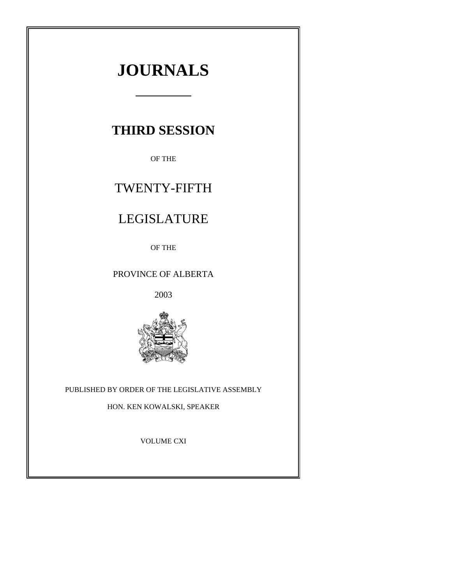# **JOURNALS**

# **THIRD SESSION**

OF THE

# TWENTY-FIFTH

# LEGISLATURE

OF THE

# PROVINCE OF ALBERTA

2003



# PUBLISHED BY ORDER OF THE LEGISLATIVE ASSEMBLY

HON. KEN KOWALSKI, SPEAKER

VOLUME CXI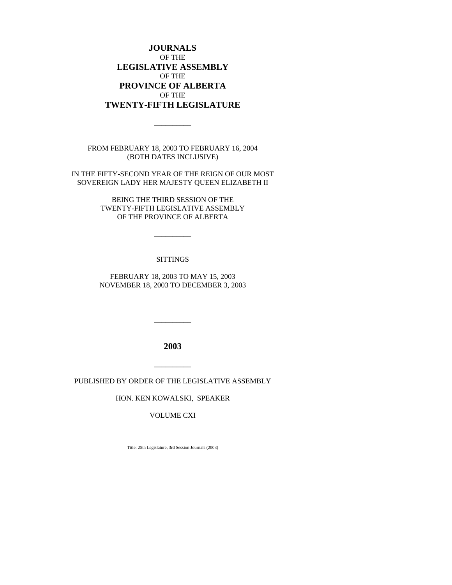**JOURNALS** OF THE **LEGISLATIVE ASSEMBLY** OF THE **PROVINCE OF ALBERTA** OF THE **TWENTY-FIFTH LEGISLATURE**

FROM FEBRUARY 18, 2003 TO FEBRUARY 16, 2004 (BOTH DATES INCLUSIVE)

 $\overline{\phantom{a}}$ 

IN THE FIFTY-SECOND YEAR OF THE REIGN OF OUR MOST SOVEREIGN LADY HER MAJESTY QUEEN ELIZABETH II

> BEING THE THIRD SESSION OF THE TWENTY-FIFTH LEGISLATIVE ASSEMBLY OF THE PROVINCE OF ALBERTA

> > \_\_\_\_\_\_\_\_\_\_

#### **SITTINGS**

FEBRUARY 18, 2003 TO MAY 15, 2003 NOVEMBER 18, 2003 TO DECEMBER 3, 2003

**2003**

\_\_\_\_\_\_\_\_\_\_

PUBLISHED BY ORDER OF THE LEGISLATIVE ASSEMBLY

\_\_\_\_\_\_\_\_\_\_

HON. KEN KOWALSKI, SPEAKER

VOLUME CXI

Title: 25th Legislature, 3rd Session Journals (2003)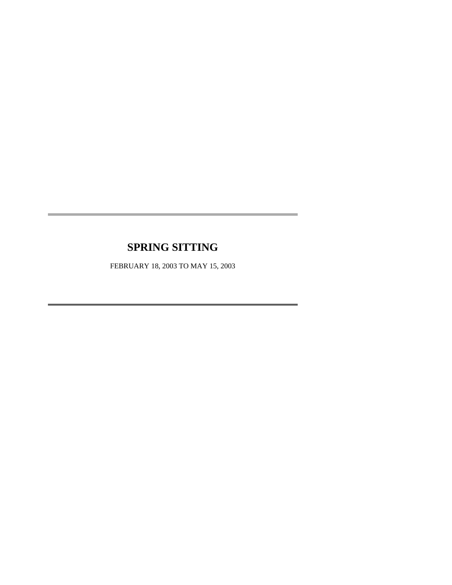# **SPRING SITTING**

FEBRUARY 18, 2003 TO MAY 15, 2003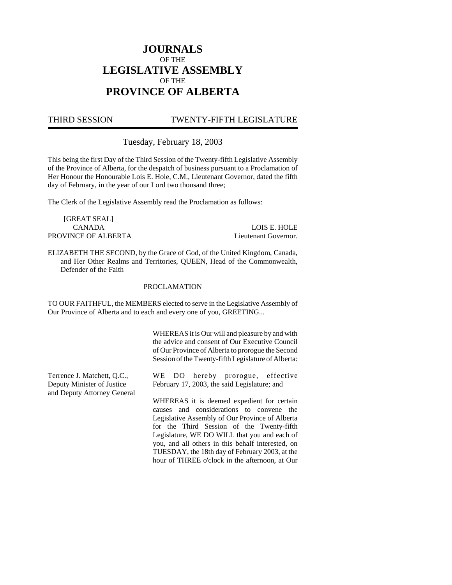# **JOURNALS** OF THE **LEGISLATIVE ASSEMBLY** OF THE **PROVINCE OF ALBERTA**

# THIRD SESSION TWENTY-FIFTH LEGISLATURE

Tuesday, February 18, 2003

This being the first Day of the Third Session of the Twenty-fifth Legislative Assembly of the Province of Alberta, for the despatch of business pursuant to a Proclamation of Her Honour the Honourable Lois E. Hole, C.M., Lieutenant Governor, dated the fifth day of February, in the year of our Lord two thousand three;

The Clerk of the Legislative Assembly read the Proclamation as follows:

[GREAT SEAL] PROVINCE OF ALBERTA Lieutenant Governor.

CANADA LOIS E. HOLE

ELIZABETH THE SECOND, by the Grace of God, of the United Kingdom, Canada, and Her Other Realms and Territories, QUEEN, Head of the Commonwealth, Defender of the Faith

#### PROCLAMATION

TO OUR FAITHFUL, the MEMBERS elected to serve in the Legislative Assembly of Our Province of Alberta and to each and every one of you, GREETING...

> WHEREAS it is Our will and pleasure by and with the advice and consent of Our Executive Council of Our Province of Alberta to prorogue the Second Session of the Twenty-fifth Legislature of Alberta:

Terrence J. Matchett, Q.C., Deputy Minister of Justice and Deputy Attorney General WE DO hereby prorogue, effective February 17, 2003, the said Legislature; and

> WHEREAS it is deemed expedient for certain causes and considerations to convene the Legislative Assembly of Our Province of Alberta for the Third Session of the Twenty-fifth Legislature, WE DO WILL that you and each of you, and all others in this behalf interested, on TUESDAY, the 18th day of February 2003, at the hour of THREE o'clock in the afternoon, at Our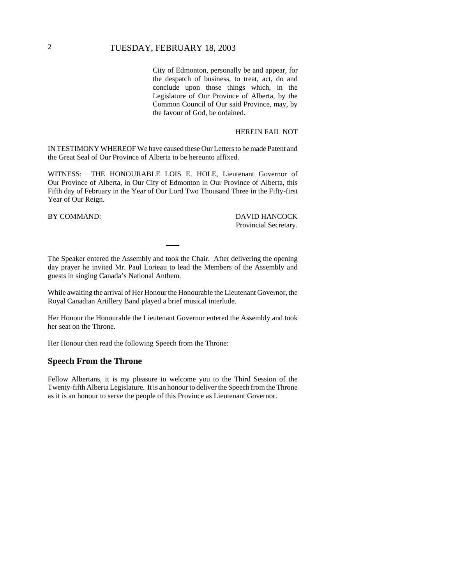City of Edmonton, personally be and appear, for the despatch of business, to treat, act, do and conclude upon those things which, in the Legislature of Our Province of Alberta, by the Common Council of Our said Province, may, by the favour of God, be ordained.

#### HEREIN FAIL NOT

IN TESTIMONY WHEREOF We have caused these Our Letters to be made Patent and the Great Seal of Our Province of Alberta to be hereunto affixed.

WITNESS: THE HONOURABLE LOIS E. HOLE, Lieutenant Governor of Our Province of Alberta, in Our City of Edmonton in Our Province of Alberta, this Fifth day of February in the Year of Our Lord Two Thousand Three in the Fifty-first Year of Our Reign.

BY COMMAND: DAVID HANCOCK Provincial Secretary.

The Speaker entered the Assembly and took the Chair. After delivering the opening day prayer he invited Mr. Paul Lorieau to lead the Members of the Assembly and guests in singing Canada's National Anthem.

While awaiting the arrival of Her Honour the Honourable the Lieutenant Governor, the Royal Canadian Artillery Band played a brief musical interlude.

Her Honour the Honourable the Lieutenant Governor entered the Assembly and took her seat on the Throne.

Her Honour then read the following Speech from the Throne:

#### **Speech From the Throne**

Fellow Albertans, it is my pleasure to welcome you to the Third Session of the Twenty-fifth Alberta Legislature. It is an honour to deliver the Speech from the Throne as it is an honour to serve the people of this Province as Lieutenant Governor.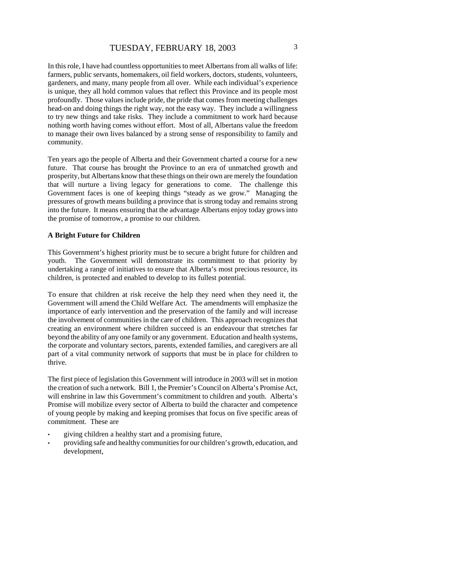In this role, I have had countless opportunities to meet Albertans from all walks of life: farmers, public servants, homemakers, oil field workers, doctors, students, volunteers, gardeners, and many, many people from all over. While each individual's experience is unique, they all hold common values that reflect this Province and its people most profoundly. Those values include pride, the pride that comes from meeting challenges head-on and doing things the right way, not the easy way. They include a willingness to try new things and take risks. They include a commitment to work hard because nothing worth having comes without effort. Most of all, Albertans value the freedom to manage their own lives balanced by a strong sense of responsibility to family and community.

Ten years ago the people of Alberta and their Government charted a course for a new future. That course has brought the Province to an era of unmatched growth and prosperity, but Albertans know that these things on their own are merely the foundation that will nurture a living legacy for generations to come. The challenge this Government faces is one of keeping things "steady as we grow." Managing the pressures of growth means building a province that is strong today and remains strong into the future. It means ensuring that the advantage Albertans enjoy today grows into the promise of tomorrow, a promise to our children.

#### **A Bright Future for Children**

This Government's highest priority must be to secure a bright future for children and youth. The Government will demonstrate its commitment to that priority by undertaking a range of initiatives to ensure that Alberta's most precious resource, its children, is protected and enabled to develop to its fullest potential.

To ensure that children at risk receive the help they need when they need it, the Government will amend the Child Welfare Act. The amendments will emphasize the importance of early intervention and the preservation of the family and will increase the involvement of communities in the care of children. This approach recognizes that creating an environment where children succeed is an endeavour that stretches far beyond the ability of any one family or any government. Education and health systems, the corporate and voluntary sectors, parents, extended families, and caregivers are all part of a vital community network of supports that must be in place for children to thrive.

The first piece of legislation this Government will introduce in 2003 will set in motion the creation of such a network. Bill 1, the Premier's Council on Alberta's Promise Act, will enshrine in law this Government's commitment to children and youth. Alberta's Promise will mobilize every sector of Alberta to build the character and competence of young people by making and keeping promises that focus on five specific areas of commitment. These are

- giving children a healthy start and a promising future,
- providing safe and healthy communities for our children's growth, education, and development,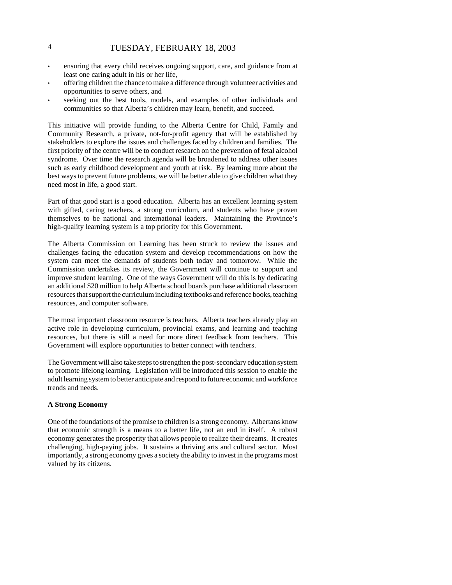# 4 TUESDAY, FEBRUARY 18, 2003

- ensuring that every child receives ongoing support, care, and guidance from at least one caring adult in his or her life,
- offering children the chance to make a difference through volunteer activities and opportunities to serve others, and
- seeking out the best tools, models, and examples of other individuals and communities so that Alberta's children may learn, benefit, and succeed.

This initiative will provide funding to the Alberta Centre for Child, Family and Community Research, a private, not-for-profit agency that will be established by stakeholders to explore the issues and challenges faced by children and families. The first priority of the centre will be to conduct research on the prevention of fetal alcohol syndrome. Over time the research agenda will be broadened to address other issues such as early childhood development and youth at risk. By learning more about the best ways to prevent future problems, we will be better able to give children what they need most in life, a good start.

Part of that good start is a good education. Alberta has an excellent learning system with gifted, caring teachers, a strong curriculum, and students who have proven themselves to be national and international leaders. Maintaining the Province's high-quality learning system is a top priority for this Government.

The Alberta Commission on Learning has been struck to review the issues and challenges facing the education system and develop recommendations on how the system can meet the demands of students both today and tomorrow. While the Commission undertakes its review, the Government will continue to support and improve student learning. One of the ways Government will do this is by dedicating an additional \$20 million to help Alberta school boards purchase additional classroom resources that support the curriculum including textbooks and reference books, teaching resources, and computer software.

The most important classroom resource is teachers. Alberta teachers already play an active role in developing curriculum, provincial exams, and learning and teaching resources, but there is still a need for more direct feedback from teachers. This Government will explore opportunities to better connect with teachers.

The Government will also take steps to strengthen the post-secondary education system to promote lifelong learning. Legislation will be introduced this session to enable the adult learning system to better anticipate and respond to future economic and workforce trends and needs.

#### **A Strong Economy**

One of the foundations of the promise to children is a strong economy. Albertans know that economic strength is a means to a better life, not an end in itself. A robust economy generates the prosperity that allows people to realize their dreams. It creates challenging, high-paying jobs. It sustains a thriving arts and cultural sector. Most importantly, a strong economy gives a society the ability to invest in the programs most valued by its citizens.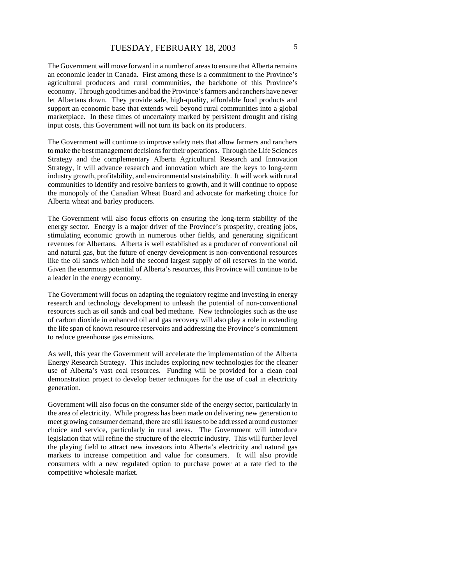The Government will move forward in a number of areas to ensure that Alberta remains an economic leader in Canada. First among these is a commitment to the Province's agricultural producers and rural communities, the backbone of this Province's economy. Through good times and bad the Province's farmers and ranchers have never let Albertans down. They provide safe, high-quality, affordable food products and support an economic base that extends well beyond rural communities into a global marketplace. In these times of uncertainty marked by persistent drought and rising input costs, this Government will not turn its back on its producers.

The Government will continue to improve safety nets that allow farmers and ranchers to make the best management decisions for their operations. Through the Life Sciences Strategy and the complementary Alberta Agricultural Research and Innovation Strategy, it will advance research and innovation which are the keys to long-term industry growth, profitability, and environmental sustainability. It will work with rural communities to identify and resolve barriers to growth, and it will continue to oppose the monopoly of the Canadian Wheat Board and advocate for marketing choice for Alberta wheat and barley producers.

The Government will also focus efforts on ensuring the long-term stability of the energy sector. Energy is a major driver of the Province's prosperity, creating jobs, stimulating economic growth in numerous other fields, and generating significant revenues for Albertans. Alberta is well established as a producer of conventional oil and natural gas, but the future of energy development is non-conventional resources like the oil sands which hold the second largest supply of oil reserves in the world. Given the enormous potential of Alberta's resources, this Province will continue to be a leader in the energy economy.

The Government will focus on adapting the regulatory regime and investing in energy research and technology development to unleash the potential of non-conventional resources such as oil sands and coal bed methane. New technologies such as the use of carbon dioxide in enhanced oil and gas recovery will also play a role in extending the life span of known resource reservoirs and addressing the Province's commitment to reduce greenhouse gas emissions.

As well, this year the Government will accelerate the implementation of the Alberta Energy Research Strategy. This includes exploring new technologies for the cleaner use of Alberta's vast coal resources. Funding will be provided for a clean coal demonstration project to develop better techniques for the use of coal in electricity generation.

Government will also focus on the consumer side of the energy sector, particularly in the area of electricity. While progress has been made on delivering new generation to meet growing consumer demand, there are still issues to be addressed around customer choice and service, particularly in rural areas. The Government will introduce legislation that will refine the structure of the electric industry. This will further level the playing field to attract new investors into Alberta's electricity and natural gas markets to increase competition and value for consumers. It will also provide consumers with a new regulated option to purchase power at a rate tied to the competitive wholesale market.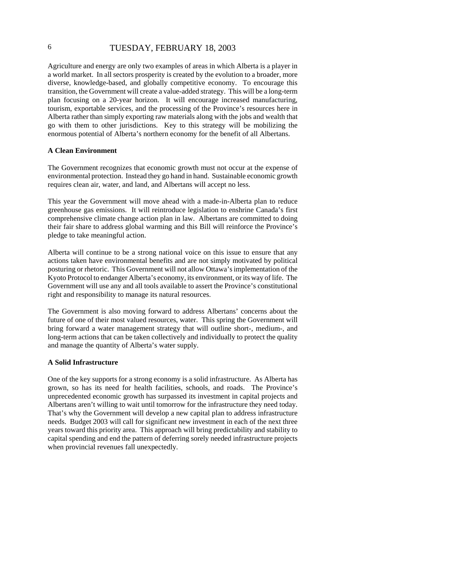# 6 TUESDAY, FEBRUARY 18, 2003

Agriculture and energy are only two examples of areas in which Alberta is a player in a world market. In all sectors prosperity is created by the evolution to a broader, more diverse, knowledge-based, and globally competitive economy. To encourage this transition, the Government will create a value-added strategy. This will be a long-term plan focusing on a 20-year horizon. It will encourage increased manufacturing, tourism, exportable services, and the processing of the Province's resources here in Alberta rather than simply exporting raw materials along with the jobs and wealth that go with them to other jurisdictions. Key to this strategy will be mobilizing the enormous potential of Alberta's northern economy for the benefit of all Albertans.

#### **A Clean Environment**

The Government recognizes that economic growth must not occur at the expense of environmental protection. Instead they go hand in hand. Sustainable economic growth requires clean air, water, and land, and Albertans will accept no less.

This year the Government will move ahead with a made-in-Alberta plan to reduce greenhouse gas emissions. It will reintroduce legislation to enshrine Canada's first comprehensive climate change action plan in law. Albertans are committed to doing their fair share to address global warming and this Bill will reinforce the Province's pledge to take meaningful action.

Alberta will continue to be a strong national voice on this issue to ensure that any actions taken have environmental benefits and are not simply motivated by political posturing or rhetoric. This Government will not allow Ottawa's implementation of the Kyoto Protocol to endanger Alberta's economy, its environment, or its way of life. The Government will use any and all tools available to assert the Province's constitutional right and responsibility to manage its natural resources.

The Government is also moving forward to address Albertans' concerns about the future of one of their most valued resources, water. This spring the Government will bring forward a water management strategy that will outline short-, medium-, and long-term actions that can be taken collectively and individually to protect the quality and manage the quantity of Alberta's water supply.

#### **A Solid Infrastructure**

One of the key supports for a strong economy is a solid infrastructure. As Alberta has grown, so has its need for health facilities, schools, and roads. The Province's unprecedented economic growth has surpassed its investment in capital projects and Albertans aren't willing to wait until tomorrow for the infrastructure they need today. That's why the Government will develop a new capital plan to address infrastructure needs. Budget 2003 will call for significant new investment in each of the next three years toward this priority area. This approach will bring predictability and stability to capital spending and end the pattern of deferring sorely needed infrastructure projects when provincial revenues fall unexpectedly.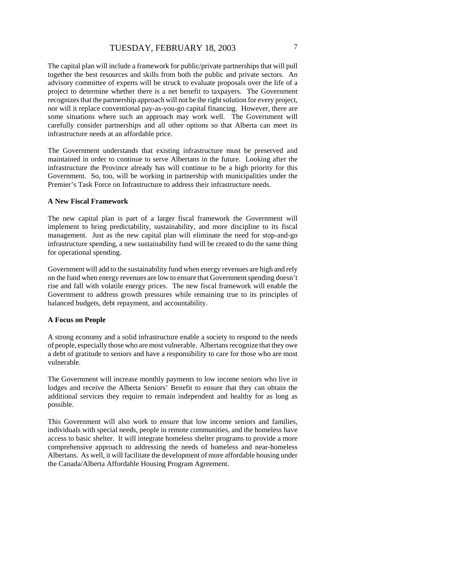The capital plan will include a framework for public/private partnerships that will pull together the best resources and skills from both the public and private sectors. An advisory committee of experts will be struck to evaluate proposals over the life of a project to determine whether there is a net benefit to taxpayers. The Government recognizes that the partnership approach will not be the right solution for every project, nor will it replace conventional pay-as-you-go capital financing. However, there are some situations where such an approach may work well. The Government will carefully consider partnerships and all other options so that Alberta can meet its infrastructure needs at an affordable price.

The Government understands that existing infrastructure must be preserved and maintained in order to continue to serve Albertans in the future. Looking after the infrastructure the Province already has will continue to be a high priority for this Government. So, too, will be working in partnership with municipalities under the Premier's Task Force on Infrastructure to address their infrastructure needs.

#### **A New Fiscal Framework**

The new capital plan is part of a larger fiscal framework the Government will implement to bring predictability, sustainability, and more discipline to its fiscal management. Just as the new capital plan will eliminate the need for stop-and-go infrastructure spending, a new sustainability fund will be created to do the same thing for operational spending.

Government will add to the sustainability fund when energy revenues are high and rely on the fund when energy revenues are low to ensure that Government spending doesn't rise and fall with volatile energy prices. The new fiscal framework will enable the Government to address growth pressures while remaining true to its principles of balanced budgets, debt repayment, and accountability.

#### **A Focus on People**

A strong economy and a solid infrastructure enable a society to respond to the needs of people, especially those who are most vulnerable. Albertans recognize that they owe a debt of gratitude to seniors and have a responsibility to care for those who are most vulnerable.

The Government will increase monthly payments to low income seniors who live in lodges and receive the Alberta Seniors' Benefit to ensure that they can obtain the additional services they require to remain independent and healthy for as long as possible.

This Government will also work to ensure that low income seniors and families, individuals with special needs, people in remote communities, and the homeless have access to basic shelter. It will integrate homeless shelter programs to provide a more comprehensive approach to addressing the needs of homeless and near-homeless Albertans. As well, it will facilitate the development of more affordable housing under the Canada/Alberta Affordable Housing Program Agreement.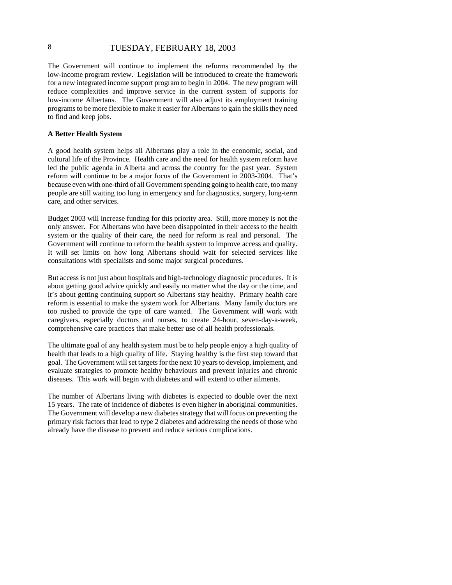# 8 TUESDAY, FEBRUARY 18, 2003

The Government will continue to implement the reforms recommended by the low-income program review. Legislation will be introduced to create the framework for a new integrated income support program to begin in 2004. The new program will reduce complexities and improve service in the current system of supports for low-income Albertans. The Government will also adjust its employment training programs to be more flexible to make it easier for Albertans to gain the skills they need to find and keep jobs.

#### **A Better Health System**

A good health system helps all Albertans play a role in the economic, social, and cultural life of the Province. Health care and the need for health system reform have led the public agenda in Alberta and across the country for the past year. System reform will continue to be a major focus of the Government in 2003-2004. That's because even with one-third of all Government spending going to health care, too many people are still waiting too long in emergency and for diagnostics, surgery, long-term care, and other services.

Budget 2003 will increase funding for this priority area. Still, more money is not the only answer. For Albertans who have been disappointed in their access to the health system or the quality of their care, the need for reform is real and personal. The Government will continue to reform the health system to improve access and quality. It will set limits on how long Albertans should wait for selected services like consultations with specialists and some major surgical procedures.

But access is not just about hospitals and high-technology diagnostic procedures. It is about getting good advice quickly and easily no matter what the day or the time, and it's about getting continuing support so Albertans stay healthy. Primary health care reform is essential to make the system work for Albertans. Many family doctors are too rushed to provide the type of care wanted. The Government will work with caregivers, especially doctors and nurses, to create 24-hour, seven-day-a-week, comprehensive care practices that make better use of all health professionals.

The ultimate goal of any health system must be to help people enjoy a high quality of health that leads to a high quality of life. Staying healthy is the first step toward that goal. The Government will set targets for the next 10 years to develop, implement, and evaluate strategies to promote healthy behaviours and prevent injuries and chronic diseases. This work will begin with diabetes and will extend to other ailments.

The number of Albertans living with diabetes is expected to double over the next 15 years. The rate of incidence of diabetes is even higher in aboriginal communities. The Government will develop a new diabetes strategy that will focus on preventing the primary risk factors that lead to type 2 diabetes and addressing the needs of those who already have the disease to prevent and reduce serious complications.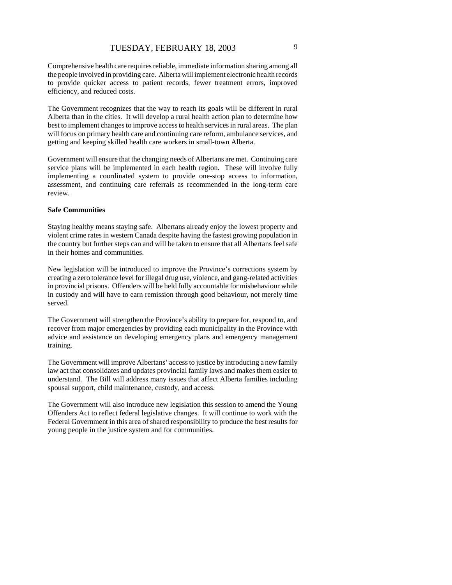Comprehensive health care requires reliable, immediate information sharing among all the people involved in providing care. Alberta will implement electronic health records to provide quicker access to patient records, fewer treatment errors, improved efficiency, and reduced costs.

The Government recognizes that the way to reach its goals will be different in rural Alberta than in the cities. It will develop a rural health action plan to determine how best to implement changes to improve access to health services in rural areas. The plan will focus on primary health care and continuing care reform, ambulance services, and getting and keeping skilled health care workers in small-town Alberta.

Government will ensure that the changing needs of Albertans are met. Continuing care service plans will be implemented in each health region. These will involve fully implementing a coordinated system to provide one-stop access to information, assessment, and continuing care referrals as recommended in the long-term care review.

#### **Safe Communities**

Staying healthy means staying safe. Albertans already enjoy the lowest property and violent crime rates in western Canada despite having the fastest growing population in the country but further steps can and will be taken to ensure that all Albertans feel safe in their homes and communities.

New legislation will be introduced to improve the Province's corrections system by creating a zero tolerance level for illegal drug use, violence, and gang-related activities in provincial prisons. Offenders will be held fully accountable for misbehaviour while in custody and will have to earn remission through good behaviour, not merely time served.

The Government will strengthen the Province's ability to prepare for, respond to, and recover from major emergencies by providing each municipality in the Province with advice and assistance on developing emergency plans and emergency management training.

The Government will improve Albertans' access to justice by introducing a new family law act that consolidates and updates provincial family laws and makes them easier to understand. The Bill will address many issues that affect Alberta families including spousal support, child maintenance, custody, and access.

The Government will also introduce new legislation this session to amend the Young Offenders Act to reflect federal legislative changes. It will continue to work with the Federal Government in this area of shared responsibility to produce the best results for young people in the justice system and for communities.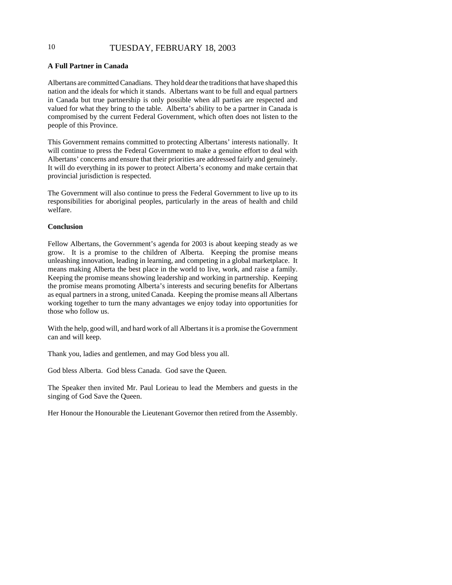# 10 TUESDAY, FEBRUARY 18, 2003

#### **A Full Partner in Canada**

Albertans are committed Canadians. They hold dear the traditions that have shaped this nation and the ideals for which it stands. Albertans want to be full and equal partners in Canada but true partnership is only possible when all parties are respected and valued for what they bring to the table. Alberta's ability to be a partner in Canada is compromised by the current Federal Government, which often does not listen to the people of this Province.

This Government remains committed to protecting Albertans' interests nationally. It will continue to press the Federal Government to make a genuine effort to deal with Albertans' concerns and ensure that their priorities are addressed fairly and genuinely. It will do everything in its power to protect Alberta's economy and make certain that provincial jurisdiction is respected.

The Government will also continue to press the Federal Government to live up to its responsibilities for aboriginal peoples, particularly in the areas of health and child welfare.

#### **Conclusion**

Fellow Albertans, the Government's agenda for 2003 is about keeping steady as we grow. It is a promise to the children of Alberta. Keeping the promise means unleashing innovation, leading in learning, and competing in a global marketplace. It means making Alberta the best place in the world to live, work, and raise a family. Keeping the promise means showing leadership and working in partnership. Keeping the promise means promoting Alberta's interests and securing benefits for Albertans as equal partners in a strong, united Canada. Keeping the promise means all Albertans working together to turn the many advantages we enjoy today into opportunities for those who follow us.

With the help, good will, and hard work of all Albertans it is a promise the Government can and will keep.

Thank you, ladies and gentlemen, and may God bless you all.

God bless Alberta. God bless Canada. God save the Queen.

The Speaker then invited Mr. Paul Lorieau to lead the Members and guests in the singing of God Save the Queen.

Her Honour the Honourable the Lieutenant Governor then retired from the Assembly.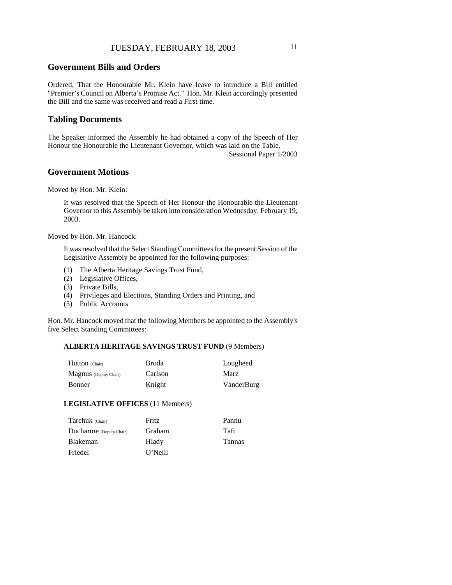## **Government Bills and Orders**

Ordered, That the Honourable Mr. Klein have leave to introduce a Bill entitled "Premier's Council on Alberta's Promise Act." Hon. Mr. Klein accordingly presented the Bill and the same was received and read a First time.

### **Tabling Documents**

The Speaker informed the Assembly he had obtained a copy of the Speech of Her Honour the Honourable the Lieutenant Governor, which was laid on the Table.

Sessional Paper 1/2003

#### **Government Motions**

Moved by Hon. Mr. Klein:

It was resolved that the Speech of Her Honour the Honourable the Lieutenant Governor to this Assembly be taken into consideration Wednesday, February 19, 2003.

Moved by Hon. Mr. Hancock:

It was resolved that the Select Standing Committees for the present Session of the Legislative Assembly be appointed for the following purposes:

- (1) The Alberta Heritage Savings Trust Fund,
- (2) Legislative Offices,
- (3) Private Bills,
- (4) Privileges and Elections, Standing Orders and Printing, and
- (5) Public Accounts

Hon. Mr. Hancock moved that the following Members be appointed to the Assembly's five Select Standing Committees:

#### **ALBERTA HERITAGE SAVINGS TRUST FUND** (9 Members)

| Hutton (Chair)               | Broda   | Lougheed   |
|------------------------------|---------|------------|
| <b>Magnus</b> (Deputy Chair) | Carlson | Marz       |
| Bonner                       | Knight  | VanderBurg |

#### **LEGISLATIVE OFFICES** (11 Members)

| Tarchuk (Chair)         | Fritz   | Pannu         |
|-------------------------|---------|---------------|
| Ducharme (Deputy Chair) | Graham  | Taft          |
| <b>Blakeman</b>         | Hlady   | <b>Tannas</b> |
| Friedel                 | O'Neill |               |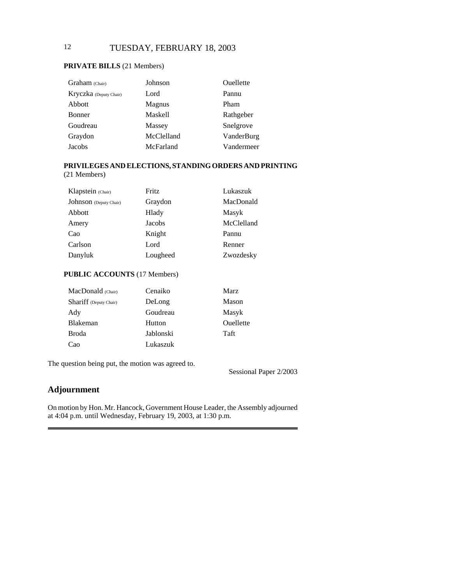# 12 TUESDAY, FEBRUARY 18, 2003

### **PRIVATE BILLS** (21 Members)

| Graham (Chair)         | Johnson    | Ouellette  |
|------------------------|------------|------------|
| Kryczka (Deputy Chair) | Lord       | Pannu      |
| Abbott                 | Magnus     | Pham       |
| <b>Bonner</b>          | Maskell    | Rathgeber  |
| Goudreau               | Massey     | Snelgrove  |
| Graydon                | McClelland | VanderBurg |
| Jacobs                 | McFarland  | Vandermeer |

# **PRIVILEGES AND ELECTIONS, STANDING ORDERS AND PRINTING**

(21 Members)

| Klapstein (Chair)      | Fritz    | Lukaszuk   |
|------------------------|----------|------------|
| Johnson (Deputy Chair) | Graydon  | MacDonald  |
| Abbott                 | Hlady    | Masyk      |
| Amery                  | Jacobs   | McClelland |
| Cao                    | Knight   | Pannu      |
| Carlson                | Lord     | Renner     |
| Danyluk                | Lougheed | Zwozdesky  |

## **PUBLIC ACCOUNTS** (17 Members)

| MacDonald (Chair)             | Cenaiko   | Marz      |
|-------------------------------|-----------|-----------|
| <b>Shariff</b> (Deputy Chair) | DeLong    | Mason     |
| Ady                           | Goudreau  | Masyk     |
| <b>Blakeman</b>               | Hutton    | Ouellette |
| <b>Broda</b>                  | Jablonski | Taft      |
| Cao                           | Lukaszuk  |           |

The question being put, the motion was agreed to.

Sessional Paper 2/2003

# **Adjournment**

On motion by Hon. Mr. Hancock, Government House Leader, the Assembly adjourned at 4:04 p.m. until Wednesday, February 19, 2003, at 1:30 p.m.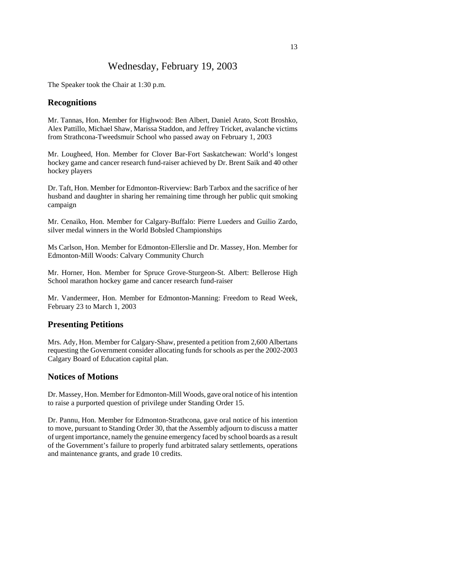# Wednesday, February 19, 2003

The Speaker took the Chair at 1:30 p.m.

#### **Recognitions**

Mr. Tannas, Hon. Member for Highwood: Ben Albert, Daniel Arato, Scott Broshko, Alex Pattillo, Michael Shaw, Marissa Staddon, and Jeffrey Tricket, avalanche victims from Strathcona-Tweedsmuir School who passed away on February 1, 2003

Mr. Lougheed, Hon. Member for Clover Bar-Fort Saskatchewan: World's longest hockey game and cancer research fund-raiser achieved by Dr. Brent Saik and 40 other hockey players

Dr. Taft, Hon. Member for Edmonton-Riverview: Barb Tarbox and the sacrifice of her husband and daughter in sharing her remaining time through her public quit smoking campaign

Mr. Cenaiko, Hon. Member for Calgary-Buffalo: Pierre Lueders and Guilio Zardo, silver medal winners in the World Bobsled Championships

Ms Carlson, Hon. Member for Edmonton-Ellerslie and Dr. Massey, Hon. Member for Edmonton-Mill Woods: Calvary Community Church

Mr. Horner, Hon. Member for Spruce Grove-Sturgeon-St. Albert: Bellerose High School marathon hockey game and cancer research fund-raiser

Mr. Vandermeer, Hon. Member for Edmonton-Manning: Freedom to Read Week, February 23 to March 1, 2003

#### **Presenting Petitions**

Mrs. Ady, Hon. Member for Calgary-Shaw, presented a petition from 2,600 Albertans requesting the Government consider allocating funds for schools as per the 2002-2003 Calgary Board of Education capital plan.

#### **Notices of Motions**

Dr. Massey, Hon. Member for Edmonton-Mill Woods, gave oral notice of his intention to raise a purported question of privilege under Standing Order 15.

Dr. Pannu, Hon. Member for Edmonton-Strathcona, gave oral notice of his intention to move, pursuant to Standing Order 30, that the Assembly adjourn to discuss a matter of urgent importance, namely the genuine emergency faced by school boards as a result of the Government's failure to properly fund arbitrated salary settlements, operations and maintenance grants, and grade 10 credits.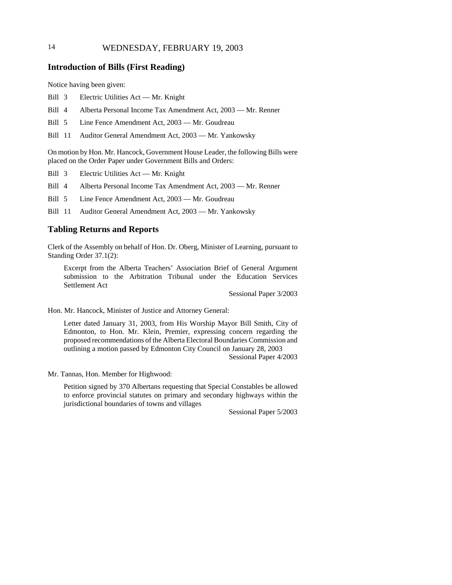# 14 WEDNESDAY, FEBRUARY 19, 2003

## **Introduction of Bills (First Reading)**

Notice having been given:

- Bill 3 Electric Utilities Act Mr. Knight
- Bill 4 Alberta Personal Income Tax Amendment Act, 2003 Mr. Renner
- Bill 5 Line Fence Amendment Act, 2003 Mr. Goudreau

Bill 11 Auditor General Amendment Act, 2003 — Mr. Yankowsky

On motion by Hon. Mr. Hancock, Government House Leader, the following Bills were placed on the Order Paper under Government Bills and Orders:

Bill 3 Electric Utilities Act — Mr. Knight

Bill 4 Alberta Personal Income Tax Amendment Act, 2003 — Mr. Renner

Bill 5 Line Fence Amendment Act, 2003 — Mr. Goudreau

Bill 11 Auditor General Amendment Act, 2003 — Mr. Yankowsky

#### **Tabling Returns and Reports**

Clerk of the Assembly on behalf of Hon. Dr. Oberg, Minister of Learning, pursuant to Standing Order 37.1(2):

Excerpt from the Alberta Teachers' Association Brief of General Argument submission to the Arbitration Tribunal under the Education Services Settlement Act

Sessional Paper 3/2003

Hon. Mr. Hancock, Minister of Justice and Attorney General:

Letter dated January 31, 2003, from His Worship Mayor Bill Smith, City of Edmonton, to Hon. Mr. Klein, Premier, expressing concern regarding the proposed recommendations of the Alberta Electoral Boundaries Commission and outlining a motion passed by Edmonton City Council on January 28, 2003 Sessional Paper 4/2003

Mr. Tannas, Hon. Member for Highwood:

Petition signed by 370 Albertans requesting that Special Constables be allowed to enforce provincial statutes on primary and secondary highways within the jurisdictional boundaries of towns and villages

Sessional Paper 5/2003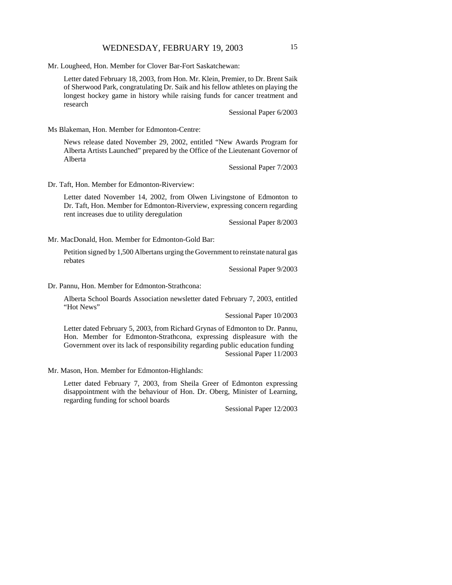Mr. Lougheed, Hon. Member for Clover Bar-Fort Saskatchewan:

Letter dated February 18, 2003, from Hon. Mr. Klein, Premier, to Dr. Brent Saik of Sherwood Park, congratulating Dr. Saik and his fellow athletes on playing the longest hockey game in history while raising funds for cancer treatment and research

Sessional Paper 6/2003

Ms Blakeman, Hon. Member for Edmonton-Centre:

News release dated November 29, 2002, entitled "New Awards Program for Alberta Artists Launched" prepared by the Office of the Lieutenant Governor of Alberta

Sessional Paper 7/2003

Dr. Taft, Hon. Member for Edmonton-Riverview:

Letter dated November 14, 2002, from Olwen Livingstone of Edmonton to Dr. Taft, Hon. Member for Edmonton-Riverview, expressing concern regarding rent increases due to utility deregulation

Sessional Paper 8/2003

Mr. MacDonald, Hon. Member for Edmonton-Gold Bar:

Petition signed by 1,500 Albertans urging the Government to reinstate natural gas rebates

Sessional Paper 9/2003

Dr. Pannu, Hon. Member for Edmonton-Strathcona:

Alberta School Boards Association newsletter dated February 7, 2003, entitled "Hot News"

Sessional Paper 10/2003

Letter dated February 5, 2003, from Richard Grynas of Edmonton to Dr. Pannu, Hon. Member for Edmonton-Strathcona, expressing displeasure with the Government over its lack of responsibility regarding public education funding Sessional Paper 11/2003

Mr. Mason, Hon. Member for Edmonton-Highlands:

Letter dated February 7, 2003, from Sheila Greer of Edmonton expressing disappointment with the behaviour of Hon. Dr. Oberg, Minister of Learning, regarding funding for school boards

Sessional Paper 12/2003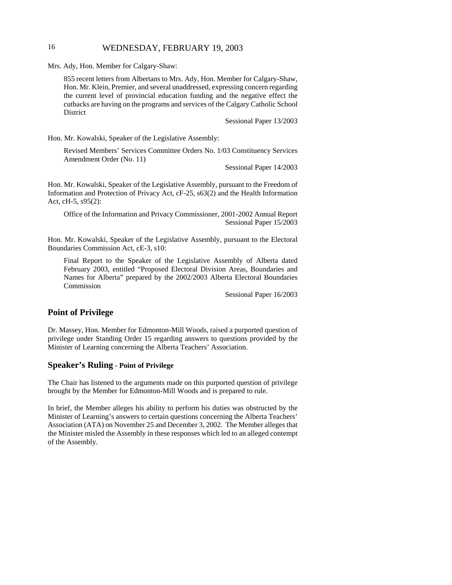## 16 WEDNESDAY, FEBRUARY 19, 2003

Mrs. Ady, Hon. Member for Calgary-Shaw:

855 recent letters from Albertans to Mrs. Ady, Hon. Member for Calgary-Shaw, Hon. Mr. Klein, Premier, and several unaddressed, expressing concern regarding the current level of provincial education funding and the negative effect the cutbacks are having on the programs and services of the Calgary Catholic School District

Sessional Paper 13/2003

Hon. Mr. Kowalski, Speaker of the Legislative Assembly:

Revised Members' Services Committee Orders No. 1/03 Constituency Services Amendment Order (No. 11)

Sessional Paper 14/2003

Hon. Mr. Kowalski, Speaker of the Legislative Assembly, pursuant to the Freedom of Information and Protection of Privacy Act, cF-25, s63(2) and the Health Information Act, cH-5, s95(2):

Office of the Information and Privacy Commissioner, 2001-2002 Annual Report Sessional Paper 15/2003

Hon. Mr. Kowalski, Speaker of the Legislative Assembly, pursuant to the Electoral Boundaries Commission Act, cE-3, s10:

Final Report to the Speaker of the Legislative Assembly of Alberta dated February 2003, entitled "Proposed Electoral Division Areas, Boundaries and Names for Alberta" prepared by the 2002/2003 Alberta Electoral Boundaries Commission

Sessional Paper 16/2003

## **Point of Privilege**

Dr. Massey, Hon. Member for Edmonton-Mill Woods, raised a purported question of privilege under Standing Order 15 regarding answers to questions provided by the Minister of Learning concerning the Alberta Teachers' Association.

### **Speaker's Ruling - Point of Privilege**

The Chair has listened to the arguments made on this purported question of privilege brought by the Member for Edmonton-Mill Woods and is prepared to rule.

In brief, the Member alleges his ability to perform his duties was obstructed by the Minister of Learning's answers to certain questions concerning the Alberta Teachers' Association (ATA) on November 25 and December 3, 2002. The Member alleges that the Minister misled the Assembly in these responses which led to an alleged contempt of the Assembly.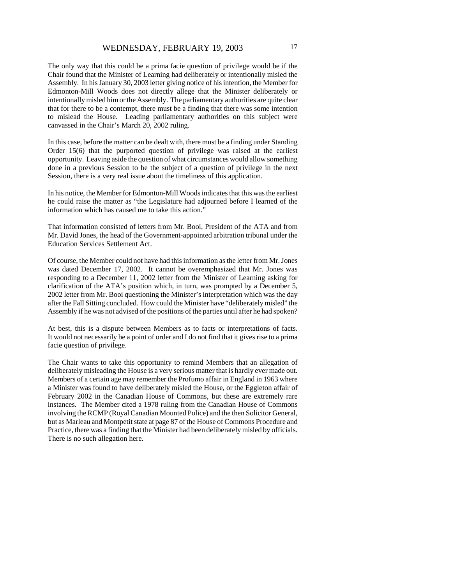The only way that this could be a prima facie question of privilege would be if the Chair found that the Minister of Learning had deliberately or intentionally misled the Assembly. In his January 30, 2003 letter giving notice of his intention, the Member for Edmonton-Mill Woods does not directly allege that the Minister deliberately or intentionally misled him or the Assembly. The parliamentary authorities are quite clear that for there to be a contempt, there must be a finding that there was some intention to mislead the House. Leading parliamentary authorities on this subject were canvassed in the Chair's March 20, 2002 ruling.

In this case, before the matter can be dealt with, there must be a finding under Standing Order 15(6) that the purported question of privilege was raised at the earliest opportunity. Leaving aside the question of what circumstances would allow something done in a previous Session to be the subject of a question of privilege in the next Session, there is a very real issue about the timeliness of this application.

In his notice, the Member for Edmonton-Mill Woods indicates that this was the earliest he could raise the matter as "the Legislature had adjourned before I learned of the information which has caused me to take this action."

That information consisted of letters from Mr. Booi, President of the ATA and from Mr. David Jones, the head of the Government-appointed arbitration tribunal under the Education Services Settlement Act.

Of course, the Member could not have had this information as the letter from Mr. Jones was dated December 17, 2002. It cannot be overemphasized that Mr. Jones was responding to a December 11, 2002 letter from the Minister of Learning asking for clarification of the ATA's position which, in turn, was prompted by a December 5, 2002 letter from Mr. Booi questioning the Minister's interpretation which was the day after the Fall Sitting concluded. How could the Minister have "deliberately misled" the Assembly if he was not advised of the positions of the parties until after he had spoken?

At best, this is a dispute between Members as to facts or interpretations of facts. It would not necessarily be a point of order and I do not find that it gives rise to a prima facie question of privilege.

The Chair wants to take this opportunity to remind Members that an allegation of deliberately misleading the House is a very serious matter that is hardly ever made out. Members of a certain age may remember the Profumo affair in England in 1963 where a Minister was found to have deliberately misled the House, or the Eggleton affair of February 2002 in the Canadian House of Commons, but these are extremely rare instances. The Member cited a 1978 ruling from the Canadian House of Commons involving the RCMP (Royal Canadian Mounted Police) and the then Solicitor General, but as Marleau and Montpetit state at page 87 of the House of Commons Procedure and Practice, there was a finding that the Minister had been deliberately misled by officials. There is no such allegation here.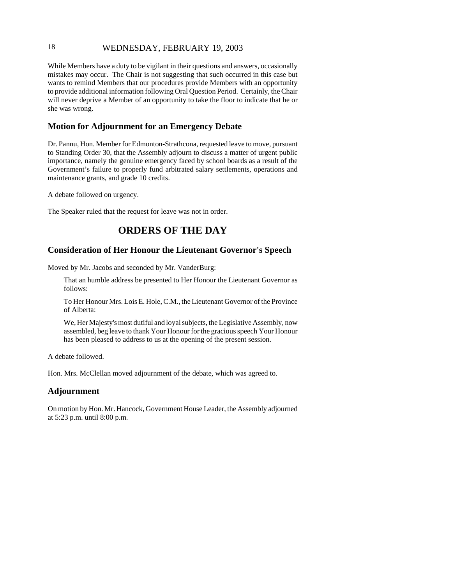## 18 WEDNESDAY, FEBRUARY 19, 2003

While Members have a duty to be vigilant in their questions and answers, occasionally mistakes may occur. The Chair is not suggesting that such occurred in this case but wants to remind Members that our procedures provide Members with an opportunity to provide additional information following Oral Question Period. Certainly, the Chair will never deprive a Member of an opportunity to take the floor to indicate that he or she was wrong.

### **Motion for Adjournment for an Emergency Debate**

Dr. Pannu, Hon. Member for Edmonton-Strathcona, requested leave to move, pursuant to Standing Order 30, that the Assembly adjourn to discuss a matter of urgent public importance, namely the genuine emergency faced by school boards as a result of the Government's failure to properly fund arbitrated salary settlements, operations and maintenance grants, and grade 10 credits.

A debate followed on urgency.

The Speaker ruled that the request for leave was not in order.

# **ORDERS OF THE DAY**

### **Consideration of Her Honour the Lieutenant Governor's Speech**

Moved by Mr. Jacobs and seconded by Mr. VanderBurg:

That an humble address be presented to Her Honour the Lieutenant Governor as follows:

To Her Honour Mrs. Lois E. Hole, C.M., the Lieutenant Governor of the Province of Alberta:

We, Her Majesty's most dutiful and loyal subjects, the Legislative Assembly, now assembled, beg leave to thank Your Honour for the gracious speech Your Honour has been pleased to address to us at the opening of the present session.

A debate followed.

Hon. Mrs. McClellan moved adjournment of the debate, which was agreed to.

#### **Adjournment**

On motion by Hon. Mr. Hancock, Government House Leader, the Assembly adjourned at 5:23 p.m. until 8:00 p.m.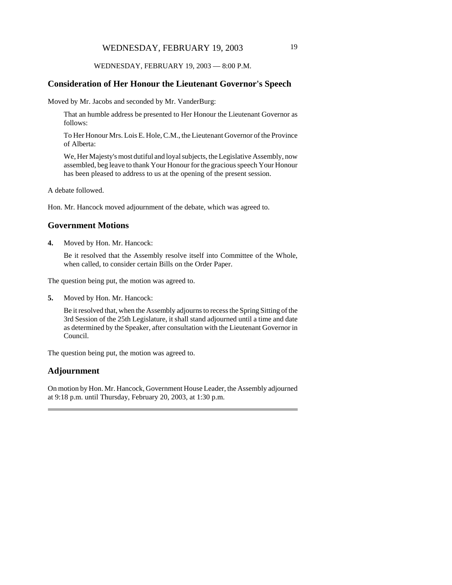## WEDNESDAY, FEBRUARY 19, 2003 19

WEDNESDAY, FEBRUARY 19, 2003 — 8:00 P.M.

#### **Consideration of Her Honour the Lieutenant Governor's Speech**

Moved by Mr. Jacobs and seconded by Mr. VanderBurg:

That an humble address be presented to Her Honour the Lieutenant Governor as follows:

To Her Honour Mrs. Lois E. Hole, C.M., the Lieutenant Governor of the Province of Alberta:

We, Her Majesty's most dutiful and loyal subjects, the Legislative Assembly, now assembled, beg leave to thank Your Honour for the gracious speech Your Honour has been pleased to address to us at the opening of the present session.

A debate followed.

Hon. Mr. Hancock moved adjournment of the debate, which was agreed to.

#### **Government Motions**

**4.** Moved by Hon. Mr. Hancock:

Be it resolved that the Assembly resolve itself into Committee of the Whole, when called, to consider certain Bills on the Order Paper.

The question being put, the motion was agreed to.

**5.** Moved by Hon. Mr. Hancock:

Be it resolved that, when the Assembly adjourns to recess the Spring Sitting of the 3rd Session of the 25th Legislature, it shall stand adjourned until a time and date as determined by the Speaker, after consultation with the Lieutenant Governor in Council.

The question being put, the motion was agreed to.

#### **Adjournment**

On motion by Hon. Mr. Hancock, Government House Leader, the Assembly adjourned at 9:18 p.m. until Thursday, February 20, 2003, at 1:30 p.m.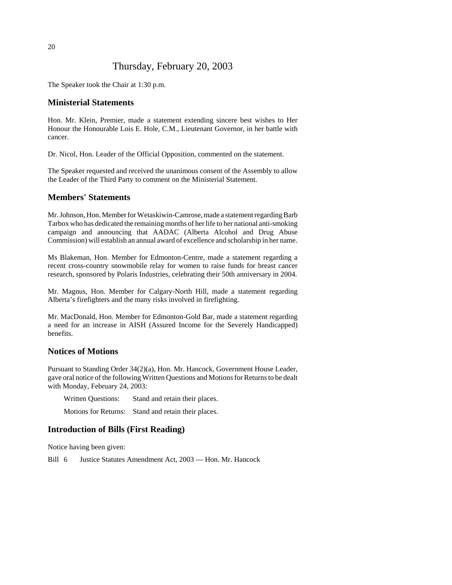# Thursday, February 20, 2003

The Speaker took the Chair at 1:30 p.m.

#### **Ministerial Statements**

Hon. Mr. Klein, Premier, made a statement extending sincere best wishes to Her Honour the Honourable Lois E. Hole, C.M., Lieutenant Governor, in her battle with cancer.

Dr. Nicol, Hon. Leader of the Official Opposition, commented on the statement.

The Speaker requested and received the unanimous consent of the Assembly to allow the Leader of the Third Party to comment on the Ministerial Statement.

#### **Members' Statements**

Mr. Johnson, Hon. Member for Wetaskiwin-Camrose, made a statement regarding Barb Tarbox who has dedicated the remaining months of her life to her national anti-smoking campaign and announcing that AADAC (Alberta Alcohol and Drug Abuse Commission) will establish an annual award of excellence and scholarship in her name.

Ms Blakeman, Hon. Member for Edmonton-Centre, made a statement regarding a recent cross-country snowmobile relay for women to raise funds for breast cancer research, sponsored by Polaris Industries, celebrating their 50th anniversary in 2004.

Mr. Magnus, Hon. Member for Calgary-North Hill, made a statement regarding Alberta's firefighters and the many risks involved in firefighting.

Mr. MacDonald, Hon. Member for Edmonton-Gold Bar, made a statement regarding a need for an increase in AISH (Assured Income for the Severely Handicapped) benefits.

#### **Notices of Motions**

Pursuant to Standing Order 34(2)(a), Hon. Mr. Hancock, Government House Leader, gave oral notice of the following Written Questions and Motions for Returns to be dealt with Monday, February 24, 2003:

Written Questions: Stand and retain their places.

Motions for Returns: Stand and retain their places.

#### **Introduction of Bills (First Reading)**

Notice having been given:

Bill 6 Justice Statutes Amendment Act, 2003 — Hon. Mr. Hancock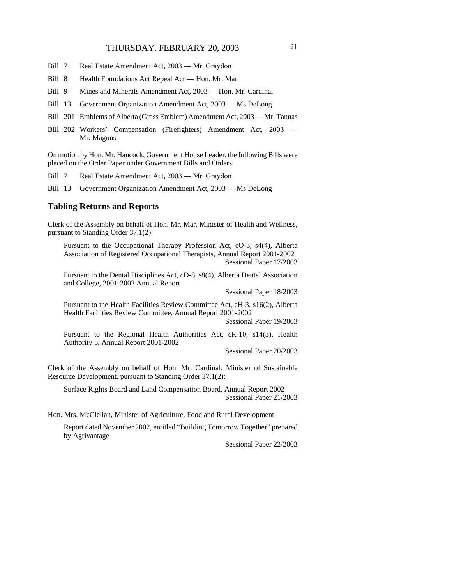- Bill 7 Real Estate Amendment Act, 2003 Mr. Graydon
- Bill 8 Health Foundations Act Repeal Act Hon. Mr. Mar
- Bill 9 Mines and Minerals Amendment Act, 2003 Hon. Mr. Cardinal
- Bill 13 Government Organization Amendment Act, 2003 Ms DeLong
- Bill 201 Emblems of Alberta (Grass Emblem) Amendment Act, 2003 Mr. Tannas
- Bill 202 Workers' Compensation (Firefighters) Amendment Act, 2003 Mr. Magnus

On motion by Hon. Mr. Hancock, Government House Leader, the following Bills were placed on the Order Paper under Government Bills and Orders:

- Bill 7 Real Estate Amendment Act, 2003 Mr. Graydon
- Bill 13 Government Organization Amendment Act, 2003 Ms DeLong

#### **Tabling Returns and Reports**

Clerk of the Assembly on behalf of Hon. Mr. Mar, Minister of Health and Wellness, pursuant to Standing Order 37.1(2):

Pursuant to the Occupational Therapy Profession Act, cO-3, s4(4), Alberta Association of Registered Occupational Therapists, Annual Report 2001-2002 Sessional Paper 17/2003

Pursuant to the Dental Disciplines Act, cD-8, s8(4), Alberta Dental Association and College, 2001-2002 Annual Report

Sessional Paper 18/2003

Pursuant to the Health Facilities Review Committee Act, cH-3, s16(2), Alberta Health Facilities Review Committee, Annual Report 2001-2002

Sessional Paper 19/2003

Pursuant to the Regional Health Authorities Act, cR-10, s14(3), Health Authority 5, Annual Report 2001-2002

Sessional Paper 20/2003

Clerk of the Assembly on behalf of Hon. Mr. Cardinal, Minister of Sustainable Resource Development, pursuant to Standing Order 37.1(2):

Surface Rights Board and Land Compensation Board, Annual Report 2002 Sessional Paper 21/2003

Hon. Mrs. McClellan, Minister of Agriculture, Food and Rural Development:

Report dated November 2002, entitled "Building Tomorrow Together" prepared by Agrivantage

Sessional Paper 22/2003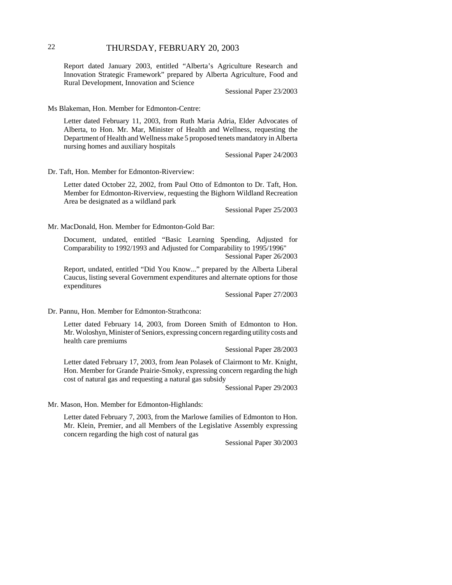## 22 THURSDAY, FEBRUARY 20, 2003

Report dated January 2003, entitled "Alberta's Agriculture Research and Innovation Strategic Framework" prepared by Alberta Agriculture, Food and Rural Development, Innovation and Science

Sessional Paper 23/2003

Ms Blakeman, Hon. Member for Edmonton-Centre:

Letter dated February 11, 2003, from Ruth Maria Adria, Elder Advocates of Alberta, to Hon. Mr. Mar, Minister of Health and Wellness, requesting the Department of Health and Wellness make 5 proposed tenets mandatory in Alberta nursing homes and auxiliary hospitals

Sessional Paper 24/2003

Dr. Taft, Hon. Member for Edmonton-Riverview:

Letter dated October 22, 2002, from Paul Otto of Edmonton to Dr. Taft, Hon. Member for Edmonton-Riverview, requesting the Bighorn Wildland Recreation Area be designated as a wildland park

Sessional Paper 25/2003

Mr. MacDonald, Hon. Member for Edmonton-Gold Bar:

Document, undated, entitled "Basic Learning Spending, Adjusted for Comparability to 1992/1993 and Adjusted for Comparability to 1995/1996" Sessional Paper 26/2003

Report, undated, entitled "Did You Know..." prepared by the Alberta Liberal Caucus, listing several Government expenditures and alternate options for those expenditures

Sessional Paper 27/2003

Dr. Pannu, Hon. Member for Edmonton-Strathcona:

Letter dated February 14, 2003, from Doreen Smith of Edmonton to Hon. Mr. Woloshyn, Minister of Seniors, expressing concern regarding utility costs and health care premiums

Sessional Paper 28/2003

Letter dated February 17, 2003, from Jean Polasek of Clairmont to Mr. Knight, Hon. Member for Grande Prairie-Smoky, expressing concern regarding the high cost of natural gas and requesting a natural gas subsidy

Sessional Paper 29/2003

Mr. Mason, Hon. Member for Edmonton-Highlands:

Letter dated February 7, 2003, from the Marlowe families of Edmonton to Hon. Mr. Klein, Premier, and all Members of the Legislative Assembly expressing concern regarding the high cost of natural gas

Sessional Paper 30/2003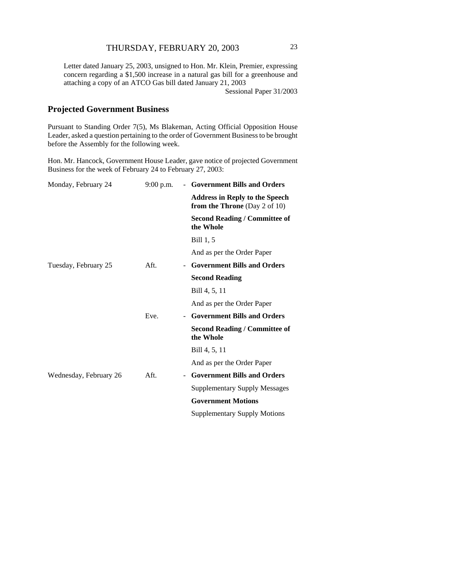Letter dated January 25, 2003, unsigned to Hon. Mr. Klein, Premier, expressing concern regarding a \$1,500 increase in a natural gas bill for a greenhouse and attaching a copy of an ATCO Gas bill dated January 21, 2003

Sessional Paper 31/2003

# **Projected Government Business**

Pursuant to Standing Order 7(5), Ms Blakeman, Acting Official Opposition House Leader, asked a question pertaining to the order of Government Business to be brought before the Assembly for the following week.

Hon. Mr. Hancock, Government House Leader, gave notice of projected Government Business for the week of February 24 to February 27, 2003:

| Monday, February 24    | $9:00$ p.m. | - Government Bills and Orders                                          |
|------------------------|-------------|------------------------------------------------------------------------|
|                        |             | <b>Address in Reply to the Speech</b><br>from the Throne (Day 2 of 10) |
|                        |             | <b>Second Reading / Committee of</b><br>the Whole                      |
|                        |             | Bill 1, 5                                                              |
|                        |             | And as per the Order Paper                                             |
| Tuesday, February 25   | Aft.        | <b>Government Bills and Orders</b>                                     |
|                        |             | <b>Second Reading</b>                                                  |
|                        |             | Bill 4, 5, 11                                                          |
|                        |             | And as per the Order Paper                                             |
|                        | Eve.        | <b>Government Bills and Orders</b>                                     |
|                        |             | <b>Second Reading / Committee of</b><br>the Whole                      |
|                        |             | Bill 4, 5, 11                                                          |
|                        |             | And as per the Order Paper                                             |
| Wednesday, February 26 | Aft.        | <b>Government Bills and Orders</b>                                     |
|                        |             | <b>Supplementary Supply Messages</b>                                   |
|                        |             | <b>Government Motions</b>                                              |
|                        |             | <b>Supplementary Supply Motions</b>                                    |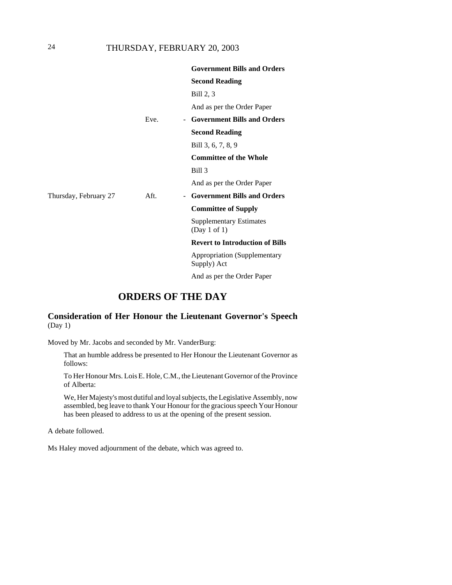# 24 THURSDAY, FEBRUARY 20, 2003

|                       |      | <b>Government Bills and Orders</b>                 |
|-----------------------|------|----------------------------------------------------|
|                       |      | <b>Second Reading</b>                              |
|                       |      | Bill 2, 3                                          |
|                       |      | And as per the Order Paper                         |
|                       | Eve. | <b>Government Bills and Orders</b><br>$\sim$       |
|                       |      | <b>Second Reading</b>                              |
|                       |      | Bill 3, 6, 7, 8, 9                                 |
|                       |      | <b>Committee of the Whole</b>                      |
|                       |      | Bill 3                                             |
|                       |      | And as per the Order Paper                         |
| Thursday, February 27 | Aft. | - Government Bills and Orders                      |
|                       |      | <b>Committee of Supply</b>                         |
|                       |      | <b>Supplementary Estimates</b><br>(Day 1 of 1)     |
|                       |      | <b>Revert to Introduction of Bills</b>             |
|                       |      | <b>Appropriation (Supplementary</b><br>Supply) Act |
|                       |      | And as per the Order Paper                         |

# **ORDERS OF THE DAY**

## **Consideration of Her Honour the Lieutenant Governor's Speech** (Day 1)

Moved by Mr. Jacobs and seconded by Mr. VanderBurg:

That an humble address be presented to Her Honour the Lieutenant Governor as follows:

To Her Honour Mrs. Lois E. Hole, C.M., the Lieutenant Governor of the Province of Alberta:

We, Her Majesty's most dutiful and loyal subjects, the Legislative Assembly, now assembled, beg leave to thank Your Honour for the gracious speech Your Honour has been pleased to address to us at the opening of the present session.

A debate followed.

Ms Haley moved adjournment of the debate, which was agreed to.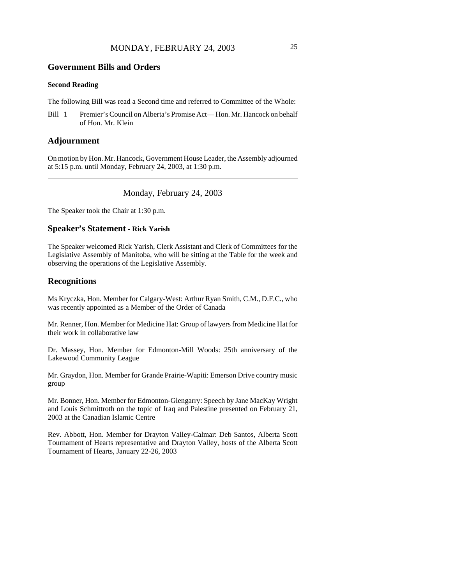#### **Government Bills and Orders**

#### **Second Reading**

The following Bill was read a Second time and referred to Committee of the Whole:

Bill 1 Premier's Council on Alberta's Promise Act— Hon. Mr. Hancock on behalf of Hon. Mr. Klein

#### **Adjournment**

On motion by Hon. Mr. Hancock, Government House Leader, the Assembly adjourned at 5:15 p.m. until Monday, February 24, 2003, at 1:30 p.m.

#### Monday, February 24, 2003

The Speaker took the Chair at 1:30 p.m.

## **Speaker's Statement - Rick Yarish**

The Speaker welcomed Rick Yarish, Clerk Assistant and Clerk of Committees for the Legislative Assembly of Manitoba, who will be sitting at the Table for the week and observing the operations of the Legislative Assembly.

#### **Recognitions**

Ms Kryczka, Hon. Member for Calgary-West: Arthur Ryan Smith, C.M., D.F.C., who was recently appointed as a Member of the Order of Canada

Mr. Renner, Hon. Member for Medicine Hat: Group of lawyers from Medicine Hat for their work in collaborative law

Dr. Massey, Hon. Member for Edmonton-Mill Woods: 25th anniversary of the Lakewood Community League

Mr. Graydon, Hon. Member for Grande Prairie-Wapiti: Emerson Drive country music group

Mr. Bonner, Hon. Member for Edmonton-Glengarry: Speech by Jane MacKay Wright and Louis Schmittroth on the topic of Iraq and Palestine presented on February 21, 2003 at the Canadian Islamic Centre

Rev. Abbott, Hon. Member for Drayton Valley-Calmar: Deb Santos, Alberta Scott Tournament of Hearts representative and Drayton Valley, hosts of the Alberta Scott Tournament of Hearts, January 22-26, 2003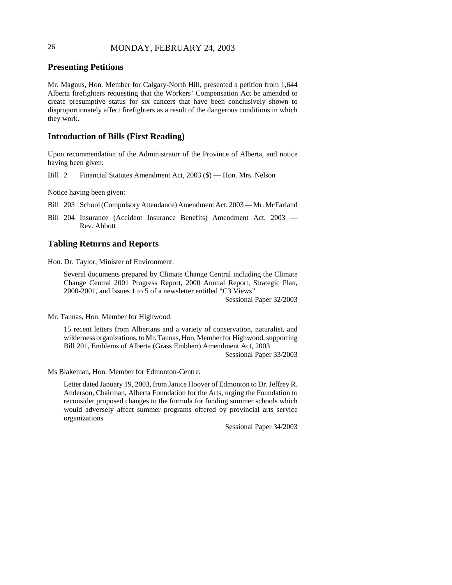# 26 MONDAY, FEBRUARY 24, 2003

## **Presenting Petitions**

Mr. Magnus, Hon. Member for Calgary-North Hill, presented a petition from 1,644 Alberta firefighters requesting that the Workers' Compensation Act be amended to create presumptive status for six cancers that have been conclusively shown to disproportionately affect firefighters as a result of the dangerous conditions in which they work.

## **Introduction of Bills (First Reading)**

Upon recommendation of the Administrator of the Province of Alberta, and notice having been given:

Bill 2 Financial Statutes Amendment Act, 2003 (\$) — Hon. Mrs. Nelson

Notice having been given:

Bill 203 School (Compulsory Attendance) Amendment Act, 2003 — Mr. McFarland

Bill 204 Insurance (Accident Insurance Benefits) Amendment Act, 2003 — Rev. Abbott

# **Tabling Returns and Reports**

Hon. Dr. Taylor, Minister of Environment:

Several documents prepared by Climate Change Central including the Climate Change Central 2001 Progress Report, 2000 Annual Report, Strategic Plan, 2000-2001, and Issues 1 to 5 of a newsletter entitled "C3 Views"

Sessional Paper 32/2003

Mr. Tannas, Hon. Member for Highwood:

15 recent letters from Albertans and a variety of conservation, naturalist, and wilderness organizations, to Mr. Tannas, Hon. Member for Highwood, supporting Bill 201, Emblems of Alberta (Grass Emblem) Amendment Act, 2003

Sessional Paper 33/2003

Ms Blakeman, Hon. Member for Edmonton-Centre:

Letter dated January 19, 2003, from Janice Hoover of Edmonton to Dr. Jeffrey R. Anderson, Chairman, Alberta Foundation for the Arts, urging the Foundation to reconsider proposed changes to the formula for funding summer schools which would adversely affect summer programs offered by provincial arts service organizations

Sessional Paper 34/2003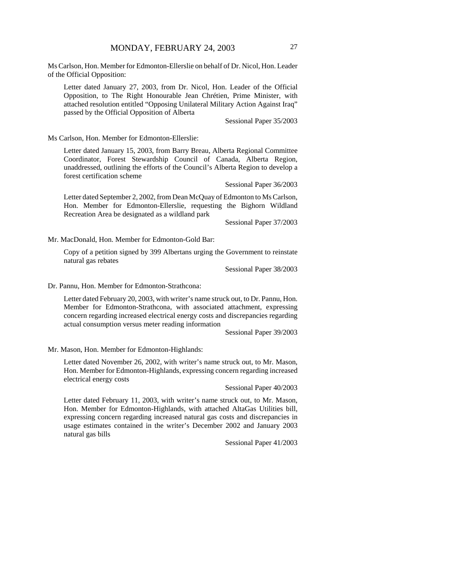Ms Carlson, Hon. Member for Edmonton-Ellerslie on behalf of Dr. Nicol, Hon. Leader of the Official Opposition:

Letter dated January 27, 2003, from Dr. Nicol, Hon. Leader of the Official Opposition, to The Right Honourable Jean Chrétien, Prime Minister, with attached resolution entitled "Opposing Unilateral Military Action Against Iraq" passed by the Official Opposition of Alberta

Sessional Paper 35/2003

Ms Carlson, Hon. Member for Edmonton-Ellerslie:

Letter dated January 15, 2003, from Barry Breau, Alberta Regional Committee Coordinator, Forest Stewardship Council of Canada, Alberta Region, unaddressed, outlining the efforts of the Council's Alberta Region to develop a forest certification scheme

Sessional Paper 36/2003

Letter dated September 2, 2002, from Dean McQuay of Edmonton to Ms Carlson, Hon. Member for Edmonton-Ellerslie, requesting the Bighorn Wildland Recreation Area be designated as a wildland park

Sessional Paper 37/2003

Mr. MacDonald, Hon. Member for Edmonton-Gold Bar:

Copy of a petition signed by 399 Albertans urging the Government to reinstate natural gas rebates

Sessional Paper 38/2003

Dr. Pannu, Hon. Member for Edmonton-Strathcona:

Letter dated February 20, 2003, with writer's name struck out, to Dr. Pannu, Hon. Member for Edmonton-Strathcona, with associated attachment, expressing concern regarding increased electrical energy costs and discrepancies regarding actual consumption versus meter reading information

Sessional Paper 39/2003

Mr. Mason, Hon. Member for Edmonton-Highlands:

Letter dated November 26, 2002, with writer's name struck out, to Mr. Mason, Hon. Member for Edmonton-Highlands, expressing concern regarding increased electrical energy costs

Sessional Paper 40/2003

Letter dated February 11, 2003, with writer's name struck out, to Mr. Mason, Hon. Member for Edmonton-Highlands, with attached AltaGas Utilities bill, expressing concern regarding increased natural gas costs and discrepancies in usage estimates contained in the writer's December 2002 and January 2003 natural gas bills

Sessional Paper 41/2003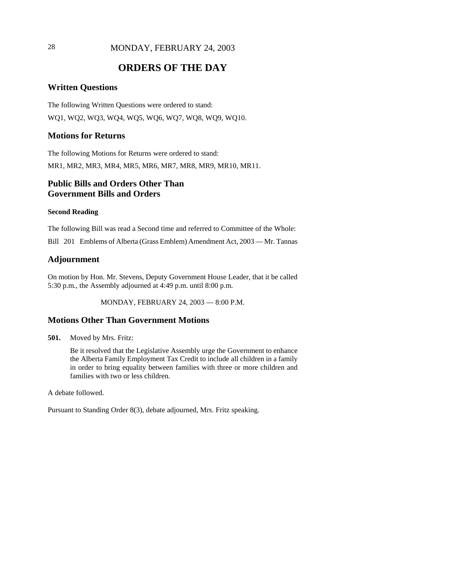# 28 MONDAY, FEBRUARY 24, 2003

# **ORDERS OF THE DAY**

### **Written Questions**

The following Written Questions were ordered to stand: WQ1, WQ2, WQ3, WQ4, WQ5, WQ6, WQ7, WQ8, WQ9, WQ10.

#### **Motions for Returns**

The following Motions for Returns were ordered to stand: MR1, MR2, MR3, MR4, MR5, MR6, MR7, MR8, MR9, MR10, MR11.

# **Public Bills and Orders Other Than Government Bills and Orders**

#### **Second Reading**

The following Bill was read a Second time and referred to Committee of the Whole: Bill 201 Emblems of Alberta (Grass Emblem) Amendment Act, 2003 — Mr. Tannas

#### **Adjournment**

On motion by Hon. Mr. Stevens, Deputy Government House Leader, that it be called 5:30 p.m., the Assembly adjourned at 4:49 p.m. until 8:00 p.m.

MONDAY, FEBRUARY 24, 2003 — 8:00 P.M.

#### **Motions Other Than Government Motions**

**501.** Moved by Mrs. Fritz:

Be it resolved that the Legislative Assembly urge the Government to enhance the Alberta Family Employment Tax Credit to include all children in a family in order to bring equality between families with three or more children and families with two or less children.

A debate followed.

Pursuant to Standing Order 8(3), debate adjourned, Mrs. Fritz speaking.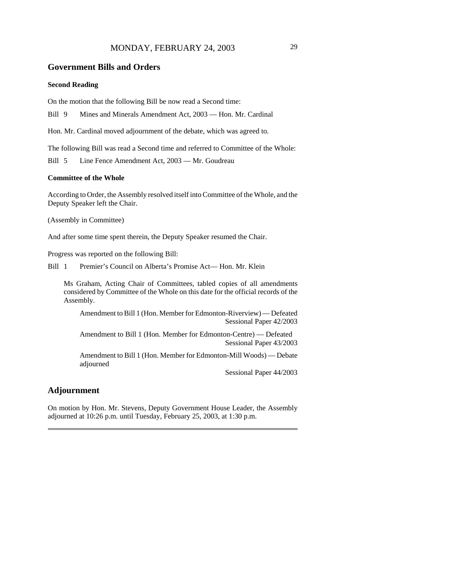# MONDAY, FEBRUARY 24, 2003 29

#### **Government Bills and Orders**

#### **Second Reading**

On the motion that the following Bill be now read a Second time:

Bill 9 Mines and Minerals Amendment Act, 2003 — Hon. Mr. Cardinal

Hon. Mr. Cardinal moved adjournment of the debate, which was agreed to.

The following Bill was read a Second time and referred to Committee of the Whole:

Bill 5 Line Fence Amendment Act, 2003 — Mr. Goudreau

#### **Committee of the Whole**

According to Order, the Assembly resolved itself into Committee of the Whole, and the Deputy Speaker left the Chair.

(Assembly in Committee)

And after some time spent therein, the Deputy Speaker resumed the Chair.

Progress was reported on the following Bill:

Bill 1 Premier's Council on Alberta's Promise Act— Hon. Mr. Klein

Ms Graham, Acting Chair of Committees, tabled copies of all amendments considered by Committee of the Whole on this date for the official records of the Assembly.

Amendment to Bill 1 (Hon. Member for Edmonton-Riverview) — Defeated Sessional Paper 42/2003

Amendment to Bill 1 (Hon. Member for Edmonton-Centre) — Defeated Sessional Paper 43/2003

Amendment to Bill 1 (Hon. Member for Edmonton-Mill Woods) — Debate adjourned

Sessional Paper 44/2003

## **Adjournment**

On motion by Hon. Mr. Stevens, Deputy Government House Leader, the Assembly adjourned at 10:26 p.m. until Tuesday, February 25, 2003, at 1:30 p.m.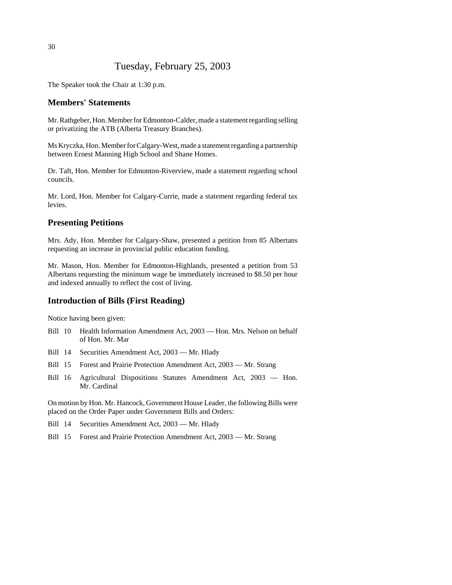# Tuesday, February 25, 2003

The Speaker took the Chair at 1:30 p.m.

#### **Members' Statements**

Mr. Rathgeber, Hon. Member for Edmonton-Calder, made a statement regarding selling or privatizing the ATB (Alberta Treasury Branches).

Ms Kryczka, Hon. Member for Calgary-West, made a statement regarding a partnership between Ernest Manning High School and Shane Homes.

Dr. Taft, Hon. Member for Edmonton-Riverview, made a statement regarding school councils.

Mr. Lord, Hon. Member for Calgary-Currie, made a statement regarding federal tax levies.

#### **Presenting Petitions**

Mrs. Ady, Hon. Member for Calgary-Shaw, presented a petition from 85 Albertans requesting an increase in provincial public education funding.

Mr. Mason, Hon. Member for Edmonton-Highlands, presented a petition from 53 Albertans requesting the minimum wage be immediately increased to \$8.50 per hour and indexed annually to reflect the cost of living.

### **Introduction of Bills (First Reading)**

Notice having been given:

- Bill 10 Health Information Amendment Act, 2003 Hon. Mrs. Nelson on behalf of Hon. Mr. Mar
- Bill 14 Securities Amendment Act, 2003 Mr. Hlady
- Bill 15 Forest and Prairie Protection Amendment Act, 2003 Mr. Strang
- Bill 16 Agricultural Dispositions Statutes Amendment Act, 2003 Hon. Mr. Cardinal

On motion by Hon. Mr. Hancock, Government House Leader, the following Bills were placed on the Order Paper under Government Bills and Orders:

- Bill 14 Securities Amendment Act, 2003 Mr. Hlady
- Bill 15 Forest and Prairie Protection Amendment Act, 2003 Mr. Strang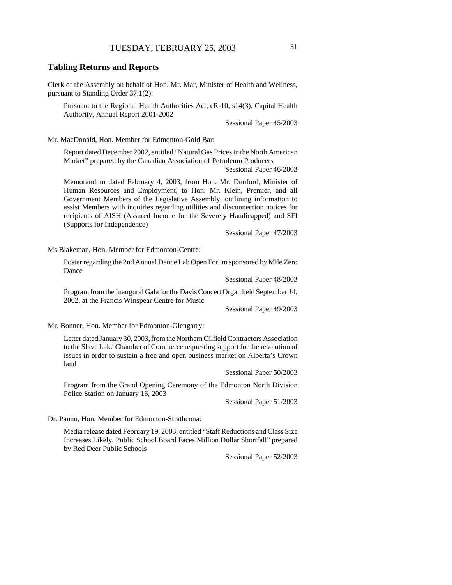#### **Tabling Returns and Reports**

Clerk of the Assembly on behalf of Hon. Mr. Mar, Minister of Health and Wellness, pursuant to Standing Order 37.1(2):

Pursuant to the Regional Health Authorities Act, cR-10, s14(3), Capital Health Authority, Annual Report 2001-2002

Sessional Paper 45/2003

Mr. MacDonald, Hon. Member for Edmonton-Gold Bar:

Report dated December 2002, entitled "Natural Gas Prices in the North American Market" prepared by the Canadian Association of Petroleum Producers

Sessional Paper 46/2003

Memorandum dated February 4, 2003, from Hon. Mr. Dunford, Minister of Human Resources and Employment, to Hon. Mr. Klein, Premier, and all Government Members of the Legislative Assembly, outlining information to assist Members with inquiries regarding utilities and disconnection notices for recipients of AISH (Assured Income for the Severely Handicapped) and SFI (Supports for Independence)

Sessional Paper 47/2003

Ms Blakeman, Hon. Member for Edmonton-Centre:

Poster regarding the 2nd Annual Dance Lab Open Forum sponsored by Mile Zero Dance

Sessional Paper 48/2003

Program from the Inaugural Gala for the Davis Concert Organ held September 14, 2002, at the Francis Winspear Centre for Music

Sessional Paper 49/2003

Mr. Bonner, Hon. Member for Edmonton-Glengarry:

Letter dated January 30, 2003, from the Northern Oilfield Contractors Association to the Slave Lake Chamber of Commerce requesting support for the resolution of issues in order to sustain a free and open business market on Alberta's Crown land

Sessional Paper 50/2003

Program from the Grand Opening Ceremony of the Edmonton North Division Police Station on January 16, 2003

Sessional Paper 51/2003

Dr. Pannu, Hon. Member for Edmonton-Strathcona:

Media release dated February 19, 2003, entitled "Staff Reductions and Class Size Increases Likely, Public School Board Faces Million Dollar Shortfall" prepared by Red Deer Public Schools

Sessional Paper 52/2003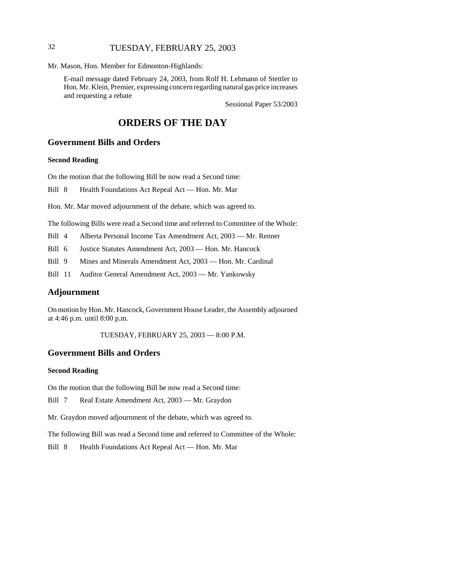# 32 TUESDAY, FEBRUARY 25, 2003

Mr. Mason, Hon. Member for Edmonton-Highlands:

E-mail message dated February 24, 2003, from Rolf H. Lehmann of Stettler to Hon. Mr. Klein, Premier, expressing concern regarding natural gas price increases and requesting a rebate

Sessional Paper 53/2003

# **ORDERS OF THE DAY**

# **Government Bills and Orders**

#### **Second Reading**

On the motion that the following Bill be now read a Second time:

Bill 8 Health Foundations Act Repeal Act — Hon. Mr. Mar

Hon. Mr. Mar moved adjournment of the debate, which was agreed to.

The following Bills were read a Second time and referred to Committee of the Whole:

Bill 4 Alberta Personal Income Tax Amendment Act, 2003 — Mr. Renner

Bill 6 Justice Statutes Amendment Act, 2003 — Hon. Mr. Hancock

Bill 9 Mines and Minerals Amendment Act, 2003 — Hon. Mr. Cardinal

Bill 11 Auditor General Amendment Act, 2003 — Mr. Yankowsky

#### **Adjournment**

On motion by Hon. Mr. Hancock, Government House Leader, the Assembly adjourned at 4:46 p.m. until 8:00 p.m.

TUESDAY, FEBRUARY 25, 2003 — 8:00 P.M.

#### **Government Bills and Orders**

#### **Second Reading**

On the motion that the following Bill be now read a Second time:

Bill 7 Real Estate Amendment Act, 2003 — Mr. Graydon

Mr. Graydon moved adjournment of the debate, which was agreed to.

The following Bill was read a Second time and referred to Committee of the Whole:

Bill 8 Health Foundations Act Repeal Act — Hon. Mr. Mar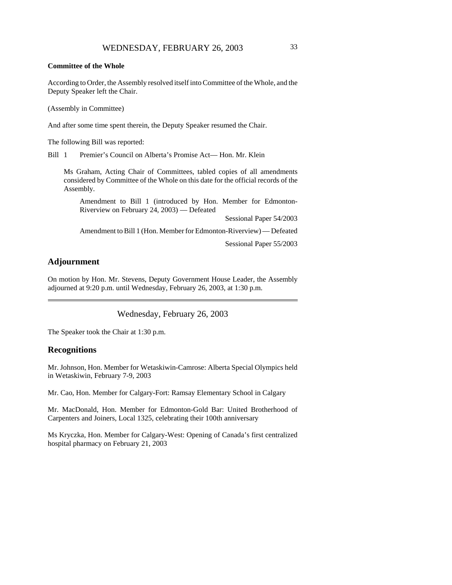According to Order, the Assembly resolved itself into Committee of the Whole, and the Deputy Speaker left the Chair.

(Assembly in Committee)

And after some time spent therein, the Deputy Speaker resumed the Chair.

The following Bill was reported:

Bill 1 Premier's Council on Alberta's Promise Act— Hon. Mr. Klein

Ms Graham, Acting Chair of Committees, tabled copies of all amendments considered by Committee of the Whole on this date for the official records of the Assembly.

Amendment to Bill 1 (introduced by Hon. Member for Edmonton-Riverview on February 24, 2003) — Defeated

Sessional Paper 54/2003

Amendment to Bill 1 (Hon. Member for Edmonton-Riverview) — Defeated

Sessional Paper 55/2003

## **Adjournment**

On motion by Hon. Mr. Stevens, Deputy Government House Leader, the Assembly adjourned at 9:20 p.m. until Wednesday, February 26, 2003, at 1:30 p.m.

Wednesday, February 26, 2003

The Speaker took the Chair at 1:30 p.m.

#### **Recognitions**

Mr. Johnson, Hon. Member for Wetaskiwin-Camrose: Alberta Special Olympics held in Wetaskiwin, February 7-9, 2003

Mr. Cao, Hon. Member for Calgary-Fort: Ramsay Elementary School in Calgary

Mr. MacDonald, Hon. Member for Edmonton-Gold Bar: United Brotherhood of Carpenters and Joiners, Local 1325, celebrating their 100th anniversary

Ms Kryczka, Hon. Member for Calgary-West: Opening of Canada's first centralized hospital pharmacy on February 21, 2003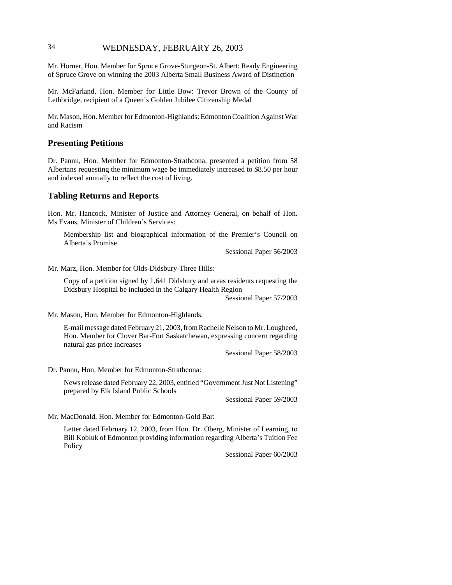### 34 WEDNESDAY, FEBRUARY 26, 2003

Mr. Horner, Hon. Member for Spruce Grove-Sturgeon-St. Albert: Ready Engineering of Spruce Grove on winning the 2003 Alberta Small Business Award of Distinction

Mr. McFarland, Hon. Member for Little Bow: Trevor Brown of the County of Lethbridge, recipient of a Queen's Golden Jubilee Citizenship Medal

Mr. Mason, Hon. Member for Edmonton-Highlands: Edmonton Coalition Against War and Racism

#### **Presenting Petitions**

Dr. Pannu, Hon. Member for Edmonton-Strathcona, presented a petition from 58 Albertans requesting the minimum wage be immediately increased to \$8.50 per hour and indexed annually to reflect the cost of living.

#### **Tabling Returns and Reports**

Hon. Mr. Hancock, Minister of Justice and Attorney General, on behalf of Hon. Ms Evans, Minister of Children's Services:

Membership list and biographical information of the Premier's Council on Alberta's Promise

Sessional Paper 56/2003

Mr. Marz, Hon. Member for Olds-Didsbury-Three Hills:

Copy of a petition signed by 1,641 Didsbury and areas residents requesting the Didsbury Hospital be included in the Calgary Health Region

Sessional Paper 57/2003

Mr. Mason, Hon. Member for Edmonton-Highlands:

E-mail message dated February 21, 2003, from Rachelle Nelson to Mr. Lougheed, Hon. Member for Clover Bar-Fort Saskatchewan, expressing concern regarding natural gas price increases

Sessional Paper 58/2003

Dr. Pannu, Hon. Member for Edmonton-Strathcona:

News release dated February 22, 2003, entitled "Government Just Not Listening" prepared by Elk Island Public Schools

Sessional Paper 59/2003

Mr. MacDonald, Hon. Member for Edmonton-Gold Bar:

Letter dated February 12, 2003, from Hon. Dr. Oberg, Minister of Learning, to Bill Kobluk of Edmonton providing information regarding Alberta's Tuition Fee Policy

Sessional Paper 60/2003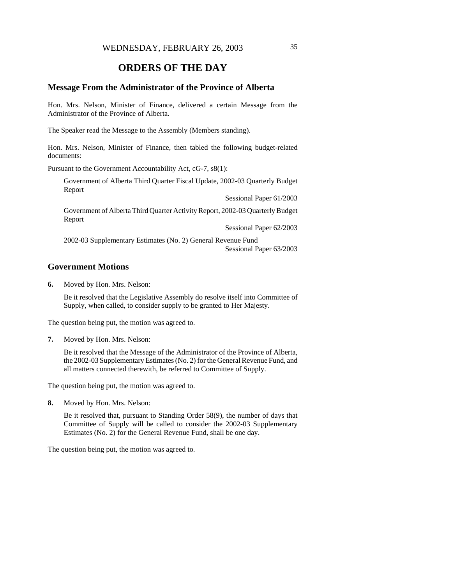# **ORDERS OF THE DAY**

#### **Message From the Administrator of the Province of Alberta**

Hon. Mrs. Nelson, Minister of Finance, delivered a certain Message from the Administrator of the Province of Alberta.

The Speaker read the Message to the Assembly (Members standing).

Hon. Mrs. Nelson, Minister of Finance, then tabled the following budget-related documents:

Pursuant to the Government Accountability Act, cG-7, s8(1):

Government of Alberta Third Quarter Fiscal Update, 2002-03 Quarterly Budget Report

Sessional Paper 61/2003

Government of Alberta Third Quarter Activity Report, 2002-03 Quarterly Budget Report

Sessional Paper 62/2003

2002-03 Supplementary Estimates (No. 2) General Revenue Fund Sessional Paper 63/2003

#### **Government Motions**

**6.** Moved by Hon. Mrs. Nelson:

Be it resolved that the Legislative Assembly do resolve itself into Committee of Supply, when called, to consider supply to be granted to Her Majesty.

The question being put, the motion was agreed to.

**7.** Moved by Hon. Mrs. Nelson:

Be it resolved that the Message of the Administrator of the Province of Alberta, the 2002-03 Supplementary Estimates (No. 2) for the General Revenue Fund, and all matters connected therewith, be referred to Committee of Supply.

The question being put, the motion was agreed to.

**8.** Moved by Hon. Mrs. Nelson:

Be it resolved that, pursuant to Standing Order 58(9), the number of days that Committee of Supply will be called to consider the 2002-03 Supplementary Estimates (No. 2) for the General Revenue Fund, shall be one day.

The question being put, the motion was agreed to.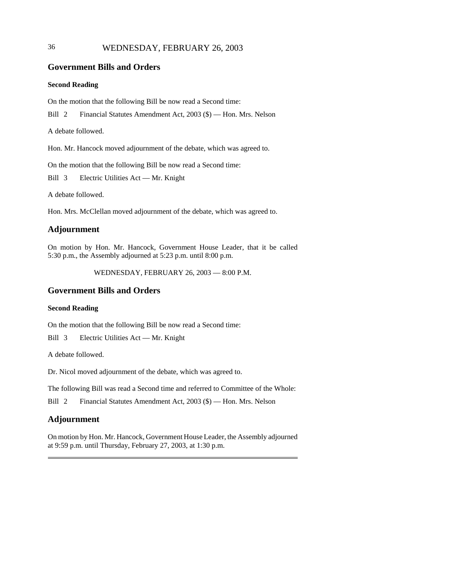### 36 WEDNESDAY, FEBRUARY 26, 2003

### **Government Bills and Orders**

#### **Second Reading**

On the motion that the following Bill be now read a Second time:

Bill 2 Financial Statutes Amendment Act, 2003 (\$) — Hon. Mrs. Nelson

A debate followed.

Hon. Mr. Hancock moved adjournment of the debate, which was agreed to.

On the motion that the following Bill be now read a Second time:

Bill 3 Electric Utilities Act — Mr. Knight

A debate followed.

Hon. Mrs. McClellan moved adjournment of the debate, which was agreed to.

#### **Adjournment**

On motion by Hon. Mr. Hancock, Government House Leader, that it be called 5:30 p.m., the Assembly adjourned at 5:23 p.m. until 8:00 p.m.

WEDNESDAY, FEBRUARY 26, 2003 — 8:00 P.M.

### **Government Bills and Orders**

#### **Second Reading**

On the motion that the following Bill be now read a Second time:

Bill 3 Electric Utilities Act — Mr. Knight

A debate followed.

Dr. Nicol moved adjournment of the debate, which was agreed to.

The following Bill was read a Second time and referred to Committee of the Whole:

Bill 2 Financial Statutes Amendment Act, 2003 (\$) — Hon. Mrs. Nelson

#### **Adjournment**

On motion by Hon. Mr. Hancock, Government House Leader, the Assembly adjourned at 9:59 p.m. until Thursday, February 27, 2003, at 1:30 p.m.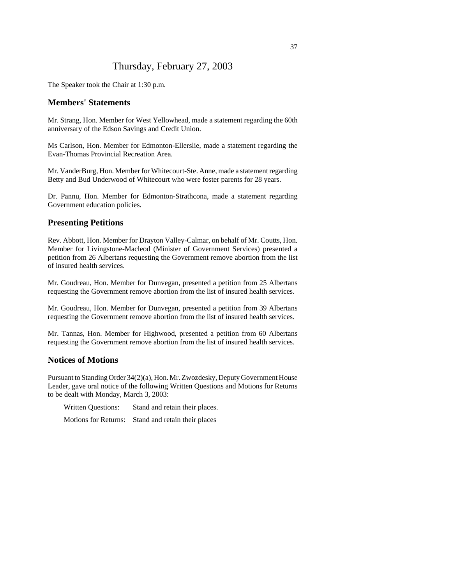## Thursday, February 27, 2003

The Speaker took the Chair at 1:30 p.m.

#### **Members' Statements**

Mr. Strang, Hon. Member for West Yellowhead, made a statement regarding the 60th anniversary of the Edson Savings and Credit Union.

Ms Carlson, Hon. Member for Edmonton-Ellerslie, made a statement regarding the Evan-Thomas Provincial Recreation Area.

Mr. VanderBurg, Hon. Member for Whitecourt-Ste. Anne, made a statement regarding Betty and Bud Underwood of Whitecourt who were foster parents for 28 years.

Dr. Pannu, Hon. Member for Edmonton-Strathcona, made a statement regarding Government education policies.

#### **Presenting Petitions**

Rev. Abbott, Hon. Member for Drayton Valley-Calmar, on behalf of Mr. Coutts, Hon. Member for Livingstone-Macleod (Minister of Government Services) presented a petition from 26 Albertans requesting the Government remove abortion from the list of insured health services.

Mr. Goudreau, Hon. Member for Dunvegan, presented a petition from 25 Albertans requesting the Government remove abortion from the list of insured health services.

Mr. Goudreau, Hon. Member for Dunvegan, presented a petition from 39 Albertans requesting the Government remove abortion from the list of insured health services.

Mr. Tannas, Hon. Member for Highwood, presented a petition from 60 Albertans requesting the Government remove abortion from the list of insured health services.

### **Notices of Motions**

Pursuant to Standing Order 34(2)(a), Hon. Mr. Zwozdesky, Deputy Government House Leader, gave oral notice of the following Written Questions and Motions for Returns to be dealt with Monday, March 3, 2003:

Written Questions: Stand and retain their places.

Motions for Returns: Stand and retain their places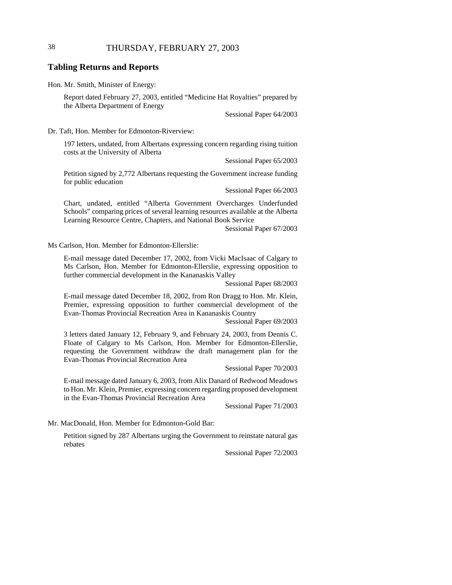### 38 THURSDAY, FEBRUARY 27, 2003

#### **Tabling Returns and Reports**

Hon. Mr. Smith, Minister of Energy:

Report dated February 27, 2003, entitled "Medicine Hat Royalties" prepared by the Alberta Department of Energy

Sessional Paper 64/2003

Dr. Taft, Hon. Member for Edmonton-Riverview:

197 letters, undated, from Albertans expressing concern regarding rising tuition costs at the University of Alberta

Sessional Paper 65/2003

Petition signed by 2,772 Albertans requesting the Government increase funding for public education

Sessional Paper 66/2003

Chart, undated, entitled "Alberta Government Overcharges Underfunded Schools" comparing prices of several learning resources available at the Alberta Learning Resource Centre, Chapters, and National Book Service

Sessional Paper 67/2003

Ms Carlson, Hon. Member for Edmonton-Ellerslie:

E-mail message dated December 17, 2002, from Vicki MacIsaac of Calgary to Ms Carlson, Hon. Member for Edmonton-Ellerslie, expressing opposition to further commercial development in the Kananaskis Valley

Sessional Paper 68/2003

E-mail message dated December 18, 2002, from Ron Dragg to Hon. Mr. Klein, Premier, expressing opposition to further commercial development of the Evan-Thomas Provincial Recreation Area in Kananaskis Country

Sessional Paper 69/2003

3 letters dated January 12, February 9, and February 24, 2003, from Dennis C. Floate of Calgary to Ms Carlson, Hon. Member for Edmonton-Ellerslie, requesting the Government withdraw the draft management plan for the Evan-Thomas Provincial Recreation Area

Sessional Paper 70/2003

E-mail message dated January 6, 2003, from Alix Danard of Redwood Meadows to Hon. Mr. Klein, Premier, expressing concern regarding proposed development in the Evan-Thomas Provincial Recreation Area

Sessional Paper 71/2003

Mr. MacDonald, Hon. Member for Edmonton-Gold Bar:

Petition signed by 287 Albertans urging the Government to reinstate natural gas rebates

Sessional Paper 72/2003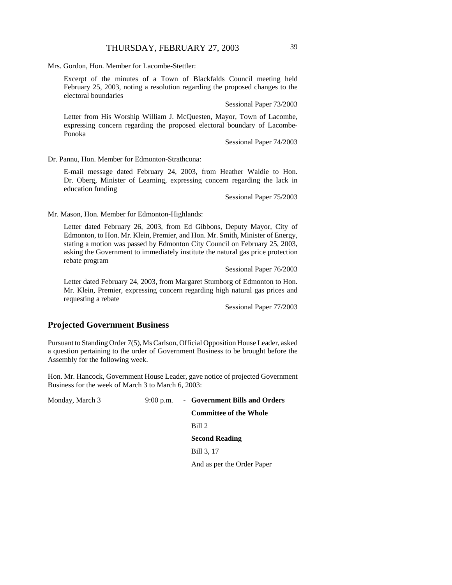Mrs. Gordon, Hon. Member for Lacombe-Stettler:

Excerpt of the minutes of a Town of Blackfalds Council meeting held February 25, 2003, noting a resolution regarding the proposed changes to the electoral boundaries

Sessional Paper 73/2003

Letter from His Worship William J. McQuesten, Mayor, Town of Lacombe, expressing concern regarding the proposed electoral boundary of Lacombe-Ponoka

Sessional Paper 74/2003

Dr. Pannu, Hon. Member for Edmonton-Strathcona:

E-mail message dated February 24, 2003, from Heather Waldie to Hon. Dr. Oberg, Minister of Learning, expressing concern regarding the lack in education funding

Sessional Paper 75/2003

Mr. Mason, Hon. Member for Edmonton-Highlands:

Letter dated February 26, 2003, from Ed Gibbons, Deputy Mayor, City of Edmonton, to Hon. Mr. Klein, Premier, and Hon. Mr. Smith, Minister of Energy, stating a motion was passed by Edmonton City Council on February 25, 2003, asking the Government to immediately institute the natural gas price protection rebate program

Sessional Paper 76/2003

Letter dated February 24, 2003, from Margaret Stumborg of Edmonton to Hon. Mr. Klein, Premier, expressing concern regarding high natural gas prices and requesting a rebate

Sessional Paper 77/2003

### **Projected Government Business**

Pursuant to Standing Order 7(5), Ms Carlson, Official Opposition House Leader, asked a question pertaining to the order of Government Business to be brought before the Assembly for the following week.

Hon. Mr. Hancock, Government House Leader, gave notice of projected Government Business for the week of March 3 to March 6, 2003:

Monday, March 3 9:00 p.m. - **Government Bills and Orders Committee of the Whole** Bill 2 **Second Reading** Bill 3, 17 And as per the Order Paper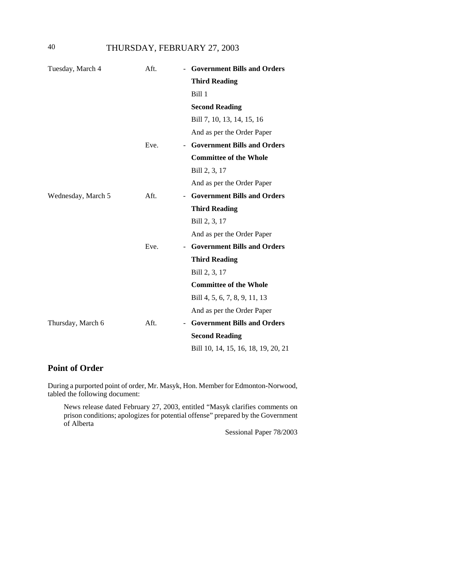40 THURSDAY, FEBRUARY 27, 2003

| Tuesday, March 4   | Aft. | - Government Bills and Orders       |
|--------------------|------|-------------------------------------|
|                    |      | <b>Third Reading</b>                |
|                    |      | Bill 1                              |
|                    |      | <b>Second Reading</b>               |
|                    |      | Bill 7, 10, 13, 14, 15, 16          |
|                    |      | And as per the Order Paper          |
|                    | Eve. | - Government Bills and Orders       |
|                    |      | <b>Committee of the Whole</b>       |
|                    |      | Bill 2, 3, 17                       |
|                    |      | And as per the Order Paper          |
| Wednesday, March 5 | Aft. | - Government Bills and Orders       |
|                    |      | <b>Third Reading</b>                |
|                    |      | Bill 2, 3, 17                       |
|                    |      | And as per the Order Paper          |
|                    | Eve. | <b>Government Bills and Orders</b>  |
|                    |      | <b>Third Reading</b>                |
|                    |      | Bill 2, 3, 17                       |
|                    |      | <b>Committee of the Whole</b>       |
|                    |      | Bill 4, 5, 6, 7, 8, 9, 11, 13       |
|                    |      | And as per the Order Paper          |
| Thursday, March 6  | Aft. | <b>Government Bills and Orders</b>  |
|                    |      | <b>Second Reading</b>               |
|                    |      | Bill 10, 14, 15, 16, 18, 19, 20, 21 |

# **Point of Order**

During a purported point of order, Mr. Masyk, Hon. Member for Edmonton-Norwood, tabled the following document:

News release dated February 27, 2003, entitled "Masyk clarifies comments on prison conditions; apologizes for potential offense" prepared by the Government of Alberta

Sessional Paper 78/2003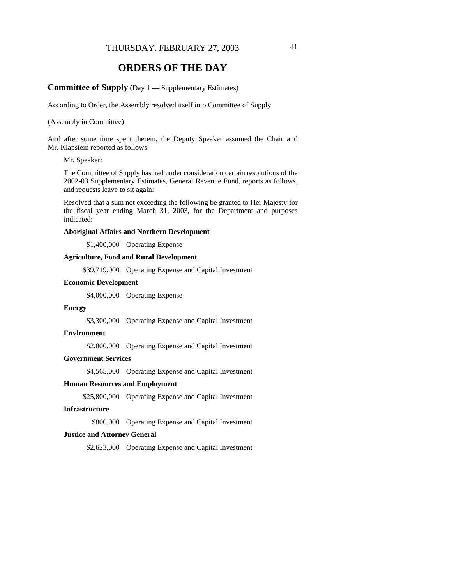### THURSDAY, FEBRUARY 27, 2003 41

# **ORDERS OF THE DAY**

#### **Committee of Supply** (Day 1 — Supplementary Estimates)

According to Order, the Assembly resolved itself into Committee of Supply.

#### (Assembly in Committee)

And after some time spent therein, the Deputy Speaker assumed the Chair and Mr. Klapstein reported as follows:

#### Mr. Speaker:

The Committee of Supply has had under consideration certain resolutions of the 2002-03 Supplementary Estimates, General Revenue Fund, reports as follows, and requests leave to sit again:

Resolved that a sum not exceeding the following be granted to Her Majesty for the fiscal year ending March 31, 2003, for the Department and purposes indicated:

#### **Aboriginal Affairs and Northern Development**

\$1,400,000 Operating Expense

#### **Agriculture, Food and Rural Development**

\$39,719,000 Operating Expense and Capital Investment

#### **Economic Development**

\$4,000,000 Operating Expense

#### **Energy**

\$3,300,000 Operating Expense and Capital Investment

#### **Environment**

\$2,000,000 Operating Expense and Capital Investment

#### **Government Services**

\$4,565,000 Operating Expense and Capital Investment

#### **Human Resources and Employment**

\$25,800,000 Operating Expense and Capital Investment

#### **Infrastructure**

\$800,000 Operating Expense and Capital Investment

#### **Justice and Attorney General**

\$2,623,000 Operating Expense and Capital Investment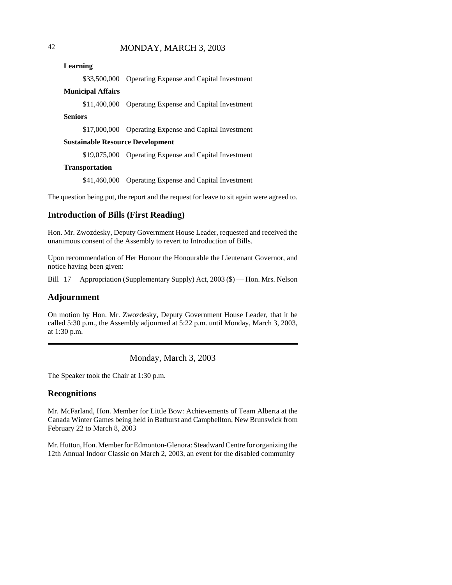**Learning**

\$33,500,000 Operating Expense and Capital Investment

#### **Municipal Affairs**

\$11,400,000 Operating Expense and Capital Investment

#### **Seniors**

\$17,000,000 Operating Expense and Capital Investment

#### **Sustainable Resource Development**

\$19,075,000 Operating Expense and Capital Investment

#### **Transportation**

\$41,460,000 Operating Expense and Capital Investment

The question being put, the report and the request for leave to sit again were agreed to.

### **Introduction of Bills (First Reading)**

Hon. Mr. Zwozdesky, Deputy Government House Leader, requested and received the unanimous consent of the Assembly to revert to Introduction of Bills.

Upon recommendation of Her Honour the Honourable the Lieutenant Governor, and notice having been given:

Bill 17 Appropriation (Supplementary Supply) Act, 2003 (\$) — Hon. Mrs. Nelson

### **Adjournment**

On motion by Hon. Mr. Zwozdesky, Deputy Government House Leader, that it be called 5:30 p.m., the Assembly adjourned at 5:22 p.m. until Monday, March 3, 2003, at 1:30 p.m.

### Monday, March 3, 2003

The Speaker took the Chair at 1:30 p.m.

### **Recognitions**

Mr. McFarland, Hon. Member for Little Bow: Achievements of Team Alberta at the Canada Winter Games being held in Bathurst and Campbellton, New Brunswick from February 22 to March 8, 2003

Mr. Hutton, Hon. Member for Edmonton-Glenora: Steadward Centre for organizing the 12th Annual Indoor Classic on March 2, 2003, an event for the disabled community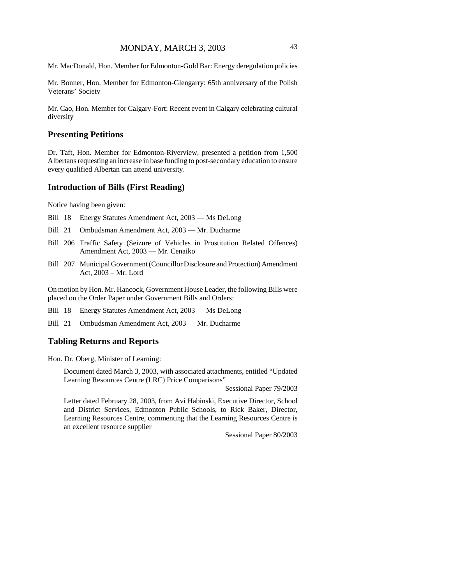Mr. MacDonald, Hon. Member for Edmonton-Gold Bar: Energy deregulation policies

Mr. Bonner, Hon. Member for Edmonton-Glengarry: 65th anniversary of the Polish Veterans' Society

Mr. Cao, Hon. Member for Calgary-Fort: Recent event in Calgary celebrating cultural diversity

#### **Presenting Petitions**

Dr. Taft, Hon. Member for Edmonton-Riverview, presented a petition from 1,500 Albertans requesting an increase in base funding to post-secondary education to ensure every qualified Albertan can attend university.

#### **Introduction of Bills (First Reading)**

Notice having been given:

- Bill 18 Energy Statutes Amendment Act, 2003 Ms DeLong
- Bill 21 Ombudsman Amendment Act, 2003 Mr. Ducharme
- Bill 206 Traffic Safety (Seizure of Vehicles in Prostitution Related Offences) Amendment Act, 2003 — Mr. Cenaiko
- Bill 207 Municipal Government (Councillor Disclosure and Protection) Amendment Act, 2003 – Mr. Lord

On motion by Hon. Mr. Hancock, Government House Leader, the following Bills were placed on the Order Paper under Government Bills and Orders:

Bill 18 Energy Statutes Amendment Act, 2003 — Ms DeLong

Bill 21 Ombudsman Amendment Act, 2003 — Mr. Ducharme

#### **Tabling Returns and Reports**

Hon. Dr. Oberg, Minister of Learning:

Document dated March 3, 2003, with associated attachments, entitled "Updated Learning Resources Centre (LRC) Price Comparisons"

Sessional Paper 79/2003

Letter dated February 28, 2003, from Avi Habinski, Executive Director, School and District Services, Edmonton Public Schools, to Rick Baker, Director, Learning Resources Centre, commenting that the Learning Resources Centre is an excellent resource supplier

Sessional Paper 80/2003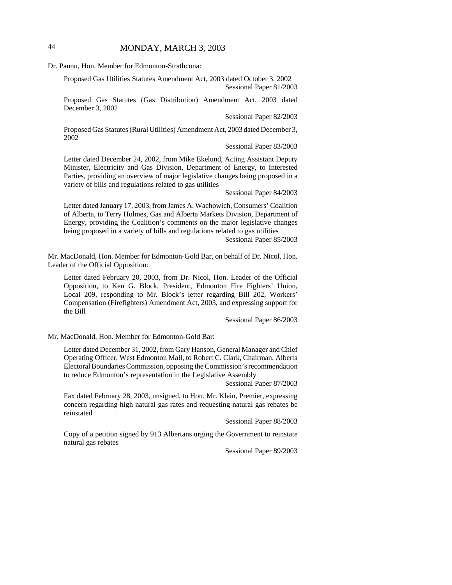### 44 MONDAY, MARCH 3, 2003

Dr. Pannu, Hon. Member for Edmonton-Strathcona:

Proposed Gas Utilities Statutes Amendment Act, 2003 dated October 3, 2002 Sessional Paper 81/2003

Proposed Gas Statutes (Gas Distribution) Amendment Act, 2003 dated December 3, 2002

Sessional Paper 82/2003

Proposed Gas Statutes (Rural Utilities) Amendment Act, 2003 dated December 3, 2002

Sessional Paper 83/2003

Letter dated December 24, 2002, from Mike Ekelund, Acting Assistant Deputy Minister, Electricity and Gas Division, Department of Energy, to Interested Parties, providing an overview of major legislative changes being proposed in a variety of bills and regulations related to gas utilities

Sessional Paper 84/2003

Letter dated January 17, 2003, from James A. Wachowich, Consumers' Coalition of Alberta, to Terry Holmes, Gas and Alberta Markets Division, Department of Energy, providing the Coalition's comments on the major legislative changes being proposed in a variety of bills and regulations related to gas utilities

Sessional Paper 85/2003

Mr. MacDonald, Hon. Member for Edmonton-Gold Bar, on behalf of Dr. Nicol, Hon. Leader of the Official Opposition:

Letter dated February 20, 2003, from Dr. Nicol, Hon. Leader of the Official Opposition, to Ken G. Block, President, Edmonton Fire Fighters' Union, Local 209, responding to Mr. Block's letter regarding Bill 202, Workers' Compensation (Firefighters) Amendment Act, 2003, and expressing support for the Bill

Sessional Paper 86/2003

Mr. MacDonald, Hon. Member for Edmonton-Gold Bar:

Letter dated December 31, 2002, from Gary Hanson, General Manager and Chief Operating Officer, West Edmonton Mall, to Robert C. Clark, Chairman, Alberta Electoral Boundaries Commission, opposing the Commission's recommendation to reduce Edmonton's representation in the Legislative Assembly

Sessional Paper 87/2003

Fax dated February 28, 2003, unsigned, to Hon. Mr. Klein, Premier, expressing concern regarding high natural gas rates and requesting natural gas rebates be reinstated

Sessional Paper 88/2003

Copy of a petition signed by 913 Albertans urging the Government to reinstate natural gas rebates

Sessional Paper 89/2003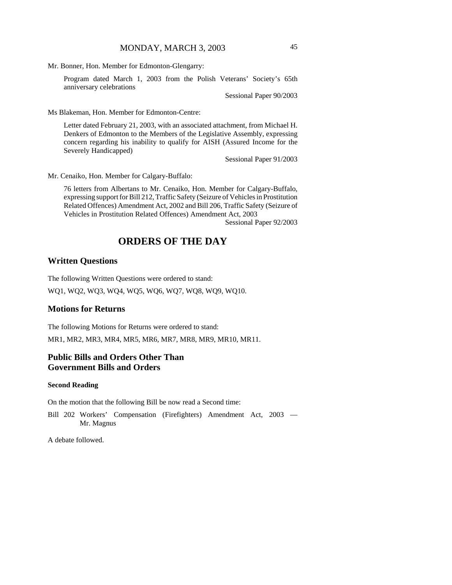Mr. Bonner, Hon. Member for Edmonton-Glengarry:

Program dated March 1, 2003 from the Polish Veterans' Society's 65th anniversary celebrations

Sessional Paper 90/2003

Ms Blakeman, Hon. Member for Edmonton-Centre:

Letter dated February 21, 2003, with an associated attachment, from Michael H. Denkers of Edmonton to the Members of the Legislative Assembly, expressing concern regarding his inability to qualify for AISH (Assured Income for the Severely Handicapped)

Sessional Paper 91/2003

Mr. Cenaiko, Hon. Member for Calgary-Buffalo:

76 letters from Albertans to Mr. Cenaiko, Hon. Member for Calgary-Buffalo, expressing support for Bill 212, Traffic Safety (Seizure of Vehicles in Prostitution Related Offences) Amendment Act, 2002 and Bill 206, Traffic Safety (Seizure of Vehicles in Prostitution Related Offences) Amendment Act, 2003

Sessional Paper 92/2003

# **ORDERS OF THE DAY**

### **Written Questions**

The following Written Questions were ordered to stand:

WQ1, WQ2, WQ3, WQ4, WQ5, WQ6, WQ7, WQ8, WQ9, WQ10.

### **Motions for Returns**

The following Motions for Returns were ordered to stand: MR1, MR2, MR3, MR4, MR5, MR6, MR7, MR8, MR9, MR10, MR11.

### **Public Bills and Orders Other Than Government Bills and Orders**

#### **Second Reading**

On the motion that the following Bill be now read a Second time:

Bill 202 Workers' Compensation (Firefighters) Amendment Act, 2003 — Mr. Magnus

A debate followed.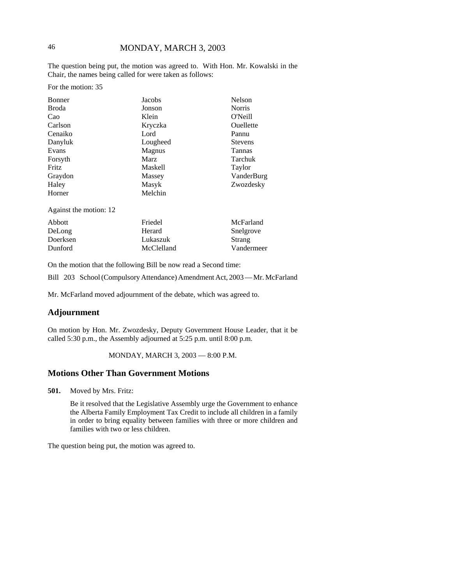The question being put, the motion was agreed to. With Hon. Mr. Kowalski in the Chair, the names being called for were taken as follows:

For the motion: 35

| Bonner                 | Nelson<br>Jacobs           |               |  |
|------------------------|----------------------------|---------------|--|
| Broda                  | Jonson                     | <b>Norris</b> |  |
| Cao                    | Klein<br>O'Neill           |               |  |
| Carlson                | Ouellette<br>Kryczka       |               |  |
| Cenaiko                | Lord<br>Pannu              |               |  |
| Danyluk                | Lougheed<br><b>Stevens</b> |               |  |
| Evans                  | Magnus<br><b>Tannas</b>    |               |  |
| Forsyth                | Tarchuk<br>Marz            |               |  |
| Fritz                  | Maskell<br>Taylor          |               |  |
| Graydon                | VanderBurg<br>Massey       |               |  |
| Haley                  | Masyk                      | Zwozdesky     |  |
| Horner                 | Melchin                    |               |  |
| Against the motion: 12 |                            |               |  |
| Abbott                 | McFarland<br>Friedel       |               |  |
| DeLong                 | Herard<br>Snelgrove        |               |  |
| Doerksen               | Lukaszuk                   | Strang        |  |

On the motion that the following Bill be now read a Second time:

Bill 203 School (Compulsory Attendance) Amendment Act, 2003 — Mr. McFarland

Vandermeer

Mr. McFarland moved adjournment of the debate, which was agreed to.

McClelland

### **Adjournment**

Dunford

On motion by Hon. Mr. Zwozdesky, Deputy Government House Leader, that it be called 5:30 p.m., the Assembly adjourned at 5:25 p.m. until 8:00 p.m.

#### MONDAY, MARCH 3, 2003 — 8:00 P.M.

### **Motions Other Than Government Motions**

**501.** Moved by Mrs. Fritz:

Be it resolved that the Legislative Assembly urge the Government to enhance the Alberta Family Employment Tax Credit to include all children in a family in order to bring equality between families with three or more children and families with two or less children.

The question being put, the motion was agreed to.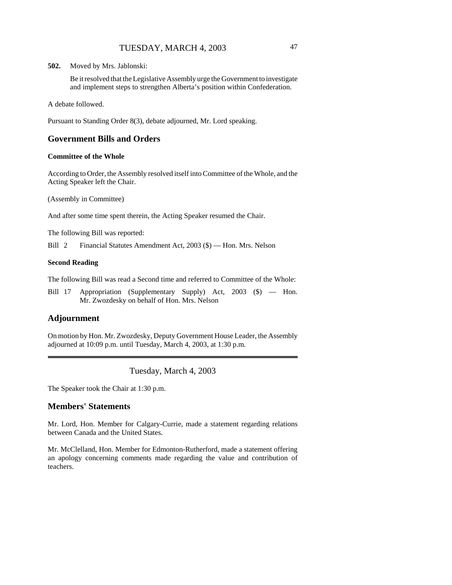**502.** Moved by Mrs. Jablonski:

Be it resolved that the Legislative Assembly urge the Government to investigate and implement steps to strengthen Alberta's position within Confederation.

A debate followed.

Pursuant to Standing Order 8(3), debate adjourned, Mr. Lord speaking.

### **Government Bills and Orders**

#### **Committee of the Whole**

According to Order, the Assembly resolved itself into Committee of the Whole, and the Acting Speaker left the Chair.

(Assembly in Committee)

And after some time spent therein, the Acting Speaker resumed the Chair.

The following Bill was reported:

Bill 2 Financial Statutes Amendment Act, 2003 (\$) — Hon. Mrs. Nelson

#### **Second Reading**

The following Bill was read a Second time and referred to Committee of the Whole:

Bill 17 Appropriation (Supplementary Supply) Act, 2003 (\$) — Hon. Mr. Zwozdesky on behalf of Hon. Mrs. Nelson

### **Adjournment**

On motion by Hon. Mr. Zwozdesky, Deputy Government House Leader, the Assembly adjourned at 10:09 p.m. until Tuesday, March 4, 2003, at 1:30 p.m.

Tuesday, March 4, 2003

The Speaker took the Chair at 1:30 p.m.

### **Members' Statements**

Mr. Lord, Hon. Member for Calgary-Currie, made a statement regarding relations between Canada and the United States.

Mr. McClelland, Hon. Member for Edmonton-Rutherford, made a statement offering an apology concerning comments made regarding the value and contribution of teachers.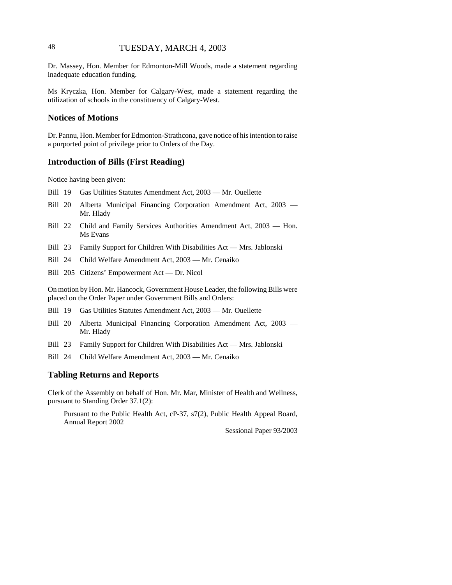### 48 TUESDAY, MARCH 4, 2003

Dr. Massey, Hon. Member for Edmonton-Mill Woods, made a statement regarding inadequate education funding.

Ms Kryczka, Hon. Member for Calgary-West, made a statement regarding the utilization of schools in the constituency of Calgary-West.

### **Notices of Motions**

Dr. Pannu, Hon. Member for Edmonton-Strathcona, gave notice of his intention to raise a purported point of privilege prior to Orders of the Day.

### **Introduction of Bills (First Reading)**

Notice having been given:

- Bill 19 Gas Utilities Statutes Amendment Act, 2003 Mr. Ouellette
- Bill 20 Alberta Municipal Financing Corporation Amendment Act, 2003 Mr. Hlady
- Bill 22 Child and Family Services Authorities Amendment Act, 2003 Hon. Ms Evans
- Bill 23 Family Support for Children With Disabilities Act Mrs. Jablonski
- Bill 24 Child Welfare Amendment Act, 2003 Mr. Cenaiko
- Bill 205 Citizens' Empowerment Act Dr. Nicol

On motion by Hon. Mr. Hancock, Government House Leader, the following Bills were placed on the Order Paper under Government Bills and Orders:

Bill 19 Gas Utilities Statutes Amendment Act, 2003 — Mr. Ouellette

- Bill 20 Alberta Municipal Financing Corporation Amendment Act, 2003 Mr. Hlady
- Bill 23 Family Support for Children With Disabilities Act Mrs. Jablonski
- Bill 24 Child Welfare Amendment Act, 2003 Mr. Cenaiko

#### **Tabling Returns and Reports**

Clerk of the Assembly on behalf of Hon. Mr. Mar, Minister of Health and Wellness, pursuant to Standing Order 37.1(2):

Pursuant to the Public Health Act, cP-37, s7(2), Public Health Appeal Board, Annual Report 2002

Sessional Paper 93/2003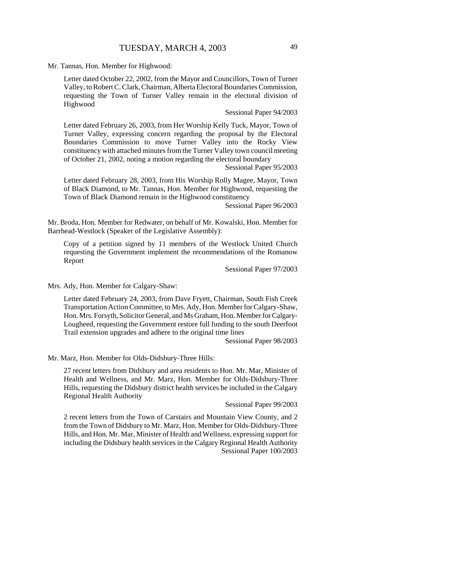Mr. Tannas, Hon. Member for Highwood:

Letter dated October 22, 2002, from the Mayor and Councillors, Town of Turner Valley, to Robert C. Clark, Chairman, Alberta Electoral Boundaries Commission, requesting the Town of Turner Valley remain in the electoral division of Highwood

Sessional Paper 94/2003

Letter dated February 26, 2003, from Her Worship Kelly Tuck, Mayor, Town of Turner Valley, expressing concern regarding the proposal by the Electoral Boundaries Commission to move Turner Valley into the Rocky View constituency with attached minutes from the Turner Valley town council meeting of October 21, 2002, noting a motion regarding the electoral boundary

Sessional Paper 95/2003

Letter dated February 28, 2003, from His Worship Rolly Magee, Mayor, Town of Black Diamond, to Mr. Tannas, Hon. Member for Highwood, requesting the Town of Black Diamond remain in the Highwood constituency

Sessional Paper 96/2003

Mr. Broda, Hon. Member for Redwater, on behalf of Mr. Kowalski, Hon. Member for Barrhead-Westlock (Speaker of the Legislative Assembly):

Copy of a petition signed by 11 members of the Westlock United Church requesting the Government implement the recommendations of the Romanow Report

Sessional Paper 97/2003

Mrs. Ady, Hon. Member for Calgary-Shaw:

Letter dated February 24, 2003, from Dave Fryett, Chairman, South Fish Creek Transportation Action Committee, to Mrs. Ady, Hon. Member for Calgary-Shaw, Hon. Mrs. Forsyth, Solicitor General, and Ms Graham, Hon. Member for Calgary-Lougheed, requesting the Government restore full funding to the south Deerfoot Trail extension upgrades and adhere to the original time lines

Sessional Paper 98/2003

Mr. Marz, Hon. Member for Olds-Didsbury-Three Hills:

27 recent letters from Didsbury and area residents to Hon. Mr. Mar, Minister of Health and Wellness, and Mr. Marz, Hon. Member for Olds-Didsbury-Three Hills, requesting the Didsbury district health services be included in the Calgary Regional Health Authority

Sessional Paper 99/2003

2 recent letters from the Town of Carstairs and Mountain View County, and 2 from the Town of Didsbury to Mr. Marz, Hon. Member for Olds-Didsbury-Three Hills, and Hon. Mr. Mar, Minister of Health and Wellness, expressing support for including the Didsbury health services in the Calgary Regional Health Authority Sessional Paper 100/2003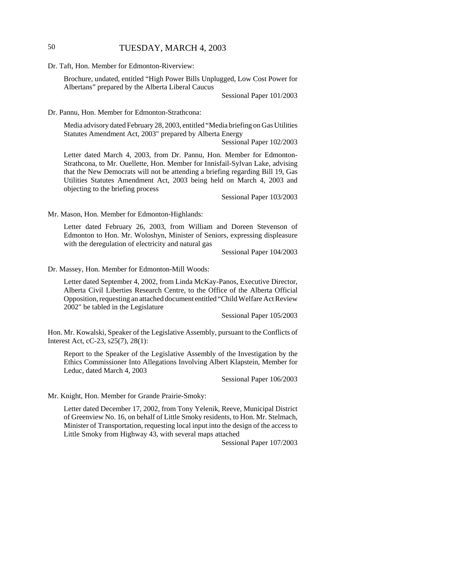### 50 TUESDAY, MARCH 4, 2003

Dr. Taft, Hon. Member for Edmonton-Riverview:

Brochure, undated, entitled "High Power Bills Unplugged, Low Cost Power for Albertans" prepared by the Alberta Liberal Caucus

Sessional Paper 101/2003

Dr. Pannu, Hon. Member for Edmonton-Strathcona:

Media advisory dated February 28, 2003, entitled "Media briefing on Gas Utilities Statutes Amendment Act, 2003" prepared by Alberta Energy

Sessional Paper 102/2003

Letter dated March 4, 2003, from Dr. Pannu, Hon. Member for Edmonton-Strathcona, to Mr. Ouellette, Hon. Member for Innisfail-Sylvan Lake, advising that the New Democrats will not be attending a briefing regarding Bill 19, Gas Utilities Statutes Amendment Act, 2003 being held on March 4, 2003 and objecting to the briefing process

Sessional Paper 103/2003

Mr. Mason, Hon. Member for Edmonton-Highlands:

Letter dated February 26, 2003, from William and Doreen Stevenson of Edmonton to Hon. Mr. Woloshyn, Minister of Seniors, expressing displeasure with the deregulation of electricity and natural gas

Sessional Paper 104/2003

Dr. Massey, Hon. Member for Edmonton-Mill Woods:

Letter dated September 4, 2002, from Linda McKay-Panos, Executive Director, Alberta Civil Liberties Research Centre, to the Office of the Alberta Official Opposition, requesting an attached document entitled "Child Welfare Act Review 2002" be tabled in the Legislature

Sessional Paper 105/2003

Hon. Mr. Kowalski, Speaker of the Legislative Assembly, pursuant to the Conflicts of Interest Act, cC-23, s25(7), 28(1):

Report to the Speaker of the Legislative Assembly of the Investigation by the Ethics Commissioner Into Allegations Involving Albert Klapstein, Member for Leduc, dated March 4, 2003

Sessional Paper 106/2003

Mr. Knight, Hon. Member for Grande Prairie-Smoky:

Letter dated December 17, 2002, from Tony Yelenik, Reeve, Municipal District of Greenview No. 16, on behalf of Little Smoky residents, to Hon. Mr. Stelmach, Minister of Transportation, requesting local input into the design of the access to Little Smoky from Highway 43, with several maps attached

Sessional Paper 107/2003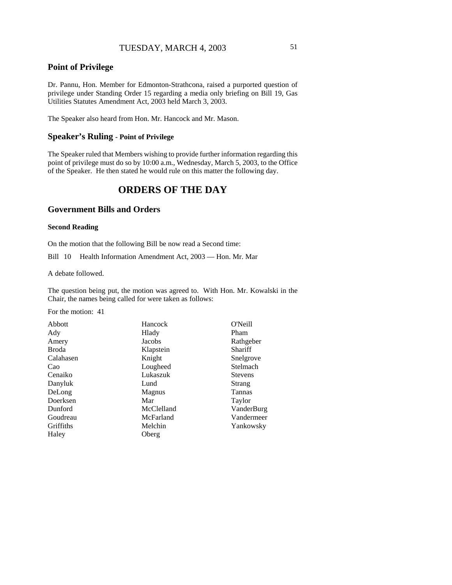### **Point of Privilege**

Dr. Pannu, Hon. Member for Edmonton-Strathcona, raised a purported question of privilege under Standing Order 15 regarding a media only briefing on Bill 19, Gas Utilities Statutes Amendment Act, 2003 held March 3, 2003.

The Speaker also heard from Hon. Mr. Hancock and Mr. Mason.

#### **Speaker's Ruling - Point of Privilege**

The Speaker ruled that Members wishing to provide further information regarding this point of privilege must do so by 10:00 a.m., Wednesday, March 5, 2003, to the Office of the Speaker. He then stated he would rule on this matter the following day.

# **ORDERS OF THE DAY**

### **Government Bills and Orders**

#### **Second Reading**

On the motion that the following Bill be now read a Second time:

Bill 10 Health Information Amendment Act, 2003 — Hon. Mr. Mar

A debate followed.

The question being put, the motion was agreed to. With Hon. Mr. Kowalski in the Chair, the names being called for were taken as follows:

For the motion: 41

| Pham           |
|----------------|
|                |
| Rathgeber      |
| <b>Shariff</b> |
| Snelgrove      |
| Stelmach       |
| <b>Stevens</b> |
| Strang         |
| <b>Tannas</b>  |
| Taylor         |
| VanderBurg     |
| Vandermeer     |
| Yankowsky      |
|                |
|                |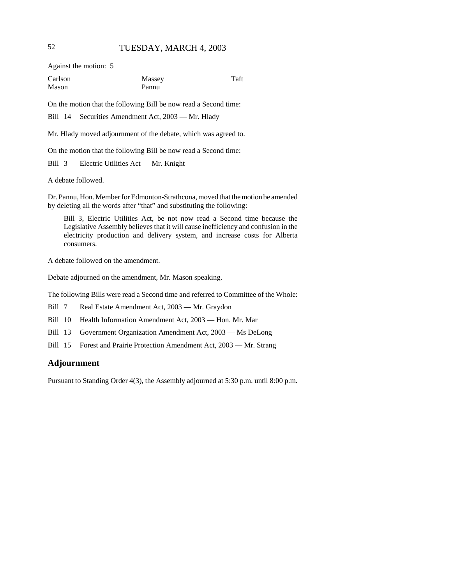Against the motion: 5

| Carlson | Massey | Taft |
|---------|--------|------|
| Mason   | Pannu  |      |

On the motion that the following Bill be now read a Second time:

Bill 14 Securities Amendment Act, 2003 — Mr. Hlady

Mr. Hlady moved adjournment of the debate, which was agreed to.

On the motion that the following Bill be now read a Second time:

Bill 3 Electric Utilities Act — Mr. Knight

A debate followed.

Dr. Pannu, Hon. Member for Edmonton-Strathcona, moved that the motion be amended by deleting all the words after "that" and substituting the following:

Bill 3, Electric Utilities Act, be not now read a Second time because the Legislative Assembly believes that it will cause inefficiency and confusion in the electricity production and delivery system, and increase costs for Alberta consumers.

A debate followed on the amendment.

Debate adjourned on the amendment, Mr. Mason speaking.

The following Bills were read a Second time and referred to Committee of the Whole:

Bill 7 Real Estate Amendment Act, 2003 — Mr. Graydon

Bill 10 Health Information Amendment Act, 2003 — Hon. Mr. Mar

Bill 13 Government Organization Amendment Act, 2003 — Ms DeLong

Bill 15 Forest and Prairie Protection Amendment Act, 2003 — Mr. Strang

### **Adjournment**

Pursuant to Standing Order 4(3), the Assembly adjourned at 5:30 p.m. until 8:00 p.m.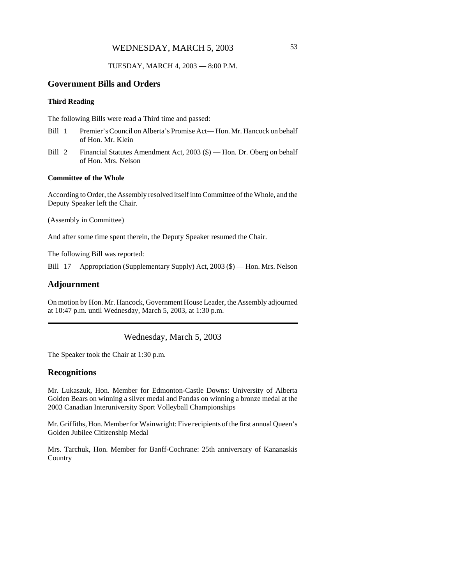### WEDNESDAY, MARCH 5, 2003 53

#### TUESDAY, MARCH 4, 2003 — 8:00 P.M.

### **Government Bills and Orders**

#### **Third Reading**

The following Bills were read a Third time and passed:

- Bill 1 Premier's Council on Alberta's Promise Act— Hon. Mr. Hancock on behalf of Hon. Mr. Klein
- Bill 2 Financial Statutes Amendment Act, 2003 (\$) Hon. Dr. Oberg on behalf of Hon. Mrs. Nelson

#### **Committee of the Whole**

According to Order, the Assembly resolved itself into Committee of the Whole, and the Deputy Speaker left the Chair.

(Assembly in Committee)

And after some time spent therein, the Deputy Speaker resumed the Chair.

The following Bill was reported:

Bill 17 Appropriation (Supplementary Supply) Act, 2003 (\$) — Hon. Mrs. Nelson

### **Adjournment**

On motion by Hon. Mr. Hancock, Government House Leader, the Assembly adjourned at 10:47 p.m. until Wednesday, March 5, 2003, at 1:30 p.m.

### Wednesday, March 5, 2003

The Speaker took the Chair at 1:30 p.m.

#### **Recognitions**

Mr. Lukaszuk, Hon. Member for Edmonton-Castle Downs: University of Alberta Golden Bears on winning a silver medal and Pandas on winning a bronze medal at the 2003 Canadian Interuniversity Sport Volleyball Championships

Mr. Griffiths, Hon. Member for Wainwright: Five recipients of the first annual Queen's Golden Jubilee Citizenship Medal

Mrs. Tarchuk, Hon. Member for Banff-Cochrane: 25th anniversary of Kananaskis **Country**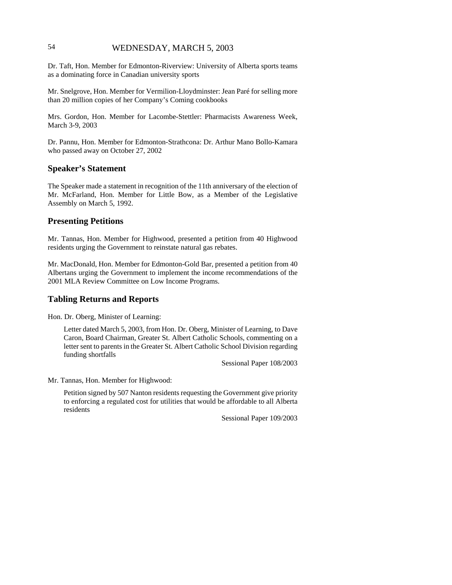### 54 WEDNESDAY, MARCH 5, 2003

Dr. Taft, Hon. Member for Edmonton-Riverview: University of Alberta sports teams as a dominating force in Canadian university sports

Mr. Snelgrove, Hon. Member for Vermilion-Lloydminster: Jean Paré for selling more than 20 million copies of her Company's Coming cookbooks

Mrs. Gordon, Hon. Member for Lacombe-Stettler: Pharmacists Awareness Week, March 3-9, 2003

Dr. Pannu, Hon. Member for Edmonton-Strathcona: Dr. Arthur Mano Bollo-Kamara who passed away on October 27, 2002

#### **Speaker's Statement**

The Speaker made a statement in recognition of the 11th anniversary of the election of Mr. McFarland, Hon. Member for Little Bow, as a Member of the Legislative Assembly on March 5, 1992.

#### **Presenting Petitions**

Mr. Tannas, Hon. Member for Highwood, presented a petition from 40 Highwood residents urging the Government to reinstate natural gas rebates.

Mr. MacDonald, Hon. Member for Edmonton-Gold Bar, presented a petition from 40 Albertans urging the Government to implement the income recommendations of the 2001 MLA Review Committee on Low Income Programs.

#### **Tabling Returns and Reports**

Hon. Dr. Oberg, Minister of Learning:

Letter dated March 5, 2003, from Hon. Dr. Oberg, Minister of Learning, to Dave Caron, Board Chairman, Greater St. Albert Catholic Schools, commenting on a letter sent to parents in the Greater St. Albert Catholic School Division regarding funding shortfalls

Sessional Paper 108/2003

Mr. Tannas, Hon. Member for Highwood:

Petition signed by 507 Nanton residents requesting the Government give priority to enforcing a regulated cost for utilities that would be affordable to all Alberta residents

Sessional Paper 109/2003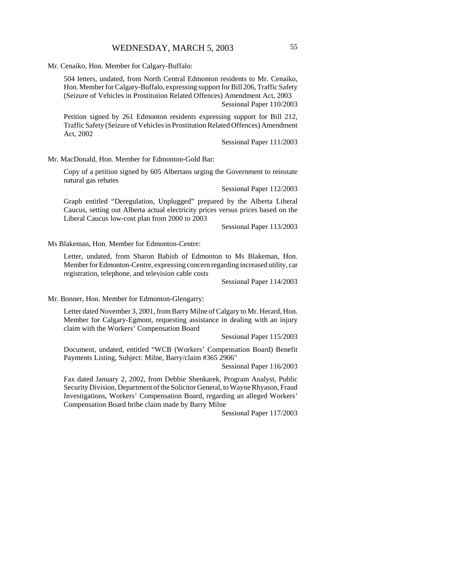Mr. Cenaiko, Hon. Member for Calgary-Buffalo:

504 letters, undated, from North Central Edmonton residents to Mr. Cenaiko, Hon. Member for Calgary-Buffalo, expressing support for Bill 206, Traffic Safety (Seizure of Vehicles in Prostitution Related Offences) Amendment Act, 2003 Sessional Paper 110/2003

Petition signed by 261 Edmonton residents expressing support for Bill 212, Traffic Safety (Seizure of Vehicles in Prostitution Related Offences) Amendment Act, 2002

Sessional Paper 111/2003

Mr. MacDonald, Hon. Member for Edmonton-Gold Bar:

Copy of a petition signed by 605 Albertans urging the Government to reinstate natural gas rebates

Sessional Paper 112/2003

Graph entitled "Deregulation, Unplugged" prepared by the Alberta Liberal Caucus, setting out Alberta actual electricity prices versus prices based on the Liberal Caucus low-cost plan from 2000 to 2003

Sessional Paper 113/2003

Ms Blakeman, Hon. Member for Edmonton-Centre:

Letter, undated, from Sharon Babish of Edmonton to Ms Blakeman, Hon. Member for Edmonton-Centre, expressing concern regarding increased utility, car registration, telephone, and television cable costs

Sessional Paper 114/2003

Mr. Bonner, Hon. Member for Edmonton-Glengarry:

Letter dated November 3, 2001, from Barry Milne of Calgary to Mr. Herard, Hon. Member for Calgary-Egmont, requesting assistance in dealing with an injury claim with the Workers' Compensation Board

Sessional Paper 115/2003

Document, undated, entitled "WCB (Workers' Compensation Board) Benefit Payments Listing, Subject: Milne, Barry/claim #365 2906"

Sessional Paper 116/2003

Fax dated January 2, 2002, from Debbie Shenkarek, Program Analyst, Public Security Division, Department of the Solicitor General, to Wayne Rhyason, Fraud Investigations, Workers' Compensation Board, regarding an alleged Workers' Compensation Board bribe claim made by Barry Milne

Sessional Paper 117/2003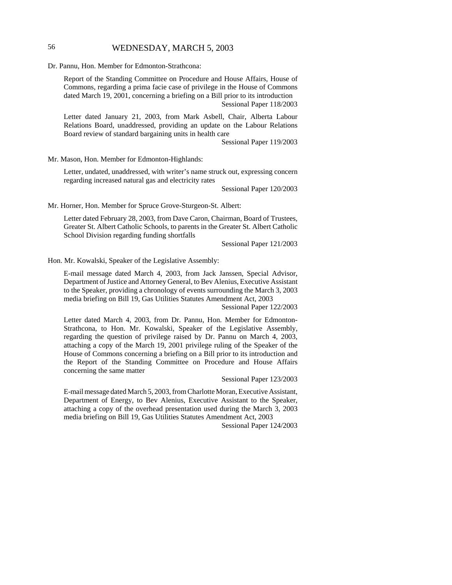### 56 WEDNESDAY, MARCH 5, 2003

Dr. Pannu, Hon. Member for Edmonton-Strathcona:

Report of the Standing Committee on Procedure and House Affairs, House of Commons, regarding a prima facie case of privilege in the House of Commons dated March 19, 2001, concerning a briefing on a Bill prior to its introduction Sessional Paper 118/2003

Letter dated January 21, 2003, from Mark Asbell, Chair, Alberta Labour Relations Board, unaddressed, providing an update on the Labour Relations Board review of standard bargaining units in health care

Sessional Paper 119/2003

Mr. Mason, Hon. Member for Edmonton-Highlands:

Letter, undated, unaddressed, with writer's name struck out, expressing concern regarding increased natural gas and electricity rates

Sessional Paper 120/2003

Mr. Horner, Hon. Member for Spruce Grove-Sturgeon-St. Albert:

Letter dated February 28, 2003, from Dave Caron, Chairman, Board of Trustees, Greater St. Albert Catholic Schools, to parents in the Greater St. Albert Catholic School Division regarding funding shortfalls

Sessional Paper 121/2003

Hon. Mr. Kowalski, Speaker of the Legislative Assembly:

E-mail message dated March 4, 2003, from Jack Janssen, Special Advisor, Department of Justice and Attorney General, to Bev Alenius, Executive Assistant to the Speaker, providing a chronology of events surrounding the March 3, 2003 media briefing on Bill 19, Gas Utilities Statutes Amendment Act, 2003

Sessional Paper 122/2003

Letter dated March 4, 2003, from Dr. Pannu, Hon. Member for Edmonton-Strathcona, to Hon. Mr. Kowalski, Speaker of the Legislative Assembly, regarding the question of privilege raised by Dr. Pannu on March 4, 2003, attaching a copy of the March 19, 2001 privilege ruling of the Speaker of the House of Commons concerning a briefing on a Bill prior to its introduction and the Report of the Standing Committee on Procedure and House Affairs concerning the same matter

Sessional Paper 123/2003

E-mail message dated March 5, 2003, from Charlotte Moran, Executive Assistant, Department of Energy, to Bev Alenius, Executive Assistant to the Speaker, attaching a copy of the overhead presentation used during the March 3, 2003 media briefing on Bill 19, Gas Utilities Statutes Amendment Act, 2003

Sessional Paper 124/2003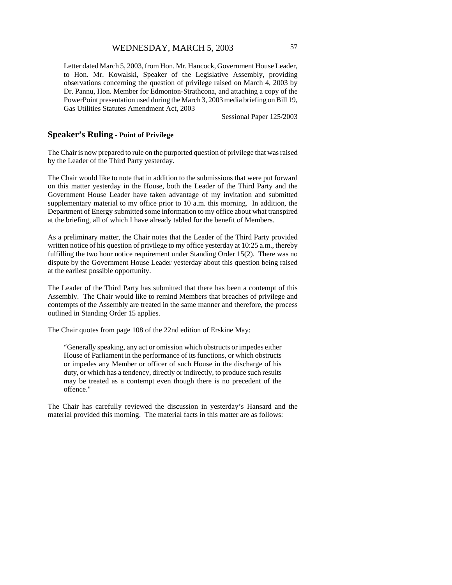### WEDNESDAY, MARCH 5, 2003 57

Letter dated March 5, 2003, from Hon. Mr. Hancock, Government House Leader, to Hon. Mr. Kowalski, Speaker of the Legislative Assembly, providing observations concerning the question of privilege raised on March 4, 2003 by Dr. Pannu, Hon. Member for Edmonton-Strathcona, and attaching a copy of the PowerPoint presentation used during the March 3, 2003 media briefing on Bill 19, Gas Utilities Statutes Amendment Act, 2003

Sessional Paper 125/2003

#### **Speaker's Ruling - Point of Privilege**

The Chair is now prepared to rule on the purported question of privilege that was raised by the Leader of the Third Party yesterday.

The Chair would like to note that in addition to the submissions that were put forward on this matter yesterday in the House, both the Leader of the Third Party and the Government House Leader have taken advantage of my invitation and submitted supplementary material to my office prior to 10 a.m. this morning. In addition, the Department of Energy submitted some information to my office about what transpired at the briefing, all of which I have already tabled for the benefit of Members.

As a preliminary matter, the Chair notes that the Leader of the Third Party provided written notice of his question of privilege to my office yesterday at 10:25 a.m., thereby fulfilling the two hour notice requirement under Standing Order 15(2). There was no dispute by the Government House Leader yesterday about this question being raised at the earliest possible opportunity.

The Leader of the Third Party has submitted that there has been a contempt of this Assembly. The Chair would like to remind Members that breaches of privilege and contempts of the Assembly are treated in the same manner and therefore, the process outlined in Standing Order 15 applies.

The Chair quotes from page 108 of the 22nd edition of Erskine May:

"Generally speaking, any act or omission which obstructs or impedes either House of Parliament in the performance of its functions, or which obstructs or impedes any Member or officer of such House in the discharge of his duty, or which has a tendency, directly or indirectly, to produce such results may be treated as a contempt even though there is no precedent of the offence."

The Chair has carefully reviewed the discussion in yesterday's Hansard and the material provided this morning. The material facts in this matter are as follows: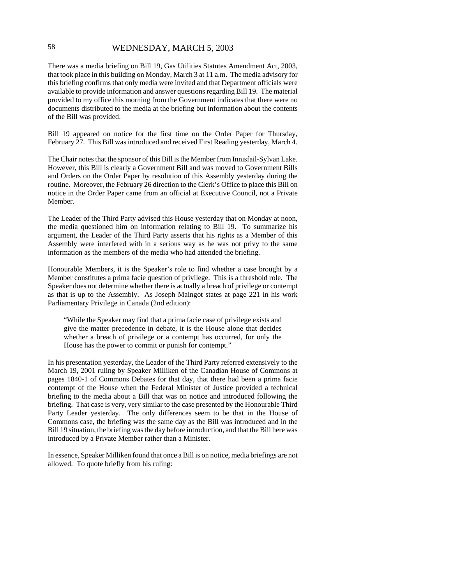### 58 WEDNESDAY, MARCH 5, 2003

There was a media briefing on Bill 19, Gas Utilities Statutes Amendment Act, 2003, that took place in this building on Monday, March 3 at 11 a.m. The media advisory for this briefing confirms that only media were invited and that Department officials were available to provide information and answer questions regarding Bill 19. The material provided to my office this morning from the Government indicates that there were no documents distributed to the media at the briefing but information about the contents of the Bill was provided.

Bill 19 appeared on notice for the first time on the Order Paper for Thursday, February 27. This Bill was introduced and received First Reading yesterday, March 4.

The Chair notes that the sponsor of this Bill is the Member from Innisfail-Sylvan Lake. However, this Bill is clearly a Government Bill and was moved to Government Bills and Orders on the Order Paper by resolution of this Assembly yesterday during the routine. Moreover, the February 26 direction to the Clerk's Office to place this Bill on notice in the Order Paper came from an official at Executive Council, not a Private Member.

The Leader of the Third Party advised this House yesterday that on Monday at noon, the media questioned him on information relating to Bill 19. To summarize his argument, the Leader of the Third Party asserts that his rights as a Member of this Assembly were interfered with in a serious way as he was not privy to the same information as the members of the media who had attended the briefing.

Honourable Members, it is the Speaker's role to find whether a case brought by a Member constitutes a prima facie question of privilege. This is a threshold role. The Speaker does not determine whether there is actually a breach of privilege or contempt as that is up to the Assembly. As Joseph Maingot states at page 221 in his work Parliamentary Privilege in Canada (2nd edition):

"While the Speaker may find that a prima facie case of privilege exists and give the matter precedence in debate, it is the House alone that decides whether a breach of privilege or a contempt has occurred, for only the House has the power to commit or punish for contempt."

In his presentation yesterday, the Leader of the Third Party referred extensively to the March 19, 2001 ruling by Speaker Milliken of the Canadian House of Commons at pages 1840-1 of Commons Debates for that day, that there had been a prima facie contempt of the House when the Federal Minister of Justice provided a technical briefing to the media about a Bill that was on notice and introduced following the briefing. That case is very, very similar to the case presented by the Honourable Third Party Leader yesterday. The only differences seem to be that in the House of Commons case, the briefing was the same day as the Bill was introduced and in the Bill 19 situation, the briefing was the day before introduction, and that the Bill here was introduced by a Private Member rather than a Minister.

In essence, Speaker Milliken found that once a Bill is on notice, media briefings are not allowed. To quote briefly from his ruling: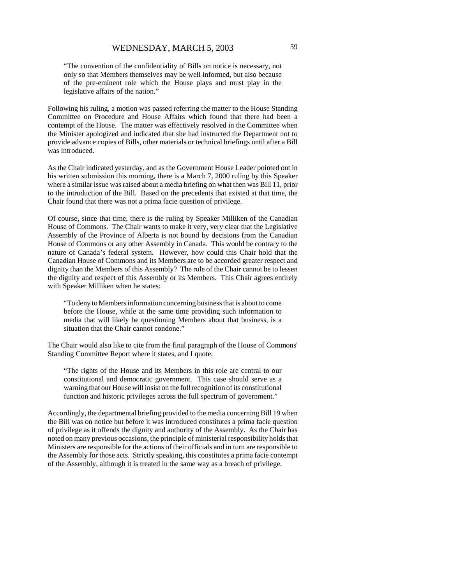"The convention of the confidentiality of Bills on notice is necessary, not only so that Members themselves may be well informed, but also because of the pre-eminent role which the House plays and must play in the legislative affairs of the nation."

Following his ruling, a motion was passed referring the matter to the House Standing Committee on Procedure and House Affairs which found that there had been a contempt of the House. The matter was effectively resolved in the Committee when the Minister apologized and indicated that she had instructed the Department not to provide advance copies of Bills, other materials or technical briefings until after a Bill was introduced.

As the Chair indicated yesterday, and as the Government House Leader pointed out in his written submission this morning, there is a March 7, 2000 ruling by this Speaker where a similar issue was raised about a media briefing on what then was Bill 11, prior to the introduction of the Bill. Based on the precedents that existed at that time, the Chair found that there was not a prima facie question of privilege.

Of course, since that time, there is the ruling by Speaker Milliken of the Canadian House of Commons. The Chair wants to make it very, very clear that the Legislative Assembly of the Province of Alberta is not bound by decisions from the Canadian House of Commons or any other Assembly in Canada. This would be contrary to the nature of Canada's federal system. However, how could this Chair hold that the Canadian House of Commons and its Members are to be accorded greater respect and dignity than the Members of this Assembly? The role of the Chair cannot be to lessen the dignity and respect of this Assembly or its Members. This Chair agrees entirely with Speaker Milliken when he states:

"To deny to Members information concerning business that is about to come before the House, while at the same time providing such information to media that will likely be questioning Members about that business, is a situation that the Chair cannot condone."

The Chair would also like to cite from the final paragraph of the House of Commons' Standing Committee Report where it states, and I quote:

"The rights of the House and its Members in this role are central to our constitutional and democratic government. This case should serve as a warning that our House will insist on the full recognition of its constitutional function and historic privileges across the full spectrum of government."

Accordingly, the departmental briefing provided to the media concerning Bill 19 when the Bill was on notice but before it was introduced constitutes a prima facie question of privilege as it offends the dignity and authority of the Assembly. As the Chair has noted on many previous occasions, the principle of ministerial responsibility holds that Ministers are responsible for the actions of their officials and in turn are responsible to the Assembly for those acts. Strictly speaking, this constitutes a prima facie contempt of the Assembly, although it is treated in the same way as a breach of privilege.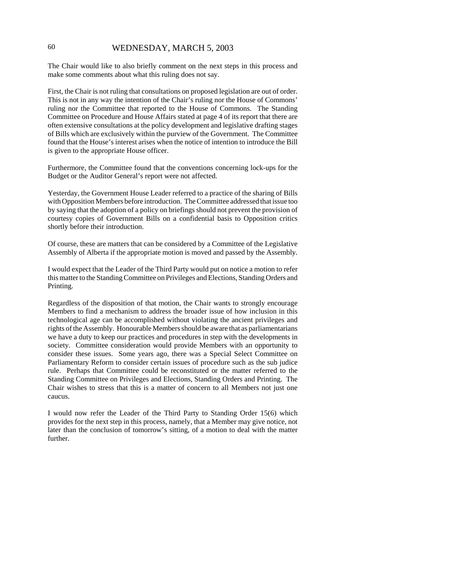### 60 WEDNESDAY, MARCH 5, 2003

The Chair would like to also briefly comment on the next steps in this process and make some comments about what this ruling does not say.

First, the Chair is not ruling that consultations on proposed legislation are out of order. This is not in any way the intention of the Chair's ruling nor the House of Commons' ruling nor the Committee that reported to the House of Commons. The Standing Committee on Procedure and House Affairs stated at page 4 of its report that there are often extensive consultations at the policy development and legislative drafting stages of Bills which are exclusively within the purview of the Government. The Committee found that the House's interest arises when the notice of intention to introduce the Bill is given to the appropriate House officer.

Furthermore, the Committee found that the conventions concerning lock-ups for the Budget or the Auditor General's report were not affected.

Yesterday, the Government House Leader referred to a practice of the sharing of Bills with Opposition Members before introduction. The Committee addressed that issue too by saying that the adoption of a policy on briefings should not prevent the provision of courtesy copies of Government Bills on a confidential basis to Opposition critics shortly before their introduction.

Of course, these are matters that can be considered by a Committee of the Legislative Assembly of Alberta if the appropriate motion is moved and passed by the Assembly.

I would expect that the Leader of the Third Party would put on notice a motion to refer this matter to the Standing Committee on Privileges and Elections, Standing Orders and Printing.

Regardless of the disposition of that motion, the Chair wants to strongly encourage Members to find a mechanism to address the broader issue of how inclusion in this technological age can be accomplished without violating the ancient privileges and rights of the Assembly. Honourable Members should be aware that as parliamentarians we have a duty to keep our practices and procedures in step with the developments in society. Committee consideration would provide Members with an opportunity to consider these issues. Some years ago, there was a Special Select Committee on Parliamentary Reform to consider certain issues of procedure such as the sub judice rule. Perhaps that Committee could be reconstituted or the matter referred to the Standing Committee on Privileges and Elections, Standing Orders and Printing. The Chair wishes to stress that this is a matter of concern to all Members not just one caucus.

I would now refer the Leader of the Third Party to Standing Order 15(6) which provides for the next step in this process, namely, that a Member may give notice, not later than the conclusion of tomorrow's sitting, of a motion to deal with the matter further.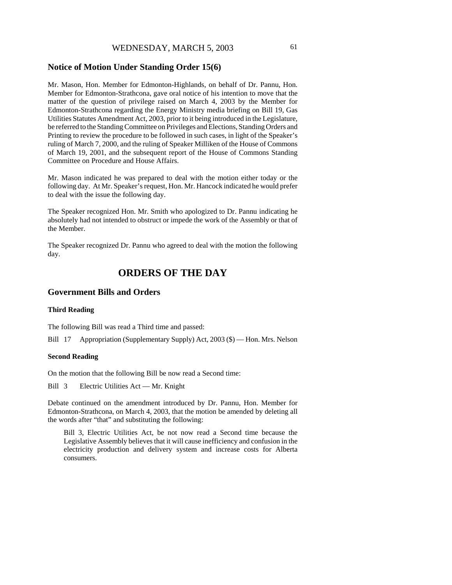### **Notice of Motion Under Standing Order 15(6)**

Mr. Mason, Hon. Member for Edmonton-Highlands, on behalf of Dr. Pannu, Hon. Member for Edmonton-Strathcona, gave oral notice of his intention to move that the matter of the question of privilege raised on March 4, 2003 by the Member for Edmonton-Strathcona regarding the Energy Ministry media briefing on Bill 19, Gas Utilities Statutes Amendment Act, 2003, prior to it being introduced in the Legislature, be referred to the Standing Committee on Privileges and Elections, Standing Orders and Printing to review the procedure to be followed in such cases, in light of the Speaker's ruling of March 7, 2000, and the ruling of Speaker Milliken of the House of Commons of March 19, 2001, and the subsequent report of the House of Commons Standing Committee on Procedure and House Affairs.

Mr. Mason indicated he was prepared to deal with the motion either today or the following day. At Mr. Speaker's request, Hon. Mr. Hancock indicated he would prefer to deal with the issue the following day.

The Speaker recognized Hon. Mr. Smith who apologized to Dr. Pannu indicating he absolutely had not intended to obstruct or impede the work of the Assembly or that of the Member.

The Speaker recognized Dr. Pannu who agreed to deal with the motion the following day.

# **ORDERS OF THE DAY**

### **Government Bills and Orders**

#### **Third Reading**

The following Bill was read a Third time and passed:

Bill 17 Appropriation (Supplementary Supply) Act, 2003 (\$) — Hon. Mrs. Nelson

#### **Second Reading**

On the motion that the following Bill be now read a Second time:

Bill 3 Electric Utilities Act — Mr. Knight

Debate continued on the amendment introduced by Dr. Pannu, Hon. Member for Edmonton-Strathcona, on March 4, 2003, that the motion be amended by deleting all the words after "that" and substituting the following:

Bill 3, Electric Utilities Act, be not now read a Second time because the Legislative Assembly believes that it will cause inefficiency and confusion in the electricity production and delivery system and increase costs for Alberta consumers.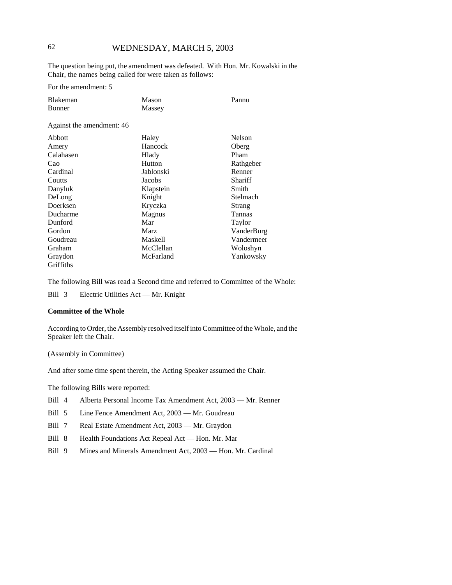### 62 WEDNESDAY, MARCH 5, 2003

The question being put, the amendment was defeated. With Hon. Mr. Kowalski in the Chair, the names being called for were taken as follows:

For the amendment: 5

| Blakeman                  | Mason          | Pannu         |  |
|---------------------------|----------------|---------------|--|
| Bonner                    | Massey         |               |  |
| Against the amendment: 46 |                |               |  |
| Abbott                    | Haley          | <b>Nelson</b> |  |
| Amery                     | Hancock        | Oberg         |  |
| Calahasen                 | Hlady          | Pham          |  |
| Cao                       | Hutton         | Rathgeber     |  |
| Cardinal                  | Jablonski      | Renner        |  |
| Coutts                    | Jacobs         | Shariff       |  |
| Danyluk                   | Klapstein      | Smith         |  |
| DeLong                    | Knight         | Stelmach      |  |
| Doerksen                  | Kryczka        | Strang        |  |
| Ducharme                  | Magnus         | Tannas        |  |
| Dunford                   | Mar            | Taylor        |  |
| Gordon                    | Marz           | VanderBurg    |  |
| Goudreau                  | <b>Maskell</b> | Vandermeer    |  |
| Graham                    | McClellan      | Woloshyn      |  |
| Graydon                   | McFarland      | Yankowsky     |  |
| Griffiths                 |                |               |  |

The following Bill was read a Second time and referred to Committee of the Whole:

Bill 3 Electric Utilities Act — Mr. Knight

#### **Committee of the Whole**

According to Order, the Assembly resolved itself into Committee of the Whole, and the Speaker left the Chair.

(Assembly in Committee)

And after some time spent therein, the Acting Speaker assumed the Chair.

The following Bills were reported:

- Bill 4 Alberta Personal Income Tax Amendment Act, 2003 Mr. Renner
- Bill 5 Line Fence Amendment Act, 2003 Mr. Goudreau
- Bill 7 Real Estate Amendment Act, 2003 Mr. Graydon
- Bill 8 Health Foundations Act Repeal Act Hon. Mr. Mar
- Bill 9 Mines and Minerals Amendment Act, 2003 Hon. Mr. Cardinal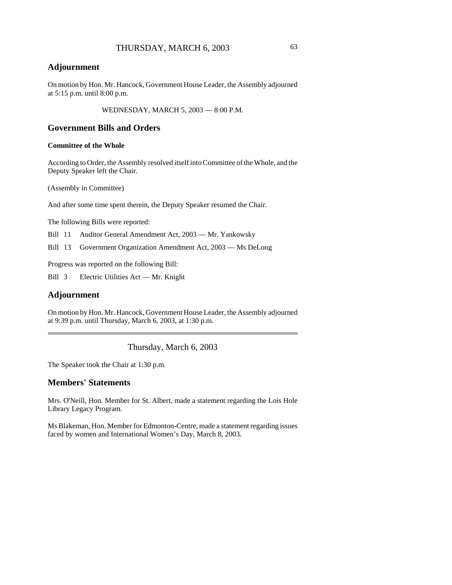### **Adjournment**

On motion by Hon. Mr. Hancock, Government House Leader, the Assembly adjourned at 5:15 p.m. until 8:00 p.m.

WEDNESDAY, MARCH 5, 2003 — 8:00 P.M.

### **Government Bills and Orders**

#### **Committee of the Whole**

According to Order, the Assembly resolved itself into Committee of the Whole, and the Deputy Speaker left the Chair.

(Assembly in Committee)

And after some time spent therein, the Deputy Speaker resumed the Chair.

The following Bills were reported:

Bill 11 Auditor General Amendment Act, 2003 — Mr. Yankowsky

Bill 13 Government Organization Amendment Act, 2003 — Ms DeLong

Progress was reported on the following Bill:

Bill 3 Electric Utilities Act — Mr. Knight

#### **Adjournment**

On motion by Hon. Mr. Hancock, Government House Leader, the Assembly adjourned at 9:39 p.m. until Thursday, March 6, 2003, at 1:30 p.m.

Thursday, March 6, 2003

The Speaker took the Chair at 1:30 p.m.

### **Members' Statements**

Mrs. O'Neill, Hon. Member for St. Albert, made a statement regarding the Lois Hole Library Legacy Program.

Ms Blakeman, Hon. Member for Edmonton-Centre, made a statement regarding issues faced by women and International Women's Day, March 8, 2003.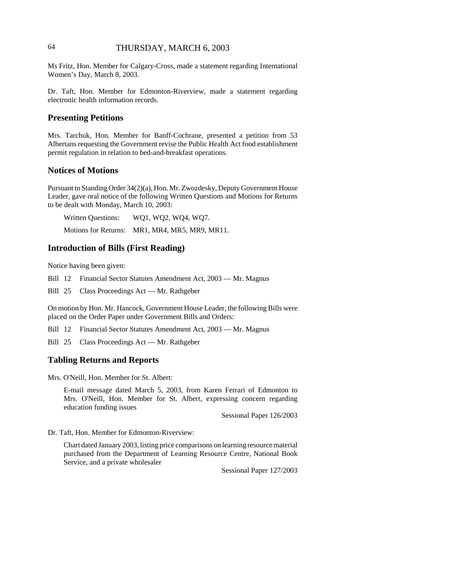### 64 THURSDAY, MARCH 6, 2003

Ms Fritz, Hon. Member for Calgary-Cross, made a statement regarding International Women's Day, March 8, 2003.

Dr. Taft, Hon. Member for Edmonton-Riverview, made a statement regarding electronic health information records.

### **Presenting Petitions**

Mrs. Tarchuk, Hon. Member for Banff-Cochrane, presented a petition from 53 Albertans requesting the Government revise the Public Health Act food establishment permit regulation in relation to bed-and-breakfast operations.

### **Notices of Motions**

Pursuant to Standing Order 34(2)(a), Hon. Mr. Zwozdesky, Deputy Government House Leader, gave oral notice of the following Written Questions and Motions for Returns to be dealt with Monday, March 10, 2003:

Written Questions: WQ1, WQ2, WQ4, WQ7. Motions for Returns: MR1, MR4, MR5, MR9, MR11.

#### **Introduction of Bills (First Reading)**

Notice having been given:

Bill 12 Financial Sector Statutes Amendment Act, 2003 — Mr. Magnus

Bill 25 Class Proceedings Act — Mr. Rathgeber

On motion by Hon. Mr. Hancock, Government House Leader, the following Bills were placed on the Order Paper under Government Bills and Orders:

Bill 12 Financial Sector Statutes Amendment Act, 2003 — Mr. Magnus

Bill 25 Class Proceedings Act — Mr. Rathgeber

#### **Tabling Returns and Reports**

Mrs. O'Neill, Hon. Member for St. Albert:

E-mail message dated March 5, 2003, from Karen Ferrari of Edmonton to Mrs. O'Neill, Hon. Member for St. Albert, expressing concern regarding education funding issues

Sessional Paper 126/2003

Dr. Taft, Hon. Member for Edmonton-Riverview:

Chart dated January 2003, listing price comparisons on learning resource material purchased from the Department of Learning Resource Centre, National Book Service, and a private wholesaler

Sessional Paper 127/2003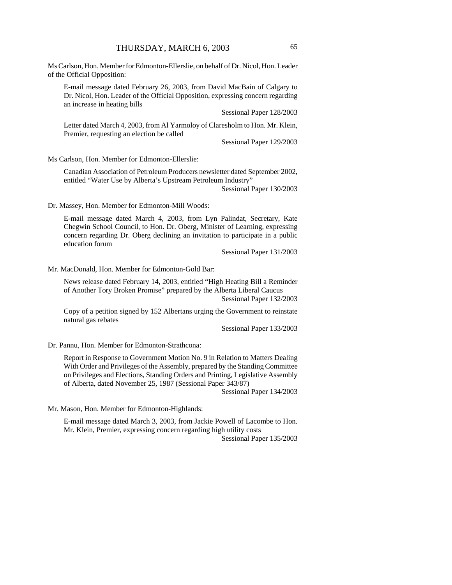Ms Carlson, Hon. Member for Edmonton-Ellerslie, on behalf of Dr. Nicol, Hon. Leader of the Official Opposition:

E-mail message dated February 26, 2003, from David MacBain of Calgary to Dr. Nicol, Hon. Leader of the Official Opposition, expressing concern regarding an increase in heating bills

Sessional Paper 128/2003

Letter dated March 4, 2003, from Al Yarmoloy of Claresholm to Hon. Mr. Klein, Premier, requesting an election be called

Sessional Paper 129/2003

Ms Carlson, Hon. Member for Edmonton-Ellerslie:

Canadian Association of Petroleum Producers newsletter dated September 2002, entitled "Water Use by Alberta's Upstream Petroleum Industry"

Sessional Paper 130/2003

Dr. Massey, Hon. Member for Edmonton-Mill Woods:

E-mail message dated March 4, 2003, from Lyn Palindat, Secretary, Kate Chegwin School Council, to Hon. Dr. Oberg, Minister of Learning, expressing concern regarding Dr. Oberg declining an invitation to participate in a public education forum

Sessional Paper 131/2003

Mr. MacDonald, Hon. Member for Edmonton-Gold Bar:

News release dated February 14, 2003, entitled "High Heating Bill a Reminder of Another Tory Broken Promise" prepared by the Alberta Liberal Caucus Sessional Paper 132/2003

Copy of a petition signed by 152 Albertans urging the Government to reinstate natural gas rebates

Sessional Paper 133/2003

Dr. Pannu, Hon. Member for Edmonton-Strathcona:

Report in Response to Government Motion No. 9 in Relation to Matters Dealing With Order and Privileges of the Assembly, prepared by the Standing Committee on Privileges and Elections, Standing Orders and Printing, Legislative Assembly of Alberta, dated November 25, 1987 (Sessional Paper 343/87)

Sessional Paper 134/2003

Mr. Mason, Hon. Member for Edmonton-Highlands:

E-mail message dated March 3, 2003, from Jackie Powell of Lacombe to Hon. Mr. Klein, Premier, expressing concern regarding high utility costs

Sessional Paper 135/2003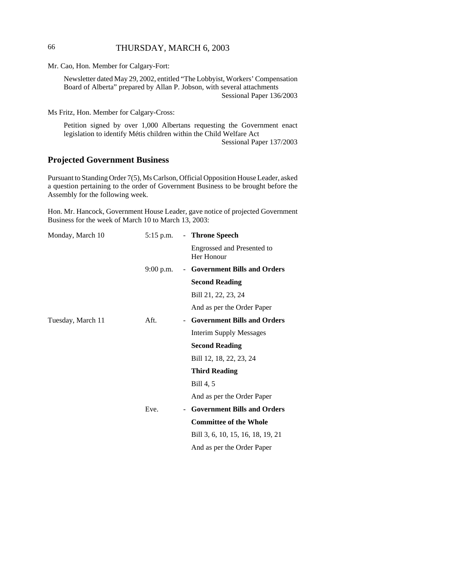### 66 THURSDAY, MARCH 6, 2003

Mr. Cao, Hon. Member for Calgary-Fort:

Newsletter dated May 29, 2002, entitled "The Lobbyist, Workers' Compensation Board of Alberta" prepared by Allan P. Jobson, with several attachments Sessional Paper 136/2003

Ms Fritz, Hon. Member for Calgary-Cross:

Petition signed by over 1,000 Albertans requesting the Government enact legislation to identify Métis children within the Child Welfare Act Sessional Paper 137/2003

### **Projected Government Business**

Pursuant to Standing Order 7(5), Ms Carlson, Official Opposition House Leader, asked a question pertaining to the order of Government Business to be brought before the Assembly for the following week.

Hon. Mr. Hancock, Government House Leader, gave notice of projected Government Business for the week of March 10 to March 13, 2003:

| Monday, March 10  | $5:15$ p.m. |        | - Throne Speech                                 |
|-------------------|-------------|--------|-------------------------------------------------|
|                   |             |        | <b>Engrossed and Presented to</b><br>Her Honour |
|                   | $9:00$ p.m. |        | - Government Bills and Orders                   |
|                   |             |        | <b>Second Reading</b>                           |
|                   |             |        | Bill 21, 22, 23, 24                             |
|                   |             |        | And as per the Order Paper                      |
| Tuesday, March 11 | Aft.        |        | - Government Bills and Orders                   |
|                   |             |        | <b>Interim Supply Messages</b>                  |
|                   |             |        | <b>Second Reading</b>                           |
|                   |             |        | Bill 12, 18, 22, 23, 24                         |
|                   |             |        | <b>Third Reading</b>                            |
|                   |             |        | Bill 4, 5                                       |
|                   |             |        | And as per the Order Paper                      |
|                   | Eve.        | $\sim$ | <b>Government Bills and Orders</b>              |
|                   |             |        | <b>Committee of the Whole</b>                   |
|                   |             |        | Bill 3, 6, 10, 15, 16, 18, 19, 21               |
|                   |             |        | And as per the Order Paper                      |
|                   |             |        |                                                 |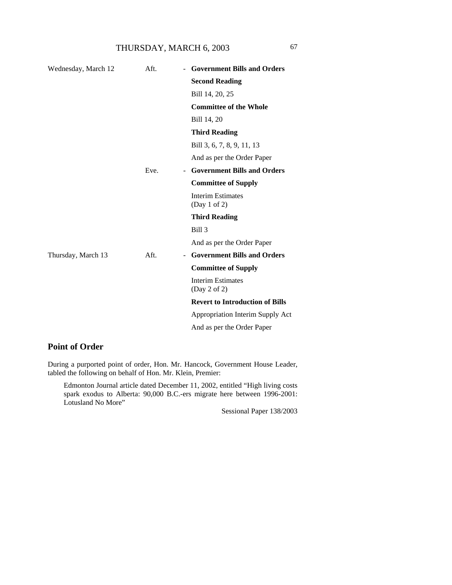| Wednesday, March 12 | Aft. | <b>Government Bills and Orders</b>       |
|---------------------|------|------------------------------------------|
|                     |      | <b>Second Reading</b>                    |
|                     |      | Bill 14, 20, 25                          |
|                     |      | <b>Committee of the Whole</b>            |
|                     |      | Bill 14, 20                              |
|                     |      | <b>Third Reading</b>                     |
|                     |      | Bill 3, 6, 7, 8, 9, 11, 13               |
|                     |      | And as per the Order Paper               |
|                     | Eve. | <b>Government Bills and Orders</b>       |
|                     |      | <b>Committee of Supply</b>               |
|                     |      | <b>Interim Estimates</b><br>(Day 1 of 2) |
|                     |      | <b>Third Reading</b>                     |
|                     |      | Bill 3                                   |
|                     |      | And as per the Order Paper               |
| Thursday, March 13  | Aft. | <b>Government Bills and Orders</b>       |
|                     |      | <b>Committee of Supply</b>               |
|                     |      | <b>Interim Estimates</b><br>(Day 2 of 2) |
|                     |      | <b>Revert to Introduction of Bills</b>   |
|                     |      | Appropriation Interim Supply Act         |
|                     |      | And as per the Order Paper               |
|                     |      |                                          |

# **Point of Order**

During a purported point of order, Hon. Mr. Hancock, Government House Leader, tabled the following on behalf of Hon. Mr. Klein, Premier:

Edmonton Journal article dated December 11, 2002, entitled "High living costs spark exodus to Alberta: 90,000 B.C.-ers migrate here between 1996-2001: Lotusland No More"

Sessional Paper 138/2003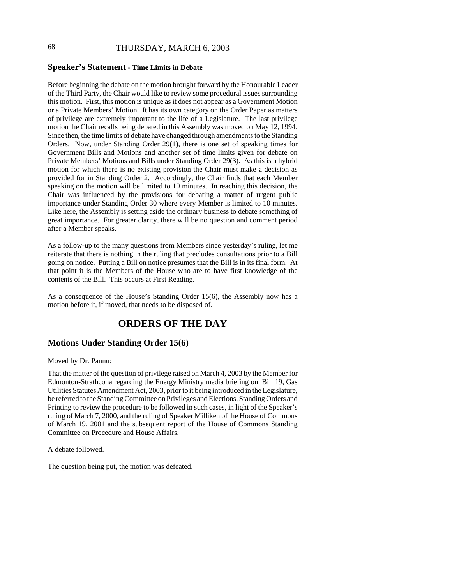# 68 THURSDAY, MARCH 6, 2003

#### **Speaker's Statement - Time Limits in Debate**

Before beginning the debate on the motion brought forward by the Honourable Leader of the Third Party, the Chair would like to review some procedural issues surrounding this motion. First, this motion is unique as it does not appear as a Government Motion or a Private Members' Motion. It has its own category on the Order Paper as matters of privilege are extremely important to the life of a Legislature. The last privilege motion the Chair recalls being debated in this Assembly was moved on May 12, 1994. Since then, the time limits of debate have changed through amendments to the Standing Orders. Now, under Standing Order 29(1), there is one set of speaking times for Government Bills and Motions and another set of time limits given for debate on Private Members' Motions and Bills under Standing Order 29(3). As this is a hybrid motion for which there is no existing provision the Chair must make a decision as provided for in Standing Order 2. Accordingly, the Chair finds that each Member speaking on the motion will be limited to 10 minutes. In reaching this decision, the Chair was influenced by the provisions for debating a matter of urgent public importance under Standing Order 30 where every Member is limited to 10 minutes. Like here, the Assembly is setting aside the ordinary business to debate something of great importance. For greater clarity, there will be no question and comment period after a Member speaks.

As a follow-up to the many questions from Members since yesterday's ruling, let me reiterate that there is nothing in the ruling that precludes consultations prior to a Bill going on notice. Putting a Bill on notice presumes that the Bill is in its final form. At that point it is the Members of the House who are to have first knowledge of the contents of the Bill. This occurs at First Reading.

As a consequence of the House's Standing Order 15(6), the Assembly now has a motion before it, if moved, that needs to be disposed of.

# **ORDERS OF THE DAY**

#### **Motions Under Standing Order 15(6)**

Moved by Dr. Pannu:

That the matter of the question of privilege raised on March 4, 2003 by the Member for Edmonton-Strathcona regarding the Energy Ministry media briefing on Bill 19, Gas Utilities Statutes Amendment Act, 2003, prior to it being introduced in the Legislature, be referred to the Standing Committee on Privileges and Elections, Standing Orders and Printing to review the procedure to be followed in such cases, in light of the Speaker's ruling of March 7, 2000, and the ruling of Speaker Milliken of the House of Commons of March 19, 2001 and the subsequent report of the House of Commons Standing Committee on Procedure and House Affairs.

A debate followed.

The question being put, the motion was defeated.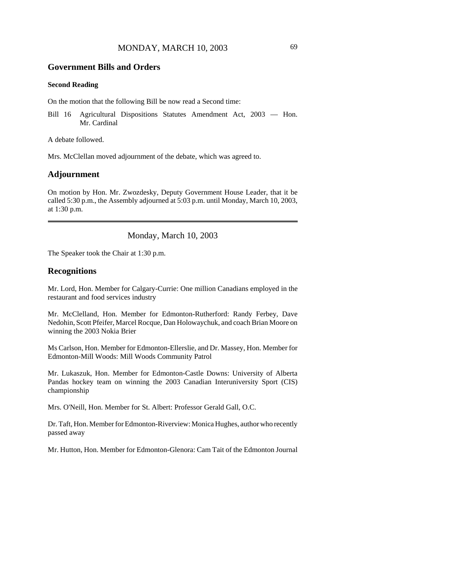#### **Government Bills and Orders**

#### **Second Reading**

On the motion that the following Bill be now read a Second time:

Bill 16 Agricultural Dispositions Statutes Amendment Act, 2003 — Hon. Mr. Cardinal

A debate followed.

Mrs. McClellan moved adjournment of the debate, which was agreed to.

#### **Adjournment**

On motion by Hon. Mr. Zwozdesky, Deputy Government House Leader, that it be called 5:30 p.m., the Assembly adjourned at 5:03 p.m. until Monday, March 10, 2003, at 1:30 p.m.

### Monday, March 10, 2003

The Speaker took the Chair at 1:30 p.m.

#### **Recognitions**

Mr. Lord, Hon. Member for Calgary-Currie: One million Canadians employed in the restaurant and food services industry

Mr. McClelland, Hon. Member for Edmonton-Rutherford: Randy Ferbey, Dave Nedohin, Scott Pfeifer, Marcel Rocque, Dan Holowaychuk, and coach Brian Moore on winning the 2003 Nokia Brier

Ms Carlson, Hon. Member for Edmonton-Ellerslie, and Dr. Massey, Hon. Member for Edmonton-Mill Woods: Mill Woods Community Patrol

Mr. Lukaszuk, Hon. Member for Edmonton-Castle Downs: University of Alberta Pandas hockey team on winning the 2003 Canadian Interuniversity Sport (CIS) championship

Mrs. O'Neill, Hon. Member for St. Albert: Professor Gerald Gall, O.C.

Dr. Taft, Hon. Member for Edmonton-Riverview: Monica Hughes, author who recently passed away

Mr. Hutton, Hon. Member for Edmonton-Glenora: Cam Tait of the Edmonton Journal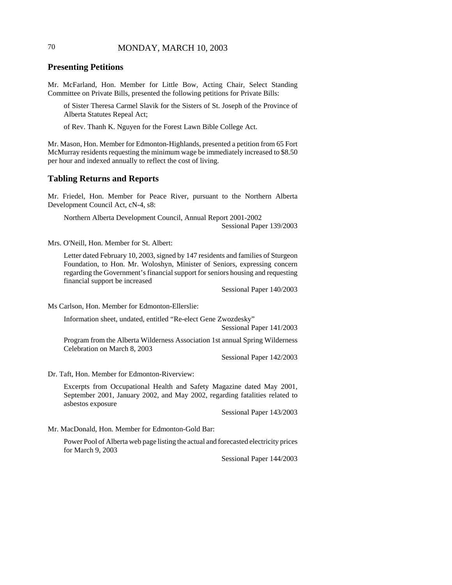## 70 MONDAY, MARCH 10, 2003

## **Presenting Petitions**

Mr. McFarland, Hon. Member for Little Bow, Acting Chair, Select Standing Committee on Private Bills, presented the following petitions for Private Bills:

of Sister Theresa Carmel Slavik for the Sisters of St. Joseph of the Province of Alberta Statutes Repeal Act;

of Rev. Thanh K. Nguyen for the Forest Lawn Bible College Act.

Mr. Mason, Hon. Member for Edmonton-Highlands, presented a petition from 65 Fort McMurray residents requesting the minimum wage be immediately increased to \$8.50 per hour and indexed annually to reflect the cost of living.

### **Tabling Returns and Reports**

Mr. Friedel, Hon. Member for Peace River, pursuant to the Northern Alberta Development Council Act, cN-4, s8:

Northern Alberta Development Council, Annual Report 2001-2002 Sessional Paper 139/2003

Mrs. O'Neill, Hon. Member for St. Albert:

Letter dated February 10, 2003, signed by 147 residents and families of Sturgeon Foundation, to Hon. Mr. Woloshyn, Minister of Seniors, expressing concern regarding the Government's financial support for seniors housing and requesting financial support be increased

Sessional Paper 140/2003

Ms Carlson, Hon. Member for Edmonton-Ellerslie:

Information sheet, undated, entitled "Re-elect Gene Zwozdesky"

Sessional Paper 141/2003

Program from the Alberta Wilderness Association 1st annual Spring Wilderness Celebration on March 8, 2003

Sessional Paper 142/2003

Dr. Taft, Hon. Member for Edmonton-Riverview:

Excerpts from Occupational Health and Safety Magazine dated May 2001, September 2001, January 2002, and May 2002, regarding fatalities related to asbestos exposure

Sessional Paper 143/2003

Mr. MacDonald, Hon. Member for Edmonton-Gold Bar:

Power Pool of Alberta web page listing the actual and forecasted electricity prices for March 9, 2003

Sessional Paper 144/2003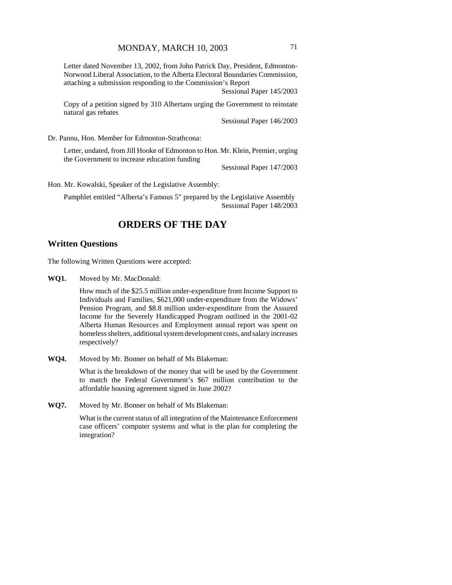Letter dated November 13, 2002, from John Patrick Day, President, Edmonton-Norwood Liberal Association, to the Alberta Electoral Boundaries Commission, attaching a submission responding to the Commission's Report

Sessional Paper 145/2003

Copy of a petition signed by 310 Albertans urging the Government to reinstate natural gas rebates

Sessional Paper 146/2003

Dr. Pannu, Hon. Member for Edmonton-Strathcona:

Letter, undated, from Jill Hooke of Edmonton to Hon. Mr. Klein, Premier, urging the Government to increase education funding

Sessional Paper 147/2003

Hon. Mr. Kowalski, Speaker of the Legislative Assembly:

Pamphlet entitled "Alberta's Famous 5" prepared by the Legislative Assembly Sessional Paper 148/2003

# **ORDERS OF THE DAY**

## **Written Questions**

The following Written Questions were accepted:

**WQ1.** Moved by Mr. MacDonald:

How much of the \$25.5 million under-expenditure from Income Support to Individuals and Families, \$621,000 under-expenditure from the Widows' Pension Program, and \$8.8 million under-expenditure from the Assured Income for the Severely Handicapped Program outlined in the 2001-02 Alberta Human Resources and Employment annual report was spent on homeless shelters, additional system development costs, and salary increases respectively?

**WQ4.** Moved by Mr. Bonner on behalf of Ms Blakeman:

What is the breakdown of the money that will be used by the Government to match the Federal Government's \$67 million contribution to the affordable housing agreement signed in June 2002?

**WQ7.** Moved by Mr. Bonner on behalf of Ms Blakeman:

What is the current status of all integration of the Maintenance Enforcement case officers' computer systems and what is the plan for completing the integration?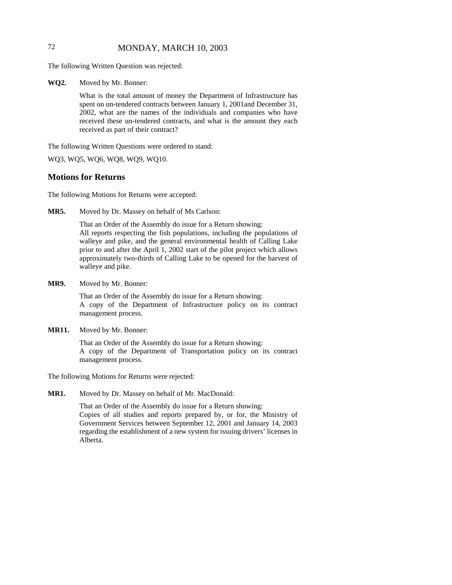## 72 MONDAY, MARCH 10, 2003

The following Written Question was rejected:

**WQ2.** Moved by Mr. Bonner:

What is the total amount of money the Department of Infrastructure has spent on un-tendered contracts between January 1, 2001and December 31, 2002, what are the names of the individuals and companies who have received these un-tendered contracts, and what is the amount they each received as part of their contract?

The following Written Questions were ordered to stand:

WQ3, WQ5, WQ6, WQ8, WQ9, WQ10.

### **Motions for Returns**

The following Motions for Returns were accepted:

**MR5.** Moved by Dr. Massey on behalf of Ms Carlson:

That an Order of the Assembly do issue for a Return showing: All reports respecting the fish populations, including the populations of walleye and pike, and the general environmental health of Calling Lake prior to and after the April 1, 2002 start of the pilot project which allows approximately two-thirds of Calling Lake to be opened for the harvest of walleye and pike.

**MR9.** Moved by Mr. Bonner:

That an Order of the Assembly do issue for a Return showing: A copy of the Department of Infrastructure policy on its contract management process.

**MR11.** Moved by Mr. Bonner:

That an Order of the Assembly do issue for a Return showing: A copy of the Department of Transportation policy on its contract management process.

The following Motions for Returns were rejected:

**MR1.** Moved by Dr. Massey on behalf of Mr. MacDonald:

That an Order of the Assembly do issue for a Return showing: Copies of all studies and reports prepared by, or for, the Ministry of Government Services between September 12, 2001 and January 14, 2003 regarding the establishment of a new system for issuing drivers' licenses in Alberta.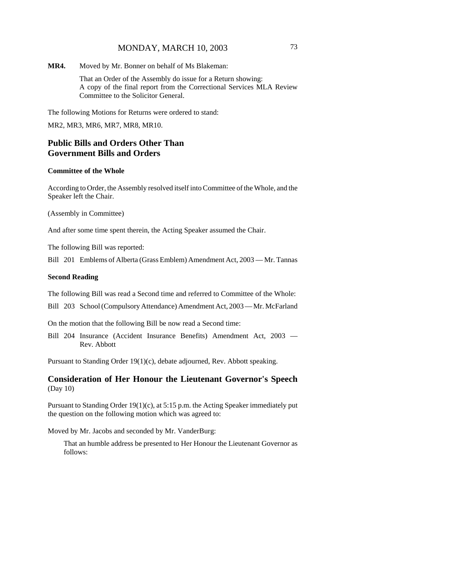**MR4.** Moved by Mr. Bonner on behalf of Ms Blakeman:

That an Order of the Assembly do issue for a Return showing: A copy of the final report from the Correctional Services MLA Review Committee to the Solicitor General.

The following Motions for Returns were ordered to stand:

MR2, MR3, MR6, MR7, MR8, MR10.

## **Public Bills and Orders Other Than Government Bills and Orders**

#### **Committee of the Whole**

According to Order, the Assembly resolved itself into Committee of the Whole, and the Speaker left the Chair.

(Assembly in Committee)

And after some time spent therein, the Acting Speaker assumed the Chair.

The following Bill was reported:

Bill 201 Emblems of Alberta (Grass Emblem) Amendment Act, 2003 — Mr. Tannas

#### **Second Reading**

The following Bill was read a Second time and referred to Committee of the Whole:

Bill 203 School (Compulsory Attendance) Amendment Act, 2003 — Mr. McFarland

On the motion that the following Bill be now read a Second time:

Bill 204 Insurance (Accident Insurance Benefits) Amendment Act, 2003 — Rev. Abbott

Pursuant to Standing Order 19(1)(c), debate adjourned, Rev. Abbott speaking.

## **Consideration of Her Honour the Lieutenant Governor's Speech** (Day 10)

Pursuant to Standing Order 19(1)(c), at 5:15 p.m. the Acting Speaker immediately put the question on the following motion which was agreed to:

Moved by Mr. Jacobs and seconded by Mr. VanderBurg:

That an humble address be presented to Her Honour the Lieutenant Governor as follows: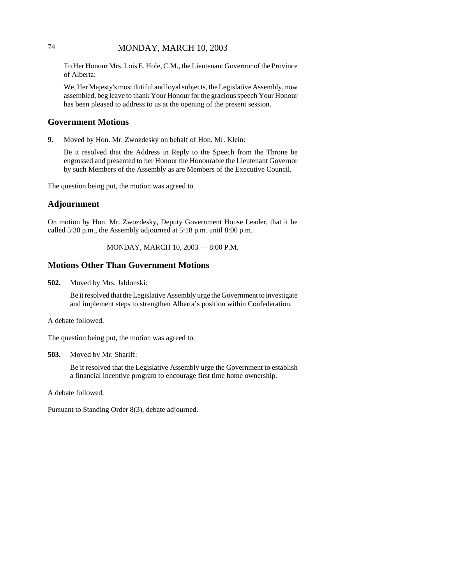## 74 MONDAY, MARCH 10, 2003

To Her Honour Mrs. Lois E. Hole, C.M., the Lieutenant Governor of the Province of Alberta:

We, Her Majesty's most dutiful and loyal subjects, the Legislative Assembly, now assembled, beg leave to thank Your Honour for the gracious speech Your Honour has been pleased to address to us at the opening of the present session.

### **Government Motions**

**9.** Moved by Hon. Mr. Zwozdesky on behalf of Hon. Mr. Klein:

Be it resolved that the Address in Reply to the Speech from the Throne be engrossed and presented to her Honour the Honourable the Lieutenant Governor by such Members of the Assembly as are Members of the Executive Council.

The question being put, the motion was agreed to.

## **Adjournment**

On motion by Hon. Mr. Zwozdesky, Deputy Government House Leader, that it be called 5:30 p.m., the Assembly adjourned at 5:18 p.m. until 8:00 p.m.

MONDAY, MARCH 10, 2003 — 8:00 P.M.

### **Motions Other Than Government Motions**

**502.** Moved by Mrs. Jablonski:

Be it resolved that the Legislative Assembly urge the Government to investigate and implement steps to strengthen Alberta's position within Confederation.

#### A debate followed.

The question being put, the motion was agreed to.

**503.** Moved by Mr. Shariff:

Be it resolved that the Legislative Assembly urge the Government to establish a financial incentive program to encourage first time home ownership.

A debate followed.

Pursuant to Standing Order 8(3), debate adjourned.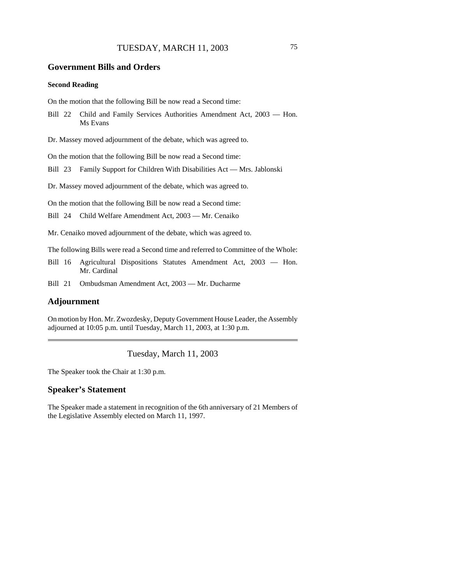### **Government Bills and Orders**

### **Second Reading**

On the motion that the following Bill be now read a Second time:

Bill 22 Child and Family Services Authorities Amendment Act, 2003 — Hon. Ms Evans

Dr. Massey moved adjournment of the debate, which was agreed to.

On the motion that the following Bill be now read a Second time:

Bill 23 Family Support for Children With Disabilities Act — Mrs. Jablonski

Dr. Massey moved adjournment of the debate, which was agreed to.

On the motion that the following Bill be now read a Second time:

Bill 24 Child Welfare Amendment Act, 2003 — Mr. Cenaiko

Mr. Cenaiko moved adjournment of the debate, which was agreed to.

The following Bills were read a Second time and referred to Committee of the Whole:

- Bill 16 Agricultural Dispositions Statutes Amendment Act, 2003 Hon. Mr. Cardinal
- Bill 21 Ombudsman Amendment Act, 2003 Mr. Ducharme

## **Adjournment**

On motion by Hon. Mr. Zwozdesky, Deputy Government House Leader, the Assembly adjourned at 10:05 p.m. until Tuesday, March 11, 2003, at 1:30 p.m.

Tuesday, March 11, 2003

The Speaker took the Chair at 1:30 p.m.

## **Speaker's Statement**

The Speaker made a statement in recognition of the 6th anniversary of 21 Members of the Legislative Assembly elected on March 11, 1997.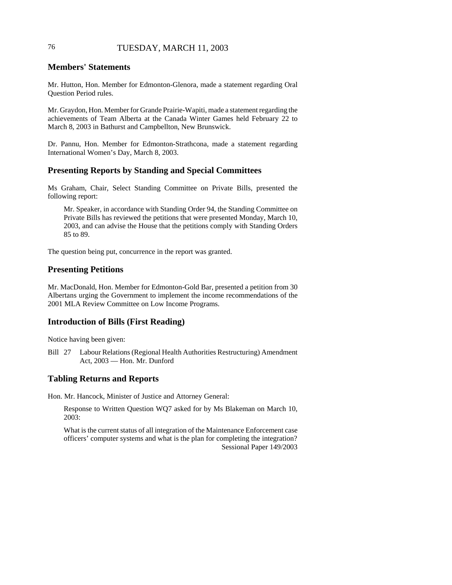## 76 TUESDAY, MARCH 11, 2003

## **Members' Statements**

Mr. Hutton, Hon. Member for Edmonton-Glenora, made a statement regarding Oral Question Period rules.

Mr. Graydon, Hon. Member for Grande Prairie-Wapiti, made a statement regarding the achievements of Team Alberta at the Canada Winter Games held February 22 to March 8, 2003 in Bathurst and Campbellton, New Brunswick.

Dr. Pannu, Hon. Member for Edmonton-Strathcona, made a statement regarding International Women's Day, March 8, 2003.

### **Presenting Reports by Standing and Special Committees**

Ms Graham, Chair, Select Standing Committee on Private Bills, presented the following report:

Mr. Speaker, in accordance with Standing Order 94, the Standing Committee on Private Bills has reviewed the petitions that were presented Monday, March 10, 2003, and can advise the House that the petitions comply with Standing Orders 85 to 89.

The question being put, concurrence in the report was granted.

### **Presenting Petitions**

Mr. MacDonald, Hon. Member for Edmonton-Gold Bar, presented a petition from 30 Albertans urging the Government to implement the income recommendations of the 2001 MLA Review Committee on Low Income Programs.

### **Introduction of Bills (First Reading)**

Notice having been given:

Bill 27 Labour Relations (Regional Health Authorities Restructuring) Amendment Act, 2003 — Hon. Mr. Dunford

## **Tabling Returns and Reports**

Hon. Mr. Hancock, Minister of Justice and Attorney General:

Response to Written Question WQ7 asked for by Ms Blakeman on March 10, 2003:

What is the current status of all integration of the Maintenance Enforcement case officers' computer systems and what is the plan for completing the integration? Sessional Paper 149/2003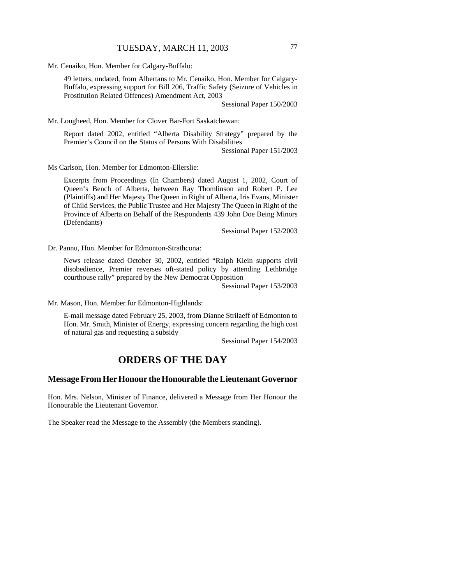Mr. Cenaiko, Hon. Member for Calgary-Buffalo:

49 letters, undated, from Albertans to Mr. Cenaiko, Hon. Member for Calgary-Buffalo, expressing support for Bill 206, Traffic Safety (Seizure of Vehicles in Prostitution Related Offences) Amendment Act, 2003

Sessional Paper 150/2003

Mr. Lougheed, Hon. Member for Clover Bar-Fort Saskatchewan:

Report dated 2002, entitled "Alberta Disability Strategy" prepared by the Premier's Council on the Status of Persons With Disabilities

Sessional Paper 151/2003

Ms Carlson, Hon. Member for Edmonton-Ellerslie:

Excerpts from Proceedings (In Chambers) dated August 1, 2002, Court of Queen's Bench of Alberta, between Ray Thomlinson and Robert P. Lee (Plaintiffs) and Her Majesty The Queen in Right of Alberta, Iris Evans, Minister of Child Services, the Public Trustee and Her Majesty The Queen in Right of the Province of Alberta on Behalf of the Respondents 439 John Doe Being Minors (Defendants)

Sessional Paper 152/2003

Dr. Pannu, Hon. Member for Edmonton-Strathcona:

News release dated October 30, 2002, entitled "Ralph Klein supports civil disobedience, Premier reverses oft-stated policy by attending Lethbridge courthouse rally" prepared by the New Democrat Opposition

Sessional Paper 153/2003

Mr. Mason, Hon. Member for Edmonton-Highlands:

E-mail message dated February 25, 2003, from Dianne Strilaeff of Edmonton to Hon. Mr. Smith, Minister of Energy, expressing concern regarding the high cost of natural gas and requesting a subsidy

Sessional Paper 154/2003

## **ORDERS OF THE DAY**

### **Message From Her Honour the Honourable the Lieutenant Governor**

Hon. Mrs. Nelson, Minister of Finance, delivered a Message from Her Honour the Honourable the Lieutenant Governor.

The Speaker read the Message to the Assembly (the Members standing).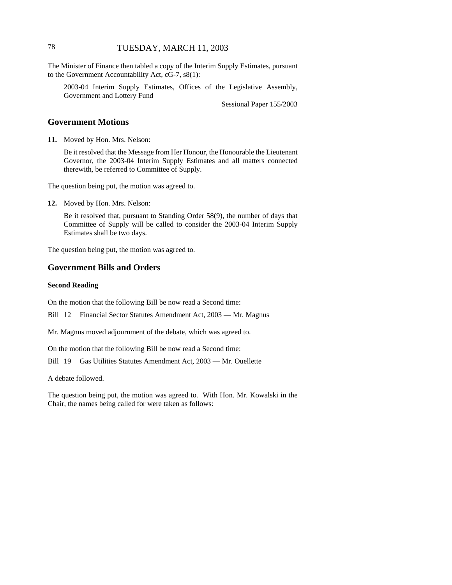## 78 TUESDAY, MARCH 11, 2003

The Minister of Finance then tabled a copy of the Interim Supply Estimates, pursuant to the Government Accountability Act, cG-7, s8(1):

2003-04 Interim Supply Estimates, Offices of the Legislative Assembly, Government and Lottery Fund

Sessional Paper 155/2003

## **Government Motions**

**11.** Moved by Hon. Mrs. Nelson:

Be it resolved that the Message from Her Honour, the Honourable the Lieutenant Governor, the 2003-04 Interim Supply Estimates and all matters connected therewith, be referred to Committee of Supply.

The question being put, the motion was agreed to.

**12.** Moved by Hon. Mrs. Nelson:

Be it resolved that, pursuant to Standing Order 58(9), the number of days that Committee of Supply will be called to consider the 2003-04 Interim Supply Estimates shall be two days.

The question being put, the motion was agreed to.

## **Government Bills and Orders**

### **Second Reading**

On the motion that the following Bill be now read a Second time:

Bill 12 Financial Sector Statutes Amendment Act, 2003 — Mr. Magnus

Mr. Magnus moved adjournment of the debate, which was agreed to.

On the motion that the following Bill be now read a Second time:

Bill 19 Gas Utilities Statutes Amendment Act, 2003 — Mr. Ouellette

A debate followed.

The question being put, the motion was agreed to. With Hon. Mr. Kowalski in the Chair, the names being called for were taken as follows: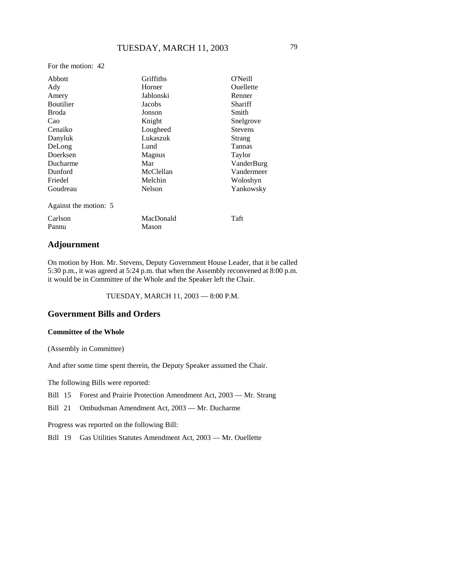For the motion: 42

| Abbott                | Griffiths     | O'Neill          |
|-----------------------|---------------|------------------|
| Ady                   | Horner        | <b>Ouellette</b> |
| Amery                 | Jablonski     | Renner           |
| <b>Boutilier</b>      | Jacobs        | Shariff          |
| <b>Broda</b>          | Jonson        | Smith            |
| Cao                   | Knight        | Snelgrove        |
| Cenaiko               | Lougheed      | <b>Stevens</b>   |
| Danyluk               | Lukaszuk      | Strang           |
| DeLong                | Lund          | Tannas           |
| Doerksen              | <b>Magnus</b> | Taylor           |
| Ducharme              | Mar           | VanderBurg       |
| Dunford               | McClellan     | Vandermeer       |
| Friedel               | Melchin       | Woloshyn         |
| Goudreau              | Nelson        | Yankowsky        |
| Against the motion: 5 |               |                  |
| Carlson               | MacDonald     | Taft             |
| Pannu                 | Mason         |                  |

## **Adjournment**

On motion by Hon. Mr. Stevens, Deputy Government House Leader, that it be called 5:30 p.m., it was agreed at 5:24 p.m. that when the Assembly reconvened at 8:00 p.m. it would be in Committee of the Whole and the Speaker left the Chair.

TUESDAY, MARCH 11, 2003 — 8:00 P.M.

## **Government Bills and Orders**

### **Committee of the Whole**

(Assembly in Committee)

And after some time spent therein, the Deputy Speaker assumed the Chair.

The following Bills were reported:

Bill 15 Forest and Prairie Protection Amendment Act, 2003 — Mr. Strang

Bill 21 Ombudsman Amendment Act, 2003 — Mr. Ducharme

Progress was reported on the following Bill:

Bill 19 Gas Utilities Statutes Amendment Act, 2003 — Mr. Ouellette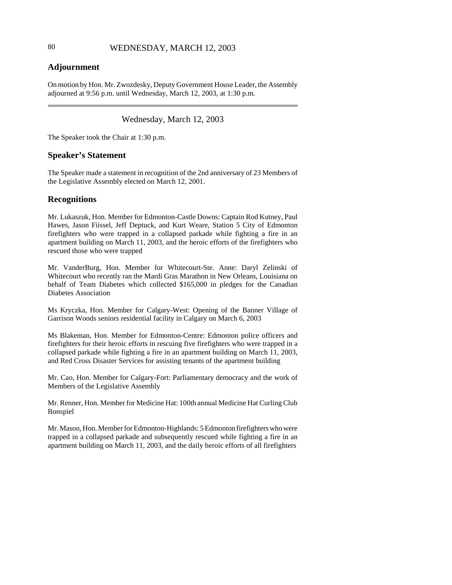## **Adjournment**

On motion by Hon. Mr. Zwozdesky, Deputy Government House Leader, the Assembly adjourned at 9:56 p.m. until Wednesday, March 12, 2003, at 1:30 p.m.

## Wednesday, March 12, 2003

The Speaker took the Chair at 1:30 p.m.

## **Speaker's Statement**

The Speaker made a statement in recognition of the 2nd anniversary of 23 Members of the Legislative Assembly elected on March 12, 2001.

## **Recognitions**

Mr. Lukaszuk, Hon. Member for Edmonton-Castle Downs: Captain Rod Kutney, Paul Hawes, Jason Fiissel, Jeff Deptuck, and Kurt Weare, Station 5 City of Edmonton firefighters who were trapped in a collapsed parkade while fighting a fire in an apartment building on March 11, 2003, and the heroic efforts of the firefighters who rescued those who were trapped

Mr. VanderBurg, Hon. Member for Whitecourt-Ste. Anne: Daryl Zelinski of Whitecourt who recently ran the Mardi Gras Marathon in New Orleans, Louisiana on behalf of Team Diabetes which collected \$165,000 in pledges for the Canadian Diabetes Association

Ms Kryczka, Hon. Member for Calgary-West: Opening of the Banner Village of Garrison Woods seniors residential facility in Calgary on March 6, 2003

Ms Blakeman, Hon. Member for Edmonton-Centre: Edmonton police officers and firefighters for their heroic efforts in rescuing five firefighters who were trapped in a collapsed parkade while fighting a fire in an apartment building on March 11, 2003, and Red Cross Disaster Services for assisting tenants of the apartment building

Mr. Cao, Hon. Member for Calgary-Fort: Parliamentary democracy and the work of Members of the Legislative Assembly

Mr. Renner, Hon. Member for Medicine Hat: 100th annual Medicine Hat Curling Club Bonspiel

Mr. Mason, Hon. Member for Edmonton-Highlands: 5 Edmonton firefighters who were trapped in a collapsed parkade and subsequently rescued while fighting a fire in an apartment building on March 11, 2003, and the daily heroic efforts of all firefighters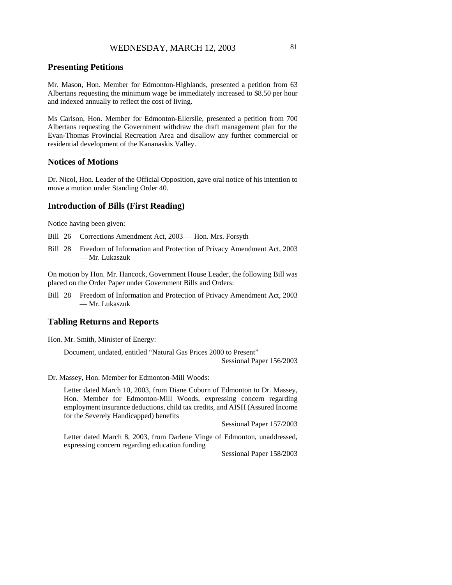## **Presenting Petitions**

Mr. Mason, Hon. Member for Edmonton-Highlands, presented a petition from 63 Albertans requesting the minimum wage be immediately increased to \$8.50 per hour and indexed annually to reflect the cost of living.

Ms Carlson, Hon. Member for Edmonton-Ellerslie, presented a petition from 700 Albertans requesting the Government withdraw the draft management plan for the Evan-Thomas Provincial Recreation Area and disallow any further commercial or residential development of the Kananaskis Valley.

### **Notices of Motions**

Dr. Nicol, Hon. Leader of the Official Opposition, gave oral notice of his intention to move a motion under Standing Order 40.

### **Introduction of Bills (First Reading)**

Notice having been given:

Bill 26 Corrections Amendment Act, 2003 — Hon. Mrs. Forsyth

Bill 28 Freedom of Information and Protection of Privacy Amendment Act, 2003 — Mr. Lukaszuk

On motion by Hon. Mr. Hancock, Government House Leader, the following Bill was placed on the Order Paper under Government Bills and Orders:

Bill 28 Freedom of Information and Protection of Privacy Amendment Act, 2003 — Mr. Lukaszuk

### **Tabling Returns and Reports**

Hon. Mr. Smith, Minister of Energy:

Document, undated, entitled "Natural Gas Prices 2000 to Present" Sessional Paper 156/2003

Dr. Massey, Hon. Member for Edmonton-Mill Woods:

Letter dated March 10, 2003, from Diane Coburn of Edmonton to Dr. Massey, Hon. Member for Edmonton-Mill Woods, expressing concern regarding employment insurance deductions, child tax credits, and AISH (Assured Income for the Severely Handicapped) benefits

Sessional Paper 157/2003

Letter dated March 8, 2003, from Darlene Vinge of Edmonton, unaddressed, expressing concern regarding education funding

Sessional Paper 158/2003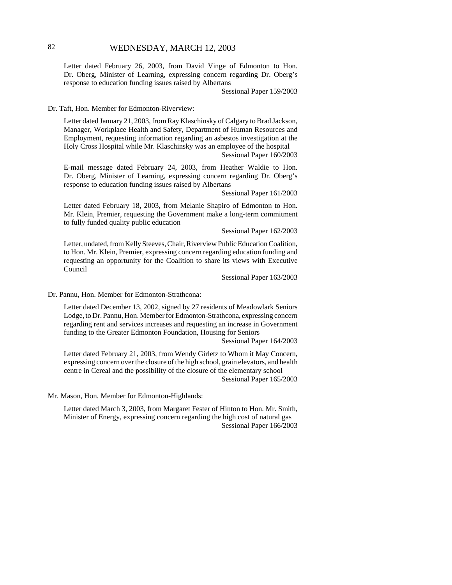## 82 WEDNESDAY, MARCH 12, 2003

Letter dated February 26, 2003, from David Vinge of Edmonton to Hon. Dr. Oberg, Minister of Learning, expressing concern regarding Dr. Oberg's response to education funding issues raised by Albertans

Sessional Paper 159/2003

Dr. Taft, Hon. Member for Edmonton-Riverview:

Letter dated January 21, 2003, from Ray Klaschinsky of Calgary to Brad Jackson, Manager, Workplace Health and Safety, Department of Human Resources and Employment, requesting information regarding an asbestos investigation at the Holy Cross Hospital while Mr. Klaschinsky was an employee of the hospital Sessional Paper 160/2003

E-mail message dated February 24, 2003, from Heather Waldie to Hon. Dr. Oberg, Minister of Learning, expressing concern regarding Dr. Oberg's response to education funding issues raised by Albertans

Sessional Paper 161/2003

Letter dated February 18, 2003, from Melanie Shapiro of Edmonton to Hon. Mr. Klein, Premier, requesting the Government make a long-term commitment to fully funded quality public education

Sessional Paper 162/2003

Letter, undated, from Kelly Steeves, Chair, Riverview Public Education Coalition, to Hon. Mr. Klein, Premier, expressing concern regarding education funding and requesting an opportunity for the Coalition to share its views with Executive Council

Sessional Paper 163/2003

Dr. Pannu, Hon. Member for Edmonton-Strathcona:

Letter dated December 13, 2002, signed by 27 residents of Meadowlark Seniors Lodge, to Dr. Pannu, Hon. Member for Edmonton-Strathcona, expressing concern regarding rent and services increases and requesting an increase in Government funding to the Greater Edmonton Foundation, Housing for Seniors

Sessional Paper 164/2003

Letter dated February 21, 2003, from Wendy Girletz to Whom it May Concern, expressing concern over the closure of the high school, grain elevators, and health centre in Cereal and the possibility of the closure of the elementary school Sessional Paper 165/2003

Mr. Mason, Hon. Member for Edmonton-Highlands:

Letter dated March 3, 2003, from Margaret Fester of Hinton to Hon. Mr. Smith, Minister of Energy, expressing concern regarding the high cost of natural gas Sessional Paper 166/2003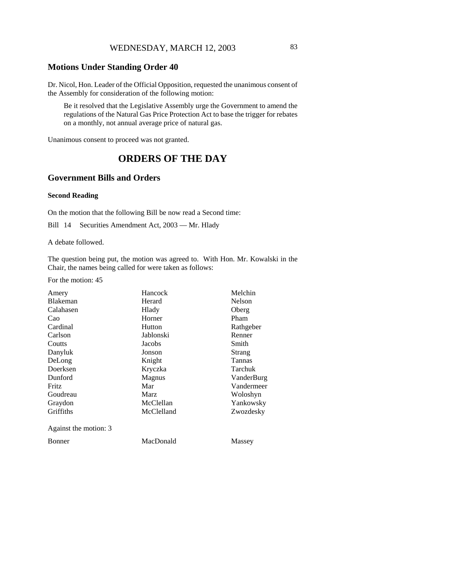## **Motions Under Standing Order 40**

Dr. Nicol, Hon. Leader of the Official Opposition, requested the unanimous consent of the Assembly for consideration of the following motion:

Be it resolved that the Legislative Assembly urge the Government to amend the regulations of the Natural Gas Price Protection Act to base the trigger for rebates on a monthly, not annual average price of natural gas.

Unanimous consent to proceed was not granted.

# **ORDERS OF THE DAY**

## **Government Bills and Orders**

#### **Second Reading**

On the motion that the following Bill be now read a Second time:

Bill 14 Securities Amendment Act, 2003 — Mr. Hlady

A debate followed.

The question being put, the motion was agreed to. With Hon. Mr. Kowalski in the Chair, the names being called for were taken as follows:

For the motion: 45

| Amery                 | Hancock    | Melchin       |
|-----------------------|------------|---------------|
| Blakeman              | Herard     | <b>Nelson</b> |
| Calahasen             | Hlady      | Oberg         |
| Cao                   | Horner     | Pham          |
| Cardinal              | Hutton     | Rathgeber     |
| Carlson               | Jablonski  | Renner        |
| Coutts                | Jacobs     | Smith         |
| Danyluk               | Jonson     | Strang        |
| DeLong                | Knight     | <b>Tannas</b> |
| Doerksen              | Kryczka    | Tarchuk       |
| Dunford               | Magnus     | VanderBurg    |
| Fritz                 | Mar        | Vandermeer    |
| Goudreau              | Marz       | Woloshyn      |
| Graydon               | McClellan  | Yankowsky     |
| Griffiths             | McClelland | Zwozdesky     |
| Against the motion: 3 |            |               |
| Bonner                | MacDonald  | Massey        |
|                       |            |               |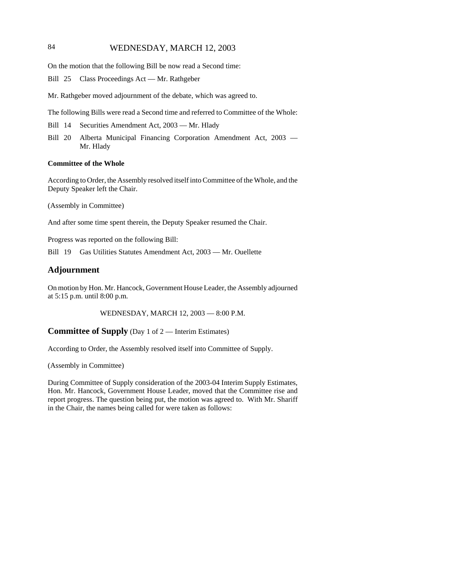## 84 WEDNESDAY, MARCH 12, 2003

On the motion that the following Bill be now read a Second time:

Bill 25 Class Proceedings Act — Mr. Rathgeber

Mr. Rathgeber moved adjournment of the debate, which was agreed to.

The following Bills were read a Second time and referred to Committee of the Whole:

- Bill 14 Securities Amendment Act, 2003 Mr. Hlady
- Bill 20 Alberta Municipal Financing Corporation Amendment Act, 2003 Mr. Hlady

#### **Committee of the Whole**

According to Order, the Assembly resolved itself into Committee of the Whole, and the Deputy Speaker left the Chair.

(Assembly in Committee)

And after some time spent therein, the Deputy Speaker resumed the Chair.

Progress was reported on the following Bill:

Bill 19 Gas Utilities Statutes Amendment Act, 2003 — Mr. Ouellette

### **Adjournment**

On motion by Hon. Mr. Hancock, Government House Leader, the Assembly adjourned at 5:15 p.m. until 8:00 p.m.

WEDNESDAY, MARCH 12, 2003 — 8:00 P.M.

**Committee of Supply** (Day 1 of 2 — Interim Estimates)

According to Order, the Assembly resolved itself into Committee of Supply.

(Assembly in Committee)

During Committee of Supply consideration of the 2003-04 Interim Supply Estimates, Hon. Mr. Hancock, Government House Leader, moved that the Committee rise and report progress. The question being put, the motion was agreed to. With Mr. Shariff in the Chair, the names being called for were taken as follows: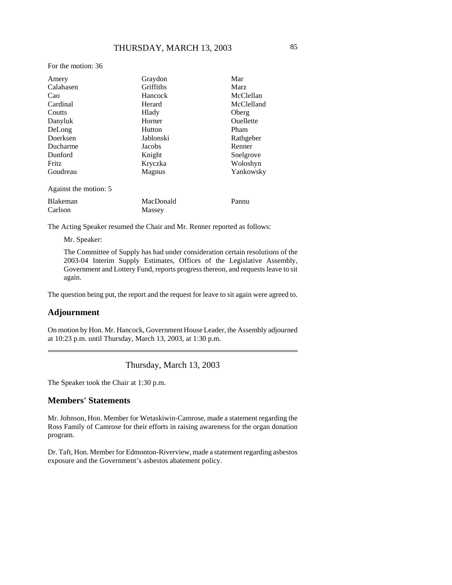For the motion: 36

| Amery                 | Graydon       | Mar        |
|-----------------------|---------------|------------|
| Calahasen             | Griffiths     | Marz       |
| Cao                   | Hancock       | McClellan  |
| Cardinal              | Herard        | McClelland |
| Coutts                | Hlady         | Oberg      |
| Danyluk               | Horner        | Ouellette  |
| DeLong                | Hutton        | Pham       |
| Doerksen              | Jablonski     | Rathgeber  |
| Ducharme              | Jacobs        | Renner     |
| Dunford               | Knight        | Snelgrove  |
| <b>Fritz</b>          | Kryczka       | Woloshyn   |
| Goudreau              | <b>Magnus</b> | Yankowsky  |
| Against the motion: 5 |               |            |
| <b>Blakeman</b>       | MacDonald     | Pannu      |
| Carlson               | Massey        |            |

The Acting Speaker resumed the Chair and Mr. Renner reported as follows:

Mr. Speaker:

The Committee of Supply has had under consideration certain resolutions of the 2003-04 Interim Supply Estimates, Offices of the Legislative Assembly, Government and Lottery Fund, reports progress thereon, and requests leave to sit again.

The question being put, the report and the request for leave to sit again were agreed to.

## **Adjournment**

On motion by Hon. Mr. Hancock, Government House Leader, the Assembly adjourned at 10:23 p.m. until Thursday, March 13, 2003, at 1:30 p.m.

Thursday, March 13, 2003

The Speaker took the Chair at 1:30 p.m.

## **Members' Statements**

Mr. Johnson, Hon. Member for Wetaskiwin-Camrose, made a statement regarding the Ross Family of Camrose for their efforts in raising awareness for the organ donation program.

Dr. Taft, Hon. Member for Edmonton-Riverview, made a statement regarding asbestos exposure and the Government's asbestos abatement policy.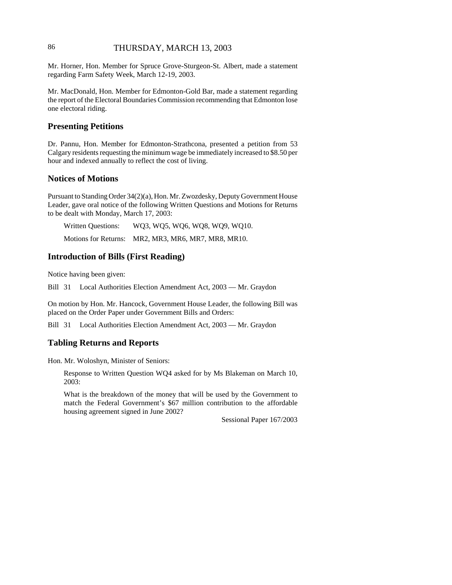## 86 THURSDAY, MARCH 13, 2003

Mr. Horner, Hon. Member for Spruce Grove-Sturgeon-St. Albert, made a statement regarding Farm Safety Week, March 12-19, 2003.

Mr. MacDonald, Hon. Member for Edmonton-Gold Bar, made a statement regarding the report of the Electoral Boundaries Commission recommending that Edmonton lose one electoral riding.

## **Presenting Petitions**

Dr. Pannu, Hon. Member for Edmonton-Strathcona, presented a petition from 53 Calgary residents requesting the minimum wage be immediately increased to \$8.50 per hour and indexed annually to reflect the cost of living.

### **Notices of Motions**

Pursuant to Standing Order 34(2)(a), Hon. Mr. Zwozdesky, Deputy Government House Leader, gave oral notice of the following Written Questions and Motions for Returns to be dealt with Monday, March 17, 2003:

| <b>Written Questions:</b>   | WQ3, WQ5, WQ6, WQ8, WQ9, WQ10. |
|-----------------------------|--------------------------------|
| <b>Motions for Returns:</b> | MR2, MR3, MR6, MR7, MR8, MR10. |

## **Introduction of Bills (First Reading)**

Notice having been given:

Bill 31 Local Authorities Election Amendment Act, 2003 — Mr. Graydon

On motion by Hon. Mr. Hancock, Government House Leader, the following Bill was placed on the Order Paper under Government Bills and Orders:

Bill 31 Local Authorities Election Amendment Act, 2003 — Mr. Graydon

### **Tabling Returns and Reports**

Hon. Mr. Woloshyn, Minister of Seniors:

Response to Written Question WQ4 asked for by Ms Blakeman on March 10, 2003:

What is the breakdown of the money that will be used by the Government to match the Federal Government's \$67 million contribution to the affordable housing agreement signed in June 2002?

Sessional Paper 167/2003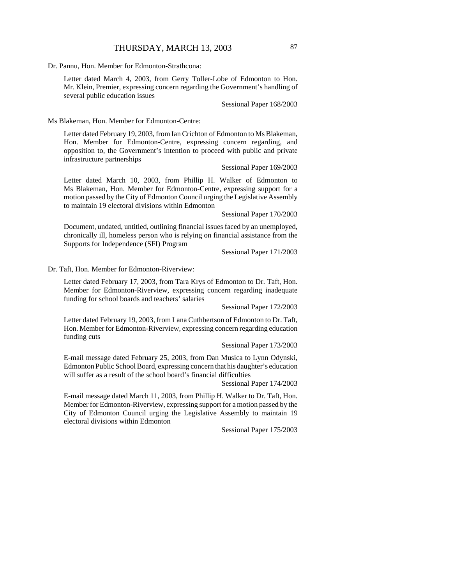Dr. Pannu, Hon. Member for Edmonton-Strathcona:

Letter dated March 4, 2003, from Gerry Toller-Lobe of Edmonton to Hon. Mr. Klein, Premier, expressing concern regarding the Government's handling of several public education issues

Sessional Paper 168/2003

Ms Blakeman, Hon. Member for Edmonton-Centre:

Letter dated February 19, 2003, from Ian Crichton of Edmonton to Ms Blakeman, Hon. Member for Edmonton-Centre, expressing concern regarding, and opposition to, the Government's intention to proceed with public and private infrastructure partnerships

Sessional Paper 169/2003

Letter dated March 10, 2003, from Phillip H. Walker of Edmonton to Ms Blakeman, Hon. Member for Edmonton-Centre, expressing support for a motion passed by the City of Edmonton Council urging the Legislative Assembly to maintain 19 electoral divisions within Edmonton

Sessional Paper 170/2003

Document, undated, untitled, outlining financial issues faced by an unemployed, chronically ill, homeless person who is relying on financial assistance from the Supports for Independence (SFI) Program

Sessional Paper 171/2003

Dr. Taft, Hon. Member for Edmonton-Riverview:

Letter dated February 17, 2003, from Tara Krys of Edmonton to Dr. Taft, Hon. Member for Edmonton-Riverview, expressing concern regarding inadequate funding for school boards and teachers' salaries

Sessional Paper 172/2003

Letter dated February 19, 2003, from Lana Cuthbertson of Edmonton to Dr. Taft, Hon. Member for Edmonton-Riverview, expressing concern regarding education funding cuts

Sessional Paper 173/2003

E-mail message dated February 25, 2003, from Dan Musica to Lynn Odynski, Edmonton Public School Board, expressing concern that his daughter's education will suffer as a result of the school board's financial difficulties

Sessional Paper 174/2003

E-mail message dated March 11, 2003, from Phillip H. Walker to Dr. Taft, Hon. Member for Edmonton-Riverview, expressing support for a motion passed by the City of Edmonton Council urging the Legislative Assembly to maintain 19 electoral divisions within Edmonton

Sessional Paper 175/2003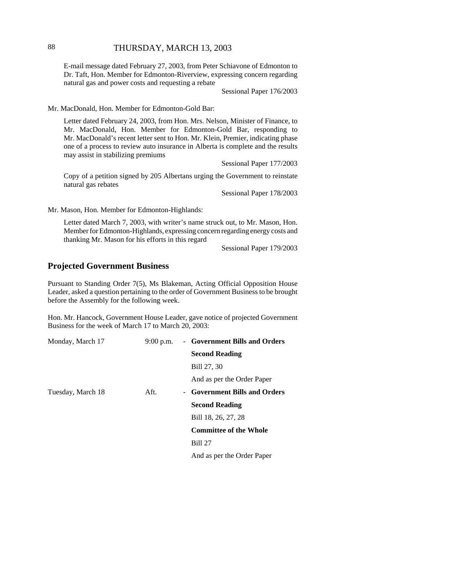## 88 THURSDAY, MARCH 13, 2003

E-mail message dated February 27, 2003, from Peter Schiavone of Edmonton to Dr. Taft, Hon. Member for Edmonton-Riverview, expressing concern regarding natural gas and power costs and requesting a rebate

Sessional Paper 176/2003

Mr. MacDonald, Hon. Member for Edmonton-Gold Bar:

Letter dated February 24, 2003, from Hon. Mrs. Nelson, Minister of Finance, to Mr. MacDonald, Hon. Member for Edmonton-Gold Bar, responding to Mr. MacDonald's recent letter sent to Hon. Mr. Klein, Premier, indicating phase one of a process to review auto insurance in Alberta is complete and the results may assist in stabilizing premiums

Sessional Paper 177/2003

Copy of a petition signed by 205 Albertans urging the Government to reinstate natural gas rebates

Sessional Paper 178/2003

Mr. Mason, Hon. Member for Edmonton-Highlands:

Letter dated March 7, 2003, with writer's name struck out, to Mr. Mason, Hon. Member for Edmonton-Highlands, expressing concern regarding energy costs and thanking Mr. Mason for his efforts in this regard

Sessional Paper 179/2003

## **Projected Government Business**

Pursuant to Standing Order 7(5), Ms Blakeman, Acting Official Opposition House Leader, asked a question pertaining to the order of Government Business to be brought before the Assembly for the following week.

Hon. Mr. Hancock, Government House Leader, gave notice of projected Government Business for the week of March 17 to March 20, 2003:

| Monday, March 17  | $9:00$ p.m. | - Government Bills and Orders |
|-------------------|-------------|-------------------------------|
|                   |             | <b>Second Reading</b>         |
|                   |             | Bill 27, 30                   |
|                   |             | And as per the Order Paper    |
| Tuesday, March 18 | Aft.        | - Government Bills and Orders |
|                   |             | <b>Second Reading</b>         |
|                   |             | Bill 18, 26, 27, 28           |
|                   |             | <b>Committee of the Whole</b> |
|                   |             | <b>Bill 27</b>                |
|                   |             | And as per the Order Paper    |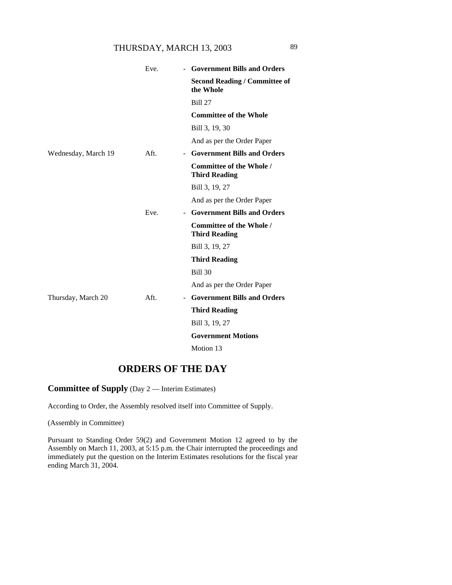## THURSDAY, MARCH 13, 2003 89

|                     | Eve. | <b>Government Bills and Orders</b>                      |
|---------------------|------|---------------------------------------------------------|
|                     |      | <b>Second Reading / Committee of</b><br>the Whole       |
|                     |      | <b>Bill 27</b>                                          |
|                     |      | <b>Committee of the Whole</b>                           |
|                     |      | Bill 3, 19, 30                                          |
|                     |      | And as per the Order Paper                              |
| Wednesday, March 19 | Aft. | <b>Government Bills and Orders</b><br>$\sim$            |
|                     |      | <b>Committee of the Whole /</b><br><b>Third Reading</b> |
|                     |      | Bill 3, 19, 27                                          |
|                     |      | And as per the Order Paper                              |
|                     | Eve. | <b>Government Bills and Orders</b><br>$\sim$            |
|                     |      | Committee of the Whole /<br><b>Third Reading</b>        |
|                     |      | Bill 3, 19, 27                                          |
|                     |      | <b>Third Reading</b>                                    |
|                     |      | <b>Bill 30</b>                                          |
|                     |      | And as per the Order Paper                              |
| Thursday, March 20  | Aft. | <b>Government Bills and Orders</b><br>$\sim$            |
|                     |      | <b>Third Reading</b>                                    |
|                     |      | Bill 3, 19, 27                                          |
|                     |      | <b>Government Motions</b>                               |
|                     |      | Motion 13                                               |

# **ORDERS OF THE DAY**

**Committee of Supply** (Day 2 — Interim Estimates)

According to Order, the Assembly resolved itself into Committee of Supply.

(Assembly in Committee)

Pursuant to Standing Order 59(2) and Government Motion 12 agreed to by the Assembly on March 11, 2003, at 5:15 p.m. the Chair interrupted the proceedings and immediately put the question on the Interim Estimates resolutions for the fiscal year ending March 31, 2004.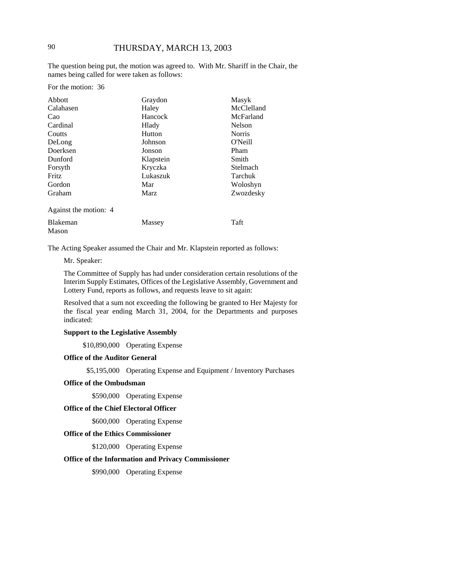The question being put, the motion was agreed to. With Mr. Shariff in the Chair, the names being called for were taken as follows:

For the motion: 36

| Abbott                   | Graydon     | Masyk         |
|--------------------------|-------------|---------------|
| Calahasen                | Haley       | McClelland    |
| Cao                      | Hancock     | McFarland     |
| Cardinal                 | Hlady       | Nelson        |
| Coutts                   | Hutton      | <b>Norris</b> |
| DeLong                   | Johnson     | O'Neill       |
| Doerksen                 | Jonson      | Pham          |
| Dunford                  | Klapstein   | Smith         |
| Forsyth                  | Kryczka     | Stelmach      |
| Fritz                    | Lukaszuk    | Tarchuk       |
| Gordon                   | Mar         | Woloshyn      |
| Graham                   | <b>Marz</b> | Zwozdesky     |
| Against the motion: 4    |             |               |
| <b>Blakeman</b><br>Mason | Massey      | Taft          |

The Acting Speaker assumed the Chair and Mr. Klapstein reported as follows:

#### Mr. Speaker:

The Committee of Supply has had under consideration certain resolutions of the Interim Supply Estimates, Offices of the Legislative Assembly, Government and Lottery Fund, reports as follows, and requests leave to sit again:

Resolved that a sum not exceeding the following be granted to Her Majesty for the fiscal year ending March 31, 2004, for the Departments and purposes indicated:

### **Support to the Legislative Assembly**

\$10,890,000 Operating Expense

### **Office of the Auditor General**

\$5,195,000 Operating Expense and Equipment / Inventory Purchases

#### **Office of the Ombudsman**

\$590,000 Operating Expense

#### **Office of the Chief Electoral Officer**

\$600,000 Operating Expense

#### **Office of the Ethics Commissioner**

\$120,000 Operating Expense

### **Office of the Information and Privacy Commissioner**

\$990,000 Operating Expense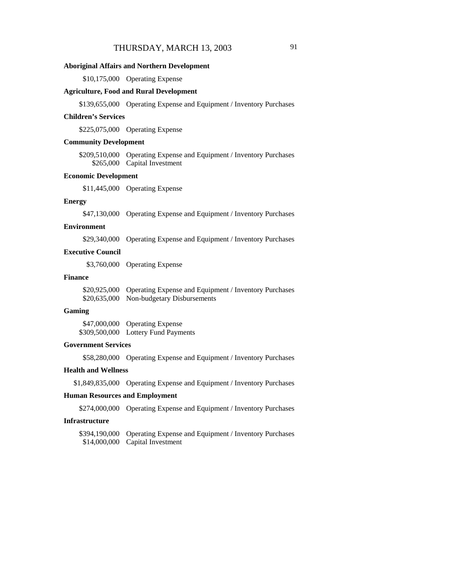#### **Aboriginal Affairs and Northern Development**

\$10,175,000 Operating Expense

#### **Agriculture, Food and Rural Development**

\$139,655,000 Operating Expense and Equipment / Inventory Purchases

#### **Children's Services**

\$225,075,000 Operating Expense

#### **Community Development**

\$209,510,000 Operating Expense and Equipment / Inventory Purchases \$265,000 Capital Investment

### **Economic Development**

\$11,445,000 Operating Expense

#### **Energy**

\$47,130,000 Operating Expense and Equipment / Inventory Purchases

#### **Environment**

\$29,340,000 Operating Expense and Equipment / Inventory Purchases

### **Executive Council**

\$3,760,000 Operating Expense

#### **Finance**

| \$20,925,000 Operating Expense and Equipment / Inventory Purchases |
|--------------------------------------------------------------------|
| \$20,635,000 Non-budgetary Disbursements                           |

#### **Gaming**

\$47,000,000 Operating Expense \$309,500,000 Lottery Fund Payments

#### **Government Services**

\$58,280,000 Operating Expense and Equipment / Inventory Purchases

#### **Health and Wellness**

\$1,849,835,000 Operating Expense and Equipment / Inventory Purchases

#### **Human Resources and Employment**

\$274,000,000 Operating Expense and Equipment / Inventory Purchases

### **Infrastructure**

\$394,190,000 Operating Expense and Equipment / Inventory Purchases \$14,000,000 Capital Investment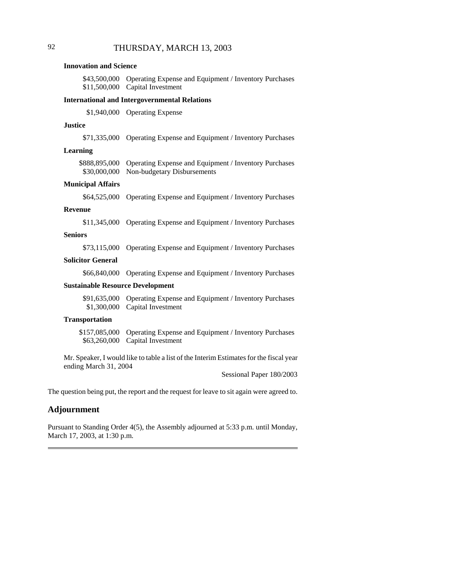#### **Innovation and Science**

\$43,500,000 Operating Expense and Equipment / Inventory Purchases \$11,500,000 Capital Investment

#### **International and Intergovernmental Relations**

\$1,940,000 Operating Expense

#### **Justice**

\$71,335,000 Operating Expense and Equipment / Inventory Purchases

#### **Learning**

| \$888,895,000 Operating Expense and Equipment / Inventory Purchases |
|---------------------------------------------------------------------|
| \$30,000,000 Non-budgetary Disbursements                            |

#### **Municipal Affairs**

\$64,525,000 Operating Expense and Equipment / Inventory Purchases

#### **Revenue**

\$11,345,000 Operating Expense and Equipment / Inventory Purchases

#### **Seniors**

\$73,115,000 Operating Expense and Equipment / Inventory Purchases

### **Solicitor General**

\$66,840,000 Operating Expense and Equipment / Inventory Purchases

#### **Sustainable Resource Development**

\$91,635,000 Operating Expense and Equipment / Inventory Purchases \$1,300,000 Capital Investment

#### **Transportation**

\$157,085,000 Operating Expense and Equipment / Inventory Purchases \$63,260,000 Capital Investment

Mr. Speaker, I would like to table a list of the Interim Estimates for the fiscal year ending March 31, 2004

Sessional Paper 180/2003

The question being put, the report and the request for leave to sit again were agreed to.

### **Adjournment**

Pursuant to Standing Order 4(5), the Assembly adjourned at 5:33 p.m. until Monday, March 17, 2003, at 1:30 p.m.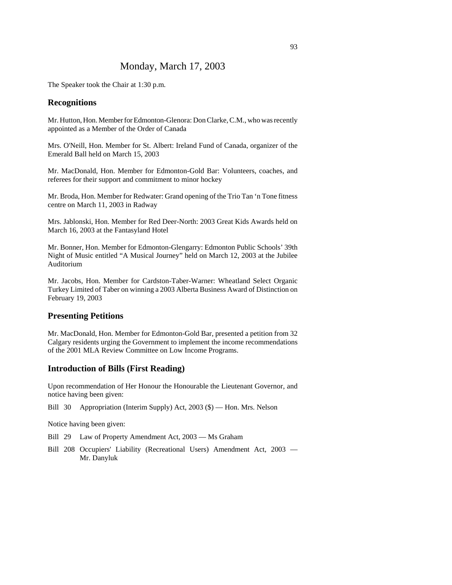## Monday, March 17, 2003

The Speaker took the Chair at 1:30 p.m.

### **Recognitions**

Mr. Hutton, Hon. Member for Edmonton-Glenora: Don Clarke, C.M., who was recently appointed as a Member of the Order of Canada

Mrs. O'Neill, Hon. Member for St. Albert: Ireland Fund of Canada, organizer of the Emerald Ball held on March 15, 2003

Mr. MacDonald, Hon. Member for Edmonton-Gold Bar: Volunteers, coaches, and referees for their support and commitment to minor hockey

Mr. Broda, Hon. Member for Redwater: Grand opening of the Trio Tan 'n Tone fitness centre on March 11, 2003 in Radway

Mrs. Jablonski, Hon. Member for Red Deer-North: 2003 Great Kids Awards held on March 16, 2003 at the Fantasyland Hotel

Mr. Bonner, Hon. Member for Edmonton-Glengarry: Edmonton Public Schools' 39th Night of Music entitled "A Musical Journey" held on March 12, 2003 at the Jubilee Auditorium

Mr. Jacobs, Hon. Member for Cardston-Taber-Warner: Wheatland Select Organic Turkey Limited of Taber on winning a 2003 Alberta Business Award of Distinction on February 19, 2003

#### **Presenting Petitions**

Mr. MacDonald, Hon. Member for Edmonton-Gold Bar, presented a petition from 32 Calgary residents urging the Government to implement the income recommendations of the 2001 MLA Review Committee on Low Income Programs.

#### **Introduction of Bills (First Reading)**

Upon recommendation of Her Honour the Honourable the Lieutenant Governor, and notice having been given:

Bill 30 Appropriation (Interim Supply) Act, 2003 (\$) — Hon. Mrs. Nelson

Notice having been given:

- Bill 29 Law of Property Amendment Act, 2003 Ms Graham
- Bill 208 Occupiers' Liability (Recreational Users) Amendment Act, 2003 Mr. Danyluk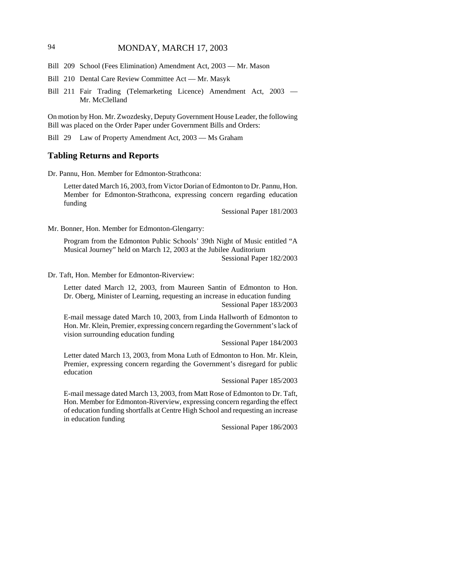## 94 MONDAY, MARCH 17, 2003

- Bill 209 School (Fees Elimination) Amendment Act, 2003 Mr. Mason
- Bill 210 Dental Care Review Committee Act Mr. Masyk
- Bill 211 Fair Trading (Telemarketing Licence) Amendment Act, 2003 Mr. McClelland

On motion by Hon. Mr. Zwozdesky, Deputy Government House Leader, the following Bill was placed on the Order Paper under Government Bills and Orders:

Bill 29 Law of Property Amendment Act, 2003 — Ms Graham

#### **Tabling Returns and Reports**

Dr. Pannu, Hon. Member for Edmonton-Strathcona:

Letter dated March 16, 2003, from Victor Dorian of Edmonton to Dr. Pannu, Hon. Member for Edmonton-Strathcona, expressing concern regarding education funding

Sessional Paper 181/2003

Mr. Bonner, Hon. Member for Edmonton-Glengarry:

Program from the Edmonton Public Schools' 39th Night of Music entitled "A Musical Journey" held on March 12, 2003 at the Jubilee Auditorium Sessional Paper 182/2003

Dr. Taft, Hon. Member for Edmonton-Riverview:

Letter dated March 12, 2003, from Maureen Santin of Edmonton to Hon. Dr. Oberg, Minister of Learning, requesting an increase in education funding Sessional Paper 183/2003

E-mail message dated March 10, 2003, from Linda Hallworth of Edmonton to Hon. Mr. Klein, Premier, expressing concern regarding the Government's lack of vision surrounding education funding

Sessional Paper 184/2003

Letter dated March 13, 2003, from Mona Luth of Edmonton to Hon. Mr. Klein, Premier, expressing concern regarding the Government's disregard for public education

Sessional Paper 185/2003

E-mail message dated March 13, 2003, from Matt Rose of Edmonton to Dr. Taft, Hon. Member for Edmonton-Riverview, expressing concern regarding the effect of education funding shortfalls at Centre High School and requesting an increase in education funding

Sessional Paper 186/2003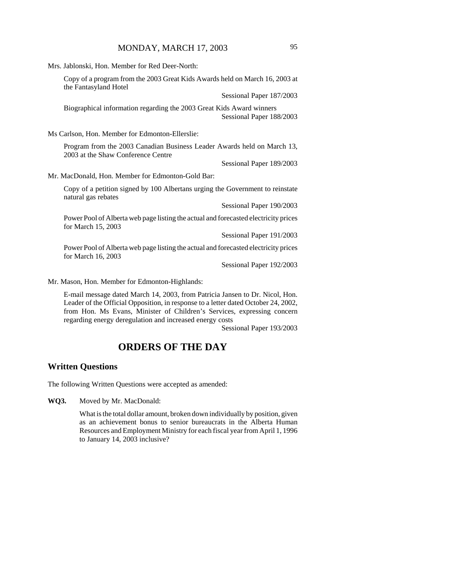Mrs. Jablonski, Hon. Member for Red Deer-North: Copy of a program from the 2003 Great Kids Awards held on March 16, 2003 at the Fantasyland Hotel Sessional Paper 187/2003 Biographical information regarding the 2003 Great Kids Award winners Sessional Paper 188/2003 Ms Carlson, Hon. Member for Edmonton-Ellerslie: Program from the 2003 Canadian Business Leader Awards held on March 13, 2003 at the Shaw Conference Centre Sessional Paper 189/2003 Mr. MacDonald, Hon. Member for Edmonton-Gold Bar:

Copy of a petition signed by 100 Albertans urging the Government to reinstate natural gas rebates

Sessional Paper 190/2003

Power Pool of Alberta web page listing the actual and forecasted electricity prices for March 15, 2003

Sessional Paper 191/2003

Power Pool of Alberta web page listing the actual and forecasted electricity prices for March 16, 2003

Sessional Paper 192/2003

Mr. Mason, Hon. Member for Edmonton-Highlands:

E-mail message dated March 14, 2003, from Patricia Jansen to Dr. Nicol, Hon. Leader of the Official Opposition, in response to a letter dated October 24, 2002, from Hon. Ms Evans, Minister of Children's Services, expressing concern regarding energy deregulation and increased energy costs

Sessional Paper 193/2003

# **ORDERS OF THE DAY**

## **Written Questions**

The following Written Questions were accepted as amended:

**WQ3.** Moved by Mr. MacDonald:

What is the total dollar amount, broken down individually by position, given as an achievement bonus to senior bureaucrats in the Alberta Human Resources and Employment Ministry for each fiscal year from April 1, 1996 to January 14, 2003 inclusive?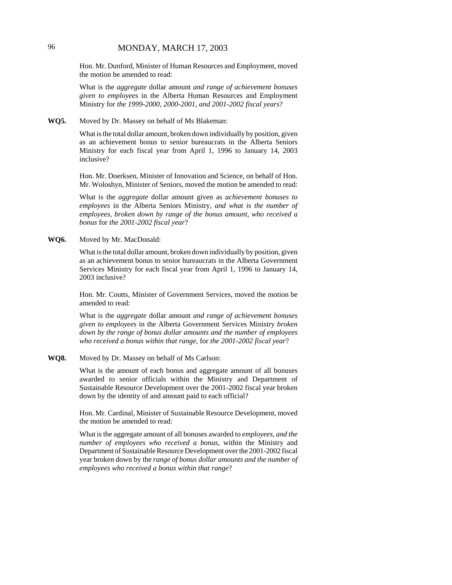## 96 MONDAY, MARCH 17, 2003

Hon. Mr. Dunford, Minister of Human Resources and Employment, moved the motion be amended to read:

What is the *aggregate* dollar amount *and range of achievement bonuses given to employees* in the Alberta Human Resources and Employment Ministry for *the 1999-2000, 2000-2001, and 2001-2002 fiscal years*?

#### **WQ5.** Moved by Dr. Massey on behalf of Ms Blakeman:

What is the total dollar amount, broken down individually by position, given as an achievement bonus to senior bureaucrats in the Alberta Seniors Ministry for each fiscal year from April 1, 1996 to January 14, 2003 inclusive?

Hon. Mr. Doerksen, Minister of Innovation and Science, on behalf of Hon. Mr. Woloshyn, Minister of Seniors, moved the motion be amended to read:

What is the *aggregate* dollar amount given as *achievement bonuses to employees* in the Alberta Seniors Ministry*, and what is the number of employees, broken down by range of the bonus amount, who received a bonus* for *the 2001-2002 fiscal year*?

#### **WQ6.** Moved by Mr. MacDonald:

What is the total dollar amount, broken down individually by position, given as an achievement bonus to senior bureaucrats in the Alberta Government Services Ministry for each fiscal year from April 1, 1996 to January 14, 2003 inclusive?

Hon. Mr. Coutts, Minister of Government Services, moved the motion be amended to read:

What is the *aggregate* dollar amount *and range of achievement bonuses given to employees* in the Alberta Government Services Ministry *broken down by the range of bonus dollar amounts and the number of employees who received a bonus within that range,* for *the 2001-2002 fiscal year*?

#### **WQ8.** Moved by Dr. Massey on behalf of Ms Carlson:

What is the amount of each bonus and aggregate amount of all bonuses awarded to senior officials within the Ministry and Department of Sustainable Resource Development over the 2001-2002 fiscal year broken down by the identity of and amount paid to each official?

Hon. Mr. Cardinal, Minister of Sustainable Resource Development, moved the motion be amended to read:

What is the aggregate amount of all bonuses awarded to *employees, and the number of employees who received a bonus,* within the Ministry and Department of Sustainable Resource Development over the 2001-2002 fiscal year broken down by the *range of bonus dollar amounts and the number of employees who received a bonus within that range*?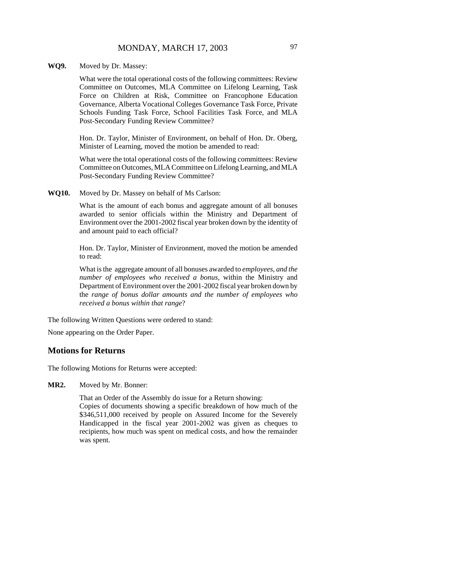#### **WQ9.** Moved by Dr. Massey:

What were the total operational costs of the following committees: Review Committee on Outcomes, MLA Committee on Lifelong Learning, Task Force on Children at Risk, Committee on Francophone Education Governance, Alberta Vocational Colleges Governance Task Force, Private Schools Funding Task Force, School Facilities Task Force, and MLA Post-Secondary Funding Review Committee?

Hon. Dr. Taylor, Minister of Environment, on behalf of Hon. Dr. Oberg, Minister of Learning, moved the motion be amended to read:

What were the total operational costs of the following committees: Review Committee on Outcomes, MLA Committee on Lifelong Learning, and MLA Post-Secondary Funding Review Committee?

**WQ10.** Moved by Dr. Massey on behalf of Ms Carlson:

What is the amount of each bonus and aggregate amount of all bonuses awarded to senior officials within the Ministry and Department of Environment over the 2001-2002 fiscal year broken down by the identity of and amount paid to each official?

Hon. Dr. Taylor, Minister of Environment, moved the motion be amended to read:

What is the aggregate amount of all bonuses awarded to *employees, and the number of employees who received a bonus,* within the Ministry and Department of Environment over the 2001-2002 fiscal year broken down by the *range of bonus dollar amounts and the number of employees who received a bonus within that range*?

The following Written Questions were ordered to stand:

None appearing on the Order Paper.

#### **Motions for Returns**

The following Motions for Returns were accepted:

**MR2.** Moved by Mr. Bonner:

That an Order of the Assembly do issue for a Return showing:

Copies of documents showing a specific breakdown of how much of the \$346,511,000 received by people on Assured Income for the Severely Handicapped in the fiscal year 2001-2002 was given as cheques to recipients, how much was spent on medical costs, and how the remainder was spent.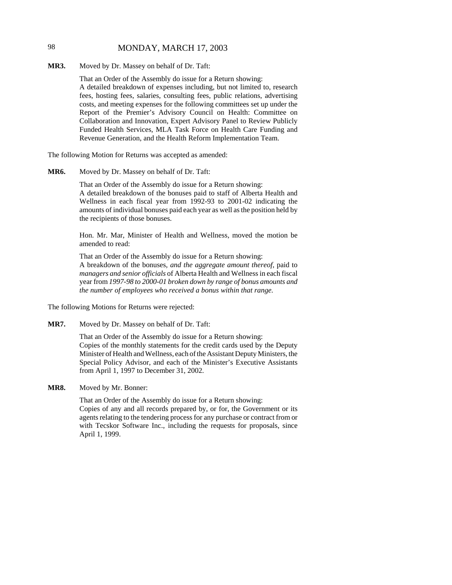## 98 MONDAY, MARCH 17, 2003

**MR3.** Moved by Dr. Massey on behalf of Dr. Taft:

That an Order of the Assembly do issue for a Return showing: A detailed breakdown of expenses including, but not limited to, research fees, hosting fees, salaries, consulting fees, public relations, advertising costs, and meeting expenses for the following committees set up under the Report of the Premier's Advisory Council on Health: Committee on Collaboration and Innovation, Expert Advisory Panel to Review Publicly Funded Health Services, MLA Task Force on Health Care Funding and Revenue Generation, and the Health Reform Implementation Team.

The following Motion for Returns was accepted as amended:

**MR6.** Moved by Dr. Massey on behalf of Dr. Taft:

That an Order of the Assembly do issue for a Return showing: A detailed breakdown of the bonuses paid to staff of Alberta Health and Wellness in each fiscal year from 1992-93 to 2001-02 indicating the amounts of individual bonuses paid each year as well as the position held by the recipients of those bonuses.

Hon. Mr. Mar, Minister of Health and Wellness, moved the motion be amended to read:

That an Order of the Assembly do issue for a Return showing: A breakdown of the bonuses*, and the aggregate amount thereof,* paid to *managers and senior officials* of Alberta Health and Wellness in each fiscal year from *1997-98 to 2000-01 broken down by range of bonus amounts and the number of employees who received a bonus within that range.*

The following Motions for Returns were rejected:

**MR7.** Moved by Dr. Massey on behalf of Dr. Taft:

That an Order of the Assembly do issue for a Return showing: Copies of the monthly statements for the credit cards used by the Deputy Minister of Health and Wellness, each of the Assistant Deputy Ministers, the Special Policy Advisor, and each of the Minister's Executive Assistants from April 1, 1997 to December 31, 2002.

**MR8.** Moved by Mr. Bonner:

That an Order of the Assembly do issue for a Return showing: Copies of any and all records prepared by, or for, the Government or its agents relating to the tendering process for any purchase or contract from or with Tecskor Software Inc., including the requests for proposals, since April 1, 1999.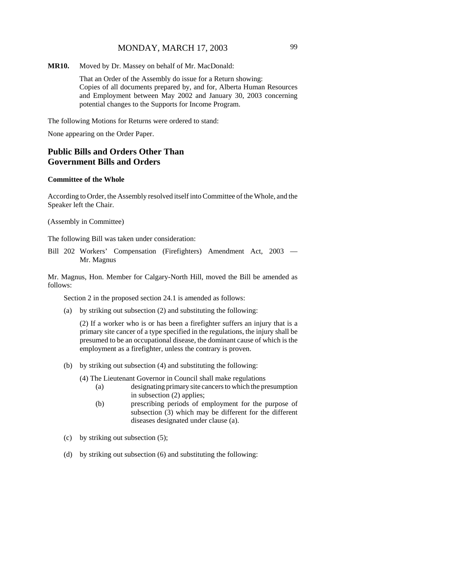**MR10.** Moved by Dr. Massey on behalf of Mr. MacDonald:

That an Order of the Assembly do issue for a Return showing: Copies of all documents prepared by, and for, Alberta Human Resources and Employment between May 2002 and January 30, 2003 concerning potential changes to the Supports for Income Program.

The following Motions for Returns were ordered to stand:

None appearing on the Order Paper.

## **Public Bills and Orders Other Than Government Bills and Orders**

#### **Committee of the Whole**

According to Order, the Assembly resolved itself into Committee of the Whole, and the Speaker left the Chair.

(Assembly in Committee)

The following Bill was taken under consideration:

Bill 202 Workers' Compensation (Firefighters) Amendment Act, 2003 — Mr. Magnus

Mr. Magnus, Hon. Member for Calgary-North Hill, moved the Bill be amended as follows:

Section 2 in the proposed section 24.1 is amended as follows:

(a) by striking out subsection (2) and substituting the following:

(2) If a worker who is or has been a firefighter suffers an injury that is a primary site cancer of a type specified in the regulations, the injury shall be presumed to be an occupational disease, the dominant cause of which is the employment as a firefighter, unless the contrary is proven.

(b) by striking out subsection (4) and substituting the following:

(4) The Lieutenant Governor in Council shall make regulations

- (a) designating primary site cancers to which the presumption in subsection (2) applies;
- (b) prescribing periods of employment for the purpose of subsection (3) which may be different for the different diseases designated under clause (a).
- (c) by striking out subsection (5);
- (d) by striking out subsection (6) and substituting the following: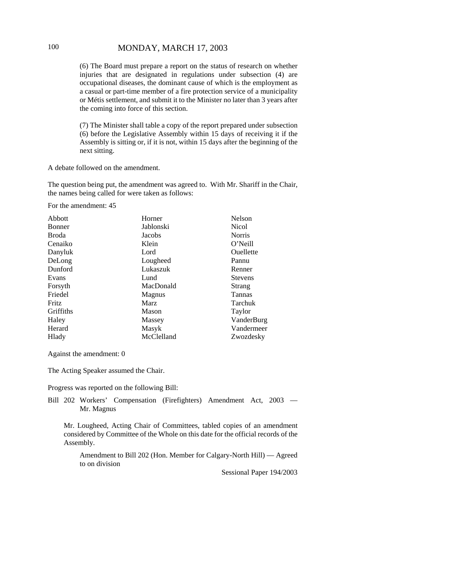## 100 MONDAY, MARCH 17, 2003

(6) The Board must prepare a report on the status of research on whether injuries that are designated in regulations under subsection (4) are occupational diseases, the dominant cause of which is the employment as a casual or part-time member of a fire protection service of a municipality or Métis settlement, and submit it to the Minister no later than 3 years after the coming into force of this section.

(7) The Minister shall table a copy of the report prepared under subsection (6) before the Legislative Assembly within 15 days of receiving it if the Assembly is sitting or, if it is not, within 15 days after the beginning of the next sitting.

A debate followed on the amendment.

The question being put, the amendment was agreed to. With Mr. Shariff in the Chair, the names being called for were taken as follows:

For the amendment: 45

| Abbott        | Horner        | Nelson         |
|---------------|---------------|----------------|
| <b>Bonner</b> | Jablonski     | Nicol          |
| Broda         | Jacobs        | <b>Norris</b>  |
| Cenaiko       | Klein         | O'Neill        |
| Danyluk       | Lord          | Ouellette      |
| DeLong        | Lougheed      | Pannu          |
| Dunford       | Lukaszuk      | Renner         |
| Evans         | Lund          | <b>Stevens</b> |
| Forsyth       | MacDonald     | Strang         |
| Friedel       | <b>Magnus</b> | Tannas         |
| Fritz         | Marz          | Tarchuk        |
| Griffiths     | Mason         | Taylor         |
| Haley         | Massey        | VanderBurg     |
| Herard        | Masyk         | Vandermeer     |
| Hlady         | McClelland    | Zwozdesky      |

Against the amendment: 0

The Acting Speaker assumed the Chair.

Progress was reported on the following Bill:

Bill 202 Workers' Compensation (Firefighters) Amendment Act, 2003 — Mr. Magnus

Mr. Lougheed, Acting Chair of Committees, tabled copies of an amendment considered by Committee of the Whole on this date for the official records of the Assembly.

Amendment to Bill 202 (Hon. Member for Calgary-North Hill) — Agreed to on division

Sessional Paper 194/2003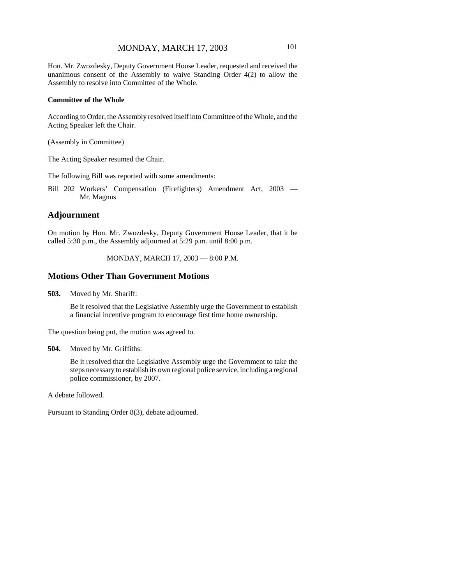Hon. Mr. Zwozdesky, Deputy Government House Leader, requested and received the unanimous consent of the Assembly to waive Standing Order 4(2) to allow the Assembly to resolve into Committee of the Whole.

#### **Committee of the Whole**

According to Order, the Assembly resolved itself into Committee of the Whole, and the Acting Speaker left the Chair.

(Assembly in Committee)

The Acting Speaker resumed the Chair.

The following Bill was reported with some amendments:

Bill 202 Workers' Compensation (Firefighters) Amendment Act, 2003 — Mr. Magnus

### **Adjournment**

On motion by Hon. Mr. Zwozdesky, Deputy Government House Leader, that it be called 5:30 p.m., the Assembly adjourned at 5:29 p.m. until 8:00 p.m.

MONDAY, MARCH 17, 2003 — 8:00 P.M.

## **Motions Other Than Government Motions**

**503.** Moved by Mr. Shariff:

Be it resolved that the Legislative Assembly urge the Government to establish a financial incentive program to encourage first time home ownership.

The question being put, the motion was agreed to.

```
504. Moved by Mr. Griffiths:
```
Be it resolved that the Legislative Assembly urge the Government to take the steps necessary to establish its own regional police service, including a regional police commissioner, by 2007.

A debate followed.

Pursuant to Standing Order 8(3), debate adjourned.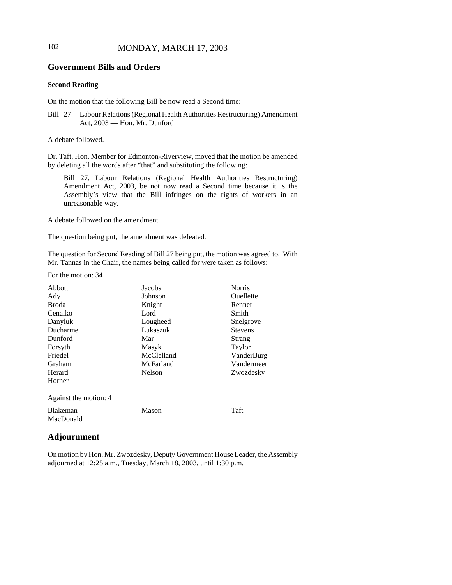## 102 MONDAY, MARCH 17, 2003

## **Government Bills and Orders**

### **Second Reading**

On the motion that the following Bill be now read a Second time:

Bill 27 Labour Relations (Regional Health Authorities Restructuring) Amendment Act, 2003 — Hon. Mr. Dunford

A debate followed.

Dr. Taft, Hon. Member for Edmonton-Riverview, moved that the motion be amended by deleting all the words after "that" and substituting the following:

Bill 27, Labour Relations (Regional Health Authorities Restructuring) Amendment Act, 2003, be not now read a Second time because it is the Assembly's view that the Bill infringes on the rights of workers in an unreasonable way.

A debate followed on the amendment.

The question being put, the amendment was defeated.

The question for Second Reading of Bill 27 being put, the motion was agreed to. With Mr. Tannas in the Chair, the names being called for were taken as follows:

For the motion: 34

| Abbott                       | Jacobs     | <b>Norris</b>  |
|------------------------------|------------|----------------|
| Ady                          | Johnson    | Ouellette      |
| <b>Broda</b>                 | Knight     | Renner         |
| Cenaiko                      | Lord       | Smith          |
| Danyluk                      | Lougheed   | Snelgrove      |
| Ducharme                     | Lukaszuk   | <b>Stevens</b> |
| Dunford                      | Mar        | Strang         |
| Forsyth                      | Masyk      | Taylor         |
| Friedel                      | McClelland | VanderBurg     |
| Graham                       | McFarland  | Vandermeer     |
| Herard                       | Nelson     | Zwozdesky      |
| Horner                       |            |                |
| Against the motion: 4        |            |                |
| <b>Blakeman</b><br>MacDonald | Mason      | Taft           |

## **Adjournment**

On motion by Hon. Mr. Zwozdesky, Deputy Government House Leader, the Assembly adjourned at 12:25 a.m., Tuesday, March 18, 2003, until 1:30 p.m.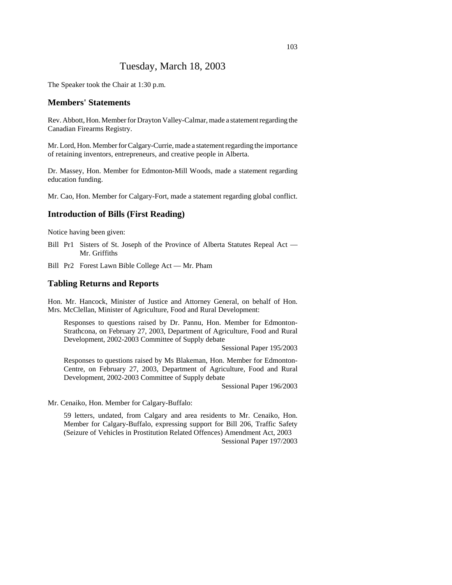## Tuesday, March 18, 2003

The Speaker took the Chair at 1:30 p.m.

### **Members' Statements**

Rev. Abbott, Hon. Member for Drayton Valley-Calmar, made a statement regarding the Canadian Firearms Registry.

Mr. Lord, Hon. Member for Calgary-Currie, made a statement regarding the importance of retaining inventors, entrepreneurs, and creative people in Alberta.

Dr. Massey, Hon. Member for Edmonton-Mill Woods, made a statement regarding education funding.

Mr. Cao, Hon. Member for Calgary-Fort, made a statement regarding global conflict.

### **Introduction of Bills (First Reading)**

Notice having been given:

- Bill Pr1 Sisters of St. Joseph of the Province of Alberta Statutes Repeal Act Mr. Griffiths
- Bill Pr2 Forest Lawn Bible College Act Mr. Pham

### **Tabling Returns and Reports**

Hon. Mr. Hancock, Minister of Justice and Attorney General, on behalf of Hon. Mrs. McClellan, Minister of Agriculture, Food and Rural Development:

Responses to questions raised by Dr. Pannu, Hon. Member for Edmonton-Strathcona, on February 27, 2003, Department of Agriculture, Food and Rural Development, 2002-2003 Committee of Supply debate

Sessional Paper 195/2003

Responses to questions raised by Ms Blakeman, Hon. Member for Edmonton-Centre, on February 27, 2003, Department of Agriculture, Food and Rural Development, 2002-2003 Committee of Supply debate

Sessional Paper 196/2003

Mr. Cenaiko, Hon. Member for Calgary-Buffalo:

59 letters, undated, from Calgary and area residents to Mr. Cenaiko, Hon. Member for Calgary-Buffalo, expressing support for Bill 206, Traffic Safety (Seizure of Vehicles in Prostitution Related Offences) Amendment Act, 2003 Sessional Paper 197/2003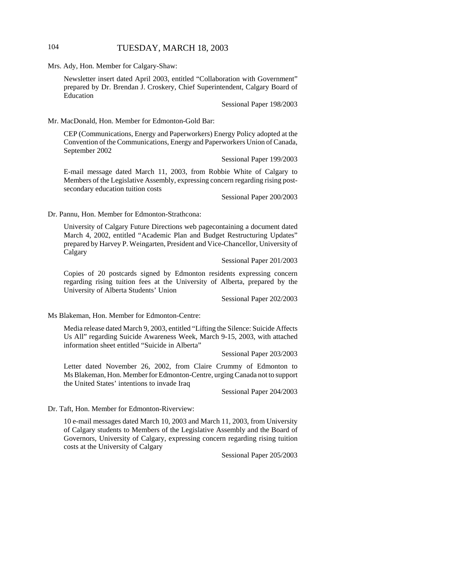## 104 TUESDAY, MARCH 18, 2003

Mrs. Ady, Hon. Member for Calgary-Shaw:

Newsletter insert dated April 2003, entitled "Collaboration with Government" prepared by Dr. Brendan J. Croskery, Chief Superintendent, Calgary Board of Education

Sessional Paper 198/2003

Mr. MacDonald, Hon. Member for Edmonton-Gold Bar:

CEP (Communications, Energy and Paperworkers) Energy Policy adopted at the Convention of the Communications, Energy and Paperworkers Union of Canada, September 2002

Sessional Paper 199/2003

E-mail message dated March 11, 2003, from Robbie White of Calgary to Members of the Legislative Assembly, expressing concern regarding rising postsecondary education tuition costs

Sessional Paper 200/2003

Dr. Pannu, Hon. Member for Edmonton-Strathcona:

University of Calgary Future Directions web pagecontaining a document dated March 4, 2002, entitled "Academic Plan and Budget Restructuring Updates" prepared by Harvey P. Weingarten, President and Vice-Chancellor, University of Calgary

Sessional Paper 201/2003

Copies of 20 postcards signed by Edmonton residents expressing concern regarding rising tuition fees at the University of Alberta, prepared by the University of Alberta Students' Union

Sessional Paper 202/2003

Ms Blakeman, Hon. Member for Edmonton-Centre:

Media release dated March 9, 2003, entitled "Lifting the Silence: Suicide Affects Us All" regarding Suicide Awareness Week, March 9-15, 2003, with attached information sheet entitled "Suicide in Alberta"

Sessional Paper 203/2003

Letter dated November 26, 2002, from Claire Crummy of Edmonton to Ms Blakeman, Hon. Member for Edmonton-Centre, urging Canada not to support the United States' intentions to invade Iraq

Sessional Paper 204/2003

Dr. Taft, Hon. Member for Edmonton-Riverview:

10 e-mail messages dated March 10, 2003 and March 11, 2003, from University of Calgary students to Members of the Legislative Assembly and the Board of Governors, University of Calgary, expressing concern regarding rising tuition costs at the University of Calgary

Sessional Paper 205/2003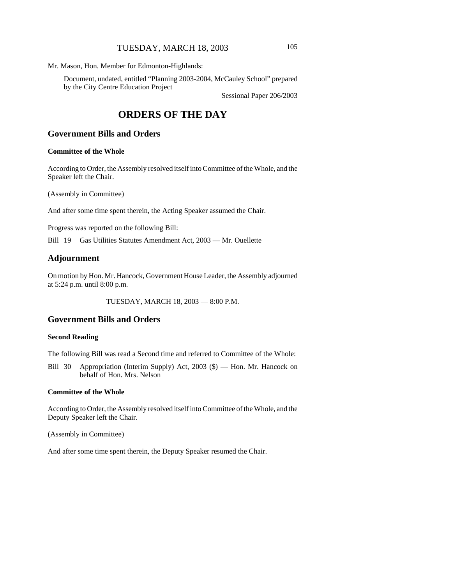## TUESDAY, MARCH 18, 2003 105

Mr. Mason, Hon. Member for Edmonton-Highlands:

Document, undated, entitled "Planning 2003-2004, McCauley School" prepared by the City Centre Education Project

Sessional Paper 206/2003

# **ORDERS OF THE DAY**

## **Government Bills and Orders**

#### **Committee of the Whole**

According to Order, the Assembly resolved itself into Committee of the Whole, and the Speaker left the Chair.

(Assembly in Committee)

And after some time spent therein, the Acting Speaker assumed the Chair.

Progress was reported on the following Bill:

Bill 19 Gas Utilities Statutes Amendment Act, 2003 — Mr. Ouellette

## **Adjournment**

On motion by Hon. Mr. Hancock, Government House Leader, the Assembly adjourned at 5:24 p.m. until 8:00 p.m.

TUESDAY, MARCH 18, 2003 — 8:00 P.M.

## **Government Bills and Orders**

#### **Second Reading**

The following Bill was read a Second time and referred to Committee of the Whole:

Bill 30 Appropriation (Interim Supply) Act, 2003 (\$) — Hon. Mr. Hancock on behalf of Hon. Mrs. Nelson

#### **Committee of the Whole**

According to Order, the Assembly resolved itself into Committee of the Whole, and the Deputy Speaker left the Chair.

(Assembly in Committee)

And after some time spent therein, the Deputy Speaker resumed the Chair.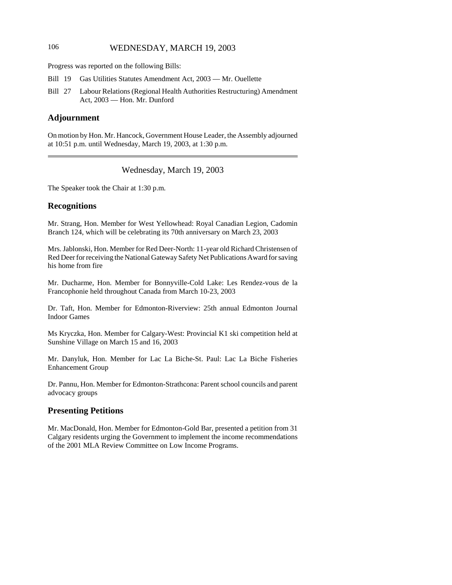# 106 WEDNESDAY, MARCH 19, 2003

Progress was reported on the following Bills:

- Bill 19 Gas Utilities Statutes Amendment Act, 2003 Mr. Ouellette
- Bill 27 Labour Relations (Regional Health Authorities Restructuring) Amendment Act, 2003 — Hon. Mr. Dunford

# **Adjournment**

On motion by Hon. Mr. Hancock, Government House Leader, the Assembly adjourned at 10:51 p.m. until Wednesday, March 19, 2003, at 1:30 p.m.

Wednesday, March 19, 2003

The Speaker took the Chair at 1:30 p.m.

#### **Recognitions**

Mr. Strang, Hon. Member for West Yellowhead: Royal Canadian Legion, Cadomin Branch 124, which will be celebrating its 70th anniversary on March 23, 2003

Mrs. Jablonski, Hon. Member for Red Deer-North: 11-year old Richard Christensen of Red Deer for receiving the National Gateway Safety Net Publications Award for saving his home from fire

Mr. Ducharme, Hon. Member for Bonnyville-Cold Lake: Les Rendez-vous de la Francophonie held throughout Canada from March 10-23, 2003

Dr. Taft, Hon. Member for Edmonton-Riverview: 25th annual Edmonton Journal Indoor Games

Ms Kryczka, Hon. Member for Calgary-West: Provincial K1 ski competition held at Sunshine Village on March 15 and 16, 2003

Mr. Danyluk, Hon. Member for Lac La Biche-St. Paul: Lac La Biche Fisheries Enhancement Group

Dr. Pannu, Hon. Member for Edmonton-Strathcona: Parent school councils and parent advocacy groups

# **Presenting Petitions**

Mr. MacDonald, Hon. Member for Edmonton-Gold Bar, presented a petition from 31 Calgary residents urging the Government to implement the income recommendations of the 2001 MLA Review Committee on Low Income Programs.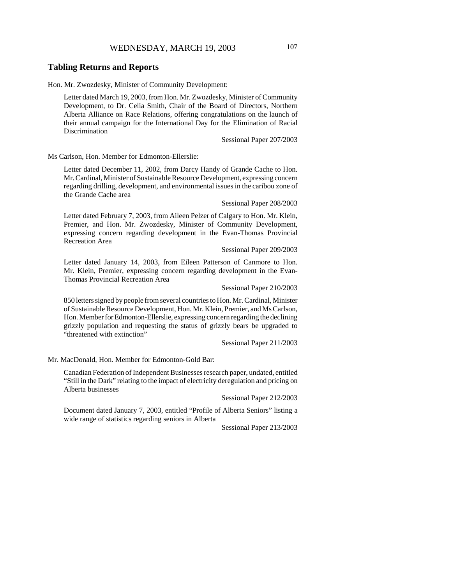## **Tabling Returns and Reports**

Hon. Mr. Zwozdesky, Minister of Community Development:

Letter dated March 19, 2003, from Hon. Mr. Zwozdesky, Minister of Community Development, to Dr. Celia Smith, Chair of the Board of Directors, Northern Alberta Alliance on Race Relations, offering congratulations on the launch of their annual campaign for the International Day for the Elimination of Racial Discrimination

Sessional Paper 207/2003

Ms Carlson, Hon. Member for Edmonton-Ellerslie:

Letter dated December 11, 2002, from Darcy Handy of Grande Cache to Hon. Mr. Cardinal, Minister of Sustainable Resource Development, expressing concern regarding drilling, development, and environmental issues in the caribou zone of the Grande Cache area

#### Sessional Paper 208/2003

Letter dated February 7, 2003, from Aileen Pelzer of Calgary to Hon. Mr. Klein, Premier, and Hon. Mr. Zwozdesky, Minister of Community Development, expressing concern regarding development in the Evan-Thomas Provincial Recreation Area

#### Sessional Paper 209/2003

Letter dated January 14, 2003, from Eileen Patterson of Canmore to Hon. Mr. Klein, Premier, expressing concern regarding development in the Evan-Thomas Provincial Recreation Area

#### Sessional Paper 210/2003

850 letters signed by people from several countries to Hon. Mr. Cardinal, Minister of Sustainable Resource Development, Hon. Mr. Klein, Premier, and Ms Carlson, Hon. Member for Edmonton-Ellerslie, expressing concern regarding the declining grizzly population and requesting the status of grizzly bears be upgraded to "threatened with extinction"

Sessional Paper 211/2003

Mr. MacDonald, Hon. Member for Edmonton-Gold Bar:

Canadian Federation of Independent Businesses research paper, undated, entitled "Still in the Dark" relating to the impact of electricity deregulation and pricing on Alberta businesses

Sessional Paper 212/2003

Document dated January 7, 2003, entitled "Profile of Alberta Seniors" listing a wide range of statistics regarding seniors in Alberta

Sessional Paper 213/2003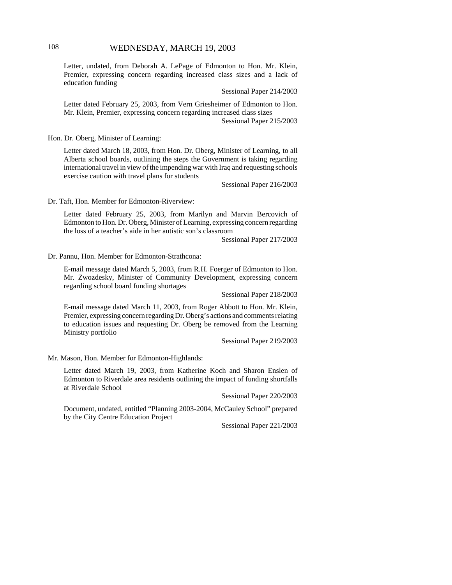# 108 WEDNESDAY, MARCH 19, 2003

Letter, undated, from Deborah A. LePage of Edmonton to Hon. Mr. Klein, Premier, expressing concern regarding increased class sizes and a lack of education funding

Sessional Paper 214/2003

Letter dated February 25, 2003, from Vern Griesheimer of Edmonton to Hon. Mr. Klein, Premier, expressing concern regarding increased class sizes

Sessional Paper 215/2003

Hon. Dr. Oberg, Minister of Learning:

Letter dated March 18, 2003, from Hon. Dr. Oberg, Minister of Learning, to all Alberta school boards, outlining the steps the Government is taking regarding international travel in view of the impending war with Iraq and requesting schools exercise caution with travel plans for students

Sessional Paper 216/2003

Dr. Taft, Hon. Member for Edmonton-Riverview:

Letter dated February 25, 2003, from Marilyn and Marvin Bercovich of Edmonton to Hon. Dr. Oberg, Minister of Learning, expressing concern regarding the loss of a teacher's aide in her autistic son's classroom

Sessional Paper 217/2003

Dr. Pannu, Hon. Member for Edmonton-Strathcona:

E-mail message dated March 5, 2003, from R.H. Foerger of Edmonton to Hon. Mr. Zwozdesky, Minister of Community Development, expressing concern regarding school board funding shortages

Sessional Paper 218/2003

E-mail message dated March 11, 2003, from Roger Abbott to Hon. Mr. Klein, Premier, expressing concern regarding Dr. Oberg's actions and comments relating to education issues and requesting Dr. Oberg be removed from the Learning Ministry portfolio

Sessional Paper 219/2003

Mr. Mason, Hon. Member for Edmonton-Highlands:

Letter dated March 19, 2003, from Katherine Koch and Sharon Enslen of Edmonton to Riverdale area residents outlining the impact of funding shortfalls at Riverdale School

Sessional Paper 220/2003

Document, undated, entitled "Planning 2003-2004, McCauley School" prepared by the City Centre Education Project

Sessional Paper 221/2003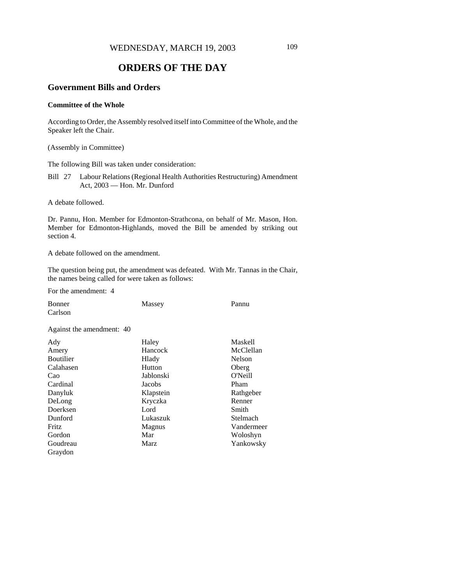# **ORDERS OF THE DAY**

# **Government Bills and Orders**

## **Committee of the Whole**

According to Order, the Assembly resolved itself into Committee of the Whole, and the Speaker left the Chair.

(Assembly in Committee)

The following Bill was taken under consideration:

Bill 27 Labour Relations (Regional Health Authorities Restructuring) Amendment Act, 2003 — Hon. Mr. Dunford

A debate followed.

Dr. Pannu, Hon. Member for Edmonton-Strathcona, on behalf of Mr. Mason, Hon. Member for Edmonton-Highlands, moved the Bill be amended by striking out section 4.

A debate followed on the amendment.

The question being put, the amendment was defeated. With Mr. Tannas in the Chair, the names being called for were taken as follows:

For the amendment: 4

| Bonner                    | Massey         | Pannu          |
|---------------------------|----------------|----------------|
| Carlson                   |                |                |
| Against the amendment: 40 |                |                |
| Ady                       | Haley          | <b>Maskell</b> |
| Amery                     | <b>Hancock</b> | McClellan      |
| <b>Boutilier</b>          | Hlady          | <b>Nelson</b>  |
| Calahasen                 | Hutton         | Oberg          |
| Cao                       | Jablonski      | O'Neill        |
| Cardinal                  | Jacobs         | Pham           |
| Danyluk                   | Klapstein      | Rathgeber      |
| DeLong                    | Kryczka        | Renner         |
| Doerksen                  | Lord           | Smith          |
| Dunford                   | Lukaszuk       | Stelmach       |
| Fritz                     | Magnus         | Vandermeer     |
| Gordon                    | Mar            | Woloshyn       |
| Goudreau                  | Marz           | Yankowsky      |
| Graydon                   |                |                |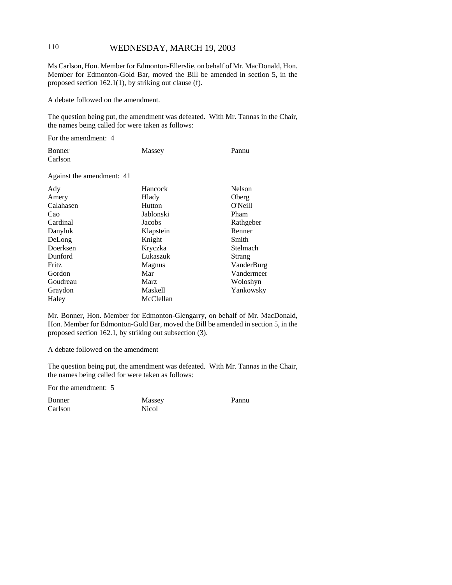# 110 WEDNESDAY, MARCH 19, 2003

Ms Carlson, Hon. Member for Edmonton-Ellerslie, on behalf of Mr. MacDonald, Hon. Member for Edmonton-Gold Bar, moved the Bill be amended in section 5, in the proposed section 162.1(1), by striking out clause (f).

A debate followed on the amendment.

The question being put, the amendment was defeated. With Mr. Tannas in the Chair, the names being called for were taken as follows:

For the amendment: 4

| Bonner  | Massey | Pannu |
|---------|--------|-------|
| Carlson |        |       |

Against the amendment: 41

| Ady       | Hancock     | <b>Nelson</b> |
|-----------|-------------|---------------|
| Amery     | Hlady       | Oberg         |
| Calahasen | Hutton      | O'Neill       |
| Cao       | Jablonski   | Pham          |
| Cardinal  | Jacobs      | Rathgeber     |
| Danyluk   | Klapstein   | Renner        |
| DeLong    | Knight      | Smith         |
| Doerksen  | Kryczka     | Stelmach      |
| Dunford   | Lukaszuk    | Strang        |
| Fritz     | Magnus      | VanderBurg    |
| Gordon    | Mar         | Vandermeer    |
| Goudreau  | <b>Marz</b> | Woloshyn      |
| Graydon   | Maskell     | Yankowsky     |
| Haley     | McClellan   |               |

Mr. Bonner, Hon. Member for Edmonton-Glengarry, on behalf of Mr. MacDonald, Hon. Member for Edmonton-Gold Bar, moved the Bill be amended in section 5, in the proposed section 162.1, by striking out subsection (3).

A debate followed on the amendment

The question being put, the amendment was defeated. With Mr. Tannas in the Chair, the names being called for were taken as follows:

For the amendment: 5

Bonner Carlson Massey Nicol

Pannu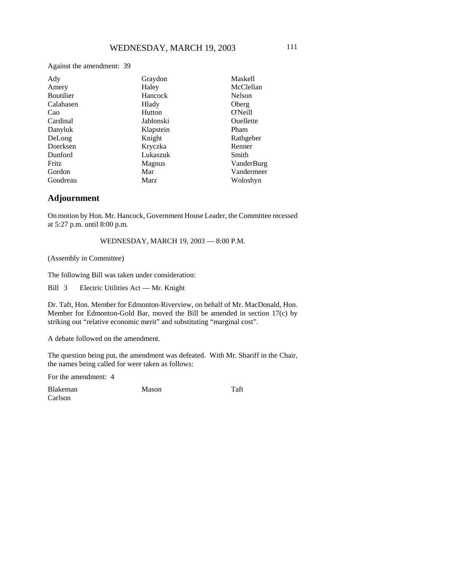Against the amendment: 39

| Ady              | Graydon       | <b>Maskell</b>   |
|------------------|---------------|------------------|
| Amery            | Haley         | McClellan        |
| <b>Boutilier</b> | Hancock       | Nelson           |
| Calahasen        | Hlady         | Oberg            |
| Cao              | Hutton        | O'Neill          |
| Cardinal         | Jablonski     | <b>Ouellette</b> |
| Danyluk          | Klapstein     | Pham             |
| DeLong           | Knight        | Rathgeber        |
| Doerksen         | Kryczka       | Renner           |
| Dunford          | Lukaszuk      | Smith            |
| <b>Fritz</b>     | <b>Magnus</b> | VanderBurg       |
| Gordon           | Mar           | Vandermeer       |
| Goudreau         | Marz          | Woloshyn         |

## **Adjournment**

On motion by Hon. Mr. Hancock, Government House Leader, the Committee recessed at 5:27 p.m. until 8:00 p.m.

WEDNESDAY, MARCH 19, 2003 — 8:00 P.M.

(Assembly in Committee)

The following Bill was taken under consideration:

Bill 3 Electric Utilities Act — Mr. Knight

Dr. Taft, Hon. Member for Edmonton-Riverview, on behalf of Mr. MacDonald, Hon. Member for Edmonton-Gold Bar, moved the Bill be amended in section 17(c) by striking out "relative economic merit" and substituting "marginal cost".

A debate followed on the amendment.

The question being put, the amendment was defeated. With Mr. Shariff in the Chair, the names being called for were taken as follows:

For the amendment: 4

Blakeman Carlson

Mason Taft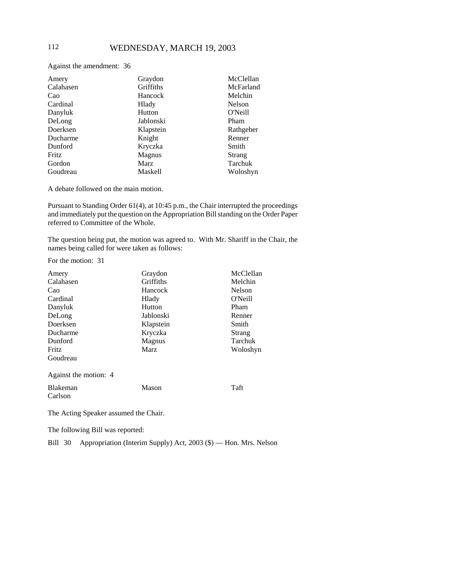Against the amendment: 36

| Amery     | Graydon     | McClellan |
|-----------|-------------|-----------|
| Calahasen | Griffiths   | McFarland |
| Cao       | Hancock     | Melchin   |
| Cardinal  | Hlady       | Nelson    |
| Danyluk   | Hutton      | O'Neill   |
| DeLong    | Jablonski   | Pham      |
| Doerksen  | Klapstein   | Rathgeber |
| Ducharme  | Knight      | Renner    |
| Dunford   | Kryczka     | Smith     |
| Fritz     | Magnus      | Strang    |
| Gordon    | <b>Marz</b> | Tarchuk   |
| Goudreau  | Maskell     | Woloshyn  |

A debate followed on the main motion.

Pursuant to Standing Order 61(4), at 10:45 p.m., the Chair interrupted the proceedings and immediately put the question on the Appropriation Bill standing on the Order Paper referred to Committee of the Whole.

The question being put, the motion was agreed to. With Mr. Shariff in the Chair, the names being called for were taken as follows:

For the motion: 31

| Amery                 | Graydon   | McClellan     |
|-----------------------|-----------|---------------|
| Calahasen             | Griffiths | Melchin       |
| Cao                   | Hancock   | <b>Nelson</b> |
| Cardinal              | Hlady     | O'Neill       |
| Danyluk               | Hutton    | Pham          |
| DeLong                | Jablonski | Renner        |
| Doerksen              | Klapstein | Smith         |
| Ducharme              | Kryczka   | Strang        |
| Dunford               | Magnus    | Tarchuk       |
| Fritz                 | Marz      | Woloshyn      |
| Goudreau              |           |               |
| Against the motion: 4 |           |               |
| Blakeman              | Mason     | Taft          |
| Carlson               |           |               |

The Acting Speaker assumed the Chair.

The following Bill was reported:

Bill 30 Appropriation (Interim Supply) Act, 2003 (\$) — Hon. Mrs. Nelson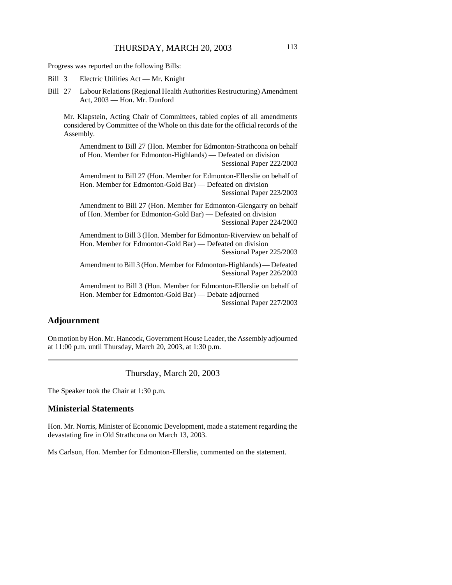Progress was reported on the following Bills:

Bill 3 Electric Utilities Act — Mr. Knight

Bill 27 Labour Relations (Regional Health Authorities Restructuring) Amendment Act, 2003 — Hon. Mr. Dunford

Mr. Klapstein, Acting Chair of Committees, tabled copies of all amendments considered by Committee of the Whole on this date for the official records of the Assembly.

Amendment to Bill 27 (Hon. Member for Edmonton-Strathcona on behalf of Hon. Member for Edmonton-Highlands) — Defeated on division Sessional Paper 222/2003

Amendment to Bill 27 (Hon. Member for Edmonton-Ellerslie on behalf of Hon. Member for Edmonton-Gold Bar) — Defeated on division

Sessional Paper 223/2003

Amendment to Bill 27 (Hon. Member for Edmonton-Glengarry on behalf of Hon. Member for Edmonton-Gold Bar) — Defeated on division Sessional Paper 224/2003

Amendment to Bill 3 (Hon. Member for Edmonton-Riverview on behalf of Hon. Member for Edmonton-Gold Bar) — Defeated on division

Sessional Paper 225/2003

Amendment to Bill 3 (Hon. Member for Edmonton-Highlands) — Defeated Sessional Paper 226/2003

Amendment to Bill 3 (Hon. Member for Edmonton-Ellerslie on behalf of Hon. Member for Edmonton-Gold Bar) — Debate adjourned Sessional Paper 227/2003

## **Adjournment**

On motion by Hon. Mr. Hancock, Government House Leader, the Assembly adjourned at 11:00 p.m. until Thursday, March 20, 2003, at 1:30 p.m.

Thursday, March 20, 2003

The Speaker took the Chair at 1:30 p.m.

### **Ministerial Statements**

Hon. Mr. Norris, Minister of Economic Development, made a statement regarding the devastating fire in Old Strathcona on March 13, 2003.

Ms Carlson, Hon. Member for Edmonton-Ellerslie, commented on the statement.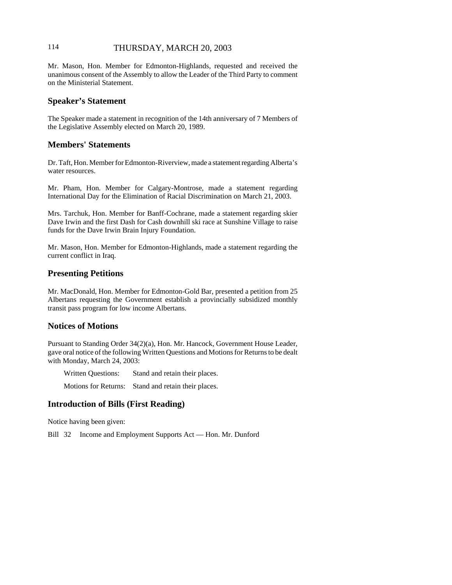# 114 THURSDAY, MARCH 20, 2003

Mr. Mason, Hon. Member for Edmonton-Highlands, requested and received the unanimous consent of the Assembly to allow the Leader of the Third Party to comment on the Ministerial Statement.

#### **Speaker's Statement**

The Speaker made a statement in recognition of the 14th anniversary of 7 Members of the Legislative Assembly elected on March 20, 1989.

# **Members' Statements**

Dr. Taft, Hon. Member for Edmonton-Riverview, made a statement regarding Alberta's water resources.

Mr. Pham, Hon. Member for Calgary-Montrose, made a statement regarding International Day for the Elimination of Racial Discrimination on March 21, 2003.

Mrs. Tarchuk, Hon. Member for Banff-Cochrane, made a statement regarding skier Dave Irwin and the first Dash for Cash downhill ski race at Sunshine Village to raise funds for the Dave Irwin Brain Injury Foundation.

Mr. Mason, Hon. Member for Edmonton-Highlands, made a statement regarding the current conflict in Iraq.

## **Presenting Petitions**

Mr. MacDonald, Hon. Member for Edmonton-Gold Bar, presented a petition from 25 Albertans requesting the Government establish a provincially subsidized monthly transit pass program for low income Albertans.

### **Notices of Motions**

Pursuant to Standing Order 34(2)(a), Hon. Mr. Hancock, Government House Leader, gave oral notice of the following Written Questions and Motions for Returns to be dealt with Monday, March 24, 2003:

Written Questions: Stand and retain their places.

Motions for Returns: Stand and retain their places.

# **Introduction of Bills (First Reading)**

Notice having been given:

Bill 32 Income and Employment Supports Act — Hon. Mr. Dunford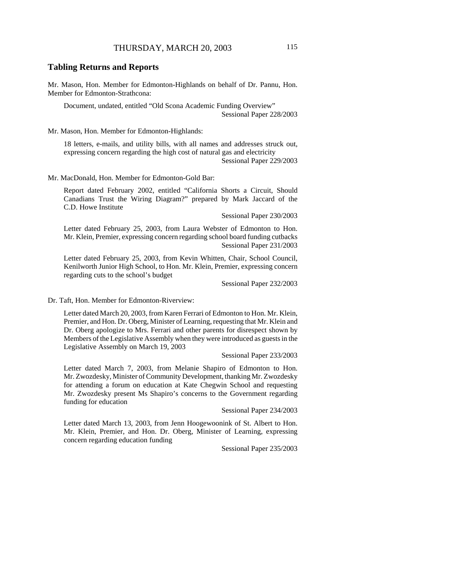#### **Tabling Returns and Reports**

Mr. Mason, Hon. Member for Edmonton-Highlands on behalf of Dr. Pannu, Hon. Member for Edmonton-Strathcona:

Document, undated, entitled "Old Scona Academic Funding Overview" Sessional Paper 228/2003

Mr. Mason, Hon. Member for Edmonton-Highlands:

18 letters, e-mails, and utility bills, with all names and addresses struck out, expressing concern regarding the high cost of natural gas and electricity Sessional Paper 229/2003

Mr. MacDonald, Hon. Member for Edmonton-Gold Bar:

Report dated February 2002, entitled "California Shorts a Circuit, Should Canadians Trust the Wiring Diagram?" prepared by Mark Jaccard of the C.D. Howe Institute

Sessional Paper 230/2003

Letter dated February 25, 2003, from Laura Webster of Edmonton to Hon. Mr. Klein, Premier, expressing concern regarding school board funding cutbacks Sessional Paper 231/2003

Letter dated February 25, 2003, from Kevin Whitten, Chair, School Council, Kenilworth Junior High School, to Hon. Mr. Klein, Premier, expressing concern regarding cuts to the school's budget

Sessional Paper 232/2003

Dr. Taft, Hon. Member for Edmonton-Riverview:

Letter dated March 20, 2003, from Karen Ferrari of Edmonton to Hon. Mr. Klein, Premier, and Hon. Dr. Oberg, Minister of Learning, requesting that Mr. Klein and Dr. Oberg apologize to Mrs. Ferrari and other parents for disrespect shown by Members of the Legislative Assembly when they were introduced as guests in the Legislative Assembly on March 19, 2003

Sessional Paper 233/2003

Letter dated March 7, 2003, from Melanie Shapiro of Edmonton to Hon. Mr. Zwozdesky, Minister of Community Development, thanking Mr. Zwozdesky for attending a forum on education at Kate Chegwin School and requesting Mr. Zwozdesky present Ms Shapiro's concerns to the Government regarding funding for education

Sessional Paper 234/2003

Letter dated March 13, 2003, from Jenn Hoogewoonink of St. Albert to Hon. Mr. Klein, Premier, and Hon. Dr. Oberg, Minister of Learning, expressing concern regarding education funding

Sessional Paper 235/2003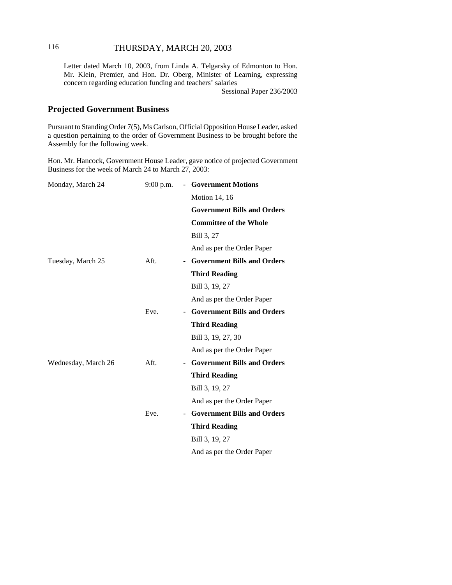# 116 THURSDAY, MARCH 20, 2003

Letter dated March 10, 2003, from Linda A. Telgarsky of Edmonton to Hon. Mr. Klein, Premier, and Hon. Dr. Oberg, Minister of Learning, expressing concern regarding education funding and teachers' salaries

Sessional Paper 236/2003

# **Projected Government Business**

Pursuant to Standing Order 7(5), Ms Carlson, Official Opposition House Leader, asked a question pertaining to the order of Government Business to be brought before the Assembly for the following week.

Hon. Mr. Hancock, Government House Leader, gave notice of projected Government Business for the week of March 24 to March 27, 2003:

| Monday, March 24    | 9:00 p.m. | - Government Motions                                           |
|---------------------|-----------|----------------------------------------------------------------|
|                     |           | <b>Motion 14, 16</b>                                           |
|                     |           | <b>Government Bills and Orders</b>                             |
|                     |           | <b>Committee of the Whole</b>                                  |
|                     |           | Bill 3, 27                                                     |
|                     |           | And as per the Order Paper                                     |
| Tuesday, March 25   | Aft.      | - Government Bills and Orders                                  |
|                     |           | <b>Third Reading</b>                                           |
|                     |           | Bill 3, 19, 27                                                 |
|                     |           | And as per the Order Paper                                     |
|                     | Eve.      | <b>Government Bills and Orders</b><br>н.                       |
|                     |           | <b>Third Reading</b>                                           |
|                     |           | Bill 3, 19, 27, 30                                             |
|                     |           | And as per the Order Paper                                     |
| Wednesday, March 26 | Aft.      | <b>Government Bills and Orders</b><br>$\overline{\phantom{0}}$ |
|                     |           | <b>Third Reading</b>                                           |
|                     |           | Bill 3, 19, 27                                                 |
|                     |           | And as per the Order Paper                                     |
|                     | Eve.      | <b>Government Bills and Orders</b><br>$\overline{\phantom{0}}$ |
|                     |           | <b>Third Reading</b>                                           |
|                     |           | Bill 3, 19, 27                                                 |
|                     |           | And as per the Order Paper                                     |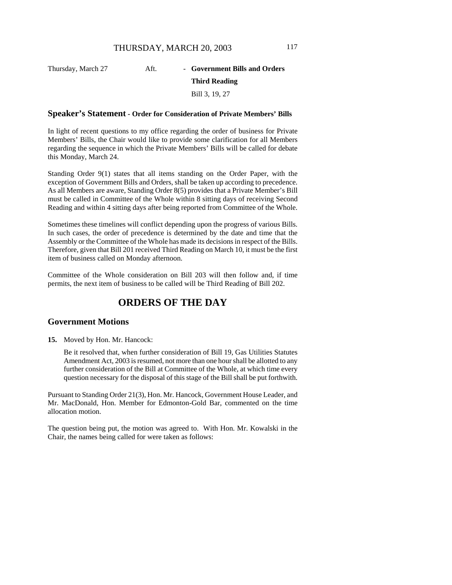# Thursday, March 27 **Aft.** - **Government Bills and Orders Third Reading** Bill 3, 19, 27

#### **Speaker's Statement - Order for Consideration of Private Members' Bills**

In light of recent questions to my office regarding the order of business for Private Members' Bills, the Chair would like to provide some clarification for all Members regarding the sequence in which the Private Members' Bills will be called for debate this Monday, March 24.

Standing Order 9(1) states that all items standing on the Order Paper, with the exception of Government Bills and Orders, shall be taken up according to precedence. As all Members are aware, Standing Order 8(5) provides that a Private Member's Bill must be called in Committee of the Whole within 8 sitting days of receiving Second Reading and within 4 sitting days after being reported from Committee of the Whole.

Sometimes these timelines will conflict depending upon the progress of various Bills. In such cases, the order of precedence is determined by the date and time that the Assembly or the Committee of the Whole has made its decisions in respect of the Bills. Therefore, given that Bill 201 received Third Reading on March 10, it must be the first item of business called on Monday afternoon.

Committee of the Whole consideration on Bill 203 will then follow and, if time permits, the next item of business to be called will be Third Reading of Bill 202.

# **ORDERS OF THE DAY**

#### **Government Motions**

**15.** Moved by Hon. Mr. Hancock:

Be it resolved that, when further consideration of Bill 19, Gas Utilities Statutes Amendment Act, 2003 is resumed, not more than one hour shall be allotted to any further consideration of the Bill at Committee of the Whole, at which time every question necessary for the disposal of this stage of the Bill shall be put forthwith.

Pursuant to Standing Order 21(3), Hon. Mr. Hancock, Government House Leader, and Mr. MacDonald, Hon. Member for Edmonton-Gold Bar, commented on the time allocation motion.

The question being put, the motion was agreed to. With Hon. Mr. Kowalski in the Chair, the names being called for were taken as follows: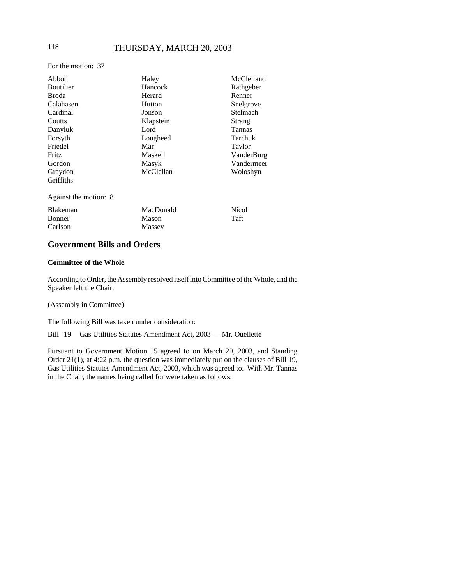# 118 THURSDAY, MARCH 20, 2003

For the motion: 37

| Abbott                | Haley          | McClelland   |
|-----------------------|----------------|--------------|
| <b>Boutilier</b>      | Hancock        | Rathgeber    |
| Broda                 | Herard         | Renner       |
| Calahasen             | Hutton         | Snelgrove    |
| Cardinal              | Jonson         | Stelmach     |
| Coutts                | Klapstein      | Strang       |
| Danyluk               | Lord           | Tannas       |
| Forsyth               | Lougheed       | Tarchuk      |
| Friedel               | Mar            | Taylor       |
| Fritz                 | <b>Maskell</b> | VanderBurg   |
| Gordon                | Masyk          | Vandermeer   |
| Graydon               | McClellan      | Woloshyn     |
| Griffiths             |                |              |
| Against the motion: 8 |                |              |
| <b>Blakeman</b>       | MacDonald      | <b>Nicol</b> |
| Bonner                | Mason          | Taft         |
| Carlson               | Massey         |              |

# **Government Bills and Orders**

#### **Committee of the Whole**

According to Order, the Assembly resolved itself into Committee of the Whole, and the Speaker left the Chair.

(Assembly in Committee)

The following Bill was taken under consideration:

Bill 19 Gas Utilities Statutes Amendment Act, 2003 — Mr. Ouellette

Pursuant to Government Motion 15 agreed to on March 20, 2003, and Standing Order 21(1), at 4:22 p.m. the question was immediately put on the clauses of Bill 19, Gas Utilities Statutes Amendment Act, 2003, which was agreed to. With Mr. Tannas in the Chair, the names being called for were taken as follows: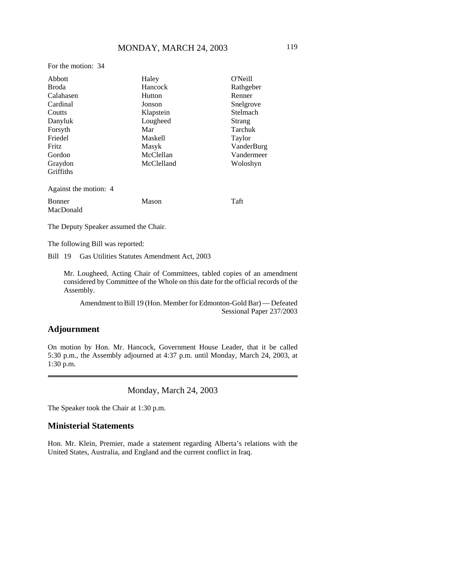For the motion: 34

| Abbott                     | Haley          | O'Neill    |
|----------------------------|----------------|------------|
| Broda                      | Hancock        | Rathgeber  |
| Calahasen                  | Hutton         | Renner     |
| Cardinal                   | Jonson         | Snelgrove  |
| Coutts                     | Klapstein      | Stelmach   |
| Danyluk                    | Lougheed       | Strang     |
| Forsyth                    | Mar            | Tarchuk    |
| Friedel                    | <b>Maskell</b> | Taylor     |
| <b>Fritz</b>               | Masyk          | VanderBurg |
| Gordon                     | McClellan      | Vandermeer |
| Graydon                    | McClelland     | Woloshyn   |
| Griffiths                  |                |            |
| Against the motion: 4      |                |            |
| <b>Bonner</b><br>MacDonald | Mason          | Taft       |
|                            |                |            |

The Deputy Speaker assumed the Chair.

The following Bill was reported:

Bill 19 Gas Utilities Statutes Amendment Act, 2003

Mr. Lougheed, Acting Chair of Committees, tabled copies of an amendment considered by Committee of the Whole on this date for the official records of the Assembly.

Amendment to Bill 19 (Hon. Member for Edmonton-Gold Bar) — Defeated Sessional Paper 237/2003

# **Adjournment**

On motion by Hon. Mr. Hancock, Government House Leader, that it be called 5:30 p.m., the Assembly adjourned at 4:37 p.m. until Monday, March 24, 2003, at 1:30 p.m.

Monday, March 24, 2003

The Speaker took the Chair at 1:30 p.m.

### **Ministerial Statements**

Hon. Mr. Klein, Premier, made a statement regarding Alberta's relations with the United States, Australia, and England and the current conflict in Iraq.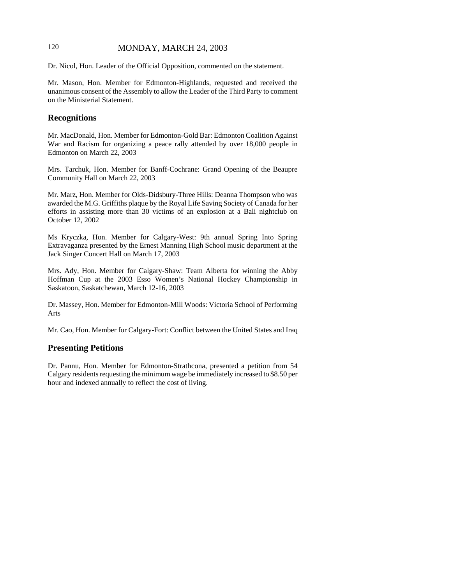# 120 MONDAY, MARCH 24, 2003

Dr. Nicol, Hon. Leader of the Official Opposition, commented on the statement.

Mr. Mason, Hon. Member for Edmonton-Highlands, requested and received the unanimous consent of the Assembly to allow the Leader of the Third Party to comment on the Ministerial Statement.

# **Recognitions**

Mr. MacDonald, Hon. Member for Edmonton-Gold Bar: Edmonton Coalition Against War and Racism for organizing a peace rally attended by over 18,000 people in Edmonton on March 22, 2003

Mrs. Tarchuk, Hon. Member for Banff-Cochrane: Grand Opening of the Beaupre Community Hall on March 22, 2003

Mr. Marz, Hon. Member for Olds-Didsbury-Three Hills: Deanna Thompson who was awarded the M.G. Griffiths plaque by the Royal Life Saving Society of Canada for her efforts in assisting more than 30 victims of an explosion at a Bali nightclub on October 12, 2002

Ms Kryczka, Hon. Member for Calgary-West: 9th annual Spring Into Spring Extravaganza presented by the Ernest Manning High School music department at the Jack Singer Concert Hall on March 17, 2003

Mrs. Ady, Hon. Member for Calgary-Shaw: Team Alberta for winning the Abby Hoffman Cup at the 2003 Esso Women's National Hockey Championship in Saskatoon, Saskatchewan, March 12-16, 2003

Dr. Massey, Hon. Member for Edmonton-Mill Woods: Victoria School of Performing Arts

Mr. Cao, Hon. Member for Calgary-Fort: Conflict between the United States and Iraq

#### **Presenting Petitions**

Dr. Pannu, Hon. Member for Edmonton-Strathcona, presented a petition from 54 Calgary residents requesting the minimum wage be immediately increased to \$8.50 per hour and indexed annually to reflect the cost of living.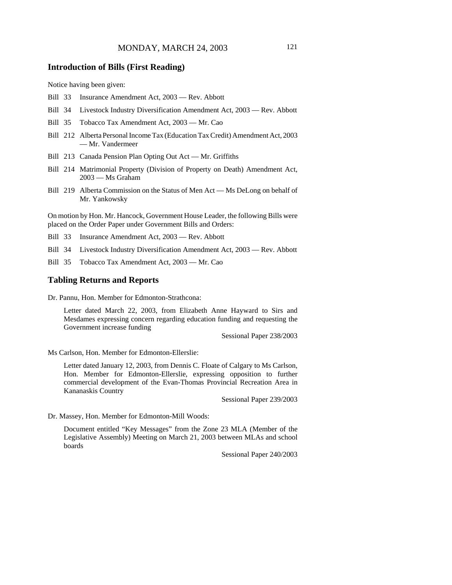## **Introduction of Bills (First Reading)**

Notice having been given:

- Bill 33 Insurance Amendment Act, 2003 Rev. Abbott
- Bill 34 Livestock Industry Diversification Amendment Act, 2003 Rev. Abbott
- Bill 35 Tobacco Tax Amendment Act, 2003 Mr. Cao
- Bill 212 Alberta Personal Income Tax (Education Tax Credit) Amendment Act, 2003 — Mr. Vandermeer
- Bill 213 Canada Pension Plan Opting Out Act Mr. Griffiths
- Bill 214 Matrimonial Property (Division of Property on Death) Amendment Act, 2003 — Ms Graham
- Bill 219 Alberta Commission on the Status of Men Act Ms DeLong on behalf of Mr. Yankowsky

On motion by Hon. Mr. Hancock, Government House Leader, the following Bills were placed on the Order Paper under Government Bills and Orders:

Bill 33 Insurance Amendment Act, 2003 — Rev. Abbott

- Bill 34 Livestock Industry Diversification Amendment Act, 2003 Rev. Abbott
- Bill 35 Tobacco Tax Amendment Act, 2003 Mr. Cao

#### **Tabling Returns and Reports**

Dr. Pannu, Hon. Member for Edmonton-Strathcona:

Letter dated March 22, 2003, from Elizabeth Anne Hayward to Sirs and Mesdames expressing concern regarding education funding and requesting the Government increase funding

Sessional Paper 238/2003

Ms Carlson, Hon. Member for Edmonton-Ellerslie:

Letter dated January 12, 2003, from Dennis C. Floate of Calgary to Ms Carlson, Hon. Member for Edmonton-Ellerslie, expressing opposition to further commercial development of the Evan-Thomas Provincial Recreation Area in Kananaskis Country

Sessional Paper 239/2003

Dr. Massey, Hon. Member for Edmonton-Mill Woods:

Document entitled "Key Messages" from the Zone 23 MLA (Member of the Legislative Assembly) Meeting on March 21, 2003 between MLAs and school boards

Sessional Paper 240/2003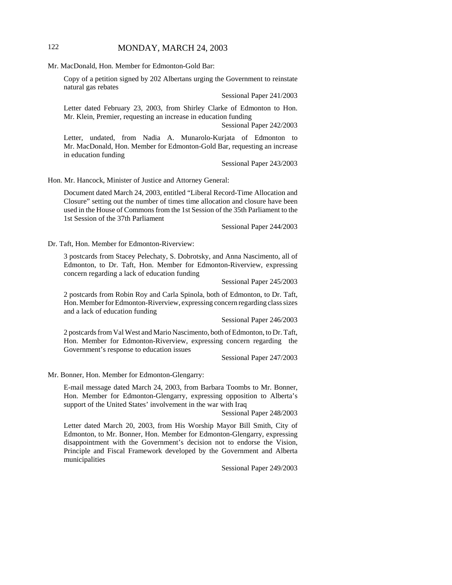# 122 MONDAY, MARCH 24, 2003

Mr. MacDonald, Hon. Member for Edmonton-Gold Bar:

Copy of a petition signed by 202 Albertans urging the Government to reinstate natural gas rebates

Sessional Paper 241/2003

Letter dated February 23, 2003, from Shirley Clarke of Edmonton to Hon. Mr. Klein, Premier, requesting an increase in education funding

Sessional Paper 242/2003

Letter, undated, from Nadia A. Munarolo-Kurjata of Edmonton to Mr. MacDonald, Hon. Member for Edmonton-Gold Bar, requesting an increase in education funding

Sessional Paper 243/2003

Hon. Mr. Hancock, Minister of Justice and Attorney General:

Document dated March 24, 2003, entitled "Liberal Record-Time Allocation and Closure" setting out the number of times time allocation and closure have been used in the House of Commons from the 1st Session of the 35th Parliament to the 1st Session of the 37th Parliament

Sessional Paper 244/2003

Dr. Taft, Hon. Member for Edmonton-Riverview:

3 postcards from Stacey Pelechaty, S. Dobrotsky, and Anna Nascimento, all of Edmonton, to Dr. Taft, Hon. Member for Edmonton-Riverview, expressing concern regarding a lack of education funding

Sessional Paper 245/2003

2 postcards from Robin Roy and Carla Spinola, both of Edmonton, to Dr. Taft, Hon. Member for Edmonton-Riverview, expressing concern regarding class sizes and a lack of education funding

Sessional Paper 246/2003

2 postcards from Val West and Mario Nascimento, both of Edmonton, to Dr. Taft, Hon. Member for Edmonton-Riverview, expressing concern regarding the Government's response to education issues

Sessional Paper 247/2003

Mr. Bonner, Hon. Member for Edmonton-Glengarry:

E-mail message dated March 24, 2003, from Barbara Toombs to Mr. Bonner, Hon. Member for Edmonton-Glengarry, expressing opposition to Alberta's support of the United States' involvement in the war with Iraq

Sessional Paper 248/2003

Letter dated March 20, 2003, from His Worship Mayor Bill Smith, City of Edmonton, to Mr. Bonner, Hon. Member for Edmonton-Glengarry, expressing disappointment with the Government's decision not to endorse the Vision, Principle and Fiscal Framework developed by the Government and Alberta municipalities

Sessional Paper 249/2003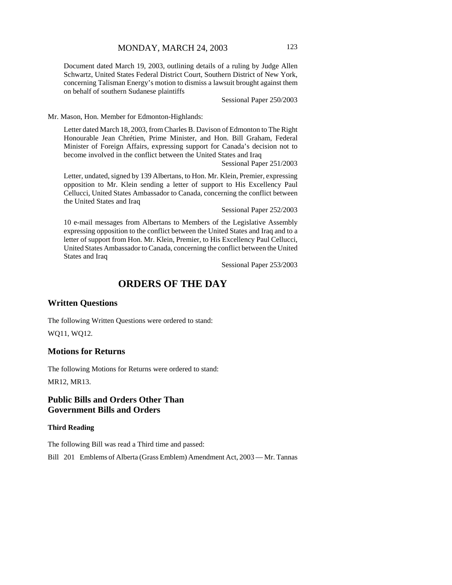Document dated March 19, 2003, outlining details of a ruling by Judge Allen Schwartz, United States Federal District Court, Southern District of New York, concerning Talisman Energy's motion to dismiss a lawsuit brought against them on behalf of southern Sudanese plaintiffs

Sessional Paper 250/2003

Mr. Mason, Hon. Member for Edmonton-Highlands:

Letter dated March 18, 2003, from Charles B. Davison of Edmonton to The Right Honourable Jean Chrétien, Prime Minister, and Hon. Bill Graham, Federal Minister of Foreign Affairs, expressing support for Canada's decision not to become involved in the conflict between the United States and Iraq

Sessional Paper 251/2003

Letter, undated, signed by 139 Albertans, to Hon. Mr. Klein, Premier, expressing opposition to Mr. Klein sending a letter of support to His Excellency Paul Cellucci, United States Ambassador to Canada, concerning the conflict between the United States and Iraq

Sessional Paper 252/2003

10 e-mail messages from Albertans to Members of the Legislative Assembly expressing opposition to the conflict between the United States and Iraq and to a letter of support from Hon. Mr. Klein, Premier, to His Excellency Paul Cellucci, United States Ambassador to Canada, concerning the conflict between the United States and Iraq

Sessional Paper 253/2003

# **ORDERS OF THE DAY**

## **Written Questions**

The following Written Questions were ordered to stand: WQ11, WQ12.

## **Motions for Returns**

The following Motions for Returns were ordered to stand: MR12, MR13.

# **Public Bills and Orders Other Than Government Bills and Orders**

#### **Third Reading**

The following Bill was read a Third time and passed:

Bill 201 Emblems of Alberta (Grass Emblem) Amendment Act, 2003 — Mr. Tannas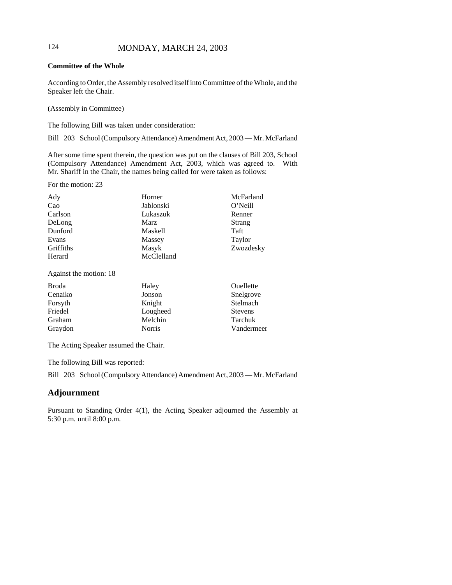# 124 MONDAY, MARCH 24, 2003

## **Committee of the Whole**

According to Order, the Assembly resolved itself into Committee of the Whole, and the Speaker left the Chair.

(Assembly in Committee)

The following Bill was taken under consideration:

Bill 203 School (Compulsory Attendance) Amendment Act, 2003 — Mr. McFarland

After some time spent therein, the question was put on the clauses of Bill 203, School (Compulsory Attendance) Amendment Act, 2003, which was agreed to. With Mr. Shariff in the Chair, the names being called for were taken as follows:

For the motion: 23

| Ady       | Horner     | McFarland |
|-----------|------------|-----------|
| Cao       | Jablonski  | O'Neill   |
| Carlson   | Lukaszuk   | Renner    |
| DeLong    | Marz       | Strang    |
| Dunford   | Maskell    | Taft      |
| Evans     | Massey     | Taylor    |
| Griffiths | Masyk      | Zwozdesky |
| Herard    | McClelland |           |

Against the motion: 18

| <b>Broda</b> | Haley         | Ouellette      |
|--------------|---------------|----------------|
| Cenaiko      | Jonson        | Snelgrove      |
| Forsyth      | Knight        | Stelmach       |
| Friedel      | Lougheed      | <b>Stevens</b> |
| Graham       | Melchin       | Tarchuk        |
| Graydon      | <b>Norris</b> | Vandermeer     |

The Acting Speaker assumed the Chair.

The following Bill was reported:

Bill 203 School (Compulsory Attendance) Amendment Act, 2003 — Mr. McFarland

## **Adjournment**

Pursuant to Standing Order 4(1), the Acting Speaker adjourned the Assembly at 5:30 p.m. until 8:00 p.m.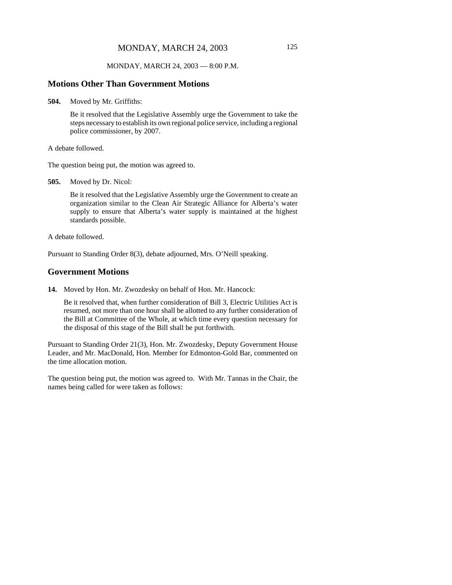#### MONDAY, MARCH 24, 2003 — 8:00 P.M.

#### **Motions Other Than Government Motions**

**504.** Moved by Mr. Griffiths:

Be it resolved that the Legislative Assembly urge the Government to take the steps necessary to establish its own regional police service, including a regional police commissioner, by 2007.

A debate followed.

The question being put, the motion was agreed to.

**505.** Moved by Dr. Nicol:

Be it resolved that the Legislative Assembly urge the Government to create an organization similar to the Clean Air Strategic Alliance for Alberta's water supply to ensure that Alberta's water supply is maintained at the highest standards possible.

A debate followed.

Pursuant to Standing Order 8(3), debate adjourned, Mrs. O'Neill speaking.

#### **Government Motions**

**14.** Moved by Hon. Mr. Zwozdesky on behalf of Hon. Mr. Hancock:

Be it resolved that, when further consideration of Bill 3, Electric Utilities Act is resumed, not more than one hour shall be allotted to any further consideration of the Bill at Committee of the Whole, at which time every question necessary for the disposal of this stage of the Bill shall be put forthwith.

Pursuant to Standing Order 21(3), Hon. Mr. Zwozdesky, Deputy Government House Leader, and Mr. MacDonald, Hon. Member for Edmonton-Gold Bar, commented on the time allocation motion.

The question being put, the motion was agreed to. With Mr. Tannas in the Chair, the names being called for were taken as follows: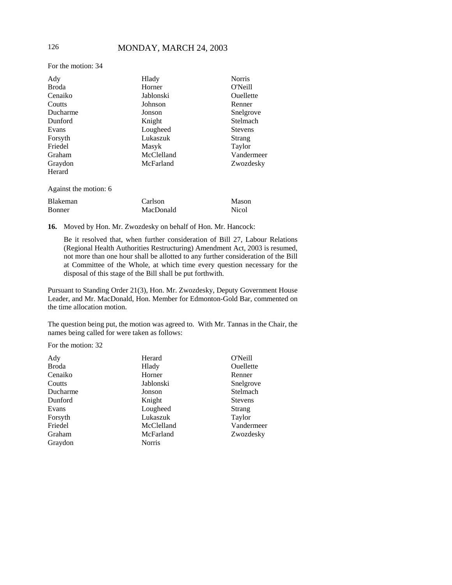# 126 MONDAY, MARCH 24, 2003

For the motion: 34

| Ady                   | Hlady      | <b>Norris</b>  |
|-----------------------|------------|----------------|
| <b>Broda</b>          | Horner     | O'Neill        |
| Cenaiko               | Jablonski  | Ouellette      |
| Coutts                | Johnson    | Renner         |
| Ducharme              | Jonson     | Snelgrove      |
| Dunford               | Knight     | Stelmach       |
| Evans                 | Lougheed   | <b>Stevens</b> |
| Forsyth               | Lukaszuk   | Strang         |
| Friedel               | Masyk      | Taylor         |
| Graham                | McClelland | Vandermeer     |
| Graydon               | McFarland  | Zwozdesky      |
| Herard                |            |                |
| Against the motion: 6 |            |                |

| <b>Blakeman</b> | Carlson   | Mason        |
|-----------------|-----------|--------------|
| <b>Bonner</b>   | MacDonald | <b>Nicol</b> |

**16.** Moved by Hon. Mr. Zwozdesky on behalf of Hon. Mr. Hancock:

Be it resolved that, when further consideration of Bill 27, Labour Relations (Regional Health Authorities Restructuring) Amendment Act, 2003 is resumed, not more than one hour shall be allotted to any further consideration of the Bill at Committee of the Whole, at which time every question necessary for the disposal of this stage of the Bill shall be put forthwith.

Pursuant to Standing Order 21(3), Hon. Mr. Zwozdesky, Deputy Government House Leader, and Mr. MacDonald, Hon. Member for Edmonton-Gold Bar, commented on the time allocation motion.

The question being put, the motion was agreed to. With Mr. Tannas in the Chair, the names being called for were taken as follows:

For the motion: 32

| Herard        | O'Neill        |
|---------------|----------------|
| Hlady         | Ouellette      |
| Horner        | Renner         |
| Jablonski     | Snelgrove      |
| Jonson        | Stelmach       |
| Knight        | <b>Stevens</b> |
| Lougheed      | Strang         |
| Lukaszuk      | Taylor         |
| McClelland    | Vandermeer     |
| McFarland     | Zwozdesky      |
| <b>Norris</b> |                |
|               |                |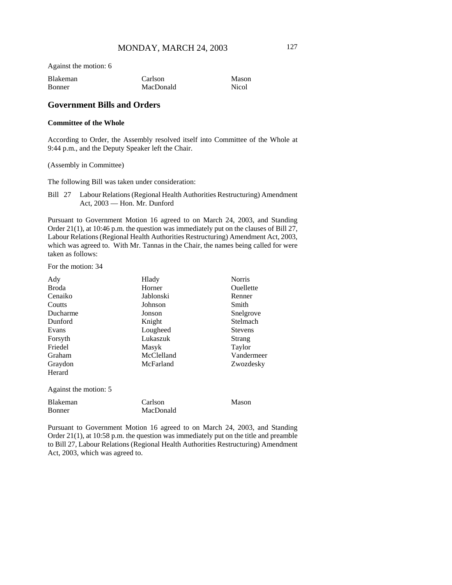Against the motion: 6

| <b>Blakeman</b> | Carlson   | Mason |
|-----------------|-----------|-------|
| Bonner          | MacDonald | Nicol |

## **Government Bills and Orders**

#### **Committee of the Whole**

According to Order, the Assembly resolved itself into Committee of the Whole at 9:44 p.m., and the Deputy Speaker left the Chair.

#### (Assembly in Committee)

The following Bill was taken under consideration:

Bill 27 Labour Relations (Regional Health Authorities Restructuring) Amendment Act, 2003 — Hon. Mr. Dunford

Pursuant to Government Motion 16 agreed to on March 24, 2003, and Standing Order 21(1), at 10:46 p.m. the question was immediately put on the clauses of Bill 27, Labour Relations (Regional Health Authorities Restructuring) Amendment Act, 2003, which was agreed to. With Mr. Tannas in the Chair, the names being called for were taken as follows:

For the motion: 34

| Ady                   | Hlady      | <b>Norris</b>  |
|-----------------------|------------|----------------|
| <b>Broda</b>          | Horner     | Ouellette      |
| Cenaiko               | Jablonski  | Renner         |
| Coutts                | Johnson    | Smith          |
| Ducharme              | Jonson     | Snelgrove      |
| Dunford               | Knight     | Stelmach       |
| Evans                 | Lougheed   | <b>Stevens</b> |
| Forsyth               | Lukaszuk   | Strang         |
| Friedel               | Masyk      | Taylor         |
| Graham                | McClelland | Vandermeer     |
| Graydon               | McFarland  | Zwozdesky      |
| Herard                |            |                |
| Against the motion: 5 |            |                |
| Blakeman              | Carlson    | Mason          |
| Bonner                | MacDonald  |                |

Pursuant to Government Motion 16 agreed to on March 24, 2003, and Standing Order 21(1), at 10:58 p.m. the question was immediately put on the title and preamble to Bill 27, Labour Relations (Regional Health Authorities Restructuring) Amendment Act, 2003, which was agreed to.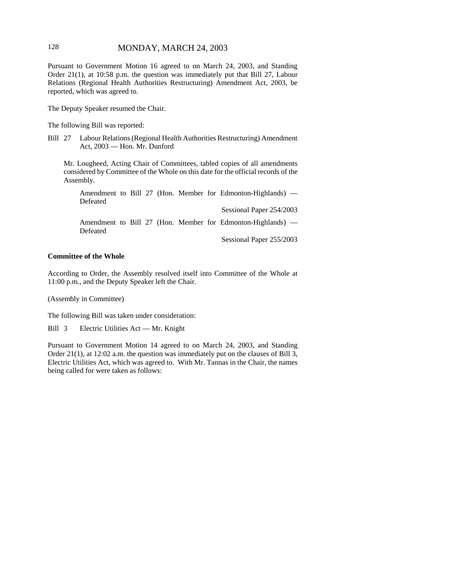# 128 MONDAY, MARCH 24, 2003

Pursuant to Government Motion 16 agreed to on March 24, 2003, and Standing Order 21(1), at 10:58 p.m. the question was immediately put that Bill 27, Labour Relations (Regional Health Authorities Restructuring) Amendment Act, 2003, be reported, which was agreed to.

The Deputy Speaker resumed the Chair.

The following Bill was reported:

Bill 27 Labour Relations (Regional Health Authorities Restructuring) Amendment Act, 2003 — Hon. Mr. Dunford

Mr. Lougheed, Acting Chair of Committees, tabled copies of all amendments considered by Committee of the Whole on this date for the official records of the Assembly.

Amendment to Bill 27 (Hon. Member for Edmonton-Highlands) — Defeated Sessional Paper 254/2003 Amendment to Bill 27 (Hon. Member for Edmonton-Highlands) — Defeated Sessional Paper 255/2003

# **Committee of the Whole**

According to Order, the Assembly resolved itself into Committee of the Whole at 11:00 p.m., and the Deputy Speaker left the Chair.

(Assembly in Committee)

The following Bill was taken under consideration:

Bill 3 Electric Utilities Act — Mr. Knight

Pursuant to Government Motion 14 agreed to on March 24, 2003, and Standing Order 21(1), at 12:02 a.m. the question was immediately put on the clauses of Bill 3, Electric Utilities Act, which was agreed to. With Mr. Tannas in the Chair, the names being called for were taken as follows: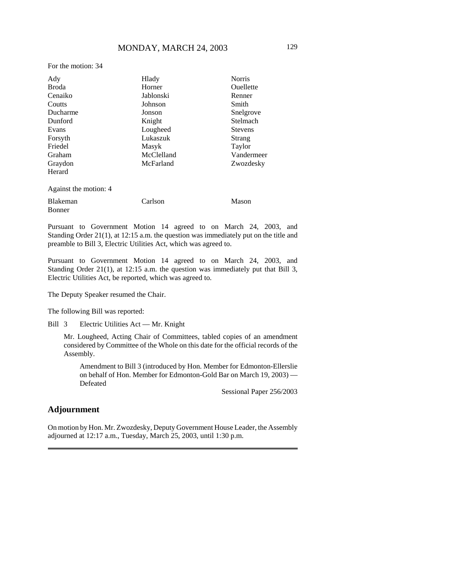For the motion: 34

| Ady                   | Hlady      | <b>Norris</b>  |
|-----------------------|------------|----------------|
| <b>Broda</b>          | Horner     | Ouellette      |
| Cenaiko               | Jablonski  | Renner         |
| Coutts                | Johnson    | Smith          |
| Ducharme              | Jonson     | Snelgrove      |
| Dunford               | Knight     | Stelmach       |
| Evans                 | Lougheed   | <b>Stevens</b> |
| Forsyth               | Lukaszuk   | Strang         |
| Friedel               | Masyk      | Taylor         |
| Graham                | McClelland | Vandermeer     |
| Graydon               | McFarland  | Zwozdesky      |
| Herard                |            |                |
| Against the motion: 4 |            |                |
| Blakeman<br>Bonner    | Carlson    | Mason          |

Pursuant to Government Motion 14 agreed to on March 24, 2003, and Standing Order 21(1), at 12:15 a.m. the question was immediately put on the title and preamble to Bill 3, Electric Utilities Act, which was agreed to.

Pursuant to Government Motion 14 agreed to on March 24, 2003, and Standing Order 21(1), at 12:15 a.m. the question was immediately put that Bill 3, Electric Utilities Act, be reported, which was agreed to.

The Deputy Speaker resumed the Chair.

The following Bill was reported:

Bill 3 Electric Utilities Act — Mr. Knight

Mr. Lougheed, Acting Chair of Committees, tabled copies of an amendment considered by Committee of the Whole on this date for the official records of the Assembly.

Amendment to Bill 3 (introduced by Hon. Member for Edmonton-Ellerslie on behalf of Hon. Member for Edmonton-Gold Bar on March 19, 2003) — Defeated

Sessional Paper 256/2003

# **Adjournment**

On motion by Hon. Mr. Zwozdesky, Deputy Government House Leader, the Assembly adjourned at 12:17 a.m., Tuesday, March 25, 2003, until 1:30 p.m.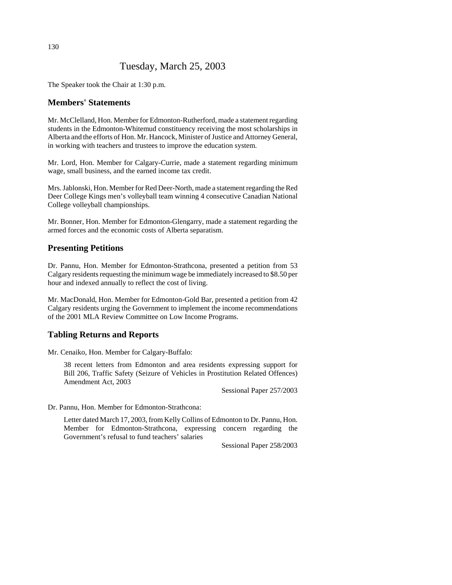# Tuesday, March 25, 2003

The Speaker took the Chair at 1:30 p.m.

# **Members' Statements**

Mr. McClelland, Hon. Member for Edmonton-Rutherford, made a statement regarding students in the Edmonton-Whitemud constituency receiving the most scholarships in Alberta and the efforts of Hon. Mr. Hancock, Minister of Justice and Attorney General, in working with teachers and trustees to improve the education system.

Mr. Lord, Hon. Member for Calgary-Currie, made a statement regarding minimum wage, small business, and the earned income tax credit.

Mrs. Jablonski, Hon. Member for Red Deer-North, made a statement regarding the Red Deer College Kings men's volleyball team winning 4 consecutive Canadian National College volleyball championships.

Mr. Bonner, Hon. Member for Edmonton-Glengarry, made a statement regarding the armed forces and the economic costs of Alberta separatism.

#### **Presenting Petitions**

Dr. Pannu, Hon. Member for Edmonton-Strathcona, presented a petition from 53 Calgary residents requesting the minimum wage be immediately increased to \$8.50 per hour and indexed annually to reflect the cost of living.

Mr. MacDonald, Hon. Member for Edmonton-Gold Bar, presented a petition from 42 Calgary residents urging the Government to implement the income recommendations of the 2001 MLA Review Committee on Low Income Programs.

### **Tabling Returns and Reports**

Mr. Cenaiko, Hon. Member for Calgary-Buffalo:

38 recent letters from Edmonton and area residents expressing support for Bill 206, Traffic Safety (Seizure of Vehicles in Prostitution Related Offences) Amendment Act, 2003

Sessional Paper 257/2003

Dr. Pannu, Hon. Member for Edmonton-Strathcona:

Letter dated March 17, 2003, from Kelly Collins of Edmonton to Dr. Pannu, Hon. Member for Edmonton-Strathcona, expressing concern regarding the Government's refusal to fund teachers' salaries

Sessional Paper 258/2003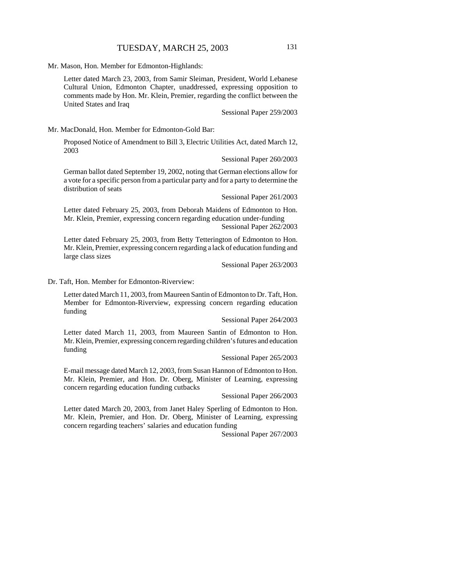Mr. Mason, Hon. Member for Edmonton-Highlands:

Letter dated March 23, 2003, from Samir Sleiman, President, World Lebanese Cultural Union, Edmonton Chapter, unaddressed, expressing opposition to comments made by Hon. Mr. Klein, Premier, regarding the conflict between the United States and Iraq

Sessional Paper 259/2003

Mr. MacDonald, Hon. Member for Edmonton-Gold Bar:

Proposed Notice of Amendment to Bill 3, Electric Utilities Act, dated March 12, 2003

Sessional Paper 260/2003

German ballot dated September 19, 2002, noting that German elections allow for a vote for a specific person from a particular party and for a party to determine the distribution of seats

Sessional Paper 261/2003

Letter dated February 25, 2003, from Deborah Maidens of Edmonton to Hon. Mr. Klein, Premier, expressing concern regarding education under-funding Sessional Paper 262/2003

Letter dated February 25, 2003, from Betty Tetterington of Edmonton to Hon. Mr. Klein, Premier, expressing concern regarding a lack of education funding and large class sizes

Sessional Paper 263/2003

Dr. Taft, Hon. Member for Edmonton-Riverview:

Letter dated March 11, 2003, from Maureen Santin of Edmonton to Dr. Taft, Hon. Member for Edmonton-Riverview, expressing concern regarding education funding

Sessional Paper 264/2003

Letter dated March 11, 2003, from Maureen Santin of Edmonton to Hon. Mr. Klein, Premier, expressing concern regarding children's futures and education funding

Sessional Paper 265/2003

E-mail message dated March 12, 2003, from Susan Hannon of Edmonton to Hon. Mr. Klein, Premier, and Hon. Dr. Oberg, Minister of Learning, expressing concern regarding education funding cutbacks

Sessional Paper 266/2003

Letter dated March 20, 2003, from Janet Haley Sperling of Edmonton to Hon. Mr. Klein, Premier, and Hon. Dr. Oberg, Minister of Learning, expressing concern regarding teachers' salaries and education funding

Sessional Paper 267/2003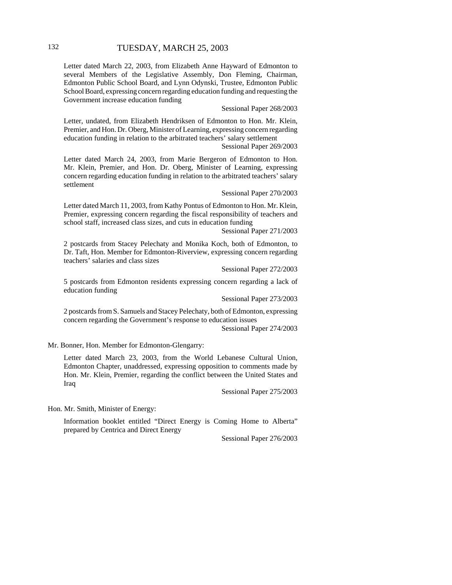Letter dated March 22, 2003, from Elizabeth Anne Hayward of Edmonton to several Members of the Legislative Assembly, Don Fleming, Chairman, Edmonton Public School Board, and Lynn Odynski, Trustee, Edmonton Public School Board, expressing concern regarding education funding and requesting the Government increase education funding

Sessional Paper 268/2003

Letter, undated, from Elizabeth Hendriksen of Edmonton to Hon. Mr. Klein, Premier, and Hon. Dr. Oberg, Minister of Learning, expressing concern regarding education funding in relation to the arbitrated teachers' salary settlement

Sessional Paper 269/2003

Letter dated March 24, 2003, from Marie Bergeron of Edmonton to Hon. Mr. Klein, Premier, and Hon. Dr. Oberg, Minister of Learning, expressing concern regarding education funding in relation to the arbitrated teachers' salary settlement

Sessional Paper 270/2003

Letter dated March 11, 2003, from Kathy Pontus of Edmonton to Hon. Mr. Klein, Premier, expressing concern regarding the fiscal responsibility of teachers and school staff, increased class sizes, and cuts in education funding

Sessional Paper 271/2003

2 postcards from Stacey Pelechaty and Monika Koch, both of Edmonton, to Dr. Taft, Hon. Member for Edmonton-Riverview, expressing concern regarding teachers' salaries and class sizes

Sessional Paper 272/2003

5 postcards from Edmonton residents expressing concern regarding a lack of education funding

Sessional Paper 273/2003

2 postcards from S. Samuels and Stacey Pelechaty, both of Edmonton, expressing concern regarding the Government's response to education issues

Sessional Paper 274/2003

Mr. Bonner, Hon. Member for Edmonton-Glengarry:

Letter dated March 23, 2003, from the World Lebanese Cultural Union, Edmonton Chapter, unaddressed, expressing opposition to comments made by Hon. Mr. Klein, Premier, regarding the conflict between the United States and Iraq

Sessional Paper 275/2003

Hon. Mr. Smith, Minister of Energy:

Information booklet entitled "Direct Energy is Coming Home to Alberta" prepared by Centrica and Direct Energy

Sessional Paper 276/2003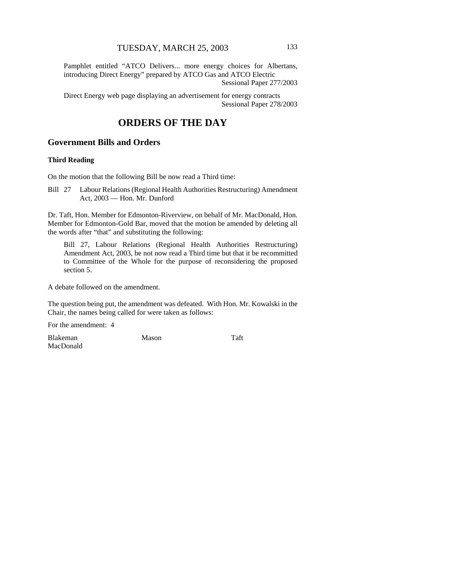Pamphlet entitled "ATCO Delivers... more energy choices for Albertans, introducing Direct Energy" prepared by ATCO Gas and ATCO Electric Sessional Paper 277/2003

Direct Energy web page displaying an advertisement for energy contracts Sessional Paper 278/2003

# **ORDERS OF THE DAY**

# **Government Bills and Orders**

#### **Third Reading**

On the motion that the following Bill be now read a Third time:

Bill 27 Labour Relations (Regional Health Authorities Restructuring) Amendment Act, 2003 — Hon. Mr. Dunford

Dr. Taft, Hon. Member for Edmonton-Riverview, on behalf of Mr. MacDonald, Hon. Member for Edmonton-Gold Bar, moved that the motion be amended by deleting all the words after "that" and substituting the following:

Bill 27, Labour Relations (Regional Health Authorities Restructuring) Amendment Act, 2003, be not now read a Third time but that it be recommitted to Committee of the Whole for the purpose of reconsidering the proposed section 5.

A debate followed on the amendment.

The question being put, the amendment was defeated. With Hon. Mr. Kowalski in the Chair, the names being called for were taken as follows:

For the amendment: 4

Blakeman MacDonald Mason Taft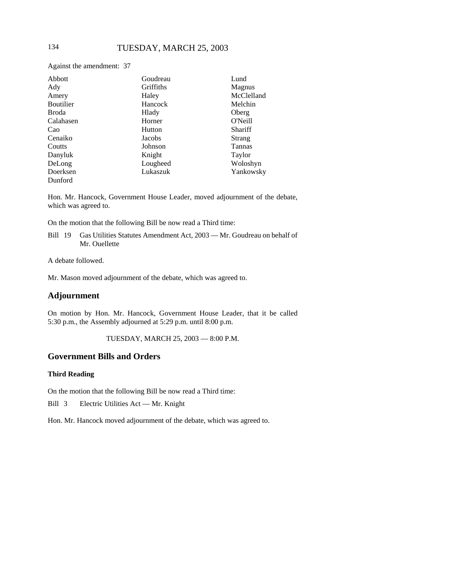Against the amendment: 37

| Abbott           | Goudreau  | Lund          |
|------------------|-----------|---------------|
| Ady              | Griffiths | Magnus        |
| Amery            | Haley     | McClelland    |
| <b>Boutilier</b> | Hancock   | Melchin       |
| <b>Broda</b>     | Hlady     | Oberg         |
| Calahasen        | Horner    | O'Neill       |
| Cao              | Hutton    | Shariff       |
| Cenaiko          | Jacobs    | Strang        |
| Coutts           | Johnson   | <b>Tannas</b> |
| Danyluk          | Knight    | Taylor        |
| DeLong           | Lougheed  | Woloshyn      |
| Doerksen         | Lukaszuk  | Yankowsky     |
| Dunford          |           |               |

Hon. Mr. Hancock, Government House Leader, moved adjournment of the debate, which was agreed to.

On the motion that the following Bill be now read a Third time:

Bill 19 Gas Utilities Statutes Amendment Act, 2003 — Mr. Goudreau on behalf of Mr. Ouellette

A debate followed.

Mr. Mason moved adjournment of the debate, which was agreed to.

#### **Adjournment**

On motion by Hon. Mr. Hancock, Government House Leader, that it be called 5:30 p.m., the Assembly adjourned at 5:29 p.m. until 8:00 p.m.

TUESDAY, MARCH 25, 2003 — 8:00 P.M.

#### **Government Bills and Orders**

#### **Third Reading**

On the motion that the following Bill be now read a Third time:

Bill 3 Electric Utilities Act — Mr. Knight

Hon. Mr. Hancock moved adjournment of the debate, which was agreed to.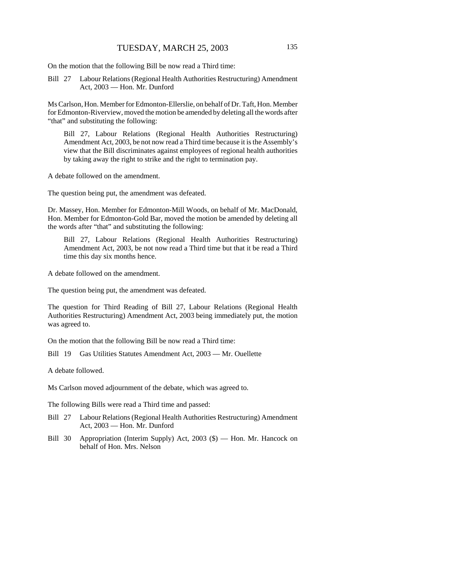On the motion that the following Bill be now read a Third time:

Bill 27 Labour Relations (Regional Health Authorities Restructuring) Amendment Act, 2003 — Hon. Mr. Dunford

Ms Carlson, Hon. Member for Edmonton-Ellerslie, on behalf of Dr. Taft, Hon. Member for Edmonton-Riverview, moved the motion be amended by deleting all the words after "that" and substituting the following:

Bill 27, Labour Relations (Regional Health Authorities Restructuring) Amendment Act, 2003, be not now read a Third time because it is the Assembly's view that the Bill discriminates against employees of regional health authorities by taking away the right to strike and the right to termination pay.

A debate followed on the amendment.

The question being put, the amendment was defeated.

Dr. Massey, Hon. Member for Edmonton-Mill Woods, on behalf of Mr. MacDonald, Hon. Member for Edmonton-Gold Bar, moved the motion be amended by deleting all the words after "that" and substituting the following:

Bill 27, Labour Relations (Regional Health Authorities Restructuring) Amendment Act, 2003, be not now read a Third time but that it be read a Third time this day six months hence.

A debate followed on the amendment.

The question being put, the amendment was defeated.

The question for Third Reading of Bill 27, Labour Relations (Regional Health Authorities Restructuring) Amendment Act, 2003 being immediately put, the motion was agreed to.

On the motion that the following Bill be now read a Third time:

Bill 19 Gas Utilities Statutes Amendment Act, 2003 — Mr. Ouellette

A debate followed.

Ms Carlson moved adjournment of the debate, which was agreed to.

The following Bills were read a Third time and passed:

- Bill 27 Labour Relations (Regional Health Authorities Restructuring) Amendment Act, 2003 — Hon. Mr. Dunford
- Bill 30 Appropriation (Interim Supply) Act, 2003 (\$) Hon. Mr. Hancock on behalf of Hon. Mrs. Nelson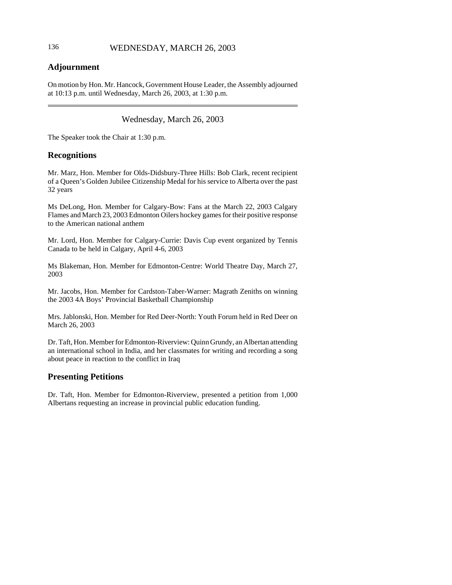# 136 WEDNESDAY, MARCH 26, 2003

# **Adjournment**

On motion by Hon. Mr. Hancock, Government House Leader, the Assembly adjourned at 10:13 p.m. until Wednesday, March 26, 2003, at 1:30 p.m.

# Wednesday, March 26, 2003

The Speaker took the Chair at 1:30 p.m.

# **Recognitions**

Mr. Marz, Hon. Member for Olds-Didsbury-Three Hills: Bob Clark, recent recipient of a Queen's Golden Jubilee Citizenship Medal for his service to Alberta over the past 32 years

Ms DeLong, Hon. Member for Calgary-Bow: Fans at the March 22, 2003 Calgary Flames and March 23, 2003 Edmonton Oilers hockey games for their positive response to the American national anthem

Mr. Lord, Hon. Member for Calgary-Currie: Davis Cup event organized by Tennis Canada to be held in Calgary, April 4-6, 2003

Ms Blakeman, Hon. Member for Edmonton-Centre: World Theatre Day, March 27, 2003

Mr. Jacobs, Hon. Member for Cardston-Taber-Warner: Magrath Zeniths on winning the 2003 4A Boys' Provincial Basketball Championship

Mrs. Jablonski, Hon. Member for Red Deer-North: Youth Forum held in Red Deer on March 26, 2003

Dr. Taft, Hon. Member for Edmonton-Riverview: Quinn Grundy, an Albertan attending an international school in India, and her classmates for writing and recording a song about peace in reaction to the conflict in Iraq

# **Presenting Petitions**

Dr. Taft, Hon. Member for Edmonton-Riverview, presented a petition from 1,000 Albertans requesting an increase in provincial public education funding.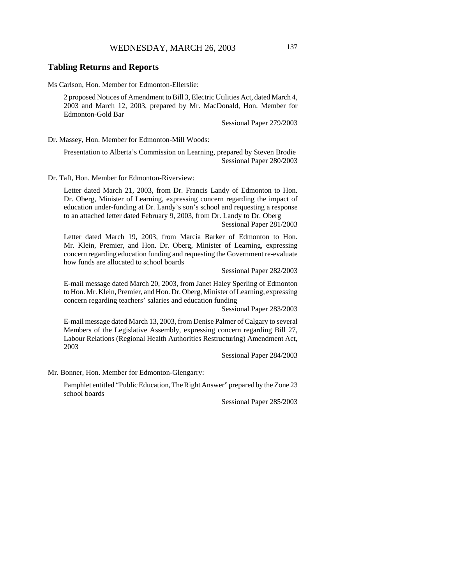## **Tabling Returns and Reports**

Ms Carlson, Hon. Member for Edmonton-Ellerslie:

2 proposed Notices of Amendment to Bill 3, Electric Utilities Act, dated March 4, 2003 and March 12, 2003, prepared by Mr. MacDonald, Hon. Member for Edmonton-Gold Bar

Sessional Paper 279/2003

Dr. Massey, Hon. Member for Edmonton-Mill Woods:

Presentation to Alberta's Commission on Learning, prepared by Steven Brodie Sessional Paper 280/2003

Dr. Taft, Hon. Member for Edmonton-Riverview:

Letter dated March 21, 2003, from Dr. Francis Landy of Edmonton to Hon. Dr. Oberg, Minister of Learning, expressing concern regarding the impact of education under-funding at Dr. Landy's son's school and requesting a response to an attached letter dated February 9, 2003, from Dr. Landy to Dr. Oberg

Sessional Paper 281/2003

Letter dated March 19, 2003, from Marcia Barker of Edmonton to Hon. Mr. Klein, Premier, and Hon. Dr. Oberg, Minister of Learning, expressing concern regarding education funding and requesting the Government re-evaluate how funds are allocated to school boards

Sessional Paper 282/2003

E-mail message dated March 20, 2003, from Janet Haley Sperling of Edmonton to Hon. Mr. Klein, Premier, and Hon. Dr. Oberg, Minister of Learning, expressing concern regarding teachers' salaries and education funding

Sessional Paper 283/2003

E-mail message dated March 13, 2003, from Denise Palmer of Calgary to several Members of the Legislative Assembly, expressing concern regarding Bill 27, Labour Relations (Regional Health Authorities Restructuring) Amendment Act, 2003

Sessional Paper 284/2003

Mr. Bonner, Hon. Member for Edmonton-Glengarry:

Pamphlet entitled "Public Education, The Right Answer" prepared by the Zone 23 school boards

Sessional Paper 285/2003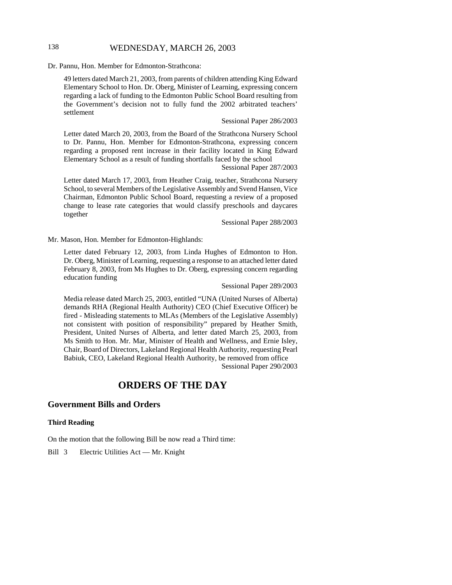# 138 WEDNESDAY, MARCH 26, 2003

Dr. Pannu, Hon. Member for Edmonton-Strathcona:

49 letters dated March 21, 2003, from parents of children attending King Edward Elementary School to Hon. Dr. Oberg, Minister of Learning, expressing concern regarding a lack of funding to the Edmonton Public School Board resulting from the Government's decision not to fully fund the 2002 arbitrated teachers' settlement

#### Sessional Paper 286/2003

Letter dated March 20, 2003, from the Board of the Strathcona Nursery School to Dr. Pannu, Hon. Member for Edmonton-Strathcona, expressing concern regarding a proposed rent increase in their facility located in King Edward Elementary School as a result of funding shortfalls faced by the school

Sessional Paper 287/2003

Letter dated March 17, 2003, from Heather Craig, teacher, Strathcona Nursery School, to several Members of the Legislative Assembly and Svend Hansen, Vice Chairman, Edmonton Public School Board, requesting a review of a proposed change to lease rate categories that would classify preschools and daycares together

Sessional Paper 288/2003

Mr. Mason, Hon. Member for Edmonton-Highlands:

Letter dated February 12, 2003, from Linda Hughes of Edmonton to Hon. Dr. Oberg, Minister of Learning, requesting a response to an attached letter dated February 8, 2003, from Ms Hughes to Dr. Oberg, expressing concern regarding education funding

#### Sessional Paper 289/2003

Media release dated March 25, 2003, entitled "UNA (United Nurses of Alberta) demands RHA (Regional Health Authority) CEO (Chief Executive Officer) be fired - Misleading statements to MLAs (Members of the Legislative Assembly) not consistent with position of responsibility" prepared by Heather Smith, President, United Nurses of Alberta, and letter dated March 25, 2003, from Ms Smith to Hon. Mr. Mar, Minister of Health and Wellness, and Ernie Isley, Chair, Board of Directors, Lakeland Regional Health Authority, requesting Pearl Babiuk, CEO, Lakeland Regional Health Authority, be removed from office Sessional Paper 290/2003

# **ORDERS OF THE DAY**

#### **Government Bills and Orders**

#### **Third Reading**

On the motion that the following Bill be now read a Third time:

Bill 3 Electric Utilities Act — Mr. Knight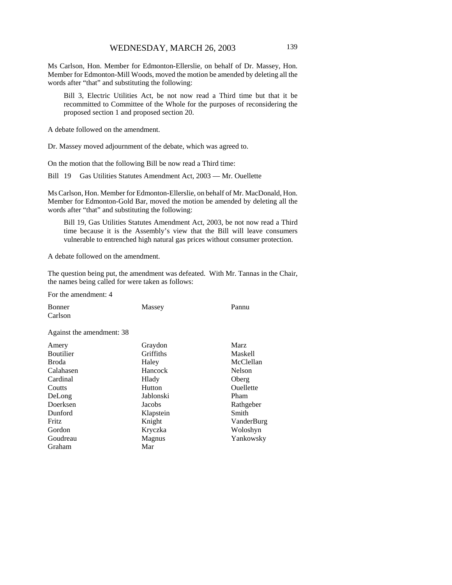Ms Carlson, Hon. Member for Edmonton-Ellerslie, on behalf of Dr. Massey, Hon. Member for Edmonton-Mill Woods, moved the motion be amended by deleting all the words after "that" and substituting the following:

Bill 3, Electric Utilities Act, be not now read a Third time but that it be recommitted to Committee of the Whole for the purposes of reconsidering the proposed section 1 and proposed section 20.

A debate followed on the amendment.

Dr. Massey moved adjournment of the debate, which was agreed to.

On the motion that the following Bill be now read a Third time:

Bill 19 Gas Utilities Statutes Amendment Act, 2003 — Mr. Ouellette

Ms Carlson, Hon. Member for Edmonton-Ellerslie, on behalf of Mr. MacDonald, Hon. Member for Edmonton-Gold Bar, moved the motion be amended by deleting all the words after "that" and substituting the following:

Bill 19, Gas Utilities Statutes Amendment Act, 2003, be not now read a Third time because it is the Assembly's view that the Bill will leave consumers vulnerable to entrenched high natural gas prices without consumer protection.

A debate followed on the amendment.

The question being put, the amendment was defeated. With Mr. Tannas in the Chair, the names being called for were taken as follows:

For the amendment: 4

| <b>Bonner</b>             | Massey    | Pannu          |
|---------------------------|-----------|----------------|
| Carlson                   |           |                |
| Against the amendment: 38 |           |                |
| Amery                     | Graydon   | Marz           |
| <b>Boutilier</b>          | Griffiths | <b>Maskell</b> |
| Broda                     | Haley     | McClellan      |
| Calahasen                 | Hancock   | <b>Nelson</b>  |
| Cardinal                  | Hlady     | Oberg          |
| Coutts                    | Hutton    | Ouellette      |
| DeLong                    | Jablonski | Pham           |
| Doerksen                  | Jacobs    | Rathgeber      |
| Dunford                   | Klapstein | Smith          |
| Fritz                     | Knight    | VanderBurg     |
| Gordon                    | Kryczka   | Woloshyn       |
| Goudreau                  | Magnus    | Yankowsky      |
| Graham                    | Mar       |                |
|                           |           |                |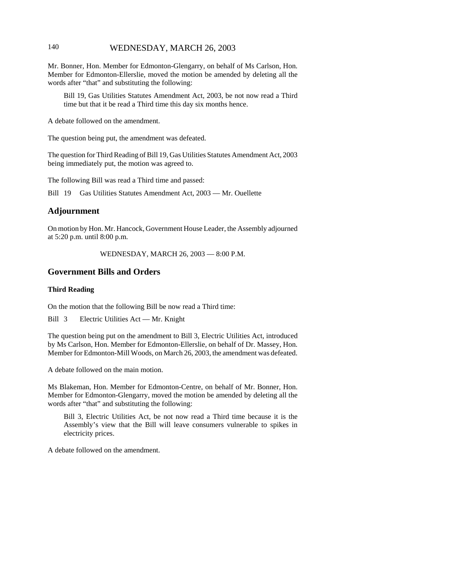# 140 WEDNESDAY, MARCH 26, 2003

Mr. Bonner, Hon. Member for Edmonton-Glengarry, on behalf of Ms Carlson, Hon. Member for Edmonton-Ellerslie, moved the motion be amended by deleting all the words after "that" and substituting the following:

Bill 19, Gas Utilities Statutes Amendment Act, 2003, be not now read a Third time but that it be read a Third time this day six months hence.

A debate followed on the amendment.

The question being put, the amendment was defeated.

The question for Third Reading of Bill 19, Gas Utilities Statutes Amendment Act, 2003 being immediately put, the motion was agreed to.

The following Bill was read a Third time and passed:

Bill 19 Gas Utilities Statutes Amendment Act, 2003 — Mr. Ouellette

## **Adjournment**

On motion by Hon. Mr. Hancock, Government House Leader, the Assembly adjourned at 5:20 p.m. until 8:00 p.m.

WEDNESDAY, MARCH 26, 2003 — 8:00 P.M.

# **Government Bills and Orders**

#### **Third Reading**

On the motion that the following Bill be now read a Third time:

Bill 3 Electric Utilities Act — Mr. Knight

The question being put on the amendment to Bill 3, Electric Utilities Act, introduced by Ms Carlson, Hon. Member for Edmonton-Ellerslie, on behalf of Dr. Massey, Hon. Member for Edmonton-Mill Woods, on March 26, 2003, the amendment was defeated.

A debate followed on the main motion.

Ms Blakeman, Hon. Member for Edmonton-Centre, on behalf of Mr. Bonner, Hon. Member for Edmonton-Glengarry, moved the motion be amended by deleting all the words after "that" and substituting the following:

Bill 3, Electric Utilities Act, be not now read a Third time because it is the Assembly's view that the Bill will leave consumers vulnerable to spikes in electricity prices.

A debate followed on the amendment.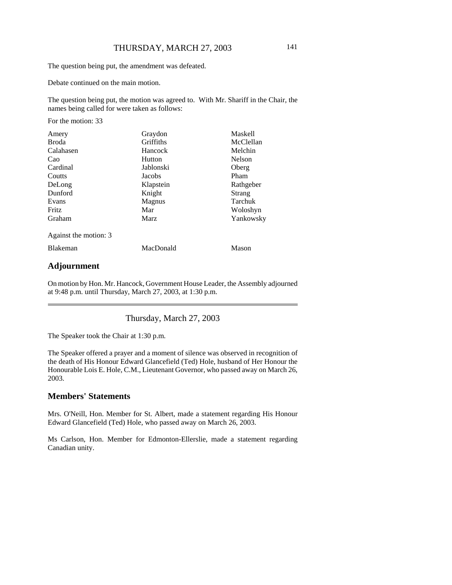The question being put, the amendment was defeated.

Debate continued on the main motion.

The question being put, the motion was agreed to. With Mr. Shariff in the Chair, the names being called for were taken as follows:

For the motion: 33

| Amery                 | Graydon     | <b>Maskell</b> |
|-----------------------|-------------|----------------|
| <b>Broda</b>          | Griffiths   | McClellan      |
| Calahasen             | Hancock     | Melchin        |
| Cao                   | Hutton      | Nelson         |
| Cardinal              | Jablonski   | Oberg          |
| Coutts                | Jacobs      | Pham           |
| DeLong                | Klapstein   | Rathgeber      |
| Dunford               | Knight      | Strang         |
| Evans                 | Magnus      | Tarchuk        |
| <b>Fritz</b>          | Mar         | Woloshyn       |
| Graham                | <b>Marz</b> | Yankowsky      |
| Against the motion: 3 |             |                |
| <b>Blakeman</b>       | MacDonald   | Mason          |
|                       |             |                |

# **Adjournment**

On motion by Hon. Mr. Hancock, Government House Leader, the Assembly adjourned at 9:48 p.m. until Thursday, March 27, 2003, at 1:30 p.m.

Thursday, March 27, 2003

The Speaker took the Chair at 1:30 p.m.

The Speaker offered a prayer and a moment of silence was observed in recognition of the death of His Honour Edward Glancefield (Ted) Hole, husband of Her Honour the Honourable Lois E. Hole, C.M., Lieutenant Governor, who passed away on March 26, 2003.

## **Members' Statements**

Mrs. O'Neill, Hon. Member for St. Albert, made a statement regarding His Honour Edward Glancefield (Ted) Hole, who passed away on March 26, 2003.

Ms Carlson, Hon. Member for Edmonton-Ellerslie, made a statement regarding Canadian unity.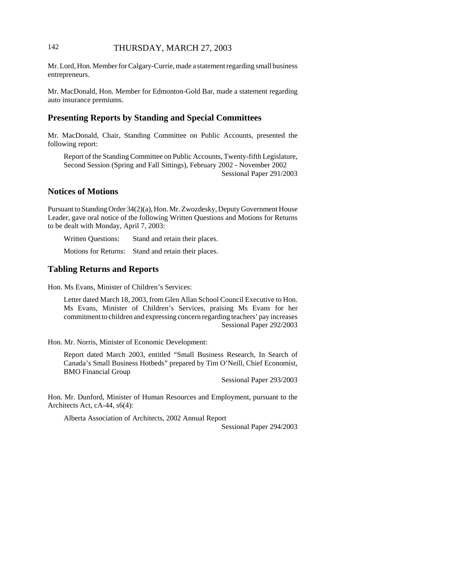# 142 THURSDAY, MARCH 27, 2003

Mr. Lord, Hon. Member for Calgary-Currie, made a statement regarding small business entrepreneurs.

Mr. MacDonald, Hon. Member for Edmonton-Gold Bar, made a statement regarding auto insurance premiums.

## **Presenting Reports by Standing and Special Committees**

Mr. MacDonald, Chair, Standing Committee on Public Accounts, presented the following report:

Report of the Standing Committee on Public Accounts, Twenty-fifth Legislature, Second Session (Spring and Fall Sittings), February 2002 - November 2002 Sessional Paper 291/2003

### **Notices of Motions**

Pursuant to Standing Order 34(2)(a), Hon. Mr. Zwozdesky, Deputy Government House Leader, gave oral notice of the following Written Questions and Motions for Returns to be dealt with Monday, April 7, 2003:

Written Questions: Stand and retain their places.

Motions for Returns: Stand and retain their places.

# **Tabling Returns and Reports**

Hon. Ms Evans, Minister of Children's Services:

Letter dated March 18, 2003, from Glen Allan School Council Executive to Hon. Ms Evans, Minister of Children's Services, praising Ms Evans for her commitment to children and expressing concern regarding teachers' pay increases Sessional Paper 292/2003

Hon. Mr. Norris, Minister of Economic Development:

Report dated March 2003, entitled "Small Business Research, In Search of Canada's Small Business Hotbeds" prepared by Tim O'Neill, Chief Economist, BMO Financial Group

Sessional Paper 293/2003

Hon. Mr. Dunford, Minister of Human Resources and Employment, pursuant to the Architects Act, cA-44, s6(4):

Alberta Association of Architects, 2002 Annual Report

Sessional Paper 294/2003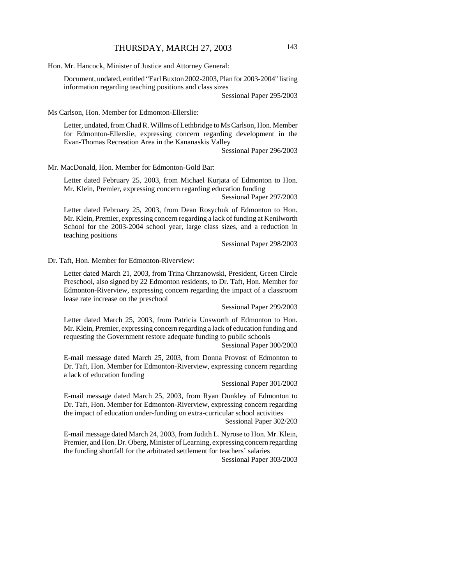Hon. Mr. Hancock, Minister of Justice and Attorney General:

Document, undated, entitled "Earl Buxton 2002-2003, Plan for 2003-2004" listing information regarding teaching positions and class sizes

Sessional Paper 295/2003

Ms Carlson, Hon. Member for Edmonton-Ellerslie:

Letter, undated, from Chad R. Willms of Lethbridge to Ms Carlson, Hon. Member for Edmonton-Ellerslie, expressing concern regarding development in the Evan-Thomas Recreation Area in the Kananaskis Valley

Sessional Paper 296/2003

Mr. MacDonald, Hon. Member for Edmonton-Gold Bar:

Letter dated February 25, 2003, from Michael Kurjata of Edmonton to Hon. Mr. Klein, Premier, expressing concern regarding education funding

Sessional Paper 297/2003

Letter dated February 25, 2003, from Dean Rosychuk of Edmonton to Hon. Mr. Klein, Premier, expressing concern regarding a lack of funding at Kenilworth School for the 2003-2004 school year, large class sizes, and a reduction in teaching positions

Sessional Paper 298/2003

Dr. Taft, Hon. Member for Edmonton-Riverview:

Letter dated March 21, 2003, from Trina Chrzanowski, President, Green Circle Preschool, also signed by 22 Edmonton residents, to Dr. Taft, Hon. Member for Edmonton-Riverview, expressing concern regarding the impact of a classroom lease rate increase on the preschool

Sessional Paper 299/2003

Letter dated March 25, 2003, from Patricia Unsworth of Edmonton to Hon. Mr. Klein, Premier, expressing concern regarding a lack of education funding and requesting the Government restore adequate funding to public schools

Sessional Paper 300/2003

E-mail message dated March 25, 2003, from Donna Provost of Edmonton to Dr. Taft, Hon. Member for Edmonton-Riverview, expressing concern regarding a lack of education funding

Sessional Paper 301/2003

E-mail message dated March 25, 2003, from Ryan Dunkley of Edmonton to Dr. Taft, Hon. Member for Edmonton-Riverview, expressing concern regarding the impact of education under-funding on extra-curricular school activities Sessional Paper 302/203

E-mail message dated March 24, 2003, from Judith L. Nyrose to Hon. Mr. Klein, Premier, and Hon. Dr. Oberg, Minister of Learning, expressing concern regarding the funding shortfall for the arbitrated settlement for teachers' salaries

Sessional Paper 303/2003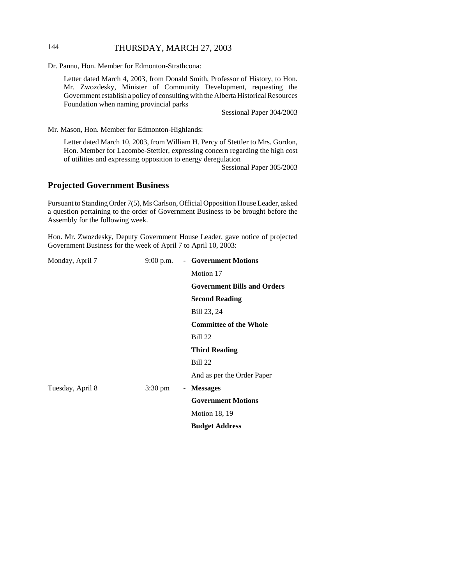# 144 THURSDAY, MARCH 27, 2003

Dr. Pannu, Hon. Member for Edmonton-Strathcona:

Letter dated March 4, 2003, from Donald Smith, Professor of History, to Hon. Mr. Zwozdesky, Minister of Community Development, requesting the Government establish a policy of consulting with the Alberta Historical Resources Foundation when naming provincial parks

Sessional Paper 304/2003

Mr. Mason, Hon. Member for Edmonton-Highlands:

Letter dated March 10, 2003, from William H. Percy of Stettler to Mrs. Gordon, Hon. Member for Lacombe-Stettler, expressing concern regarding the high cost of utilities and expressing opposition to energy deregulation

Sessional Paper 305/2003

### **Projected Government Business**

Pursuant to Standing Order 7(5), Ms Carlson, Official Opposition House Leader, asked a question pertaining to the order of Government Business to be brought before the Assembly for the following week.

Hon. Mr. Zwozdesky, Deputy Government House Leader, gave notice of projected Government Business for the week of April 7 to April 10, 2003:

| Monday, April 7  | $9:00$ p.m.       | - Government Motions               |
|------------------|-------------------|------------------------------------|
|                  |                   | Motion 17                          |
|                  |                   | <b>Government Bills and Orders</b> |
|                  |                   | <b>Second Reading</b>              |
|                  |                   | Bill 23, 24                        |
|                  |                   | <b>Committee of the Whole</b>      |
|                  |                   | <b>Bill 22</b>                     |
|                  |                   | <b>Third Reading</b>               |
|                  |                   | <b>Bill 22</b>                     |
|                  |                   | And as per the Order Paper         |
| Tuesday, April 8 | $3:30 \text{ pm}$ | - Messages                         |
|                  |                   | <b>Government Motions</b>          |
|                  |                   | <b>Motion 18, 19</b>               |
|                  |                   | <b>Budget Address</b>              |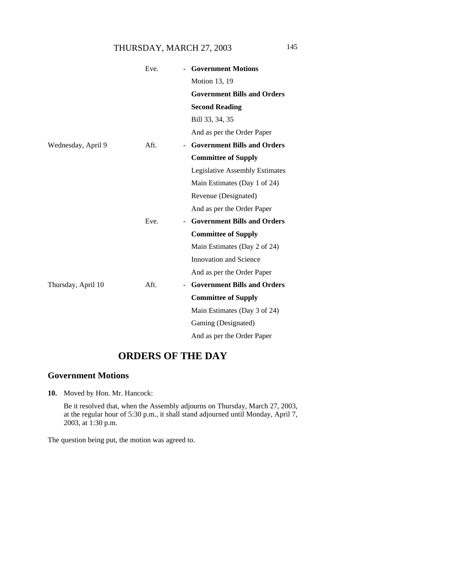# THURSDAY, MARCH 27, 2003 145

|                    | Eve. | <b>Government Motions</b>             |
|--------------------|------|---------------------------------------|
|                    |      | Motion 13, 19                         |
|                    |      | <b>Government Bills and Orders</b>    |
|                    |      | <b>Second Reading</b>                 |
|                    |      | Bill 33, 34, 35                       |
|                    |      | And as per the Order Paper            |
| Wednesday, April 9 | Aft. | <b>Government Bills and Orders</b>    |
|                    |      | <b>Committee of Supply</b>            |
|                    |      | <b>Legislative Assembly Estimates</b> |
|                    |      | Main Estimates (Day 1 of 24)          |
|                    |      | Revenue (Designated)                  |
|                    |      | And as per the Order Paper            |
|                    | Eve. | <b>Government Bills and Orders</b>    |
|                    |      | <b>Committee of Supply</b>            |
|                    |      | Main Estimates (Day 2 of 24)          |
|                    |      | Innovation and Science                |
|                    |      | And as per the Order Paper            |
| Thursday, April 10 | Aft. | <b>Government Bills and Orders</b>    |
|                    |      | <b>Committee of Supply</b>            |
|                    |      | Main Estimates (Day 3 of 24)          |
|                    |      | Gaming (Designated)                   |
|                    |      | And as per the Order Paper            |

# **ORDERS OF THE DAY**

# **Government Motions**

**10.** Moved by Hon. Mr. Hancock:

Be it resolved that, when the Assembly adjourns on Thursday, March 27, 2003, at the regular hour of 5:30 p.m., it shall stand adjourned until Monday, April 7, 2003, at 1:30 p.m.

The question being put, the motion was agreed to.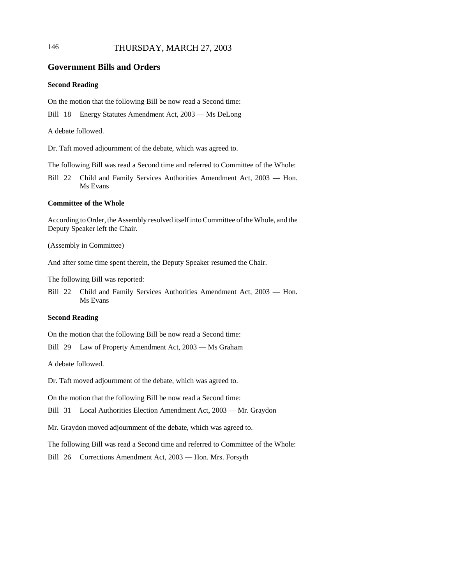# 146 THURSDAY, MARCH 27, 2003

### **Government Bills and Orders**

### **Second Reading**

On the motion that the following Bill be now read a Second time:

Bill 18 Energy Statutes Amendment Act, 2003 — Ms DeLong

A debate followed.

Dr. Taft moved adjournment of the debate, which was agreed to.

The following Bill was read a Second time and referred to Committee of the Whole:

Bill 22 Child and Family Services Authorities Amendment Act, 2003 — Hon. Ms Evans

#### **Committee of the Whole**

According to Order, the Assembly resolved itself into Committee of the Whole, and the Deputy Speaker left the Chair.

(Assembly in Committee)

And after some time spent therein, the Deputy Speaker resumed the Chair.

The following Bill was reported:

Bill 22 Child and Family Services Authorities Amendment Act, 2003 — Hon. Ms Evans

### **Second Reading**

On the motion that the following Bill be now read a Second time:

Bill 29 Law of Property Amendment Act, 2003 — Ms Graham

A debate followed.

Dr. Taft moved adjournment of the debate, which was agreed to.

On the motion that the following Bill be now read a Second time:

Bill 31 Local Authorities Election Amendment Act, 2003 — Mr. Graydon

Mr. Graydon moved adjournment of the debate, which was agreed to.

The following Bill was read a Second time and referred to Committee of the Whole:

Bill 26 Corrections Amendment Act, 2003 — Hon. Mrs. Forsyth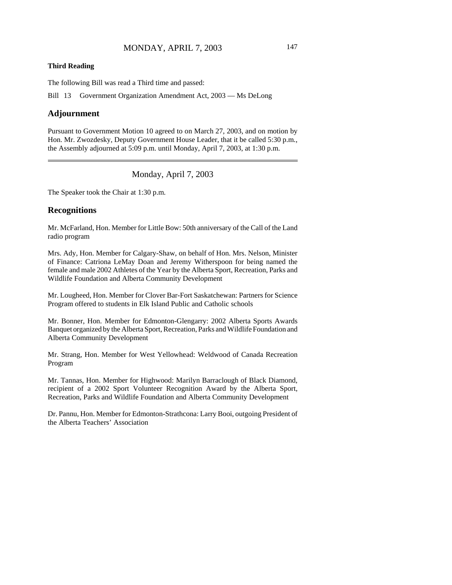#### **Third Reading**

The following Bill was read a Third time and passed:

Bill 13 Government Organization Amendment Act, 2003 — Ms DeLong

### **Adjournment**

Pursuant to Government Motion 10 agreed to on March 27, 2003, and on motion by Hon. Mr. Zwozdesky, Deputy Government House Leader, that it be called 5:30 p.m., the Assembly adjourned at 5:09 p.m. until Monday, April 7, 2003, at 1:30 p.m.

Monday, April 7, 2003

The Speaker took the Chair at 1:30 p.m.

#### **Recognitions**

Mr. McFarland, Hon. Member for Little Bow: 50th anniversary of the Call of the Land radio program

Mrs. Ady, Hon. Member for Calgary-Shaw, on behalf of Hon. Mrs. Nelson, Minister of Finance: Catriona LeMay Doan and Jeremy Witherspoon for being named the female and male 2002 Athletes of the Year by the Alberta Sport, Recreation, Parks and Wildlife Foundation and Alberta Community Development

Mr. Lougheed, Hon. Member for Clover Bar-Fort Saskatchewan: Partners for Science Program offered to students in Elk Island Public and Catholic schools

Mr. Bonner, Hon. Member for Edmonton-Glengarry: 2002 Alberta Sports Awards Banquet organized by the Alberta Sport, Recreation, Parks and Wildlife Foundation and Alberta Community Development

Mr. Strang, Hon. Member for West Yellowhead: Weldwood of Canada Recreation Program

Mr. Tannas, Hon. Member for Highwood: Marilyn Barraclough of Black Diamond, recipient of a 2002 Sport Volunteer Recognition Award by the Alberta Sport, Recreation, Parks and Wildlife Foundation and Alberta Community Development

Dr. Pannu, Hon. Member for Edmonton-Strathcona: Larry Booi, outgoing President of the Alberta Teachers' Association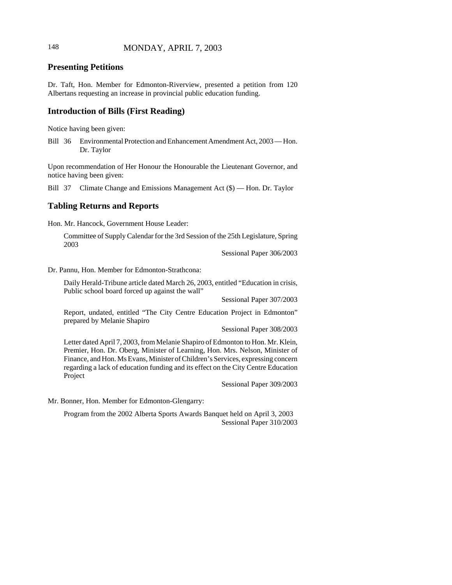# 148 MONDAY, APRIL 7, 2003

# **Presenting Petitions**

Dr. Taft, Hon. Member for Edmonton-Riverview, presented a petition from 120 Albertans requesting an increase in provincial public education funding.

### **Introduction of Bills (First Reading)**

Notice having been given:

Bill 36 Environmental Protection and Enhancement Amendment Act, 2003 — Hon. Dr. Taylor

Upon recommendation of Her Honour the Honourable the Lieutenant Governor, and notice having been given:

Bill 37 Climate Change and Emissions Management Act (\$) — Hon. Dr. Taylor

### **Tabling Returns and Reports**

Hon. Mr. Hancock, Government House Leader:

Committee of Supply Calendar for the 3rd Session of the 25th Legislature, Spring 2003

Sessional Paper 306/2003

Dr. Pannu, Hon. Member for Edmonton-Strathcona:

Daily Herald-Tribune article dated March 26, 2003, entitled "Education in crisis, Public school board forced up against the wall"

Sessional Paper 307/2003

Report, undated, entitled "The City Centre Education Project in Edmonton" prepared by Melanie Shapiro

Sessional Paper 308/2003

Letter dated April 7, 2003, from Melanie Shapiro of Edmonton to Hon. Mr. Klein, Premier, Hon. Dr. Oberg, Minister of Learning, Hon. Mrs. Nelson, Minister of Finance, and Hon. Ms Evans, Minister of Children's Services, expressing concern regarding a lack of education funding and its effect on the City Centre Education Project

Sessional Paper 309/2003

Mr. Bonner, Hon. Member for Edmonton-Glengarry:

Program from the 2002 Alberta Sports Awards Banquet held on April 3, 2003 Sessional Paper 310/2003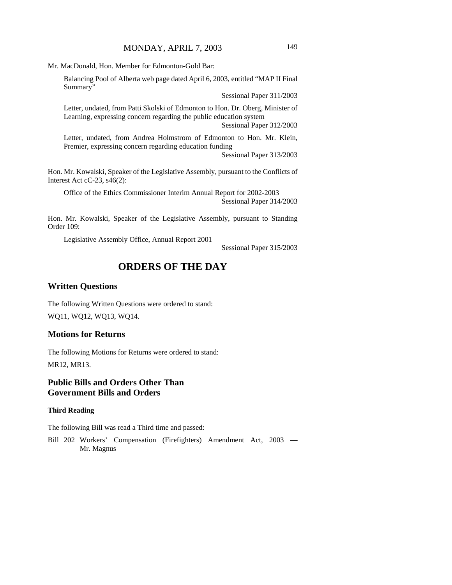Mr. MacDonald, Hon. Member for Edmonton-Gold Bar:

Balancing Pool of Alberta web page dated April 6, 2003, entitled "MAP II Final Summary"

Sessional Paper 311/2003

Letter, undated, from Patti Skolski of Edmonton to Hon. Dr. Oberg, Minister of Learning, expressing concern regarding the public education system Sessional Paper 312/2003

Letter, undated, from Andrea Holmstrom of Edmonton to Hon. Mr. Klein, Premier, expressing concern regarding education funding

Sessional Paper 313/2003

Hon. Mr. Kowalski, Speaker of the Legislative Assembly, pursuant to the Conflicts of Interest Act cC-23, s46(2):

Office of the Ethics Commissioner Interim Annual Report for 2002-2003 Sessional Paper 314/2003

Hon. Mr. Kowalski, Speaker of the Legislative Assembly, pursuant to Standing Order 109:

Legislative Assembly Office, Annual Report 2001

Sessional Paper 315/2003

# **ORDERS OF THE DAY**

# **Written Questions**

The following Written Questions were ordered to stand: WQ11, WQ12, WQ13, WQ14.

### **Motions for Returns**

The following Motions for Returns were ordered to stand: MR12, MR13.

# **Public Bills and Orders Other Than Government Bills and Orders**

### **Third Reading**

The following Bill was read a Third time and passed:

Bill 202 Workers' Compensation (Firefighters) Amendment Act, 2003 — Mr. Magnus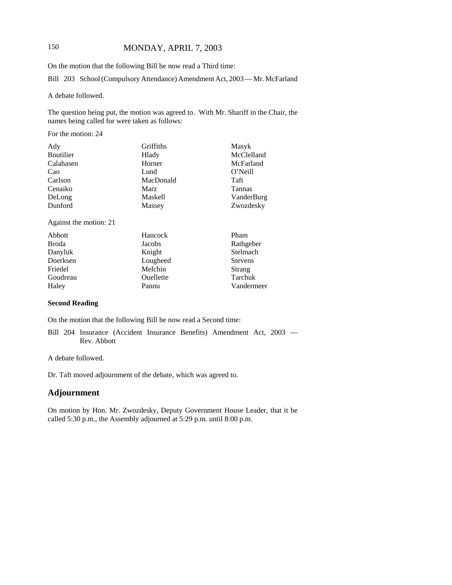# 150 MONDAY, APRIL 7, 2003

On the motion that the following Bill be now read a Third time:

Bill 203 School (Compulsory Attendance) Amendment Act, 2003 — Mr. McFarland

A debate followed.

The question being put, the motion was agreed to. With Mr. Shariff in the Chair, the names being called for were taken as follows:

For the motion: 24

| Griffiths      | Masyk         |
|----------------|---------------|
| Hlady          | McClelland    |
| Horner         | McFarland     |
| Lund           | O'Neill       |
| MacDonald      | Taft          |
| <b>Marz</b>    | <b>Tannas</b> |
| <b>Maskell</b> | VanderBurg    |
| Massey         | Zwozdesky     |
|                |               |

Against the motion: 21

| Abbott       | Hancock   | Pham           |
|--------------|-----------|----------------|
| <b>Broda</b> | Jacobs    | Rathgeber      |
| Danyluk      | Knight    | Stelmach       |
| Doerksen     | Lougheed  | <b>Stevens</b> |
| Friedel      | Melchin   | Strang         |
| Goudreau     | Ouellette | Tarchuk        |
| Haley        | Pannu     | Vandermeer     |

#### **Second Reading**

On the motion that the following Bill be now read a Second time:

Bill 204 Insurance (Accident Insurance Benefits) Amendment Act, 2003 — Rev. Abbott

A debate followed.

Dr. Taft moved adjournment of the debate, which was agreed to.

### **Adjournment**

On motion by Hon. Mr. Zwozdesky, Deputy Government House Leader, that it be called 5:30 p.m., the Assembly adjourned at 5:29 p.m. until 8:00 p.m.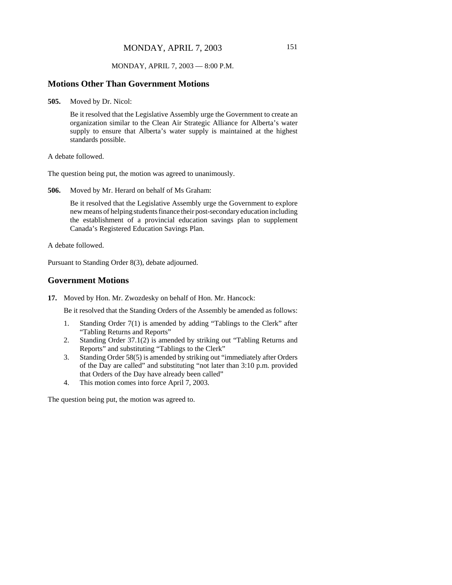#### MONDAY, APRIL 7, 2003 — 8:00 P.M.

#### **Motions Other Than Government Motions**

**505.** Moved by Dr. Nicol:

Be it resolved that the Legislative Assembly urge the Government to create an organization similar to the Clean Air Strategic Alliance for Alberta's water supply to ensure that Alberta's water supply is maintained at the highest standards possible.

A debate followed.

The question being put, the motion was agreed to unanimously.

**506.** Moved by Mr. Herard on behalf of Ms Graham:

Be it resolved that the Legislative Assembly urge the Government to explore new means of helping students finance their post-secondary education including the establishment of a provincial education savings plan to supplement Canada's Registered Education Savings Plan.

A debate followed.

Pursuant to Standing Order 8(3), debate adjourned.

### **Government Motions**

**17.** Moved by Hon. Mr. Zwozdesky on behalf of Hon. Mr. Hancock:

Be it resolved that the Standing Orders of the Assembly be amended as follows:

- 1. Standing Order 7(1) is amended by adding "Tablings to the Clerk" after "Tabling Returns and Reports"
- 2. Standing Order 37.1(2) is amended by striking out "Tabling Returns and Reports" and substituting "Tablings to the Clerk"
- 3. Standing Order 58(5) is amended by striking out "immediately after Orders of the Day are called" and substituting "not later than 3:10 p.m. provided that Orders of the Day have already been called"
- 4. This motion comes into force April 7, 2003.

The question being put, the motion was agreed to.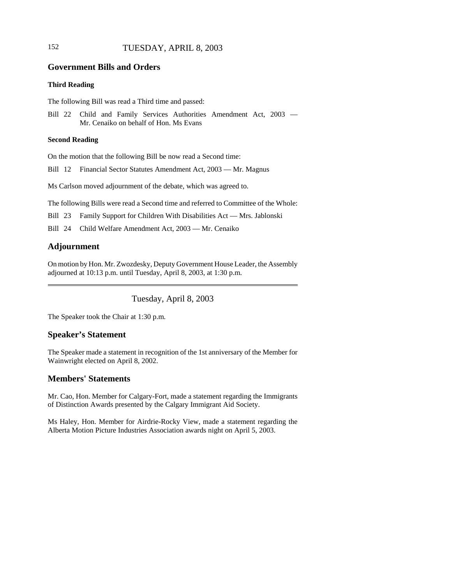# 152 TUESDAY, APRIL 8, 2003

### **Government Bills and Orders**

### **Third Reading**

The following Bill was read a Third time and passed:

Bill 22 Child and Family Services Authorities Amendment Act, 2003 — Mr. Cenaiko on behalf of Hon. Ms Evans

#### **Second Reading**

On the motion that the following Bill be now read a Second time:

Bill 12 Financial Sector Statutes Amendment Act, 2003 — Mr. Magnus

Ms Carlson moved adjournment of the debate, which was agreed to.

The following Bills were read a Second time and referred to Committee of the Whole:

Bill 23 Family Support for Children With Disabilities Act — Mrs. Jablonski

Bill 24 Child Welfare Amendment Act, 2003 — Mr. Cenaiko

# **Adjournment**

On motion by Hon. Mr. Zwozdesky, Deputy Government House Leader, the Assembly adjourned at 10:13 p.m. until Tuesday, April 8, 2003, at 1:30 p.m.

# Tuesday, April 8, 2003

The Speaker took the Chair at 1:30 p.m.

### **Speaker's Statement**

The Speaker made a statement in recognition of the 1st anniversary of the Member for Wainwright elected on April 8, 2002.

### **Members' Statements**

Mr. Cao, Hon. Member for Calgary-Fort, made a statement regarding the Immigrants of Distinction Awards presented by the Calgary Immigrant Aid Society.

Ms Haley, Hon. Member for Airdrie-Rocky View, made a statement regarding the Alberta Motion Picture Industries Association awards night on April 5, 2003.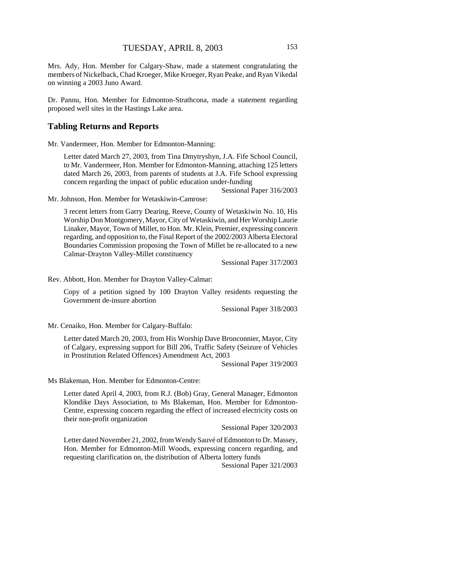Mrs. Ady, Hon. Member for Calgary-Shaw, made a statement congratulating the members of Nickelback, Chad Kroeger, Mike Kroeger, Ryan Peake, and Ryan Vikedal on winning a 2003 Juno Award.

Dr. Pannu, Hon. Member for Edmonton-Strathcona, made a statement regarding proposed well sites in the Hastings Lake area.

#### **Tabling Returns and Reports**

Mr. Vandermeer, Hon. Member for Edmonton-Manning:

Letter dated March 27, 2003, from Tina Dmytryshyn, J.A. Fife School Council, to Mr. Vandermeer, Hon. Member for Edmonton-Manning, attaching 125 letters dated March 26, 2003, from parents of students at J.A. Fife School expressing concern regarding the impact of public education under-funding

Sessional Paper 316/2003

Mr. Johnson, Hon. Member for Wetaskiwin-Camrose:

3 recent letters from Garry Dearing, Reeve, County of Wetaskiwin No. 10, His Worship Don Montgomery, Mayor, City of Wetaskiwin, and Her Worship Laurie Linaker, Mayor, Town of Millet, to Hon. Mr. Klein, Premier, expressing concern regarding, and opposition to, the Final Report of the 2002/2003 Alberta Electoral Boundaries Commission proposing the Town of Millet be re-allocated to a new Calmar-Drayton Valley-Millet constituency

Sessional Paper 317/2003

Rev. Abbott, Hon. Member for Drayton Valley-Calmar:

Copy of a petition signed by 100 Drayton Valley residents requesting the Government de-insure abortion

Sessional Paper 318/2003

Mr. Cenaiko, Hon. Member for Calgary-Buffalo:

Letter dated March 20, 2003, from His Worship Dave Bronconnier, Mayor, City of Calgary, expressing support for Bill 206, Traffic Safety (Seizure of Vehicles in Prostitution Related Offences) Amendment Act, 2003

Sessional Paper 319/2003

Ms Blakeman, Hon. Member for Edmonton-Centre:

Letter dated April 4, 2003, from R.J. (Bob) Gray, General Manager, Edmonton Klondike Days Association, to Ms Blakeman, Hon. Member for Edmonton-Centre, expressing concern regarding the effect of increased electricity costs on their non-profit organization

Sessional Paper 320/2003

Letter dated November 21, 2002, from Wendy Sauvé of Edmonton to Dr. Massey, Hon. Member for Edmonton-Mill Woods, expressing concern regarding, and requesting clarification on, the distribution of Alberta lottery funds

Sessional Paper 321/2003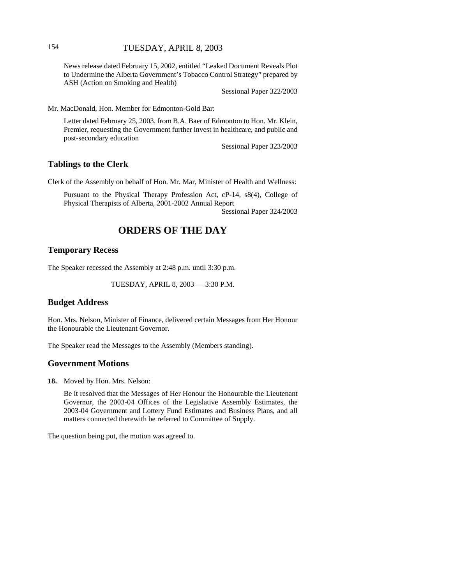News release dated February 15, 2002, entitled "Leaked Document Reveals Plot to Undermine the Alberta Government's Tobacco Control Strategy" prepared by ASH (Action on Smoking and Health)

Sessional Paper 322/2003

Mr. MacDonald, Hon. Member for Edmonton-Gold Bar:

Letter dated February 25, 2003, from B.A. Baer of Edmonton to Hon. Mr. Klein, Premier, requesting the Government further invest in healthcare, and public and post-secondary education

Sessional Paper 323/2003

### **Tablings to the Clerk**

Clerk of the Assembly on behalf of Hon. Mr. Mar, Minister of Health and Wellness:

Pursuant to the Physical Therapy Profession Act, cP-14, s8(4), College of Physical Therapists of Alberta, 2001-2002 Annual Report

Sessional Paper 324/2003

# **ORDERS OF THE DAY**

### **Temporary Recess**

The Speaker recessed the Assembly at 2:48 p.m. until 3:30 p.m.

TUESDAY, APRIL 8, 2003 — 3:30 P.M.

#### **Budget Address**

Hon. Mrs. Nelson, Minister of Finance, delivered certain Messages from Her Honour the Honourable the Lieutenant Governor.

The Speaker read the Messages to the Assembly (Members standing).

### **Government Motions**

**18.** Moved by Hon. Mrs. Nelson:

Be it resolved that the Messages of Her Honour the Honourable the Lieutenant Governor, the 2003-04 Offices of the Legislative Assembly Estimates, the 2003-04 Government and Lottery Fund Estimates and Business Plans, and all matters connected therewith be referred to Committee of Supply.

The question being put, the motion was agreed to.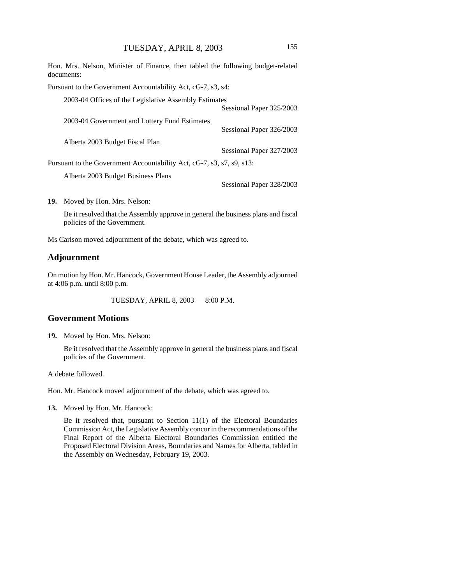Hon. Mrs. Nelson, Minister of Finance, then tabled the following budget-related documents:

Pursuant to the Government Accountability Act, cG-7, s3, s4:

| 2003-04 Offices of the Legislative Assembly Estimates                 |                          |
|-----------------------------------------------------------------------|--------------------------|
|                                                                       | Sessional Paper 325/2003 |
| 2003-04 Government and Lottery Fund Estimates                         |                          |
|                                                                       | Sessional Paper 326/2003 |
| Alberta 2003 Budget Fiscal Plan                                       |                          |
|                                                                       | Sessional Paper 327/2003 |
| Pursuant to the Government Accountability Act, cG-7, s3, s7, s9, s13: |                          |
| Alberta 2003 Budget Business Plans                                    |                          |
|                                                                       | Sessional Paper 328/2003 |

**19.** Moved by Hon. Mrs. Nelson:

Be it resolved that the Assembly approve in general the business plans and fiscal policies of the Government.

Ms Carlson moved adjournment of the debate, which was agreed to.

# **Adjournment**

On motion by Hon. Mr. Hancock, Government House Leader, the Assembly adjourned at 4:06 p.m. until 8:00 p.m.

TUESDAY, APRIL 8, 2003 — 8:00 P.M.

### **Government Motions**

**19.** Moved by Hon. Mrs. Nelson:

Be it resolved that the Assembly approve in general the business plans and fiscal policies of the Government.

A debate followed.

Hon. Mr. Hancock moved adjournment of the debate, which was agreed to.

**13.** Moved by Hon. Mr. Hancock:

Be it resolved that, pursuant to Section 11(1) of the Electoral Boundaries Commission Act, the Legislative Assembly concur in the recommendations of the Final Report of the Alberta Electoral Boundaries Commission entitled the Proposed Electoral Division Areas, Boundaries and Names for Alberta, tabled in the Assembly on Wednesday, February 19, 2003.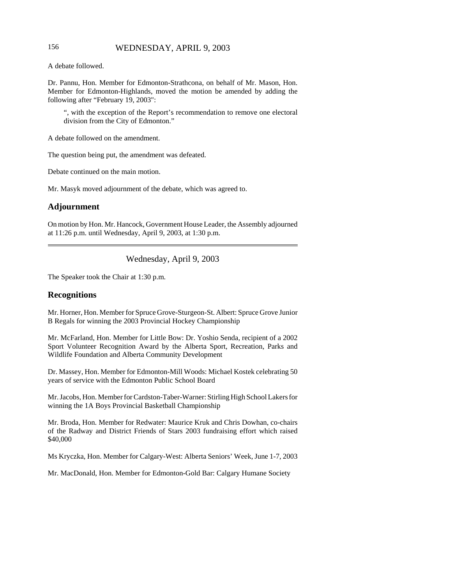### 156 WEDNESDAY, APRIL 9, 2003

A debate followed.

Dr. Pannu, Hon. Member for Edmonton-Strathcona, on behalf of Mr. Mason, Hon. Member for Edmonton-Highlands, moved the motion be amended by adding the following after "February 19, 2003":

", with the exception of the Report's recommendation to remove one electoral division from the City of Edmonton."

A debate followed on the amendment.

The question being put, the amendment was defeated.

Debate continued on the main motion.

Mr. Masyk moved adjournment of the debate, which was agreed to.

## **Adjournment**

On motion by Hon. Mr. Hancock, Government House Leader, the Assembly adjourned at 11:26 p.m. until Wednesday, April 9, 2003, at 1:30 p.m.

Wednesday, April 9, 2003

The Speaker took the Chair at 1:30 p.m.

### **Recognitions**

Mr. Horner, Hon. Member for Spruce Grove-Sturgeon-St. Albert: Spruce Grove Junior B Regals for winning the 2003 Provincial Hockey Championship

Mr. McFarland, Hon. Member for Little Bow: Dr. Yoshio Senda, recipient of a 2002 Sport Volunteer Recognition Award by the Alberta Sport, Recreation, Parks and Wildlife Foundation and Alberta Community Development

Dr. Massey, Hon. Member for Edmonton-Mill Woods: Michael Kostek celebrating 50 years of service with the Edmonton Public School Board

Mr. Jacobs, Hon. Member for Cardston-Taber-Warner: Stirling High School Lakers for winning the 1A Boys Provincial Basketball Championship

Mr. Broda, Hon. Member for Redwater: Maurice Kruk and Chris Dowhan, co-chairs of the Radway and District Friends of Stars 2003 fundraising effort which raised \$40,000

Ms Kryczka, Hon. Member for Calgary-West: Alberta Seniors' Week, June 1-7, 2003

Mr. MacDonald, Hon. Member for Edmonton-Gold Bar: Calgary Humane Society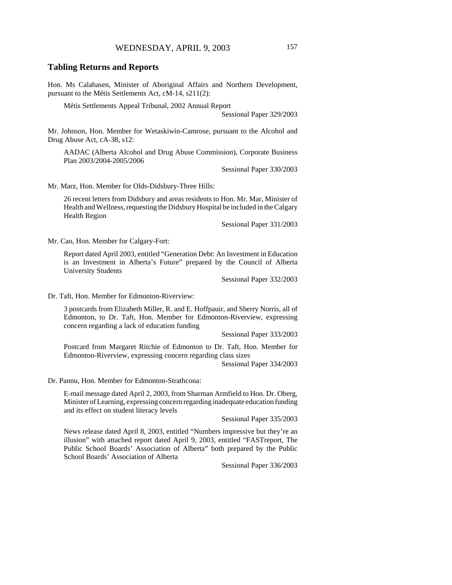#### **Tabling Returns and Reports**

Hon. Ms Calahasen, Minister of Aboriginal Affairs and Northern Development, pursuant to the Métis Settlements Act, cM-14, s211(2):

Métis Settlements Appeal Tribunal, 2002 Annual Report

Sessional Paper 329/2003

Mr. Johnson, Hon. Member for Wetaskiwin-Camrose, pursuant to the Alcohol and Drug Abuse Act, cA-38, s12:

AADAC (Alberta Alcohol and Drug Abuse Commission), Corporate Business Plan 2003/2004-2005/2006

Sessional Paper 330/2003

Mr. Marz, Hon. Member for Olds-Didsbury-Three Hills:

26 recent letters from Didsbury and areas residents to Hon. Mr. Mar, Minister of Health and Wellness, requesting the Didsbury Hospital be included in the Calgary Health Region

Sessional Paper 331/2003

Mr. Cao, Hon. Member for Calgary-Fort:

Report dated April 2003, entitled "Generation Debt: An Investment in Education is an Investment in Alberta's Future" prepared by the Council of Alberta University Students

Sessional Paper 332/2003

Dr. Taft, Hon. Member for Edmonton-Riverview:

3 postcards from Elizabeth Miller, R. and E. Hoffpauir, and Sherry Norris, all of Edmonton, to Dr. Taft, Hon. Member for Edmonton-Riverview, expressing concern regarding a lack of education funding

Sessional Paper 333/2003

Postcard from Margaret Ritchie of Edmonton to Dr. Taft, Hon. Member for Edmonton-Riverview, expressing concern regarding class sizes

Sessional Paper 334/2003

Dr. Pannu, Hon. Member for Edmonton-Strathcona:

E-mail message dated April 2, 2003, from Sharman Armfield to Hon. Dr. Oberg, Minister of Learning, expressing concern regarding inadequate education funding and its effect on student literacy levels

Sessional Paper 335/2003

News release dated April 8, 2003, entitled "Numbers impressive but they're an illusion" with attached report dated April 9, 2003, entitled "FASTreport, The Public School Boards' Association of Alberta" both prepared by the Public School Boards' Association of Alberta

Sessional Paper 336/2003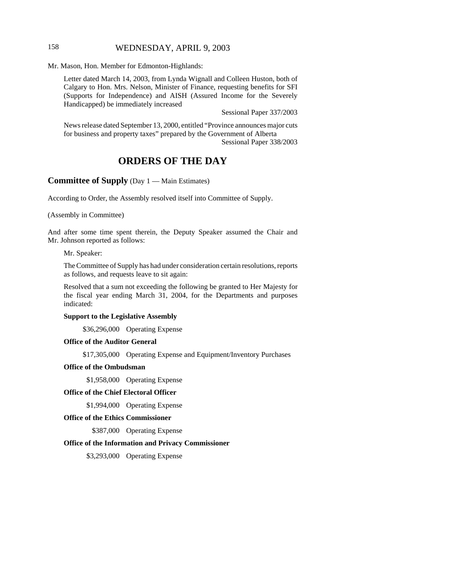## 158 WEDNESDAY, APRIL 9, 2003

Mr. Mason, Hon. Member for Edmonton-Highlands:

Letter dated March 14, 2003, from Lynda Wignall and Colleen Huston, both of Calgary to Hon. Mrs. Nelson, Minister of Finance, requesting benefits for SFI (Supports for Independence) and AISH (Assured Income for the Severely Handicapped) be immediately increased

Sessional Paper 337/2003

News release dated September 13, 2000, entitled "Province announces major cuts for business and property taxes" prepared by the Government of Alberta Sessional Paper 338/2003

# **ORDERS OF THE DAY**

# **Committee of Supply** (Day 1 — Main Estimates)

According to Order, the Assembly resolved itself into Committee of Supply.

(Assembly in Committee)

And after some time spent therein, the Deputy Speaker assumed the Chair and Mr. Johnson reported as follows:

Mr. Speaker:

The Committee of Supply has had under consideration certain resolutions, reports as follows, and requests leave to sit again:

Resolved that a sum not exceeding the following be granted to Her Majesty for the fiscal year ending March 31, 2004, for the Departments and purposes indicated:

#### **Support to the Legislative Assembly**

\$36,296,000 Operating Expense

#### **Office of the Auditor General**

\$17,305,000 Operating Expense and Equipment/Inventory Purchases

#### **Office of the Ombudsman**

\$1,958,000 Operating Expense

#### **Office of the Chief Electoral Officer**

\$1,994,000 Operating Expense

#### **Office of the Ethics Commissioner**

\$387,000 Operating Expense

#### **Office of the Information and Privacy Commissioner**

\$3,293,000 Operating Expense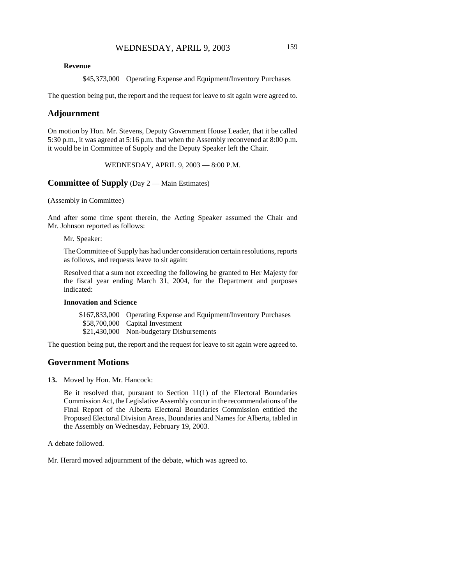\$45,373,000 Operating Expense and Equipment/Inventory Purchases

The question being put, the report and the request for leave to sit again were agreed to.

### **Adjournment**

On motion by Hon. Mr. Stevens, Deputy Government House Leader, that it be called 5:30 p.m., it was agreed at 5:16 p.m. that when the Assembly reconvened at 8:00 p.m. it would be in Committee of Supply and the Deputy Speaker left the Chair.

WEDNESDAY, APRIL 9, 2003 — 8:00 P.M.

**Committee of Supply** (Day 2 — Main Estimates)

(Assembly in Committee)

And after some time spent therein, the Acting Speaker assumed the Chair and Mr. Johnson reported as follows:

Mr. Speaker:

The Committee of Supply has had under consideration certain resolutions, reports as follows, and requests leave to sit again:

Resolved that a sum not exceeding the following be granted to Her Majesty for the fiscal year ending March 31, 2004, for the Department and purposes indicated:

#### **Innovation and Science**

\$167,833,000 Operating Expense and Equipment/Inventory Purchases \$58,700,000 Capital Investment \$21,430,000 Non-budgetary Disbursements

The question being put, the report and the request for leave to sit again were agreed to.

### **Government Motions**

**13.** Moved by Hon. Mr. Hancock:

Be it resolved that, pursuant to Section 11(1) of the Electoral Boundaries Commission Act, the Legislative Assembly concur in the recommendations of the Final Report of the Alberta Electoral Boundaries Commission entitled the Proposed Electoral Division Areas, Boundaries and Names for Alberta, tabled in the Assembly on Wednesday, February 19, 2003.

A debate followed.

Mr. Herard moved adjournment of the debate, which was agreed to.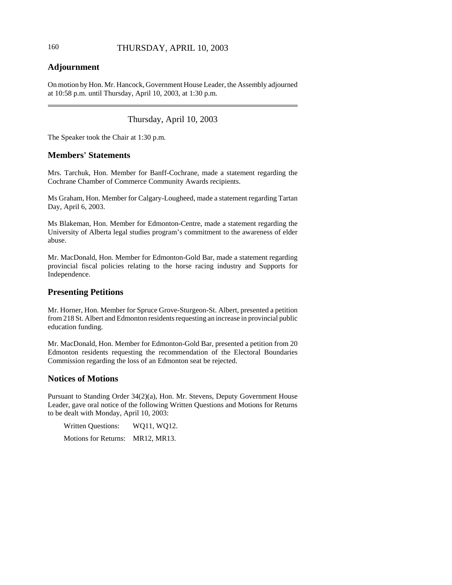# 160 THURSDAY, APRIL 10, 2003

# **Adjournment**

On motion by Hon. Mr. Hancock, Government House Leader, the Assembly adjourned at 10:58 p.m. until Thursday, April 10, 2003, at 1:30 p.m.

# Thursday, April 10, 2003

The Speaker took the Chair at 1:30 p.m.

# **Members' Statements**

Mrs. Tarchuk, Hon. Member for Banff-Cochrane, made a statement regarding the Cochrane Chamber of Commerce Community Awards recipients.

Ms Graham, Hon. Member for Calgary-Lougheed, made a statement regarding Tartan Day, April 6, 2003.

Ms Blakeman, Hon. Member for Edmonton-Centre, made a statement regarding the University of Alberta legal studies program's commitment to the awareness of elder abuse.

Mr. MacDonald, Hon. Member for Edmonton-Gold Bar, made a statement regarding provincial fiscal policies relating to the horse racing industry and Supports for Independence.

# **Presenting Petitions**

Mr. Horner, Hon. Member for Spruce Grove-Sturgeon-St. Albert, presented a petition from 218 St. Albert and Edmonton residents requesting an increase in provincial public education funding.

Mr. MacDonald, Hon. Member for Edmonton-Gold Bar, presented a petition from 20 Edmonton residents requesting the recommendation of the Electoral Boundaries Commission regarding the loss of an Edmonton seat be rejected.

# **Notices of Motions**

Pursuant to Standing Order 34(2)(a), Hon. Mr. Stevens, Deputy Government House Leader, gave oral notice of the following Written Questions and Motions for Returns to be dealt with Monday, April 10, 2003:

Written Questions: WQ11, WQ12.

Motions for Returns: MR12, MR13.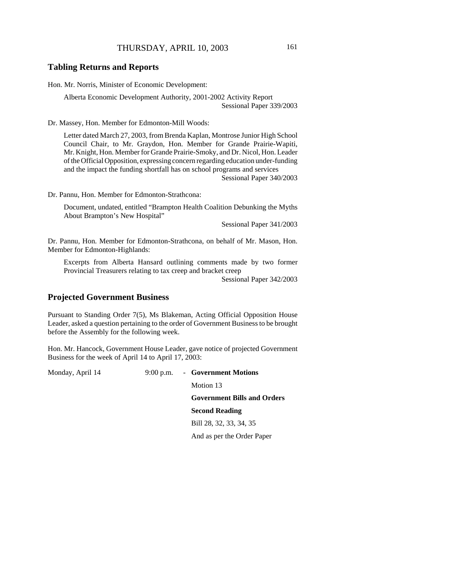### **Tabling Returns and Reports**

Hon. Mr. Norris, Minister of Economic Development:

Alberta Economic Development Authority, 2001-2002 Activity Report Sessional Paper 339/2003

Dr. Massey, Hon. Member for Edmonton-Mill Woods:

Letter dated March 27, 2003, from Brenda Kaplan, Montrose Junior High School Council Chair, to Mr. Graydon, Hon. Member for Grande Prairie-Wapiti, Mr. Knight, Hon. Member for Grande Prairie-Smoky, and Dr. Nicol, Hon. Leader of the Official Opposition, expressing concern regarding education under-funding and the impact the funding shortfall has on school programs and services Sessional Paper 340/2003

Dr. Pannu, Hon. Member for Edmonton-Strathcona:

Document, undated, entitled "Brampton Health Coalition Debunking the Myths About Brampton's New Hospital"

Sessional Paper 341/2003

Dr. Pannu, Hon. Member for Edmonton-Strathcona, on behalf of Mr. Mason, Hon. Member for Edmonton-Highlands:

Excerpts from Alberta Hansard outlining comments made by two former Provincial Treasurers relating to tax creep and bracket creep

Sessional Paper 342/2003

### **Projected Government Business**

Pursuant to Standing Order 7(5), Ms Blakeman, Acting Official Opposition House Leader, asked a question pertaining to the order of Government Business to be brought before the Assembly for the following week.

Hon. Mr. Hancock, Government House Leader, gave notice of projected Government Business for the week of April 14 to April 17, 2003:

Monday, April 14 9:00 p.m. - **Government Motions**

Motion 13

**Government Bills and Orders**

#### **Second Reading**

Bill 28, 32, 33, 34, 35

And as per the Order Paper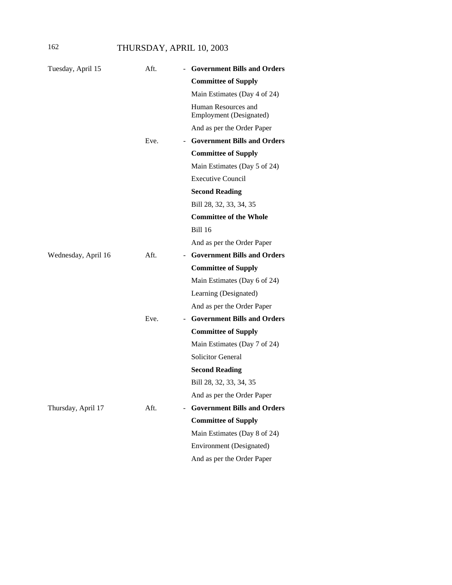# 162 THURSDAY, APRIL 10, 2003

| Tuesday, April 15   | Aft.                             | <b>Government Bills and Orders</b>                    |
|---------------------|----------------------------------|-------------------------------------------------------|
|                     |                                  | <b>Committee of Supply</b>                            |
|                     |                                  | Main Estimates (Day 4 of 24)                          |
|                     |                                  | Human Resources and<br><b>Employment</b> (Designated) |
|                     |                                  | And as per the Order Paper                            |
|                     | Eve.                             | - Government Bills and Orders                         |
|                     |                                  | <b>Committee of Supply</b>                            |
|                     |                                  | Main Estimates (Day 5 of 24)                          |
|                     |                                  | <b>Executive Council</b>                              |
|                     |                                  | <b>Second Reading</b>                                 |
|                     |                                  | Bill 28, 32, 33, 34, 35                               |
|                     |                                  | <b>Committee of the Whole</b>                         |
|                     |                                  | Bill 16                                               |
|                     |                                  | And as per the Order Paper                            |
| Wednesday, April 16 | Aft.                             | - Government Bills and Orders                         |
|                     |                                  | <b>Committee of Supply</b>                            |
|                     |                                  | Main Estimates (Day 6 of 24)                          |
|                     |                                  | Learning (Designated)                                 |
|                     |                                  | And as per the Order Paper                            |
|                     | Eve.<br>$\overline{\phantom{m}}$ | <b>Government Bills and Orders</b>                    |
|                     |                                  | <b>Committee of Supply</b>                            |
|                     |                                  | Main Estimates (Day 7 of 24)                          |
|                     |                                  | <b>Solicitor General</b>                              |
|                     |                                  | <b>Second Reading</b>                                 |
|                     |                                  | Bill 28, 32, 33, 34, 35                               |
|                     |                                  | And as per the Order Paper                            |
| Thursday, April 17  | Aft.                             | <b>Government Bills and Orders</b>                    |
|                     |                                  | <b>Committee of Supply</b>                            |
|                     |                                  | Main Estimates (Day 8 of 24)                          |
|                     |                                  | Environment (Designated)                              |
|                     |                                  | And as per the Order Paper                            |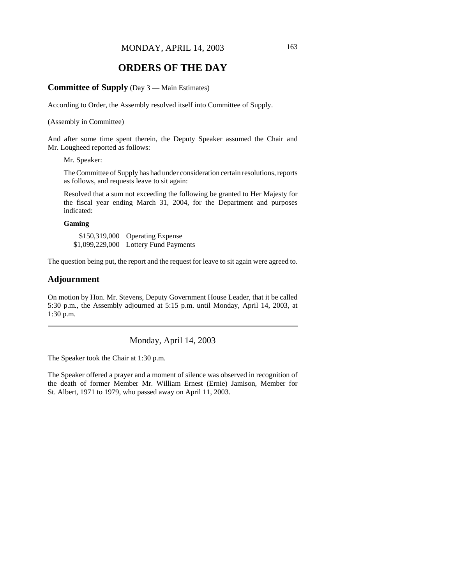# **ORDERS OF THE DAY**

#### **Committee of Supply** (Day 3 — Main Estimates)

According to Order, the Assembly resolved itself into Committee of Supply.

(Assembly in Committee)

And after some time spent therein, the Deputy Speaker assumed the Chair and Mr. Lougheed reported as follows:

Mr. Speaker:

The Committee of Supply has had under consideration certain resolutions, reports as follows, and requests leave to sit again:

Resolved that a sum not exceeding the following be granted to Her Majesty for the fiscal year ending March 31, 2004, for the Department and purposes indicated:

### **Gaming**

\$150,319,000 Operating Expense \$1,099,229,000 Lottery Fund Payments

The question being put, the report and the request for leave to sit again were agreed to.

### **Adjournment**

On motion by Hon. Mr. Stevens, Deputy Government House Leader, that it be called 5:30 p.m., the Assembly adjourned at 5:15 p.m. until Monday, April 14, 2003, at 1:30 p.m.

Monday, April 14, 2003

The Speaker took the Chair at 1:30 p.m.

The Speaker offered a prayer and a moment of silence was observed in recognition of the death of former Member Mr. William Ernest (Ernie) Jamison, Member for St. Albert, 1971 to 1979, who passed away on April 11, 2003.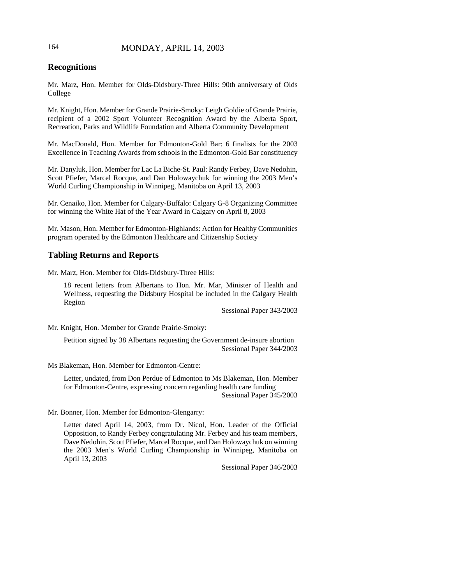# 164 MONDAY, APRIL 14, 2003

# **Recognitions**

Mr. Marz, Hon. Member for Olds-Didsbury-Three Hills: 90th anniversary of Olds College

Mr. Knight, Hon. Member for Grande Prairie-Smoky: Leigh Goldie of Grande Prairie, recipient of a 2002 Sport Volunteer Recognition Award by the Alberta Sport, Recreation, Parks and Wildlife Foundation and Alberta Community Development

Mr. MacDonald, Hon. Member for Edmonton-Gold Bar: 6 finalists for the 2003 Excellence in Teaching Awards from schools in the Edmonton-Gold Bar constituency

Mr. Danyluk, Hon. Member for Lac La Biche-St. Paul: Randy Ferbey, Dave Nedohin, Scott Pfiefer, Marcel Rocque, and Dan Holowaychuk for winning the 2003 Men's World Curling Championship in Winnipeg, Manitoba on April 13, 2003

Mr. Cenaiko, Hon. Member for Calgary-Buffalo: Calgary G-8 Organizing Committee for winning the White Hat of the Year Award in Calgary on April 8, 2003

Mr. Mason, Hon. Member for Edmonton-Highlands: Action for Healthy Communities program operated by the Edmonton Healthcare and Citizenship Society

### **Tabling Returns and Reports**

Mr. Marz, Hon. Member for Olds-Didsbury-Three Hills:

18 recent letters from Albertans to Hon. Mr. Mar, Minister of Health and Wellness, requesting the Didsbury Hospital be included in the Calgary Health Region

Sessional Paper 343/2003

Mr. Knight, Hon. Member for Grande Prairie-Smoky:

Petition signed by 38 Albertans requesting the Government de-insure abortion Sessional Paper 344/2003

Ms Blakeman, Hon. Member for Edmonton-Centre:

Letter, undated, from Don Perdue of Edmonton to Ms Blakeman, Hon. Member for Edmonton-Centre, expressing concern regarding health care funding Sessional Paper 345/2003

Mr. Bonner, Hon. Member for Edmonton-Glengarry:

Letter dated April 14, 2003, from Dr. Nicol, Hon. Leader of the Official Opposition, to Randy Ferbey congratulating Mr. Ferbey and his team members, Dave Nedohin, Scott Pfiefer, Marcel Rocque, and Dan Holowaychuk on winning the 2003 Men's World Curling Championship in Winnipeg, Manitoba on April 13, 2003

Sessional Paper 346/2003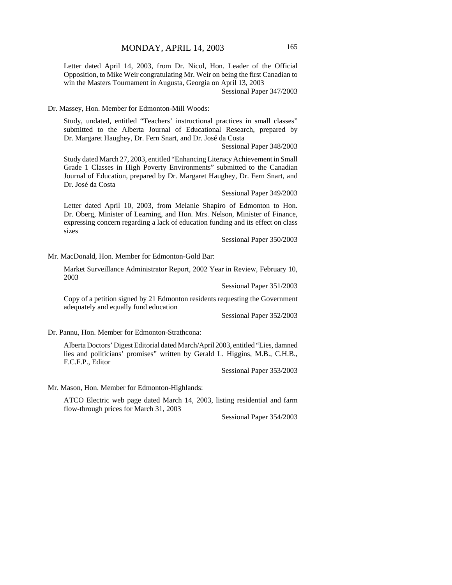Letter dated April 14, 2003, from Dr. Nicol, Hon. Leader of the Official Opposition, to Mike Weir congratulating Mr. Weir on being the first Canadian to win the Masters Tournament in Augusta, Georgia on April 13, 2003

Sessional Paper 347/2003

Dr. Massey, Hon. Member for Edmonton-Mill Woods:

Study, undated, entitled "Teachers' instructional practices in small classes" submitted to the Alberta Journal of Educational Research, prepared by Dr. Margaret Haughey, Dr. Fern Snart, and Dr. José da Costa

Sessional Paper 348/2003

Study dated March 27, 2003, entitled "Enhancing Literacy Achievement in Small Grade 1 Classes in High Poverty Environments" submitted to the Canadian Journal of Education, prepared by Dr. Margaret Haughey, Dr. Fern Snart, and Dr. José da Costa

Sessional Paper 349/2003

Letter dated April 10, 2003, from Melanie Shapiro of Edmonton to Hon. Dr. Oberg, Minister of Learning, and Hon. Mrs. Nelson, Minister of Finance, expressing concern regarding a lack of education funding and its effect on class sizes

Sessional Paper 350/2003

Mr. MacDonald, Hon. Member for Edmonton-Gold Bar:

Market Surveillance Administrator Report, 2002 Year in Review, February 10, 2003

Sessional Paper 351/2003

Copy of a petition signed by 21 Edmonton residents requesting the Government adequately and equally fund education

Sessional Paper 352/2003

Dr. Pannu, Hon. Member for Edmonton-Strathcona:

Alberta Doctors' Digest Editorial dated March/April 2003, entitled "Lies, damned lies and politicians' promises" written by Gerald L. Higgins, M.B., C.H.B., F.C.F.P., Editor

Sessional Paper 353/2003

Mr. Mason, Hon. Member for Edmonton-Highlands:

ATCO Electric web page dated March 14, 2003, listing residential and farm flow-through prices for March 31, 2003

Sessional Paper 354/2003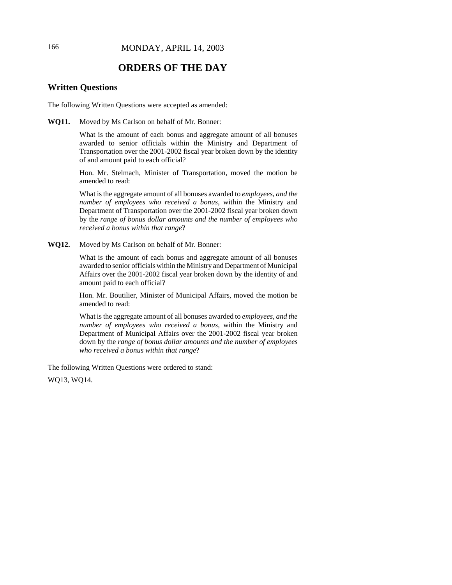# **ORDERS OF THE DAY**

# **Written Questions**

The following Written Questions were accepted as amended:

**WQ11.** Moved by Ms Carlson on behalf of Mr. Bonner:

What is the amount of each bonus and aggregate amount of all bonuses awarded to senior officials within the Ministry and Department of Transportation over the 2001-2002 fiscal year broken down by the identity of and amount paid to each official?

Hon. Mr. Stelmach, Minister of Transportation, moved the motion be amended to read:

What is the aggregate amount of all bonuses awarded to *employees, and the number of employees who received a bonus,* within the Ministry and Department of Transportation over the 2001-2002 fiscal year broken down by the *range of bonus dollar amounts and the number of employees who received a bonus within that range*?

**WQ12.** Moved by Ms Carlson on behalf of Mr. Bonner:

What is the amount of each bonus and aggregate amount of all bonuses awarded to senior officials within the Ministry and Department of Municipal Affairs over the 2001-2002 fiscal year broken down by the identity of and amount paid to each official?

Hon. Mr. Boutilier, Minister of Municipal Affairs, moved the motion be amended to read:

What is the aggregate amount of all bonuses awarded to *employees, and the number of employees who received a bonus,* within the Ministry and Department of Municipal Affairs over the 2001-2002 fiscal year broken down by the *range of bonus dollar amounts and the number of employees who received a bonus within that range*?

The following Written Questions were ordered to stand:

WQ13, WQ14.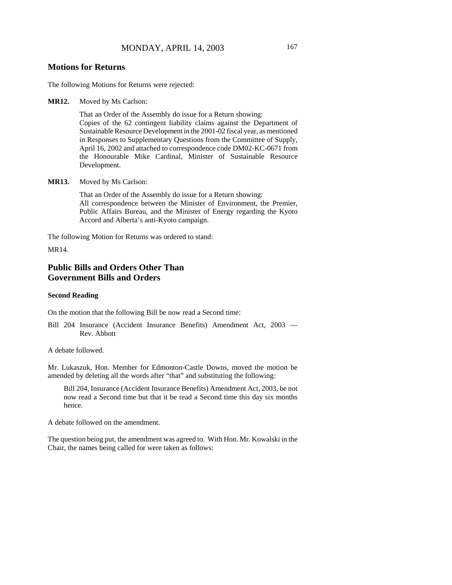### **Motions for Returns**

The following Motions for Returns were rejected:

**MR12.** Moved by Ms Carlson:

That an Order of the Assembly do issue for a Return showing: Copies of the 62 contingent liability claims against the Department of Sustainable Resource Development in the 2001-02 fiscal year, as mentioned in Responses to Supplementary Questions from the Committee of Supply, April 16, 2002 and attached to correspondence code DM02-KC-0671 from the Honourable Mike Cardinal, Minister of Sustainable Resource Development.

**MR13.** Moved by Ms Carlson:

That an Order of the Assembly do issue for a Return showing: All correspondence between the Minister of Environment, the Premier, Public Affairs Bureau, and the Minister of Energy regarding the Kyoto Accord and Alberta's anti-Kyoto campaign.

The following Motion for Returns was ordered to stand:

MR14.

# **Public Bills and Orders Other Than Government Bills and Orders**

#### **Second Reading**

On the motion that the following Bill be now read a Second time:

Bill 204 Insurance (Accident Insurance Benefits) Amendment Act, 2003 — Rev. Abbott

A debate followed.

Mr. Lukaszuk, Hon. Member for Edmonton-Castle Downs, moved the motion be amended by deleting all the words after "that" and substituting the following:

Bill 204, Insurance (Accident Insurance Benefits) Amendment Act, 2003, be not now read a Second time but that it be read a Second time this day six months hence.

A debate followed on the amendment.

The question being put, the amendment was agreed to. With Hon. Mr. Kowalski in the Chair, the names being called for were taken as follows: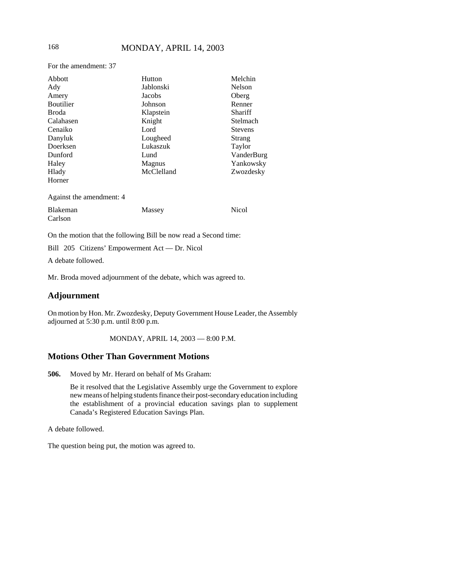For the amendment: 37

| Abbott                   | Hutton        | Melchin        |
|--------------------------|---------------|----------------|
| Ady                      | Jablonski     | <b>Nelson</b>  |
| Amery                    | Jacobs        | Oberg          |
| <b>Boutilier</b>         | Johnson       | Renner         |
| Broda                    | Klapstein     | Shariff        |
| Calahasen                | Knight        | Stelmach       |
| Cenaiko                  | Lord          | <b>Stevens</b> |
| Danyluk                  | Lougheed      | <b>Strang</b>  |
| Doerksen                 | Lukaszuk      | Taylor         |
| Dunford                  | Lund          | VanderBurg     |
| Haley                    | <b>Magnus</b> | Yankowsky      |
| Hlady                    | McClelland    | Zwozdesky      |
| Horner                   |               |                |
| Against the amendment: 4 |               |                |
| <b>Blakeman</b>          | Massey        | Nicol          |
| Carlson                  |               |                |

On the motion that the following Bill be now read a Second time:

Bill 205 Citizens' Empowerment Act — Dr. Nicol

A debate followed.

Mr. Broda moved adjournment of the debate, which was agreed to.

# **Adjournment**

On motion by Hon. Mr. Zwozdesky, Deputy Government House Leader, the Assembly adjourned at 5:30 p.m. until 8:00 p.m.

MONDAY, APRIL 14, 2003 — 8:00 P.M.

## **Motions Other Than Government Motions**

**506.** Moved by Mr. Herard on behalf of Ms Graham:

Be it resolved that the Legislative Assembly urge the Government to explore new means of helping students finance their post-secondary education including the establishment of a provincial education savings plan to supplement Canada's Registered Education Savings Plan.

A debate followed.

The question being put, the motion was agreed to.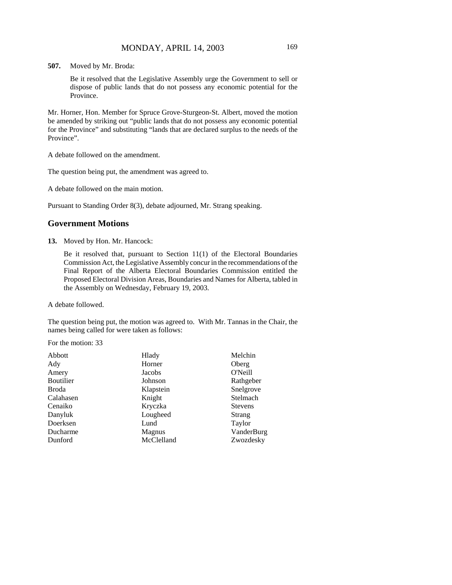**507.** Moved by Mr. Broda:

Be it resolved that the Legislative Assembly urge the Government to sell or dispose of public lands that do not possess any economic potential for the Province.

Mr. Horner, Hon. Member for Spruce Grove-Sturgeon-St. Albert, moved the motion be amended by striking out "public lands that do not possess any economic potential for the Province" and substituting "lands that are declared surplus to the needs of the Province".

A debate followed on the amendment.

The question being put, the amendment was agreed to.

A debate followed on the main motion.

Pursuant to Standing Order 8(3), debate adjourned, Mr. Strang speaking.

# **Government Motions**

**13.** Moved by Hon. Mr. Hancock:

Be it resolved that, pursuant to Section 11(1) of the Electoral Boundaries Commission Act, the Legislative Assembly concur in the recommendations of the Final Report of the Alberta Electoral Boundaries Commission entitled the Proposed Electoral Division Areas, Boundaries and Names for Alberta, tabled in the Assembly on Wednesday, February 19, 2003.

A debate followed.

The question being put, the motion was agreed to. With Mr. Tannas in the Chair, the names being called for were taken as follows:

For the motion: 33

| Hlady      | Melchin        |
|------------|----------------|
| Horner     | Oberg          |
| Jacobs     | O'Neill        |
| Johnson    | Rathgeber      |
| Klapstein  | Snelgrove      |
| Knight     | Stelmach       |
| Kryczka    | <b>Stevens</b> |
| Lougheed   | Strang         |
| Lund       | Taylor         |
| Magnus     | VanderBurg     |
| McClelland | Zwozdesky      |
|            |                |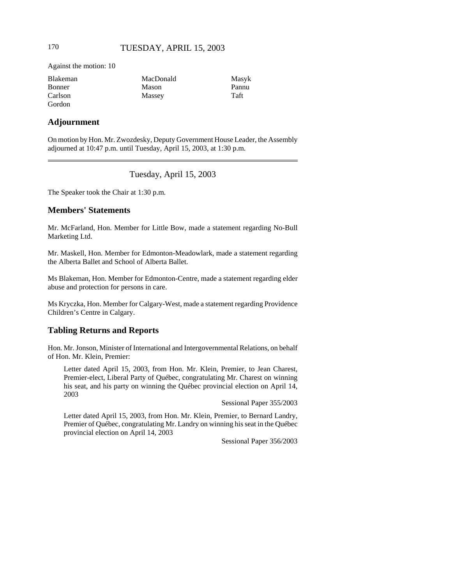Against the motion: 10

| <b>Blakeman</b> | MacDonald | Masyk |
|-----------------|-----------|-------|
| <b>Bonner</b>   | Mason     | Pannu |
| Carlson         | Massey    | Taft  |
| Gordon          |           |       |

### **Adjournment**

On motion by Hon. Mr. Zwozdesky, Deputy Government House Leader, the Assembly adjourned at 10:47 p.m. until Tuesday, April 15, 2003, at 1:30 p.m.

## Tuesday, April 15, 2003

The Speaker took the Chair at 1:30 p.m.

### **Members' Statements**

Mr. McFarland, Hon. Member for Little Bow, made a statement regarding No-Bull Marketing Ltd.

Mr. Maskell, Hon. Member for Edmonton-Meadowlark, made a statement regarding the Alberta Ballet and School of Alberta Ballet.

Ms Blakeman, Hon. Member for Edmonton-Centre, made a statement regarding elder abuse and protection for persons in care.

Ms Kryczka, Hon. Member for Calgary-West, made a statement regarding Providence Children's Centre in Calgary.

# **Tabling Returns and Reports**

Hon. Mr. Jonson, Minister of International and Intergovernmental Relations, on behalf of Hon. Mr. Klein, Premier:

Letter dated April 15, 2003, from Hon. Mr. Klein, Premier, to Jean Charest, Premier-elect, Liberal Party of Québec, congratulating Mr. Charest on winning his seat, and his party on winning the Québec provincial election on April 14, 2003

Sessional Paper 355/2003

Letter dated April 15, 2003, from Hon. Mr. Klein, Premier, to Bernard Landry, Premier of Québec, congratulating Mr. Landry on winning his seat in the Québec provincial election on April 14, 2003

Sessional Paper 356/2003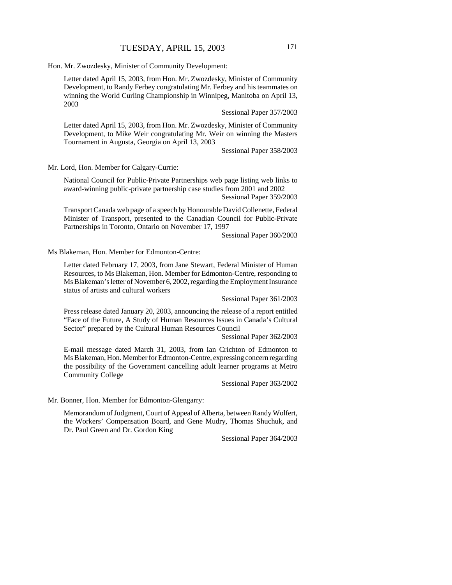Hon. Mr. Zwozdesky, Minister of Community Development:

Letter dated April 15, 2003, from Hon. Mr. Zwozdesky, Minister of Community Development, to Randy Ferbey congratulating Mr. Ferbey and his teammates on winning the World Curling Championship in Winnipeg, Manitoba on April 13, 2003

Sessional Paper 357/2003

Letter dated April 15, 2003, from Hon. Mr. Zwozdesky, Minister of Community Development, to Mike Weir congratulating Mr. Weir on winning the Masters Tournament in Augusta, Georgia on April 13, 2003

Sessional Paper 358/2003

Mr. Lord, Hon. Member for Calgary-Currie:

National Council for Public-Private Partnerships web page listing web links to award-winning public-private partnership case studies from 2001 and 2002 Sessional Paper 359/2003

Transport Canada web page of a speech by Honourable David Collenette, Federal Minister of Transport, presented to the Canadian Council for Public-Private Partnerships in Toronto, Ontario on November 17, 1997

Sessional Paper 360/2003

Ms Blakeman, Hon. Member for Edmonton-Centre:

Letter dated February 17, 2003, from Jane Stewart, Federal Minister of Human Resources, to Ms Blakeman, Hon. Member for Edmonton-Centre, responding to Ms Blakeman's letter of November 6, 2002, regarding the Employment Insurance status of artists and cultural workers

Sessional Paper 361/2003

Press release dated January 20, 2003, announcing the release of a report entitled "Face of the Future, A Study of Human Resources Issues in Canada's Cultural Sector" prepared by the Cultural Human Resources Council

Sessional Paper 362/2003

E-mail message dated March 31, 2003, from Ian Crichton of Edmonton to Ms Blakeman, Hon. Member for Edmonton-Centre, expressing concern regarding the possibility of the Government cancelling adult learner programs at Metro Community College

Sessional Paper 363/2002

Mr. Bonner, Hon. Member for Edmonton-Glengarry:

Memorandum of Judgment, Court of Appeal of Alberta, between Randy Wolfert, the Workers' Compensation Board, and Gene Mudry, Thomas Shuchuk, and Dr. Paul Green and Dr. Gordon King

Sessional Paper 364/2003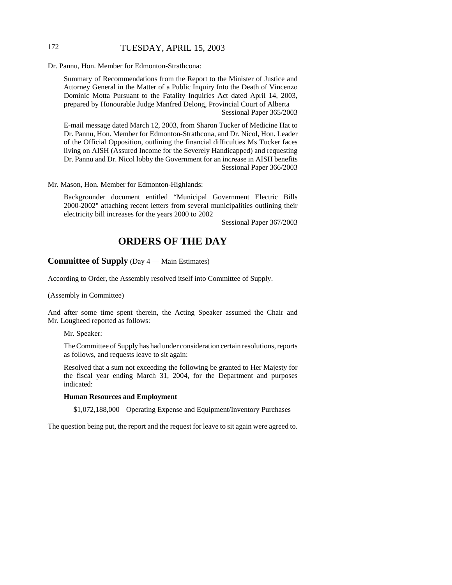## 172 TUESDAY, APRIL 15, 2003

Dr. Pannu, Hon. Member for Edmonton-Strathcona:

Summary of Recommendations from the Report to the Minister of Justice and Attorney General in the Matter of a Public Inquiry Into the Death of Vincenzo Dominic Motta Pursuant to the Fatality Inquiries Act dated April 14, 2003, prepared by Honourable Judge Manfred Delong, Provincial Court of Alberta Sessional Paper 365/2003

E-mail message dated March 12, 2003, from Sharon Tucker of Medicine Hat to Dr. Pannu, Hon. Member for Edmonton-Strathcona, and Dr. Nicol, Hon. Leader of the Official Opposition, outlining the financial difficulties Ms Tucker faces living on AISH (Assured Income for the Severely Handicapped) and requesting Dr. Pannu and Dr. Nicol lobby the Government for an increase in AISH benefits Sessional Paper 366/2003

Mr. Mason, Hon. Member for Edmonton-Highlands:

Backgrounder document entitled "Municipal Government Electric Bills 2000-2002" attaching recent letters from several municipalities outlining their electricity bill increases for the years 2000 to 2002

Sessional Paper 367/2003

# **ORDERS OF THE DAY**

### **Committee of Supply** (Day 4 — Main Estimates)

According to Order, the Assembly resolved itself into Committee of Supply.

(Assembly in Committee)

And after some time spent therein, the Acting Speaker assumed the Chair and Mr. Lougheed reported as follows:

Mr. Speaker:

The Committee of Supply has had under consideration certain resolutions, reports as follows, and requests leave to sit again:

Resolved that a sum not exceeding the following be granted to Her Majesty for the fiscal year ending March 31, 2004, for the Department and purposes indicated:

#### **Human Resources and Employment**

\$1,072,188,000 Operating Expense and Equipment/Inventory Purchases

The question being put, the report and the request for leave to sit again were agreed to.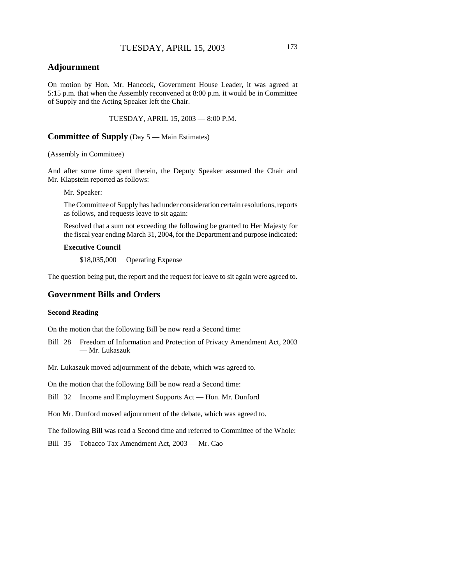# **Adjournment**

On motion by Hon. Mr. Hancock, Government House Leader, it was agreed at 5:15 p.m. that when the Assembly reconvened at 8:00 p.m. it would be in Committee of Supply and the Acting Speaker left the Chair.

TUESDAY, APRIL 15, 2003 — 8:00 P.M.

**Committee of Supply** (Day 5 — Main Estimates)

(Assembly in Committee)

And after some time spent therein, the Deputy Speaker assumed the Chair and Mr. Klapstein reported as follows:

Mr. Speaker:

The Committee of Supply has had under consideration certain resolutions, reports as follows, and requests leave to sit again:

Resolved that a sum not exceeding the following be granted to Her Majesty for the fiscal year ending March 31, 2004, for the Department and purpose indicated:

#### **Executive Council**

\$18,035,000 Operating Expense

The question being put, the report and the request for leave to sit again were agreed to.

# **Government Bills and Orders**

### **Second Reading**

On the motion that the following Bill be now read a Second time:

Bill 28 Freedom of Information and Protection of Privacy Amendment Act, 2003 — Mr. Lukaszuk

Mr. Lukaszuk moved adjournment of the debate, which was agreed to.

On the motion that the following Bill be now read a Second time:

Bill 32 Income and Employment Supports Act — Hon. Mr. Dunford

Hon Mr. Dunford moved adjournment of the debate, which was agreed to.

The following Bill was read a Second time and referred to Committee of the Whole:

Bill 35 Tobacco Tax Amendment Act, 2003 — Mr. Cao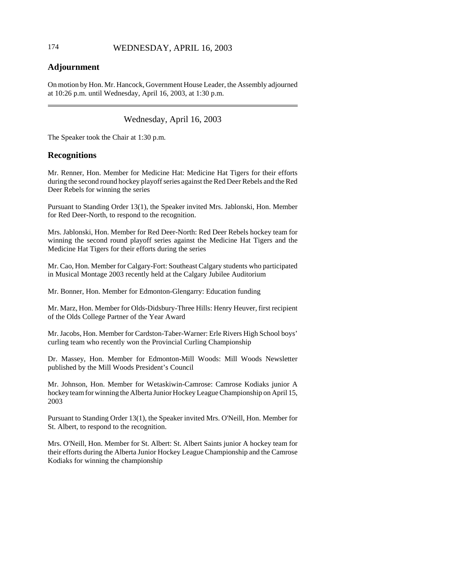# 174 WEDNESDAY, APRIL 16, 2003

# **Adjournment**

On motion by Hon. Mr. Hancock, Government House Leader, the Assembly adjourned at 10:26 p.m. until Wednesday, April 16, 2003, at 1:30 p.m.

# Wednesday, April 16, 2003

The Speaker took the Chair at 1:30 p.m.

# **Recognitions**

Mr. Renner, Hon. Member for Medicine Hat: Medicine Hat Tigers for their efforts during the second round hockey playoff series against the Red Deer Rebels and the Red Deer Rebels for winning the series

Pursuant to Standing Order 13(1), the Speaker invited Mrs. Jablonski, Hon. Member for Red Deer-North, to respond to the recognition.

Mrs. Jablonski, Hon. Member for Red Deer-North: Red Deer Rebels hockey team for winning the second round playoff series against the Medicine Hat Tigers and the Medicine Hat Tigers for their efforts during the series

Mr. Cao, Hon. Member for Calgary-Fort: Southeast Calgary students who participated in Musical Montage 2003 recently held at the Calgary Jubilee Auditorium

Mr. Bonner, Hon. Member for Edmonton-Glengarry: Education funding

Mr. Marz, Hon. Member for Olds-Didsbury-Three Hills: Henry Heuver, first recipient of the Olds College Partner of the Year Award

Mr. Jacobs, Hon. Member for Cardston-Taber-Warner: Erle Rivers High School boys' curling team who recently won the Provincial Curling Championship

Dr. Massey, Hon. Member for Edmonton-Mill Woods: Mill Woods Newsletter published by the Mill Woods President's Council

Mr. Johnson, Hon. Member for Wetaskiwin-Camrose: Camrose Kodiaks junior A hockey team for winning the Alberta Junior Hockey League Championship on April 15, 2003

Pursuant to Standing Order 13(1), the Speaker invited Mrs. O'Neill, Hon. Member for St. Albert, to respond to the recognition.

Mrs. O'Neill, Hon. Member for St. Albert: St. Albert Saints junior A hockey team for their efforts during the Alberta Junior Hockey League Championship and the Camrose Kodiaks for winning the championship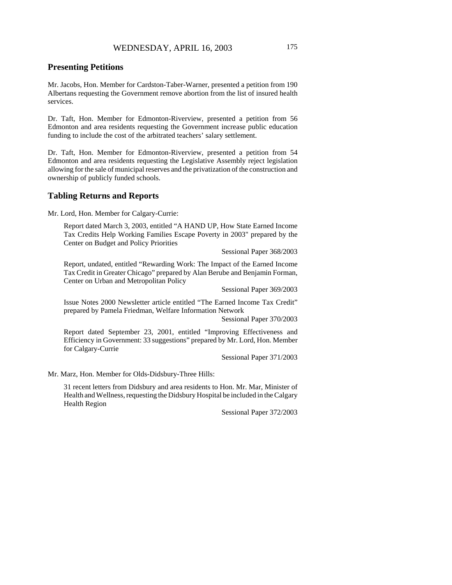### **Presenting Petitions**

Mr. Jacobs, Hon. Member for Cardston-Taber-Warner, presented a petition from 190 Albertans requesting the Government remove abortion from the list of insured health services.

Dr. Taft, Hon. Member for Edmonton-Riverview, presented a petition from 56 Edmonton and area residents requesting the Government increase public education funding to include the cost of the arbitrated teachers' salary settlement.

Dr. Taft, Hon. Member for Edmonton-Riverview, presented a petition from 54 Edmonton and area residents requesting the Legislative Assembly reject legislation allowing for the sale of municipal reserves and the privatization of the construction and ownership of publicly funded schools.

### **Tabling Returns and Reports**

Mr. Lord, Hon. Member for Calgary-Currie:

Report dated March 3, 2003, entitled "A HAND UP, How State Earned Income Tax Credits Help Working Families Escape Poverty in 2003" prepared by the Center on Budget and Policy Priorities

Sessional Paper 368/2003

Report, undated, entitled "Rewarding Work: The Impact of the Earned Income Tax Credit in Greater Chicago" prepared by Alan Berube and Benjamin Forman, Center on Urban and Metropolitan Policy

Sessional Paper 369/2003

Issue Notes 2000 Newsletter article entitled "The Earned Income Tax Credit" prepared by Pamela Friedman, Welfare Information Network

Sessional Paper 370/2003

Report dated September 23, 2001, entitled "Improving Effectiveness and Efficiency in Government: 33 suggestions" prepared by Mr. Lord, Hon. Member for Calgary-Currie

Sessional Paper 371/2003

Mr. Marz, Hon. Member for Olds-Didsbury-Three Hills:

31 recent letters from Didsbury and area residents to Hon. Mr. Mar, Minister of Health and Wellness, requesting the Didsbury Hospital be included in the Calgary Health Region

Sessional Paper 372/2003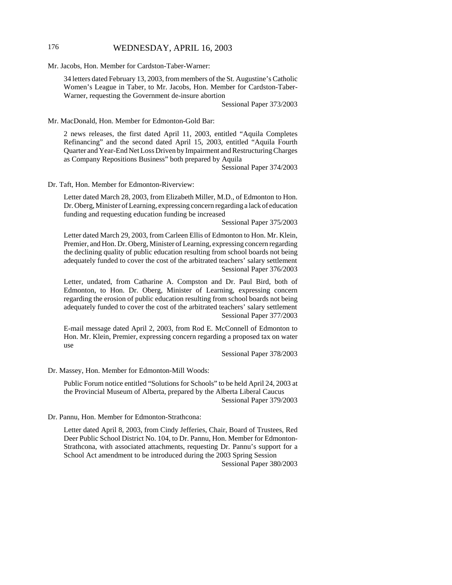# 176 WEDNESDAY, APRIL 16, 2003

Mr. Jacobs, Hon. Member for Cardston-Taber-Warner:

34 letters dated February 13, 2003, from members of the St. Augustine's Catholic Women's League in Taber, to Mr. Jacobs, Hon. Member for Cardston-Taber-Warner, requesting the Government de-insure abortion

Sessional Paper 373/2003

Mr. MacDonald, Hon. Member for Edmonton-Gold Bar:

2 news releases, the first dated April 11, 2003, entitled "Aquila Completes Refinancing" and the second dated April 15, 2003, entitled "Aquila Fourth Quarter and Year-End Net Loss Driven by Impairment and Restructuring Charges as Company Repositions Business" both prepared by Aquila

Sessional Paper 374/2003

Dr. Taft, Hon. Member for Edmonton-Riverview:

Letter dated March 28, 2003, from Elizabeth Miller, M.D., of Edmonton to Hon. Dr. Oberg, Minister of Learning, expressing concern regarding a lack of education funding and requesting education funding be increased

Sessional Paper 375/2003

Letter dated March 29, 2003, from Carleen Ellis of Edmonton to Hon. Mr. Klein, Premier, and Hon. Dr. Oberg, Minister of Learning, expressing concern regarding the declining quality of public education resulting from school boards not being adequately funded to cover the cost of the arbitrated teachers' salary settlement Sessional Paper 376/2003

Letter, undated, from Catharine A. Compston and Dr. Paul Bird, both of Edmonton, to Hon. Dr. Oberg, Minister of Learning, expressing concern regarding the erosion of public education resulting from school boards not being adequately funded to cover the cost of the arbitrated teachers' salary settlement Sessional Paper 377/2003

E-mail message dated April 2, 2003, from Rod E. McConnell of Edmonton to Hon. Mr. Klein, Premier, expressing concern regarding a proposed tax on water use

Sessional Paper 378/2003

Dr. Massey, Hon. Member for Edmonton-Mill Woods:

Public Forum notice entitled "Solutions for Schools" to be held April 24, 2003 at the Provincial Museum of Alberta, prepared by the Alberta Liberal Caucus Sessional Paper 379/2003

Dr. Pannu, Hon. Member for Edmonton-Strathcona:

Letter dated April 8, 2003, from Cindy Jefferies, Chair, Board of Trustees, Red Deer Public School District No. 104, to Dr. Pannu, Hon. Member for Edmonton-Strathcona, with associated attachments, requesting Dr. Pannu's support for a School Act amendment to be introduced during the 2003 Spring Session Sessional Paper 380/2003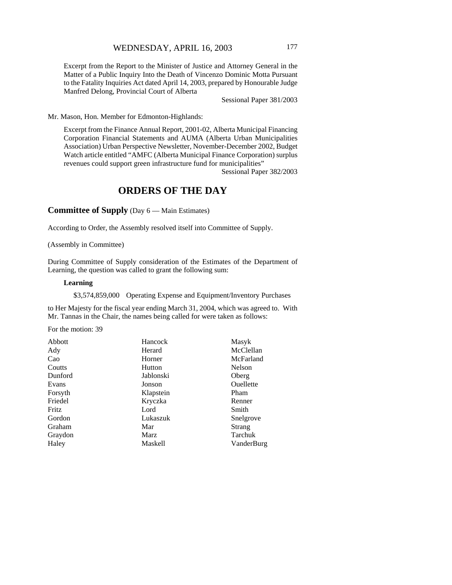Excerpt from the Report to the Minister of Justice and Attorney General in the Matter of a Public Inquiry Into the Death of Vincenzo Dominic Motta Pursuant to the Fatality Inquiries Act dated April 14, 2003, prepared by Honourable Judge Manfred Delong, Provincial Court of Alberta

Sessional Paper 381/2003

Mr. Mason, Hon. Member for Edmonton-Highlands:

Excerpt from the Finance Annual Report, 2001-02, Alberta Municipal Financing Corporation Financial Statements and AUMA (Alberta Urban Municipalities Association) Urban Perspective Newsletter, November-December 2002, Budget Watch article entitled "AMFC (Alberta Municipal Finance Corporation) surplus revenues could support green infrastructure fund for municipalities"

Sessional Paper 382/2003

# **ORDERS OF THE DAY**

**Committee of Supply** (Day 6 — Main Estimates)

According to Order, the Assembly resolved itself into Committee of Supply.

(Assembly in Committee)

During Committee of Supply consideration of the Estimates of the Department of Learning, the question was called to grant the following sum:

#### **Learning**

\$3,574,859,000 Operating Expense and Equipment/Inventory Purchases

to Her Majesty for the fiscal year ending March 31, 2004, which was agreed to. With Mr. Tannas in the Chair, the names being called for were taken as follows:

For the motion: 39

| Abbott       | Hancock        | Masyk            |
|--------------|----------------|------------------|
| Ady          | Herard         | McClellan        |
| Cao          | Horner         | McFarland        |
| Coutts       | Hutton         | Nelson           |
| Dunford      | Jablonski      | Oberg            |
| Evans        | Jonson         | <b>Ouellette</b> |
| Forsyth      | Klapstein      | Pham             |
| Friedel      | Kryczka        | Renner           |
| <b>Fritz</b> | Lord           | Smith            |
| Gordon       | Lukaszuk       | Snelgrove        |
| Graham       | Mar            | Strang           |
| Graydon      | Marz           | Tarchuk          |
| Haley        | <b>Maskell</b> | VanderBurg       |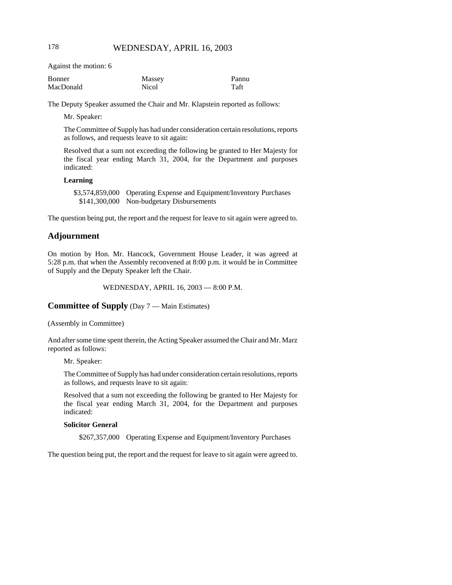Against the motion: 6

| Bonner    | Massey | Pannu |
|-----------|--------|-------|
| MacDonald | Nicol  | Taft  |

The Deputy Speaker assumed the Chair and Mr. Klapstein reported as follows:

Mr. Speaker:

The Committee of Supply has had under consideration certain resolutions, reports as follows, and requests leave to sit again:

Resolved that a sum not exceeding the following be granted to Her Majesty for the fiscal year ending March 31, 2004, for the Department and purposes indicated:

#### **Learning**

\$3,574,859,000 Operating Expense and Equipment/Inventory Purchases \$141,300,000 Non-budgetary Disbursements

The question being put, the report and the request for leave to sit again were agreed to.

### **Adjournment**

On motion by Hon. Mr. Hancock, Government House Leader, it was agreed at 5:28 p.m. that when the Assembly reconvened at 8:00 p.m. it would be in Committee of Supply and the Deputy Speaker left the Chair.

WEDNESDAY, APRIL 16, 2003 — 8:00 P.M.

**Committee of Supply** (Day 7 — Main Estimates)

(Assembly in Committee)

And after some time spent therein, the Acting Speaker assumed the Chair and Mr. Marz reported as follows:

Mr. Speaker:

The Committee of Supply has had under consideration certain resolutions, reports as follows, and requests leave to sit again:

Resolved that a sum not exceeding the following be granted to Her Majesty for the fiscal year ending March 31, 2004, for the Department and purposes indicated:

#### **Solicitor General**

\$267,357,000 Operating Expense and Equipment/Inventory Purchases

The question being put, the report and the request for leave to sit again were agreed to.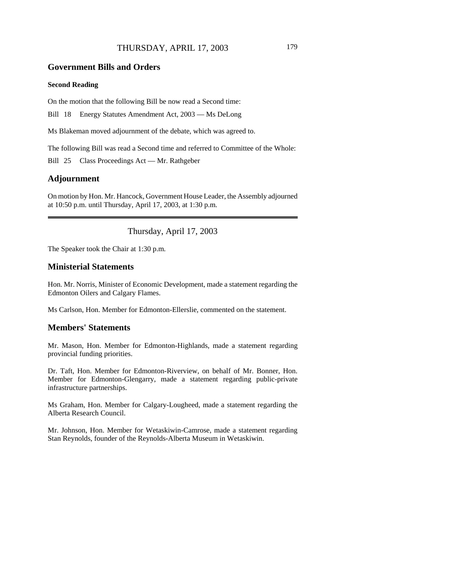# THURSDAY, APRIL 17, 2003 179

#### **Government Bills and Orders**

#### **Second Reading**

On the motion that the following Bill be now read a Second time:

Bill 18 Energy Statutes Amendment Act, 2003 — Ms DeLong

Ms Blakeman moved adjournment of the debate, which was agreed to.

The following Bill was read a Second time and referred to Committee of the Whole:

Bill 25 Class Proceedings Act — Mr. Rathgeber

# **Adjournment**

On motion by Hon. Mr. Hancock, Government House Leader, the Assembly adjourned at 10:50 p.m. until Thursday, April 17, 2003, at 1:30 p.m.

Thursday, April 17, 2003

The Speaker took the Chair at 1:30 p.m.

#### **Ministerial Statements**

Hon. Mr. Norris, Minister of Economic Development, made a statement regarding the Edmonton Oilers and Calgary Flames.

Ms Carlson, Hon. Member for Edmonton-Ellerslie, commented on the statement.

#### **Members' Statements**

Mr. Mason, Hon. Member for Edmonton-Highlands, made a statement regarding provincial funding priorities.

Dr. Taft, Hon. Member for Edmonton-Riverview, on behalf of Mr. Bonner, Hon. Member for Edmonton-Glengarry, made a statement regarding public-private infrastructure partnerships.

Ms Graham, Hon. Member for Calgary-Lougheed, made a statement regarding the Alberta Research Council.

Mr. Johnson, Hon. Member for Wetaskiwin-Camrose, made a statement regarding Stan Reynolds, founder of the Reynolds-Alberta Museum in Wetaskiwin.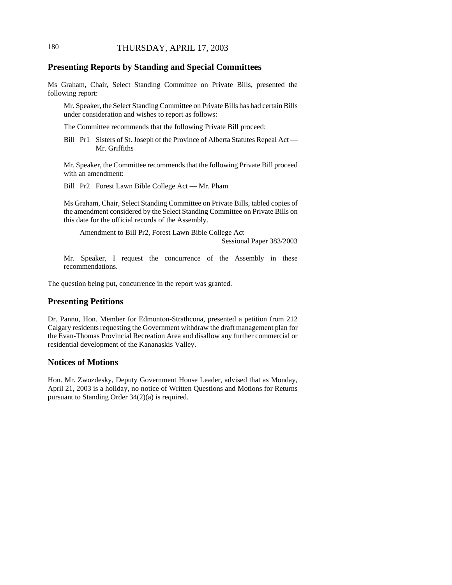# **Presenting Reports by Standing and Special Committees**

Ms Graham, Chair, Select Standing Committee on Private Bills, presented the following report:

Mr. Speaker, the Select Standing Committee on Private Bills has had certain Bills under consideration and wishes to report as follows:

The Committee recommends that the following Private Bill proceed:

Bill Pr1 Sisters of St. Joseph of the Province of Alberta Statutes Repeal Act — Mr. Griffiths

Mr. Speaker, the Committee recommends that the following Private Bill proceed with an amendment:

Bill Pr2 Forest Lawn Bible College Act — Mr. Pham

Ms Graham, Chair, Select Standing Committee on Private Bills, tabled copies of the amendment considered by the Select Standing Committee on Private Bills on this date for the official records of the Assembly.

Amendment to Bill Pr2, Forest Lawn Bible College Act

Sessional Paper 383/2003

Mr. Speaker, I request the concurrence of the Assembly in these recommendations.

The question being put, concurrence in the report was granted.

# **Presenting Petitions**

Dr. Pannu, Hon. Member for Edmonton-Strathcona, presented a petition from 212 Calgary residents requesting the Government withdraw the draft management plan for the Evan-Thomas Provincial Recreation Area and disallow any further commercial or residential development of the Kananaskis Valley.

#### **Notices of Motions**

Hon. Mr. Zwozdesky, Deputy Government House Leader, advised that as Monday, April 21, 2003 is a holiday, no notice of Written Questions and Motions for Returns pursuant to Standing Order 34(2)(a) is required.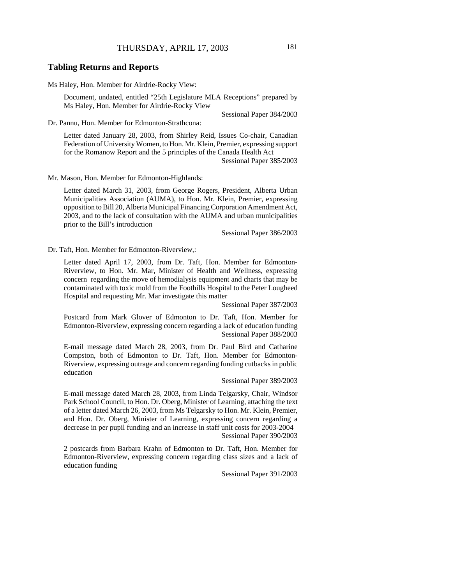## **Tabling Returns and Reports**

Ms Haley, Hon. Member for Airdrie-Rocky View:

Document, undated, entitled "25th Legislature MLA Receptions" prepared by Ms Haley, Hon. Member for Airdrie-Rocky View

Sessional Paper 384/2003

Dr. Pannu, Hon. Member for Edmonton-Strathcona:

Letter dated January 28, 2003, from Shirley Reid, Issues Co-chair, Canadian Federation of University Women, to Hon. Mr. Klein, Premier, expressing support for the Romanow Report and the 5 principles of the Canada Health Act

Sessional Paper 385/2003

Mr. Mason, Hon. Member for Edmonton-Highlands:

Letter dated March 31, 2003, from George Rogers, President, Alberta Urban Municipalities Association (AUMA), to Hon. Mr. Klein, Premier, expressing opposition to Bill 20, Alberta Municipal Financing Corporation Amendment Act, 2003, and to the lack of consultation with the AUMA and urban municipalities prior to the Bill's introduction

Sessional Paper 386/2003

Dr. Taft, Hon. Member for Edmonton-Riverview,:

Letter dated April 17, 2003, from Dr. Taft, Hon. Member for Edmonton-Riverview, to Hon. Mr. Mar, Minister of Health and Wellness, expressing concern regarding the move of hemodialysis equipment and charts that may be contaminated with toxic mold from the Foothills Hospital to the Peter Lougheed Hospital and requesting Mr. Mar investigate this matter

Sessional Paper 387/2003

Postcard from Mark Glover of Edmonton to Dr. Taft, Hon. Member for Edmonton-Riverview, expressing concern regarding a lack of education funding Sessional Paper 388/2003

E-mail message dated March 28, 2003, from Dr. Paul Bird and Catharine Compston, both of Edmonton to Dr. Taft, Hon. Member for Edmonton-Riverview, expressing outrage and concern regarding funding cutbacks in public education

Sessional Paper 389/2003

E-mail message dated March 28, 2003, from Linda Telgarsky, Chair, Windsor Park School Council, to Hon. Dr. Oberg, Minister of Learning, attaching the text of a letter dated March 26, 2003, from Ms Telgarsky to Hon. Mr. Klein, Premier, and Hon. Dr. Oberg, Minister of Learning, expressing concern regarding a decrease in per pupil funding and an increase in staff unit costs for 2003-2004 Sessional Paper 390/2003

2 postcards from Barbara Krahn of Edmonton to Dr. Taft, Hon. Member for Edmonton-Riverview, expressing concern regarding class sizes and a lack of education funding

Sessional Paper 391/2003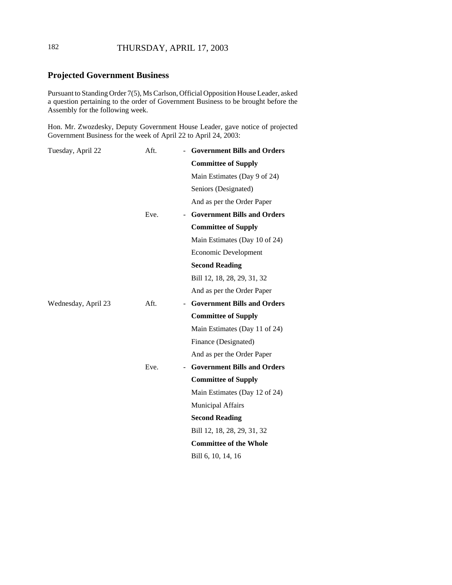# 182 THURSDAY, APRIL 17, 2003

# **Projected Government Business**

Pursuant to Standing Order 7(5), Ms Carlson, Official Opposition House Leader, asked a question pertaining to the order of Government Business to be brought before the Assembly for the following week.

Hon. Mr. Zwozdesky, Deputy Government House Leader, gave notice of projected Government Business for the week of April 22 to April 24, 2003:

| Tuesday, April 22   | Aft. | - Government Bills and Orders      |
|---------------------|------|------------------------------------|
|                     |      | <b>Committee of Supply</b>         |
|                     |      | Main Estimates (Day 9 of 24)       |
|                     |      | Seniors (Designated)               |
|                     |      | And as per the Order Paper         |
|                     | Eve. | <b>Government Bills and Orders</b> |
|                     |      | <b>Committee of Supply</b>         |
|                     |      | Main Estimates (Day 10 of 24)      |
|                     |      | Economic Development               |
|                     |      | <b>Second Reading</b>              |
|                     |      | Bill 12, 18, 28, 29, 31, 32        |
|                     |      | And as per the Order Paper         |
| Wednesday, April 23 | Aft. | - Government Bills and Orders      |
|                     |      | <b>Committee of Supply</b>         |
|                     |      | Main Estimates (Day 11 of 24)      |
|                     |      | Finance (Designated)               |
|                     |      | And as per the Order Paper         |
|                     | Eve. | - Government Bills and Orders      |
|                     |      | <b>Committee of Supply</b>         |
|                     |      | Main Estimates (Day 12 of 24)      |
|                     |      | Municipal Affairs                  |
|                     |      | <b>Second Reading</b>              |
|                     |      | Bill 12, 18, 28, 29, 31, 32        |
|                     |      | <b>Committee of the Whole</b>      |
|                     |      | Bill 6, 10, 14, 16                 |
|                     |      |                                    |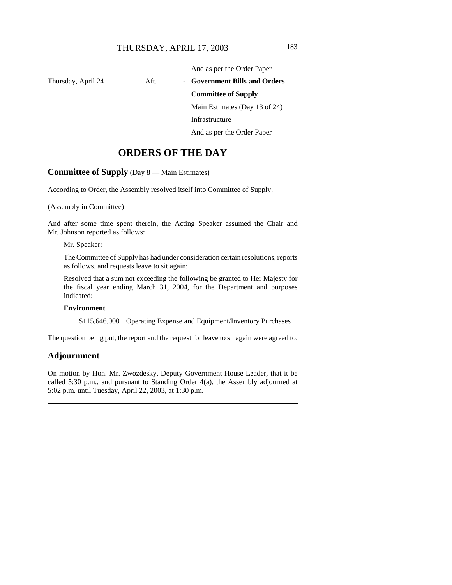And as per the Order Paper

Thursday, April 24 Aft. - Government Bills and Orders **Committee of Supply** Main Estimates (Day 13 of 24) Infrastructure And as per the Order Paper

# **ORDERS OF THE DAY**

## **Committee of Supply** (Day 8 — Main Estimates)

According to Order, the Assembly resolved itself into Committee of Supply.

(Assembly in Committee)

And after some time spent therein, the Acting Speaker assumed the Chair and Mr. Johnson reported as follows:

Mr. Speaker:

The Committee of Supply has had under consideration certain resolutions, reports as follows, and requests leave to sit again:

Resolved that a sum not exceeding the following be granted to Her Majesty for the fiscal year ending March 31, 2004, for the Department and purposes indicated:

#### **Environment**

\$115,646,000 Operating Expense and Equipment/Inventory Purchases

The question being put, the report and the request for leave to sit again were agreed to.

### **Adjournment**

On motion by Hon. Mr. Zwozdesky, Deputy Government House Leader, that it be called 5:30 p.m., and pursuant to Standing Order 4(a), the Assembly adjourned at 5:02 p.m. until Tuesday, April 22, 2003, at 1:30 p.m.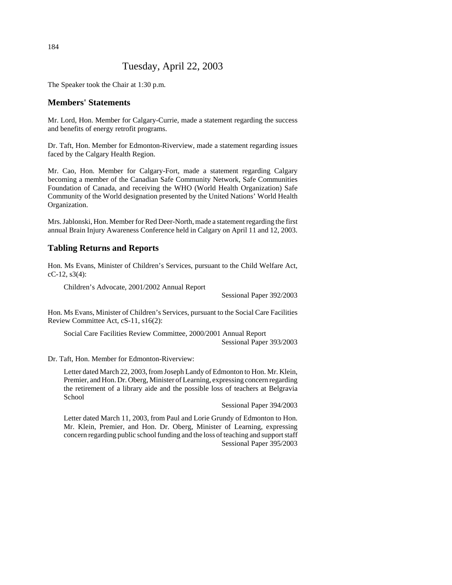# Tuesday, April 22, 2003

The Speaker took the Chair at 1:30 p.m.

# **Members' Statements**

Mr. Lord, Hon. Member for Calgary-Currie, made a statement regarding the success and benefits of energy retrofit programs.

Dr. Taft, Hon. Member for Edmonton-Riverview, made a statement regarding issues faced by the Calgary Health Region.

Mr. Cao, Hon. Member for Calgary-Fort, made a statement regarding Calgary becoming a member of the Canadian Safe Community Network, Safe Communities Foundation of Canada, and receiving the WHO (World Health Organization) Safe Community of the World designation presented by the United Nations' World Health Organization.

Mrs. Jablonski, Hon. Member for Red Deer-North, made a statement regarding the first annual Brain Injury Awareness Conference held in Calgary on April 11 and 12, 2003.

# **Tabling Returns and Reports**

Hon. Ms Evans, Minister of Children's Services, pursuant to the Child Welfare Act, cC-12, s3(4):

Children's Advocate, 2001/2002 Annual Report

Sessional Paper 392/2003

Hon. Ms Evans, Minister of Children's Services, pursuant to the Social Care Facilities Review Committee Act, cS-11, s16(2):

Social Care Facilities Review Committee, 2000/2001 Annual Report Sessional Paper 393/2003

Dr. Taft, Hon. Member for Edmonton-Riverview:

Letter dated March 22, 2003, from Joseph Landy of Edmonton to Hon. Mr. Klein, Premier, and Hon. Dr. Oberg, Minister of Learning, expressing concern regarding the retirement of a library aide and the possible loss of teachers at Belgravia School

Sessional Paper 394/2003

Letter dated March 11, 2003, from Paul and Lorie Grundy of Edmonton to Hon. Mr. Klein, Premier, and Hon. Dr. Oberg, Minister of Learning, expressing concern regarding public school funding and the loss of teaching and support staff Sessional Paper 395/2003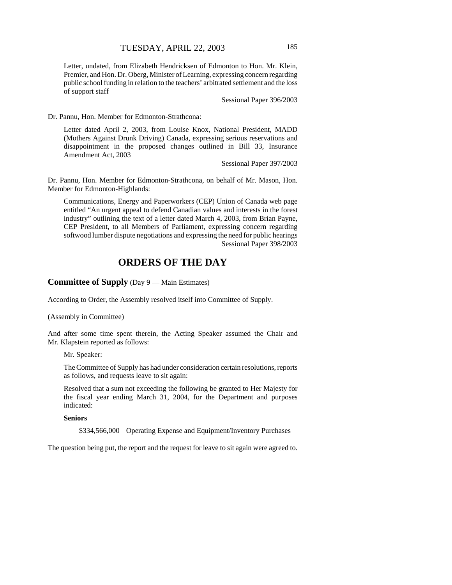Letter, undated, from Elizabeth Hendricksen of Edmonton to Hon. Mr. Klein, Premier, and Hon. Dr. Oberg, Minister of Learning, expressing concern regarding public school funding in relation to the teachers' arbitrated settlement and the loss of support staff

Sessional Paper 396/2003

Dr. Pannu, Hon. Member for Edmonton-Strathcona:

Letter dated April 2, 2003, from Louise Knox, National President, MADD (Mothers Against Drunk Driving) Canada, expressing serious reservations and disappointment in the proposed changes outlined in Bill 33, Insurance Amendment Act, 2003

Sessional Paper 397/2003

Dr. Pannu, Hon. Member for Edmonton-Strathcona, on behalf of Mr. Mason, Hon. Member for Edmonton-Highlands:

Communications, Energy and Paperworkers (CEP) Union of Canada web page entitled "An urgent appeal to defend Canadian values and interests in the forest industry" outlining the text of a letter dated March 4, 2003, from Brian Payne, CEP President, to all Members of Parliament, expressing concern regarding softwood lumber dispute negotiations and expressing the need for public hearings Sessional Paper 398/2003

# **ORDERS OF THE DAY**

# **Committee of Supply** (Day 9 — Main Estimates)

According to Order, the Assembly resolved itself into Committee of Supply.

(Assembly in Committee)

And after some time spent therein, the Acting Speaker assumed the Chair and Mr. Klapstein reported as follows:

Mr. Speaker:

The Committee of Supply has had under consideration certain resolutions, reports as follows, and requests leave to sit again:

Resolved that a sum not exceeding the following be granted to Her Majesty for the fiscal year ending March 31, 2004, for the Department and purposes indicated:

#### **Seniors**

\$334,566,000 Operating Expense and Equipment/Inventory Purchases

The question being put, the report and the request for leave to sit again were agreed to.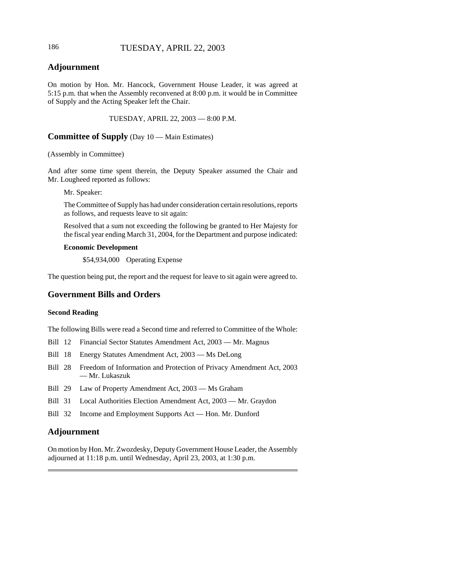# 186 TUESDAY, APRIL 22, 2003

# **Adjournment**

On motion by Hon. Mr. Hancock, Government House Leader, it was agreed at 5:15 p.m. that when the Assembly reconvened at 8:00 p.m. it would be in Committee of Supply and the Acting Speaker left the Chair.

TUESDAY, APRIL 22, 2003 — 8:00 P.M.

#### **Committee of Supply** (Day 10 — Main Estimates)

#### (Assembly in Committee)

And after some time spent therein, the Deputy Speaker assumed the Chair and Mr. Lougheed reported as follows:

Mr. Speaker:

The Committee of Supply has had under consideration certain resolutions, reports as follows, and requests leave to sit again:

Resolved that a sum not exceeding the following be granted to Her Majesty for the fiscal year ending March 31, 2004, for the Department and purpose indicated:

#### **Economic Development**

\$54,934,000 Operating Expense

The question being put, the report and the request for leave to sit again were agreed to.

# **Government Bills and Orders**

#### **Second Reading**

The following Bills were read a Second time and referred to Committee of the Whole:

Bill 12 Financial Sector Statutes Amendment Act, 2003 — Mr. Magnus

Bill 18 Energy Statutes Amendment Act, 2003 — Ms DeLong

- Bill 28 Freedom of Information and Protection of Privacy Amendment Act, 2003 — Mr. Lukaszuk
- Bill 29 Law of Property Amendment Act, 2003 Ms Graham
- Bill 31 Local Authorities Election Amendment Act, 2003 Mr. Graydon
- Bill 32 Income and Employment Supports Act Hon. Mr. Dunford

## **Adjournment**

On motion by Hon. Mr. Zwozdesky, Deputy Government House Leader, the Assembly adjourned at 11:18 p.m. until Wednesday, April 23, 2003, at 1:30 p.m.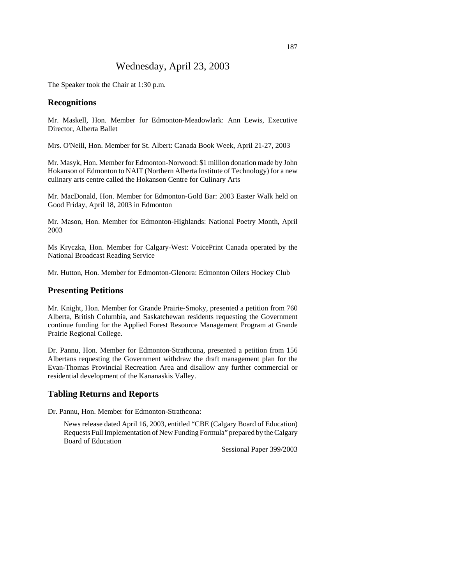# Wednesday, April 23, 2003

The Speaker took the Chair at 1:30 p.m.

#### **Recognitions**

Mr. Maskell, Hon. Member for Edmonton-Meadowlark: Ann Lewis, Executive Director, Alberta Ballet

Mrs. O'Neill, Hon. Member for St. Albert: Canada Book Week, April 21-27, 2003

Mr. Masyk, Hon. Member for Edmonton-Norwood: \$1 million donation made by John Hokanson of Edmonton to NAIT (Northern Alberta Institute of Technology) for a new culinary arts centre called the Hokanson Centre for Culinary Arts

Mr. MacDonald, Hon. Member for Edmonton-Gold Bar: 2003 Easter Walk held on Good Friday, April 18, 2003 in Edmonton

Mr. Mason, Hon. Member for Edmonton-Highlands: National Poetry Month, April 2003

Ms Kryczka, Hon. Member for Calgary-West: VoicePrint Canada operated by the National Broadcast Reading Service

Mr. Hutton, Hon. Member for Edmonton-Glenora: Edmonton Oilers Hockey Club

#### **Presenting Petitions**

Mr. Knight, Hon. Member for Grande Prairie-Smoky, presented a petition from 760 Alberta, British Columbia, and Saskatchewan residents requesting the Government continue funding for the Applied Forest Resource Management Program at Grande Prairie Regional College.

Dr. Pannu, Hon. Member for Edmonton-Strathcona, presented a petition from 156 Albertans requesting the Government withdraw the draft management plan for the Evan-Thomas Provincial Recreation Area and disallow any further commercial or residential development of the Kananaskis Valley.

#### **Tabling Returns and Reports**

Dr. Pannu, Hon. Member for Edmonton-Strathcona:

News release dated April 16, 2003, entitled "CBE (Calgary Board of Education) Requests Full Implementation of New Funding Formula" prepared by the Calgary Board of Education

Sessional Paper 399/2003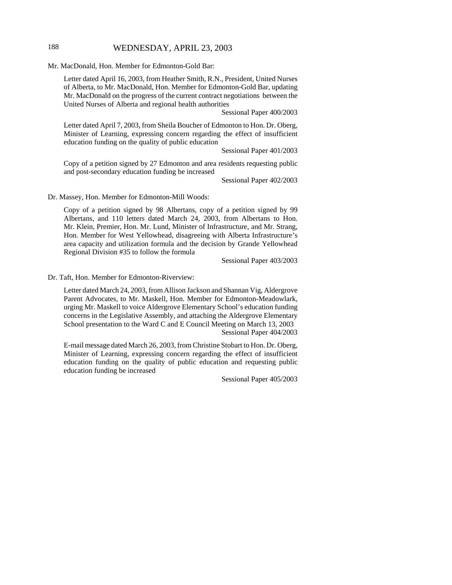# 188 WEDNESDAY, APRIL 23, 2003

Mr. MacDonald, Hon. Member for Edmonton-Gold Bar:

Letter dated April 16, 2003, from Heather Smith, R.N., President, United Nurses of Alberta, to Mr. MacDonald, Hon. Member for Edmonton-Gold Bar, updating Mr. MacDonald on the progress of the current contract negotiations between the United Nurses of Alberta and regional health authorities

Sessional Paper 400/2003

Letter dated April 7, 2003, from Sheila Boucher of Edmonton to Hon. Dr. Oberg, Minister of Learning, expressing concern regarding the effect of insufficient education funding on the quality of public education

Sessional Paper 401/2003

Copy of a petition signed by 27 Edmonton and area residents requesting public and post-secondary education funding be increased

Sessional Paper 402/2003

Dr. Massey, Hon. Member for Edmonton-Mill Woods:

Copy of a petition signed by 98 Albertans, copy of a petition signed by 99 Albertans, and 110 letters dated March 24, 2003, from Albertans to Hon. Mr. Klein, Premier, Hon. Mr. Lund, Minister of Infrastructure, and Mr. Strang, Hon. Member for West Yellowhead, disagreeing with Alberta Infrastructure's area capacity and utilization formula and the decision by Grande Yellowhead Regional Division #35 to follow the formula

Sessional Paper 403/2003

Dr. Taft, Hon. Member for Edmonton-Riverview:

Letter dated March 24, 2003, from Allison Jackson and Shannan Vig, Aldergrove Parent Advocates, to Mr. Maskell, Hon. Member for Edmonton-Meadowlark, urging Mr. Maskell to voice Aldergrove Elementary School's education funding concerns in the Legislative Assembly, and attaching the Aldergrove Elementary School presentation to the Ward C and E Council Meeting on March 13, 2003 Sessional Paper 404/2003

E-mail message dated March 26, 2003, from Christine Stobart to Hon. Dr. Oberg, Minister of Learning, expressing concern regarding the effect of insufficient education funding on the quality of public education and requesting public education funding be increased

Sessional Paper 405/2003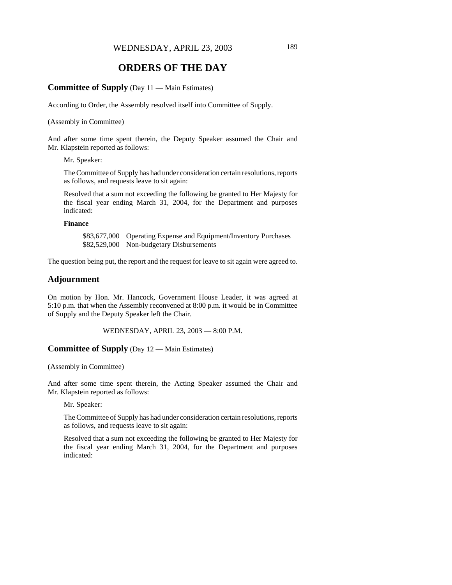# **ORDERS OF THE DAY**

#### **Committee of Supply** (Day 11 — Main Estimates)

According to Order, the Assembly resolved itself into Committee of Supply.

(Assembly in Committee)

And after some time spent therein, the Deputy Speaker assumed the Chair and Mr. Klapstein reported as follows:

Mr. Speaker:

The Committee of Supply has had under consideration certain resolutions, reports as follows, and requests leave to sit again:

Resolved that a sum not exceeding the following be granted to Her Majesty for the fiscal year ending March 31, 2004, for the Department and purposes indicated:

#### **Finance**

\$83,677,000 Operating Expense and Equipment/Inventory Purchases \$82,529,000 Non-budgetary Disbursements

The question being put, the report and the request for leave to sit again were agreed to.

### **Adjournment**

On motion by Hon. Mr. Hancock, Government House Leader, it was agreed at 5:10 p.m. that when the Assembly reconvened at 8:00 p.m. it would be in Committee of Supply and the Deputy Speaker left the Chair.

WEDNESDAY, APRIL 23, 2003 — 8:00 P.M.

## **Committee of Supply** (Day 12 — Main Estimates)

(Assembly in Committee)

And after some time spent therein, the Acting Speaker assumed the Chair and Mr. Klapstein reported as follows:

Mr. Speaker:

The Committee of Supply has had under consideration certain resolutions, reports as follows, and requests leave to sit again:

Resolved that a sum not exceeding the following be granted to Her Majesty for the fiscal year ending March 31, 2004, for the Department and purposes indicated: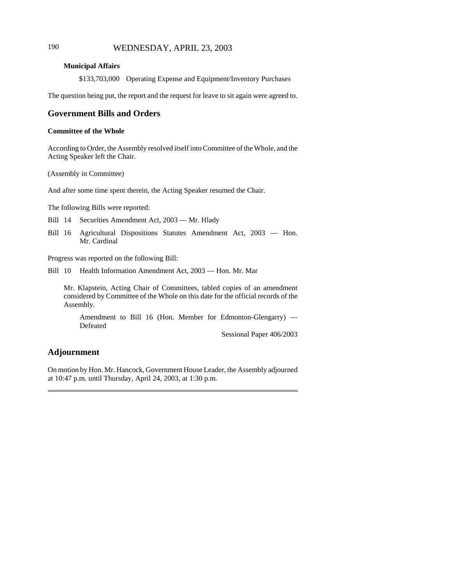# 190 WEDNESDAY, APRIL 23, 2003

#### **Municipal Affairs**

\$133,703,000 Operating Expense and Equipment/Inventory Purchases

The question being put, the report and the request for leave to sit again were agreed to.

## **Government Bills and Orders**

#### **Committee of the Whole**

According to Order, the Assembly resolved itself into Committee of the Whole, and the Acting Speaker left the Chair.

(Assembly in Committee)

And after some time spent therein, the Acting Speaker resumed the Chair.

The following Bills were reported:

Bill 14 Securities Amendment Act, 2003 — Mr. Hlady

Bill 16 Agricultural Dispositions Statutes Amendment Act, 2003 — Hon. Mr. Cardinal

Progress was reported on the following Bill:

Bill 10 Health Information Amendment Act, 2003 — Hon. Mr. Mar

Mr. Klapstein, Acting Chair of Committees, tabled copies of an amendment considered by Committee of the Whole on this date for the official records of the Assembly.

Amendment to Bill 16 (Hon. Member for Edmonton-Glengarry) — Defeated

Sessional Paper 406/2003

## **Adjournment**

On motion by Hon. Mr. Hancock, Government House Leader, the Assembly adjourned at 10:47 p.m. until Thursday, April 24, 2003, at 1:30 p.m.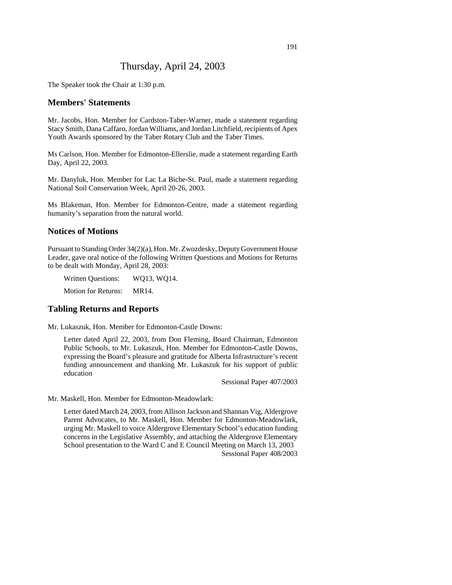# Thursday, April 24, 2003

The Speaker took the Chair at 1:30 p.m.

#### **Members' Statements**

Mr. Jacobs, Hon. Member for Cardston-Taber-Warner, made a statement regarding Stacy Smith, Dana Caffaro, Jordan Williams, and Jordan Litchfield, recipients of Apex Youth Awards sponsored by the Taber Rotary Club and the Taber Times.

Ms Carlson, Hon. Member for Edmonton-Ellerslie, made a statement regarding Earth Day, April 22, 2003.

Mr. Danyluk, Hon. Member for Lac La Biche-St. Paul, made a statement regarding National Soil Conservation Week, April 20-26, 2003.

Ms Blakeman, Hon. Member for Edmonton-Centre, made a statement regarding humanity's separation from the natural world.

#### **Notices of Motions**

Pursuant to Standing Order 34(2)(a), Hon. Mr. Zwozdesky, Deputy Government House Leader, gave oral notice of the following Written Questions and Motions for Returns to be dealt with Monday, April 28, 2003:

Written Questions: WQ13, WQ14.

Motion for Returns: MR14.

## **Tabling Returns and Reports**

Mr. Lukaszuk, Hon. Member for Edmonton-Castle Downs:

Letter dated April 22, 2003, from Don Fleming, Board Chairman, Edmonton Public Schools, to Mr. Lukaszuk, Hon. Member for Edmonton-Castle Downs, expressing the Board's pleasure and gratitude for Alberta Infrastructure's recent funding announcement and thanking Mr. Lukaszuk for his support of public education

Sessional Paper 407/2003

Mr. Maskell, Hon. Member for Edmonton-Meadowlark:

Letter dated March 24, 2003, from Allison Jackson and Shannan Vig, Aldergrove Parent Advocates, to Mr. Maskell, Hon. Member for Edmonton-Meadowlark, urging Mr. Maskell to voice Aldergrove Elementary School's education funding concerns in the Legislative Assembly, and attaching the Aldergrove Elementary School presentation to the Ward C and E Council Meeting on March 13, 2003 Sessional Paper 408/2003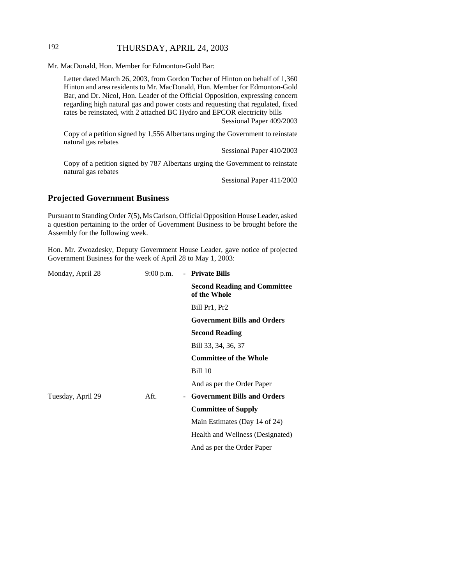# 192 THURSDAY, APRIL 24, 2003

Mr. MacDonald, Hon. Member for Edmonton-Gold Bar:

Letter dated March 26, 2003, from Gordon Tocher of Hinton on behalf of 1,360 Hinton and area residents to Mr. MacDonald, Hon. Member for Edmonton-Gold Bar, and Dr. Nicol, Hon. Leader of the Official Opposition, expressing concern regarding high natural gas and power costs and requesting that regulated, fixed rates be reinstated, with 2 attached BC Hydro and EPCOR electricity bills

Sessional Paper 409/2003

Copy of a petition signed by 1,556 Albertans urging the Government to reinstate natural gas rebates

Sessional Paper 410/2003

Copy of a petition signed by 787 Albertans urging the Government to reinstate natural gas rebates

Sessional Paper 411/2003

# **Projected Government Business**

Pursuant to Standing Order 7(5), Ms Carlson, Official Opposition House Leader, asked a question pertaining to the order of Government Business to be brought before the Assembly for the following week.

Hon. Mr. Zwozdesky, Deputy Government House Leader, gave notice of projected Government Business for the week of April 28 to May 1, 2003:

| <b>Second Reading and Committee</b><br><b>Government Bills and Orders</b> |
|---------------------------------------------------------------------------|
|                                                                           |
|                                                                           |
|                                                                           |
|                                                                           |
|                                                                           |
|                                                                           |
|                                                                           |
|                                                                           |
|                                                                           |
|                                                                           |
|                                                                           |
| Health and Wellness (Designated)                                          |
|                                                                           |
| <b>Government Bills and Orders</b><br>Main Estimates (Day 14 of 24)       |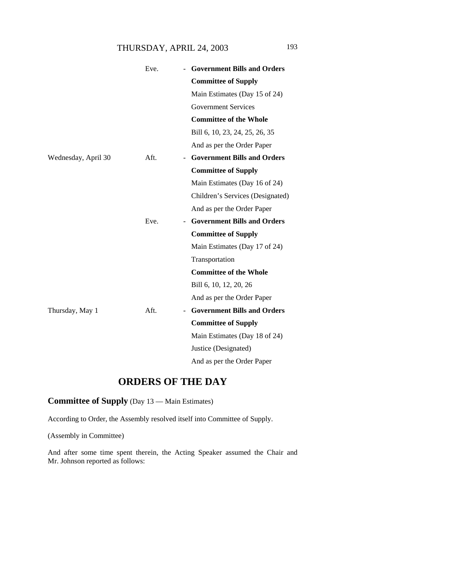# THURSDAY, APRIL 24, 2003 193

|                     | Eve. | - Government Bills and Orders      |
|---------------------|------|------------------------------------|
|                     |      | <b>Committee of Supply</b>         |
|                     |      | Main Estimates (Day 15 of 24)      |
|                     |      | <b>Government Services</b>         |
|                     |      | <b>Committee of the Whole</b>      |
|                     |      | Bill 6, 10, 23, 24, 25, 26, 35     |
|                     |      | And as per the Order Paper         |
| Wednesday, April 30 | Aft. | <b>Government Bills and Orders</b> |
|                     |      | <b>Committee of Supply</b>         |
|                     |      | Main Estimates (Day 16 of 24)      |
|                     |      | Children's Services (Designated)   |
|                     |      | And as per the Order Paper         |
|                     | Eve. | <b>Government Bills and Orders</b> |
|                     |      | <b>Committee of Supply</b>         |
|                     |      | Main Estimates (Day 17 of 24)      |
|                     |      | Transportation                     |
|                     |      | <b>Committee of the Whole</b>      |
|                     |      | Bill 6, 10, 12, 20, 26             |
|                     |      | And as per the Order Paper         |
| Thursday, May 1     | Aft. | <b>Government Bills and Orders</b> |
|                     |      | <b>Committee of Supply</b>         |
|                     |      | Main Estimates (Day 18 of 24)      |
|                     |      | Justice (Designated)               |
|                     |      | And as per the Order Paper         |

# **ORDERS OF THE DAY**

# **Committee of Supply** (Day 13 — Main Estimates)

According to Order, the Assembly resolved itself into Committee of Supply.

(Assembly in Committee)

And after some time spent therein, the Acting Speaker assumed the Chair and Mr. Johnson reported as follows: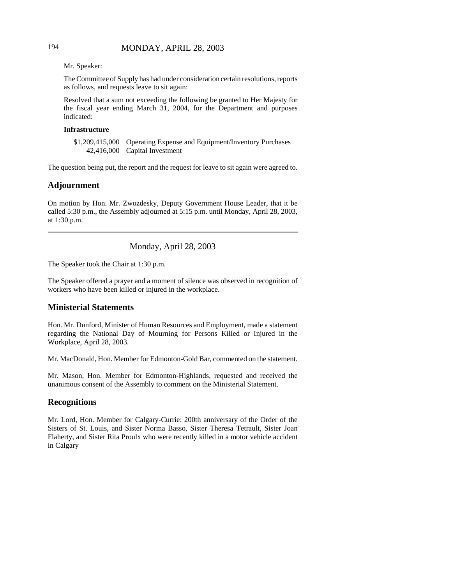# 194 MONDAY, APRIL 28, 2003

Mr. Speaker:

The Committee of Supply has had under consideration certain resolutions, reports as follows, and requests leave to sit again:

Resolved that a sum not exceeding the following be granted to Her Majesty for the fiscal year ending March 31, 2004, for the Department and purposes indicated:

#### **Infrastructure**

\$1,209,415,000 Operating Expense and Equipment/Inventory Purchases 42,416,000 Capital Investment

The question being put, the report and the request for leave to sit again were agreed to.

## **Adjournment**

On motion by Hon. Mr. Zwozdesky, Deputy Government House Leader, that it be called 5:30 p.m., the Assembly adjourned at 5:15 p.m. until Monday, April 28, 2003, at 1:30 p.m.

Monday, April 28, 2003

The Speaker took the Chair at 1:30 p.m.

The Speaker offered a prayer and a moment of silence was observed in recognition of workers who have been killed or injured in the workplace.

### **Ministerial Statements**

Hon. Mr. Dunford, Minister of Human Resources and Employment, made a statement regarding the National Day of Mourning for Persons Killed or Injured in the Workplace, April 28, 2003.

Mr. MacDonald, Hon. Member for Edmonton-Gold Bar, commented on the statement.

Mr. Mason, Hon. Member for Edmonton-Highlands, requested and received the unanimous consent of the Assembly to comment on the Ministerial Statement.

### **Recognitions**

Mr. Lord, Hon. Member for Calgary-Currie: 200th anniversary of the Order of the Sisters of St. Louis, and Sister Norma Basso, Sister Theresa Tetrault, Sister Joan Flaherty, and Sister Rita Proulx who were recently killed in a motor vehicle accident in Calgary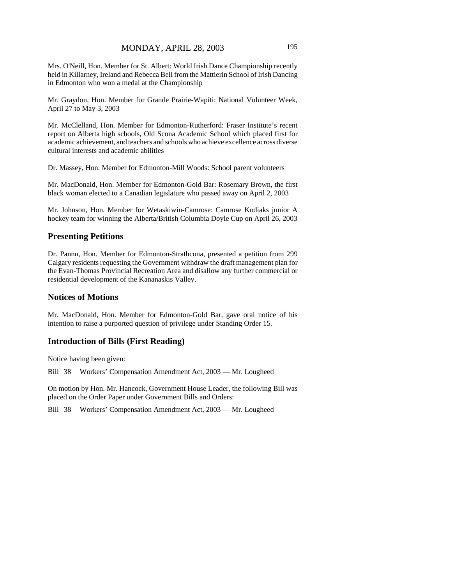Mrs. O'Neill, Hon. Member for St. Albert: World Irish Dance Championship recently held in Killarney, Ireland and Rebecca Bell from the Mattierin School of Irish Dancing in Edmonton who won a medal at the Championship

Mr. Graydon, Hon. Member for Grande Prairie-Wapiti: National Volunteer Week, April 27 to May 3, 2003

Mr. McClelland, Hon. Member for Edmonton-Rutherford: Fraser Institute's recent report on Alberta high schools, Old Scona Academic School which placed first for academic achievement, and teachers and schools who achieve excellence across diverse cultural interests and academic abilities

Dr. Massey, Hon. Member for Edmonton-Mill Woods: School parent volunteers

Mr. MacDonald, Hon. Member for Edmonton-Gold Bar: Rosemary Brown, the first black woman elected to a Canadian legislature who passed away on April 2, 2003

Mr. Johnson, Hon. Member for Wetaskiwin-Camrose: Camrose Kodiaks junior A hockey team for winning the Alberta/British Columbia Doyle Cup on April 26, 2003

## **Presenting Petitions**

Dr. Pannu, Hon. Member for Edmonton-Strathcona, presented a petition from 299 Calgary residents requesting the Government withdraw the draft management plan for the Evan-Thomas Provincial Recreation Area and disallow any further commercial or residential development of the Kananaskis Valley.

### **Notices of Motions**

Mr. MacDonald, Hon. Member for Edmonton-Gold Bar, gave oral notice of his intention to raise a purported question of privilege under Standing Order 15.

# **Introduction of Bills (First Reading)**

Notice having been given:

Bill 38 Workers' Compensation Amendment Act, 2003 — Mr. Lougheed

On motion by Hon. Mr. Hancock, Government House Leader, the following Bill was placed on the Order Paper under Government Bills and Orders:

Bill 38 Workers' Compensation Amendment Act, 2003 — Mr. Lougheed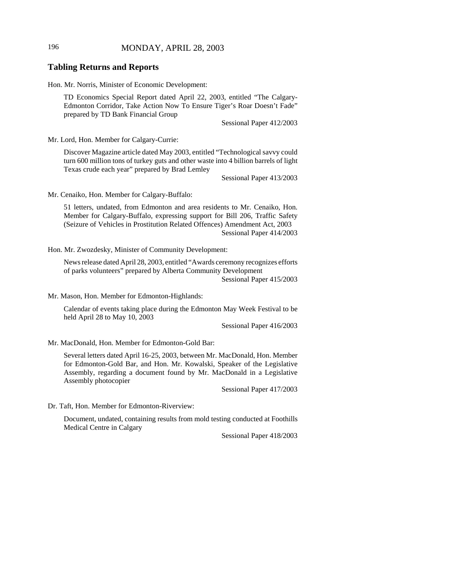# 196 MONDAY, APRIL 28, 2003

#### **Tabling Returns and Reports**

Hon. Mr. Norris, Minister of Economic Development:

TD Economics Special Report dated April 22, 2003, entitled "The Calgary-Edmonton Corridor, Take Action Now To Ensure Tiger's Roar Doesn't Fade" prepared by TD Bank Financial Group

Sessional Paper 412/2003

Mr. Lord, Hon. Member for Calgary-Currie:

Discover Magazine article dated May 2003, entitled "Technological savvy could turn 600 million tons of turkey guts and other waste into 4 billion barrels of light Texas crude each year" prepared by Brad Lemley

Sessional Paper 413/2003

Mr. Cenaiko, Hon. Member for Calgary-Buffalo:

51 letters, undated, from Edmonton and area residents to Mr. Cenaiko, Hon. Member for Calgary-Buffalo, expressing support for Bill 206, Traffic Safety (Seizure of Vehicles in Prostitution Related Offences) Amendment Act, 2003 Sessional Paper 414/2003

Hon. Mr. Zwozdesky, Minister of Community Development:

News release dated April 28, 2003, entitled "Awards ceremony recognizes efforts of parks volunteers" prepared by Alberta Community Development Sessional Paper 415/2003

Mr. Mason, Hon. Member for Edmonton-Highlands:

Calendar of events taking place during the Edmonton May Week Festival to be held April 28 to May 10, 2003

Sessional Paper 416/2003

Mr. MacDonald, Hon. Member for Edmonton-Gold Bar:

Several letters dated April 16-25, 2003, between Mr. MacDonald, Hon. Member for Edmonton-Gold Bar, and Hon. Mr. Kowalski, Speaker of the Legislative Assembly, regarding a document found by Mr. MacDonald in a Legislative Assembly photocopier

Sessional Paper 417/2003

Dr. Taft, Hon. Member for Edmonton-Riverview:

Document, undated, containing results from mold testing conducted at Foothills Medical Centre in Calgary

Sessional Paper 418/2003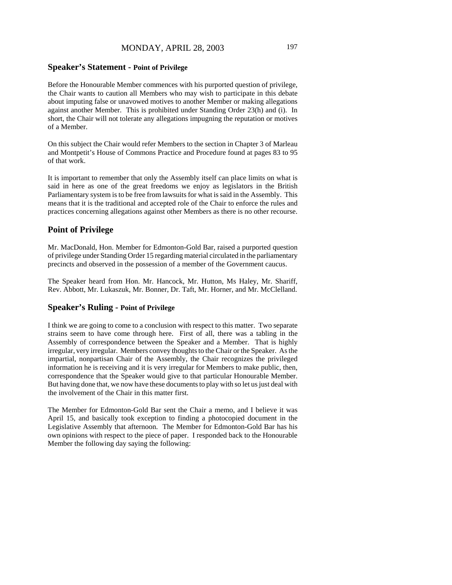# MONDAY, APRIL 28, 2003 197

#### **Speaker's Statement - Point of Privilege**

Before the Honourable Member commences with his purported question of privilege, the Chair wants to caution all Members who may wish to participate in this debate about imputing false or unavowed motives to another Member or making allegations against another Member. This is prohibited under Standing Order 23(h) and (i). In short, the Chair will not tolerate any allegations impugning the reputation or motives of a Member.

On this subject the Chair would refer Members to the section in Chapter 3 of Marleau and Montpetit's House of Commons Practice and Procedure found at pages 83 to 95 of that work.

It is important to remember that only the Assembly itself can place limits on what is said in here as one of the great freedoms we enjoy as legislators in the British Parliamentary system is to be free from lawsuits for what is said in the Assembly. This means that it is the traditional and accepted role of the Chair to enforce the rules and practices concerning allegations against other Members as there is no other recourse.

#### **Point of Privilege**

Mr. MacDonald, Hon. Member for Edmonton-Gold Bar, raised a purported question of privilege under Standing Order 15 regarding material circulated in the parliamentary precincts and observed in the possession of a member of the Government caucus.

The Speaker heard from Hon. Mr. Hancock, Mr. Hutton, Ms Haley, Mr. Shariff, Rev. Abbott, Mr. Lukaszuk, Mr. Bonner, Dr. Taft, Mr. Horner, and Mr. McClelland.

## **Speaker's Ruling - Point of Privilege**

I think we are going to come to a conclusion with respect to this matter. Two separate strains seem to have come through here. First of all, there was a tabling in the Assembly of correspondence between the Speaker and a Member. That is highly irregular, very irregular. Members convey thoughts to the Chair or the Speaker. As the impartial, nonpartisan Chair of the Assembly, the Chair recognizes the privileged information he is receiving and it is very irregular for Members to make public, then, correspondence that the Speaker would give to that particular Honourable Member. But having done that, we now have these documents to play with so let us just deal with the involvement of the Chair in this matter first.

The Member for Edmonton-Gold Bar sent the Chair a memo, and I believe it was April 15, and basically took exception to finding a photocopied document in the Legislative Assembly that afternoon. The Member for Edmonton-Gold Bar has his own opinions with respect to the piece of paper. I responded back to the Honourable Member the following day saying the following: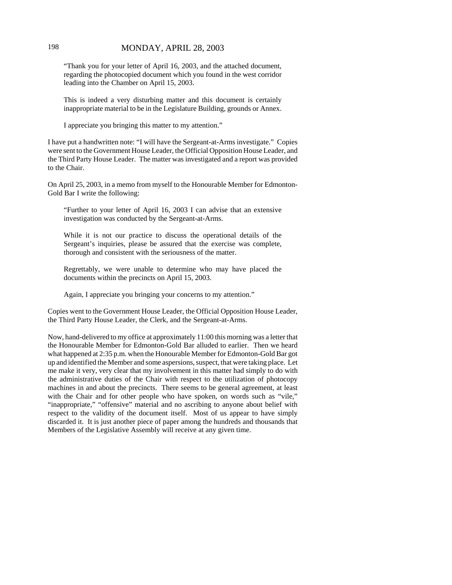## 198 MONDAY, APRIL 28, 2003

"Thank you for your letter of April 16, 2003, and the attached document, regarding the photocopied document which you found in the west corridor leading into the Chamber on April 15, 2003.

This is indeed a very disturbing matter and this document is certainly inappropriate material to be in the Legislature Building, grounds or Annex.

I appreciate you bringing this matter to my attention."

I have put a handwritten note: "I will have the Sergeant-at-Arms investigate." Copies were sent to the Government House Leader, the Official Opposition House Leader, and the Third Party House Leader. The matter was investigated and a report was provided to the Chair.

On April 25, 2003, in a memo from myself to the Honourable Member for Edmonton-Gold Bar I write the following:

"Further to your letter of April 16, 2003 I can advise that an extensive investigation was conducted by the Sergeant-at-Arms.

While it is not our practice to discuss the operational details of the Sergeant's inquiries, please be assured that the exercise was complete, thorough and consistent with the seriousness of the matter.

Regrettably, we were unable to determine who may have placed the documents within the precincts on April 15, 2003.

Again, I appreciate you bringing your concerns to my attention."

Copies went to the Government House Leader, the Official Opposition House Leader, the Third Party House Leader, the Clerk, and the Sergeant-at-Arms.

Now, hand-delivered to my office at approximately 11:00 this morning was a letter that the Honourable Member for Edmonton-Gold Bar alluded to earlier. Then we heard what happened at 2:35 p.m. when the Honourable Member for Edmonton-Gold Bar got up and identified the Member and some aspersions, suspect, that were taking place. Let me make it very, very clear that my involvement in this matter had simply to do with the administrative duties of the Chair with respect to the utilization of photocopy machines in and about the precincts. There seems to be general agreement, at least with the Chair and for other people who have spoken, on words such as "vile," "inappropriate," "offensive" material and no ascribing to anyone about belief with respect to the validity of the document itself. Most of us appear to have simply discarded it. It is just another piece of paper among the hundreds and thousands that Members of the Legislative Assembly will receive at any given time.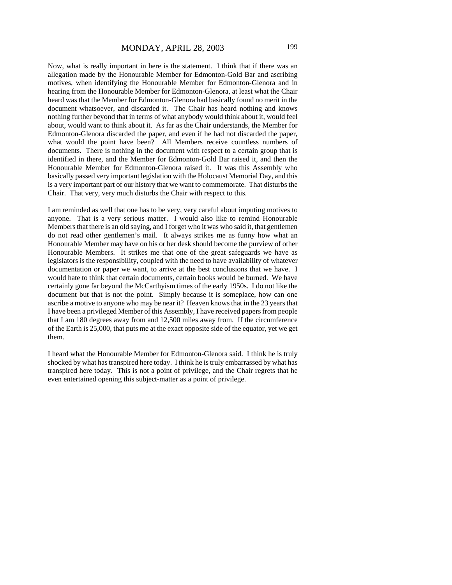Now, what is really important in here is the statement. I think that if there was an allegation made by the Honourable Member for Edmonton-Gold Bar and ascribing motives, when identifying the Honourable Member for Edmonton-Glenora and in hearing from the Honourable Member for Edmonton-Glenora, at least what the Chair heard was that the Member for Edmonton-Glenora had basically found no merit in the document whatsoever, and discarded it. The Chair has heard nothing and knows nothing further beyond that in terms of what anybody would think about it, would feel about, would want to think about it. As far as the Chair understands, the Member for Edmonton-Glenora discarded the paper, and even if he had not discarded the paper, what would the point have been? All Members receive countless numbers of documents. There is nothing in the document with respect to a certain group that is identified in there, and the Member for Edmonton-Gold Bar raised it, and then the Honourable Member for Edmonton-Glenora raised it. It was this Assembly who basically passed very important legislation with the Holocaust Memorial Day, and this is a very important part of our history that we want to commemorate. That disturbs the Chair. That very, very much disturbs the Chair with respect to this.

I am reminded as well that one has to be very, very careful about imputing motives to anyone. That is a very serious matter. I would also like to remind Honourable Members that there is an old saying, and I forget who it was who said it, that gentlemen do not read other gentlemen's mail. It always strikes me as funny how what an Honourable Member may have on his or her desk should become the purview of other Honourable Members. It strikes me that one of the great safeguards we have as legislators is the responsibility, coupled with the need to have availability of whatever documentation or paper we want, to arrive at the best conclusions that we have. I would hate to think that certain documents, certain books would be burned. We have certainly gone far beyond the McCarthyism times of the early 1950s. I do not like the document but that is not the point. Simply because it is someplace, how can one ascribe a motive to anyone who may be near it? Heaven knows that in the 23 years that I have been a privileged Member of this Assembly, I have received papers from people that I am 180 degrees away from and 12,500 miles away from. If the circumference of the Earth is 25,000, that puts me at the exact opposite side of the equator, yet we get them.

I heard what the Honourable Member for Edmonton-Glenora said. I think he is truly shocked by what has transpired here today. I think he is truly embarrassed by what has transpired here today. This is not a point of privilege, and the Chair regrets that he even entertained opening this subject-matter as a point of privilege.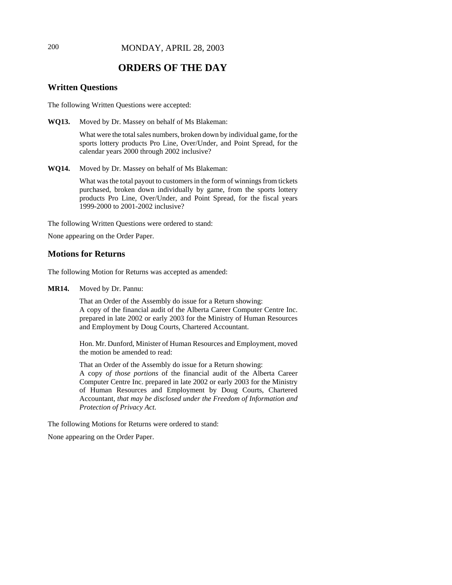# **ORDERS OF THE DAY**

# **Written Questions**

The following Written Questions were accepted:

**WQ13.** Moved by Dr. Massey on behalf of Ms Blakeman:

What were the total sales numbers, broken down by individual game, for the sports lottery products Pro Line, Over/Under, and Point Spread, for the calendar years 2000 through 2002 inclusive?

**WQ14.** Moved by Dr. Massey on behalf of Ms Blakeman:

What was the total payout to customers in the form of winnings from tickets purchased, broken down individually by game, from the sports lottery products Pro Line, Over/Under, and Point Spread, for the fiscal years 1999-2000 to 2001-2002 inclusive?

The following Written Questions were ordered to stand:

None appearing on the Order Paper.

### **Motions for Returns**

The following Motion for Returns was accepted as amended:

**MR14.** Moved by Dr. Pannu:

That an Order of the Assembly do issue for a Return showing: A copy of the financial audit of the Alberta Career Computer Centre Inc. prepared in late 2002 or early 2003 for the Ministry of Human Resources and Employment by Doug Courts, Chartered Accountant.

Hon. Mr. Dunford, Minister of Human Resources and Employment, moved the motion be amended to read:

That an Order of the Assembly do issue for a Return showing: A copy *of those portions* of the financial audit of the Alberta Career Computer Centre Inc. prepared in late 2002 or early 2003 for the Ministry of Human Resources and Employment by Doug Courts, Chartered Accountant*, that may be disclosed under the Freedom of Information and Protection of Privacy Act*.

The following Motions for Returns were ordered to stand:

None appearing on the Order Paper.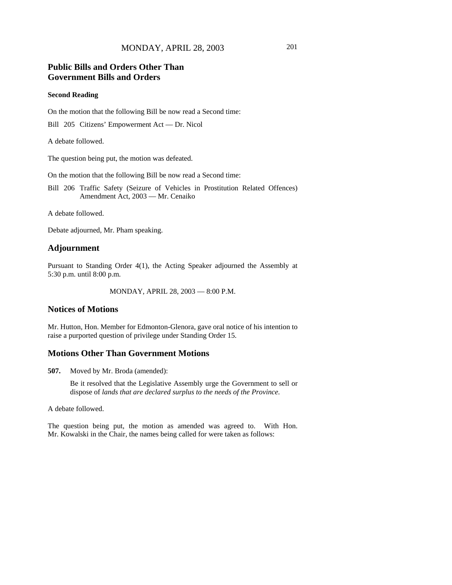# **Public Bills and Orders Other Than Government Bills and Orders**

#### **Second Reading**

On the motion that the following Bill be now read a Second time:

Bill 205 Citizens' Empowerment Act — Dr. Nicol

A debate followed.

The question being put, the motion was defeated.

On the motion that the following Bill be now read a Second time:

Bill 206 Traffic Safety (Seizure of Vehicles in Prostitution Related Offences) Amendment Act, 2003 — Mr. Cenaiko

A debate followed.

Debate adjourned, Mr. Pham speaking.

### **Adjournment**

Pursuant to Standing Order 4(1), the Acting Speaker adjourned the Assembly at 5:30 p.m. until 8:00 p.m.

MONDAY, APRIL 28, 2003 — 8:00 P.M.

## **Notices of Motions**

Mr. Hutton, Hon. Member for Edmonton-Glenora, gave oral notice of his intention to raise a purported question of privilege under Standing Order 15.

### **Motions Other Than Government Motions**

**507.** Moved by Mr. Broda (amended):

Be it resolved that the Legislative Assembly urge the Government to sell or dispose of *lands that are declared surplus to the needs of the Province.*

A debate followed.

The question being put, the motion as amended was agreed to. With Hon. Mr. Kowalski in the Chair, the names being called for were taken as follows: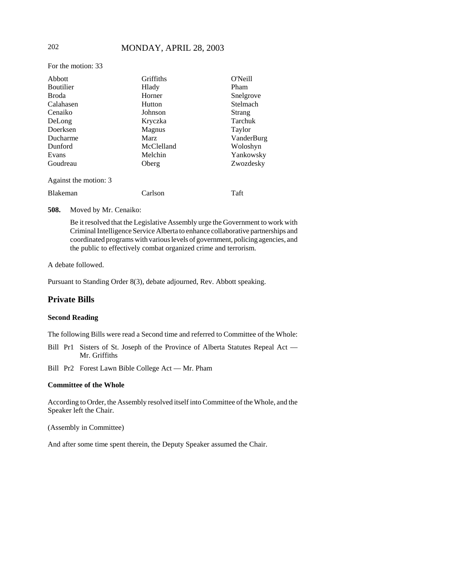# 202 MONDAY, APRIL 28, 2003

For the motion: 33

| Abbott                | Griffiths     | O'Neill    |
|-----------------------|---------------|------------|
| <b>Boutilier</b>      | Hlady         | Pham       |
| Broda                 | Horner        | Snelgrove  |
| Calahasen             | Hutton        | Stelmach   |
| Cenaiko               | Johnson       | Strang     |
| DeLong                | Kryczka       | Tarchuk    |
| Doerksen              | <b>Magnus</b> | Taylor     |
| Ducharme              | <b>Marz</b>   | VanderBurg |
| Dunford               | McClelland    | Woloshyn   |
| Evans                 | Melchin       | Yankowsky  |
| Goudreau              | Oberg         | Zwozdesky  |
| Against the motion: 3 |               |            |
| Blakeman              | Carlson       | Taft       |

**508.** Moved by Mr. Cenaiko:

Be it resolved that the Legislative Assembly urge the Government to work with Criminal Intelligence Service Alberta to enhance collaborative partnerships and coordinated programs with various levels of government, policing agencies, and the public to effectively combat organized crime and terrorism.

#### A debate followed.

Pursuant to Standing Order 8(3), debate adjourned, Rev. Abbott speaking.

## **Private Bills**

#### **Second Reading**

The following Bills were read a Second time and referred to Committee of the Whole:

- Bill Pr1 Sisters of St. Joseph of the Province of Alberta Statutes Repeal Act Mr. Griffiths
- Bill Pr2 Forest Lawn Bible College Act Mr. Pham

#### **Committee of the Whole**

According to Order, the Assembly resolved itself into Committee of the Whole, and the Speaker left the Chair.

(Assembly in Committee)

And after some time spent therein, the Deputy Speaker assumed the Chair.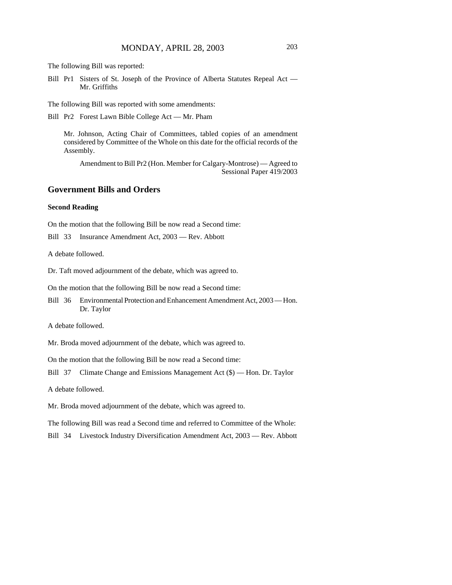The following Bill was reported:

Bill Pr1 Sisters of St. Joseph of the Province of Alberta Statutes Repeal Act — Mr. Griffiths

The following Bill was reported with some amendments:

Bill Pr2 Forest Lawn Bible College Act — Mr. Pham

Mr. Johnson, Acting Chair of Committees, tabled copies of an amendment considered by Committee of the Whole on this date for the official records of the Assembly.

Amendment to Bill Pr2 (Hon. Member for Calgary-Montrose) — Agreed to Sessional Paper 419/2003

### **Government Bills and Orders**

#### **Second Reading**

On the motion that the following Bill be now read a Second time:

Bill 33 Insurance Amendment Act, 2003 — Rev. Abbott

A debate followed.

Dr. Taft moved adjournment of the debate, which was agreed to.

On the motion that the following Bill be now read a Second time:

Bill 36 Environmental Protection and Enhancement Amendment Act, 2003 — Hon. Dr. Taylor

A debate followed.

Mr. Broda moved adjournment of the debate, which was agreed to.

On the motion that the following Bill be now read a Second time:

Bill 37 Climate Change and Emissions Management Act (\$) — Hon. Dr. Taylor

A debate followed.

Mr. Broda moved adjournment of the debate, which was agreed to.

The following Bill was read a Second time and referred to Committee of the Whole:

Bill 34 Livestock Industry Diversification Amendment Act, 2003 — Rev. Abbott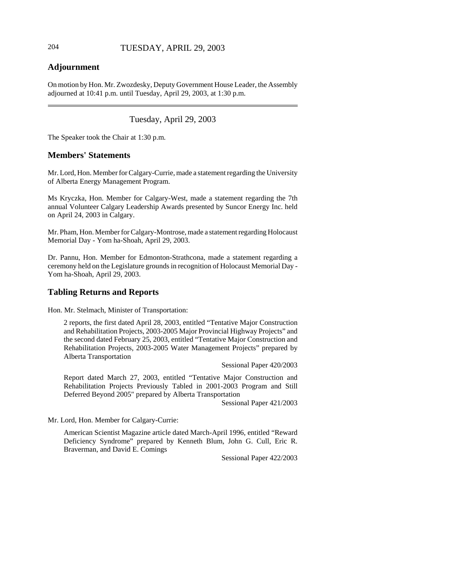# **Adjournment**

On motion by Hon. Mr. Zwozdesky, Deputy Government House Leader, the Assembly adjourned at 10:41 p.m. until Tuesday, April 29, 2003, at 1:30 p.m.

# Tuesday, April 29, 2003

The Speaker took the Chair at 1:30 p.m.

# **Members' Statements**

Mr. Lord, Hon. Member for Calgary-Currie, made a statement regarding the University of Alberta Energy Management Program.

Ms Kryczka, Hon. Member for Calgary-West, made a statement regarding the 7th annual Volunteer Calgary Leadership Awards presented by Suncor Energy Inc. held on April 24, 2003 in Calgary.

Mr. Pham, Hon. Member for Calgary-Montrose, made a statement regarding Holocaust Memorial Day - Yom ha-Shoah, April 29, 2003.

Dr. Pannu, Hon. Member for Edmonton-Strathcona, made a statement regarding a ceremony held on the Legislature grounds in recognition of Holocaust Memorial Day - Yom ha-Shoah, April 29, 2003.

# **Tabling Returns and Reports**

Hon. Mr. Stelmach, Minister of Transportation:

2 reports, the first dated April 28, 2003, entitled "Tentative Major Construction and Rehabilitation Projects, 2003-2005 Major Provincial Highway Projects" and the second dated February 25, 2003, entitled "Tentative Major Construction and Rehabilitation Projects, 2003-2005 Water Management Projects" prepared by Alberta Transportation

Sessional Paper 420/2003

Report dated March 27, 2003, entitled "Tentative Major Construction and Rehabilitation Projects Previously Tabled in 2001-2003 Program and Still Deferred Beyond 2005" prepared by Alberta Transportation

Sessional Paper 421/2003

Mr. Lord, Hon. Member for Calgary-Currie:

American Scientist Magazine article dated March-April 1996, entitled "Reward Deficiency Syndrome" prepared by Kenneth Blum, John G. Cull, Eric R. Braverman, and David E. Comings

Sessional Paper 422/2003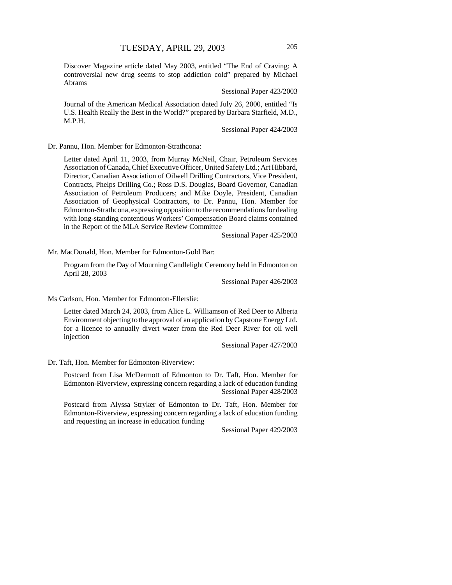Discover Magazine article dated May 2003, entitled "The End of Craving: A controversial new drug seems to stop addiction cold" prepared by Michael Abrams

Sessional Paper 423/2003

Journal of the American Medical Association dated July 26, 2000, entitled "Is U.S. Health Really the Best in the World?" prepared by Barbara Starfield, M.D., M.P.H.

Sessional Paper 424/2003

Dr. Pannu, Hon. Member for Edmonton-Strathcona:

Letter dated April 11, 2003, from Murray McNeil, Chair, Petroleum Services Association of Canada, Chief Executive Officer, United Safety Ltd.; Art Hibbard, Director, Canadian Association of Oilwell Drilling Contractors, Vice President, Contracts, Phelps Drilling Co.; Ross D.S. Douglas, Board Governor, Canadian Association of Petroleum Producers; and Mike Doyle, President, Canadian Association of Geophysical Contractors, to Dr. Pannu, Hon. Member for Edmonton-Strathcona, expressing opposition to the recommendations for dealing with long-standing contentious Workers' Compensation Board claims contained in the Report of the MLA Service Review Committee

Sessional Paper 425/2003

Mr. MacDonald, Hon. Member for Edmonton-Gold Bar:

Program from the Day of Mourning Candlelight Ceremony held in Edmonton on April 28, 2003

Sessional Paper 426/2003

Ms Carlson, Hon. Member for Edmonton-Ellerslie:

Letter dated March 24, 2003, from Alice L. Williamson of Red Deer to Alberta Environment objecting to the approval of an application by Capstone Energy Ltd. for a licence to annually divert water from the Red Deer River for oil well injection

Sessional Paper 427/2003

Dr. Taft, Hon. Member for Edmonton-Riverview:

Postcard from Lisa McDermott of Edmonton to Dr. Taft, Hon. Member for Edmonton-Riverview, expressing concern regarding a lack of education funding Sessional Paper 428/2003

Postcard from Alyssa Stryker of Edmonton to Dr. Taft, Hon. Member for Edmonton-Riverview, expressing concern regarding a lack of education funding and requesting an increase in education funding

Sessional Paper 429/2003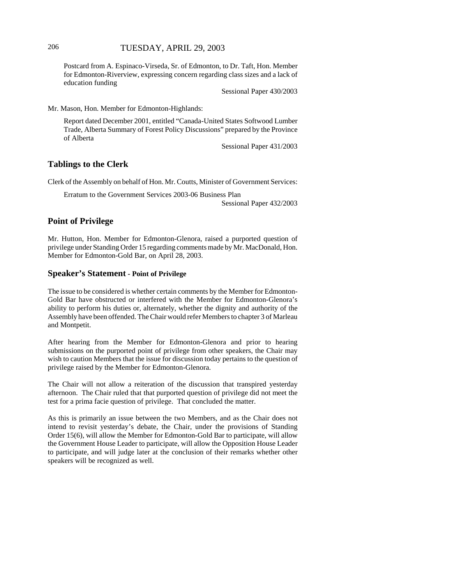Postcard from A. Espinaco-Virseda, Sr. of Edmonton, to Dr. Taft, Hon. Member for Edmonton-Riverview, expressing concern regarding class sizes and a lack of education funding

Sessional Paper 430/2003

Mr. Mason, Hon. Member for Edmonton-Highlands:

Report dated December 2001, entitled "Canada-United States Softwood Lumber Trade, Alberta Summary of Forest Policy Discussions" prepared by the Province of Alberta

Sessional Paper 431/2003

#### **Tablings to the Clerk**

Clerk of the Assembly on behalf of Hon. Mr. Coutts, Minister of Government Services:

Erratum to the Government Services 2003-06 Business Plan

Sessional Paper 432/2003

## **Point of Privilege**

Mr. Hutton, Hon. Member for Edmonton-Glenora, raised a purported question of privilege under Standing Order 15 regarding comments made by Mr. MacDonald, Hon. Member for Edmonton-Gold Bar, on April 28, 2003.

#### **Speaker's Statement - Point of Privilege**

The issue to be considered is whether certain comments by the Member for Edmonton-Gold Bar have obstructed or interfered with the Member for Edmonton-Glenora's ability to perform his duties or, alternately, whether the dignity and authority of the Assembly have been offended. The Chair would refer Members to chapter 3 of Marleau and Montpetit.

After hearing from the Member for Edmonton-Glenora and prior to hearing submissions on the purported point of privilege from other speakers, the Chair may wish to caution Members that the issue for discussion today pertains to the question of privilege raised by the Member for Edmonton-Glenora.

The Chair will not allow a reiteration of the discussion that transpired yesterday afternoon. The Chair ruled that that purported question of privilege did not meet the test for a prima facie question of privilege. That concluded the matter.

As this is primarily an issue between the two Members, and as the Chair does not intend to revisit yesterday's debate, the Chair, under the provisions of Standing Order 15(6), will allow the Member for Edmonton-Gold Bar to participate, will allow the Government House Leader to participate, will allow the Opposition House Leader to participate, and will judge later at the conclusion of their remarks whether other speakers will be recognized as well.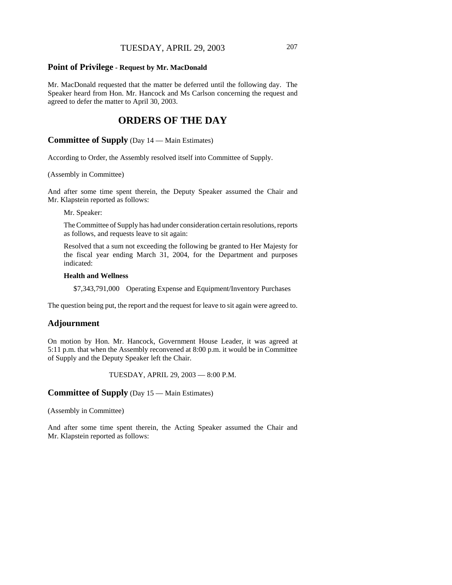## TUESDAY, APRIL 29, 2003 207

#### **Point of Privilege - Request by Mr. MacDonald**

Mr. MacDonald requested that the matter be deferred until the following day. The Speaker heard from Hon. Mr. Hancock and Ms Carlson concerning the request and agreed to defer the matter to April 30, 2003.

# **ORDERS OF THE DAY**

**Committee of Supply** (Day 14 — Main Estimates)

According to Order, the Assembly resolved itself into Committee of Supply.

(Assembly in Committee)

And after some time spent therein, the Deputy Speaker assumed the Chair and Mr. Klapstein reported as follows:

Mr. Speaker:

The Committee of Supply has had under consideration certain resolutions, reports as follows, and requests leave to sit again:

Resolved that a sum not exceeding the following be granted to Her Majesty for the fiscal year ending March 31, 2004, for the Department and purposes indicated:

#### **Health and Wellness**

\$7,343,791,000 Operating Expense and Equipment/Inventory Purchases

The question being put, the report and the request for leave to sit again were agreed to.

#### **Adjournment**

On motion by Hon. Mr. Hancock, Government House Leader, it was agreed at 5:11 p.m. that when the Assembly reconvened at 8:00 p.m. it would be in Committee of Supply and the Deputy Speaker left the Chair.

TUESDAY, APRIL 29, 2003 — 8:00 P.M.

**Committee of Supply** (Day 15 — Main Estimates)

(Assembly in Committee)

And after some time spent therein, the Acting Speaker assumed the Chair and Mr. Klapstein reported as follows: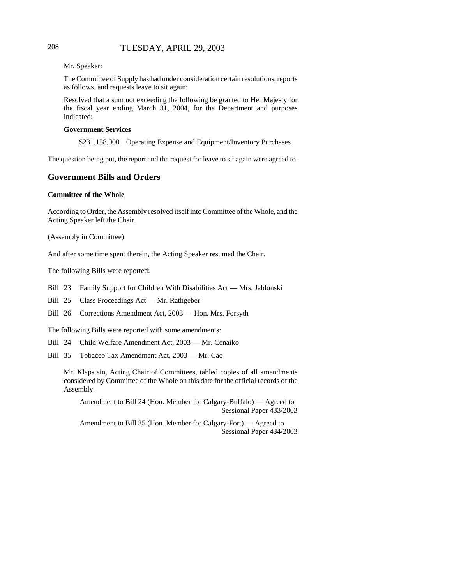# 208 TUESDAY, APRIL 29, 2003

Mr. Speaker:

The Committee of Supply has had under consideration certain resolutions, reports as follows, and requests leave to sit again:

Resolved that a sum not exceeding the following be granted to Her Majesty for the fiscal year ending March 31, 2004, for the Department and purposes indicated:

#### **Government Services**

\$231,158,000 Operating Expense and Equipment/Inventory Purchases

The question being put, the report and the request for leave to sit again were agreed to.

## **Government Bills and Orders**

#### **Committee of the Whole**

According to Order, the Assembly resolved itself into Committee of the Whole, and the Acting Speaker left the Chair.

(Assembly in Committee)

And after some time spent therein, the Acting Speaker resumed the Chair.

The following Bills were reported:

Bill 23 Family Support for Children With Disabilities Act — Mrs. Jablonski

Bill 25 Class Proceedings Act — Mr. Rathgeber

Bill 26 Corrections Amendment Act, 2003 — Hon. Mrs. Forsyth

The following Bills were reported with some amendments:

Bill 24 Child Welfare Amendment Act, 2003 — Mr. Cenaiko

Bill 35 Tobacco Tax Amendment Act, 2003 — Mr. Cao

Mr. Klapstein, Acting Chair of Committees, tabled copies of all amendments considered by Committee of the Whole on this date for the official records of the Assembly.

Amendment to Bill 24 (Hon. Member for Calgary-Buffalo) — Agreed to Sessional Paper 433/2003

Amendment to Bill 35 (Hon. Member for Calgary-Fort) — Agreed to Sessional Paper 434/2003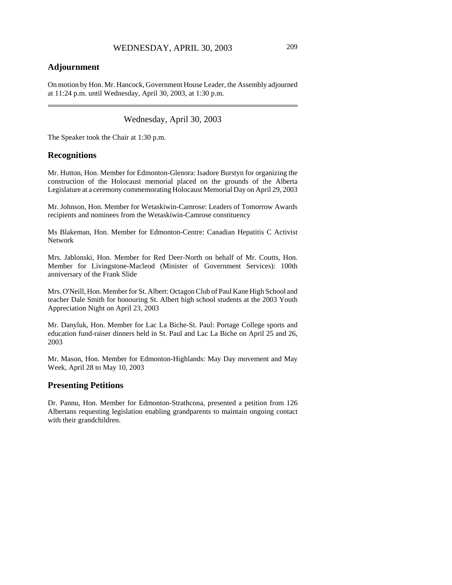# **Adjournment**

On motion by Hon. Mr. Hancock, Government House Leader, the Assembly adjourned at 11:24 p.m. until Wednesday, April 30, 2003, at 1:30 p.m.

Wednesday, April 30, 2003

The Speaker took the Chair at 1:30 p.m.

#### **Recognitions**

Mr. Hutton, Hon. Member for Edmonton-Glenora: Isadore Burstyn for organizing the construction of the Holocaust memorial placed on the grounds of the Alberta Legislature at a ceremony commemorating Holocaust Memorial Day on April 29, 2003

Mr. Johnson, Hon. Member for Wetaskiwin-Camrose: Leaders of Tomorrow Awards recipients and nominees from the Wetaskiwin-Camrose constituency

Ms Blakeman, Hon. Member for Edmonton-Centre: Canadian Hepatitis C Activist Network

Mrs. Jablonski, Hon. Member for Red Deer-North on behalf of Mr. Coutts, Hon. Member for Livingstone-Macleod (Minister of Government Services): 100th anniversary of the Frank Slide

Mrs. O'Neill, Hon. Member for St. Albert: Octagon Club of Paul Kane High School and teacher Dale Smith for honouring St. Albert high school students at the 2003 Youth Appreciation Night on April 23, 2003

Mr. Danyluk, Hon. Member for Lac La Biche-St. Paul: Portage College sports and education fund-raiser dinners held in St. Paul and Lac La Biche on April 25 and 26, 2003

Mr. Mason, Hon. Member for Edmonton-Highlands: May Day movement and May Week, April 28 to May 10, 2003

## **Presenting Petitions**

Dr. Pannu, Hon. Member for Edmonton-Strathcona, presented a petition from 126 Albertans requesting legislation enabling grandparents to maintain ongoing contact with their grandchildren.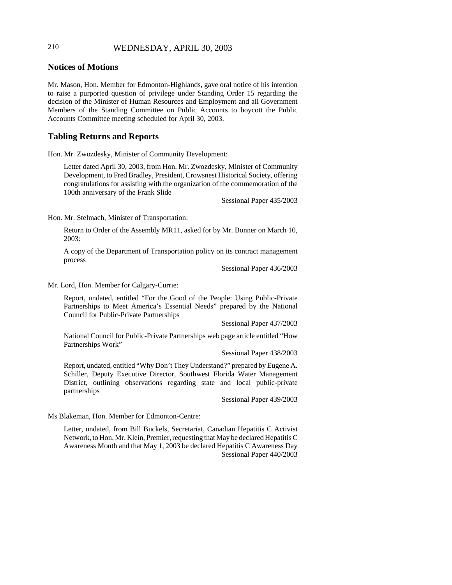# 210 WEDNESDAY, APRIL 30, 2003

# **Notices of Motions**

Mr. Mason, Hon. Member for Edmonton-Highlands, gave oral notice of his intention to raise a purported question of privilege under Standing Order 15 regarding the decision of the Minister of Human Resources and Employment and all Government Members of the Standing Committee on Public Accounts to boycott the Public Accounts Committee meeting scheduled for April 30, 2003.

## **Tabling Returns and Reports**

Hon. Mr. Zwozdesky, Minister of Community Development:

Letter dated April 30, 2003, from Hon. Mr. Zwozdesky, Minister of Community Development, to Fred Bradley, President, Crowsnest Historical Society, offering congratulations for assisting with the organization of the commemoration of the 100th anniversary of the Frank Slide

Sessional Paper 435/2003

Hon. Mr. Stelmach, Minister of Transportation:

Return to Order of the Assembly MR11, asked for by Mr. Bonner on March 10, 2003:

A copy of the Department of Transportation policy on its contract management process

Sessional Paper 436/2003

Mr. Lord, Hon. Member for Calgary-Currie:

Report, undated, entitled "For the Good of the People: Using Public-Private Partnerships to Meet America's Essential Needs" prepared by the National Council for Public-Private Partnerships

Sessional Paper 437/2003

National Council for Public-Private Partnerships web page article entitled "How Partnerships Work"

Sessional Paper 438/2003

Report, undated, entitled "Why Don't They Understand?" prepared by Eugene A. Schiller, Deputy Executive Director, Southwest Florida Water Management District, outlining observations regarding state and local public-private partnerships

Sessional Paper 439/2003

Ms Blakeman, Hon. Member for Edmonton-Centre:

Letter, undated, from Bill Buckels, Secretariat, Canadian Hepatitis C Activist Network, to Hon. Mr. Klein, Premier, requesting that May be declared Hepatitis C Awareness Month and that May 1, 2003 be declared Hepatitis C Awareness Day Sessional Paper 440/2003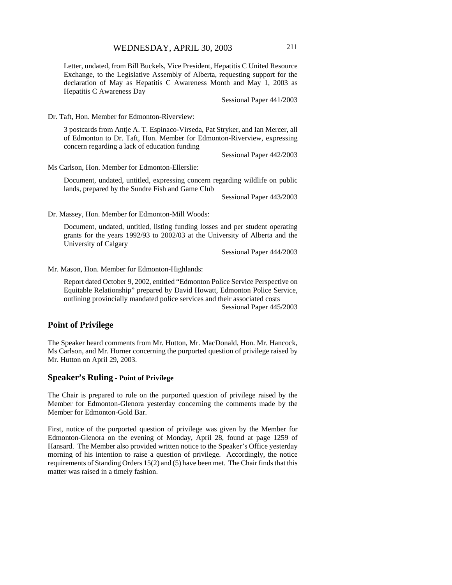Letter, undated, from Bill Buckels, Vice President, Hepatitis C United Resource Exchange, to the Legislative Assembly of Alberta, requesting support for the declaration of May as Hepatitis C Awareness Month and May 1, 2003 as Hepatitis C Awareness Day

Sessional Paper 441/2003

Dr. Taft, Hon. Member for Edmonton-Riverview:

3 postcards from Antje A. T. Espinaco-Virseda, Pat Stryker, and Ian Mercer, all of Edmonton to Dr. Taft, Hon. Member for Edmonton-Riverview, expressing concern regarding a lack of education funding

Sessional Paper 442/2003

Ms Carlson, Hon. Member for Edmonton-Ellerslie:

Document, undated, untitled, expressing concern regarding wildlife on public lands, prepared by the Sundre Fish and Game Club

Sessional Paper 443/2003

Dr. Massey, Hon. Member for Edmonton-Mill Woods:

Document, undated, untitled, listing funding losses and per student operating grants for the years 1992/93 to 2002/03 at the University of Alberta and the University of Calgary

Sessional Paper 444/2003

Mr. Mason, Hon. Member for Edmonton-Highlands:

Report dated October 9, 2002, entitled "Edmonton Police Service Perspective on Equitable Relationship" prepared by David Howatt, Edmonton Police Service, outlining provincially mandated police services and their associated costs Sessional Paper 445/2003

#### **Point of Privilege**

The Speaker heard comments from Mr. Hutton, Mr. MacDonald, Hon. Mr. Hancock, Ms Carlson, and Mr. Horner concerning the purported question of privilege raised by Mr. Hutton on April 29, 2003.

#### **Speaker's Ruling - Point of Privilege**

The Chair is prepared to rule on the purported question of privilege raised by the Member for Edmonton-Glenora yesterday concerning the comments made by the Member for Edmonton-Gold Bar.

First, notice of the purported question of privilege was given by the Member for Edmonton-Glenora on the evening of Monday, April 28, found at page 1259 of Hansard. The Member also provided written notice to the Speaker's Office yesterday morning of his intention to raise a question of privilege. Accordingly, the notice requirements of Standing Orders 15(2) and (5) have been met. The Chair finds that this matter was raised in a timely fashion.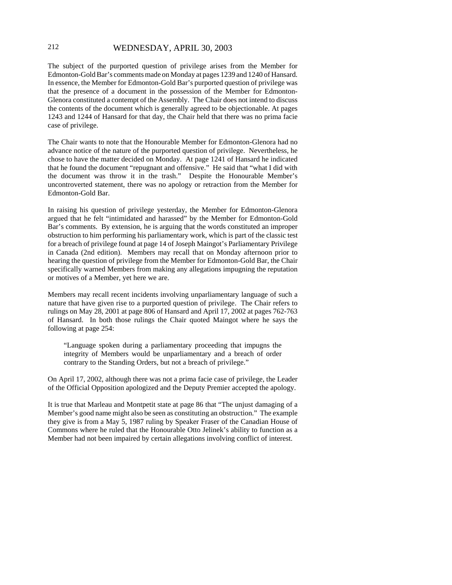# 212 WEDNESDAY, APRIL 30, 2003

The subject of the purported question of privilege arises from the Member for Edmonton-Gold Bar's comments made on Monday at pages 1239 and 1240 of Hansard. In essence, the Member for Edmonton-Gold Bar's purported question of privilege was that the presence of a document in the possession of the Member for Edmonton-Glenora constituted a contempt of the Assembly. The Chair does not intend to discuss the contents of the document which is generally agreed to be objectionable. At pages 1243 and 1244 of Hansard for that day, the Chair held that there was no prima facie case of privilege.

The Chair wants to note that the Honourable Member for Edmonton-Glenora had no advance notice of the nature of the purported question of privilege. Nevertheless, he chose to have the matter decided on Monday. At page 1241 of Hansard he indicated that he found the document "repugnant and offensive." He said that "what I did with the document was throw it in the trash." Despite the Honourable Member's uncontroverted statement, there was no apology or retraction from the Member for Edmonton-Gold Bar.

In raising his question of privilege yesterday, the Member for Edmonton-Glenora argued that he felt "intimidated and harassed" by the Member for Edmonton-Gold Bar's comments. By extension, he is arguing that the words constituted an improper obstruction to him performing his parliamentary work, which is part of the classic test for a breach of privilege found at page 14 of Joseph Maingot's Parliamentary Privilege in Canada (2nd edition). Members may recall that on Monday afternoon prior to hearing the question of privilege from the Member for Edmonton-Gold Bar, the Chair specifically warned Members from making any allegations impugning the reputation or motives of a Member, yet here we are.

Members may recall recent incidents involving unparliamentary language of such a nature that have given rise to a purported question of privilege. The Chair refers to rulings on May 28, 2001 at page 806 of Hansard and April 17, 2002 at pages 762-763 of Hansard. In both those rulings the Chair quoted Maingot where he says the following at page 254:

"Language spoken during a parliamentary proceeding that impugns the integrity of Members would be unparliamentary and a breach of order contrary to the Standing Orders, but not a breach of privilege."

On April 17, 2002, although there was not a prima facie case of privilege, the Leader of the Official Opposition apologized and the Deputy Premier accepted the apology.

It is true that Marleau and Montpetit state at page 86 that "The unjust damaging of a Member's good name might also be seen as constituting an obstruction." The example they give is from a May 5, 1987 ruling by Speaker Fraser of the Canadian House of Commons where he ruled that the Honourable Otto Jelinek's ability to function as a Member had not been impaired by certain allegations involving conflict of interest.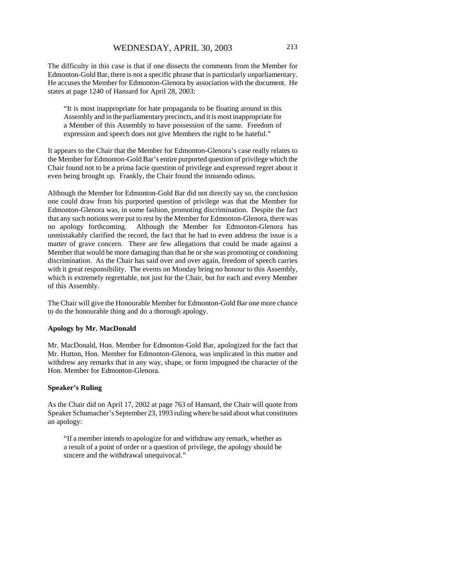The difficulty in this case is that if one dissects the comments from the Member for Edmonton-Gold Bar, there is not a specific phrase that is particularly unparliamentary. He accuses the Member for Edmonton-Glenora by association with the document. He states at page 1240 of Hansard for April 28, 2003:

"It is most inappropriate for hate propaganda to be floating around in this Assembly and in the parliamentary precincts, and it is most inappropriate for a Member of this Assembly to have possession of the same. Freedom of expression and speech does not give Members the right to be hateful."

It appears to the Chair that the Member for Edmonton-Glenora's case really relates to the Member for Edmonton-Gold Bar's entire purported question of privilege which the Chair found not to be a prima facie question of privilege and expressed regret about it even being brought up. Frankly, the Chair found the innuendo odious.

Although the Member for Edmonton-Gold Bar did not directly say so, the conclusion one could draw from his purported question of privilege was that the Member for Edmonton-Glenora was, in some fashion, promoting discrimination. Despite the fact that any such notions were put to rest by the Member for Edmonton-Glenora, there was no apology forthcoming. Although the Member for Edmonton-Glenora has unmistakably clarified the record, the fact that he had to even address the issue is a matter of grave concern. There are few allegations that could be made against a Member that would be more damaging than that he or she was promoting or condoning discrimination. As the Chair has said over and over again, freedom of speech carries with it great responsibility. The events on Monday bring no honour to this Assembly, which is extremely regrettable, not just for the Chair, but for each and every Member of this Assembly.

The Chair will give the Honourable Member for Edmonton-Gold Bar one more chance to do the honourable thing and do a thorough apology.

#### **Apology by Mr. MacDonald**

Mr. MacDonald, Hon. Member for Edmonton-Gold Bar, apologized for the fact that Mr. Hutton, Hon. Member for Edmonton-Glenora, was implicated in this matter and withdrew any remarks that in any way, shape, or form impugned the character of the Hon. Member for Edmonton-Glenora.

#### **Speaker's Ruling**

As the Chair did on April 17, 2002 at page 763 of Hansard, the Chair will quote from Speaker Schumacher's September 23, 1993 ruling where he said about what constitutes an apology:

"If a member intends to apologize for and withdraw any remark, whether as a result of a point of order or a question of privilege, the apology should be sincere and the withdrawal unequivocal."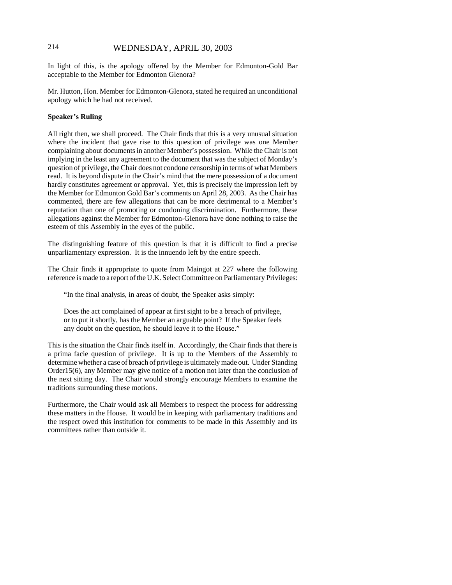# 214 WEDNESDAY, APRIL 30, 2003

In light of this, is the apology offered by the Member for Edmonton-Gold Bar acceptable to the Member for Edmonton Glenora?

Mr. Hutton, Hon. Member for Edmonton-Glenora, stated he required an unconditional apology which he had not received.

#### **Speaker's Ruling**

All right then, we shall proceed. The Chair finds that this is a very unusual situation where the incident that gave rise to this question of privilege was one Member complaining about documents in another Member's possession. While the Chair is not implying in the least any agreement to the document that was the subject of Monday's question of privilege, the Chair does not condone censorship in terms of what Members read. It is beyond dispute in the Chair's mind that the mere possession of a document hardly constitutes agreement or approval. Yet, this is precisely the impression left by the Member for Edmonton Gold Bar's comments on April 28, 2003. As the Chair has commented, there are few allegations that can be more detrimental to a Member's reputation than one of promoting or condoning discrimination. Furthermore, these allegations against the Member for Edmonton-Glenora have done nothing to raise the esteem of this Assembly in the eyes of the public.

The distinguishing feature of this question is that it is difficult to find a precise unparliamentary expression. It is the innuendo left by the entire speech.

The Chair finds it appropriate to quote from Maingot at 227 where the following reference is made to a report of the U.K. Select Committee on Parliamentary Privileges:

"In the final analysis, in areas of doubt, the Speaker asks simply:

Does the act complained of appear at first sight to be a breach of privilege, or to put it shortly, has the Member an arguable point? If the Speaker feels any doubt on the question, he should leave it to the House."

This is the situation the Chair finds itself in. Accordingly, the Chair finds that there is a prima facie question of privilege. It is up to the Members of the Assembly to determine whether a case of breach of privilege is ultimately made out. Under Standing Order15(6), any Member may give notice of a motion not later than the conclusion of the next sitting day. The Chair would strongly encourage Members to examine the traditions surrounding these motions.

Furthermore, the Chair would ask all Members to respect the process for addressing these matters in the House. It would be in keeping with parliamentary traditions and the respect owed this institution for comments to be made in this Assembly and its committees rather than outside it.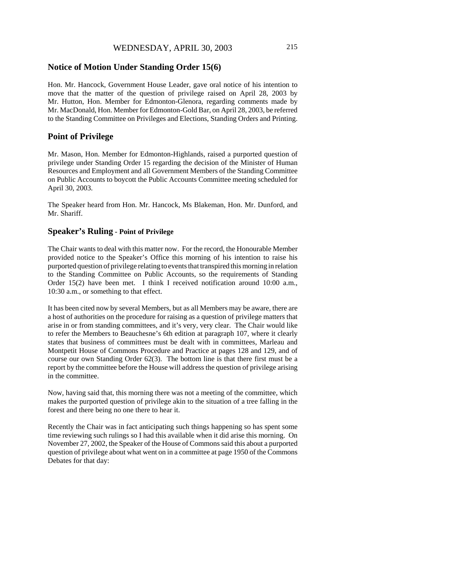#### **Notice of Motion Under Standing Order 15(6)**

Hon. Mr. Hancock, Government House Leader, gave oral notice of his intention to move that the matter of the question of privilege raised on April 28, 2003 by Mr. Hutton, Hon. Member for Edmonton-Glenora, regarding comments made by Mr. MacDonald, Hon. Member for Edmonton-Gold Bar, on April 28, 2003, be referred to the Standing Committee on Privileges and Elections, Standing Orders and Printing.

#### **Point of Privilege**

Mr. Mason, Hon. Member for Edmonton-Highlands, raised a purported question of privilege under Standing Order 15 regarding the decision of the Minister of Human Resources and Employment and all Government Members of the Standing Committee on Public Accounts to boycott the Public Accounts Committee meeting scheduled for April 30, 2003.

The Speaker heard from Hon. Mr. Hancock, Ms Blakeman, Hon. Mr. Dunford, and Mr. Shariff.

## **Speaker's Ruling - Point of Privilege**

The Chair wants to deal with this matter now. For the record, the Honourable Member provided notice to the Speaker's Office this morning of his intention to raise his purported question of privilege relating to events that transpired this morning in relation to the Standing Committee on Public Accounts, so the requirements of Standing Order 15(2) have been met. I think I received notification around 10:00 a.m., 10:30 a.m., or something to that effect.

It has been cited now by several Members, but as all Members may be aware, there are a host of authorities on the procedure for raising as a question of privilege matters that arise in or from standing committees, and it's very, very clear. The Chair would like to refer the Members to Beauchesne's 6th edition at paragraph 107, where it clearly states that business of committees must be dealt with in committees, Marleau and Montpetit House of Commons Procedure and Practice at pages 128 and 129, and of course our own Standing Order 62(3). The bottom line is that there first must be a report by the committee before the House will address the question of privilege arising in the committee.

Now, having said that, this morning there was not a meeting of the committee, which makes the purported question of privilege akin to the situation of a tree falling in the forest and there being no one there to hear it.

Recently the Chair was in fact anticipating such things happening so has spent some time reviewing such rulings so I had this available when it did arise this morning. On November 27, 2002, the Speaker of the House of Commons said this about a purported question of privilege about what went on in a committee at page 1950 of the Commons Debates for that day: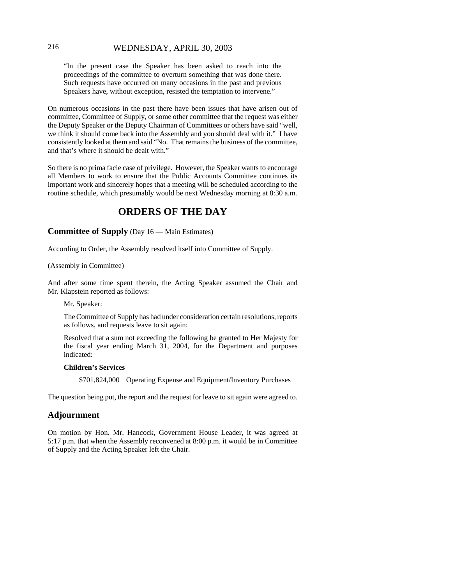# 216 WEDNESDAY, APRIL 30, 2003

"In the present case the Speaker has been asked to reach into the proceedings of the committee to overturn something that was done there. Such requests have occurred on many occasions in the past and previous Speakers have, without exception, resisted the temptation to intervene."

On numerous occasions in the past there have been issues that have arisen out of committee, Committee of Supply, or some other committee that the request was either the Deputy Speaker or the Deputy Chairman of Committees or others have said "well, we think it should come back into the Assembly and you should deal with it." I have consistently looked at them and said "No. That remains the business of the committee, and that's where it should be dealt with."

So there is no prima facie case of privilege. However, the Speaker wants to encourage all Members to work to ensure that the Public Accounts Committee continues its important work and sincerely hopes that a meeting will be scheduled according to the routine schedule, which presumably would be next Wednesday morning at 8:30 a.m.

# **ORDERS OF THE DAY**

**Committee of Supply** (Day 16 — Main Estimates)

According to Order, the Assembly resolved itself into Committee of Supply.

#### (Assembly in Committee)

And after some time spent therein, the Acting Speaker assumed the Chair and Mr. Klapstein reported as follows:

#### Mr. Speaker:

The Committee of Supply has had under consideration certain resolutions, reports as follows, and requests leave to sit again:

Resolved that a sum not exceeding the following be granted to Her Majesty for the fiscal year ending March 31, 2004, for the Department and purposes indicated:

#### **Children's Services**

\$701,824,000 Operating Expense and Equipment/Inventory Purchases

The question being put, the report and the request for leave to sit again were agreed to.

#### **Adjournment**

On motion by Hon. Mr. Hancock, Government House Leader, it was agreed at 5:17 p.m. that when the Assembly reconvened at 8:00 p.m. it would be in Committee of Supply and the Acting Speaker left the Chair.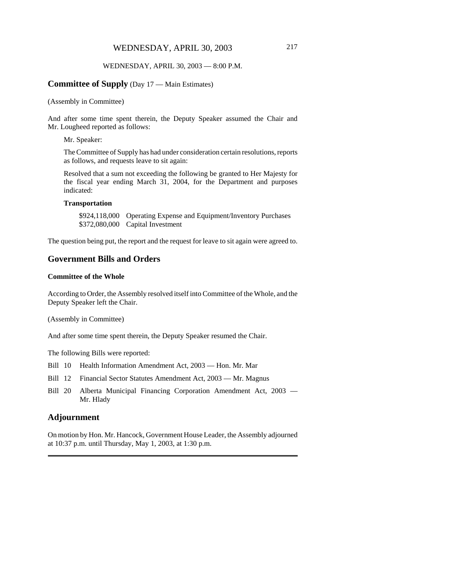#### WEDNESDAY, APRIL 30, 2003 — 8:00 P.M.

#### **Committee of Supply** (Day 17 — Main Estimates)

(Assembly in Committee)

And after some time spent therein, the Deputy Speaker assumed the Chair and Mr. Lougheed reported as follows:

Mr. Speaker:

The Committee of Supply has had under consideration certain resolutions, reports as follows, and requests leave to sit again:

Resolved that a sum not exceeding the following be granted to Her Majesty for the fiscal year ending March 31, 2004, for the Department and purposes indicated:

#### **Transportation**

\$924,118,000 Operating Expense and Equipment/Inventory Purchases \$372,080,000 Capital Investment

The question being put, the report and the request for leave to sit again were agreed to.

## **Government Bills and Orders**

#### **Committee of the Whole**

According to Order, the Assembly resolved itself into Committee of the Whole, and the Deputy Speaker left the Chair.

(Assembly in Committee)

And after some time spent therein, the Deputy Speaker resumed the Chair.

The following Bills were reported:

- Bill 10 Health Information Amendment Act, 2003 Hon. Mr. Mar
- Bill 12 Financial Sector Statutes Amendment Act, 2003 Mr. Magnus
- Bill 20 Alberta Municipal Financing Corporation Amendment Act, 2003 Mr. Hlady

#### **Adjournment**

On motion by Hon. Mr. Hancock, Government House Leader, the Assembly adjourned at 10:37 p.m. until Thursday, May 1, 2003, at 1:30 p.m.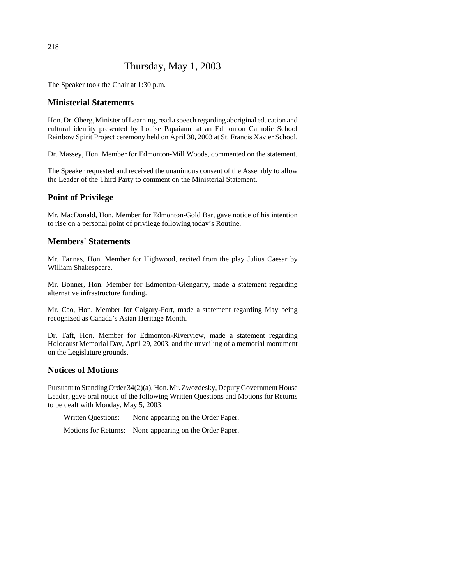# Thursday, May 1, 2003

The Speaker took the Chair at 1:30 p.m.

## **Ministerial Statements**

Hon. Dr. Oberg, Minister of Learning, read a speech regarding aboriginal education and cultural identity presented by Louise Papaianni at an Edmonton Catholic School Rainbow Spirit Project ceremony held on April 30, 2003 at St. Francis Xavier School.

Dr. Massey, Hon. Member for Edmonton-Mill Woods, commented on the statement.

The Speaker requested and received the unanimous consent of the Assembly to allow the Leader of the Third Party to comment on the Ministerial Statement.

# **Point of Privilege**

Mr. MacDonald, Hon. Member for Edmonton-Gold Bar, gave notice of his intention to rise on a personal point of privilege following today's Routine.

# **Members' Statements**

Mr. Tannas, Hon. Member for Highwood, recited from the play Julius Caesar by William Shakespeare.

Mr. Bonner, Hon. Member for Edmonton-Glengarry, made a statement regarding alternative infrastructure funding.

Mr. Cao, Hon. Member for Calgary-Fort, made a statement regarding May being recognized as Canada's Asian Heritage Month.

Dr. Taft, Hon. Member for Edmonton-Riverview, made a statement regarding Holocaust Memorial Day, April 29, 2003, and the unveiling of a memorial monument on the Legislature grounds.

# **Notices of Motions**

Pursuant to Standing Order 34(2)(a), Hon. Mr. Zwozdesky, Deputy Government House Leader, gave oral notice of the following Written Questions and Motions for Returns to be dealt with Monday, May 5, 2003:

Written Questions: None appearing on the Order Paper.

Motions for Returns: None appearing on the Order Paper.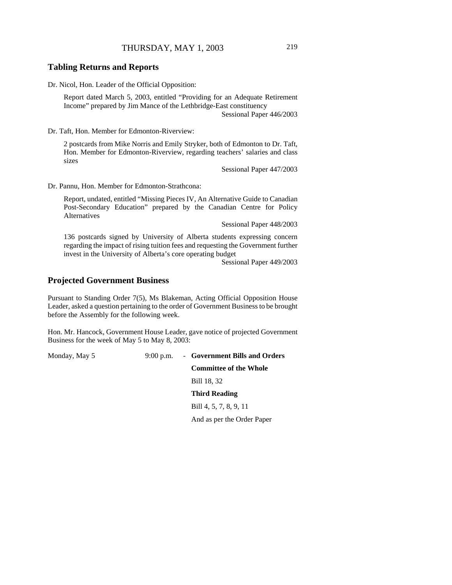## THURSDAY, MAY 1, 2003 219

#### **Tabling Returns and Reports**

Dr. Nicol, Hon. Leader of the Official Opposition:

Report dated March 5, 2003, entitled "Providing for an Adequate Retirement Income" prepared by Jim Mance of the Lethbridge-East constituency Sessional Paper 446/2003

Dr. Taft, Hon. Member for Edmonton-Riverview:

2 postcards from Mike Norris and Emily Stryker, both of Edmonton to Dr. Taft, Hon. Member for Edmonton-Riverview, regarding teachers' salaries and class sizes

Sessional Paper 447/2003

Dr. Pannu, Hon. Member for Edmonton-Strathcona:

Report, undated, entitled "Missing Pieces IV, An Alternative Guide to Canadian Post-Secondary Education" prepared by the Canadian Centre for Policy Alternatives

Sessional Paper 448/2003

136 postcards signed by University of Alberta students expressing concern regarding the impact of rising tuition fees and requesting the Government further invest in the University of Alberta's core operating budget

Sessional Paper 449/2003

#### **Projected Government Business**

Pursuant to Standing Order 7(5), Ms Blakeman, Acting Official Opposition House Leader, asked a question pertaining to the order of Government Business to be brought before the Assembly for the following week.

Hon. Mr. Hancock, Government House Leader, gave notice of projected Government Business for the week of May 5 to May 8, 2003:

Monday, May 5 9:00 p.m. - **Government Bills and Orders Committee of the Whole** Bill 18, 32 **Third Reading** Bill 4, 5, 7, 8, 9, 11 And as per the Order Paper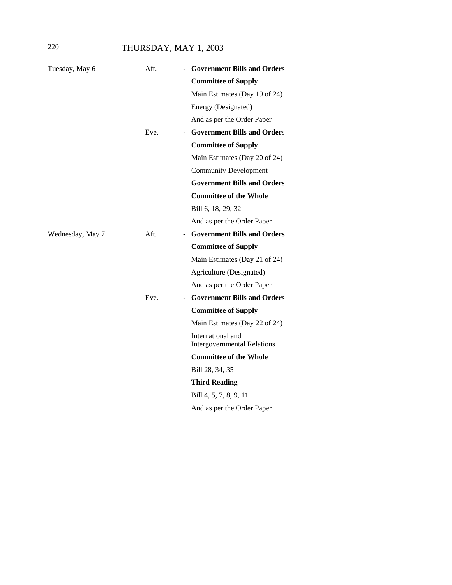# 220 THURSDAY, MAY 1, 2003

| Tuesday, May 6   | Aft.    | <b>Government Bills and Orders</b>                      |
|------------------|---------|---------------------------------------------------------|
|                  |         | <b>Committee of Supply</b>                              |
|                  |         | Main Estimates (Day 19 of 24)                           |
|                  |         | Energy (Designated)                                     |
|                  |         | And as per the Order Paper                              |
|                  | Eve.    | - Government Bills and Orders                           |
|                  |         | <b>Committee of Supply</b>                              |
|                  |         | Main Estimates (Day 20 of 24)                           |
|                  |         | <b>Community Development</b>                            |
|                  |         | <b>Government Bills and Orders</b>                      |
|                  |         | <b>Committee of the Whole</b>                           |
|                  |         | Bill 6, 18, 29, 32                                      |
|                  |         | And as per the Order Paper                              |
| Wednesday, May 7 | $Aft$ . | - Government Bills and Orders                           |
|                  |         | <b>Committee of Supply</b>                              |
|                  |         |                                                         |
|                  |         | Main Estimates (Day 21 of 24)                           |
|                  |         | Agriculture (Designated)                                |
|                  |         | And as per the Order Paper                              |
|                  | Eve.    | - Government Bills and Orders                           |
|                  |         | <b>Committee of Supply</b>                              |
|                  |         | Main Estimates (Day 22 of 24)                           |
|                  |         | International and<br><b>Intergovernmental Relations</b> |
|                  |         | <b>Committee of the Whole</b>                           |
|                  |         | Bill 28, 34, 35                                         |
|                  |         | <b>Third Reading</b>                                    |
|                  |         | Bill 4, 5, 7, 8, 9, 11                                  |
|                  |         | And as per the Order Paper                              |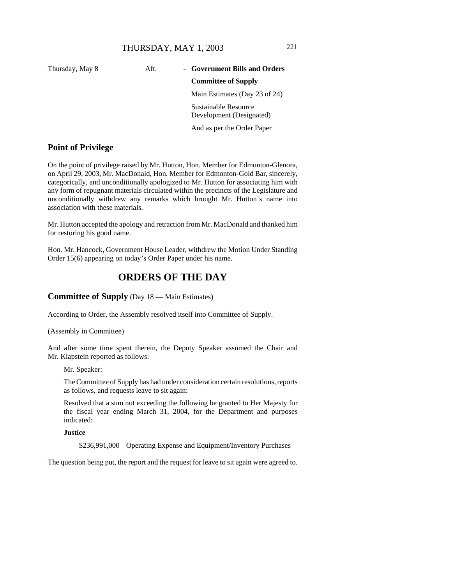# Thursday, May 8 **Aft.** - **Government Bills and Orders**

#### **Committee of Supply**

Main Estimates (Day 23 of 24)

Sustainable Resource Development (Designated)

And as per the Order Paper

# **Point of Privilege**

On the point of privilege raised by Mr. Hutton, Hon. Member for Edmonton-Glenora, on April 29, 2003, Mr. MacDonald, Hon. Member for Edmonton-Gold Bar, sincerely, categorically, and unconditionally apologized to Mr. Hutton for associating him with any form of repugnant materials circulated within the precincts of the Legislature and unconditionally withdrew any remarks which brought Mr. Hutton's name into association with these materials.

Mr. Hutton accepted the apology and retraction from Mr. MacDonald and thanked him for restoring his good name.

Hon. Mr. Hancock, Government House Leader, withdrew the Motion Under Standing Order 15(6) appearing on today's Order Paper under his name.

# **ORDERS OF THE DAY**

## **Committee of Supply** (Day 18 — Main Estimates)

According to Order, the Assembly resolved itself into Committee of Supply.

(Assembly in Committee)

And after some time spent therein, the Deputy Speaker assumed the Chair and Mr. Klapstein reported as follows:

Mr. Speaker:

The Committee of Supply has had under consideration certain resolutions, reports as follows, and requests leave to sit again:

Resolved that a sum not exceeding the following be granted to Her Majesty for the fiscal year ending March 31, 2004, for the Department and purposes indicated:

**Justice**

\$236,991,000 Operating Expense and Equipment/Inventory Purchases

The question being put, the report and the request for leave to sit again were agreed to.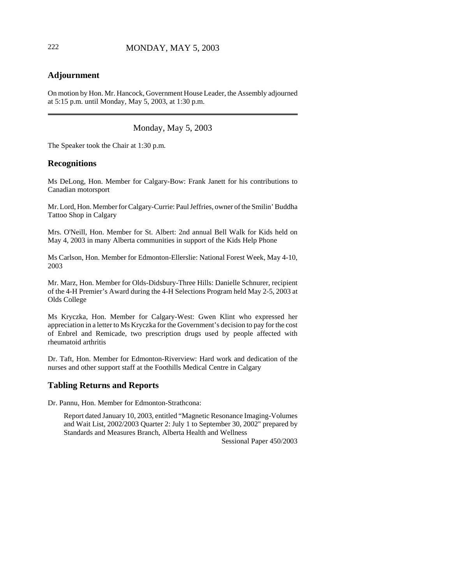# **Adjournment**

On motion by Hon. Mr. Hancock, Government House Leader, the Assembly adjourned at 5:15 p.m. until Monday, May 5, 2003, at 1:30 p.m.

Monday, May 5, 2003

The Speaker took the Chair at 1:30 p.m.

#### **Recognitions**

Ms DeLong, Hon. Member for Calgary-Bow: Frank Janett for his contributions to Canadian motorsport

Mr. Lord, Hon. Member for Calgary-Currie: Paul Jeffries, owner of the Smilin' Buddha Tattoo Shop in Calgary

Mrs. O'Neill, Hon. Member for St. Albert: 2nd annual Bell Walk for Kids held on May 4, 2003 in many Alberta communities in support of the Kids Help Phone

Ms Carlson, Hon. Member for Edmonton-Ellerslie: National Forest Week, May 4-10, 2003

Mr. Marz, Hon. Member for Olds-Didsbury-Three Hills: Danielle Schnurer, recipient of the 4-H Premier's Award during the 4-H Selections Program held May 2-5, 2003 at Olds College

Ms Kryczka, Hon. Member for Calgary-West: Gwen Klint who expressed her appreciation in a letter to Ms Kryczka for the Government's decision to pay for the cost of Enbrel and Remicade, two prescription drugs used by people affected with rheumatoid arthritis

Dr. Taft, Hon. Member for Edmonton-Riverview: Hard work and dedication of the nurses and other support staff at the Foothills Medical Centre in Calgary

## **Tabling Returns and Reports**

Dr. Pannu, Hon. Member for Edmonton-Strathcona:

Report dated January 10, 2003, entitled "Magnetic Resonance Imaging-Volumes and Wait List, 2002/2003 Quarter 2: July 1 to September 30, 2002" prepared by Standards and Measures Branch, Alberta Health and Wellness

Sessional Paper 450/2003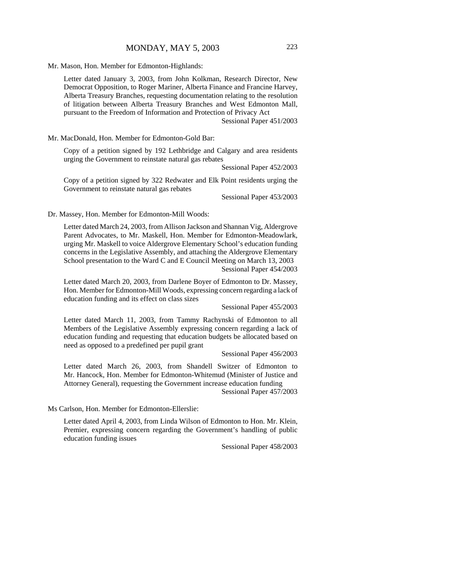Mr. Mason, Hon. Member for Edmonton-Highlands:

Letter dated January 3, 2003, from John Kolkman, Research Director, New Democrat Opposition, to Roger Mariner, Alberta Finance and Francine Harvey, Alberta Treasury Branches, requesting documentation relating to the resolution of litigation between Alberta Treasury Branches and West Edmonton Mall, pursuant to the Freedom of Information and Protection of Privacy Act

Sessional Paper 451/2003

Mr. MacDonald, Hon. Member for Edmonton-Gold Bar:

Copy of a petition signed by 192 Lethbridge and Calgary and area residents urging the Government to reinstate natural gas rebates

Sessional Paper 452/2003

Copy of a petition signed by 322 Redwater and Elk Point residents urging the Government to reinstate natural gas rebates

Sessional Paper 453/2003

Dr. Massey, Hon. Member for Edmonton-Mill Woods:

Letter dated March 24, 2003, from Allison Jackson and Shannan Vig, Aldergrove Parent Advocates, to Mr. Maskell, Hon. Member for Edmonton-Meadowlark, urging Mr. Maskell to voice Aldergrove Elementary School's education funding concerns in the Legislative Assembly, and attaching the Aldergrove Elementary School presentation to the Ward C and E Council Meeting on March 13, 2003 Sessional Paper 454/2003

Letter dated March 20, 2003, from Darlene Boyer of Edmonton to Dr. Massey, Hon. Member for Edmonton-Mill Woods, expressing concern regarding a lack of education funding and its effect on class sizes

Sessional Paper 455/2003

Letter dated March 11, 2003, from Tammy Rachynski of Edmonton to all Members of the Legislative Assembly expressing concern regarding a lack of education funding and requesting that education budgets be allocated based on need as opposed to a predefined per pupil grant

Sessional Paper 456/2003

Letter dated March 26, 2003, from Shandell Switzer of Edmonton to Mr. Hancock, Hon. Member for Edmonton-Whitemud (Minister of Justice and Attorney General), requesting the Government increase education funding

Sessional Paper 457/2003

Ms Carlson, Hon. Member for Edmonton-Ellerslie:

Letter dated April 4, 2003, from Linda Wilson of Edmonton to Hon. Mr. Klein, Premier, expressing concern regarding the Government's handling of public education funding issues

Sessional Paper 458/2003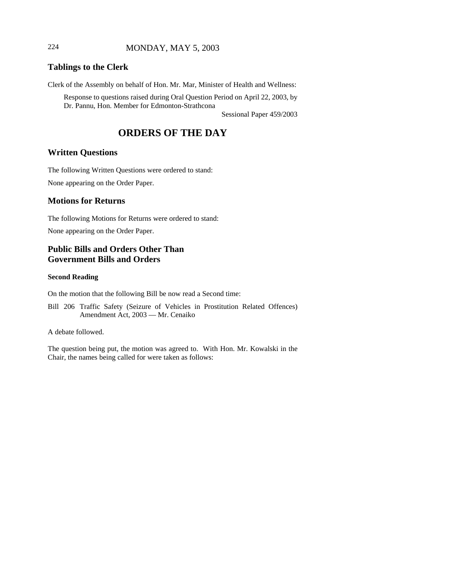# 224 MONDAY, MAY 5, 2003

# **Tablings to the Clerk**

Clerk of the Assembly on behalf of Hon. Mr. Mar, Minister of Health and Wellness:

Response to questions raised during Oral Question Period on April 22, 2003, by Dr. Pannu, Hon. Member for Edmonton-Strathcona

Sessional Paper 459/2003

# **ORDERS OF THE DAY**

#### **Written Questions**

The following Written Questions were ordered to stand:

None appearing on the Order Paper.

#### **Motions for Returns**

The following Motions for Returns were ordered to stand:

None appearing on the Order Paper.

# **Public Bills and Orders Other Than Government Bills and Orders**

#### **Second Reading**

On the motion that the following Bill be now read a Second time:

Bill 206 Traffic Safety (Seizure of Vehicles in Prostitution Related Offences) Amendment Act, 2003 — Mr. Cenaiko

A debate followed.

The question being put, the motion was agreed to. With Hon. Mr. Kowalski in the Chair, the names being called for were taken as follows: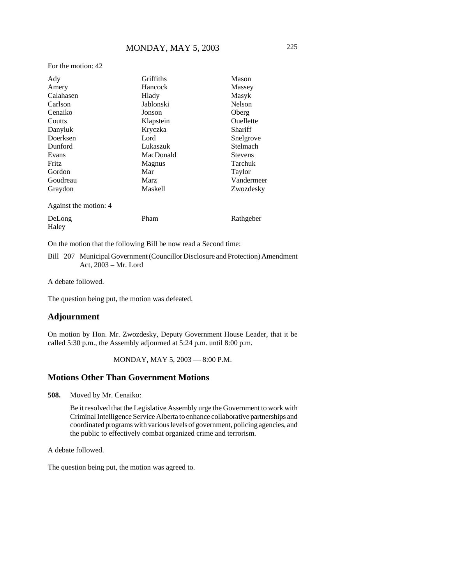For the motion: 42

| Ady                   | Griffiths<br>Mason          |                                        |
|-----------------------|-----------------------------|----------------------------------------|
| Amery                 | Hancock                     | Massey                                 |
| Calahasen             | Hlady                       | Masyk                                  |
| Carlson               | Jablonski                   | Nelson                                 |
| Cenaiko               | Oberg<br>Jonson             |                                        |
| Coutts                | Ouellette<br>Klapstein      |                                        |
| Danyluk               | Kryczka                     | Shariff                                |
| Doerksen              | Lord                        | Snelgrove                              |
| Dunford               | Lukaszuk                    | Stelmach                               |
| Evans                 | MacDonald                   | <b>Stevens</b>                         |
| Fritz                 | Magnus                      | <b>Tarchuk</b>                         |
| Gordon                | Mar                         | Taylor                                 |
| Goudreau              | <b>Marz</b>                 | Vandermeer                             |
| Graydon               | <b>Maskell</b><br>Zwozdesky |                                        |
| Against the motion: 4 |                             |                                        |
| $\mathbf{r}$          | $\mathbf{m}$                | $\mathbf{r}$ $\mathbf{r}$ $\mathbf{r}$ |

| DeLong | Pham | Rathgeber |
|--------|------|-----------|
| Haley  |      |           |

On the motion that the following Bill be now read a Second time:

Bill 207 Municipal Government (Councillor Disclosure and Protection) Amendment Act, 2003 – Mr. Lord

A debate followed.

The question being put, the motion was defeated.

# **Adjournment**

On motion by Hon. Mr. Zwozdesky, Deputy Government House Leader, that it be called 5:30 p.m., the Assembly adjourned at 5:24 p.m. until 8:00 p.m.

#### MONDAY, MAY 5, 2003 — 8:00 P.M.

# **Motions Other Than Government Motions**

**508.** Moved by Mr. Cenaiko:

Be it resolved that the Legislative Assembly urge the Government to work with Criminal Intelligence Service Alberta to enhance collaborative partnerships and coordinated programs with various levels of government, policing agencies, and the public to effectively combat organized crime and terrorism.

A debate followed.

The question being put, the motion was agreed to.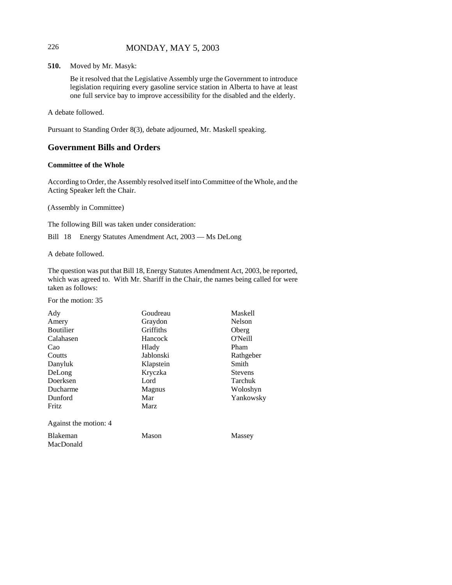# 226 MONDAY, MAY 5, 2003

**510.** Moved by Mr. Masyk:

Be it resolved that the Legislative Assembly urge the Government to introduce legislation requiring every gasoline service station in Alberta to have at least one full service bay to improve accessibility for the disabled and the elderly.

A debate followed.

Pursuant to Standing Order 8(3), debate adjourned, Mr. Maskell speaking.

# **Government Bills and Orders**

#### **Committee of the Whole**

According to Order, the Assembly resolved itself into Committee of the Whole, and the Acting Speaker left the Chair.

(Assembly in Committee)

The following Bill was taken under consideration:

Bill 18 Energy Statutes Amendment Act, 2003 — Ms DeLong

A debate followed.

The question was put that Bill 18, Energy Statutes Amendment Act, 2003, be reported, which was agreed to. With Mr. Shariff in the Chair, the names being called for were taken as follows:

For the motion: 35

| Ady                   | <b>Maskell</b><br>Goudreau |                |
|-----------------------|----------------------------|----------------|
| Amery                 | Graydon                    | Nelson         |
| <b>Boutilier</b>      | Griffiths                  | Oberg          |
| Calahasen             | Hancock                    | O'Neill        |
| Cao                   | Hlady                      | Pham           |
| Coutts                | Jablonski                  | Rathgeber      |
| Danyluk               | Klapstein                  | Smith          |
| DeLong                | Kryczka                    | <b>Stevens</b> |
| Doerksen              | Lord                       | Tarchuk        |
| Ducharme              | <b>Magnus</b>              | Woloshyn       |
| Dunford               | Mar                        | Yankowsky      |
| Fritz                 | <b>Marz</b>                |                |
| Against the motion: 4 |                            |                |
| <b>Blakeman</b>       | Mason                      | Massey         |
| MacDonald             |                            |                |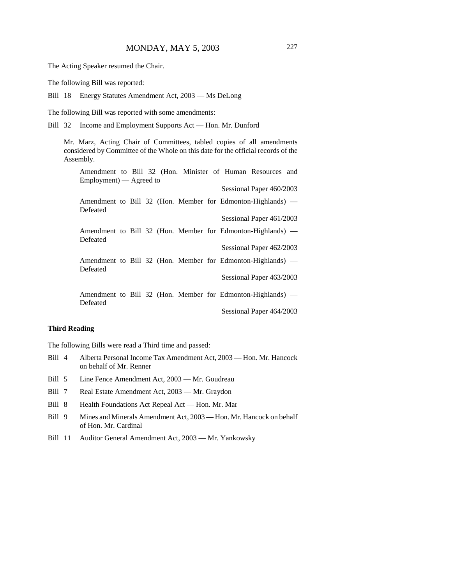The Acting Speaker resumed the Chair.

The following Bill was reported:

Bill 18 Energy Statutes Amendment Act, 2003 — Ms DeLong

The following Bill was reported with some amendments:

Bill 32 Income and Employment Supports Act — Hon. Mr. Dunford

Mr. Marz, Acting Chair of Committees, tabled copies of all amendments considered by Committee of the Whole on this date for the official records of the Assembly.

| Amendment to Bill 32 (Hon. Minister of Human Resources and              |
|-------------------------------------------------------------------------|
| Employment) — Agreed to                                                 |
| Sessional Paper 460/2003                                                |
| Amendment to Bill 32 (Hon. Member for Edmonton-Highlands) —             |
| Defeated                                                                |
| Sessional Paper 461/2003                                                |
| Amendment to Bill 32 (Hon. Member for Edmonton-Highlands) —             |
| Defeated                                                                |
| Sessional Paper 462/2003                                                |
| Amendment to Bill 32 (Hon. Member for Edmonton-Highlands) —             |
| Defeated                                                                |
| Sessional Paper 463/2003                                                |
|                                                                         |
| Amendment to Bill 32 (Hon. Member for Edmonton-Highlands) —<br>Defeated |
| Sessional Paper 464/2003                                                |

#### **Third Reading**

The following Bills were read a Third time and passed:

- Bill 4 Alberta Personal Income Tax Amendment Act, 2003 Hon. Mr. Hancock on behalf of Mr. Renner
- Bill 5 Line Fence Amendment Act, 2003 Mr. Goudreau
- Bill 7 Real Estate Amendment Act, 2003 Mr. Graydon
- Bill 8 Health Foundations Act Repeal Act Hon. Mr. Mar
- Bill 9 Mines and Minerals Amendment Act, 2003 Hon. Mr. Hancock on behalf of Hon. Mr. Cardinal
- Bill 11 Auditor General Amendment Act, 2003 Mr. Yankowsky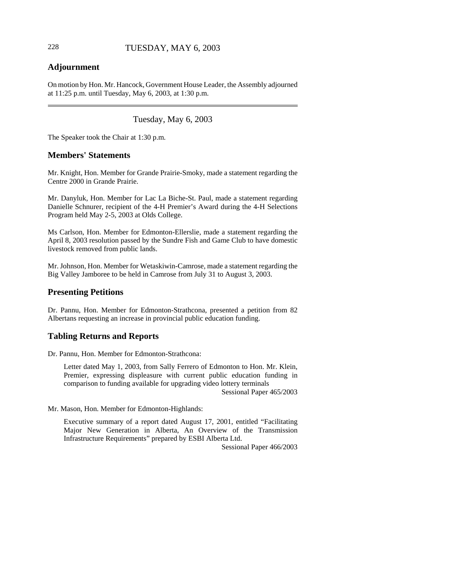# **Adjournment**

On motion by Hon. Mr. Hancock, Government House Leader, the Assembly adjourned at 11:25 p.m. until Tuesday, May 6, 2003, at 1:30 p.m.

Tuesday, May 6, 2003

The Speaker took the Chair at 1:30 p.m.

#### **Members' Statements**

Mr. Knight, Hon. Member for Grande Prairie-Smoky, made a statement regarding the Centre 2000 in Grande Prairie.

Mr. Danyluk, Hon. Member for Lac La Biche-St. Paul, made a statement regarding Danielle Schnurer, recipient of the 4-H Premier's Award during the 4-H Selections Program held May 2-5, 2003 at Olds College.

Ms Carlson, Hon. Member for Edmonton-Ellerslie, made a statement regarding the April 8, 2003 resolution passed by the Sundre Fish and Game Club to have domestic livestock removed from public lands.

Mr. Johnson, Hon. Member for Wetaskiwin-Camrose, made a statement regarding the Big Valley Jamboree to be held in Camrose from July 31 to August 3, 2003.

#### **Presenting Petitions**

Dr. Pannu, Hon. Member for Edmonton-Strathcona, presented a petition from 82 Albertans requesting an increase in provincial public education funding.

#### **Tabling Returns and Reports**

Dr. Pannu, Hon. Member for Edmonton-Strathcona:

Letter dated May 1, 2003, from Sally Ferrero of Edmonton to Hon. Mr. Klein, Premier, expressing displeasure with current public education funding in comparison to funding available for upgrading video lottery terminals Sessional Paper 465/2003

Mr. Mason, Hon. Member for Edmonton-Highlands:

Executive summary of a report dated August 17, 2001, entitled "Facilitating Major New Generation in Alberta, An Overview of the Transmission Infrastructure Requirements" prepared by ESBI Alberta Ltd.

Sessional Paper 466/2003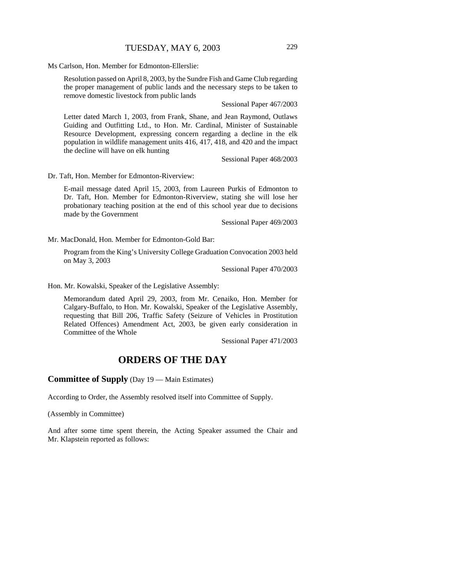Ms Carlson, Hon. Member for Edmonton-Ellerslie:

Resolution passed on April 8, 2003, by the Sundre Fish and Game Club regarding the proper management of public lands and the necessary steps to be taken to remove domestic livestock from public lands

Sessional Paper 467/2003

Letter dated March 1, 2003, from Frank, Shane, and Jean Raymond, Outlaws Guiding and Outfitting Ltd., to Hon. Mr. Cardinal, Minister of Sustainable Resource Development, expressing concern regarding a decline in the elk population in wildlife management units 416, 417, 418, and 420 and the impact the decline will have on elk hunting

Sessional Paper 468/2003

Dr. Taft, Hon. Member for Edmonton-Riverview:

E-mail message dated April 15, 2003, from Laureen Purkis of Edmonton to Dr. Taft, Hon. Member for Edmonton-Riverview, stating she will lose her probationary teaching position at the end of this school year due to decisions made by the Government

Sessional Paper 469/2003

Mr. MacDonald, Hon. Member for Edmonton-Gold Bar:

Program from the King's University College Graduation Convocation 2003 held on May 3, 2003

Sessional Paper 470/2003

Hon. Mr. Kowalski, Speaker of the Legislative Assembly:

Memorandum dated April 29, 2003, from Mr. Cenaiko, Hon. Member for Calgary-Buffalo, to Hon. Mr. Kowalski, Speaker of the Legislative Assembly, requesting that Bill 206, Traffic Safety (Seizure of Vehicles in Prostitution Related Offences) Amendment Act, 2003, be given early consideration in Committee of the Whole

Sessional Paper 471/2003

# **ORDERS OF THE DAY**

#### **Committee of Supply** (Day 19 — Main Estimates)

According to Order, the Assembly resolved itself into Committee of Supply.

(Assembly in Committee)

And after some time spent therein, the Acting Speaker assumed the Chair and Mr. Klapstein reported as follows: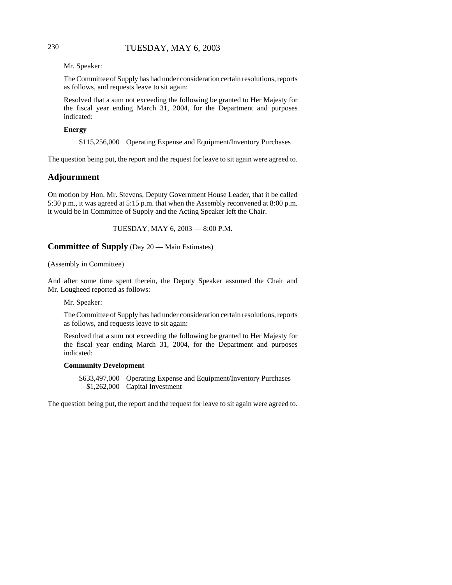# 230 TUESDAY, MAY 6, 2003

Mr. Speaker:

The Committee of Supply has had under consideration certain resolutions, reports as follows, and requests leave to sit again:

Resolved that a sum not exceeding the following be granted to Her Majesty for the fiscal year ending March 31, 2004, for the Department and purposes indicated:

#### **Energy**

\$115,256,000 Operating Expense and Equipment/Inventory Purchases

The question being put, the report and the request for leave to sit again were agreed to.

## **Adjournment**

On motion by Hon. Mr. Stevens, Deputy Government House Leader, that it be called 5:30 p.m., it was agreed at 5:15 p.m. that when the Assembly reconvened at 8:00 p.m. it would be in Committee of Supply and the Acting Speaker left the Chair.

TUESDAY, MAY 6, 2003 — 8:00 P.M.

## **Committee of Supply** (Day 20 — Main Estimates)

#### (Assembly in Committee)

And after some time spent therein, the Deputy Speaker assumed the Chair and Mr. Lougheed reported as follows:

Mr. Speaker:

The Committee of Supply has had under consideration certain resolutions, reports as follows, and requests leave to sit again:

Resolved that a sum not exceeding the following be granted to Her Majesty for the fiscal year ending March 31, 2004, for the Department and purposes indicated:

#### **Community Development**

\$633,497,000 Operating Expense and Equipment/Inventory Purchases \$1,262,000 Capital Investment

The question being put, the report and the request for leave to sit again were agreed to.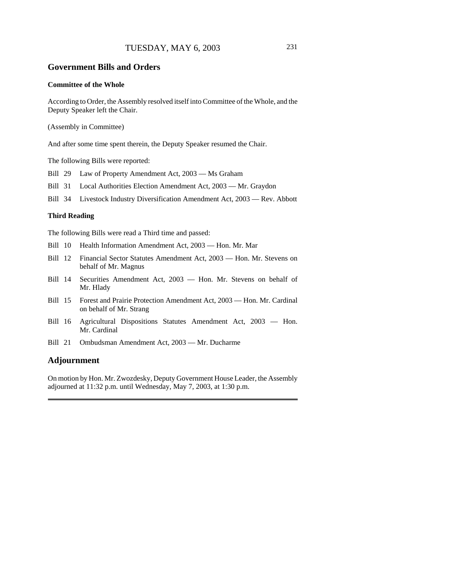#### **Government Bills and Orders**

#### **Committee of the Whole**

According to Order, the Assembly resolved itself into Committee of the Whole, and the Deputy Speaker left the Chair.

(Assembly in Committee)

And after some time spent therein, the Deputy Speaker resumed the Chair.

The following Bills were reported:

Bill 29 Law of Property Amendment Act, 2003 — Ms Graham

Bill 31 Local Authorities Election Amendment Act, 2003 — Mr. Graydon

Bill 34 Livestock Industry Diversification Amendment Act, 2003 — Rev. Abbott

#### **Third Reading**

The following Bills were read a Third time and passed:

- Bill 10 Health Information Amendment Act, 2003 Hon. Mr. Mar
- Bill 12 Financial Sector Statutes Amendment Act, 2003 Hon. Mr. Stevens on behalf of Mr. Magnus
- Bill 14 Securities Amendment Act, 2003 Hon. Mr. Stevens on behalf of Mr. Hlady
- Bill 15 Forest and Prairie Protection Amendment Act, 2003 Hon. Mr. Cardinal on behalf of Mr. Strang
- Bill 16 Agricultural Dispositions Statutes Amendment Act, 2003 Hon. Mr. Cardinal
- Bill 21 Ombudsman Amendment Act, 2003 Mr. Ducharme

#### **Adjournment**

On motion by Hon. Mr. Zwozdesky, Deputy Government House Leader, the Assembly adjourned at 11:32 p.m. until Wednesday, May 7, 2003, at 1:30 p.m.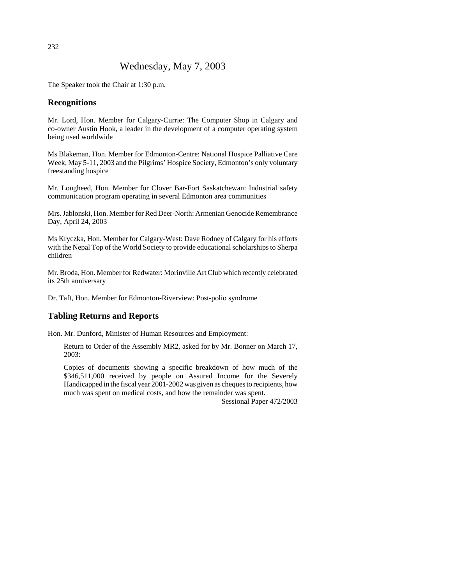# Wednesday, May 7, 2003

The Speaker took the Chair at 1:30 p.m.

## **Recognitions**

Mr. Lord, Hon. Member for Calgary-Currie: The Computer Shop in Calgary and co-owner Austin Hook, a leader in the development of a computer operating system being used worldwide

Ms Blakeman, Hon. Member for Edmonton-Centre: National Hospice Palliative Care Week, May 5-11, 2003 and the Pilgrims' Hospice Society, Edmonton's only voluntary freestanding hospice

Mr. Lougheed, Hon. Member for Clover Bar-Fort Saskatchewan: Industrial safety communication program operating in several Edmonton area communities

Mrs. Jablonski, Hon. Member for Red Deer-North: Armenian Genocide Remembrance Day, April 24, 2003

Ms Kryczka, Hon. Member for Calgary-West: Dave Rodney of Calgary for his efforts with the Nepal Top of the World Society to provide educational scholarships to Sherpa children

Mr. Broda, Hon. Member for Redwater: Morinville Art Club which recently celebrated its 25th anniversary

Dr. Taft, Hon. Member for Edmonton-Riverview: Post-polio syndrome

# **Tabling Returns and Reports**

Hon. Mr. Dunford, Minister of Human Resources and Employment:

Return to Order of the Assembly MR2, asked for by Mr. Bonner on March 17, 2003:

Copies of documents showing a specific breakdown of how much of the \$346,511,000 received by people on Assured Income for the Severely Handicapped in the fiscal year 2001-2002 was given as cheques to recipients, how much was spent on medical costs, and how the remainder was spent.

Sessional Paper 472/2003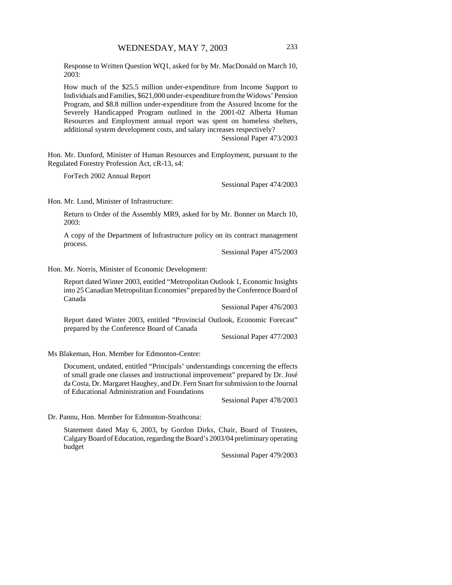Response to Written Question WQ1, asked for by Mr. MacDonald on March 10, 2003:

How much of the \$25.5 million under-expenditure from Income Support to Individuals and Families, \$621,000 under-expenditure from the Widows' Pension Program, and \$8.8 million under-expenditure from the Assured Income for the Severely Handicapped Program outlined in the 2001-02 Alberta Human Resources and Employment annual report was spent on homeless shelters, additional system development costs, and salary increases respectively?

Sessional Paper 473/2003

Hon. Mr. Dunford, Minister of Human Resources and Employment, pursuant to the Regulated Forestry Profession Act, cR-13, s4:

ForTech 2002 Annual Report

Sessional Paper 474/2003

Hon. Mr. Lund, Minister of Infrastructure:

Return to Order of the Assembly MR9, asked for by Mr. Bonner on March 10, 2003:

A copy of the Department of Infrastructure policy on its contract management process.

Sessional Paper 475/2003

Hon. Mr. Norris, Minister of Economic Development:

Report dated Winter 2003, entitled "Metropolitan Outlook 1, Economic Insights into 25 Canadian Metropolitan Economies" prepared by the Conference Board of Canada

Sessional Paper 476/2003

Report dated Winter 2003, entitled "Provincial Outlook, Economic Forecast" prepared by the Conference Board of Canada

Sessional Paper 477/2003

Ms Blakeman, Hon. Member for Edmonton-Centre:

Document, undated, entitled "Principals' understandings concerning the effects of small grade one classes and instructional improvement" prepared by Dr. José da Costa, Dr. Margaret Haughey, and Dr. Fern Snart for submission to the Journal of Educational Administration and Foundations

Sessional Paper 478/2003

Dr. Pannu, Hon. Member for Edmonton-Strathcona:

Statement dated May 6, 2003, by Gordon Dirks, Chair, Board of Trustees, Calgary Board of Education, regarding the Board's 2003/04 preliminary operating budget

Sessional Paper 479/2003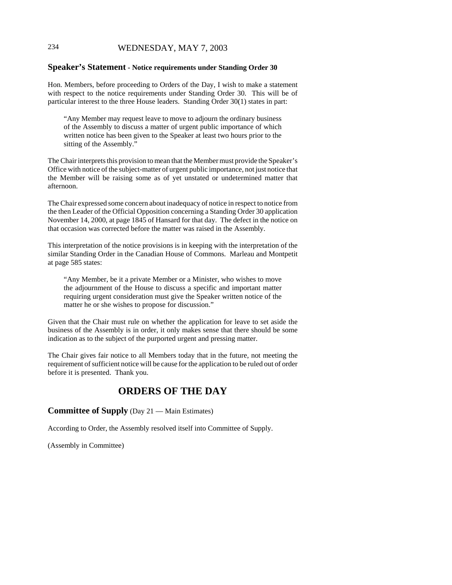# 234 WEDNESDAY, MAY 7, 2003

#### **Speaker's Statement - Notice requirements under Standing Order 30**

Hon. Members, before proceeding to Orders of the Day, I wish to make a statement with respect to the notice requirements under Standing Order 30. This will be of particular interest to the three House leaders. Standing Order 30(1) states in part:

"Any Member may request leave to move to adjourn the ordinary business of the Assembly to discuss a matter of urgent public importance of which written notice has been given to the Speaker at least two hours prior to the sitting of the Assembly."

The Chair interprets this provision to mean that the Member must provide the Speaker's Office with notice of the subject-matter of urgent public importance, not just notice that the Member will be raising some as of yet unstated or undetermined matter that afternoon.

The Chair expressed some concern about inadequacy of notice in respect to notice from the then Leader of the Official Opposition concerning a Standing Order 30 application November 14, 2000, at page 1845 of Hansard for that day. The defect in the notice on that occasion was corrected before the matter was raised in the Assembly.

This interpretation of the notice provisions is in keeping with the interpretation of the similar Standing Order in the Canadian House of Commons. Marleau and Montpetit at page 585 states:

"Any Member, be it a private Member or a Minister, who wishes to move the adjournment of the House to discuss a specific and important matter requiring urgent consideration must give the Speaker written notice of the matter he or she wishes to propose for discussion."

Given that the Chair must rule on whether the application for leave to set aside the business of the Assembly is in order, it only makes sense that there should be some indication as to the subject of the purported urgent and pressing matter.

The Chair gives fair notice to all Members today that in the future, not meeting the requirement of sufficient notice will be cause for the application to be ruled out of order before it is presented. Thank you.

# **ORDERS OF THE DAY**

#### **Committee of Supply** (Day 21 — Main Estimates)

According to Order, the Assembly resolved itself into Committee of Supply.

(Assembly in Committee)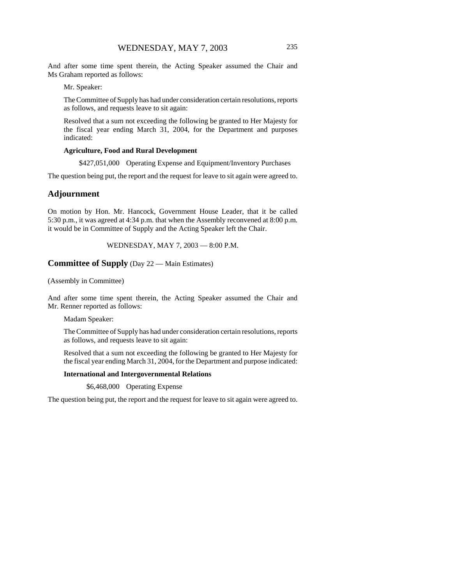And after some time spent therein, the Acting Speaker assumed the Chair and Ms Graham reported as follows:

Mr. Speaker:

The Committee of Supply has had under consideration certain resolutions, reports as follows, and requests leave to sit again:

Resolved that a sum not exceeding the following be granted to Her Majesty for the fiscal year ending March 31, 2004, for the Department and purposes indicated:

#### **Agriculture, Food and Rural Development**

\$427,051,000 Operating Expense and Equipment/Inventory Purchases

The question being put, the report and the request for leave to sit again were agreed to.

## **Adjournment**

On motion by Hon. Mr. Hancock, Government House Leader, that it be called 5:30 p.m., it was agreed at 4:34 p.m. that when the Assembly reconvened at 8:00 p.m. it would be in Committee of Supply and the Acting Speaker left the Chair.

WEDNESDAY, MAY 7, 2003 — 8:00 P.M.

#### **Committee of Supply** (Day 22 — Main Estimates)

(Assembly in Committee)

And after some time spent therein, the Acting Speaker assumed the Chair and Mr. Renner reported as follows:

Madam Speaker:

The Committee of Supply has had under consideration certain resolutions, reports as follows, and requests leave to sit again:

Resolved that a sum not exceeding the following be granted to Her Majesty for the fiscal year ending March 31, 2004, for the Department and purpose indicated:

#### **International and Intergovernmental Relations**

\$6,468,000 Operating Expense

The question being put, the report and the request for leave to sit again were agreed to.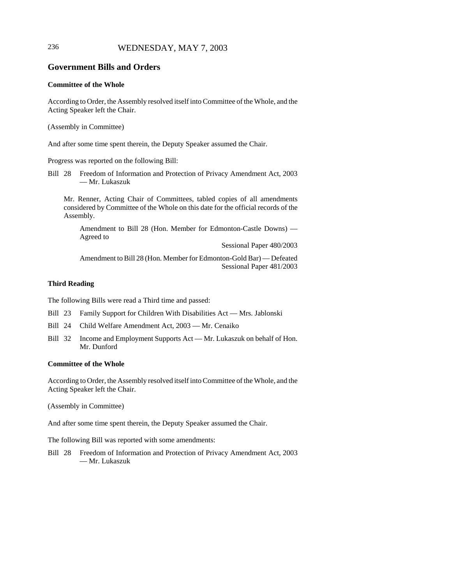# 236 WEDNESDAY, MAY 7, 2003

## **Government Bills and Orders**

#### **Committee of the Whole**

According to Order, the Assembly resolved itself into Committee of the Whole, and the Acting Speaker left the Chair.

(Assembly in Committee)

And after some time spent therein, the Deputy Speaker assumed the Chair.

Progress was reported on the following Bill:

Bill 28 Freedom of Information and Protection of Privacy Amendment Act, 2003 — Mr. Lukaszuk

Mr. Renner, Acting Chair of Committees, tabled copies of all amendments considered by Committee of the Whole on this date for the official records of the Assembly.

Amendment to Bill 28 (Hon. Member for Edmonton-Castle Downs) — Agreed to

Sessional Paper 480/2003

Amendment to Bill 28 (Hon. Member for Edmonton-Gold Bar) — Defeated Sessional Paper 481/2003

#### **Third Reading**

The following Bills were read a Third time and passed:

- Bill 23 Family Support for Children With Disabilities Act Mrs. Jablonski
- Bill 24 Child Welfare Amendment Act, 2003 Mr. Cenaiko
- Bill 32 Income and Employment Supports Act Mr. Lukaszuk on behalf of Hon. Mr. Dunford

#### **Committee of the Whole**

According to Order, the Assembly resolved itself into Committee of the Whole, and the Acting Speaker left the Chair.

(Assembly in Committee)

And after some time spent therein, the Deputy Speaker assumed the Chair.

The following Bill was reported with some amendments:

Bill 28 Freedom of Information and Protection of Privacy Amendment Act, 2003 — Mr. Lukaszuk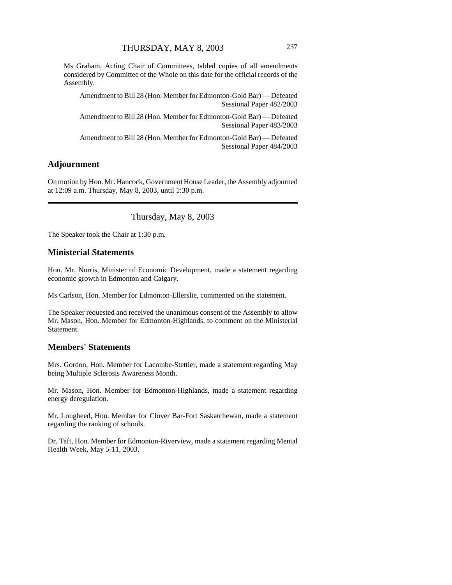Ms Graham, Acting Chair of Committees, tabled copies of all amendments considered by Committee of the Whole on this date for the official records of the Assembly.

Amendment to Bill 28 (Hon. Member for Edmonton-Gold Bar) — Defeated Sessional Paper 482/2003

Amendment to Bill 28 (Hon. Member for Edmonton-Gold Bar) — Defeated Sessional Paper 483/2003

Amendment to Bill 28 (Hon. Member for Edmonton-Gold Bar) — Defeated Sessional Paper 484/2003

# **Adjournment**

On motion by Hon. Mr. Hancock, Government House Leader, the Assembly adjourned at 12:09 a.m. Thursday, May 8, 2003, until 1:30 p.m.

Thursday, May 8, 2003

The Speaker took the Chair at 1:30 p.m.

#### **Ministerial Statements**

Hon. Mr. Norris, Minister of Economic Development, made a statement regarding economic growth in Edmonton and Calgary.

Ms Carlson, Hon. Member for Edmonton-Ellerslie, commented on the statement.

The Speaker requested and received the unanimous consent of the Assembly to allow Mr. Mason, Hon. Member for Edmonton-Highlands, to comment on the Ministerial Statement.

#### **Members' Statements**

Mrs. Gordon, Hon. Member for Lacombe-Stettler, made a statement regarding May being Multiple Sclerosis Awareness Month.

Mr. Mason, Hon. Member for Edmonton-Highlands, made a statement regarding energy deregulation.

Mr. Lougheed, Hon. Member for Clover Bar-Fort Saskatchewan, made a statement regarding the ranking of schools.

Dr. Taft, Hon. Member for Edmonton-Riverview, made a statement regarding Mental Health Week, May 5-11, 2003.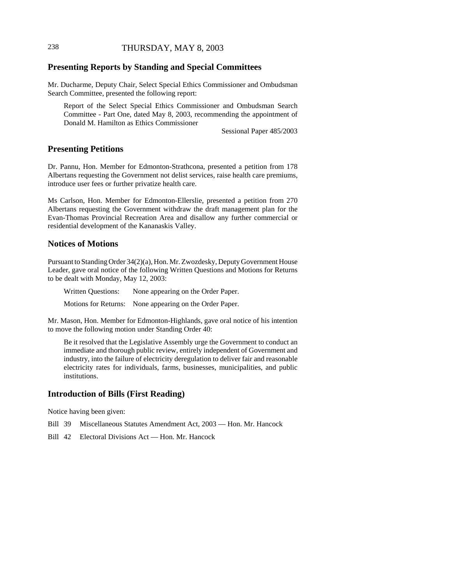# 238 THURSDAY, MAY 8, 2003

# **Presenting Reports by Standing and Special Committees**

Mr. Ducharme, Deputy Chair, Select Special Ethics Commissioner and Ombudsman Search Committee, presented the following report:

Report of the Select Special Ethics Commissioner and Ombudsman Search Committee - Part One, dated May 8, 2003, recommending the appointment of Donald M. Hamilton as Ethics Commissioner

Sessional Paper 485/2003

#### **Presenting Petitions**

Dr. Pannu, Hon. Member for Edmonton-Strathcona, presented a petition from 178 Albertans requesting the Government not delist services, raise health care premiums, introduce user fees or further privatize health care.

Ms Carlson, Hon. Member for Edmonton-Ellerslie, presented a petition from 270 Albertans requesting the Government withdraw the draft management plan for the Evan-Thomas Provincial Recreation Area and disallow any further commercial or residential development of the Kananaskis Valley.

## **Notices of Motions**

Pursuant to Standing Order 34(2)(a), Hon. Mr. Zwozdesky, Deputy Government House Leader, gave oral notice of the following Written Questions and Motions for Returns to be dealt with Monday, May 12, 2003:

Written Questions: None appearing on the Order Paper. Motions for Returns: None appearing on the Order Paper.

Mr. Mason, Hon. Member for Edmonton-Highlands, gave oral notice of his intention to move the following motion under Standing Order 40:

Be it resolved that the Legislative Assembly urge the Government to conduct an immediate and thorough public review, entirely independent of Government and industry, into the failure of electricity deregulation to deliver fair and reasonable electricity rates for individuals, farms, businesses, municipalities, and public institutions.

# **Introduction of Bills (First Reading)**

Notice having been given:

- Bill 39 Miscellaneous Statutes Amendment Act, 2003 Hon. Mr. Hancock
- Bill 42 Electoral Divisions Act Hon. Mr. Hancock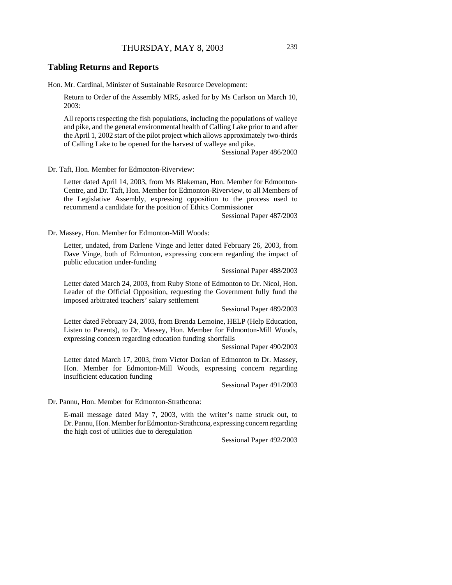#### **Tabling Returns and Reports**

Hon. Mr. Cardinal, Minister of Sustainable Resource Development:

Return to Order of the Assembly MR5, asked for by Ms Carlson on March 10, 2003:

All reports respecting the fish populations, including the populations of walleye and pike, and the general environmental health of Calling Lake prior to and after the April 1, 2002 start of the pilot project which allows approximately two-thirds of Calling Lake to be opened for the harvest of walleye and pike.

Sessional Paper 486/2003

Dr. Taft, Hon. Member for Edmonton-Riverview:

Letter dated April 14, 2003, from Ms Blakeman, Hon. Member for Edmonton-Centre, and Dr. Taft, Hon. Member for Edmonton-Riverview, to all Members of the Legislative Assembly, expressing opposition to the process used to recommend a candidate for the position of Ethics Commissioner

Sessional Paper 487/2003

Dr. Massey, Hon. Member for Edmonton-Mill Woods:

Letter, undated, from Darlene Vinge and letter dated February 26, 2003, from Dave Vinge, both of Edmonton, expressing concern regarding the impact of public education under-funding

Sessional Paper 488/2003

Letter dated March 24, 2003, from Ruby Stone of Edmonton to Dr. Nicol, Hon. Leader of the Official Opposition, requesting the Government fully fund the imposed arbitrated teachers' salary settlement

Sessional Paper 489/2003

Letter dated February 24, 2003, from Brenda Lemoine, HELP (Help Education, Listen to Parents), to Dr. Massey, Hon. Member for Edmonton-Mill Woods, expressing concern regarding education funding shortfalls

Sessional Paper 490/2003

Letter dated March 17, 2003, from Victor Dorian of Edmonton to Dr. Massey, Hon. Member for Edmonton-Mill Woods, expressing concern regarding insufficient education funding

Sessional Paper 491/2003

Dr. Pannu, Hon. Member for Edmonton-Strathcona:

E-mail message dated May 7, 2003, with the writer's name struck out, to Dr. Pannu, Hon. Member for Edmonton-Strathcona, expressing concern regarding the high cost of utilities due to deregulation

Sessional Paper 492/2003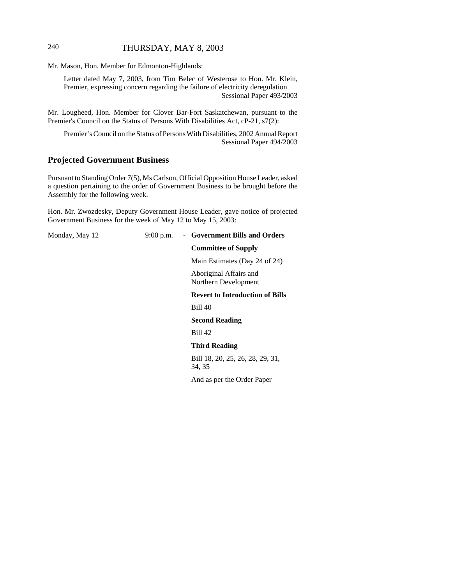# 240 THURSDAY, MAY 8, 2003

Mr. Mason, Hon. Member for Edmonton-Highlands:

Letter dated May 7, 2003, from Tim Belec of Westerose to Hon. Mr. Klein, Premier, expressing concern regarding the failure of electricity deregulation Sessional Paper 493/2003

Mr. Lougheed, Hon. Member for Clover Bar-Fort Saskatchewan, pursuant to the Premier's Council on the Status of Persons With Disabilities Act, cP-21, s7(2):

Premier's Council on the Status of Persons With Disabilities, 2002 Annual Report Sessional Paper 494/2003

# **Projected Government Business**

Pursuant to Standing Order 7(5), Ms Carlson, Official Opposition House Leader, asked a question pertaining to the order of Government Business to be brought before the Assembly for the following week.

Hon. Mr. Zwozdesky, Deputy Government House Leader, gave notice of projected Government Business for the week of May 12 to May 15, 2003:

Monday, May 12 9:00 p.m. - **Government Bills and Orders Committee of Supply** Main Estimates (Day 24 of 24) Aboriginal Affairs and Northern Development **Revert to Introduction of Bills** Bill 40 **Second Reading** Bill 42 **Third Reading** Bill 18, 20, 25, 26, 28, 29, 31, 34, 35 And as per the Order Paper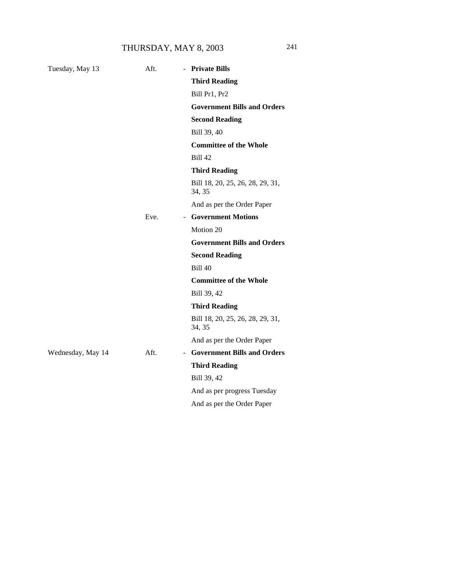# THURSDAY, MAY 8, 2003 241

| Tuesday, May 13   | Aft.<br>$\mathbf{r}$ | <b>Private Bills</b>                       |
|-------------------|----------------------|--------------------------------------------|
|                   |                      | <b>Third Reading</b>                       |
|                   |                      | Bill Pr1, Pr2                              |
|                   |                      | <b>Government Bills and Orders</b>         |
|                   |                      | <b>Second Reading</b>                      |
|                   |                      | Bill 39, 40                                |
|                   |                      | <b>Committee of the Whole</b>              |
|                   |                      | <b>Bill 42</b>                             |
|                   |                      | <b>Third Reading</b>                       |
|                   |                      | Bill 18, 20, 25, 26, 28, 29, 31,<br>34, 35 |
|                   |                      | And as per the Order Paper                 |
|                   | Eve.                 | - Government Motions                       |
|                   |                      | Motion 20                                  |
|                   |                      | <b>Government Bills and Orders</b>         |
|                   |                      | <b>Second Reading</b>                      |
|                   |                      | <b>Bill 40</b>                             |
|                   |                      | <b>Committee of the Whole</b>              |
|                   |                      | Bill 39, 42                                |
|                   |                      | <b>Third Reading</b>                       |
|                   |                      | Bill 18, 20, 25, 26, 28, 29, 31,<br>34, 35 |
|                   |                      | And as per the Order Paper                 |
| Wednesday, May 14 | Aft.                 | - Government Bills and Orders              |
|                   |                      | <b>Third Reading</b>                       |
|                   |                      | Bill 39, 42                                |
|                   |                      | And as per progress Tuesday                |
|                   |                      | And as per the Order Paper                 |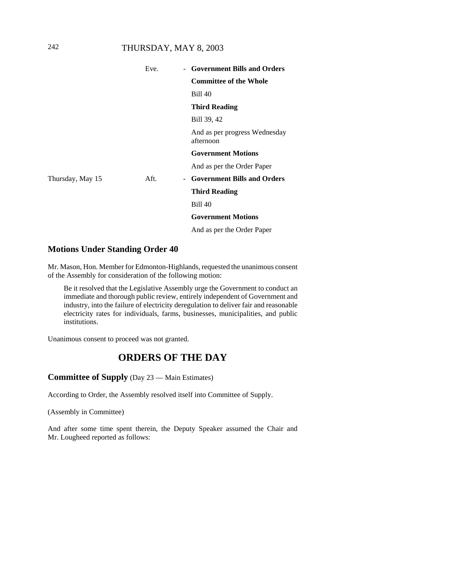# 242 THURSDAY, MAY 8, 2003

|                  | Eve. | - Government Bills and Orders              |
|------------------|------|--------------------------------------------|
|                  |      | <b>Committee of the Whole</b>              |
|                  |      | <b>Bill 40</b>                             |
|                  |      | <b>Third Reading</b>                       |
|                  |      | Bill 39, 42                                |
|                  |      | And as per progress Wednesday<br>afternoon |
|                  |      | <b>Government Motions</b>                  |
|                  |      | And as per the Order Paper                 |
| Thursday, May 15 | Aft. | - Government Bills and Orders              |
|                  |      | <b>Third Reading</b>                       |
|                  |      | <b>Bill 40</b>                             |
|                  |      | <b>Government Motions</b>                  |
|                  |      | And as per the Order Paper                 |
|                  |      |                                            |

## **Motions Under Standing Order 40**

Mr. Mason, Hon. Member for Edmonton-Highlands, requested the unanimous consent of the Assembly for consideration of the following motion:

Be it resolved that the Legislative Assembly urge the Government to conduct an immediate and thorough public review, entirely independent of Government and industry, into the failure of electricity deregulation to deliver fair and reasonable electricity rates for individuals, farms, businesses, municipalities, and public institutions.

Unanimous consent to proceed was not granted.

# **ORDERS OF THE DAY**

#### **Committee of Supply** (Day 23 — Main Estimates)

According to Order, the Assembly resolved itself into Committee of Supply.

(Assembly in Committee)

And after some time spent therein, the Deputy Speaker assumed the Chair and Mr. Lougheed reported as follows: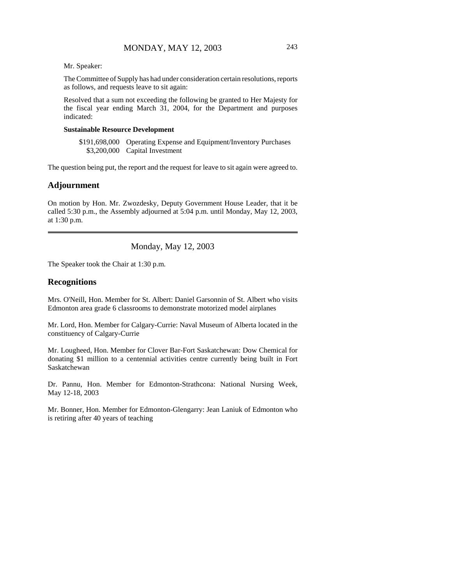Mr. Speaker:

The Committee of Supply has had under consideration certain resolutions, reports as follows, and requests leave to sit again:

Resolved that a sum not exceeding the following be granted to Her Majesty for the fiscal year ending March 31, 2004, for the Department and purposes indicated:

#### **Sustainable Resource Development**

\$191,698,000 Operating Expense and Equipment/Inventory Purchases \$3,200,000 Capital Investment

The question being put, the report and the request for leave to sit again were agreed to.

#### **Adjournment**

On motion by Hon. Mr. Zwozdesky, Deputy Government House Leader, that it be called 5:30 p.m., the Assembly adjourned at 5:04 p.m. until Monday, May 12, 2003, at 1:30 p.m.

Monday, May 12, 2003

The Speaker took the Chair at 1:30 p.m.

## **Recognitions**

Mrs. O'Neill, Hon. Member for St. Albert: Daniel Garsonnin of St. Albert who visits Edmonton area grade 6 classrooms to demonstrate motorized model airplanes

Mr. Lord, Hon. Member for Calgary-Currie: Naval Museum of Alberta located in the constituency of Calgary-Currie

Mr. Lougheed, Hon. Member for Clover Bar-Fort Saskatchewan: Dow Chemical for donating \$1 million to a centennial activities centre currently being built in Fort Saskatchewan

Dr. Pannu, Hon. Member for Edmonton-Strathcona: National Nursing Week, May 12-18, 2003

Mr. Bonner, Hon. Member for Edmonton-Glengarry: Jean Laniuk of Edmonton who is retiring after 40 years of teaching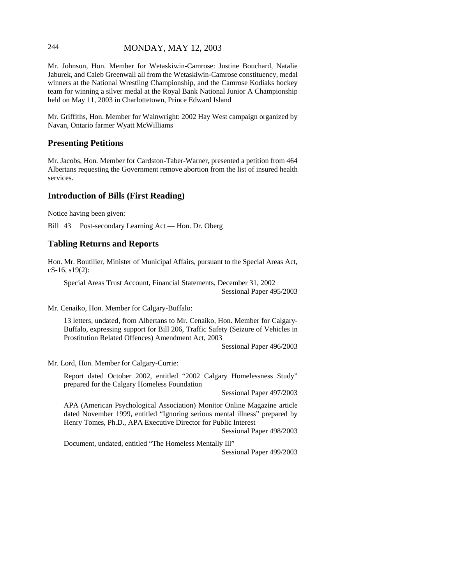## 244 MONDAY, MAY 12, 2003

Mr. Johnson, Hon. Member for Wetaskiwin-Camrose: Justine Bouchard, Natalie Jaburek, and Caleb Greenwall all from the Wetaskiwin-Camrose constituency, medal winners at the National Wrestling Championship, and the Camrose Kodiaks hockey team for winning a silver medal at the Royal Bank National Junior A Championship held on May 11, 2003 in Charlottetown, Prince Edward Island

Mr. Griffiths, Hon. Member for Wainwright: 2002 Hay West campaign organized by Navan, Ontario farmer Wyatt McWilliams

#### **Presenting Petitions**

Mr. Jacobs, Hon. Member for Cardston-Taber-Warner, presented a petition from 464 Albertans requesting the Government remove abortion from the list of insured health services.

## **Introduction of Bills (First Reading)**

Notice having been given:

Bill 43 Post-secondary Learning Act — Hon. Dr. Oberg

#### **Tabling Returns and Reports**

Hon. Mr. Boutilier, Minister of Municipal Affairs, pursuant to the Special Areas Act, cS-16, s19(2):

Special Areas Trust Account, Financial Statements, December 31, 2002 Sessional Paper 495/2003

Mr. Cenaiko, Hon. Member for Calgary-Buffalo:

13 letters, undated, from Albertans to Mr. Cenaiko, Hon. Member for Calgary-Buffalo, expressing support for Bill 206, Traffic Safety (Seizure of Vehicles in Prostitution Related Offences) Amendment Act, 2003

Sessional Paper 496/2003

Mr. Lord, Hon. Member for Calgary-Currie:

Report dated October 2002, entitled "2002 Calgary Homelessness Study" prepared for the Calgary Homeless Foundation

Sessional Paper 497/2003

APA (American Psychological Association) Monitor Online Magazine article dated November 1999, entitled "Ignoring serious mental illness" prepared by Henry Tomes, Ph.D., APA Executive Director for Public Interest

Sessional Paper 498/2003

Document, undated, entitled "The Homeless Mentally Ill"

Sessional Paper 499/2003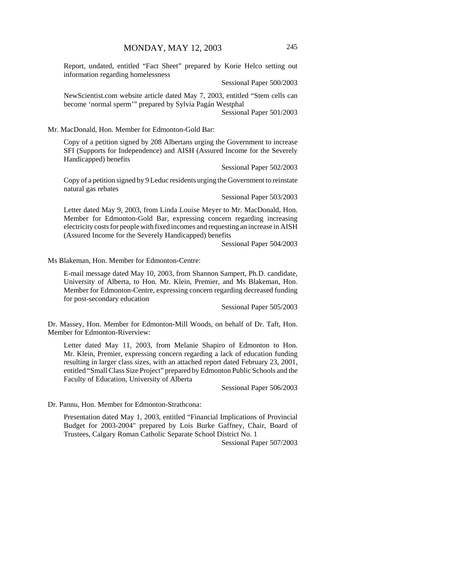Report, undated, entitled "Fact Sheet" prepared by Korie Helco setting out information regarding homelessness

Sessional Paper 500/2003

NewScientist.com website article dated May 7, 2003, entitled "Stem cells can become 'normal sperm'" prepared by Sylvia Pagán Westphal

Sessional Paper 501/2003

Mr. MacDonald, Hon. Member for Edmonton-Gold Bar:

Copy of a petition signed by 208 Albertans urging the Government to increase SFI (Supports for Independence) and AISH (Assured Income for the Severely Handicapped) benefits

Sessional Paper 502/2003

Copy of a petition signed by 9 Leduc residents urging the Government to reinstate natural gas rebates

Sessional Paper 503/2003

Letter dated May 9, 2003, from Linda Louise Meyer to Mr. MacDonald, Hon. Member for Edmonton-Gold Bar, expressing concern regarding increasing electricity costs for people with fixed incomes and requesting an increase in AISH (Assured Income for the Severely Handicapped) benefits

Sessional Paper 504/2003

Ms Blakeman, Hon. Member for Edmonton-Centre:

E-mail message dated May 10, 2003, from Shannon Sampert, Ph.D. candidate, University of Alberta, to Hon. Mr. Klein, Premier, and Ms Blakeman, Hon. Member for Edmonton-Centre, expressing concern regarding decreased funding for post-secondary education

Sessional Paper 505/2003

Dr. Massey, Hon. Member for Edmonton-Mill Woods, on behalf of Dr. Taft, Hon. Member for Edmonton-Riverview:

Letter dated May 11, 2003, from Melanie Shapiro of Edmonton to Hon. Mr. Klein, Premier, expressing concern regarding a lack of education funding resulting in larger class sizes, with an attached report dated February 23, 2001, entitled "Small Class Size Project" prepared by Edmonton Public Schools and the Faculty of Education, University of Alberta

Sessional Paper 506/2003

Dr. Pannu, Hon. Member for Edmonton-Strathcona:

Presentation dated May 1, 2003, entitled "Financial Implications of Provincial Budget for 2003-2004" prepared by Lois Burke Gaffney, Chair, Board of Trustees, Calgary Roman Catholic Separate School District No. 1

Sessional Paper 507/2003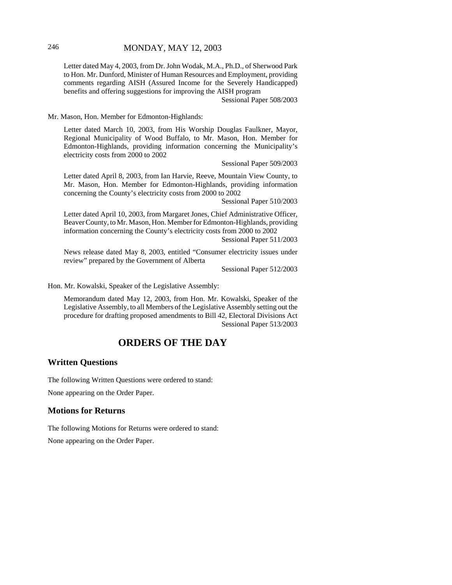Letter dated May 4, 2003, from Dr. John Wodak, M.A., Ph.D., of Sherwood Park to Hon. Mr. Dunford, Minister of Human Resources and Employment, providing comments regarding AISH (Assured Income for the Severely Handicapped) benefits and offering suggestions for improving the AISH program

Sessional Paper 508/2003

Mr. Mason, Hon. Member for Edmonton-Highlands:

Letter dated March 10, 2003, from His Worship Douglas Faulkner, Mayor, Regional Municipality of Wood Buffalo, to Mr. Mason, Hon. Member for Edmonton-Highlands, providing information concerning the Municipality's electricity costs from 2000 to 2002

Sessional Paper 509/2003

Letter dated April 8, 2003, from Ian Harvie, Reeve, Mountain View County, to Mr. Mason, Hon. Member for Edmonton-Highlands, providing information concerning the County's electricity costs from 2000 to 2002

Sessional Paper 510/2003

Letter dated April 10, 2003, from Margaret Jones, Chief Administrative Officer, Beaver County, to Mr. Mason, Hon. Member for Edmonton-Highlands, providing information concerning the County's electricity costs from 2000 to 2002

Sessional Paper 511/2003

News release dated May 8, 2003, entitled "Consumer electricity issues under review" prepared by the Government of Alberta

Sessional Paper 512/2003

Hon. Mr. Kowalski, Speaker of the Legislative Assembly:

Memorandum dated May 12, 2003, from Hon. Mr. Kowalski, Speaker of the Legislative Assembly, to all Members of the Legislative Assembly setting out the procedure for drafting proposed amendments to Bill 42, Electoral Divisions Act Sessional Paper 513/2003

# **ORDERS OF THE DAY**

## **Written Questions**

The following Written Questions were ordered to stand:

None appearing on the Order Paper.

# **Motions for Returns**

The following Motions for Returns were ordered to stand: None appearing on the Order Paper.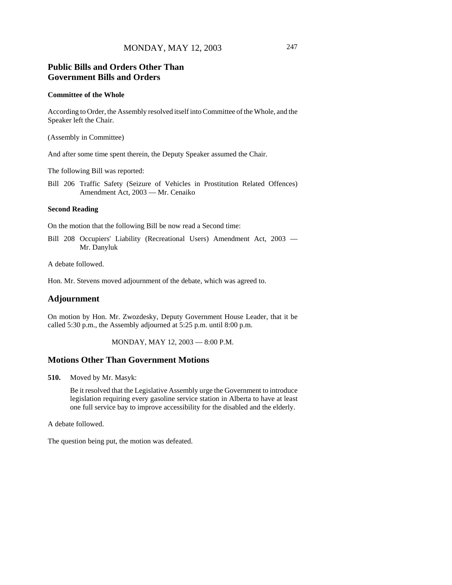# **Public Bills and Orders Other Than Government Bills and Orders**

#### **Committee of the Whole**

According to Order, the Assembly resolved itself into Committee of the Whole, and the Speaker left the Chair.

(Assembly in Committee)

And after some time spent therein, the Deputy Speaker assumed the Chair.

The following Bill was reported:

Bill 206 Traffic Safety (Seizure of Vehicles in Prostitution Related Offences) Amendment Act, 2003 — Mr. Cenaiko

#### **Second Reading**

On the motion that the following Bill be now read a Second time:

Bill 208 Occupiers' Liability (Recreational Users) Amendment Act, 2003 — Mr. Danyluk

A debate followed.

Hon. Mr. Stevens moved adjournment of the debate, which was agreed to.

#### **Adjournment**

On motion by Hon. Mr. Zwozdesky, Deputy Government House Leader, that it be called 5:30 p.m., the Assembly adjourned at 5:25 p.m. until 8:00 p.m.

MONDAY, MAY 12, 2003 — 8:00 P.M.

#### **Motions Other Than Government Motions**

**510.** Moved by Mr. Masyk:

Be it resolved that the Legislative Assembly urge the Government to introduce legislation requiring every gasoline service station in Alberta to have at least one full service bay to improve accessibility for the disabled and the elderly.

A debate followed.

The question being put, the motion was defeated.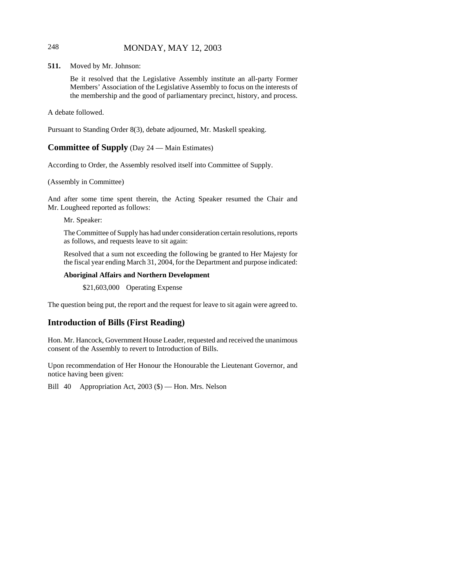# 248 MONDAY, MAY 12, 2003

**511.** Moved by Mr. Johnson:

Be it resolved that the Legislative Assembly institute an all-party Former Members' Association of the Legislative Assembly to focus on the interests of the membership and the good of parliamentary precinct, history, and process.

A debate followed.

Pursuant to Standing Order 8(3), debate adjourned, Mr. Maskell speaking.

## **Committee of Supply** (Day 24 — Main Estimates)

According to Order, the Assembly resolved itself into Committee of Supply.

#### (Assembly in Committee)

And after some time spent therein, the Acting Speaker resumed the Chair and Mr. Lougheed reported as follows:

Mr. Speaker:

The Committee of Supply has had under consideration certain resolutions, reports as follows, and requests leave to sit again:

Resolved that a sum not exceeding the following be granted to Her Majesty for the fiscal year ending March 31, 2004, for the Department and purpose indicated:

#### **Aboriginal Affairs and Northern Development**

\$21,603,000 Operating Expense

The question being put, the report and the request for leave to sit again were agreed to.

# **Introduction of Bills (First Reading)**

Hon. Mr. Hancock, Government House Leader, requested and received the unanimous consent of the Assembly to revert to Introduction of Bills.

Upon recommendation of Her Honour the Honourable the Lieutenant Governor, and notice having been given:

Bill 40 Appropriation Act, 2003 (\$) — Hon. Mrs. Nelson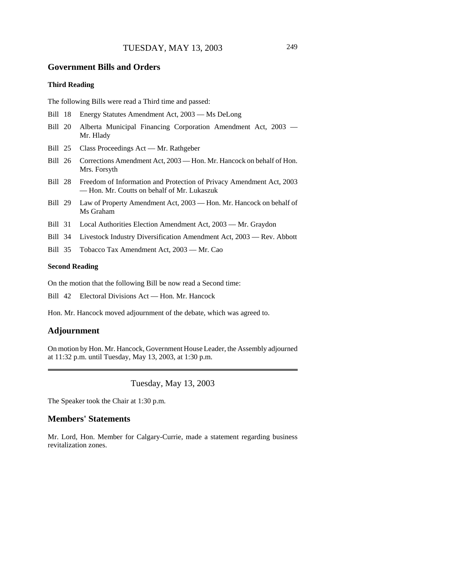#### **Government Bills and Orders**

## **Third Reading**

The following Bills were read a Third time and passed:

- Bill 18 Energy Statutes Amendment Act, 2003 Ms DeLong
- Bill 20 Alberta Municipal Financing Corporation Amendment Act, 2003 Mr. Hlady
- Bill 25 Class Proceedings Act Mr. Rathgeber
- Bill 26 Corrections Amendment Act, 2003 Hon. Mr. Hancock on behalf of Hon. Mrs. Forsyth
- Bill 28 Freedom of Information and Protection of Privacy Amendment Act, 2003 — Hon. Mr. Coutts on behalf of Mr. Lukaszuk
- Bill 29 Law of Property Amendment Act, 2003 Hon. Mr. Hancock on behalf of Ms Graham
- Bill 31 Local Authorities Election Amendment Act, 2003 Mr. Graydon
- Bill 34 Livestock Industry Diversification Amendment Act, 2003 Rev. Abbott
- Bill 35 Tobacco Tax Amendment Act, 2003 Mr. Cao

#### **Second Reading**

On the motion that the following Bill be now read a Second time:

Bill 42 Electoral Divisions Act — Hon. Mr. Hancock

Hon. Mr. Hancock moved adjournment of the debate, which was agreed to.

#### **Adjournment**

On motion by Hon. Mr. Hancock, Government House Leader, the Assembly adjourned at 11:32 p.m. until Tuesday, May 13, 2003, at 1:30 p.m.

Tuesday, May 13, 2003

The Speaker took the Chair at 1:30 p.m.

#### **Members' Statements**

Mr. Lord, Hon. Member for Calgary-Currie, made a statement regarding business revitalization zones.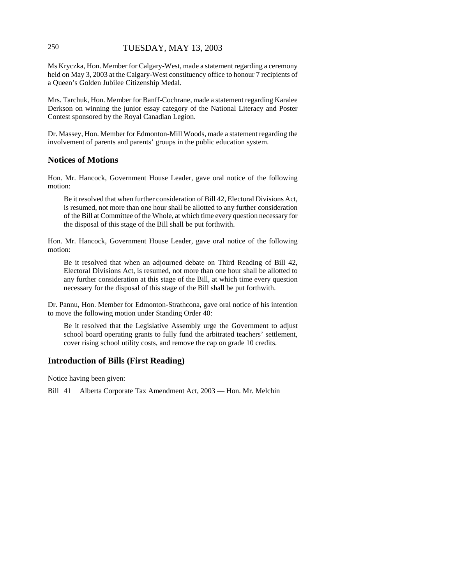# 250 TUESDAY, MAY 13, 2003

Ms Kryczka, Hon. Member for Calgary-West, made a statement regarding a ceremony held on May 3, 2003 at the Calgary-West constituency office to honour 7 recipients of a Queen's Golden Jubilee Citizenship Medal.

Mrs. Tarchuk, Hon. Member for Banff-Cochrane, made a statement regarding Karalee Derkson on winning the junior essay category of the National Literacy and Poster Contest sponsored by the Royal Canadian Legion.

Dr. Massey, Hon. Member for Edmonton-Mill Woods, made a statement regarding the involvement of parents and parents' groups in the public education system.

#### **Notices of Motions**

Hon. Mr. Hancock, Government House Leader, gave oral notice of the following motion:

Be it resolved that when further consideration of Bill 42, Electoral Divisions Act, is resumed, not more than one hour shall be allotted to any further consideration of the Bill at Committee of the Whole, at which time every question necessary for the disposal of this stage of the Bill shall be put forthwith.

Hon. Mr. Hancock, Government House Leader, gave oral notice of the following motion:

Be it resolved that when an adjourned debate on Third Reading of Bill 42, Electoral Divisions Act, is resumed, not more than one hour shall be allotted to any further consideration at this stage of the Bill, at which time every question necessary for the disposal of this stage of the Bill shall be put forthwith.

Dr. Pannu, Hon. Member for Edmonton-Strathcona, gave oral notice of his intention to move the following motion under Standing Order 40:

Be it resolved that the Legislative Assembly urge the Government to adjust school board operating grants to fully fund the arbitrated teachers' settlement, cover rising school utility costs, and remove the cap on grade 10 credits.

# **Introduction of Bills (First Reading)**

Notice having been given:

Bill 41 Alberta Corporate Tax Amendment Act, 2003 — Hon. Mr. Melchin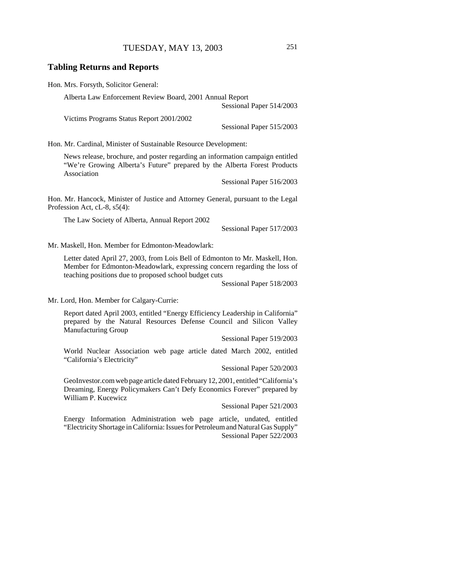#### **Tabling Returns and Reports**

Hon. Mrs. Forsyth, Solicitor General:

Alberta Law Enforcement Review Board, 2001 Annual Report

Sessional Paper 514/2003

Victims Programs Status Report 2001/2002

Sessional Paper 515/2003

Hon. Mr. Cardinal, Minister of Sustainable Resource Development:

News release, brochure, and poster regarding an information campaign entitled "We're Growing Alberta's Future" prepared by the Alberta Forest Products Association

Sessional Paper 516/2003

Hon. Mr. Hancock, Minister of Justice and Attorney General, pursuant to the Legal Profession Act, cL-8, s5(4):

The Law Society of Alberta, Annual Report 2002

Sessional Paper 517/2003

Mr. Maskell, Hon. Member for Edmonton-Meadowlark:

Letter dated April 27, 2003, from Lois Bell of Edmonton to Mr. Maskell, Hon. Member for Edmonton-Meadowlark, expressing concern regarding the loss of teaching positions due to proposed school budget cuts

Sessional Paper 518/2003

Mr. Lord, Hon. Member for Calgary-Currie:

Report dated April 2003, entitled "Energy Efficiency Leadership in California" prepared by the Natural Resources Defense Council and Silicon Valley Manufacturing Group

Sessional Paper 519/2003

World Nuclear Association web page article dated March 2002, entitled "California's Electricity"

Sessional Paper 520/2003

GeoInvestor.com web page article dated February 12, 2001, entitled "California's Dreaming, Energy Policymakers Can't Defy Economics Forever" prepared by William P. Kucewicz

Sessional Paper 521/2003

Energy Information Administration web page article, undated, entitled "Electricity Shortage in California: Issues for Petroleum and Natural Gas Supply" Sessional Paper 522/2003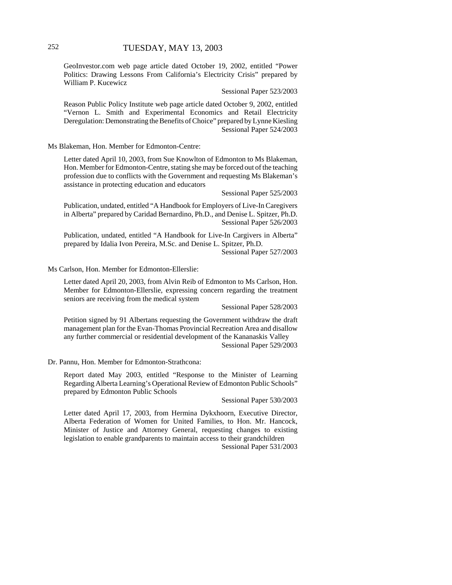GeoInvestor.com web page article dated October 19, 2002, entitled "Power Politics: Drawing Lessons From California's Electricity Crisis" prepared by William P. Kucewicz

Sessional Paper 523/2003

Reason Public Policy Institute web page article dated October 9, 2002, entitled "Vernon L. Smith and Experimental Economics and Retail Electricity Deregulation: Demonstrating the Benefits of Choice" prepared by Lynne Kiesling Sessional Paper 524/2003

Ms Blakeman, Hon. Member for Edmonton-Centre:

Letter dated April 10, 2003, from Sue Knowlton of Edmonton to Ms Blakeman, Hon. Member for Edmonton-Centre, stating she may be forced out of the teaching profession due to conflicts with the Government and requesting Ms Blakeman's assistance in protecting education and educators

Sessional Paper 525/2003

Publication, undated, entitled "A Handbook for Employers of Live-In Caregivers in Alberta" prepared by Caridad Bernardino, Ph.D., and Denise L. Spitzer, Ph.D. Sessional Paper 526/2003

Publication, undated, entitled "A Handbook for Live-In Cargivers in Alberta" prepared by Idalia Ivon Pereira, M.Sc. and Denise L. Spitzer, Ph.D.

Sessional Paper 527/2003

Ms Carlson, Hon. Member for Edmonton-Ellerslie:

Letter dated April 20, 2003, from Alvin Reib of Edmonton to Ms Carlson, Hon. Member for Edmonton-Ellerslie, expressing concern regarding the treatment seniors are receiving from the medical system

Sessional Paper 528/2003

Petition signed by 91 Albertans requesting the Government withdraw the draft management plan for the Evan-Thomas Provincial Recreation Area and disallow any further commercial or residential development of the Kananaskis Valley Sessional Paper 529/2003

Dr. Pannu, Hon. Member for Edmonton-Strathcona:

Report dated May 2003, entitled "Response to the Minister of Learning Regarding Alberta Learning's Operational Review of Edmonton Public Schools" prepared by Edmonton Public Schools

Sessional Paper 530/2003

Letter dated April 17, 2003, from Hermina Dykxhoorn, Executive Director, Alberta Federation of Women for United Families, to Hon. Mr. Hancock, Minister of Justice and Attorney General, requesting changes to existing legislation to enable grandparents to maintain access to their grandchildren

Sessional Paper 531/2003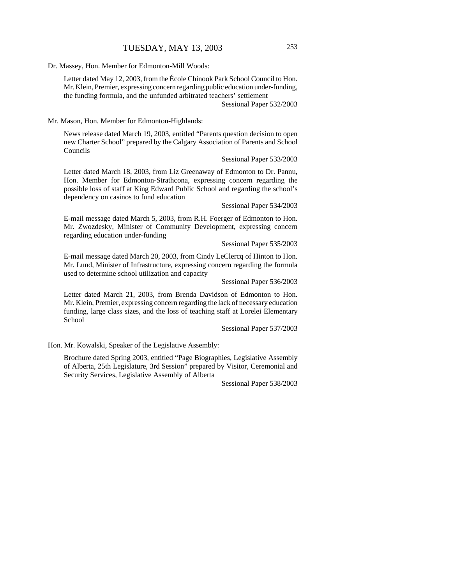Dr. Massey, Hon. Member for Edmonton-Mill Woods:

Letter dated May 12, 2003, from the École Chinook Park School Council to Hon. Mr. Klein, Premier, expressing concern regarding public education under-funding, the funding formula, and the unfunded arbitrated teachers' settlement

Sessional Paper 532/2003

Mr. Mason, Hon. Member for Edmonton-Highlands:

News release dated March 19, 2003, entitled "Parents question decision to open new Charter School" prepared by the Calgary Association of Parents and School Councils

Sessional Paper 533/2003

Letter dated March 18, 2003, from Liz Greenaway of Edmonton to Dr. Pannu, Hon. Member for Edmonton-Strathcona, expressing concern regarding the possible loss of staff at King Edward Public School and regarding the school's dependency on casinos to fund education

Sessional Paper 534/2003

E-mail message dated March 5, 2003, from R.H. Foerger of Edmonton to Hon. Mr. Zwozdesky, Minister of Community Development, expressing concern regarding education under-funding

Sessional Paper 535/2003

E-mail message dated March 20, 2003, from Cindy LeClercq of Hinton to Hon. Mr. Lund, Minister of Infrastructure, expressing concern regarding the formula used to determine school utilization and capacity

Sessional Paper 536/2003

Letter dated March 21, 2003, from Brenda Davidson of Edmonton to Hon. Mr. Klein, Premier, expressing concern regarding the lack of necessary education funding, large class sizes, and the loss of teaching staff at Lorelei Elementary School

Sessional Paper 537/2003

Hon. Mr. Kowalski, Speaker of the Legislative Assembly:

Brochure dated Spring 2003, entitled "Page Biographies, Legislative Assembly of Alberta, 25th Legislature, 3rd Session" prepared by Visitor, Ceremonial and Security Services, Legislative Assembly of Alberta

Sessional Paper 538/2003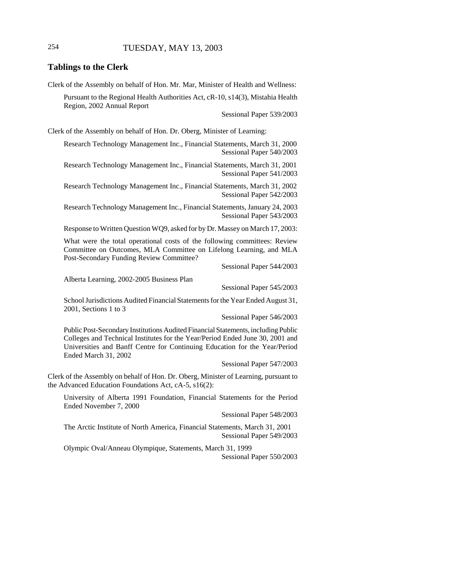## 254 TUESDAY, MAY 13, 2003

#### **Tablings to the Clerk**

Clerk of the Assembly on behalf of Hon. Mr. Mar, Minister of Health and Wellness:

Pursuant to the Regional Health Authorities Act, cR-10, s14(3), Mistahia Health Region, 2002 Annual Report

Sessional Paper 539/2003

Clerk of the Assembly on behalf of Hon. Dr. Oberg, Minister of Learning:

Research Technology Management Inc., Financial Statements, March 31, 2000 Sessional Paper 540/2003

Research Technology Management Inc., Financial Statements, March 31, 2001 Sessional Paper 541/2003

Research Technology Management Inc., Financial Statements, March 31, 2002 Sessional Paper 542/2003

Research Technology Management Inc., Financial Statements, January 24, 2003 Sessional Paper 543/2003

Response to Written Question WQ9, asked for by Dr. Massey on March 17, 2003:

What were the total operational costs of the following committees: Review Committee on Outcomes, MLA Committee on Lifelong Learning, and MLA Post-Secondary Funding Review Committee?

Sessional Paper 544/2003

Alberta Learning, 2002-2005 Business Plan

Sessional Paper 545/2003

School Jurisdictions Audited Financial Statements for the Year Ended August 31, 2001, Sections 1 to 3

Sessional Paper 546/2003

Public Post-Secondary Institutions Audited Financial Statements, including Public Colleges and Technical Institutes for the Year/Period Ended June 30, 2001 and Universities and Banff Centre for Continuing Education for the Year/Period Ended March 31, 2002

Sessional Paper 547/2003

Clerk of the Assembly on behalf of Hon. Dr. Oberg, Minister of Learning, pursuant to the Advanced Education Foundations Act, cA-5, s16(2):

University of Alberta 1991 Foundation, Financial Statements for the Period Ended November 7, 2000

Sessional Paper 548/2003

The Arctic Institute of North America, Financial Statements, March 31, 2001 Sessional Paper 549/2003

Olympic Oval/Anneau Olympique, Statements, March 31, 1999 Sessional Paper 550/2003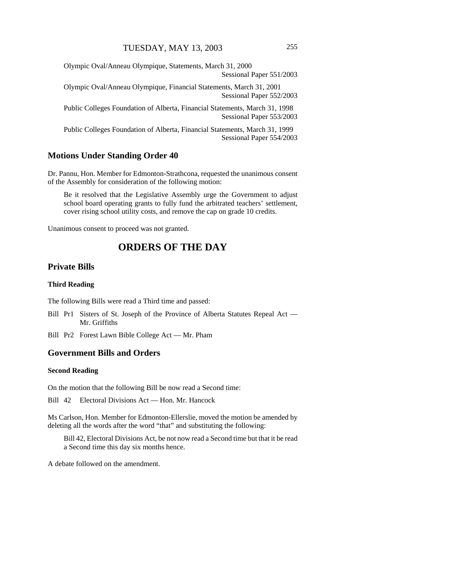Olympic Oval/Anneau Olympique, Statements, March 31, 2000 Sessional Paper 551/2003

Olympic Oval/Anneau Olympique, Financial Statements, March 31, 2001 Sessional Paper 552/2003

Public Colleges Foundation of Alberta, Financial Statements, March 31, 1998 Sessional Paper 553/2003

Public Colleges Foundation of Alberta, Financial Statements, March 31, 1999 Sessional Paper 554/2003

#### **Motions Under Standing Order 40**

Dr. Pannu, Hon. Member for Edmonton-Strathcona, requested the unanimous consent of the Assembly for consideration of the following motion:

Be it resolved that the Legislative Assembly urge the Government to adjust school board operating grants to fully fund the arbitrated teachers' settlement, cover rising school utility costs, and remove the cap on grade 10 credits.

Unanimous consent to proceed was not granted.

# **ORDERS OF THE DAY**

#### **Private Bills**

#### **Third Reading**

The following Bills were read a Third time and passed:

- Bill Pr1 Sisters of St. Joseph of the Province of Alberta Statutes Repeal Act Mr. Griffiths
- Bill Pr2 Forest Lawn Bible College Act Mr. Pham

#### **Government Bills and Orders**

#### **Second Reading**

On the motion that the following Bill be now read a Second time:

Bill 42 Electoral Divisions Act — Hon. Mr. Hancock

Ms Carlson, Hon. Member for Edmonton-Ellerslie, moved the motion be amended by deleting all the words after the word "that" and substituting the following:

Bill 42, Electoral Divisions Act, be not now read a Second time but that it be read a Second time this day six months hence.

A debate followed on the amendment.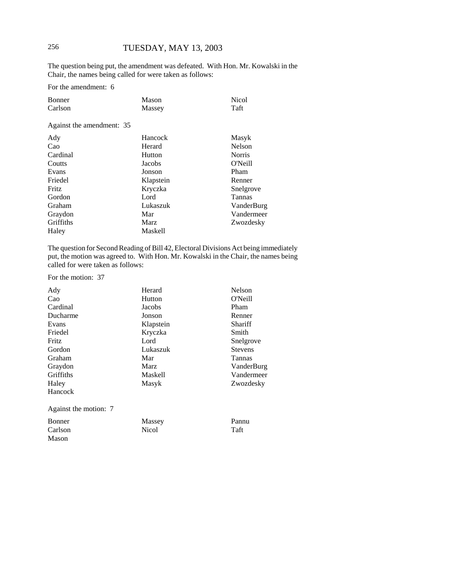# 256 TUESDAY, MAY 13, 2003

The question being put, the amendment was defeated. With Hon. Mr. Kowalski in the Chair, the names being called for were taken as follows:

For the amendment: 6

| Bonner  | Mason  | <b>Nicol</b> |
|---------|--------|--------------|
| Carlson | Massey | Taft         |

Against the amendment: 35

| Ady       | Hancock        | Masyk         |
|-----------|----------------|---------------|
| Cao       | Herard         | Nelson        |
| Cardinal  | Hutton         | <b>Norris</b> |
| Coutts    | Jacobs         | O'Neill       |
| Evans     | Jonson         | Pham          |
| Friedel   | Klapstein      | Renner        |
| Fritz     | Kryczka        | Snelgrove     |
| Gordon    | Lord           | <b>Tannas</b> |
| Graham    | Lukaszuk       | VanderBurg    |
| Graydon   | Mar            | Vandermeer    |
| Griffiths | Marz           | Zwozdesky     |
| Haley     | <b>Maskell</b> |               |

The question for Second Reading of Bill 42, Electoral Divisions Act being immediately put, the motion was agreed to. With Hon. Mr. Kowalski in the Chair, the names being called for were taken as follows:

For the motion: 37

Mason

| Ady                   | Herard      | Nelson         |
|-----------------------|-------------|----------------|
| Cao                   | Hutton      | O'Neill        |
| Cardinal              | Jacobs      | Pham           |
| Ducharme              | Jonson      | Renner         |
| Evans                 | Klapstein   | Shariff        |
| Friedel               | Kryczka     | Smith          |
| Fritz                 | Lord        | Snelgrove      |
| Gordon                | Lukaszuk    | <b>Stevens</b> |
| Graham                | Mar         | <b>Tannas</b>  |
| Graydon               | <b>Marz</b> | VanderBurg     |
| Griffiths             | Maskell     | Vandermeer     |
| Haley                 | Masyk       | Zwozdesky      |
| Hancock               |             |                |
| Against the motion: 7 |             |                |
| <b>Bonner</b>         | Massey      | Pannu          |
| Carlson               | Nicol       | Taft           |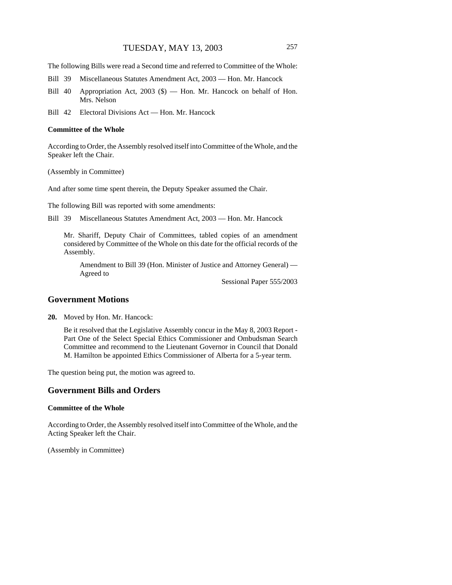The following Bills were read a Second time and referred to Committee of the Whole:

- Bill 39 Miscellaneous Statutes Amendment Act, 2003 Hon. Mr. Hancock
- Bill 40 Appropriation Act, 2003 (\$) Hon. Mr. Hancock on behalf of Hon. Mrs. Nelson
- Bill 42 Electoral Divisions Act Hon. Mr. Hancock

#### **Committee of the Whole**

According to Order, the Assembly resolved itself into Committee of the Whole, and the Speaker left the Chair.

(Assembly in Committee)

And after some time spent therein, the Deputy Speaker assumed the Chair.

The following Bill was reported with some amendments:

Bill 39 Miscellaneous Statutes Amendment Act, 2003 — Hon. Mr. Hancock

Mr. Shariff, Deputy Chair of Committees, tabled copies of an amendment considered by Committee of the Whole on this date for the official records of the Assembly.

Amendment to Bill 39 (Hon. Minister of Justice and Attorney General) — Agreed to

Sessional Paper 555/2003

#### **Government Motions**

**20.** Moved by Hon. Mr. Hancock:

Be it resolved that the Legislative Assembly concur in the May 8, 2003 Report - Part One of the Select Special Ethics Commissioner and Ombudsman Search Committee and recommend to the Lieutenant Governor in Council that Donald M. Hamilton be appointed Ethics Commissioner of Alberta for a 5-year term.

The question being put, the motion was agreed to.

#### **Government Bills and Orders**

#### **Committee of the Whole**

According to Order, the Assembly resolved itself into Committee of the Whole, and the Acting Speaker left the Chair.

(Assembly in Committee)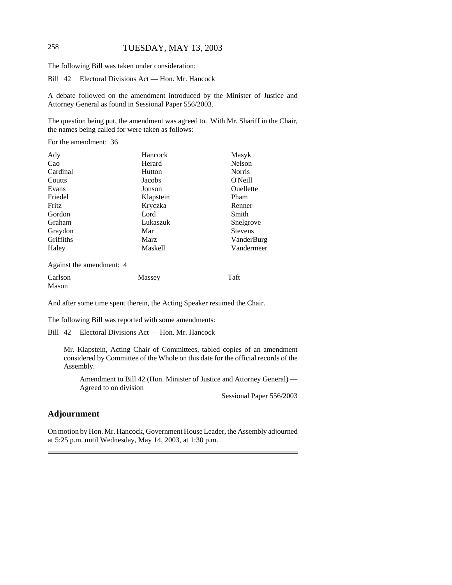# 258 TUESDAY, MAY 13, 2003

The following Bill was taken under consideration:

Bill 42 Electoral Divisions Act — Hon. Mr. Hancock

A debate followed on the amendment introduced by the Minister of Justice and Attorney General as found in Sessional Paper 556/2003.

The question being put, the amendment was agreed to. With Mr. Shariff in the Chair, the names being called for were taken as follows:

For the amendment: 36

| Ady                        | Hancock   | Masyk          |
|----------------------------|-----------|----------------|
| Cao                        | Herard    | Nelson         |
| Cardinal                   | Hutton    | <b>Norris</b>  |
| Coutts                     | Jacobs    | O'Neill        |
| Evans                      | Jonson    | Ouellette      |
| Friedel                    | Klapstein | Pham           |
| Fritz                      | Kryczka   | Renner         |
| Gordon                     | Lord      | Smith          |
| Graham                     | Lukaszuk  | Snelgrove      |
| Graydon                    | Mar       | <b>Stevens</b> |
| Griffiths                  | Marz      | VanderBurg     |
| Haley                      | Maskell   | Vandermeer     |
| Against the amendment: $4$ |           |                |

Against the amendment: 4

| Carlson | Massey | Taft |
|---------|--------|------|
| Mason   |        |      |

And after some time spent therein, the Acting Speaker resumed the Chair.

The following Bill was reported with some amendments:

Bill 42 Electoral Divisions Act — Hon. Mr. Hancock

Mr. Klapstein, Acting Chair of Committees, tabled copies of an amendment considered by Committee of the Whole on this date for the official records of the Assembly.

Amendment to Bill 42 (Hon. Minister of Justice and Attorney General) — Agreed to on division

Sessional Paper 556/2003

## **Adjournment**

On motion by Hon. Mr. Hancock, Government House Leader, the Assembly adjourned at 5:25 p.m. until Wednesday, May 14, 2003, at 1:30 p.m.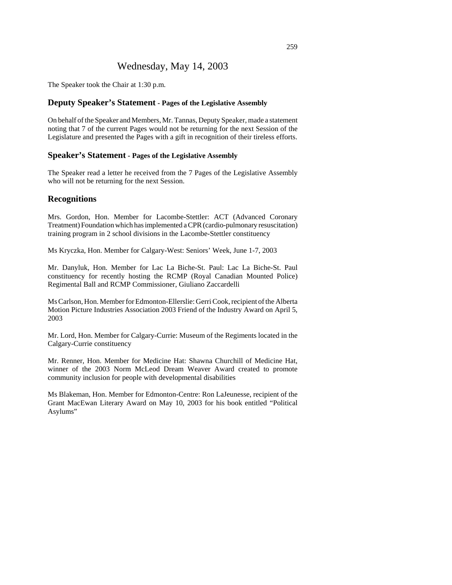# Wednesday, May 14, 2003

The Speaker took the Chair at 1:30 p.m.

#### **Deputy Speaker's Statement - Pages of the Legislative Assembly**

On behalf of the Speaker and Members, Mr. Tannas, Deputy Speaker, made a statement noting that 7 of the current Pages would not be returning for the next Session of the Legislature and presented the Pages with a gift in recognition of their tireless efforts.

#### **Speaker's Statement - Pages of the Legislative Assembly**

The Speaker read a letter he received from the 7 Pages of the Legislative Assembly who will not be returning for the next Session.

#### **Recognitions**

Mrs. Gordon, Hon. Member for Lacombe-Stettler: ACT (Advanced Coronary Treatment) Foundation which has implemented a CPR (cardio-pulmonary resuscitation) training program in 2 school divisions in the Lacombe-Stettler constituency

Ms Kryczka, Hon. Member for Calgary-West: Seniors' Week, June 1-7, 2003

Mr. Danyluk, Hon. Member for Lac La Biche-St. Paul: Lac La Biche-St. Paul constituency for recently hosting the RCMP (Royal Canadian Mounted Police) Regimental Ball and RCMP Commissioner, Giuliano Zaccardelli

Ms Carlson, Hon. Member for Edmonton-Ellerslie: Gerri Cook, recipient of the Alberta Motion Picture Industries Association 2003 Friend of the Industry Award on April 5, 2003

Mr. Lord, Hon. Member for Calgary-Currie: Museum of the Regiments located in the Calgary-Currie constituency

Mr. Renner, Hon. Member for Medicine Hat: Shawna Churchill of Medicine Hat, winner of the 2003 Norm McLeod Dream Weaver Award created to promote community inclusion for people with developmental disabilities

Ms Blakeman, Hon. Member for Edmonton-Centre: Ron LaJeunesse, recipient of the Grant MacEwan Literary Award on May 10, 2003 for his book entitled "Political Asylums"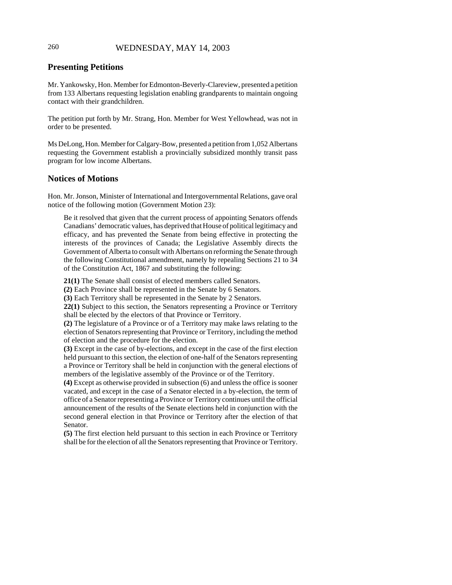# 260 WEDNESDAY, MAY 14, 2003

# **Presenting Petitions**

Mr. Yankowsky, Hon. Member for Edmonton-Beverly-Clareview, presented a petition from 133 Albertans requesting legislation enabling grandparents to maintain ongoing contact with their grandchildren.

The petition put forth by Mr. Strang, Hon. Member for West Yellowhead, was not in order to be presented.

Ms DeLong, Hon. Member for Calgary-Bow, presented a petition from 1,052 Albertans requesting the Government establish a provincially subsidized monthly transit pass program for low income Albertans.

#### **Notices of Motions**

Hon. Mr. Jonson, Minister of International and Intergovernmental Relations, gave oral notice of the following motion (Government Motion 23):

Be it resolved that given that the current process of appointing Senators offends Canadians' democratic values, has deprived that House of political legitimacy and efficacy, and has prevented the Senate from being effective in protecting the interests of the provinces of Canada; the Legislative Assembly directs the Government of Alberta to consult with Albertans on reforming the Senate through the following Constitutional amendment, namely by repealing Sections 21 to 34 of the Constitution Act, 1867 and substituting the following:

**21(1)** The Senate shall consist of elected members called Senators.

**(2)** Each Province shall be represented in the Senate by 6 Senators.

**(3)** Each Territory shall be represented in the Senate by 2 Senators.

**22(1)** Subject to this section, the Senators representing a Province or Territory shall be elected by the electors of that Province or Territory.

**(2)** The legislature of a Province or of a Territory may make laws relating to the election of Senators representing that Province or Territory, including the method of election and the procedure for the election.

**(3)** Except in the case of by-elections, and except in the case of the first election held pursuant to this section, the election of one-half of the Senators representing a Province or Territory shall be held in conjunction with the general elections of members of the legislative assembly of the Province or of the Territory.

**(4)** Except as otherwise provided in subsection (6) and unless the office is sooner vacated, and except in the case of a Senator elected in a by-election, the term of office of a Senator representing a Province or Territory continues until the official announcement of the results of the Senate elections held in conjunction with the second general election in that Province or Territory after the election of that Senator.

**(5)** The first election held pursuant to this section in each Province or Territory shall be for the election of all the Senators representing that Province or Territory.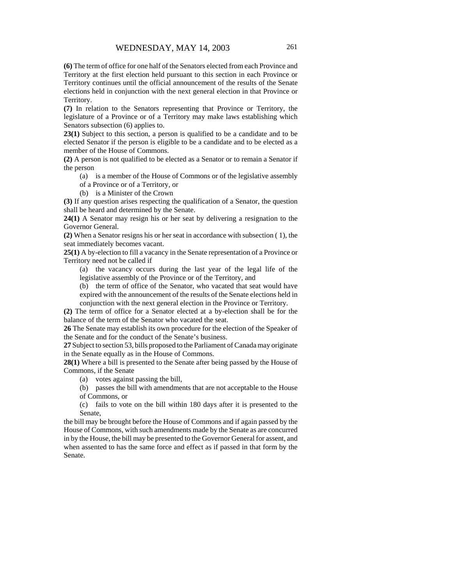**(6)** The term of office for one half of the Senators elected from each Province and Territory at the first election held pursuant to this section in each Province or Territory continues until the official announcement of the results of the Senate elections held in conjunction with the next general election in that Province or Territory.

**(7)** In relation to the Senators representing that Province or Territory, the legislature of a Province or of a Territory may make laws establishing which Senators subsection (6) applies to.

**23(1)** Subject to this section, a person is qualified to be a candidate and to be elected Senator if the person is eligible to be a candidate and to be elected as a member of the House of Commons.

**(2)** A person is not qualified to be elected as a Senator or to remain a Senator if the person

(a) is a member of the House of Commons or of the legislative assembly

of a Province or of a Territory, or

(b) is a Minister of the Crown

**(3)** If any question arises respecting the qualification of a Senator, the question shall be heard and determined by the Senate.

**24(1)** A Senator may resign his or her seat by delivering a resignation to the Governor General.

**(2)** When a Senator resigns his or her seat in accordance with subsection ( 1), the seat immediately becomes vacant.

**25(1)** A by-election to fill a vacancy in the Senate representation of a Province or Territory need not be called if

(a) the vacancy occurs during the last year of the legal life of the legislative assembly of the Province or of the Territory, and

(b) the term of office of the Senator, who vacated that seat would have expired with the announcement of the results of the Senate elections held in conjunction with the next general election in the Province or Territory.

**(2)** The term of office for a Senator elected at a by-election shall be for the balance of the term of the Senator who vacated the seat.

**26** The Senate may establish its own procedure for the election of the Speaker of the Senate and for the conduct of the Senate's business.

**27** Subject to section 53, bills proposed to the Parliament of Canada may originate in the Senate equally as in the House of Commons.

**28(1)** Where a bill is presented to the Senate after being passed by the House of Commons, if the Senate

(a) votes against passing the bill,

(b) passes the bill with amendments that are not acceptable to the House of Commons, or

(c) fails to vote on the bill within 180 days after it is presented to the Senate,

the bill may be brought before the House of Commons and if again passed by the House of Commons, with such amendments made by the Senate as are concurred in by the House, the bill may be presented to the Governor General for assent, and when assented to has the same force and effect as if passed in that form by the Senate.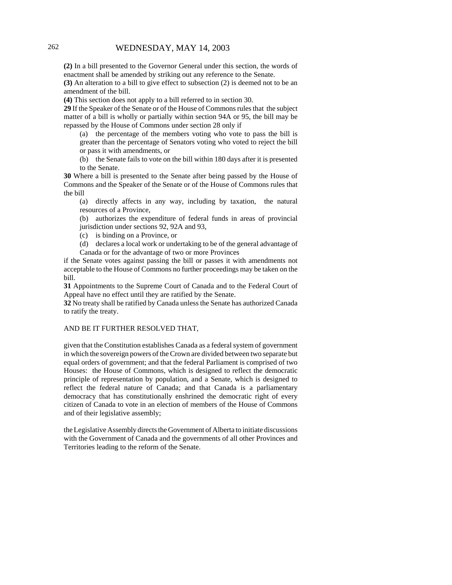**(2)** In a bill presented to the Governor General under this section, the words of enactment shall be amended by striking out any reference to the Senate.

**(3)** An alteration to a bill to give effect to subsection (2) is deemed not to be an amendment of the bill.

**(4)** This section does not apply to a bill referred to in section 30.

**29** If the Speaker of the Senate or of the House of Commons rules that the subject matter of a bill is wholly or partially within section 94A or 95, the bill may be repassed by the House of Commons under section 28 only if

(a) the percentage of the members voting who vote to pass the bill is greater than the percentage of Senators voting who voted to reject the bill or pass it with amendments, or

(b) the Senate fails to vote on the bill within 180 days after it is presented to the Senate.

**30** Where a bill is presented to the Senate after being passed by the House of Commons and the Speaker of the Senate or of the House of Commons rules that the bill

(a) directly affects in any way, including by taxation, the natural resources of a Province,

(b) authorizes the expenditure of federal funds in areas of provincial jurisdiction under sections 92, 92A and 93,

(c) is binding on a Province, or

(d) declares a local work or undertaking to be of the general advantage of Canada or for the advantage of two or more Provinces

if the Senate votes against passing the bill or passes it with amendments not acceptable to the House of Commons no further proceedings may be taken on the bill.

**31** Appointments to the Supreme Court of Canada and to the Federal Court of Appeal have no effect until they are ratified by the Senate.

**32** No treaty shall be ratified by Canada unless the Senate has authorized Canada to ratify the treaty.

#### AND BE IT FURTHER RESOLVED THAT,

given that the Constitution establishes Canada as a federal system of government in which the sovereign powers of the Crown are divided between two separate but equal orders of government; and that the federal Parliament is comprised of two Houses: the House of Commons, which is designed to reflect the democratic principle of representation by population, and a Senate, which is designed to reflect the federal nature of Canada; and that Canada is a parliamentary democracy that has constitutionally enshrined the democratic right of every citizen of Canada to vote in an election of members of the House of Commons and of their legislative assembly;

the Legislative Assembly directs the Government of Alberta to initiate discussions with the Government of Canada and the governments of all other Provinces and Territories leading to the reform of the Senate.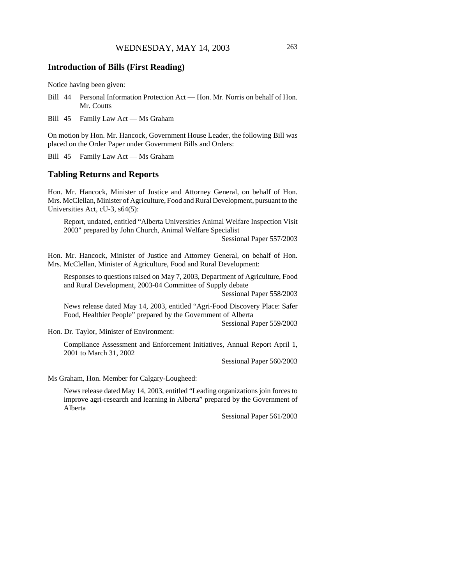### **Introduction of Bills (First Reading)**

Notice having been given:

- Bill 44 Personal Information Protection Act Hon. Mr. Norris on behalf of Hon. Mr. Coutts
- Bill 45 Family Law Act Ms Graham

On motion by Hon. Mr. Hancock, Government House Leader, the following Bill was placed on the Order Paper under Government Bills and Orders:

Bill 45 Family Law Act — Ms Graham

### **Tabling Returns and Reports**

Hon. Mr. Hancock, Minister of Justice and Attorney General, on behalf of Hon. Mrs. McClellan, Minister of Agriculture, Food and Rural Development, pursuant to the Universities Act, cU-3, s64(5):

Report, undated, entitled "Alberta Universities Animal Welfare Inspection Visit 2003" prepared by John Church, Animal Welfare Specialist

Sessional Paper 557/2003

Hon. Mr. Hancock, Minister of Justice and Attorney General, on behalf of Hon. Mrs. McClellan, Minister of Agriculture, Food and Rural Development:

Responses to questions raised on May 7, 2003, Department of Agriculture, Food and Rural Development, 2003-04 Committee of Supply debate

Sessional Paper 558/2003

News release dated May 14, 2003, entitled "Agri-Food Discovery Place: Safer Food, Healthier People" prepared by the Government of Alberta

Sessional Paper 559/2003

Hon. Dr. Taylor, Minister of Environment:

Compliance Assessment and Enforcement Initiatives, Annual Report April 1, 2001 to March 31, 2002

Sessional Paper 560/2003

Ms Graham, Hon. Member for Calgary-Lougheed:

News release dated May 14, 2003, entitled "Leading organizations join forces to improve agri-research and learning in Alberta" prepared by the Government of Alberta

Sessional Paper 561/2003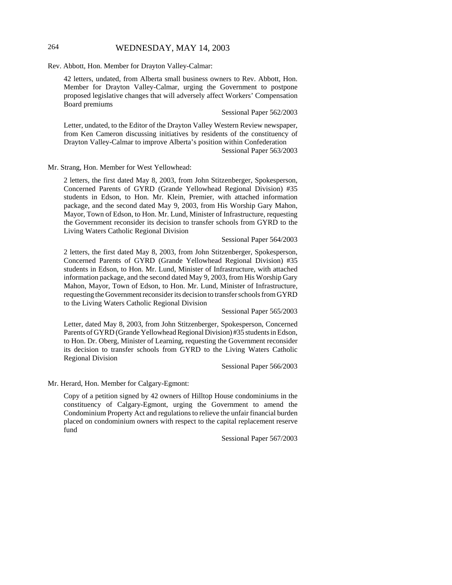### 264 WEDNESDAY, MAY 14, 2003

Rev. Abbott, Hon. Member for Drayton Valley-Calmar:

42 letters, undated, from Alberta small business owners to Rev. Abbott, Hon. Member for Drayton Valley-Calmar, urging the Government to postpone proposed legislative changes that will adversely affect Workers' Compensation Board premiums

Sessional Paper 562/2003

Letter, undated, to the Editor of the Drayton Valley Western Review newspaper, from Ken Cameron discussing initiatives by residents of the constituency of Drayton Valley-Calmar to improve Alberta's position within Confederation Sessional Paper 563/2003

Mr. Strang, Hon. Member for West Yellowhead:

2 letters, the first dated May 8, 2003, from John Stitzenberger, Spokesperson, Concerned Parents of GYRD (Grande Yellowhead Regional Division) #35 students in Edson, to Hon. Mr. Klein, Premier, with attached information package, and the second dated May 9, 2003, from His Worship Gary Mahon, Mayor, Town of Edson, to Hon. Mr. Lund, Minister of Infrastructure, requesting the Government reconsider its decision to transfer schools from GYRD to the Living Waters Catholic Regional Division

#### Sessional Paper 564/2003

2 letters, the first dated May 8, 2003, from John Stitzenberger, Spokesperson, Concerned Parents of GYRD (Grande Yellowhead Regional Division) #35 students in Edson, to Hon. Mr. Lund, Minister of Infrastructure, with attached information package, and the second dated May 9, 2003, from His Worship Gary Mahon, Mayor, Town of Edson, to Hon. Mr. Lund, Minister of Infrastructure, requesting the Government reconsider its decision to transfer schools from GYRD to the Living Waters Catholic Regional Division

Sessional Paper 565/2003

Letter, dated May 8, 2003, from John Stitzenberger, Spokesperson, Concerned Parents of GYRD (Grande Yellowhead Regional Division) #35 students in Edson, to Hon. Dr. Oberg, Minister of Learning, requesting the Government reconsider its decision to transfer schools from GYRD to the Living Waters Catholic Regional Division

Sessional Paper 566/2003

Mr. Herard, Hon. Member for Calgary-Egmont:

Copy of a petition signed by 42 owners of Hilltop House condominiums in the constituency of Calgary-Egmont, urging the Government to amend the Condominium Property Act and regulations to relieve the unfair financial burden placed on condominium owners with respect to the capital replacement reserve fund

Sessional Paper 567/2003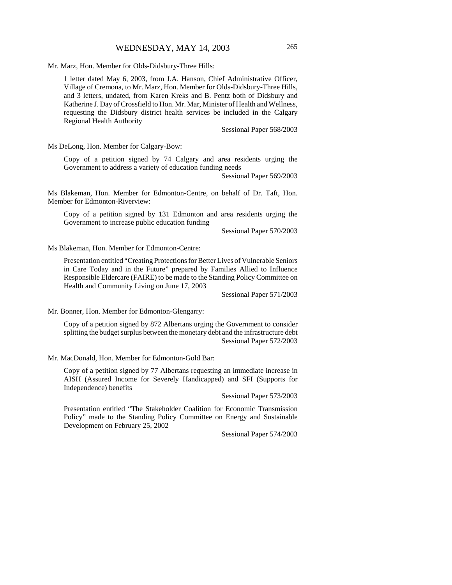Mr. Marz, Hon. Member for Olds-Didsbury-Three Hills:

1 letter dated May 6, 2003, from J.A. Hanson, Chief Administrative Officer, Village of Cremona, to Mr. Marz, Hon. Member for Olds-Didsbury-Three Hills, and 3 letters, undated, from Karen Kreks and B. Pentz both of Didsbury and Katherine J. Day of Crossfield to Hon. Mr. Mar, Minister of Health and Wellness, requesting the Didsbury district health services be included in the Calgary Regional Health Authority

Sessional Paper 568/2003

Ms DeLong, Hon. Member for Calgary-Bow:

Copy of a petition signed by 74 Calgary and area residents urging the Government to address a variety of education funding needs

Sessional Paper 569/2003

Ms Blakeman, Hon. Member for Edmonton-Centre, on behalf of Dr. Taft, Hon. Member for Edmonton-Riverview:

Copy of a petition signed by 131 Edmonton and area residents urging the Government to increase public education funding

Sessional Paper 570/2003

Ms Blakeman, Hon. Member for Edmonton-Centre:

Presentation entitled "Creating Protections for Better Lives of Vulnerable Seniors in Care Today and in the Future" prepared by Families Allied to Influence Responsible Eldercare (FAIRE) to be made to the Standing Policy Committee on Health and Community Living on June 17, 2003

Sessional Paper 571/2003

Mr. Bonner, Hon. Member for Edmonton-Glengarry:

Copy of a petition signed by 872 Albertans urging the Government to consider splitting the budget surplus between the monetary debt and the infrastructure debt Sessional Paper 572/2003

Mr. MacDonald, Hon. Member for Edmonton-Gold Bar:

Copy of a petition signed by 77 Albertans requesting an immediate increase in AISH (Assured Income for Severely Handicapped) and SFI (Supports for Independence) benefits

Sessional Paper 573/2003

Presentation entitled "The Stakeholder Coalition for Economic Transmission Policy" made to the Standing Policy Committee on Energy and Sustainable Development on February 25, 2002

Sessional Paper 574/2003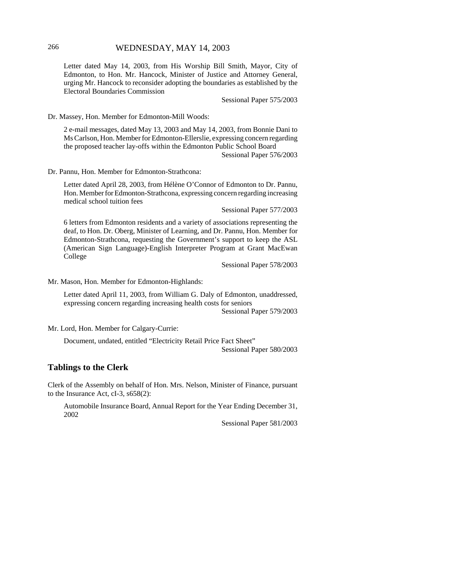Letter dated May 14, 2003, from His Worship Bill Smith, Mayor, City of Edmonton, to Hon. Mr. Hancock, Minister of Justice and Attorney General, urging Mr. Hancock to reconsider adopting the boundaries as established by the Electoral Boundaries Commission

Sessional Paper 575/2003

Dr. Massey, Hon. Member for Edmonton-Mill Woods:

2 e-mail messages, dated May 13, 2003 and May 14, 2003, from Bonnie Dani to Ms Carlson, Hon. Member for Edmonton-Ellerslie, expressing concern regarding the proposed teacher lay-offs within the Edmonton Public School Board

Sessional Paper 576/2003

Dr. Pannu, Hon. Member for Edmonton-Strathcona:

Letter dated April 28, 2003, from Hélène O'Connor of Edmonton to Dr. Pannu, Hon. Member for Edmonton-Strathcona, expressing concern regarding increasing medical school tuition fees

Sessional Paper 577/2003

6 letters from Edmonton residents and a variety of associations representing the deaf, to Hon. Dr. Oberg, Minister of Learning, and Dr. Pannu, Hon. Member for Edmonton-Strathcona, requesting the Government's support to keep the ASL (American Sign Language)-English Interpreter Program at Grant MacEwan College

Sessional Paper 578/2003

Mr. Mason, Hon. Member for Edmonton-Highlands:

Letter dated April 11, 2003, from William G. Daly of Edmonton, unaddressed, expressing concern regarding increasing health costs for seniors

Sessional Paper 579/2003

Mr. Lord, Hon. Member for Calgary-Currie:

Document, undated, entitled "Electricity Retail Price Fact Sheet" Sessional Paper 580/2003

## **Tablings to the Clerk**

Clerk of the Assembly on behalf of Hon. Mrs. Nelson, Minister of Finance, pursuant to the Insurance Act, cI-3, s658(2):

Automobile Insurance Board, Annual Report for the Year Ending December 31, 2002

Sessional Paper 581/2003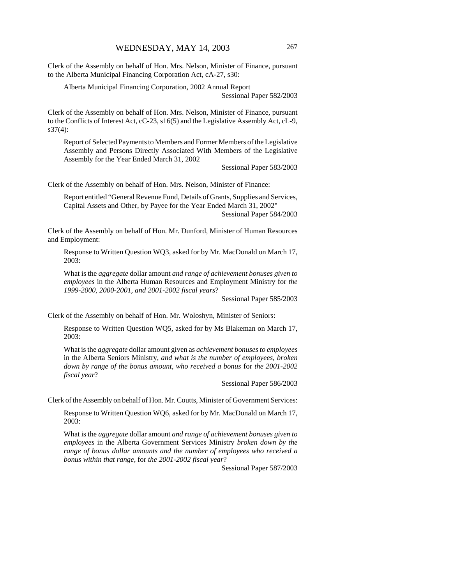Clerk of the Assembly on behalf of Hon. Mrs. Nelson, Minister of Finance, pursuant to the Alberta Municipal Financing Corporation Act, cA-27, s30:

Alberta Municipal Financing Corporation, 2002 Annual Report Sessional Paper 582/2003

Clerk of the Assembly on behalf of Hon. Mrs. Nelson, Minister of Finance, pursuant to the Conflicts of Interest Act, cC-23, s16(5) and the Legislative Assembly Act, cL-9, s37(4):

Report of Selected Payments to Members and Former Members of the Legislative Assembly and Persons Directly Associated With Members of the Legislative Assembly for the Year Ended March 31, 2002

Sessional Paper 583/2003

Clerk of the Assembly on behalf of Hon. Mrs. Nelson, Minister of Finance:

Report entitled "General Revenue Fund, Details of Grants, Supplies and Services, Capital Assets and Other, by Payee for the Year Ended March 31, 2002" Sessional Paper 584/2003

Clerk of the Assembly on behalf of Hon. Mr. Dunford, Minister of Human Resources and Employment:

Response to Written Question WQ3, asked for by Mr. MacDonald on March 17, 2003:

What is the *aggregate* dollar amount *and range of achievement bonuses given to employees* in the Alberta Human Resources and Employment Ministry for *the 1999-2000, 2000-2001, and 2001-2002 fiscal years*?

Sessional Paper 585/2003

Clerk of the Assembly on behalf of Hon. Mr. Woloshyn, Minister of Seniors:

Response to Written Question WQ5, asked for by Ms Blakeman on March 17, 2003:

What is the *aggregate* dollar amount given as *achievement bonuses to employees* in the Alberta Seniors Ministry*, and what is the number of employees, broken down by range of the bonus amount, who received a bonus* for *the 2001-2002 fiscal year*?

Sessional Paper 586/2003

Clerk of the Assembly on behalf of Hon. Mr. Coutts, Minister of Government Services:

Response to Written Question WQ6, asked for by Mr. MacDonald on March 17, 2003:

What is the *aggregate* dollar amount *and range of achievement bonuses given to employees* in the Alberta Government Services Ministry *broken down by the range of bonus dollar amounts and the number of employees who received a bonus within that range,* for *the 2001-2002 fiscal year*?

Sessional Paper 587/2003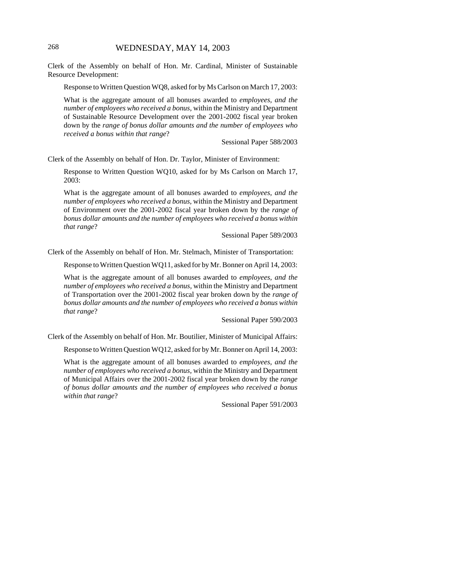Clerk of the Assembly on behalf of Hon. Mr. Cardinal, Minister of Sustainable Resource Development:

Response to Written Question WQ8, asked for by Ms Carlson on March 17, 2003:

What is the aggregate amount of all bonuses awarded to *employees, and the number of employees who received a bonus,* within the Ministry and Department of Sustainable Resource Development over the 2001-2002 fiscal year broken down by the *range of bonus dollar amounts and the number of employees who received a bonus within that range*?

Sessional Paper 588/2003

Clerk of the Assembly on behalf of Hon. Dr. Taylor, Minister of Environment:

Response to Written Question WQ10, asked for by Ms Carlson on March 17, 2003:

What is the aggregate amount of all bonuses awarded to *employees, and the number of employees who received a bonus,* within the Ministry and Department of Environment over the 2001-2002 fiscal year broken down by the *range of bonus dollar amounts and the number of employees who received a bonus within that range*?

Sessional Paper 589/2003

Clerk of the Assembly on behalf of Hon. Mr. Stelmach, Minister of Transportation:

Response to Written Question WQ11, asked for by Mr. Bonner on April 14, 2003:

What is the aggregate amount of all bonuses awarded to *employees, and the number of employees who received a bonus,* within the Ministry and Department of Transportation over the 2001-2002 fiscal year broken down by the *range of bonus dollar amounts and the number of employees who received a bonus within that range*?

Sessional Paper 590/2003

Clerk of the Assembly on behalf of Hon. Mr. Boutilier, Minister of Municipal Affairs:

Response to Written Question WQ12, asked for by Mr. Bonner on April 14, 2003:

What is the aggregate amount of all bonuses awarded to *employees, and the number of employees who received a bonus,* within the Ministry and Department of Municipal Affairs over the 2001-2002 fiscal year broken down by the *range of bonus dollar amounts and the number of employees who received a bonus within that range*?

Sessional Paper 591/2003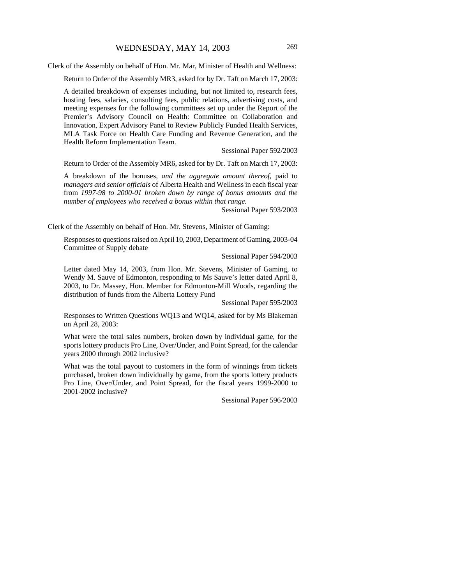Clerk of the Assembly on behalf of Hon. Mr. Mar, Minister of Health and Wellness:

Return to Order of the Assembly MR3, asked for by Dr. Taft on March 17, 2003:

A detailed breakdown of expenses including, but not limited to, research fees, hosting fees, salaries, consulting fees, public relations, advertising costs, and meeting expenses for the following committees set up under the Report of the Premier's Advisory Council on Health: Committee on Collaboration and Innovation, Expert Advisory Panel to Review Publicly Funded Health Services, MLA Task Force on Health Care Funding and Revenue Generation, and the Health Reform Implementation Team.

Sessional Paper 592/2003

Return to Order of the Assembly MR6, asked for by Dr. Taft on March 17, 2003:

A breakdown of the bonuses*, and the aggregate amount thereof,* paid to *managers and senior officials* of Alberta Health and Wellness in each fiscal year from *1997-98 to 2000-01 broken down by range of bonus amounts and the number of employees who received a bonus within that range.*

Sessional Paper 593/2003

Clerk of the Assembly on behalf of Hon. Mr. Stevens, Minister of Gaming:

Responses to questions raised on April 10, 2003, Department of Gaming, 2003-04 Committee of Supply debate

Sessional Paper 594/2003

Letter dated May 14, 2003, from Hon. Mr. Stevens, Minister of Gaming, to Wendy M. Sauve of Edmonton, responding to Ms Sauve's letter dated April 8, 2003, to Dr. Massey, Hon. Member for Edmonton-Mill Woods, regarding the distribution of funds from the Alberta Lottery Fund

Sessional Paper 595/2003

Responses to Written Questions WQ13 and WQ14, asked for by Ms Blakeman on April 28, 2003:

What were the total sales numbers, broken down by individual game, for the sports lottery products Pro Line, Over/Under, and Point Spread, for the calendar years 2000 through 2002 inclusive?

What was the total payout to customers in the form of winnings from tickets purchased, broken down individually by game, from the sports lottery products Pro Line, Over/Under, and Point Spread, for the fiscal years 1999-2000 to 2001-2002 inclusive?

Sessional Paper 596/2003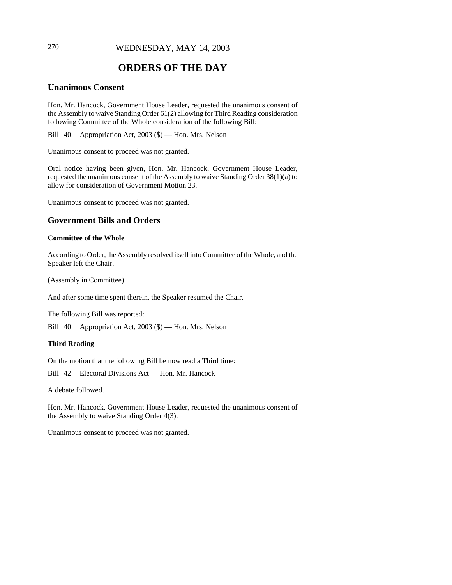## 270 WEDNESDAY, MAY 14, 2003

# **ORDERS OF THE DAY**

# **Unanimous Consent**

Hon. Mr. Hancock, Government House Leader, requested the unanimous consent of the Assembly to waive Standing Order 61(2) allowing for Third Reading consideration following Committee of the Whole consideration of the following Bill:

Bill 40 Appropriation Act, 2003 (\$) — Hon. Mrs. Nelson

Unanimous consent to proceed was not granted.

Oral notice having been given, Hon. Mr. Hancock, Government House Leader, requested the unanimous consent of the Assembly to waive Standing Order 38(1)(a) to allow for consideration of Government Motion 23.

Unanimous consent to proceed was not granted.

#### **Government Bills and Orders**

#### **Committee of the Whole**

According to Order, the Assembly resolved itself into Committee of the Whole, and the Speaker left the Chair.

(Assembly in Committee)

And after some time spent therein, the Speaker resumed the Chair.

The following Bill was reported:

Bill 40 Appropriation Act, 2003 (\$) — Hon. Mrs. Nelson

#### **Third Reading**

On the motion that the following Bill be now read a Third time:

Bill 42 Electoral Divisions Act — Hon. Mr. Hancock

A debate followed.

Hon. Mr. Hancock, Government House Leader, requested the unanimous consent of the Assembly to waive Standing Order 4(3).

Unanimous consent to proceed was not granted.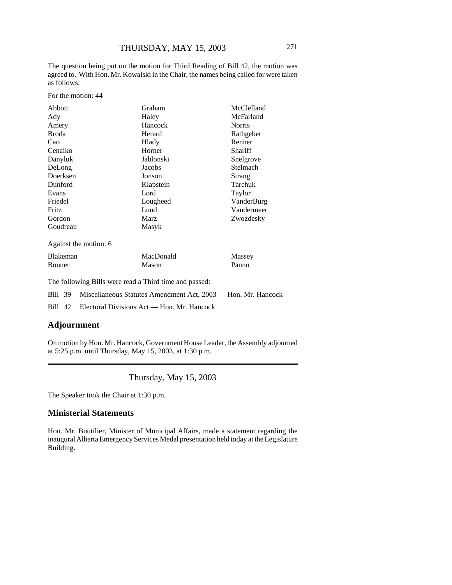The question being put on the motion for Third Reading of Bill 42, the motion was agreed to. With Hon. Mr. Kowalski in the Chair, the names being called for were taken as follows:

For the motion: 44

| Abbott       | Graham    | McClelland    |
|--------------|-----------|---------------|
| Ady          | Haley     | McFarland     |
| Amery        | Hancock   | <b>Norris</b> |
| <b>Broda</b> | Herard    | Rathgeber     |
| Cao          | Hlady     | Renner        |
| Cenaiko      | Horner    | Shariff       |
| Danyluk      | Jablonski | Snelgrove     |
| DeLong       | Jacobs    | Stelmach      |
| Doerksen     | Jonson    | Strang        |
| Dunford      | Klapstein | Tarchuk       |
| Evans        | Lord      | Taylor        |
| Friedel      | Lougheed  | VanderBurg    |
| Fritz        | Lund      | Vandermeer    |
| Gordon       | Marz      | Zwozdesky     |
| Goudreau     | Masyk     |               |

Against the motion: 6

| <b>Blakeman</b> | MacDonald | Massey |
|-----------------|-----------|--------|
| <b>Bonner</b>   | Mason     | Pannu  |

The following Bills were read a Third time and passed:

Bill 39 Miscellaneous Statutes Amendment Act, 2003 — Hon. Mr. Hancock

Bill 42 Electoral Divisions Act — Hon. Mr. Hancock

### **Adjournment**

On motion by Hon. Mr. Hancock, Government House Leader, the Assembly adjourned at 5:25 p.m. until Thursday, May 15, 2003, at 1:30 p.m.

Thursday, May 15, 2003

The Speaker took the Chair at 1:30 p.m.

#### **Ministerial Statements**

Hon. Mr. Boutilier, Minister of Municipal Affairs, made a statement regarding the inaugural Alberta Emergency Services Medal presentation held today at the Legislature Building.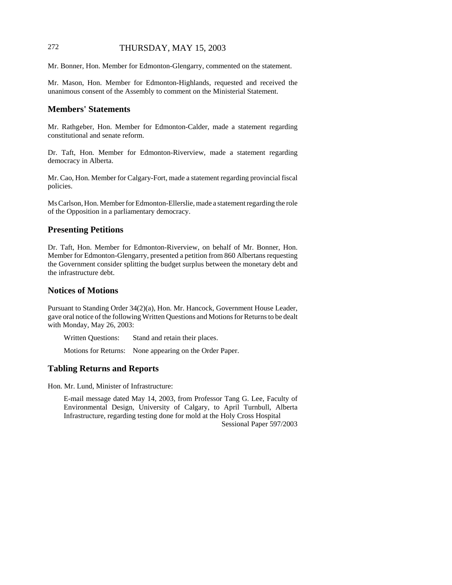## 272 THURSDAY, MAY 15, 2003

Mr. Bonner, Hon. Member for Edmonton-Glengarry, commented on the statement.

Mr. Mason, Hon. Member for Edmonton-Highlands, requested and received the unanimous consent of the Assembly to comment on the Ministerial Statement.

#### **Members' Statements**

Mr. Rathgeber, Hon. Member for Edmonton-Calder, made a statement regarding constitutional and senate reform.

Dr. Taft, Hon. Member for Edmonton-Riverview, made a statement regarding democracy in Alberta.

Mr. Cao, Hon. Member for Calgary-Fort, made a statement regarding provincial fiscal policies.

Ms Carlson, Hon. Member for Edmonton-Ellerslie, made a statement regarding the role of the Opposition in a parliamentary democracy.

#### **Presenting Petitions**

Dr. Taft, Hon. Member for Edmonton-Riverview, on behalf of Mr. Bonner, Hon. Member for Edmonton-Glengarry, presented a petition from 860 Albertans requesting the Government consider splitting the budget surplus between the monetary debt and the infrastructure debt.

#### **Notices of Motions**

Pursuant to Standing Order 34(2)(a), Hon. Mr. Hancock, Government House Leader, gave oral notice of the following Written Questions and Motions for Returns to be dealt with Monday, May 26, 2003:

Written Questions: Stand and retain their places.

Motions for Returns: None appearing on the Order Paper.

#### **Tabling Returns and Reports**

Hon. Mr. Lund, Minister of Infrastructure:

E-mail message dated May 14, 2003, from Professor Tang G. Lee, Faculty of Environmental Design, University of Calgary, to April Turnbull, Alberta Infrastructure, regarding testing done for mold at the Holy Cross Hospital Sessional Paper 597/2003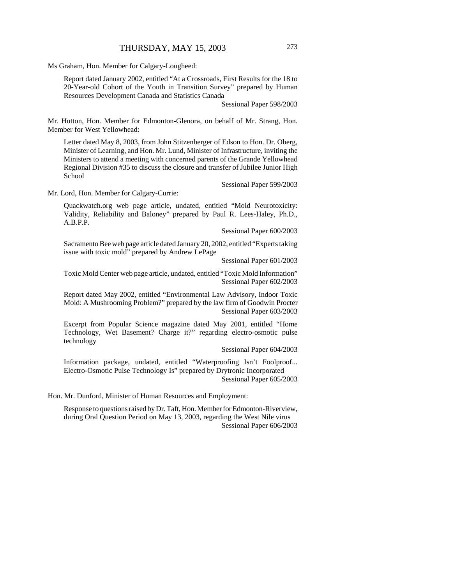Ms Graham, Hon. Member for Calgary-Lougheed:

Report dated January 2002, entitled "At a Crossroads, First Results for the 18 to 20-Year-old Cohort of the Youth in Transition Survey" prepared by Human Resources Development Canada and Statistics Canada

Sessional Paper 598/2003

Mr. Hutton, Hon. Member for Edmonton-Glenora, on behalf of Mr. Strang, Hon. Member for West Yellowhead:

Letter dated May 8, 2003, from John Stitzenberger of Edson to Hon. Dr. Oberg, Minister of Learning, and Hon. Mr. Lund, Minister of Infrastructure, inviting the Ministers to attend a meeting with concerned parents of the Grande Yellowhead Regional Division #35 to discuss the closure and transfer of Jubilee Junior High School

Sessional Paper 599/2003

Mr. Lord, Hon. Member for Calgary-Currie:

Quackwatch.org web page article, undated, entitled "Mold Neurotoxicity: Validity, Reliability and Baloney" prepared by Paul R. Lees-Haley, Ph.D., A.B.P.P.

Sessional Paper 600/2003

Sacramento Bee web page article dated January 20, 2002, entitled "Experts taking issue with toxic mold" prepared by Andrew LePage

Sessional Paper 601/2003

Toxic Mold Center web page article, undated, entitled "Toxic Mold Information" Sessional Paper 602/2003

Report dated May 2002, entitled "Environmental Law Advisory, Indoor Toxic Mold: A Mushrooming Problem?" prepared by the law firm of Goodwin Procter Sessional Paper 603/2003

Excerpt from Popular Science magazine dated May 2001, entitled "Home Technology, Wet Basement? Charge it?" regarding electro-osmotic pulse technology

Sessional Paper 604/2003

Information package, undated, entitled "Waterproofing Isn't Foolproof... Electro-Osmotic Pulse Technology Is" prepared by Drytronic Incorporated Sessional Paper 605/2003

Hon. Mr. Dunford, Minister of Human Resources and Employment:

Response to questions raised by Dr. Taft, Hon. Member for Edmonton-Riverview, during Oral Question Period on May 13, 2003, regarding the West Nile virus Sessional Paper 606/2003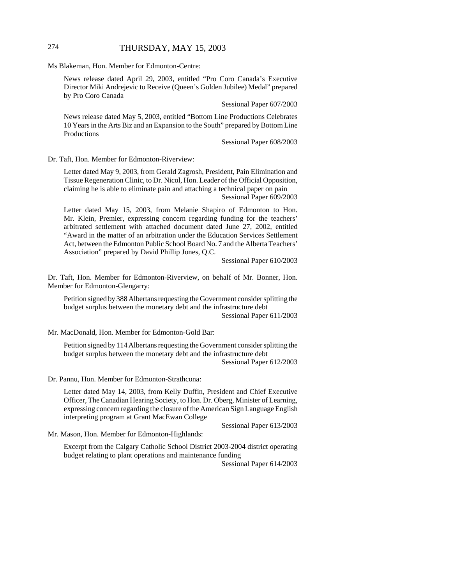# 274 THURSDAY, MAY 15, 2003

Ms Blakeman, Hon. Member for Edmonton-Centre:

News release dated April 29, 2003, entitled "Pro Coro Canada's Executive Director Miki Andrejevic to Receive (Queen's Golden Jubilee) Medal" prepared by Pro Coro Canada

Sessional Paper 607/2003

News release dated May 5, 2003, entitled "Bottom Line Productions Celebrates 10 Years in the Arts Biz and an Expansion to the South" prepared by Bottom Line Productions

Sessional Paper 608/2003

Dr. Taft, Hon. Member for Edmonton-Riverview:

Letter dated May 9, 2003, from Gerald Zagrosh, President, Pain Elimination and Tissue Regeneration Clinic, to Dr. Nicol, Hon. Leader of the Official Opposition, claiming he is able to eliminate pain and attaching a technical paper on pain Sessional Paper 609/2003

Letter dated May 15, 2003, from Melanie Shapiro of Edmonton to Hon. Mr. Klein, Premier, expressing concern regarding funding for the teachers' arbitrated settlement with attached document dated June 27, 2002, entitled "Award in the matter of an arbitration under the Education Services Settlement Act, between the Edmonton Public School Board No. 7 and the Alberta Teachers' Association" prepared by David Phillip Jones, Q.C.

Sessional Paper 610/2003

Dr. Taft, Hon. Member for Edmonton-Riverview, on behalf of Mr. Bonner, Hon. Member for Edmonton-Glengarry:

Petition signed by 388 Albertans requesting the Government consider splitting the budget surplus between the monetary debt and the infrastructure debt Sessional Paper 611/2003

Mr. MacDonald, Hon. Member for Edmonton-Gold Bar:

Petition signed by 114 Albertans requesting the Government consider splitting the budget surplus between the monetary debt and the infrastructure debt Sessional Paper 612/2003

Dr. Pannu, Hon. Member for Edmonton-Strathcona:

Letter dated May 14, 2003, from Kelly Duffin, President and Chief Executive Officer, The Canadian Hearing Society, to Hon. Dr. Oberg, Minister of Learning, expressing concern regarding the closure of the American Sign Language English interpreting program at Grant MacEwan College

Sessional Paper 613/2003

Mr. Mason, Hon. Member for Edmonton-Highlands:

Excerpt from the Calgary Catholic School District 2003-2004 district operating budget relating to plant operations and maintenance funding

Sessional Paper 614/2003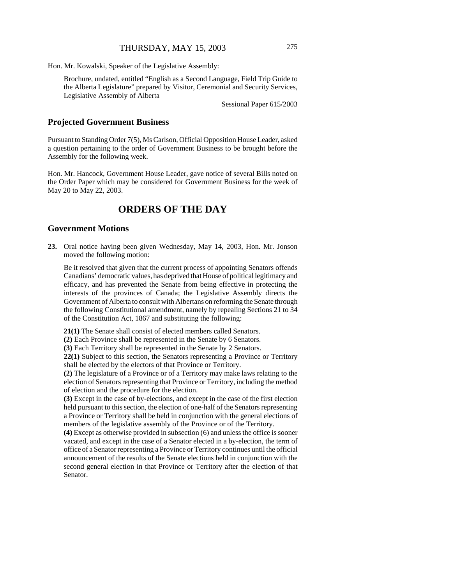Hon. Mr. Kowalski, Speaker of the Legislative Assembly:

Brochure, undated, entitled "English as a Second Language, Field Trip Guide to the Alberta Legislature" prepared by Visitor, Ceremonial and Security Services, Legislative Assembly of Alberta

Sessional Paper 615/2003

#### **Projected Government Business**

Pursuant to Standing Order 7(5), Ms Carlson, Official Opposition House Leader, asked a question pertaining to the order of Government Business to be brought before the Assembly for the following week.

Hon. Mr. Hancock, Government House Leader, gave notice of several Bills noted on the Order Paper which may be considered for Government Business for the week of May 20 to May 22, 2003.

# **ORDERS OF THE DAY**

#### **Government Motions**

**23.** Oral notice having been given Wednesday, May 14, 2003, Hon. Mr. Jonson moved the following motion:

Be it resolved that given that the current process of appointing Senators offends Canadians' democratic values, has deprived that House of political legitimacy and efficacy, and has prevented the Senate from being effective in protecting the interests of the provinces of Canada; the Legislative Assembly directs the Government of Alberta to consult with Albertans on reforming the Senate through the following Constitutional amendment, namely by repealing Sections 21 to 34 of the Constitution Act, 1867 and substituting the following:

**21(1)** The Senate shall consist of elected members called Senators.

**(2)** Each Province shall be represented in the Senate by 6 Senators.

**(3)** Each Territory shall be represented in the Senate by 2 Senators.

**22(1)** Subject to this section, the Senators representing a Province or Territory shall be elected by the electors of that Province or Territory.

**(2)** The legislature of a Province or of a Territory may make laws relating to the election of Senators representing that Province or Territory, including the method of election and the procedure for the election.

**(3)** Except in the case of by-elections, and except in the case of the first election held pursuant to this section, the election of one-half of the Senators representing a Province or Territory shall be held in conjunction with the general elections of members of the legislative assembly of the Province or of the Territory.

**(4)** Except as otherwise provided in subsection (6) and unless the office is sooner vacated, and except in the case of a Senator elected in a by-election, the term of office of a Senator representing a Province or Territory continues until the official announcement of the results of the Senate elections held in conjunction with the second general election in that Province or Territory after the election of that Senator.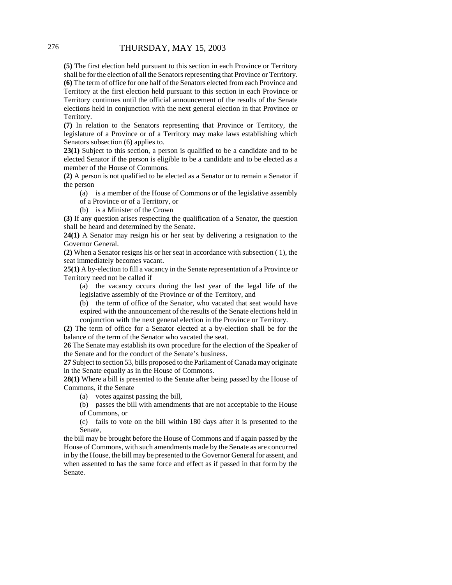**(5)** The first election held pursuant to this section in each Province or Territory shall be for the election of all the Senators representing that Province or Territory. **(6)** The term of office for one half of the Senators elected from each Province and Territory at the first election held pursuant to this section in each Province or Territory continues until the official announcement of the results of the Senate elections held in conjunction with the next general election in that Province or Territory.

**(7)** In relation to the Senators representing that Province or Territory, the legislature of a Province or of a Territory may make laws establishing which Senators subsection (6) applies to.

**23(1)** Subject to this section, a person is qualified to be a candidate and to be elected Senator if the person is eligible to be a candidate and to be elected as a member of the House of Commons.

**(2)** A person is not qualified to be elected as a Senator or to remain a Senator if the person

(a) is a member of the House of Commons or of the legislative assembly

of a Province or of a Territory, or

(b) is a Minister of the Crown

**(3)** If any question arises respecting the qualification of a Senator, the question shall be heard and determined by the Senate.

**24(1)** A Senator may resign his or her seat by delivering a resignation to the Governor General.

**(2)** When a Senator resigns his or her seat in accordance with subsection ( 1), the seat immediately becomes vacant.

**25(1)** A by-election to fill a vacancy in the Senate representation of a Province or Territory need not be called if

(a) the vacancy occurs during the last year of the legal life of the legislative assembly of the Province or of the Territory, and

(b) the term of office of the Senator, who vacated that seat would have expired with the announcement of the results of the Senate elections held in conjunction with the next general election in the Province or Territory.

**(2)** The term of office for a Senator elected at a by-election shall be for the balance of the term of the Senator who vacated the seat.

**26** The Senate may establish its own procedure for the election of the Speaker of the Senate and for the conduct of the Senate's business.

**27** Subject to section 53, bills proposed to the Parliament of Canada may originate in the Senate equally as in the House of Commons.

**28(1)** Where a bill is presented to the Senate after being passed by the House of Commons, if the Senate

(a) votes against passing the bill,

(b) passes the bill with amendments that are not acceptable to the House of Commons, or

(c) fails to vote on the bill within 180 days after it is presented to the Senate,

the bill may be brought before the House of Commons and if again passed by the House of Commons, with such amendments made by the Senate as are concurred in by the House, the bill may be presented to the Governor General for assent, and when assented to has the same force and effect as if passed in that form by the Senate.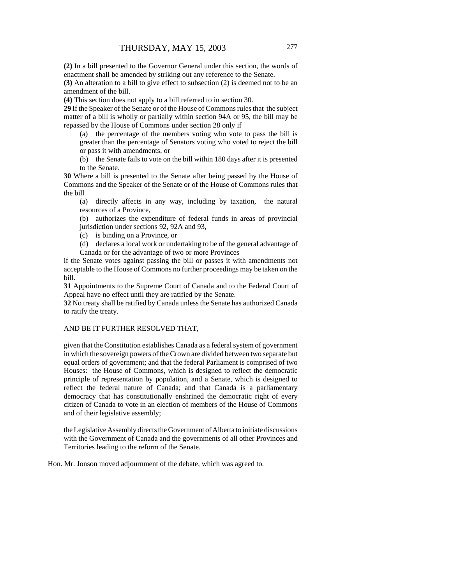**(2)** In a bill presented to the Governor General under this section, the words of enactment shall be amended by striking out any reference to the Senate.

**(3)** An alteration to a bill to give effect to subsection (2) is deemed not to be an amendment of the bill.

**(4)** This section does not apply to a bill referred to in section 30.

**29** If the Speaker of the Senate or of the House of Commons rules that the subject matter of a bill is wholly or partially within section 94A or 95, the bill may be repassed by the House of Commons under section 28 only if

(a) the percentage of the members voting who vote to pass the bill is greater than the percentage of Senators voting who voted to reject the bill or pass it with amendments, or

(b) the Senate fails to vote on the bill within 180 days after it is presented to the Senate.

**30** Where a bill is presented to the Senate after being passed by the House of Commons and the Speaker of the Senate or of the House of Commons rules that the bill

(a) directly affects in any way, including by taxation, the natural resources of a Province,

(b) authorizes the expenditure of federal funds in areas of provincial jurisdiction under sections 92, 92A and 93,

(c) is binding on a Province, or

(d) declares a local work or undertaking to be of the general advantage of Canada or for the advantage of two or more Provinces

if the Senate votes against passing the bill or passes it with amendments not acceptable to the House of Commons no further proceedings may be taken on the bill.

**31** Appointments to the Supreme Court of Canada and to the Federal Court of Appeal have no effect until they are ratified by the Senate.

**32** No treaty shall be ratified by Canada unless the Senate has authorized Canada to ratify the treaty.

#### AND BE IT FURTHER RESOLVED THAT,

given that the Constitution establishes Canada as a federal system of government in which the sovereign powers of the Crown are divided between two separate but equal orders of government; and that the federal Parliament is comprised of two Houses: the House of Commons, which is designed to reflect the democratic principle of representation by population, and a Senate, which is designed to reflect the federal nature of Canada; and that Canada is a parliamentary democracy that has constitutionally enshrined the democratic right of every citizen of Canada to vote in an election of members of the House of Commons and of their legislative assembly;

the Legislative Assembly directs the Government of Alberta to initiate discussions with the Government of Canada and the governments of all other Provinces and Territories leading to the reform of the Senate.

Hon. Mr. Jonson moved adjournment of the debate, which was agreed to.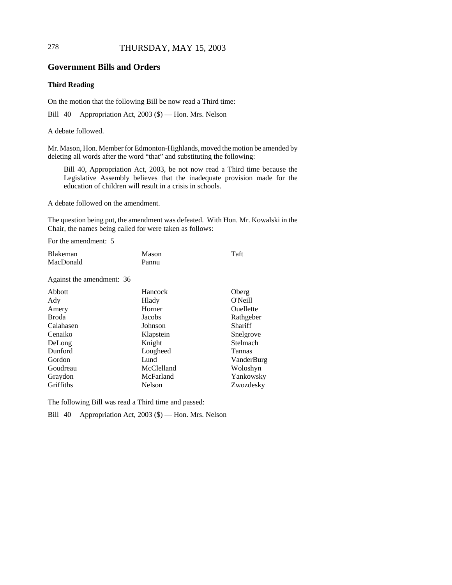## 278 THURSDAY, MAY 15, 2003

#### **Government Bills and Orders**

#### **Third Reading**

On the motion that the following Bill be now read a Third time:

Bill 40 Appropriation Act, 2003 (\$) — Hon. Mrs. Nelson

A debate followed.

Mr. Mason, Hon. Member for Edmonton-Highlands, moved the motion be amended by deleting all words after the word "that" and substituting the following:

Bill 40, Appropriation Act, 2003, be not now read a Third time because the Legislative Assembly believes that the inadequate provision made for the education of children will result in a crisis in schools.

A debate followed on the amendment.

The question being put, the amendment was defeated. With Hon. Mr. Kowalski in the Chair, the names being called for were taken as follows:

For the amendment: 5

| Blakeman  | Mason | Taft |
|-----------|-------|------|
| MacDonald | Pannu |      |

Against the amendment: 36

| Hancock    | Oberg          |
|------------|----------------|
| Hlady      | O'Neill        |
| Horner     | Ouellette      |
| Jacobs     | Rathgeber      |
| Johnson    | <b>Shariff</b> |
| Klapstein  | Snelgrove      |
| Knight     | Stelmach       |
| Lougheed   | <b>Tannas</b>  |
| Lund       | VanderBurg     |
| McClelland | Woloshyn       |
| McFarland  | Yankowsky      |
| Nelson     | Zwozdesky      |
|            |                |

The following Bill was read a Third time and passed:

Bill 40 Appropriation Act, 2003 (\$) — Hon. Mrs. Nelson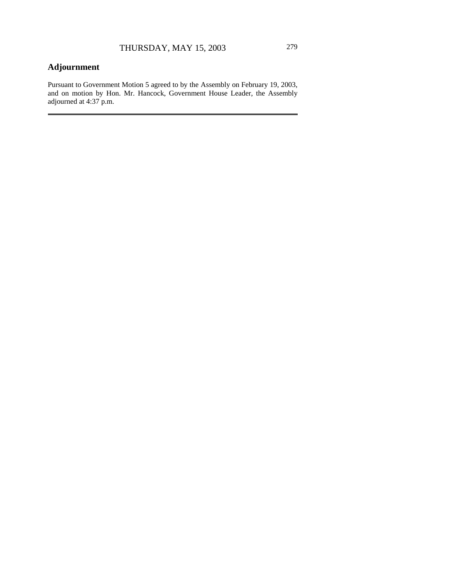# **Adjournment**

Pursuant to Government Motion 5 agreed to by the Assembly on February 19, 2003, and on motion by Hon. Mr. Hancock, Government House Leader, the Assembly adjourned at 4:37 p.m.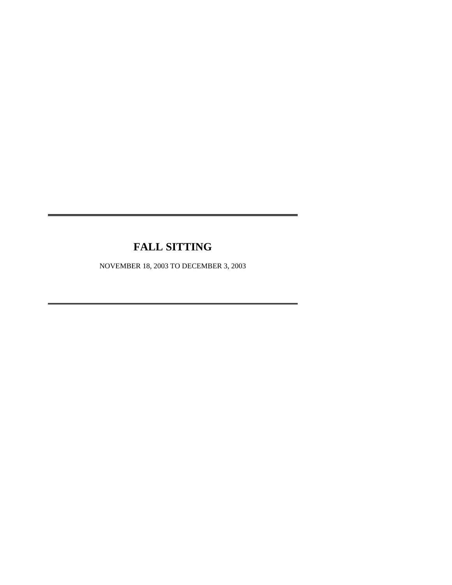# **FALL SITTING**

NOVEMBER 18, 2003 TO DECEMBER 3, 2003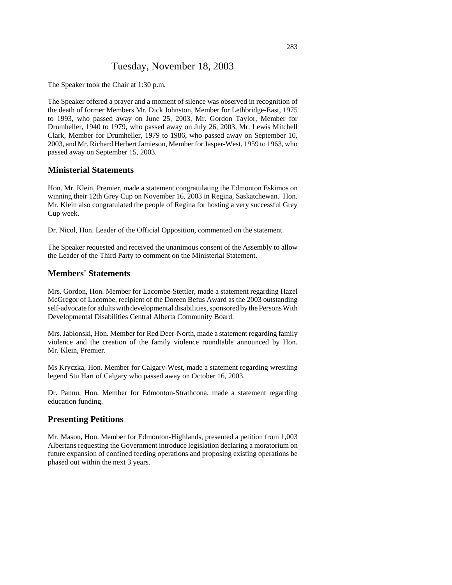# Tuesday, November 18, 2003

The Speaker took the Chair at 1:30 p.m.

The Speaker offered a prayer and a moment of silence was observed in recognition of the death of former Members Mr. Dick Johnston, Member for Lethbridge-East, 1975 to 1993, who passed away on June 25, 2003, Mr. Gordon Taylor, Member for Drumheller, 1940 to 1979, who passed away on July 26, 2003, Mr. Lewis Mitchell Clark, Member for Drumheller, 1979 to 1986, who passed away on September 10, 2003, and Mr. Richard Herbert Jamieson, Member for Jasper-West, 1959 to 1963, who passed away on September 15, 2003.

#### **Ministerial Statements**

Hon. Mr. Klein, Premier, made a statement congratulating the Edmonton Eskimos on winning their 12th Grey Cup on November 16, 2003 in Regina, Saskatchewan. Hon. Mr. Klein also congratulated the people of Regina for hosting a very successful Grey Cup week.

Dr. Nicol, Hon. Leader of the Official Opposition, commented on the statement.

The Speaker requested and received the unanimous consent of the Assembly to allow the Leader of the Third Party to comment on the Ministerial Statement.

#### **Members' Statements**

Mrs. Gordon, Hon. Member for Lacombe-Stettler, made a statement regarding Hazel McGregor of Lacombe, recipient of the Doreen Befus Award as the 2003 outstanding self-advocate for adults with developmental disabilities, sponsored by the Persons With Developmental Disabilities Central Alberta Community Board.

Mrs. Jablonski, Hon. Member for Red Deer-North, made a statement regarding family violence and the creation of the family violence roundtable announced by Hon. Mr. Klein, Premier.

Ms Kryczka, Hon. Member for Calgary-West, made a statement regarding wrestling legend Stu Hart of Calgary who passed away on October 16, 2003.

Dr. Pannu, Hon. Member for Edmonton-Strathcona, made a statement regarding education funding.

#### **Presenting Petitions**

Mr. Mason, Hon. Member for Edmonton-Highlands, presented a petition from 1,003 Albertans requesting the Government introduce legislation declaring a moratorium on future expansion of confined feeding operations and proposing existing operations be phased out within the next 3 years.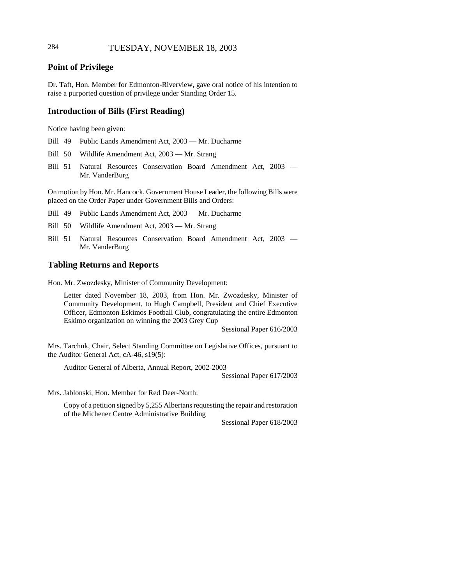# 284 TUESDAY, NOVEMBER 18, 2003

## **Point of Privilege**

Dr. Taft, Hon. Member for Edmonton-Riverview, gave oral notice of his intention to raise a purported question of privilege under Standing Order 15.

#### **Introduction of Bills (First Reading)**

Notice having been given:

- Bill 49 Public Lands Amendment Act, 2003 Mr. Ducharme
- Bill 50 Wildlife Amendment Act, 2003 Mr. Strang
- Bill 51 Natural Resources Conservation Board Amendment Act, 2003 Mr. VanderBurg

On motion by Hon. Mr. Hancock, Government House Leader, the following Bills were placed on the Order Paper under Government Bills and Orders:

Bill 49 Public Lands Amendment Act, 2003 — Mr. Ducharme

Bill 50 Wildlife Amendment Act, 2003 — Mr. Strang

Bill 51 Natural Resources Conservation Board Amendment Act, 2003 — Mr. VanderBurg

#### **Tabling Returns and Reports**

Hon. Mr. Zwozdesky, Minister of Community Development:

Letter dated November 18, 2003, from Hon. Mr. Zwozdesky, Minister of Community Development, to Hugh Campbell, President and Chief Executive Officer, Edmonton Eskimos Football Club, congratulating the entire Edmonton Eskimo organization on winning the 2003 Grey Cup

Sessional Paper 616/2003

Mrs. Tarchuk, Chair, Select Standing Committee on Legislative Offices, pursuant to the Auditor General Act, cA-46, s19(5):

Auditor General of Alberta, Annual Report, 2002-2003

Sessional Paper 617/2003

Mrs. Jablonski, Hon. Member for Red Deer-North:

Copy of a petition signed by 5,255 Albertans requesting the repair and restoration of the Michener Centre Administrative Building

Sessional Paper 618/2003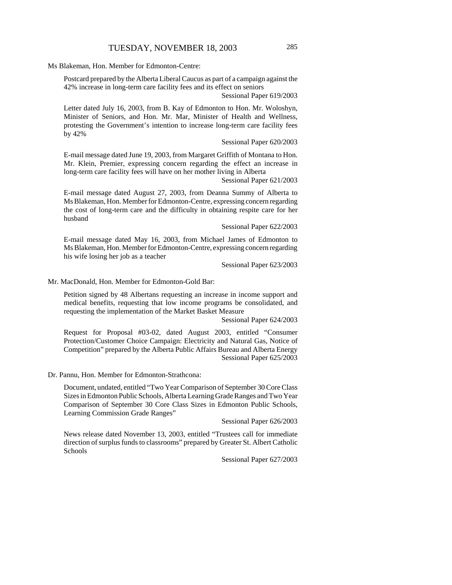Ms Blakeman, Hon. Member for Edmonton-Centre:

Postcard prepared by the Alberta Liberal Caucus as part of a campaign against the 42% increase in long-term care facility fees and its effect on seniors

Sessional Paper 619/2003

Letter dated July 16, 2003, from B. Kay of Edmonton to Hon. Mr. Woloshyn, Minister of Seniors, and Hon. Mr. Mar, Minister of Health and Wellness, protesting the Government's intention to increase long-term care facility fees by 42%

#### Sessional Paper 620/2003

E-mail message dated June 19, 2003, from Margaret Griffith of Montana to Hon. Mr. Klein, Premier, expressing concern regarding the effect an increase in long-term care facility fees will have on her mother living in Alberta

Sessional Paper 621/2003

E-mail message dated August 27, 2003, from Deanna Summy of Alberta to Ms Blakeman, Hon. Member for Edmonton-Centre, expressing concern regarding the cost of long-term care and the difficulty in obtaining respite care for her husband

#### Sessional Paper 622/2003

E-mail message dated May 16, 2003, from Michael James of Edmonton to Ms Blakeman, Hon. Member for Edmonton-Centre, expressing concern regarding his wife losing her job as a teacher

Sessional Paper 623/2003

Mr. MacDonald, Hon. Member for Edmonton-Gold Bar:

Petition signed by 48 Albertans requesting an increase in income support and medical benefits, requesting that low income programs be consolidated, and requesting the implementation of the Market Basket Measure

Sessional Paper 624/2003

Request for Proposal #03-02, dated August 2003, entitled "Consumer Protection/Customer Choice Campaign: Electricity and Natural Gas, Notice of Competition" prepared by the Alberta Public Affairs Bureau and Alberta Energy Sessional Paper 625/2003

Dr. Pannu, Hon. Member for Edmonton-Strathcona:

Document, undated, entitled "Two Year Comparison of September 30 Core Class Sizes in Edmonton Public Schools, Alberta Learning Grade Ranges and Two Year Comparison of September 30 Core Class Sizes in Edmonton Public Schools, Learning Commission Grade Ranges"

Sessional Paper 626/2003

News release dated November 13, 2003, entitled "Trustees call for immediate direction of surplus funds to classrooms" prepared by Greater St. Albert Catholic Schools

Sessional Paper 627/2003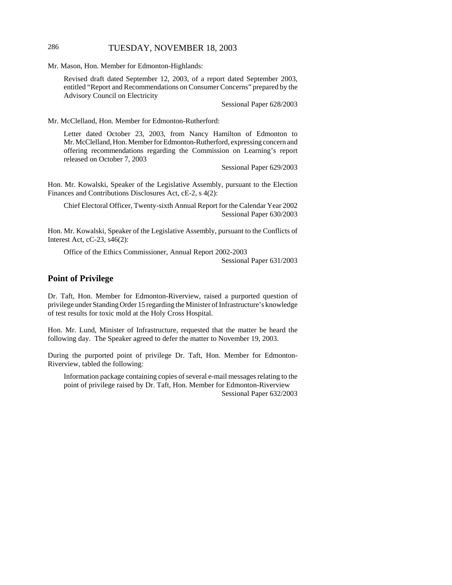# 286 TUESDAY, NOVEMBER 18, 2003

Mr. Mason, Hon. Member for Edmonton-Highlands:

Revised draft dated September 12, 2003, of a report dated September 2003, entitled "Report and Recommendations on Consumer Concerns" prepared by the Advisory Council on Electricity

Sessional Paper 628/2003

Mr. McClelland, Hon. Member for Edmonton-Rutherford:

Letter dated October 23, 2003, from Nancy Hamilton of Edmonton to Mr. McClelland, Hon. Member for Edmonton-Rutherford, expressing concern and offering recommendations regarding the Commission on Learning's report released on October 7, 2003

Sessional Paper 629/2003

Hon. Mr. Kowalski, Speaker of the Legislative Assembly, pursuant to the Election Finances and Contributions Disclosures Act, cE-2, s 4(2):

Chief Electoral Officer, Twenty-sixth Annual Report for the Calendar Year 2002 Sessional Paper 630/2003

Hon. Mr. Kowalski, Speaker of the Legislative Assembly, pursuant to the Conflicts of Interest Act, cC-23, s46(2):

Office of the Ethics Commissioner, Annual Report 2002-2003 Sessional Paper 631/2003

### **Point of Privilege**

Dr. Taft, Hon. Member for Edmonton-Riverview, raised a purported question of privilege under Standing Order 15 regarding the Minister of Infrastructure's knowledge of test results for toxic mold at the Holy Cross Hospital.

Hon. Mr. Lund, Minister of Infrastructure, requested that the matter be heard the following day. The Speaker agreed to defer the matter to November 19, 2003.

During the purported point of privilege Dr. Taft, Hon. Member for Edmonton-Riverview, tabled the following:

Information package containing copies of several e-mail messages relating to the point of privilege raised by Dr. Taft, Hon. Member for Edmonton-Riverview Sessional Paper 632/2003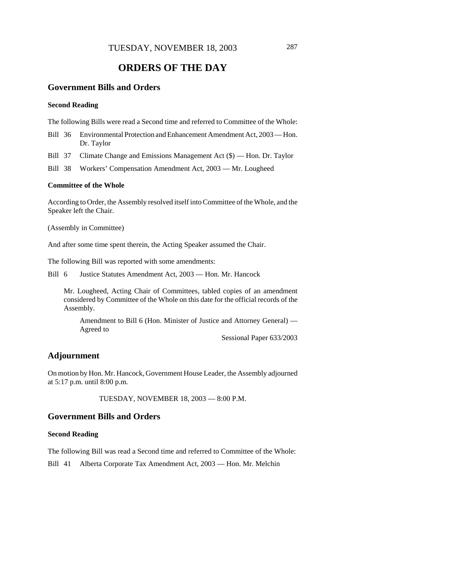# **ORDERS OF THE DAY**

# **Government Bills and Orders**

#### **Second Reading**

The following Bills were read a Second time and referred to Committee of the Whole:

- Bill 36 Environmental Protection and Enhancement Amendment Act, 2003 Hon. Dr. Taylor
- Bill 37 Climate Change and Emissions Management Act (\$) Hon. Dr. Taylor
- Bill 38 Workers' Compensation Amendment Act, 2003 Mr. Lougheed

#### **Committee of the Whole**

According to Order, the Assembly resolved itself into Committee of the Whole, and the Speaker left the Chair.

(Assembly in Committee)

And after some time spent therein, the Acting Speaker assumed the Chair.

The following Bill was reported with some amendments:

Bill 6 Justice Statutes Amendment Act, 2003 — Hon. Mr. Hancock

Mr. Lougheed, Acting Chair of Committees, tabled copies of an amendment considered by Committee of the Whole on this date for the official records of the Assembly.

Amendment to Bill 6 (Hon. Minister of Justice and Attorney General) — Agreed to

Sessional Paper 633/2003

### **Adjournment**

On motion by Hon. Mr. Hancock, Government House Leader, the Assembly adjourned at 5:17 p.m. until 8:00 p.m.

TUESDAY, NOVEMBER 18, 2003 — 8:00 P.M.

### **Government Bills and Orders**

### **Second Reading**

The following Bill was read a Second time and referred to Committee of the Whole:

Bill 41 Alberta Corporate Tax Amendment Act, 2003 — Hon. Mr. Melchin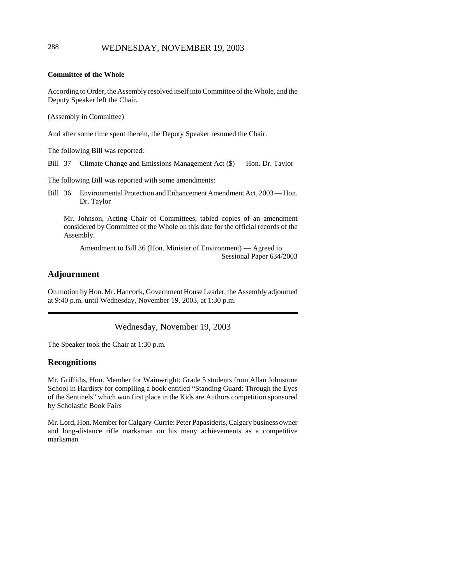#### **Committee of the Whole**

According to Order, the Assembly resolved itself into Committee of the Whole, and the Deputy Speaker left the Chair.

(Assembly in Committee)

And after some time spent therein, the Deputy Speaker resumed the Chair.

The following Bill was reported:

Bill 37 Climate Change and Emissions Management Act (\$) — Hon. Dr. Taylor

The following Bill was reported with some amendments:

Bill 36 Environmental Protection and Enhancement Amendment Act, 2003 — Hon. Dr. Taylor

Mr. Johnson, Acting Chair of Committees, tabled copies of an amendment considered by Committee of the Whole on this date for the official records of the Assembly.

Amendment to Bill 36 (Hon. Minister of Environment) — Agreed to Sessional Paper 634/2003

# **Adjournment**

On motion by Hon. Mr. Hancock, Government House Leader, the Assembly adjourned at 9:40 p.m. until Wednesday, November 19, 2003, at 1:30 p.m.

Wednesday, November 19, 2003

The Speaker took the Chair at 1:30 p.m.

### **Recognitions**

Mr. Griffiths, Hon. Member for Wainwright: Grade 5 students from Allan Johnstone School in Hardisty for compiling a book entitled "Standing Guard: Through the Eyes of the Sentinels" which won first place in the Kids are Authors competition sponsored by Scholastic Book Fairs

Mr. Lord, Hon. Member for Calgary-Currie: Peter Papasideris, Calgary business owner and long-distance rifle marksman on his many achievements as a competitive marksman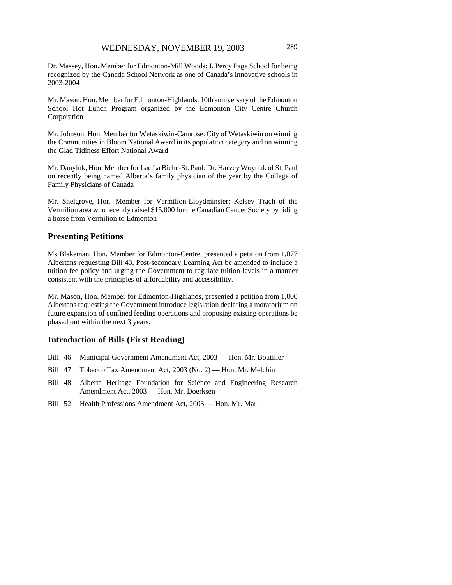Dr. Massey, Hon. Member for Edmonton-Mill Woods: J. Percy Page School for being recognized by the Canada School Network as one of Canada's innovative schools in 2003-2004

Mr. Mason, Hon. Member for Edmonton-Highlands: 10th anniversary of the Edmonton School Hot Lunch Program organized by the Edmonton City Centre Church Corporation

Mr. Johnson, Hon. Member for Wetaskiwin-Camrose: City of Wetaskiwin on winning the Communities in Bloom National Award in its population category and on winning the Glad Tidiness Effort National Award

Mr. Danyluk, Hon. Member for Lac La Biche-St. Paul: Dr. Harvey Woytiuk of St. Paul on recently being named Alberta's family physician of the year by the College of Family Physicians of Canada

Mr. Snelgrove, Hon. Member for Vermilion-Lloydminster: Kelsey Trach of the Vermilion area who recently raised \$15,000 for the Canadian Cancer Society by riding a horse from Vermilion to Edmonton

### **Presenting Petitions**

Ms Blakeman, Hon. Member for Edmonton-Centre, presented a petition from 1,077 Albertans requesting Bill 43, Post-secondary Learning Act be amended to include a tuition fee policy and urging the Government to regulate tuition levels in a manner consistent with the principles of affordability and accessibility.

Mr. Mason, Hon. Member for Edmonton-Highlands, presented a petition from 1,000 Albertans requesting the Government introduce legislation declaring a moratorium on future expansion of confined feeding operations and proposing existing operations be phased out within the next 3 years.

### **Introduction of Bills (First Reading)**

- Bill 46 Municipal Government Amendment Act, 2003 Hon. Mr. Boutilier
- Bill 47 Tobacco Tax Amendment Act, 2003 (No. 2) Hon. Mr. Melchin
- Bill 48 Alberta Heritage Foundation for Science and Engineering Research Amendment Act, 2003 — Hon. Mr. Doerksen
- Bill 52 Health Professions Amendment Act, 2003 Hon. Mr. Mar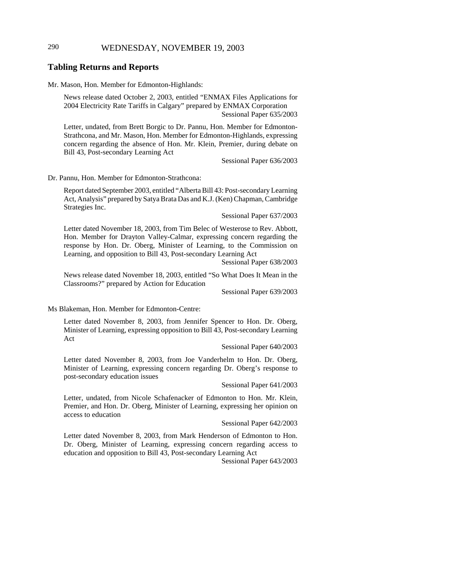## 290 WEDNESDAY, NOVEMBER 19, 2003

### **Tabling Returns and Reports**

#### Mr. Mason, Hon. Member for Edmonton-Highlands:

News release dated October 2, 2003, entitled "ENMAX Files Applications for 2004 Electricity Rate Tariffs in Calgary" prepared by ENMAX Corporation Sessional Paper 635/2003

Letter, undated, from Brett Borgic to Dr. Pannu, Hon. Member for Edmonton-Strathcona, and Mr. Mason, Hon. Member for Edmonton-Highlands, expressing concern regarding the absence of Hon. Mr. Klein, Premier, during debate on Bill 43, Post-secondary Learning Act

Sessional Paper 636/2003

Dr. Pannu, Hon. Member for Edmonton-Strathcona:

Report dated September 2003, entitled "Alberta Bill 43: Post-secondary Learning Act, Analysis" prepared by Satya Brata Das and K.J. (Ken) Chapman, Cambridge Strategies Inc.

Sessional Paper 637/2003

Letter dated November 18, 2003, from Tim Belec of Westerose to Rev. Abbott, Hon. Member for Drayton Valley-Calmar, expressing concern regarding the response by Hon. Dr. Oberg, Minister of Learning, to the Commission on Learning, and opposition to Bill 43, Post-secondary Learning Act

Sessional Paper 638/2003

News release dated November 18, 2003, entitled "So What Does It Mean in the Classrooms?" prepared by Action for Education

Sessional Paper 639/2003

Ms Blakeman, Hon. Member for Edmonton-Centre:

Letter dated November 8, 2003, from Jennifer Spencer to Hon. Dr. Oberg, Minister of Learning, expressing opposition to Bill 43, Post-secondary Learning Act

Sessional Paper 640/2003

Letter dated November 8, 2003, from Joe Vanderhelm to Hon. Dr. Oberg, Minister of Learning, expressing concern regarding Dr. Oberg's response to post-secondary education issues

Sessional Paper 641/2003

Letter, undated, from Nicole Schafenacker of Edmonton to Hon. Mr. Klein, Premier, and Hon. Dr. Oberg, Minister of Learning, expressing her opinion on access to education

#### Sessional Paper 642/2003

Letter dated November 8, 2003, from Mark Henderson of Edmonton to Hon. Dr. Oberg, Minister of Learning, expressing concern regarding access to education and opposition to Bill 43, Post-secondary Learning Act

Sessional Paper 643/2003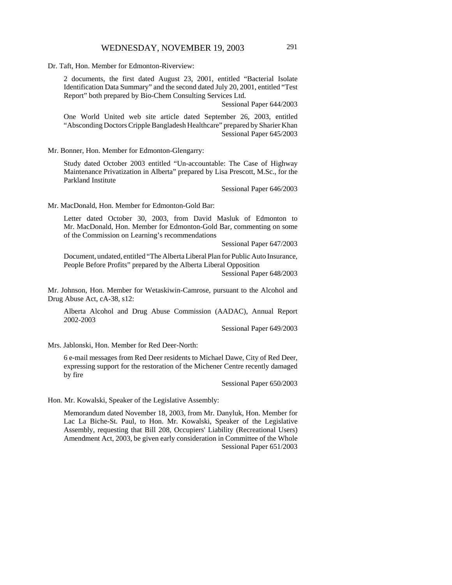Dr. Taft, Hon. Member for Edmonton-Riverview:

2 documents, the first dated August 23, 2001, entitled "Bacterial Isolate Identification Data Summary" and the second dated July 20, 2001, entitled "Test Report" both prepared by Bio-Chem Consulting Services Ltd.

Sessional Paper 644/2003

One World United web site article dated September 26, 2003, entitled "Absconding Doctors Cripple Bangladesh Healthcare" prepared by Sharier Khan Sessional Paper 645/2003

Mr. Bonner, Hon. Member for Edmonton-Glengarry:

Study dated October 2003 entitled "Un-accountable: The Case of Highway Maintenance Privatization in Alberta" prepared by Lisa Prescott, M.Sc., for the Parkland Institute

Sessional Paper 646/2003

Mr. MacDonald, Hon. Member for Edmonton-Gold Bar:

Letter dated October 30, 2003, from David Masluk of Edmonton to Mr. MacDonald, Hon. Member for Edmonton-Gold Bar, commenting on some of the Commission on Learning's recommendations

Sessional Paper 647/2003

Document, undated, entitled "The Alberta Liberal Plan for Public Auto Insurance, People Before Profits" prepared by the Alberta Liberal Opposition

Sessional Paper 648/2003

Mr. Johnson, Hon. Member for Wetaskiwin-Camrose, pursuant to the Alcohol and Drug Abuse Act, cA-38, s12:

Alberta Alcohol and Drug Abuse Commission (AADAC), Annual Report 2002-2003

Sessional Paper 649/2003

Mrs. Jablonski, Hon. Member for Red Deer-North:

6 e-mail messages from Red Deer residents to Michael Dawe, City of Red Deer, expressing support for the restoration of the Michener Centre recently damaged by fire

Sessional Paper 650/2003

Hon. Mr. Kowalski, Speaker of the Legislative Assembly:

Memorandum dated November 18, 2003, from Mr. Danyluk, Hon. Member for Lac La Biche-St. Paul, to Hon. Mr. Kowalski, Speaker of the Legislative Assembly, requesting that Bill 208, Occupiers' Liability (Recreational Users) Amendment Act, 2003, be given early consideration in Committee of the Whole Sessional Paper 651/2003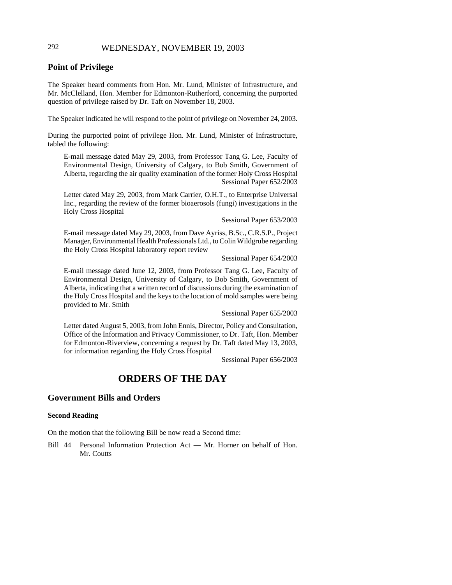# 292 WEDNESDAY, NOVEMBER 19, 2003

### **Point of Privilege**

The Speaker heard comments from Hon. Mr. Lund, Minister of Infrastructure, and Mr. McClelland, Hon. Member for Edmonton-Rutherford, concerning the purported question of privilege raised by Dr. Taft on November 18, 2003.

The Speaker indicated he will respond to the point of privilege on November 24, 2003.

During the purported point of privilege Hon. Mr. Lund, Minister of Infrastructure, tabled the following:

E-mail message dated May 29, 2003, from Professor Tang G. Lee, Faculty of Environmental Design, University of Calgary, to Bob Smith, Government of Alberta, regarding the air quality examination of the former Holy Cross Hospital Sessional Paper 652/2003

Letter dated May 29, 2003, from Mark Carrier, O.H.T., to Enterprise Universal Inc., regarding the review of the former bioaerosols (fungi) investigations in the Holy Cross Hospital

Sessional Paper 653/2003

E-mail message dated May 29, 2003, from Dave Ayriss, B.Sc., C.R.S.P., Project Manager, Environmental Health Professionals Ltd., to Colin Wildgrube regarding the Holy Cross Hospital laboratory report review

Sessional Paper 654/2003

E-mail message dated June 12, 2003, from Professor Tang G. Lee, Faculty of Environmental Design, University of Calgary, to Bob Smith, Government of Alberta, indicating that a written record of discussions during the examination of the Holy Cross Hospital and the keys to the location of mold samples were being provided to Mr. Smith

Sessional Paper 655/2003

Letter dated August 5, 2003, from John Ennis, Director, Policy and Consultation, Office of the Information and Privacy Commissioner, to Dr. Taft, Hon. Member for Edmonton-Riverview, concerning a request by Dr. Taft dated May 13, 2003, for information regarding the Holy Cross Hospital

Sessional Paper 656/2003

# **ORDERS OF THE DAY**

## **Government Bills and Orders**

#### **Second Reading**

On the motion that the following Bill be now read a Second time:

Bill 44 Personal Information Protection Act — Mr. Horner on behalf of Hon. Mr. Coutts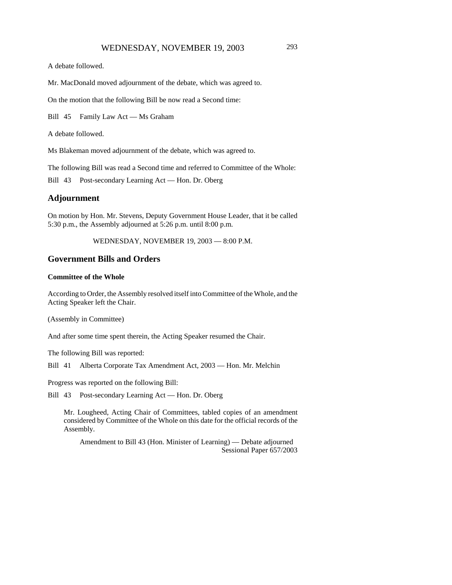A debate followed.

Mr. MacDonald moved adjournment of the debate, which was agreed to.

On the motion that the following Bill be now read a Second time:

Bill 45 Family Law Act — Ms Graham

A debate followed.

Ms Blakeman moved adjournment of the debate, which was agreed to.

The following Bill was read a Second time and referred to Committee of the Whole:

Bill 43 Post-secondary Learning Act — Hon. Dr. Oberg

### **Adjournment**

On motion by Hon. Mr. Stevens, Deputy Government House Leader, that it be called 5:30 p.m., the Assembly adjourned at 5:26 p.m. until 8:00 p.m.

WEDNESDAY, NOVEMBER 19, 2003 — 8:00 P.M.

### **Government Bills and Orders**

#### **Committee of the Whole**

According to Order, the Assembly resolved itself into Committee of the Whole, and the Acting Speaker left the Chair.

(Assembly in Committee)

And after some time spent therein, the Acting Speaker resumed the Chair.

The following Bill was reported:

Bill 41 Alberta Corporate Tax Amendment Act, 2003 — Hon. Mr. Melchin

Progress was reported on the following Bill:

Bill 43 Post-secondary Learning Act — Hon. Dr. Oberg

Mr. Lougheed, Acting Chair of Committees, tabled copies of an amendment considered by Committee of the Whole on this date for the official records of the Assembly.

Amendment to Bill 43 (Hon. Minister of Learning) — Debate adjourned Sessional Paper 657/2003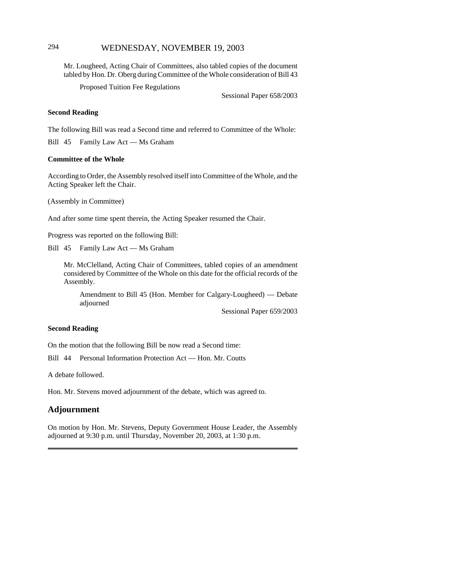## 294 WEDNESDAY, NOVEMBER 19, 2003

Mr. Lougheed, Acting Chair of Committees, also tabled copies of the document tabled by Hon. Dr. Oberg during Committee of the Whole consideration of Bill 43

Proposed Tuition Fee Regulations

Sessional Paper 658/2003

#### **Second Reading**

The following Bill was read a Second time and referred to Committee of the Whole:

Bill 45 Family Law Act — Ms Graham

#### **Committee of the Whole**

According to Order, the Assembly resolved itself into Committee of the Whole, and the Acting Speaker left the Chair.

(Assembly in Committee)

And after some time spent therein, the Acting Speaker resumed the Chair.

Progress was reported on the following Bill:

Bill 45 Family Law Act — Ms Graham

Mr. McClelland, Acting Chair of Committees, tabled copies of an amendment considered by Committee of the Whole on this date for the official records of the Assembly.

Amendment to Bill 45 (Hon. Member for Calgary-Lougheed) — Debate adjourned

Sessional Paper 659/2003

#### **Second Reading**

On the motion that the following Bill be now read a Second time:

Bill 44 Personal Information Protection Act — Hon. Mr. Coutts

A debate followed.

Hon. Mr. Stevens moved adjournment of the debate, which was agreed to.

### **Adjournment**

On motion by Hon. Mr. Stevens, Deputy Government House Leader, the Assembly adjourned at 9:30 p.m. until Thursday, November 20, 2003, at 1:30 p.m.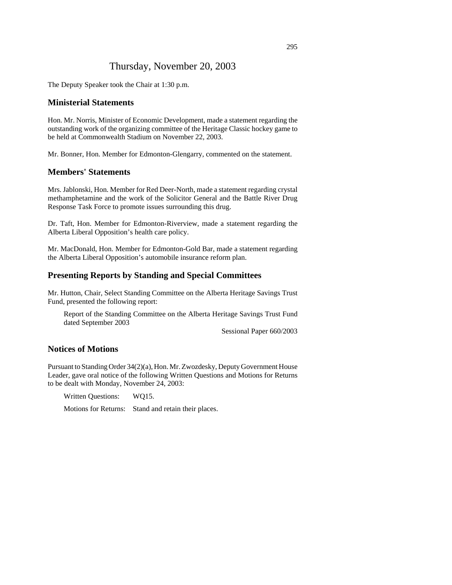# Thursday, November 20, 2003

The Deputy Speaker took the Chair at 1:30 p.m.

### **Ministerial Statements**

Hon. Mr. Norris, Minister of Economic Development, made a statement regarding the outstanding work of the organizing committee of the Heritage Classic hockey game to be held at Commonwealth Stadium on November 22, 2003.

Mr. Bonner, Hon. Member for Edmonton-Glengarry, commented on the statement.

### **Members' Statements**

Mrs. Jablonski, Hon. Member for Red Deer-North, made a statement regarding crystal methamphetamine and the work of the Solicitor General and the Battle River Drug Response Task Force to promote issues surrounding this drug.

Dr. Taft, Hon. Member for Edmonton-Riverview, made a statement regarding the Alberta Liberal Opposition's health care policy.

Mr. MacDonald, Hon. Member for Edmonton-Gold Bar, made a statement regarding the Alberta Liberal Opposition's automobile insurance reform plan.

### **Presenting Reports by Standing and Special Committees**

Mr. Hutton, Chair, Select Standing Committee on the Alberta Heritage Savings Trust Fund, presented the following report:

Report of the Standing Committee on the Alberta Heritage Savings Trust Fund dated September 2003

Sessional Paper 660/2003

# **Notices of Motions**

Pursuant to Standing Order 34(2)(a), Hon. Mr. Zwozdesky, Deputy Government House Leader, gave oral notice of the following Written Questions and Motions for Returns to be dealt with Monday, November 24, 2003:

Written Questions: WQ15.

Motions for Returns: Stand and retain their places.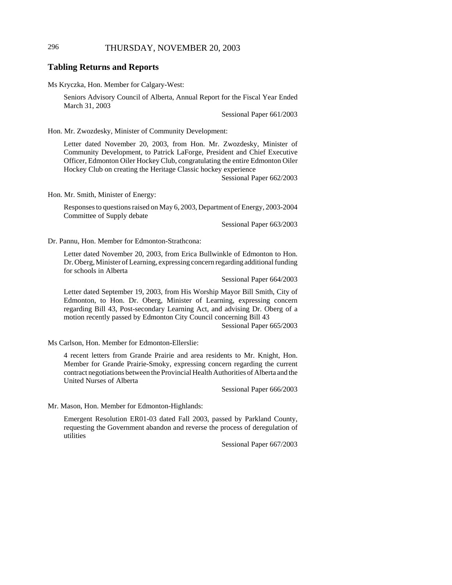### **Tabling Returns and Reports**

Ms Kryczka, Hon. Member for Calgary-West:

Seniors Advisory Council of Alberta, Annual Report for the Fiscal Year Ended March 31, 2003

Sessional Paper 661/2003

Hon. Mr. Zwozdesky, Minister of Community Development:

Letter dated November 20, 2003, from Hon. Mr. Zwozdesky, Minister of Community Development, to Patrick LaForge, President and Chief Executive Officer, Edmonton Oiler Hockey Club, congratulating the entire Edmonton Oiler Hockey Club on creating the Heritage Classic hockey experience

Sessional Paper 662/2003

Hon. Mr. Smith, Minister of Energy:

Responses to questions raised on May 6, 2003, Department of Energy, 2003-2004 Committee of Supply debate

Sessional Paper 663/2003

Dr. Pannu, Hon. Member for Edmonton-Strathcona:

Letter dated November 20, 2003, from Erica Bullwinkle of Edmonton to Hon. Dr. Oberg, Minister of Learning, expressing concern regarding additional funding for schools in Alberta

Sessional Paper 664/2003

Letter dated September 19, 2003, from His Worship Mayor Bill Smith, City of Edmonton, to Hon. Dr. Oberg, Minister of Learning, expressing concern regarding Bill 43, Post-secondary Learning Act, and advising Dr. Oberg of a motion recently passed by Edmonton City Council concerning Bill 43

Sessional Paper 665/2003

Ms Carlson, Hon. Member for Edmonton-Ellerslie:

4 recent letters from Grande Prairie and area residents to Mr. Knight, Hon. Member for Grande Prairie-Smoky, expressing concern regarding the current contract negotiations between the Provincial Health Authorities of Alberta and the United Nurses of Alberta

Sessional Paper 666/2003

Mr. Mason, Hon. Member for Edmonton-Highlands:

Emergent Resolution ER01-03 dated Fall 2003, passed by Parkland County, requesting the Government abandon and reverse the process of deregulation of utilities

Sessional Paper 667/2003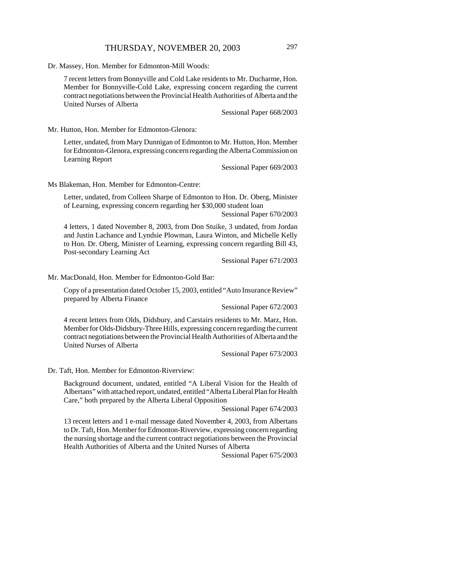Dr. Massey, Hon. Member for Edmonton-Mill Woods:

7 recent letters from Bonnyville and Cold Lake residents to Mr. Ducharme, Hon. Member for Bonnyville-Cold Lake, expressing concern regarding the current contract negotiations between the Provincial Health Authorities of Alberta and the United Nurses of Alberta

Sessional Paper 668/2003

Mr. Hutton, Hon. Member for Edmonton-Glenora:

Letter, undated, from Mary Dunnigan of Edmonton to Mr. Hutton, Hon. Member for Edmonton-Glenora, expressing concern regarding the Alberta Commission on Learning Report

Sessional Paper 669/2003

Ms Blakeman, Hon. Member for Edmonton-Centre:

Letter, undated, from Colleen Sharpe of Edmonton to Hon. Dr. Oberg, Minister of Learning, expressing concern regarding her \$30,000 student loan

Sessional Paper 670/2003

4 letters, 1 dated November 8, 2003, from Don Stuike, 3 undated, from Jordan and Justin Lachance and Lyndsie Plowman, Laura Winton, and Michelle Kelly to Hon. Dr. Oberg, Minister of Learning, expressing concern regarding Bill 43, Post-secondary Learning Act

Sessional Paper 671/2003

Mr. MacDonald, Hon. Member for Edmonton-Gold Bar:

Copy of a presentation dated October 15, 2003, entitled "Auto Insurance Review" prepared by Alberta Finance

Sessional Paper 672/2003

4 recent letters from Olds, Didsbury, and Carstairs residents to Mr. Marz, Hon. Member for Olds-Didsbury-Three Hills, expressing concern regarding the current contract negotiations between the Provincial Health Authorities of Alberta and the United Nurses of Alberta

Sessional Paper 673/2003

Dr. Taft, Hon. Member for Edmonton-Riverview:

Background document, undated, entitled "A Liberal Vision for the Health of Albertans" with attached report, undated, entitled "Alberta Liberal Plan for Health Care," both prepared by the Alberta Liberal Opposition

Sessional Paper 674/2003

13 recent letters and 1 e-mail message dated November 4, 2003, from Albertans to Dr. Taft, Hon. Member for Edmonton-Riverview, expressing concern regarding the nursing shortage and the current contract negotiations between the Provincial Health Authorities of Alberta and the United Nurses of Alberta

Sessional Paper 675/2003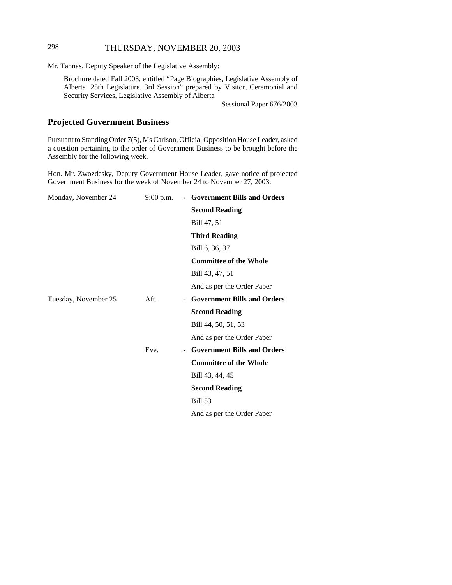# 298 THURSDAY, NOVEMBER 20, 2003

Mr. Tannas, Deputy Speaker of the Legislative Assembly:

Brochure dated Fall 2003, entitled "Page Biographies, Legislative Assembly of Alberta, 25th Legislature, 3rd Session" prepared by Visitor, Ceremonial and Security Services, Legislative Assembly of Alberta

Sessional Paper 676/2003

# **Projected Government Business**

Pursuant to Standing Order 7(5), Ms Carlson, Official Opposition House Leader, asked a question pertaining to the order of Government Business to be brought before the Assembly for the following week.

Hon. Mr. Zwozdesky, Deputy Government House Leader, gave notice of projected Government Business for the week of November 24 to November 27, 2003:

| Monday, November 24  | $9:00$ p.m. | - Government Bills and Orders      |
|----------------------|-------------|------------------------------------|
|                      |             | <b>Second Reading</b>              |
|                      |             | Bill 47, 51                        |
|                      |             | <b>Third Reading</b>               |
|                      |             | Bill 6, 36, 37                     |
|                      |             | <b>Committee of the Whole</b>      |
|                      |             | Bill 43, 47, 51                    |
|                      |             | And as per the Order Paper         |
| Tuesday, November 25 | Aft.        | <b>Government Bills and Orders</b> |
|                      |             | <b>Second Reading</b>              |
|                      |             | Bill 44, 50, 51, 53                |
|                      |             | And as per the Order Paper         |
|                      | Eve.        | - Government Bills and Orders      |
|                      |             | <b>Committee of the Whole</b>      |
|                      |             | Bill 43, 44, 45                    |
|                      |             | <b>Second Reading</b>              |
|                      |             | <b>Bill 53</b>                     |
|                      |             | And as per the Order Paper         |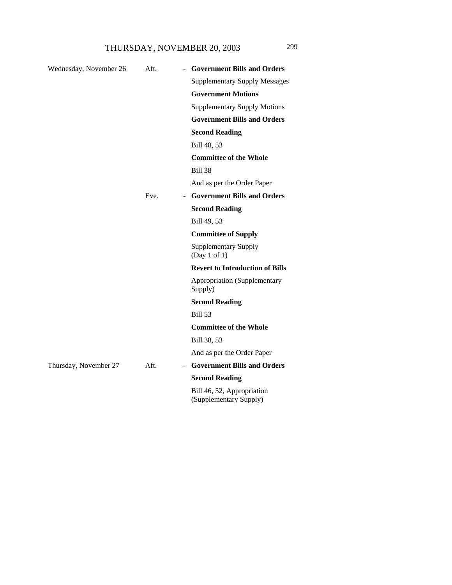| Wednesday, November 26 | Aft. | <b>Government Bills and Orders</b><br>$\overline{\phantom{a}}$ |
|------------------------|------|----------------------------------------------------------------|
|                        |      | <b>Supplementary Supply Messages</b>                           |
|                        |      | <b>Government Motions</b>                                      |
|                        |      | <b>Supplementary Supply Motions</b>                            |
|                        |      | <b>Government Bills and Orders</b>                             |
|                        |      | <b>Second Reading</b>                                          |
|                        |      | Bill 48, 53                                                    |
|                        |      | <b>Committee of the Whole</b>                                  |
|                        |      | <b>Bill 38</b>                                                 |
|                        |      | And as per the Order Paper                                     |
|                        | Eve. | - Government Bills and Orders                                  |
|                        |      | <b>Second Reading</b>                                          |
|                        |      | Bill 49, 53                                                    |
|                        |      | <b>Committee of Supply</b>                                     |
|                        |      | <b>Supplementary Supply</b><br>(Day 1 of 1)                    |
|                        |      | <b>Revert to Introduction of Bills</b>                         |
|                        |      | <b>Appropriation (Supplementary</b><br>Supply)                 |
|                        |      | <b>Second Reading</b>                                          |
|                        |      | <b>Bill 53</b>                                                 |
|                        |      | <b>Committee of the Whole</b>                                  |
|                        |      | Bill 38, 53                                                    |
|                        |      | And as per the Order Paper                                     |
| Thursday, November 27  | Aft. | <b>Government Bills and Orders</b><br>$\overline{\phantom{a}}$ |
|                        |      | <b>Second Reading</b>                                          |
|                        |      | Bill 46, 52, Appropriation                                     |

(Supplementary Supply)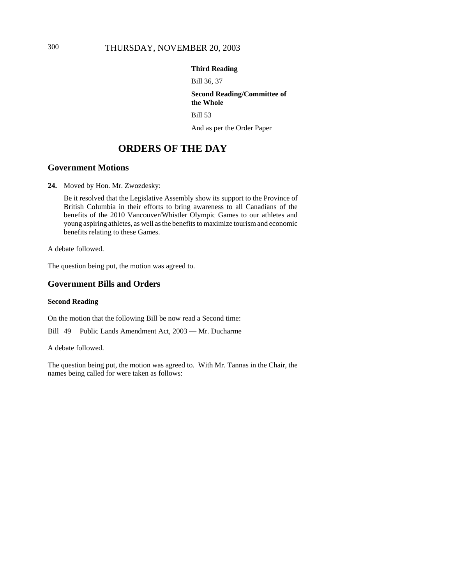# 300 THURSDAY, NOVEMBER 20, 2003

### **Third Reading**

Bill 36, 37

#### **Second Reading/Committee of the Whole**

Bill 53

And as per the Order Paper

# **ORDERS OF THE DAY**

# **Government Motions**

**24.** Moved by Hon. Mr. Zwozdesky:

Be it resolved that the Legislative Assembly show its support to the Province of British Columbia in their efforts to bring awareness to all Canadians of the benefits of the 2010 Vancouver/Whistler Olympic Games to our athletes and young aspiring athletes, as well as the benefits to maximize tourism and economic benefits relating to these Games.

A debate followed.

The question being put, the motion was agreed to.

## **Government Bills and Orders**

### **Second Reading**

On the motion that the following Bill be now read a Second time:

Bill 49 Public Lands Amendment Act, 2003 — Mr. Ducharme

A debate followed.

The question being put, the motion was agreed to. With Mr. Tannas in the Chair, the names being called for were taken as follows: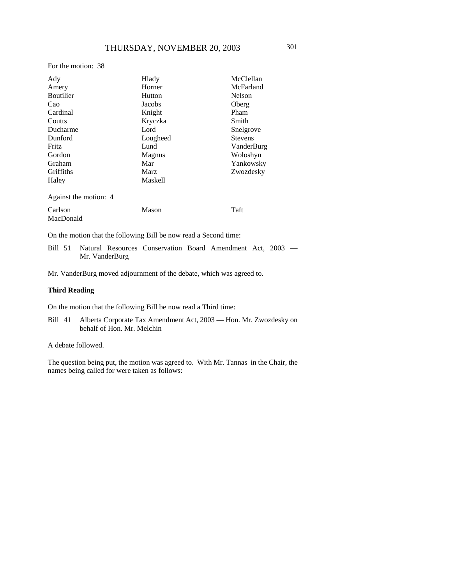#### For the motion: 38

| Ady                   | Hlady          | McClellan      |
|-----------------------|----------------|----------------|
| Amery                 | Horner         | McFarland      |
| Boutilier             | Hutton         | Nelson         |
| Cao                   | Jacobs         | Oberg          |
| Cardinal              | Knight         | Pham           |
| Coutts                | Kryczka        | Smith          |
| Ducharme              | Lord           | Snelgrove      |
| Dunford               | Lougheed       | <b>Stevens</b> |
| Fritz                 | Lund           | VanderBurg     |
| Gordon                | Magnus         | Woloshyn       |
| Graham                | Mar            | Yankowsky      |
| <b>Griffiths</b>      | Marz           | Zwozdesky      |
| Haley                 | <b>Maskell</b> |                |
| Against the motion: 4 |                |                |
| Carlson               | Mason          | Taft           |
| MacDonald             |                |                |

On the motion that the following Bill be now read a Second time:

Bill 51 Natural Resources Conservation Board Amendment Act, 2003 — Mr. VanderBurg

Mr. VanderBurg moved adjournment of the debate, which was agreed to.

#### **Third Reading**

On the motion that the following Bill be now read a Third time:

Bill 41 Alberta Corporate Tax Amendment Act, 2003 — Hon. Mr. Zwozdesky on behalf of Hon. Mr. Melchin

### A debate followed.

The question being put, the motion was agreed to. With Mr. Tannas in the Chair, the names being called for were taken as follows: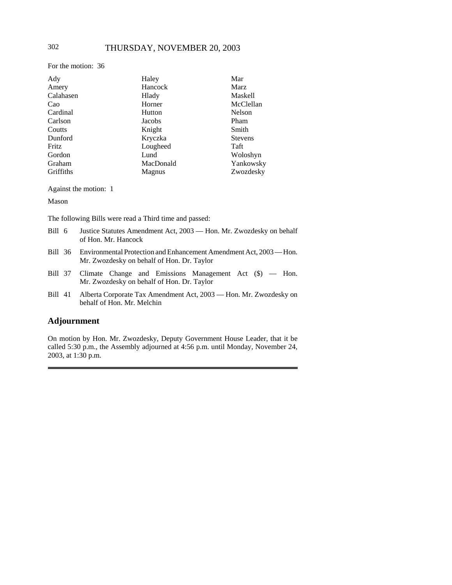For the motion: 36

| Ady       | Haley         | Mar            |
|-----------|---------------|----------------|
| Amery     | Hancock       | Marz           |
| Calahasen | Hlady         | Maskell        |
| Cao       | Horner        | McClellan      |
| Cardinal  | Hutton        | Nelson         |
| Carlson   | Jacobs        | Pham           |
| Coutts    | Knight        | Smith          |
| Dunford   | Kryczka       | <b>Stevens</b> |
| Fritz     | Lougheed      | Taft           |
| Gordon    | Lund          | Woloshyn       |
| Graham    | MacDonald     | Yankowsky      |
| Griffiths | <b>Magnus</b> | Zwozdesky      |

Against the motion: 1

Mason

The following Bills were read a Third time and passed:

- Bill 6 Justice Statutes Amendment Act, 2003 Hon. Mr. Zwozdesky on behalf of Hon. Mr. Hancock
- Bill 36 Environmental Protection and Enhancement Amendment Act, 2003 Hon. Mr. Zwozdesky on behalf of Hon. Dr. Taylor
- Bill 37 Climate Change and Emissions Management Act (\$) Hon. Mr. Zwozdesky on behalf of Hon. Dr. Taylor
- Bill 41 Alberta Corporate Tax Amendment Act, 2003 Hon. Mr. Zwozdesky on behalf of Hon. Mr. Melchin

### **Adjournment**

On motion by Hon. Mr. Zwozdesky, Deputy Government House Leader, that it be called 5:30 p.m., the Assembly adjourned at 4:56 p.m. until Monday, November 24, 2003, at 1:30 p.m.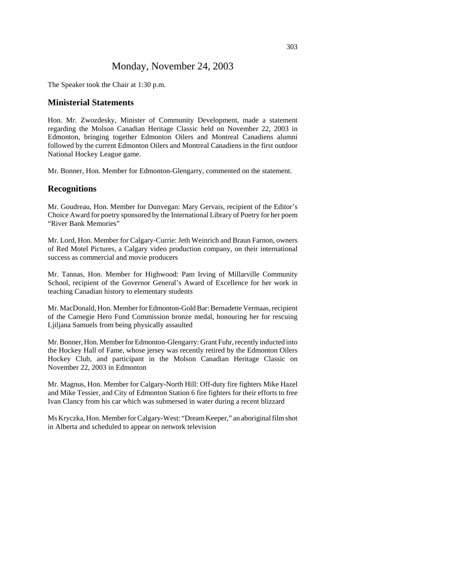# Monday, November 24, 2003

The Speaker took the Chair at 1:30 p.m.

### **Ministerial Statements**

Hon. Mr. Zwozdesky, Minister of Community Development, made a statement regarding the Molson Canadian Heritage Classic held on November 22, 2003 in Edmonton, bringing together Edmonton Oilers and Montreal Canadiens alumni followed by the current Edmonton Oilers and Montreal Canadiens in the first outdoor National Hockey League game.

Mr. Bonner, Hon. Member for Edmonton-Glengarry, commented on the statement.

### **Recognitions**

Mr. Goudreau, Hon. Member for Dunvegan: Mary Gervais, recipient of the Editor's Choice Award for poetry sponsored by the International Library of Poetry for her poem "River Bank Memories"

Mr. Lord, Hon. Member for Calgary-Currie: Jeth Weinrich and Braun Farnon, owners of Red Motel Pictures, a Calgary video production company, on their international success as commercial and movie producers

Mr. Tannas, Hon. Member for Highwood: Pam Irving of Millarville Community School, recipient of the Governor General's Award of Excellence for her work in teaching Canadian history to elementary students

Mr. MacDonald, Hon. Member for Edmonton-Gold Bar: Bernadette Vermaas, recipient of the Carnegie Hero Fund Commission bronze medal, honouring her for rescuing Ljiljana Samuels from being physically assaulted

Mr. Bonner, Hon. Member for Edmonton-Glengarry: Grant Fuhr, recently inducted into the Hockey Hall of Fame, whose jersey was recently retired by the Edmonton Oilers Hockey Club, and participant in the Molson Canadian Heritage Classic on November 22, 2003 in Edmonton

Mr. Magnus, Hon. Member for Calgary-North Hill: Off-duty fire fighters Mike Hazel and Mike Tessier, and City of Edmonton Station 6 fire fighters for their efforts to free Ivan Clancy from his car which was submersed in water during a recent blizzard

Ms Kryczka, Hon. Member for Calgary-West: "Dream Keeper," an aboriginal film shot in Alberta and scheduled to appear on network television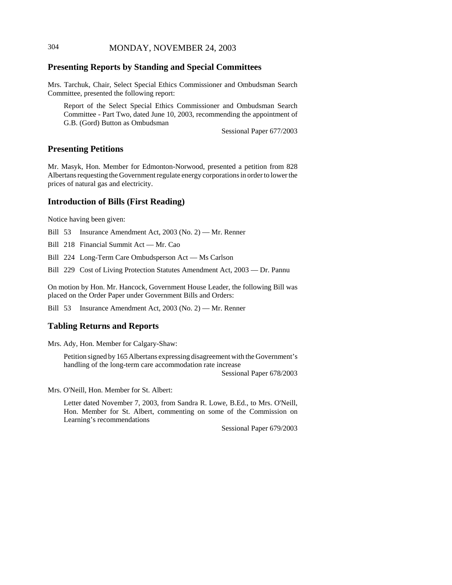# 304 MONDAY, NOVEMBER 24, 2003

# **Presenting Reports by Standing and Special Committees**

Mrs. Tarchuk, Chair, Select Special Ethics Commissioner and Ombudsman Search Committee, presented the following report:

Report of the Select Special Ethics Commissioner and Ombudsman Search Committee - Part Two, dated June 10, 2003, recommending the appointment of G.B. (Gord) Button as Ombudsman

Sessional Paper 677/2003

### **Presenting Petitions**

Mr. Masyk, Hon. Member for Edmonton-Norwood, presented a petition from 828 Albertans requesting the Government regulate energy corporations in order to lower the prices of natural gas and electricity.

### **Introduction of Bills (First Reading)**

Notice having been given:

Bill 53 Insurance Amendment Act, 2003 (No. 2) — Mr. Renner

Bill 218 Financial Summit Act — Mr. Cao

Bill 224 Long-Term Care Ombudsperson Act — Ms Carlson

Bill 229 Cost of Living Protection Statutes Amendment Act, 2003 — Dr. Pannu

On motion by Hon. Mr. Hancock, Government House Leader, the following Bill was placed on the Order Paper under Government Bills and Orders:

Bill 53 Insurance Amendment Act, 2003 (No. 2) — Mr. Renner

## **Tabling Returns and Reports**

Mrs. Ady, Hon. Member for Calgary-Shaw:

Petition signed by 165 Albertans expressing disagreement with the Government's handling of the long-term care accommodation rate increase

Sessional Paper 678/2003

Mrs. O'Neill, Hon. Member for St. Albert:

Letter dated November 7, 2003, from Sandra R. Lowe, B.Ed., to Mrs. O'Neill, Hon. Member for St. Albert, commenting on some of the Commission on Learning's recommendations

Sessional Paper 679/2003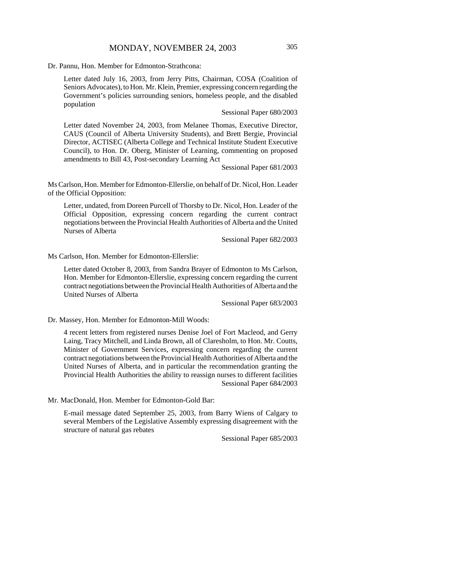Dr. Pannu, Hon. Member for Edmonton-Strathcona:

Letter dated July 16, 2003, from Jerry Pitts, Chairman, COSA (Coalition of Seniors Advocates), to Hon. Mr. Klein, Premier, expressing concern regarding the Government's policies surrounding seniors, homeless people, and the disabled population

Sessional Paper 680/2003

Letter dated November 24, 2003, from Melanee Thomas, Executive Director, CAUS (Council of Alberta University Students), and Brett Bergie, Provincial Director, ACTISEC (Alberta College and Technical Institute Student Executive Council), to Hon. Dr. Oberg, Minister of Learning, commenting on proposed amendments to Bill 43, Post-secondary Learning Act

Sessional Paper 681/2003

Ms Carlson, Hon. Member for Edmonton-Ellerslie, on behalf of Dr. Nicol, Hon. Leader of the Official Opposition:

Letter, undated, from Doreen Purcell of Thorsby to Dr. Nicol, Hon. Leader of the Official Opposition, expressing concern regarding the current contract negotiations between the Provincial Health Authorities of Alberta and the United Nurses of Alberta

Sessional Paper 682/2003

Ms Carlson, Hon. Member for Edmonton-Ellerslie:

Letter dated October 8, 2003, from Sandra Brayer of Edmonton to Ms Carlson, Hon. Member for Edmonton-Ellerslie, expressing concern regarding the current contract negotiations between the Provincial Health Authorities of Alberta and the United Nurses of Alberta

Sessional Paper 683/2003

Dr. Massey, Hon. Member for Edmonton-Mill Woods:

4 recent letters from registered nurses Denise Joel of Fort Macleod, and Gerry Laing, Tracy Mitchell, and Linda Brown, all of Claresholm, to Hon. Mr. Coutts, Minister of Government Services, expressing concern regarding the current contract negotiations between the Provincial Health Authorities of Alberta and the United Nurses of Alberta, and in particular the recommendation granting the Provincial Health Authorities the ability to reassign nurses to different facilities Sessional Paper 684/2003

Mr. MacDonald, Hon. Member for Edmonton-Gold Bar:

E-mail message dated September 25, 2003, from Barry Wiens of Calgary to several Members of the Legislative Assembly expressing disagreement with the structure of natural gas rebates

Sessional Paper 685/2003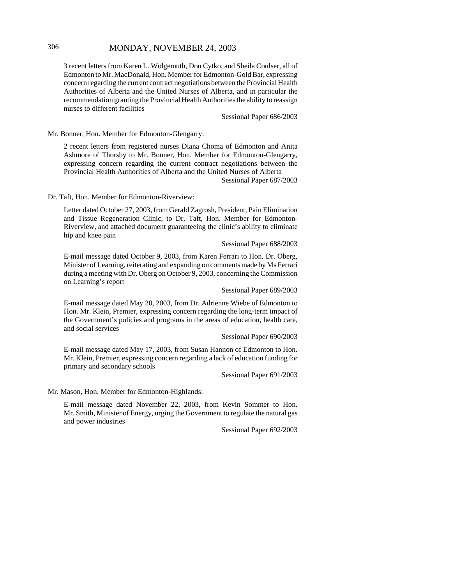# 306 MONDAY, NOVEMBER 24, 2003

3 recent letters from Karen L. Wolgemuth, Don Cytko, and Sheila Coulser, all of Edmonton to Mr. MacDonald, Hon. Member for Edmonton-Gold Bar, expressing concern regarding the current contract negotiations between the Provincial Health Authorities of Alberta and the United Nurses of Alberta, and in particular the recommendation granting the Provincial Health Authorities the ability to reassign nurses to different facilities

Sessional Paper 686/2003

Mr. Bonner, Hon. Member for Edmonton-Glengarry:

2 recent letters from registered nurses Diana Choma of Edmonton and Anita Ashmore of Thorsby to Mr. Bonner, Hon. Member for Edmonton-Glengarry, expressing concern regarding the current contract negotiations between the Provincial Health Authorities of Alberta and the United Nurses of Alberta

Sessional Paper 687/2003

Dr. Taft, Hon. Member for Edmonton-Riverview:

Letter dated October 27, 2003, from Gerald Zagrosh, President, Pain Elimination and Tissue Regeneration Clinic, to Dr. Taft, Hon. Member for Edmonton-Riverview, and attached document guaranteeing the clinic's ability to eliminate hip and knee pain

Sessional Paper 688/2003

E-mail message dated October 9, 2003, from Karen Ferrari to Hon. Dr. Oberg, Minister of Learning, reiterating and expanding on comments made by Ms Ferrari during a meeting with Dr. Oberg on October 9, 2003, concerning the Commission on Learning's report

Sessional Paper 689/2003

E-mail message dated May 20, 2003, from Dr. Adrienne Wiebe of Edmonton to Hon. Mr. Klein, Premier, expressing concern regarding the long-term impact of the Government's policies and programs in the areas of education, health care, and social services

#### Sessional Paper 690/2003

E-mail message dated May 17, 2003, from Susan Hannon of Edmonton to Hon. Mr. Klein, Premier, expressing concern regarding a lack of education funding for primary and secondary schools

Sessional Paper 691/2003

Mr. Mason, Hon. Member for Edmonton-Highlands:

E-mail message dated November 22, 2003, from Kevin Sommer to Hon. Mr. Smith, Minister of Energy, urging the Government to regulate the natural gas and power industries

Sessional Paper 692/2003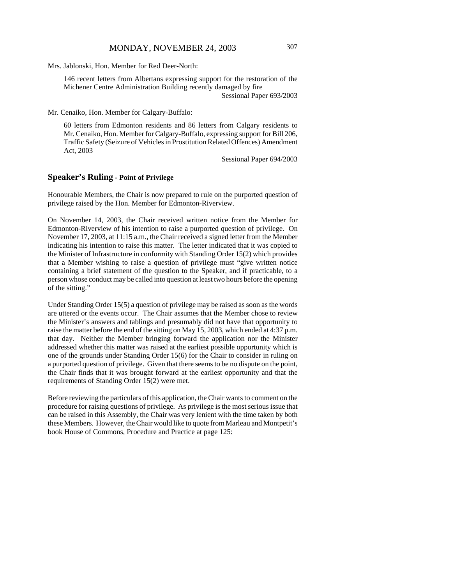Mrs. Jablonski, Hon. Member for Red Deer-North:

146 recent letters from Albertans expressing support for the restoration of the Michener Centre Administration Building recently damaged by fire

Sessional Paper 693/2003

Mr. Cenaiko, Hon. Member for Calgary-Buffalo:

60 letters from Edmonton residents and 86 letters from Calgary residents to Mr. Cenaiko, Hon. Member for Calgary-Buffalo, expressing support for Bill 206, Traffic Safety (Seizure of Vehicles in Prostitution Related Offences) Amendment Act, 2003

Sessional Paper 694/2003

### **Speaker's Ruling - Point of Privilege**

Honourable Members, the Chair is now prepared to rule on the purported question of privilege raised by the Hon. Member for Edmonton-Riverview.

On November 14, 2003, the Chair received written notice from the Member for Edmonton-Riverview of his intention to raise a purported question of privilege. On November 17, 2003, at 11:15 a.m., the Chair received a signed letter from the Member indicating his intention to raise this matter. The letter indicated that it was copied to the Minister of Infrastructure in conformity with Standing Order 15(2) which provides that a Member wishing to raise a question of privilege must "give written notice containing a brief statement of the question to the Speaker, and if practicable, to a person whose conduct may be called into question at least two hours before the opening of the sitting."

Under Standing Order 15(5) a question of privilege may be raised as soon as the words are uttered or the events occur. The Chair assumes that the Member chose to review the Minister's answers and tablings and presumably did not have that opportunity to raise the matter before the end of the sitting on May 15, 2003, which ended at 4:37 p.m. that day. Neither the Member bringing forward the application nor the Minister addressed whether this matter was raised at the earliest possible opportunity which is one of the grounds under Standing Order 15(6) for the Chair to consider in ruling on a purported question of privilege. Given that there seems to be no dispute on the point, the Chair finds that it was brought forward at the earliest opportunity and that the requirements of Standing Order 15(2) were met.

Before reviewing the particulars of this application, the Chair wants to comment on the procedure for raising questions of privilege. As privilege is the most serious issue that can be raised in this Assembly, the Chair was very lenient with the time taken by both these Members. However, the Chair would like to quote from Marleau and Montpetit's book House of Commons, Procedure and Practice at page 125: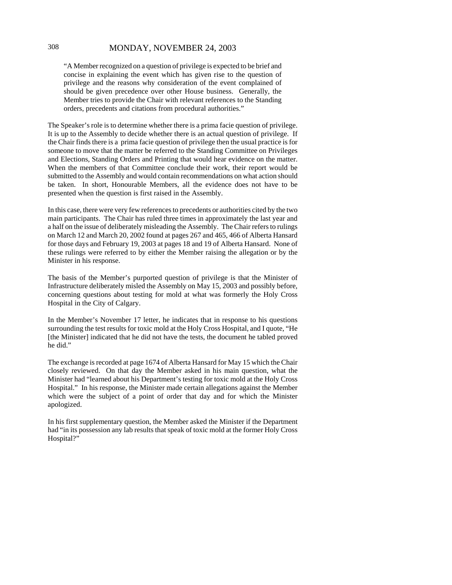## 308 MONDAY, NOVEMBER 24, 2003

"A Member recognized on a question of privilege is expected to be brief and concise in explaining the event which has given rise to the question of privilege and the reasons why consideration of the event complained of should be given precedence over other House business. Generally, the Member tries to provide the Chair with relevant references to the Standing orders, precedents and citations from procedural authorities."

The Speaker's role is to determine whether there is a prima facie question of privilege. It is up to the Assembly to decide whether there is an actual question of privilege. If the Chair finds there is a prima facie question of privilege then the usual practice is for someone to move that the matter be referred to the Standing Committee on Privileges and Elections, Standing Orders and Printing that would hear evidence on the matter. When the members of that Committee conclude their work, their report would be submitted to the Assembly and would contain recommendations on what action should be taken. In short, Honourable Members, all the evidence does not have to be presented when the question is first raised in the Assembly.

In this case, there were very few references to precedents or authorities cited by the two main participants. The Chair has ruled three times in approximately the last year and a half on the issue of deliberately misleading the Assembly. The Chair refers to rulings on March 12 and March 20, 2002 found at pages 267 and 465, 466 of Alberta Hansard for those days and February 19, 2003 at pages 18 and 19 of Alberta Hansard. None of these rulings were referred to by either the Member raising the allegation or by the Minister in his response.

The basis of the Member's purported question of privilege is that the Minister of Infrastructure deliberately misled the Assembly on May 15, 2003 and possibly before, concerning questions about testing for mold at what was formerly the Holy Cross Hospital in the City of Calgary.

In the Member's November 17 letter, he indicates that in response to his questions surrounding the test results for toxic mold at the Holy Cross Hospital, and I quote, "He [the Minister] indicated that he did not have the tests, the document he tabled proved he did."

The exchange is recorded at page 1674 of Alberta Hansard for May 15 which the Chair closely reviewed. On that day the Member asked in his main question, what the Minister had "learned about his Department's testing for toxic mold at the Holy Cross Hospital." In his response, the Minister made certain allegations against the Member which were the subject of a point of order that day and for which the Minister apologized.

In his first supplementary question, the Member asked the Minister if the Department had "in its possession any lab results that speak of toxic mold at the former Holy Cross Hospital?"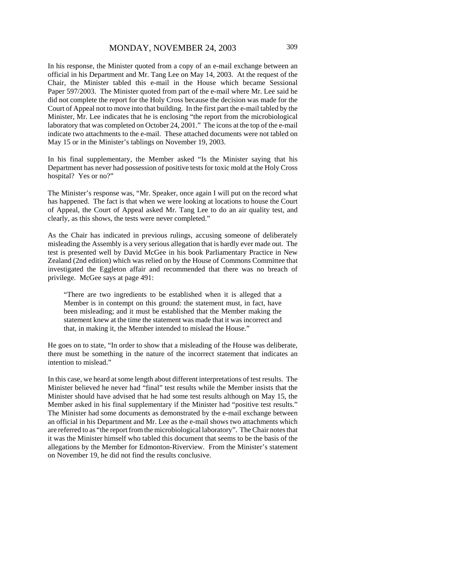In his response, the Minister quoted from a copy of an e-mail exchange between an official in his Department and Mr. Tang Lee on May 14, 2003. At the request of the Chair, the Minister tabled this e-mail in the House which became Sessional Paper 597/2003. The Minister quoted from part of the e-mail where Mr. Lee said he did not complete the report for the Holy Cross because the decision was made for the Court of Appeal not to move into that building. In the first part the e-mail tabled by the Minister, Mr. Lee indicates that he is enclosing "the report from the microbiological laboratory that was completed on October 24, 2001." The icons at the top of the e-mail indicate two attachments to the e-mail. These attached documents were not tabled on May 15 or in the Minister's tablings on November 19, 2003.

In his final supplementary, the Member asked "Is the Minister saying that his Department has never had possession of positive tests for toxic mold at the Holy Cross hospital? Yes or no?"

The Minister's response was, "Mr. Speaker, once again I will put on the record what has happened. The fact is that when we were looking at locations to house the Court of Appeal, the Court of Appeal asked Mr. Tang Lee to do an air quality test, and clearly, as this shows, the tests were never completed."

As the Chair has indicated in previous rulings, accusing someone of deliberately misleading the Assembly is a very serious allegation that is hardly ever made out. The test is presented well by David McGee in his book Parliamentary Practice in New Zealand (2nd edition) which was relied on by the House of Commons Committee that investigated the Eggleton affair and recommended that there was no breach of privilege. McGee says at page 491:

"There are two ingredients to be established when it is alleged that a Member is in contempt on this ground: the statement must, in fact, have been misleading; and it must be established that the Member making the statement knew at the time the statement was made that it was incorrect and that, in making it, the Member intended to mislead the House."

He goes on to state, "In order to show that a misleading of the House was deliberate, there must be something in the nature of the incorrect statement that indicates an intention to mislead."

In this case, we heard at some length about different interpretations of test results. The Minister believed he never had "final" test results while the Member insists that the Minister should have advised that he had some test results although on May 15, the Member asked in his final supplementary if the Minister had "positive test results." The Minister had some documents as demonstrated by the e-mail exchange between an official in his Department and Mr. Lee as the e-mail shows two attachments which are referred to as "the report from the microbiological laboratory". The Chair notes that it was the Minister himself who tabled this document that seems to be the basis of the allegations by the Member for Edmonton-Riverview. From the Minister's statement on November 19, he did not find the results conclusive.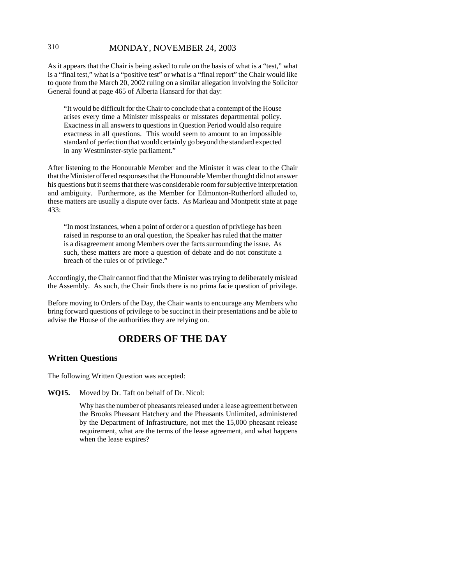# 310 MONDAY, NOVEMBER 24, 2003

As it appears that the Chair is being asked to rule on the basis of what is a "test," what is a "final test," what is a "positive test" or what is a "final report" the Chair would like to quote from the March 20, 2002 ruling on a similar allegation involving the Solicitor General found at page 465 of Alberta Hansard for that day:

"It would be difficult for the Chair to conclude that a contempt of the House arises every time a Minister misspeaks or misstates departmental policy. Exactness in all answers to questions in Question Period would also require exactness in all questions. This would seem to amount to an impossible standard of perfection that would certainly go beyond the standard expected in any Westminster-style parliament."

After listening to the Honourable Member and the Minister it was clear to the Chair that the Minister offered responses that the Honourable Member thought did not answer his questions but it seems that there was considerable room for subjective interpretation and ambiguity. Furthermore, as the Member for Edmonton-Rutherford alluded to, these matters are usually a dispute over facts. As Marleau and Montpetit state at page 433:

"In most instances, when a point of order or a question of privilege has been raised in response to an oral question, the Speaker has ruled that the matter is a disagreement among Members over the facts surrounding the issue. As such, these matters are more a question of debate and do not constitute a breach of the rules or of privilege."

Accordingly, the Chair cannot find that the Minister was trying to deliberately mislead the Assembly. As such, the Chair finds there is no prima facie question of privilege.

Before moving to Orders of the Day, the Chair wants to encourage any Members who bring forward questions of privilege to be succinct in their presentations and be able to advise the House of the authorities they are relying on.

# **ORDERS OF THE DAY**

# **Written Questions**

The following Written Question was accepted:

**WQ15.** Moved by Dr. Taft on behalf of Dr. Nicol:

Why has the number of pheasants released under a lease agreement between the Brooks Pheasant Hatchery and the Pheasants Unlimited, administered by the Department of Infrastructure, not met the 15,000 pheasant release requirement, what are the terms of the lease agreement, and what happens when the lease expires?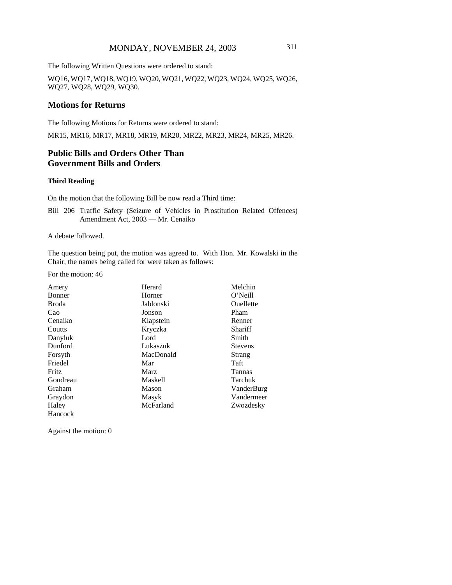# MONDAY, NOVEMBER 24, 2003 311

The following Written Questions were ordered to stand:

WQ16, WQ17, WQ18, WQ19, WQ20, WQ21, WQ22, WQ23, WQ24, WQ25, WQ26, WQ27, WQ28, WQ29, WQ30.

### **Motions for Returns**

The following Motions for Returns were ordered to stand:

MR15, MR16, MR17, MR18, MR19, MR20, MR22, MR23, MR24, MR25, MR26.

## **Public Bills and Orders Other Than Government Bills and Orders**

#### **Third Reading**

On the motion that the following Bill be now read a Third time:

Bill 206 Traffic Safety (Seizure of Vehicles in Prostitution Related Offences) Amendment Act, 2003 — Mr. Cenaiko

A debate followed.

The question being put, the motion was agreed to. With Hon. Mr. Kowalski in the Chair, the names being called for were taken as follows:

For the motion: 46

| Amery    | Herard         | Melchin          |
|----------|----------------|------------------|
| Bonner   | Horner         | O'Neill          |
| Broda    | Jablonski      | <b>Ouellette</b> |
| Cao      | Jonson         | Pham             |
| Cenaiko  | Klapstein      | Renner           |
| Coutts   | Kryczka        | Shariff          |
| Danyluk  | Lord           | Smith            |
| Dunford  | Lukaszuk       | <b>Stevens</b>   |
| Forsyth  | MacDonald      | Strang           |
| Friedel  | Mar            | Taft             |
| Fritz    | Marz           | Tannas           |
| Goudreau | <b>Maskell</b> | Tarchuk          |
| Graham   | Mason          | VanderBurg       |
| Graydon  | Masyk          | Vandermeer       |
| Haley    | McFarland      | Zwozdesky        |
| Hancock  |                |                  |

Against the motion: 0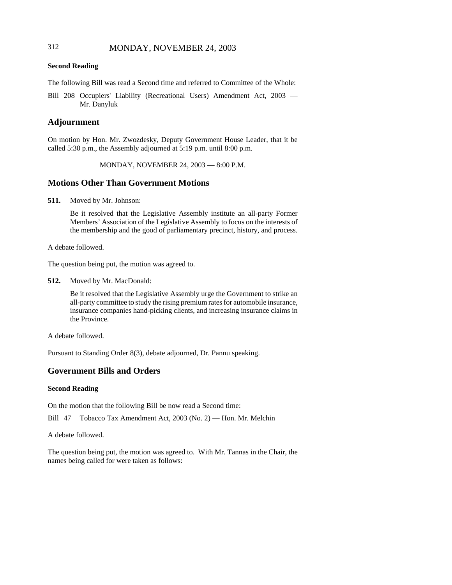# 312 MONDAY, NOVEMBER 24, 2003

#### **Second Reading**

The following Bill was read a Second time and referred to Committee of the Whole:

Bill 208 Occupiers' Liability (Recreational Users) Amendment Act, 2003 — Mr. Danyluk

## **Adjournment**

On motion by Hon. Mr. Zwozdesky, Deputy Government House Leader, that it be called 5:30 p.m., the Assembly adjourned at 5:19 p.m. until 8:00 p.m.

MONDAY, NOVEMBER 24, 2003 — 8:00 P.M.

### **Motions Other Than Government Motions**

**511.** Moved by Mr. Johnson:

Be it resolved that the Legislative Assembly institute an all-party Former Members' Association of the Legislative Assembly to focus on the interests of the membership and the good of parliamentary precinct, history, and process.

A debate followed.

The question being put, the motion was agreed to.

**512.** Moved by Mr. MacDonald:

Be it resolved that the Legislative Assembly urge the Government to strike an all-party committee to study the rising premium rates for automobile insurance, insurance companies hand-picking clients, and increasing insurance claims in the Province.

A debate followed.

Pursuant to Standing Order 8(3), debate adjourned, Dr. Pannu speaking.

### **Government Bills and Orders**

#### **Second Reading**

On the motion that the following Bill be now read a Second time:

Bill 47 Tobacco Tax Amendment Act, 2003 (No. 2) — Hon. Mr. Melchin

A debate followed.

The question being put, the motion was agreed to. With Mr. Tannas in the Chair, the names being called for were taken as follows: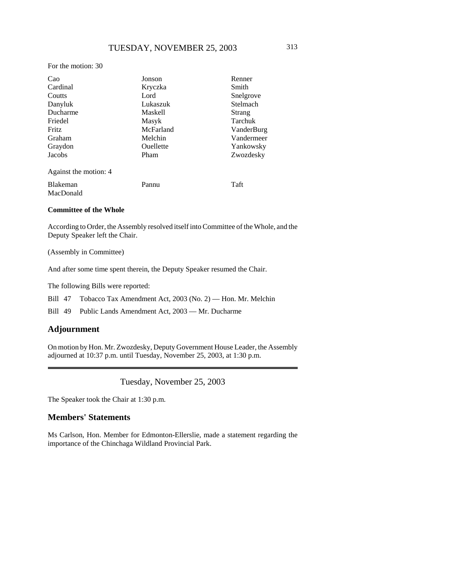#### For the motion: 30

| Cao                   | Jonson    | Renner     |
|-----------------------|-----------|------------|
| Cardinal              | Kryczka   | Smith      |
| Coutts                | Lord      | Snelgrove  |
| Danyluk               | Lukaszuk  | Stelmach   |
| Ducharme              | Maskell   | Strang     |
| Friedel               | Masyk     | Tarchuk    |
| <b>Fritz</b>          | McFarland | VanderBurg |
| Graham                | Melchin   | Vandermeer |
| Graydon               | Ouellette | Yankowsky  |
| Jacobs                | Pham      | Zwozdesky  |
| Against the motion: 4 |           |            |
| <b>Blakeman</b>       | Pannu     | Taft       |
| MacDonald             |           |            |

#### **Committee of the Whole**

According to Order, the Assembly resolved itself into Committee of the Whole, and the Deputy Speaker left the Chair.

(Assembly in Committee)

And after some time spent therein, the Deputy Speaker resumed the Chair.

The following Bills were reported:

Bill 47 Tobacco Tax Amendment Act, 2003 (No. 2) — Hon. Mr. Melchin

Bill 49 Public Lands Amendment Act, 2003 — Mr. Ducharme

### **Adjournment**

On motion by Hon. Mr. Zwozdesky, Deputy Government House Leader, the Assembly adjourned at 10:37 p.m. until Tuesday, November 25, 2003, at 1:30 p.m.

Tuesday, November 25, 2003

The Speaker took the Chair at 1:30 p.m.

### **Members' Statements**

Ms Carlson, Hon. Member for Edmonton-Ellerslie, made a statement regarding the importance of the Chinchaga Wildland Provincial Park.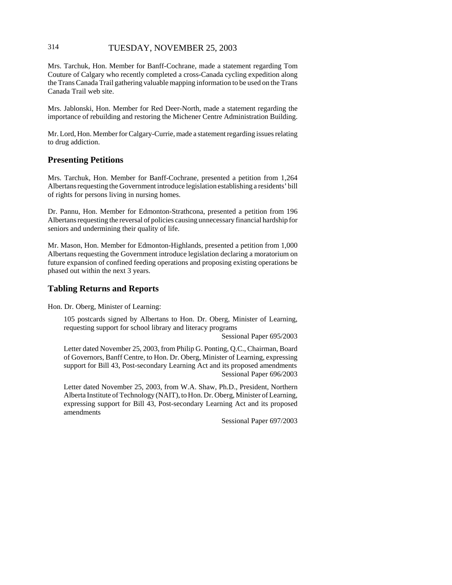# 314 TUESDAY, NOVEMBER 25, 2003

Mrs. Tarchuk, Hon. Member for Banff-Cochrane, made a statement regarding Tom Couture of Calgary who recently completed a cross-Canada cycling expedition along the Trans Canada Trail gathering valuable mapping information to be used on the Trans Canada Trail web site.

Mrs. Jablonski, Hon. Member for Red Deer-North, made a statement regarding the importance of rebuilding and restoring the Michener Centre Administration Building.

Mr. Lord, Hon. Member for Calgary-Currie, made a statement regarding issues relating to drug addiction.

# **Presenting Petitions**

Mrs. Tarchuk, Hon. Member for Banff-Cochrane, presented a petition from 1,264 Albertans requesting the Government introduce legislation establishing a residents' bill of rights for persons living in nursing homes.

Dr. Pannu, Hon. Member for Edmonton-Strathcona, presented a petition from 196 Albertans requesting the reversal of policies causing unnecessary financial hardship for seniors and undermining their quality of life.

Mr. Mason, Hon. Member for Edmonton-Highlands, presented a petition from 1,000 Albertans requesting the Government introduce legislation declaring a moratorium on future expansion of confined feeding operations and proposing existing operations be phased out within the next 3 years.

## **Tabling Returns and Reports**

Hon. Dr. Oberg, Minister of Learning:

105 postcards signed by Albertans to Hon. Dr. Oberg, Minister of Learning, requesting support for school library and literacy programs

Sessional Paper 695/2003

Letter dated November 25, 2003, from Philip G. Ponting, Q.C., Chairman, Board of Governors, Banff Centre, to Hon. Dr. Oberg, Minister of Learning, expressing support for Bill 43, Post-secondary Learning Act and its proposed amendments Sessional Paper 696/2003

Letter dated November 25, 2003, from W.A. Shaw, Ph.D., President, Northern Alberta Institute of Technology (NAIT), to Hon. Dr. Oberg, Minister of Learning, expressing support for Bill 43, Post-secondary Learning Act and its proposed amendments

Sessional Paper 697/2003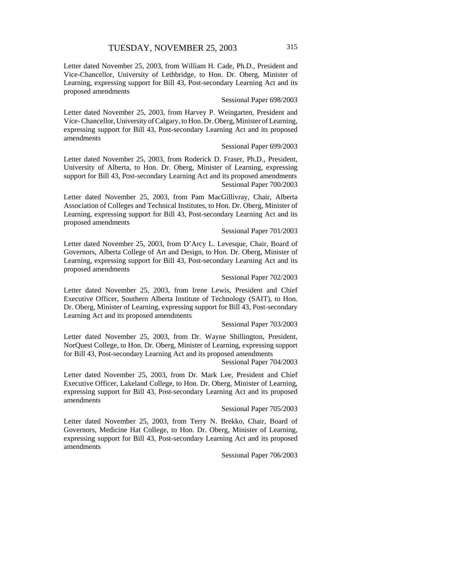Letter dated November 25, 2003, from William H. Cade, Ph.D., President and Vice-Chancellor, University of Lethbridge, to Hon. Dr. Oberg, Minister of Learning, expressing support for Bill 43, Post-secondary Learning Act and its proposed amendments

#### Sessional Paper 698/2003

Letter dated November 25, 2003, from Harvey P. Weingarten, President and Vice- Chancellor, University of Calgary, to Hon. Dr. Oberg, Minister of Learning, expressing support for Bill 43, Post-secondary Learning Act and its proposed amendments

#### Sessional Paper 699/2003

Letter dated November 25, 2003, from Roderick D. Fraser, Ph.D., President, University of Alberta, to Hon. Dr. Oberg, Minister of Learning, expressing support for Bill 43, Post-secondary Learning Act and its proposed amendments Sessional Paper 700/2003

Letter dated November 25, 2003, from Pam MacGillivray, Chair, Alberta Association of Colleges and Technical Institutes, to Hon. Dr. Oberg, Minister of Learning, expressing support for Bill 43, Post-secondary Learning Act and its proposed amendments

### Sessional Paper 701/2003

Letter dated November 25, 2003, from D'Arcy L. Levesque, Chair, Board of Governors, Alberta College of Art and Design, to Hon. Dr. Oberg, Minister of Learning, expressing support for Bill 43, Post-secondary Learning Act and its proposed amendments

#### Sessional Paper 702/2003

Letter dated November 25, 2003, from Irene Lewis, President and Chief Executive Officer, Southern Alberta Institute of Technology (SAIT), to Hon. Dr. Oberg, Minister of Learning, expressing support for Bill 43, Post-secondary Learning Act and its proposed amendments

#### Sessional Paper 703/2003

Letter dated November 25, 2003, from Dr. Wayne Shillington, President, NorQuest College, to Hon. Dr. Oberg, Minister of Learning, expressing support for Bill 43, Post-secondary Learning Act and its proposed amendments

Sessional Paper 704/2003

Letter dated November 25, 2003, from Dr. Mark Lee, President and Chief Executive Officer, Lakeland College, to Hon. Dr. Oberg, Minister of Learning, expressing support for Bill 43, Post-secondary Learning Act and its proposed amendments

#### Sessional Paper 705/2003

Letter dated November 25, 2003, from Terry N. Brekko, Chair, Board of Governors, Medicine Hat College, to Hon. Dr. Oberg, Minister of Learning, expressing support for Bill 43, Post-secondary Learning Act and its proposed amendments

Sessional Paper 706/2003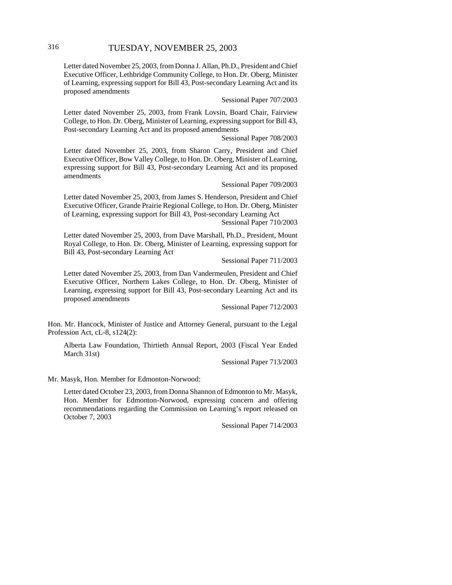Letter dated November 25, 2003, from Donna J. Allan, Ph.D., President and Chief Executive Officer, Lethbridge Community College, to Hon. Dr. Oberg, Minister of Learning, expressing support for Bill 43, Post-secondary Learning Act and its proposed amendments

Sessional Paper 707/2003

Letter dated November 25, 2003, from Frank Lovsin, Board Chair, Fairview College, to Hon. Dr. Oberg, Minister of Learning, expressing support for Bill 43, Post-secondary Learning Act and its proposed amendments

Sessional Paper 708/2003

Letter dated November 25, 2003, from Sharon Carry, President and Chief Executive Officer, Bow Valley College, to Hon. Dr. Oberg, Minister of Learning, expressing support for Bill 43, Post-secondary Learning Act and its proposed amendments

Sessional Paper 709/2003

Letter dated November 25, 2003, from James S. Henderson, President and Chief Executive Officer, Grande Prairie Regional College, to Hon. Dr. Oberg, Minister of Learning, expressing support for Bill 43, Post-secondary Learning Act Sessional Paper 710/2003

Letter dated November 25, 2003, from Dave Marshall, Ph.D., President, Mount Royal College, to Hon. Dr. Oberg, Minister of Learning, expressing support for Bill 43, Post-secondary Learning Act

Sessional Paper 711/2003

Letter dated November 25, 2003, from Dan Vandermeulen, President and Chief Executive Officer, Northern Lakes College, to Hon. Dr. Oberg, Minister of Learning, expressing support for Bill 43, Post-secondary Learning Act and its proposed amendments

Sessional Paper 712/2003

Hon. Mr. Hancock, Minister of Justice and Attorney General, pursuant to the Legal Profession Act, cL-8, s124(2):

Alberta Law Foundation, Thirtieth Annual Report, 2003 (Fiscal Year Ended March 31st)

Sessional Paper 713/2003

Mr. Masyk, Hon. Member for Edmonton-Norwood:

Letter dated October 23, 2003, from Donna Shannon of Edmonton to Mr. Masyk, Hon. Member for Edmonton-Norwood, expressing concern and offering recommendations regarding the Commission on Learning's report released on October 7, 2003

Sessional Paper 714/2003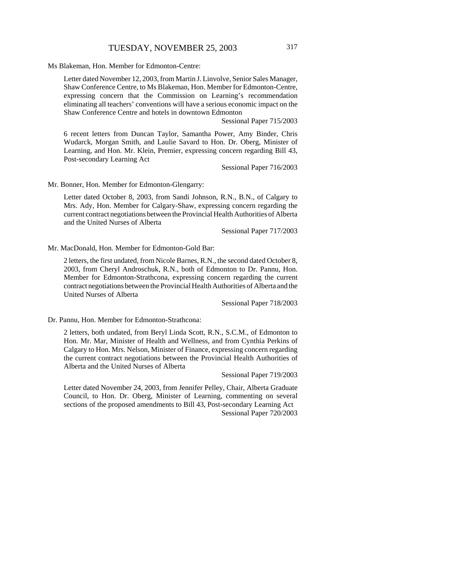Ms Blakeman, Hon. Member for Edmonton-Centre:

Letter dated November 12, 2003, from Martin J. Linvolve, Senior Sales Manager, Shaw Conference Centre, to Ms Blakeman, Hon. Member for Edmonton-Centre, expressing concern that the Commission on Learning's recommendation eliminating all teachers' conventions will have a serious economic impact on the Shaw Conference Centre and hotels in downtown Edmonton

Sessional Paper 715/2003

6 recent letters from Duncan Taylor, Samantha Power, Amy Binder, Chris Wudarck, Morgan Smith, and Laulie Savard to Hon. Dr. Oberg, Minister of Learning, and Hon. Mr. Klein, Premier, expressing concern regarding Bill 43, Post-secondary Learning Act

Sessional Paper 716/2003

Mr. Bonner, Hon. Member for Edmonton-Glengarry:

Letter dated October 8, 2003, from Sandi Johnson, R.N., B.N., of Calgary to Mrs. Ady, Hon. Member for Calgary-Shaw, expressing concern regarding the current contract negotiations between the Provincial Health Authorities of Alberta and the United Nurses of Alberta

Sessional Paper 717/2003

Mr. MacDonald, Hon. Member for Edmonton-Gold Bar:

2 letters, the first undated, from Nicole Barnes, R.N., the second dated October 8, 2003, from Cheryl Androschuk, R.N., both of Edmonton to Dr. Pannu, Hon. Member for Edmonton-Strathcona, expressing concern regarding the current contract negotiations between the Provincial Health Authorities of Alberta and the United Nurses of Alberta

Sessional Paper 718/2003

Dr. Pannu, Hon. Member for Edmonton-Strathcona:

2 letters, both undated, from Beryl Linda Scott, R.N., S.C.M., of Edmonton to Hon. Mr. Mar, Minister of Health and Wellness, and from Cynthia Perkins of Calgary to Hon. Mrs. Nelson, Minister of Finance, expressing concern regarding the current contract negotiations between the Provincial Health Authorities of Alberta and the United Nurses of Alberta

Sessional Paper 719/2003

Letter dated November 24, 2003, from Jennifer Pelley, Chair, Alberta Graduate Council, to Hon. Dr. Oberg, Minister of Learning, commenting on several sections of the proposed amendments to Bill 43, Post-secondary Learning Act Sessional Paper 720/2003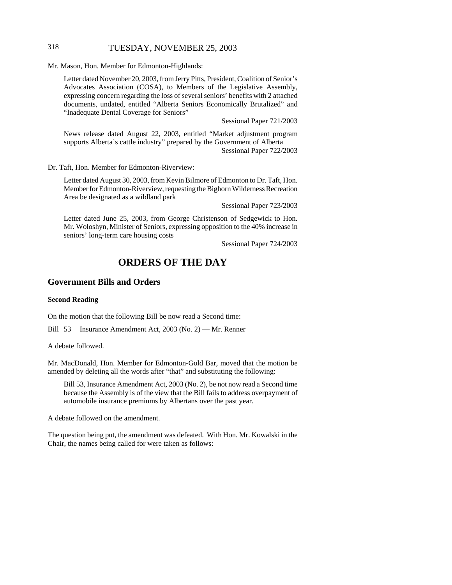# 318 TUESDAY, NOVEMBER 25, 2003

Mr. Mason, Hon. Member for Edmonton-Highlands:

Letter dated November 20, 2003, from Jerry Pitts, President, Coalition of Senior's Advocates Association (COSA), to Members of the Legislative Assembly, expressing concern regarding the loss of several seniors' benefits with 2 attached documents, undated, entitled "Alberta Seniors Economically Brutalized" and "Inadequate Dental Coverage for Seniors"

Sessional Paper 721/2003

News release dated August 22, 2003, entitled "Market adjustment program supports Alberta's cattle industry" prepared by the Government of Alberta Sessional Paper 722/2003

Dr. Taft, Hon. Member for Edmonton-Riverview:

Letter dated August 30, 2003, from Kevin Bilmore of Edmonton to Dr. Taft, Hon. Member for Edmonton-Riverview, requesting the Bighorn Wilderness Recreation Area be designated as a wildland park

Sessional Paper 723/2003

Letter dated June 25, 2003, from George Christenson of Sedgewick to Hon. Mr. Woloshyn, Minister of Seniors, expressing opposition to the 40% increase in seniors' long-term care housing costs

Sessional Paper 724/2003

# **ORDERS OF THE DAY**

### **Government Bills and Orders**

#### **Second Reading**

On the motion that the following Bill be now read a Second time:

Bill 53 Insurance Amendment Act, 2003 (No. 2) — Mr. Renner

A debate followed.

Mr. MacDonald, Hon. Member for Edmonton-Gold Bar, moved that the motion be amended by deleting all the words after "that" and substituting the following:

Bill 53, Insurance Amendment Act, 2003 (No. 2), be not now read a Second time because the Assembly is of the view that the Bill fails to address overpayment of automobile insurance premiums by Albertans over the past year.

A debate followed on the amendment.

The question being put, the amendment was defeated. With Hon. Mr. Kowalski in the Chair, the names being called for were taken as follows: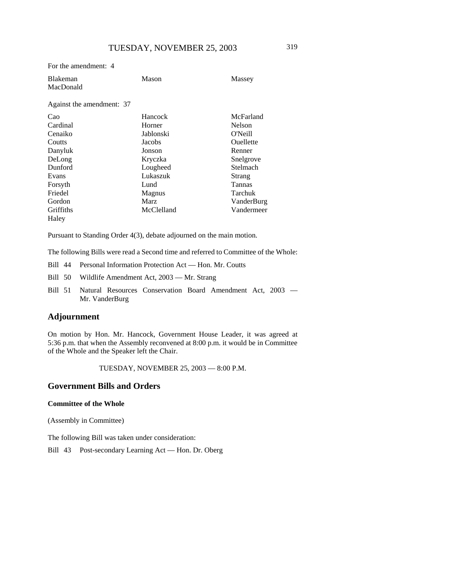| For the amendment: 4         |                |               |
|------------------------------|----------------|---------------|
| <b>Blakeman</b><br>MacDonald | Mason          | Massey        |
| Against the amendment: 37    |                |               |
| Cao                          | <b>Hancock</b> | McFarland     |
| Cardinal                     | Horner         | <b>Nelson</b> |
| Cenaiko                      | Jablonski      | O'Neill       |
| Coutts                       | Jacobs         | Ouellette     |
| Danyluk                      | Jonson         | Renner        |
| DeLong                       | Kryczka        | Snelgrove     |
| Dunford                      | Lougheed       | Stelmach      |
| Evans                        | Lukaszuk       | Strang        |
| Forsyth                      | Lund           | Tannas        |
| Friedel                      | Magnus         | Tarchuk       |
| Gordon                       | Marz           | VanderBurg    |
| Griffiths                    | McClelland     | Vandermeer    |
| Haley                        |                |               |

Pursuant to Standing Order 4(3), debate adjourned on the main motion.

The following Bills were read a Second time and referred to Committee of the Whole:

- Bill 44 Personal Information Protection Act Hon. Mr. Coutts
- Bill 50 Wildlife Amendment Act, 2003 Mr. Strang
- Bill 51 Natural Resources Conservation Board Amendment Act, 2003 Mr. VanderBurg

# **Adjournment**

On motion by Hon. Mr. Hancock, Government House Leader, it was agreed at 5:36 p.m. that when the Assembly reconvened at 8:00 p.m. it would be in Committee of the Whole and the Speaker left the Chair.

TUESDAY, NOVEMBER 25, 2003 — 8:00 P.M.

### **Government Bills and Orders**

#### **Committee of the Whole**

(Assembly in Committee)

The following Bill was taken under consideration:

Bill 43 Post-secondary Learning Act — Hon. Dr. Oberg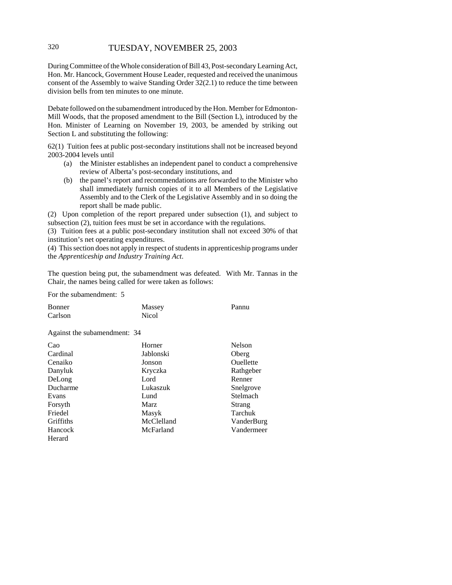# 320 TUESDAY, NOVEMBER 25, 2003

During Committee of the Whole consideration of Bill 43, Post-secondary Learning Act, Hon. Mr. Hancock, Government House Leader, requested and received the unanimous consent of the Assembly to waive Standing Order 32(2.1) to reduce the time between division bells from ten minutes to one minute.

Debate followed on the subamendment introduced by the Hon. Member for Edmonton-Mill Woods, that the proposed amendment to the Bill (Section L), introduced by the Hon. Minister of Learning on November 19, 2003, be amended by striking out Section L and substituting the following:

62(1) Tuition fees at public post-secondary institutions shall not be increased beyond 2003-2004 levels until

- (a) the Minister establishes an independent panel to conduct a comprehensive review of Alberta's post-secondary institutions, and
- (b) the panel's report and recommendations are forwarded to the Minister who shall immediately furnish copies of it to all Members of the Legislative Assembly and to the Clerk of the Legislative Assembly and in so doing the report shall be made public.

(2) Upon completion of the report prepared under subsection (1), and subject to subsection (2), tuition fees must be set in accordance with the regulations.

(3) Tuition fees at a public post-secondary institution shall not exceed 30% of that institution's net operating expenditures.

(4) This section does not apply in respect of students in apprenticeship programs under the *Apprenticeship and Industry Training Act*.

The question being put, the subamendment was defeated. With Mr. Tannas in the Chair, the names being called for were taken as follows:

For the subamendment: 5

| Bonner  | Massey | Pannu |
|---------|--------|-------|
| Carlson | Nicol  |       |

Against the subamendment: 34

| Cao       | Horner     | Nelson     |
|-----------|------------|------------|
| Cardinal  | Jablonski  | Oberg      |
| Cenaiko   | Jonson     | Ouellette  |
| Danyluk   | Kryczka    | Rathgeber  |
| DeLong    | Lord       | Renner     |
| Ducharme  | Lukaszuk   | Snelgrove  |
| Evans     | Lund       | Stelmach   |
| Forsyth   | Marz       | Strang     |
| Friedel   | Masyk      | Tarchuk    |
| Griffiths | McClelland | VanderBurg |
| Hancock   | McFarland  | Vandermeer |
| Herard    |            |            |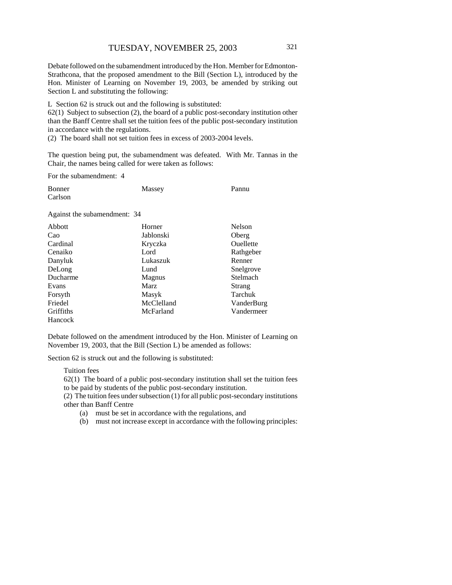Debate followed on the subamendment introduced by the Hon. Member for Edmonton-Strathcona, that the proposed amendment to the Bill (Section L), introduced by the Hon. Minister of Learning on November 19, 2003, be amended by striking out Section L and substituting the following:

L Section 62 is struck out and the following is substituted:

62(1) Subject to subsection (2), the board of a public post-secondary institution other than the Banff Centre shall set the tuition fees of the public post-secondary institution in accordance with the regulations.

(2) The board shall not set tuition fees in excess of 2003-2004 levels.

The question being put, the subamendment was defeated. With Mr. Tannas in the Chair, the names being called for were taken as follows:

For the subamendment: 4

| Bonner  | Massey | Pannu |
|---------|--------|-------|
| Carlson |        |       |

Against the subamendment: 34

| Abbott    | Horner        | Nelson     |
|-----------|---------------|------------|
| Cao       | Jablonski     | Oberg      |
| Cardinal  | Kryczka       | Ouellette  |
| Cenaiko   | Lord          | Rathgeber  |
| Danyluk   | Lukaszuk      | Renner     |
| DeLong    | Lund          | Snelgrove  |
| Ducharme  | <b>Magnus</b> | Stelmach   |
| Evans     | Marz          | Strang     |
| Forsyth   | Masyk         | Tarchuk    |
| Friedel   | McClelland    | VanderBurg |
| Griffiths | McFarland     | Vandermeer |
| Hancock   |               |            |

Debate followed on the amendment introduced by the Hon. Minister of Learning on November 19, 2003, that the Bill (Section L) be amended as follows:

Section 62 is struck out and the following is substituted:

Tuition fees

62(1) The board of a public post-secondary institution shall set the tuition fees to be paid by students of the public post-secondary institution.

(2) The tuition fees under subsection (1) for all public post-secondary institutions other than Banff Centre

(a) must be set in accordance with the regulations, and

(b) must not increase except in accordance with the following principles: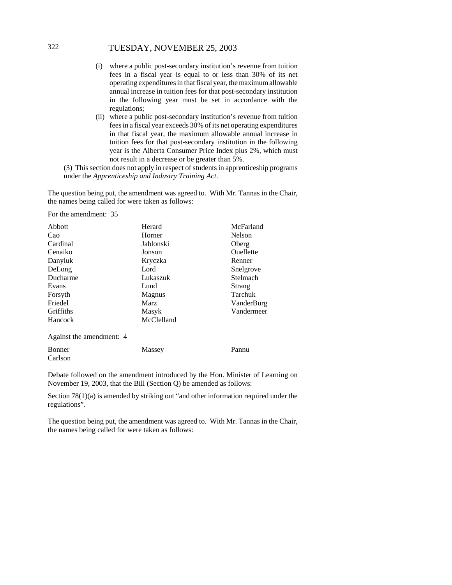# 322 TUESDAY, NOVEMBER 25, 2003

- (i) where a public post-secondary institution's revenue from tuition fees in a fiscal year is equal to or less than 30% of its net operating expenditures in that fiscal year, the maximum allowable annual increase in tuition fees for that post-secondary institution in the following year must be set in accordance with the regulations;
- (ii) where a public post-secondary institution's revenue from tuition fees in a fiscal year exceeds 30% of its net operating expenditures in that fiscal year, the maximum allowable annual increase in tuition fees for that post-secondary institution in the following year is the Alberta Consumer Price Index plus 2%, which must not result in a decrease or be greater than 5%.

(3) This section does not apply in respect of students in apprenticeship programs under the *Apprenticeship and Industry Training Act*.

The question being put, the amendment was agreed to. With Mr. Tannas in the Chair, the names being called for were taken as follows:

For the amendment: 35

| Abbott                   | Herard      | McFarland        |
|--------------------------|-------------|------------------|
| Cao                      | Horner      | Nelson           |
| Cardinal                 | Jablonski   | Oberg            |
| Cenaiko                  | Jonson      | <b>Ouellette</b> |
| Danyluk                  | Kryczka     | Renner           |
| DeLong                   | Lord        | Snelgrove        |
| Ducharme                 | Lukaszuk    | Stelmach         |
| Evans                    | Lund        | Strang           |
| Forsyth                  | Magnus      | Tarchuk          |
| Friedel                  | <b>Marz</b> | VanderBurg       |
| Griffiths                | Masyk       | Vandermeer       |
| Hancock                  | McClelland  |                  |
| Against the amendment: 4 |             |                  |

| Bonner  | Massey | Pannu |
|---------|--------|-------|
| Carlson |        |       |

Debate followed on the amendment introduced by the Hon. Minister of Learning on November 19, 2003, that the Bill (Section Q) be amended as follows:

Section 78(1)(a) is amended by striking out "and other information required under the regulations".

The question being put, the amendment was agreed to. With Mr. Tannas in the Chair, the names being called for were taken as follows: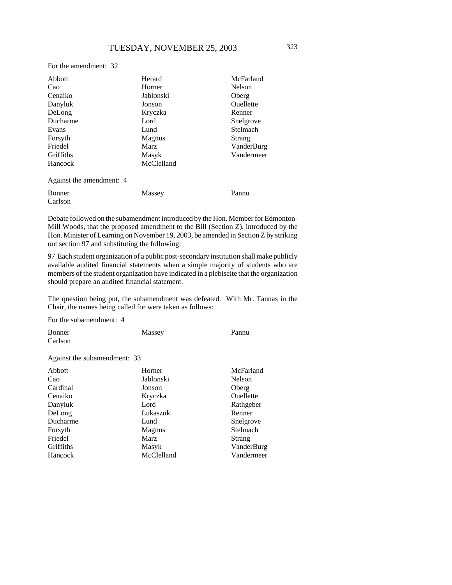| Abbott                   | Herard        | McFarland        |
|--------------------------|---------------|------------------|
| Cao                      | Horner        | <b>Nelson</b>    |
| Cenaiko                  | Jablonski     | Oberg            |
| Danyluk                  | Jonson        | <b>Ouellette</b> |
| DeLong                   | Kryczka       | Renner           |
| Ducharme                 | Lord          | Snelgrove        |
| Evans                    | Lund          | Stelmach         |
| Forsyth                  | <b>Magnus</b> | Strang           |
| Friedel                  | <b>Marz</b>   | VanderBurg       |
| Griffiths                | Masyk         | Vandermeer       |
| <b>Hancock</b>           | McClelland    |                  |
| Against the amendment: 4 |               |                  |

| Bonner  | Massey | Pannu |
|---------|--------|-------|
| Carlson |        |       |

Debate followed on the subamendment introduced by the Hon. Member for Edmonton-Mill Woods, that the proposed amendment to the Bill (Section Z), introduced by the Hon. Minister of Learning on November 19, 2003, be amended in Section Z by striking out section 97 and substituting the following:

97 Each student organization of a public post-secondary institution shall make publicly available audited financial statements when a simple majority of students who are members of the student organization have indicated in a plebiscite that the organization should prepare an audited financial statement.

The question being put, the subamendment was defeated. With Mr. Tannas in the Chair, the names being called for were taken as follows:

For the subamendment: 4

| <b>Bonner</b>                | Massey | Pannu |
|------------------------------|--------|-------|
| Carlson                      |        |       |
|                              |        |       |
| Against the subamendment: 33 |        |       |

| <b>Abbott</b> | Horner        | McFarland  |
|---------------|---------------|------------|
| Cao           | Jablonski     | Nelson     |
| Cardinal      | Jonson        | Oberg      |
| Cenaiko       | Kryczka       | Ouellette  |
| Danyluk       | Lord          | Rathgeber  |
| DeLong        | Lukaszuk      | Renner     |
| Ducharme      | Lund          | Snelgrove  |
| Forsyth       | <b>Magnus</b> | Stelmach   |
| Friedel       | <b>Marz</b>   | Strang     |
| Griffiths     | Masyk         | VanderBurg |
| Hancock       | McClelland    | Vandermeer |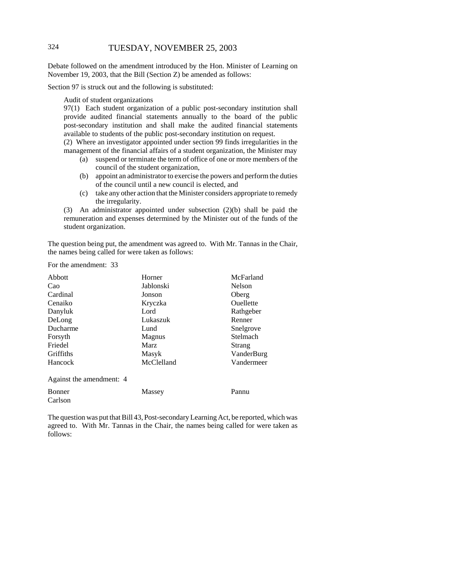# 324 TUESDAY, NOVEMBER 25, 2003

Debate followed on the amendment introduced by the Hon. Minister of Learning on November 19, 2003, that the Bill (Section Z) be amended as follows:

Section 97 is struck out and the following is substituted:

Audit of student organizations

97(1) Each student organization of a public post-secondary institution shall provide audited financial statements annually to the board of the public post-secondary institution and shall make the audited financial statements available to students of the public post-secondary institution on request.

(2) Where an investigator appointed under section 99 finds irregularities in the management of the financial affairs of a student organization, the Minister may

- (a) suspend or terminate the term of office of one or more members of the council of the student organization,
- (b) appoint an administrator to exercise the powers and perform the duties of the council until a new council is elected, and
- (c) take any other action that the Minister considers appropriate to remedy the irregularity.

(3) An administrator appointed under subsection (2)(b) shall be paid the remuneration and expenses determined by the Minister out of the funds of the student organization.

The question being put, the amendment was agreed to. With Mr. Tannas in the Chair, the names being called for were taken as follows:

For the amendment: 33

| Abbott                   | Horner      | McFarland  |
|--------------------------|-------------|------------|
| Cao                      | Jablonski   | Nelson     |
| Cardinal                 | Jonson      | Oberg      |
| Cenaiko                  | Kryczka     | Ouellette  |
| Danyluk                  | Lord        | Rathgeber  |
| DeLong                   | Lukaszuk    | Renner     |
| Ducharme                 | Lund        | Snelgrove  |
| Forsyth                  | Magnus      | Stelmach   |
| Friedel                  | <b>Marz</b> | Strang     |
| Griffiths                | Masyk       | VanderBurg |
| Hancock                  | McClelland  | Vandermeer |
| Against the amendment: 4 |             |            |
| <b>Bonner</b>            | Massey      | Pannu      |
| Carlson                  |             |            |

The question was put that Bill 43, Post-secondary Learning Act, be reported, which was agreed to. With Mr. Tannas in the Chair, the names being called for were taken as follows: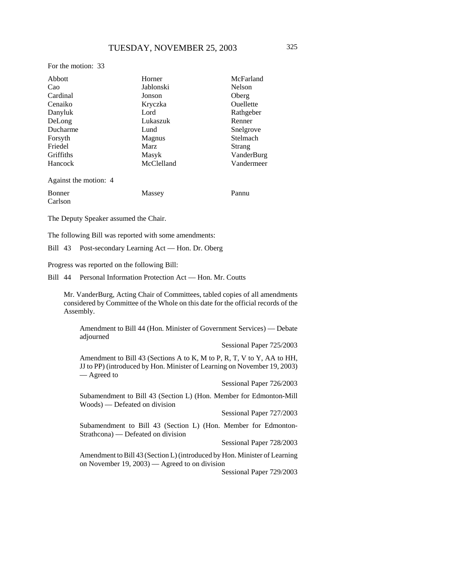For the motion: 33

| Abbott                | McFarland<br>Horner |                  |
|-----------------------|---------------------|------------------|
| Cao                   | Jablonski           | Nelson           |
| Cardinal              | Jonson              | Oberg            |
| Cenaiko               | Kryczka             | <b>Ouellette</b> |
| Danyluk               | Lord                | Rathgeber        |
| DeLong                | Lukaszuk            | Renner           |
| Ducharme              | Lund                | Snelgrove        |
| Forsyth               | Magnus              | Stelmach         |
| Friedel               | Marz                | Strang           |
| Griffiths             | Masyk               | VanderBurg       |
| Hancock               | McClelland          | Vandermeer       |
| Against the motion: 4 |                     |                  |
| Bonner                | Massey              | Pannu            |

Carlson

The Deputy Speaker assumed the Chair.

The following Bill was reported with some amendments:

Bill 43 Post-secondary Learning Act — Hon. Dr. Oberg

Progress was reported on the following Bill:

Bill 44 Personal Information Protection Act — Hon. Mr. Coutts

Mr. VanderBurg, Acting Chair of Committees, tabled copies of all amendments considered by Committee of the Whole on this date for the official records of the Assembly.

Amendment to Bill 44 (Hon. Minister of Government Services) — Debate adjourned

Sessional Paper 725/2003

Amendment to Bill 43 (Sections A to K, M to P, R, T, V to Y, AA to HH, JJ to PP) (introduced by Hon. Minister of Learning on November 19, 2003) — Agreed to

Sessional Paper 726/2003

Subamendment to Bill 43 (Section L) (Hon. Member for Edmonton-Mill Woods) — Defeated on division

Sessional Paper 727/2003

Subamendment to Bill 43 (Section L) (Hon. Member for Edmonton-Strathcona) — Defeated on division

Sessional Paper 728/2003

Amendment to Bill 43 (Section L) (introduced by Hon. Minister of Learning on November 19, 2003) — Agreed to on division

Sessional Paper 729/2003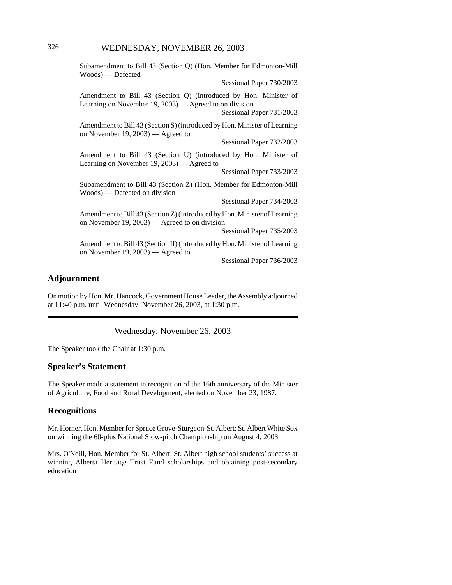# 326 WEDNESDAY, NOVEMBER 26, 2003

Subamendment to Bill 43 (Section Q) (Hon. Member for Edmonton-Mill Woods) — Defeated Sessional Paper 730/2003 Amendment to Bill 43 (Section Q) (introduced by Hon. Minister of Learning on November 19, 2003) — Agreed to on division Sessional Paper 731/2003 Amendment to Bill 43 (Section S) (introduced by Hon. Minister of Learning on November 19, 2003) — Agreed to Sessional Paper 732/2003 Amendment to Bill 43 (Section U) (introduced by Hon. Minister of Learning on November 19, 2003) — Agreed to Sessional Paper 733/2003 Subamendment to Bill 43 (Section Z) (Hon. Member for Edmonton-Mill Woods) — Defeated on division Sessional Paper 734/2003 Amendment to Bill 43 (Section Z) (introduced by Hon. Minister of Learning on November 19, 2003) — Agreed to on division Sessional Paper 735/2003 Amendment to Bill 43 (Section II) (introduced by Hon. Minister of Learning on November 19, 2003) — Agreed to Sessional Paper 736/2003

### **Adjournment**

On motion by Hon. Mr. Hancock, Government House Leader, the Assembly adjourned at 11:40 p.m. until Wednesday, November 26, 2003, at 1:30 p.m.

Wednesday, November 26, 2003

The Speaker took the Chair at 1:30 p.m.

#### **Speaker's Statement**

The Speaker made a statement in recognition of the 16th anniversary of the Minister of Agriculture, Food and Rural Development, elected on November 23, 1987.

# **Recognitions**

Mr. Horner, Hon. Member for Spruce Grove-Sturgeon-St. Albert: St. Albert White Sox on winning the 60-plus National Slow-pitch Championship on August 4, 2003

Mrs. O'Neill, Hon. Member for St. Albert: St. Albert high school students' success at winning Alberta Heritage Trust Fund scholarships and obtaining post-secondary education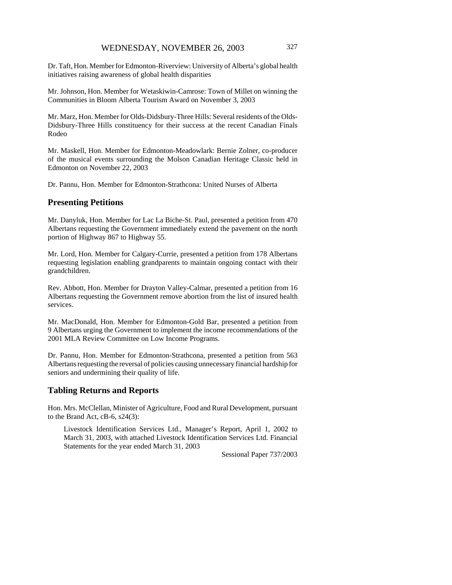Dr. Taft, Hon. Member for Edmonton-Riverview: University of Alberta's global health initiatives raising awareness of global health disparities

Mr. Johnson, Hon. Member for Wetaskiwin-Camrose: Town of Millet on winning the Communities in Bloom Alberta Tourism Award on November 3, 2003

Mr. Marz, Hon. Member for Olds-Didsbury-Three Hills: Several residents of the Olds-Didsbury-Three Hills constituency for their success at the recent Canadian Finals Rodeo

Mr. Maskell, Hon. Member for Edmonton-Meadowlark: Bernie Zolner, co-producer of the musical events surrounding the Molson Canadian Heritage Classic held in Edmonton on November 22, 2003

Dr. Pannu, Hon. Member for Edmonton-Strathcona: United Nurses of Alberta

#### **Presenting Petitions**

Mr. Danyluk, Hon. Member for Lac La Biche-St. Paul, presented a petition from 470 Albertans requesting the Government immediately extend the pavement on the north portion of Highway 867 to Highway 55.

Mr. Lord, Hon. Member for Calgary-Currie, presented a petition from 178 Albertans requesting legislation enabling grandparents to maintain ongoing contact with their grandchildren.

Rev. Abbott, Hon. Member for Drayton Valley-Calmar, presented a petition from 16 Albertans requesting the Government remove abortion from the list of insured health services.

Mr. MacDonald, Hon. Member for Edmonton-Gold Bar, presented a petition from 9 Albertans urging the Government to implement the income recommendations of the 2001 MLA Review Committee on Low Income Programs.

Dr. Pannu, Hon. Member for Edmonton-Strathcona, presented a petition from 563 Albertans requesting the reversal of policies causing unnecessary financial hardship for seniors and undermining their quality of life.

#### **Tabling Returns and Reports**

Hon. Mrs. McClellan, Minister of Agriculture, Food and Rural Development, pursuant to the Brand Act, cB-6, s24(3):

Livestock Identification Services Ltd., Manager's Report, April 1, 2002 to March 31, 2003, with attached Livestock Identification Services Ltd. Financial Statements for the year ended March 31, 2003

Sessional Paper 737/2003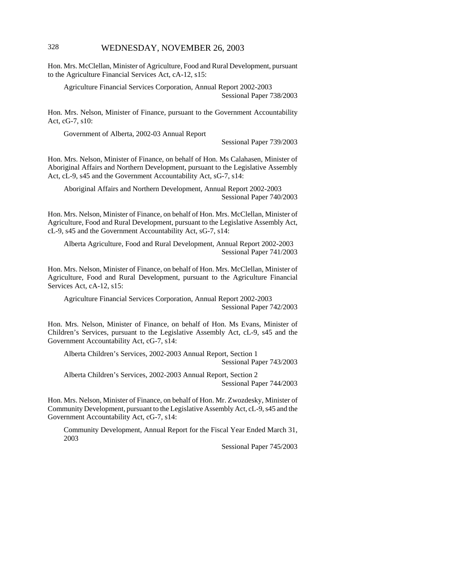# 328 WEDNESDAY, NOVEMBER 26, 2003

Hon. Mrs. McClellan, Minister of Agriculture, Food and Rural Development, pursuant to the Agriculture Financial Services Act, cA-12, s15:

Agriculture Financial Services Corporation, Annual Report 2002-2003 Sessional Paper 738/2003

Hon. Mrs. Nelson, Minister of Finance, pursuant to the Government Accountability Act, cG-7, s10:

Government of Alberta, 2002-03 Annual Report

Sessional Paper 739/2003

Hon. Mrs. Nelson, Minister of Finance, on behalf of Hon. Ms Calahasen, Minister of Aboriginal Affairs and Northern Development, pursuant to the Legislative Assembly Act, cL-9, s45 and the Government Accountability Act, sG-7, s14:

Aboriginal Affairs and Northern Development, Annual Report 2002-2003 Sessional Paper 740/2003

Hon. Mrs. Nelson, Minister of Finance, on behalf of Hon. Mrs. McClellan, Minister of Agriculture, Food and Rural Development, pursuant to the Legislative Assembly Act, cL-9, s45 and the Government Accountability Act, sG-7, s14:

Alberta Agriculture, Food and Rural Development, Annual Report 2002-2003 Sessional Paper 741/2003

Hon. Mrs. Nelson, Minister of Finance, on behalf of Hon. Mrs. McClellan, Minister of Agriculture, Food and Rural Development, pursuant to the Agriculture Financial Services Act, cA-12, s15:

Agriculture Financial Services Corporation, Annual Report 2002-2003 Sessional Paper 742/2003

Hon. Mrs. Nelson, Minister of Finance, on behalf of Hon. Ms Evans, Minister of Children's Services, pursuant to the Legislative Assembly Act, cL-9, s45 and the Government Accountability Act, cG-7, s14:

Alberta Children's Services, 2002-2003 Annual Report, Section 1 Sessional Paper 743/2003

Alberta Children's Services, 2002-2003 Annual Report, Section 2 Sessional Paper 744/2003

Hon. Mrs. Nelson, Minister of Finance, on behalf of Hon. Mr. Zwozdesky, Minister of Community Development, pursuant to the Legislative Assembly Act, cL-9, s45 and the Government Accountability Act, cG-7, s14:

Community Development, Annual Report for the Fiscal Year Ended March 31, 2003

Sessional Paper 745/2003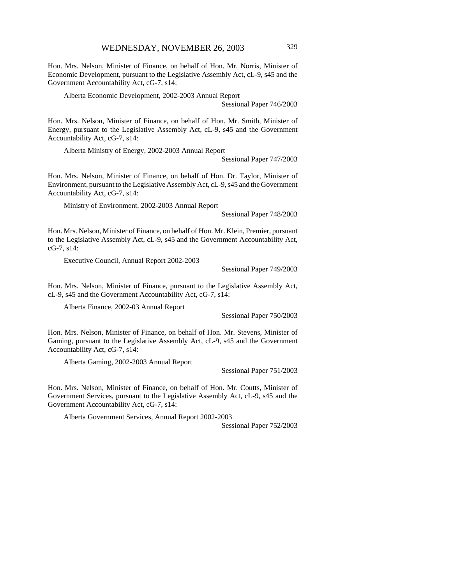Hon. Mrs. Nelson, Minister of Finance, on behalf of Hon. Mr. Norris, Minister of Economic Development, pursuant to the Legislative Assembly Act, cL-9, s45 and the Government Accountability Act, cG-7, s14:

Alberta Economic Development, 2002-2003 Annual Report

Sessional Paper 746/2003

Hon. Mrs. Nelson, Minister of Finance, on behalf of Hon. Mr. Smith, Minister of Energy, pursuant to the Legislative Assembly Act, cL-9, s45 and the Government Accountability Act, cG-7, s14:

Alberta Ministry of Energy, 2002-2003 Annual Report

Sessional Paper 747/2003

Hon. Mrs. Nelson, Minister of Finance, on behalf of Hon. Dr. Taylor, Minister of Environment, pursuant to the Legislative Assembly Act, cL-9, s45 and the Government Accountability Act, cG-7, s14:

Ministry of Environment, 2002-2003 Annual Report

Sessional Paper 748/2003

Hon. Mrs. Nelson, Minister of Finance, on behalf of Hon. Mr. Klein, Premier, pursuant to the Legislative Assembly Act, cL-9, s45 and the Government Accountability Act, cG-7, s14:

Executive Council, Annual Report 2002-2003

Sessional Paper 749/2003

Hon. Mrs. Nelson, Minister of Finance, pursuant to the Legislative Assembly Act, cL-9, s45 and the Government Accountability Act, cG-7, s14:

Alberta Finance, 2002-03 Annual Report

Sessional Paper 750/2003

Hon. Mrs. Nelson, Minister of Finance, on behalf of Hon. Mr. Stevens, Minister of Gaming, pursuant to the Legislative Assembly Act, cL-9, s45 and the Government Accountability Act, cG-7, s14:

Alberta Gaming, 2002-2003 Annual Report

Sessional Paper 751/2003

Hon. Mrs. Nelson, Minister of Finance, on behalf of Hon. Mr. Coutts, Minister of Government Services, pursuant to the Legislative Assembly Act, cL-9, s45 and the Government Accountability Act, cG-7, s14:

Alberta Government Services, Annual Report 2002-2003

Sessional Paper 752/2003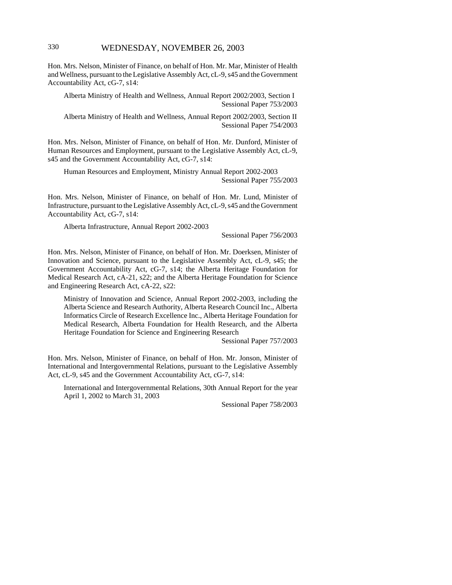Hon. Mrs. Nelson, Minister of Finance, on behalf of Hon. Mr. Mar, Minister of Health and Wellness, pursuant to the Legislative Assembly Act, cL-9, s45 and the Government Accountability Act, cG-7, s14:

Alberta Ministry of Health and Wellness, Annual Report 2002/2003, Section I Sessional Paper 753/2003

Alberta Ministry of Health and Wellness, Annual Report 2002/2003, Section II Sessional Paper 754/2003

Hon. Mrs. Nelson, Minister of Finance, on behalf of Hon. Mr. Dunford, Minister of Human Resources and Employment, pursuant to the Legislative Assembly Act, cL-9, s45 and the Government Accountability Act, cG-7, s14:

Human Resources and Employment, Ministry Annual Report 2002-2003 Sessional Paper 755/2003

Hon. Mrs. Nelson, Minister of Finance, on behalf of Hon. Mr. Lund, Minister of Infrastructure, pursuant to the Legislative Assembly Act, cL-9, s45 and the Government Accountability Act, cG-7, s14:

Alberta Infrastructure, Annual Report 2002-2003

Sessional Paper 756/2003

Hon. Mrs. Nelson, Minister of Finance, on behalf of Hon. Mr. Doerksen, Minister of Innovation and Science, pursuant to the Legislative Assembly Act, cL-9, s45; the Government Accountability Act, cG-7, s14; the Alberta Heritage Foundation for Medical Research Act, cA-21, s22; and the Alberta Heritage Foundation for Science and Engineering Research Act, cA-22, s22:

Ministry of Innovation and Science, Annual Report 2002-2003, including the Alberta Science and Research Authority, Alberta Research Council Inc., Alberta Informatics Circle of Research Excellence Inc., Alberta Heritage Foundation for Medical Research, Alberta Foundation for Health Research, and the Alberta Heritage Foundation for Science and Engineering Research

Sessional Paper 757/2003

Hon. Mrs. Nelson, Minister of Finance, on behalf of Hon. Mr. Jonson, Minister of International and Intergovernmental Relations, pursuant to the Legislative Assembly Act, cL-9, s45 and the Government Accountability Act, cG-7, s14:

International and Intergovernmental Relations, 30th Annual Report for the year April 1, 2002 to March 31, 2003

Sessional Paper 758/2003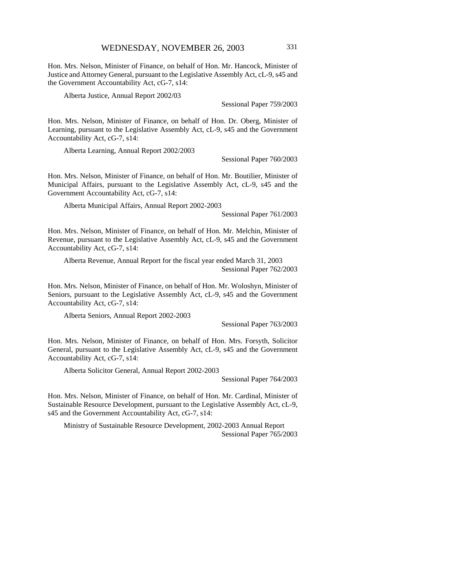Hon. Mrs. Nelson, Minister of Finance, on behalf of Hon. Mr. Hancock, Minister of Justice and Attorney General, pursuant to the Legislative Assembly Act, cL-9, s45 and the Government Accountability Act, cG-7, s14:

Alberta Justice, Annual Report 2002/03

Sessional Paper 759/2003

Hon. Mrs. Nelson, Minister of Finance, on behalf of Hon. Dr. Oberg, Minister of Learning, pursuant to the Legislative Assembly Act, cL-9, s45 and the Government Accountability Act, cG-7, s14:

Alberta Learning, Annual Report 2002/2003

Sessional Paper 760/2003

Hon. Mrs. Nelson, Minister of Finance, on behalf of Hon. Mr. Boutilier, Minister of Municipal Affairs, pursuant to the Legislative Assembly Act, cL-9, s45 and the Government Accountability Act, cG-7, s14:

Alberta Municipal Affairs, Annual Report 2002-2003

Sessional Paper 761/2003

Hon. Mrs. Nelson, Minister of Finance, on behalf of Hon. Mr. Melchin, Minister of Revenue, pursuant to the Legislative Assembly Act, cL-9, s45 and the Government Accountability Act, cG-7, s14:

Alberta Revenue, Annual Report for the fiscal year ended March 31, 2003 Sessional Paper 762/2003

Hon. Mrs. Nelson, Minister of Finance, on behalf of Hon. Mr. Woloshyn, Minister of Seniors, pursuant to the Legislative Assembly Act, cL-9, s45 and the Government Accountability Act, cG-7, s14:

Alberta Seniors, Annual Report 2002-2003

Sessional Paper 763/2003

Hon. Mrs. Nelson, Minister of Finance, on behalf of Hon. Mrs. Forsyth, Solicitor General, pursuant to the Legislative Assembly Act, cL-9, s45 and the Government Accountability Act, cG-7, s14:

Alberta Solicitor General, Annual Report 2002-2003

Sessional Paper 764/2003

Hon. Mrs. Nelson, Minister of Finance, on behalf of Hon. Mr. Cardinal, Minister of Sustainable Resource Development, pursuant to the Legislative Assembly Act, cL-9, s45 and the Government Accountability Act, cG-7, s14:

Ministry of Sustainable Resource Development, 2002-2003 Annual Report Sessional Paper 765/2003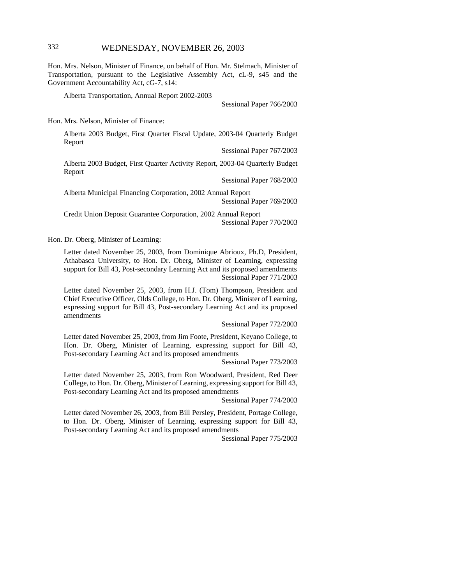# 332 WEDNESDAY, NOVEMBER 26, 2003

Hon. Mrs. Nelson, Minister of Finance, on behalf of Hon. Mr. Stelmach, Minister of Transportation, pursuant to the Legislative Assembly Act, cL-9, s45 and the Government Accountability Act, cG-7, s14:

Alberta Transportation, Annual Report 2002-2003

Sessional Paper 766/2003

Hon. Mrs. Nelson, Minister of Finance:

Alberta 2003 Budget, First Quarter Fiscal Update, 2003-04 Quarterly Budget Report

Sessional Paper 767/2003

Alberta 2003 Budget, First Quarter Activity Report, 2003-04 Quarterly Budget Report

Sessional Paper 768/2003

Alberta Municipal Financing Corporation, 2002 Annual Report Sessional Paper 769/2003

Credit Union Deposit Guarantee Corporation, 2002 Annual Report Sessional Paper 770/2003

Hon. Dr. Oberg, Minister of Learning:

Letter dated November 25, 2003, from Dominique Abrioux, Ph.D, President, Athabasca University, to Hon. Dr. Oberg, Minister of Learning, expressing support for Bill 43, Post-secondary Learning Act and its proposed amendments Sessional Paper 771/2003

Letter dated November 25, 2003, from H.J. (Tom) Thompson, President and Chief Executive Officer, Olds College, to Hon. Dr. Oberg, Minister of Learning, expressing support for Bill 43, Post-secondary Learning Act and its proposed amendments

Sessional Paper 772/2003

Letter dated November 25, 2003, from Jim Foote, President, Keyano College, to Hon. Dr. Oberg, Minister of Learning, expressing support for Bill 43, Post-secondary Learning Act and its proposed amendments

Sessional Paper 773/2003

Letter dated November 25, 2003, from Ron Woodward, President, Red Deer College, to Hon. Dr. Oberg, Minister of Learning, expressing support for Bill 43, Post-secondary Learning Act and its proposed amendments

Sessional Paper 774/2003

Letter dated November 26, 2003, from Bill Persley, President, Portage College, to Hon. Dr. Oberg, Minister of Learning, expressing support for Bill 43, Post-secondary Learning Act and its proposed amendments

Sessional Paper 775/2003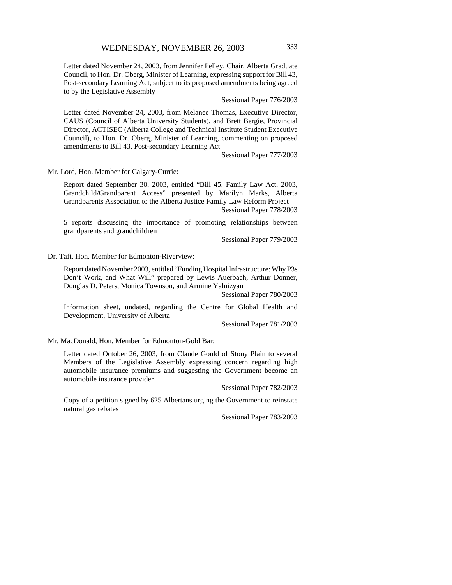Letter dated November 24, 2003, from Jennifer Pelley, Chair, Alberta Graduate Council, to Hon. Dr. Oberg, Minister of Learning, expressing support for Bill 43, Post-secondary Learning Act, subject to its proposed amendments being agreed to by the Legislative Assembly

Sessional Paper 776/2003

Letter dated November 24, 2003, from Melanee Thomas, Executive Director, CAUS (Council of Alberta University Students), and Brett Bergie, Provincial Director, ACTISEC (Alberta College and Technical Institute Student Executive Council), to Hon. Dr. Oberg, Minister of Learning, commenting on proposed amendments to Bill 43, Post-secondary Learning Act

Sessional Paper 777/2003

Mr. Lord, Hon. Member for Calgary-Currie:

Report dated September 30, 2003, entitled "Bill 45, Family Law Act, 2003, Grandchild/Grandparent Access" presented by Marilyn Marks, Alberta Grandparents Association to the Alberta Justice Family Law Reform Project Sessional Paper 778/2003

5 reports discussing the importance of promoting relationships between grandparents and grandchildren

Sessional Paper 779/2003

Dr. Taft, Hon. Member for Edmonton-Riverview:

Report dated November 2003, entitled "Funding Hospital Infrastructure: Why P3s Don't Work, and What Will" prepared by Lewis Auerbach, Arthur Donner, Douglas D. Peters, Monica Townson, and Armine Yalnizyan

Sessional Paper 780/2003

Information sheet, undated, regarding the Centre for Global Health and Development, University of Alberta

Sessional Paper 781/2003

Mr. MacDonald, Hon. Member for Edmonton-Gold Bar:

Letter dated October 26, 2003, from Claude Gould of Stony Plain to several Members of the Legislative Assembly expressing concern regarding high automobile insurance premiums and suggesting the Government become an automobile insurance provider

Sessional Paper 782/2003

Copy of a petition signed by 625 Albertans urging the Government to reinstate natural gas rebates

Sessional Paper 783/2003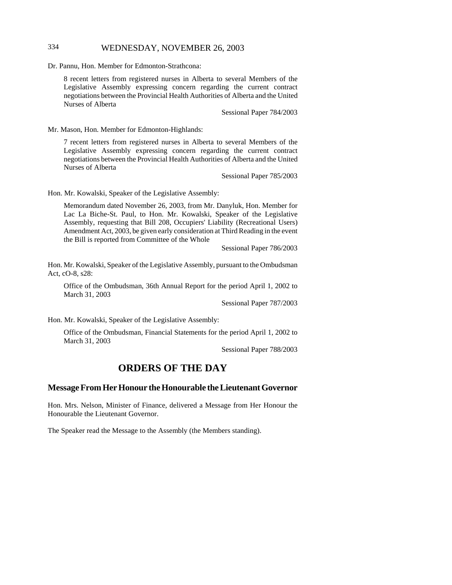# 334 WEDNESDAY, NOVEMBER 26, 2003

Dr. Pannu, Hon. Member for Edmonton-Strathcona:

8 recent letters from registered nurses in Alberta to several Members of the Legislative Assembly expressing concern regarding the current contract negotiations between the Provincial Health Authorities of Alberta and the United Nurses of Alberta

Sessional Paper 784/2003

Mr. Mason, Hon. Member for Edmonton-Highlands:

7 recent letters from registered nurses in Alberta to several Members of the Legislative Assembly expressing concern regarding the current contract negotiations between the Provincial Health Authorities of Alberta and the United Nurses of Alberta

Sessional Paper 785/2003

Hon. Mr. Kowalski, Speaker of the Legislative Assembly:

Memorandum dated November 26, 2003, from Mr. Danyluk, Hon. Member for Lac La Biche-St. Paul, to Hon. Mr. Kowalski, Speaker of the Legislative Assembly, requesting that Bill 208, Occupiers' Liability (Recreational Users) Amendment Act, 2003, be given early consideration at Third Reading in the event the Bill is reported from Committee of the Whole

Sessional Paper 786/2003

Hon. Mr. Kowalski, Speaker of the Legislative Assembly, pursuant to the Ombudsman Act, cO-8, s28:

Office of the Ombudsman, 36th Annual Report for the period April 1, 2002 to March 31, 2003

Sessional Paper 787/2003

Hon. Mr. Kowalski, Speaker of the Legislative Assembly:

Office of the Ombudsman, Financial Statements for the period April 1, 2002 to March 31, 2003

Sessional Paper 788/2003

# **ORDERS OF THE DAY**

## **Message From Her Honour the Honourable the Lieutenant Governor**

Hon. Mrs. Nelson, Minister of Finance, delivered a Message from Her Honour the Honourable the Lieutenant Governor.

The Speaker read the Message to the Assembly (the Members standing).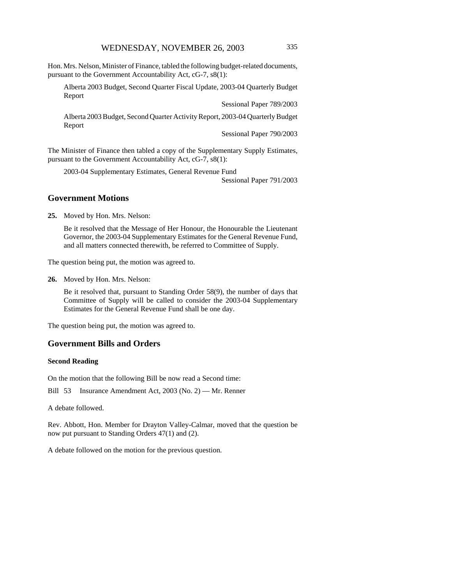Hon. Mrs. Nelson, Minister of Finance, tabled the following budget-related documents, pursuant to the Government Accountability Act, cG-7, s8(1):

Alberta 2003 Budget, Second Quarter Fiscal Update, 2003-04 Quarterly Budget Report

Sessional Paper 789/2003

Alberta 2003 Budget, Second Quarter Activity Report, 2003-04 Quarterly Budget Report

Sessional Paper 790/2003

The Minister of Finance then tabled a copy of the Supplementary Supply Estimates, pursuant to the Government Accountability Act, cG-7, s8(1):

2003-04 Supplementary Estimates, General Revenue Fund

Sessional Paper 791/2003

#### **Government Motions**

**25.** Moved by Hon. Mrs. Nelson:

Be it resolved that the Message of Her Honour, the Honourable the Lieutenant Governor, the 2003-04 Supplementary Estimates for the General Revenue Fund, and all matters connected therewith, be referred to Committee of Supply.

The question being put, the motion was agreed to.

**26.** Moved by Hon. Mrs. Nelson:

Be it resolved that, pursuant to Standing Order 58(9), the number of days that Committee of Supply will be called to consider the 2003-04 Supplementary Estimates for the General Revenue Fund shall be one day.

The question being put, the motion was agreed to.

## **Government Bills and Orders**

#### **Second Reading**

On the motion that the following Bill be now read a Second time:

Bill 53 Insurance Amendment Act, 2003 (No. 2) — Mr. Renner

A debate followed.

Rev. Abbott, Hon. Member for Drayton Valley-Calmar, moved that the question be now put pursuant to Standing Orders 47(1) and (2).

A debate followed on the motion for the previous question.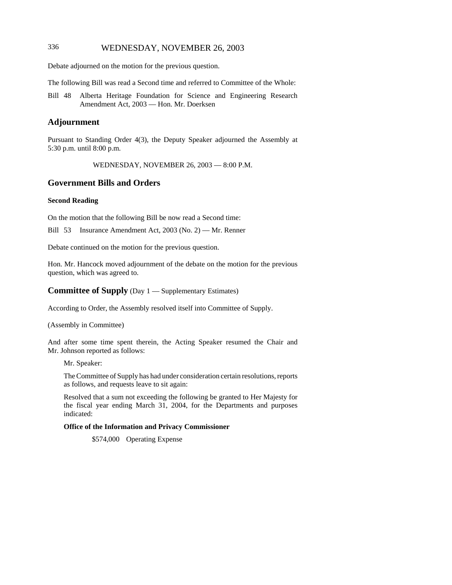# 336 WEDNESDAY, NOVEMBER 26, 2003

Debate adjourned on the motion for the previous question.

The following Bill was read a Second time and referred to Committee of the Whole:

Bill 48 Alberta Heritage Foundation for Science and Engineering Research Amendment Act, 2003 — Hon. Mr. Doerksen

## **Adjournment**

Pursuant to Standing Order 4(3), the Deputy Speaker adjourned the Assembly at 5:30 p.m. until 8:00 p.m.

WEDNESDAY, NOVEMBER 26, 2003 — 8:00 P.M.

## **Government Bills and Orders**

#### **Second Reading**

On the motion that the following Bill be now read a Second time:

Bill 53 Insurance Amendment Act, 2003 (No. 2) — Mr. Renner

Debate continued on the motion for the previous question.

Hon. Mr. Hancock moved adjournment of the debate on the motion for the previous question, which was agreed to.

#### **Committee of Supply** (Day 1 — Supplementary Estimates)

According to Order, the Assembly resolved itself into Committee of Supply.

(Assembly in Committee)

And after some time spent therein, the Acting Speaker resumed the Chair and Mr. Johnson reported as follows:

Mr. Speaker:

The Committee of Supply has had under consideration certain resolutions, reports as follows, and requests leave to sit again:

Resolved that a sum not exceeding the following be granted to Her Majesty for the fiscal year ending March 31, 2004, for the Departments and purposes indicated:

#### **Office of the Information and Privacy Commissioner**

\$574,000 Operating Expense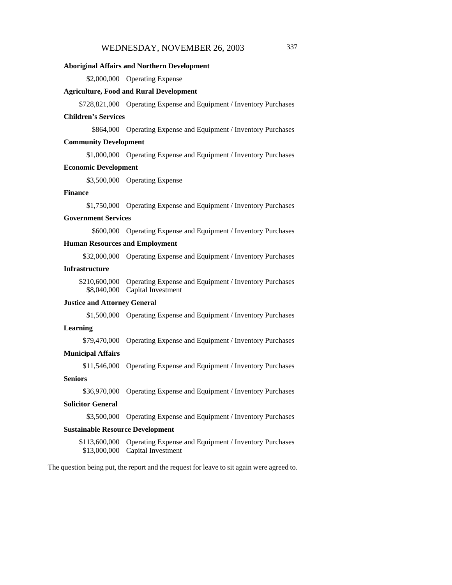#### **Aboriginal Affairs and Northern Development**

\$2,000,000 Operating Expense

#### **Agriculture, Food and Rural Development**

\$728,821,000 Operating Expense and Equipment / Inventory Purchases

#### **Children's Services**

\$864,000 Operating Expense and Equipment / Inventory Purchases

#### **Community Development**

\$1,000,000 Operating Expense and Equipment / Inventory Purchases

#### **Economic Development**

\$3,500,000 Operating Expense

#### **Finance**

\$1,750,000 Operating Expense and Equipment / Inventory Purchases

#### **Government Services**

\$600,000 Operating Expense and Equipment / Inventory Purchases

## **Human Resources and Employment**

\$32,000,000 Operating Expense and Equipment / Inventory Purchases

#### **Infrastructure**

\$210,600,000 Operating Expense and Equipment / Inventory Purchases \$8,040,000 Capital Investment

#### **Justice and Attorney General**

\$1,500,000 Operating Expense and Equipment / Inventory Purchases

#### **Learning**

\$79,470,000 Operating Expense and Equipment / Inventory Purchases

#### **Municipal Affairs**

\$11,546,000 Operating Expense and Equipment / Inventory Purchases

#### **Seniors**

\$36,970,000 Operating Expense and Equipment / Inventory Purchases

#### **Solicitor General**

\$3,500,000 Operating Expense and Equipment / Inventory Purchases

#### **Sustainable Resource Development**

\$113,600,000 Operating Expense and Equipment / Inventory Purchases \$13,000,000 Capital Investment

The question being put, the report and the request for leave to sit again were agreed to.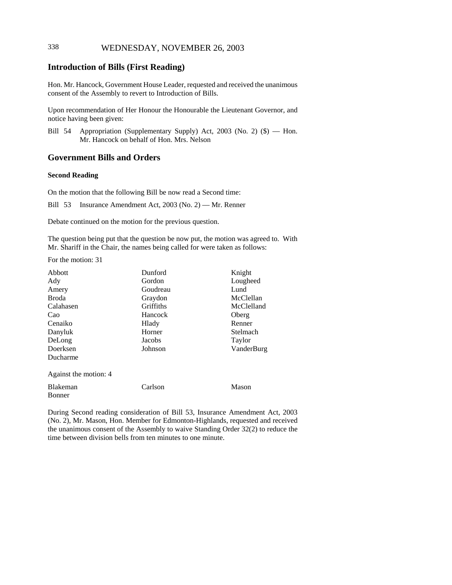# 338 WEDNESDAY, NOVEMBER 26, 2003

# **Introduction of Bills (First Reading)**

Hon. Mr. Hancock, Government House Leader, requested and received the unanimous consent of the Assembly to revert to Introduction of Bills.

Upon recommendation of Her Honour the Honourable the Lieutenant Governor, and notice having been given:

Bill 54 Appropriation (Supplementary Supply) Act, 2003 (No. 2) (\$) — Hon. Mr. Hancock on behalf of Hon. Mrs. Nelson

## **Government Bills and Orders**

#### **Second Reading**

On the motion that the following Bill be now read a Second time:

Bill 53 Insurance Amendment Act, 2003 (No. 2) — Mr. Renner

Debate continued on the motion for the previous question.

The question being put that the question be now put, the motion was agreed to. With Mr. Shariff in the Chair, the names being called for were taken as follows:

For the motion: 31

| Abbott                | Dunford   | Knight     |
|-----------------------|-----------|------------|
| Ady                   | Gordon    | Lougheed   |
| Amery                 | Goudreau  | Lund       |
| <b>Broda</b>          | Graydon   | McClellan  |
| Calahasen             | Griffiths | McClelland |
| Cao                   | Hancock   | Oberg      |
| Cenaiko               | Hlady     | Renner     |
| Danyluk               | Horner    | Stelmach   |
| DeLong                | Jacobs    | Taylor     |
| Doerksen              | Johnson   | VanderBurg |
| Ducharme              |           |            |
| Against the motion: 4 |           |            |
| Blakeman<br>Bonner    | Carlson   | Mason      |

During Second reading consideration of Bill 53, Insurance Amendment Act, 2003 (No. 2), Mr. Mason, Hon. Member for Edmonton-Highlands, requested and received the unanimous consent of the Assembly to waive Standing Order 32(2) to reduce the time between division bells from ten minutes to one minute.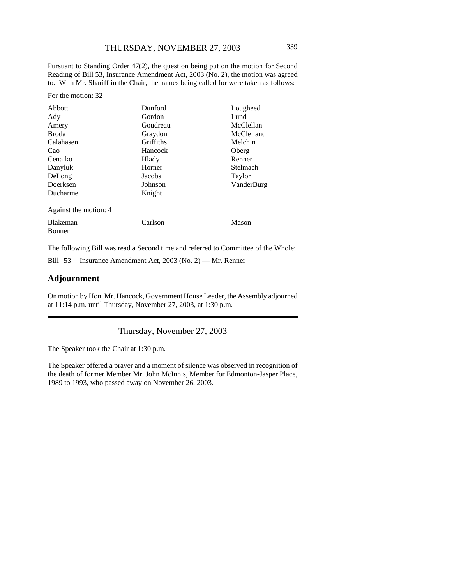Pursuant to Standing Order 47(2), the question being put on the motion for Second Reading of Bill 53, Insurance Amendment Act, 2003 (No. 2), the motion was agreed to. With Mr. Shariff in the Chair, the names being called for were taken as follows:

For the motion: 32

| Abbott                | Dunford   | Lougheed   |
|-----------------------|-----------|------------|
| Ady                   | Gordon    | Lund       |
| Amery                 | Goudreau  | McClellan  |
| <b>Broda</b>          | Graydon   | McClelland |
| Calahasen             | Griffiths | Melchin    |
| Cao                   | Hancock   | Oberg      |
| Cenaiko               | Hlady     | Renner     |
| Danyluk               | Horner    | Stelmach   |
| DeLong                | Jacobs    | Taylor     |
| Doerksen              | Johnson   | VanderBurg |
| Ducharme              | Knight    |            |
| Against the motion: 4 |           |            |
| <b>Blakeman</b>       | Carlson   | Mason      |
| <b>Bonner</b>         |           |            |

The following Bill was read a Second time and referred to Committee of the Whole:

Bill 53 Insurance Amendment Act, 2003 (No. 2) — Mr. Renner

#### **Adjournment**

On motion by Hon. Mr. Hancock, Government House Leader, the Assembly adjourned at 11:14 p.m. until Thursday, November 27, 2003, at 1:30 p.m.

Thursday, November 27, 2003

The Speaker took the Chair at 1:30 p.m.

The Speaker offered a prayer and a moment of silence was observed in recognition of the death of former Member Mr. John McInnis, Member for Edmonton-Jasper Place, 1989 to 1993, who passed away on November 26, 2003.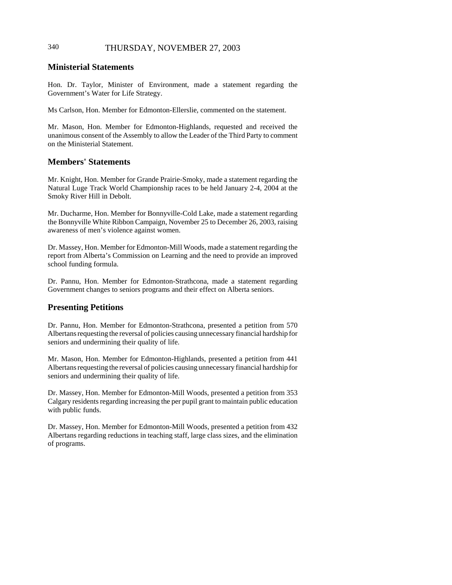# 340 THURSDAY, NOVEMBER 27, 2003

# **Ministerial Statements**

Hon. Dr. Taylor, Minister of Environment, made a statement regarding the Government's Water for Life Strategy.

Ms Carlson, Hon. Member for Edmonton-Ellerslie, commented on the statement.

Mr. Mason, Hon. Member for Edmonton-Highlands, requested and received the unanimous consent of the Assembly to allow the Leader of the Third Party to comment on the Ministerial Statement.

## **Members' Statements**

Mr. Knight, Hon. Member for Grande Prairie-Smoky, made a statement regarding the Natural Luge Track World Championship races to be held January 2-4, 2004 at the Smoky River Hill in Debolt.

Mr. Ducharme, Hon. Member for Bonnyville-Cold Lake, made a statement regarding the Bonnyville White Ribbon Campaign, November 25 to December 26, 2003, raising awareness of men's violence against women.

Dr. Massey, Hon. Member for Edmonton-Mill Woods, made a statement regarding the report from Alberta's Commission on Learning and the need to provide an improved school funding formula.

Dr. Pannu, Hon. Member for Edmonton-Strathcona, made a statement regarding Government changes to seniors programs and their effect on Alberta seniors.

## **Presenting Petitions**

Dr. Pannu, Hon. Member for Edmonton-Strathcona, presented a petition from 570 Albertans requesting the reversal of policies causing unnecessary financial hardship for seniors and undermining their quality of life.

Mr. Mason, Hon. Member for Edmonton-Highlands, presented a petition from 441 Albertans requesting the reversal of policies causing unnecessary financial hardship for seniors and undermining their quality of life.

Dr. Massey, Hon. Member for Edmonton-Mill Woods, presented a petition from 353 Calgary residents regarding increasing the per pupil grant to maintain public education with public funds.

Dr. Massey, Hon. Member for Edmonton-Mill Woods, presented a petition from 432 Albertans regarding reductions in teaching staff, large class sizes, and the elimination of programs.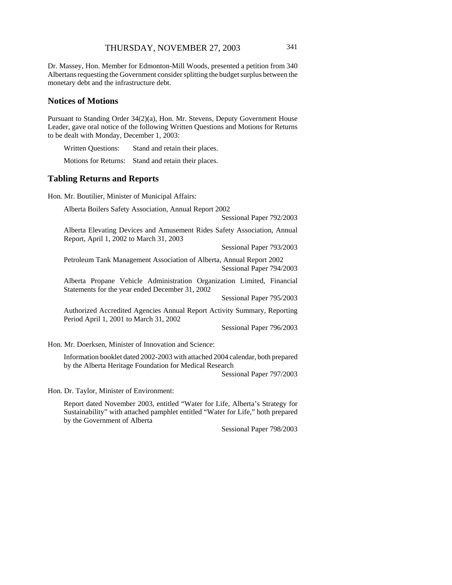Dr. Massey, Hon. Member for Edmonton-Mill Woods, presented a petition from 340 Albertans requesting the Government consider splitting the budget surplus between the monetary debt and the infrastructure debt.

#### **Notices of Motions**

Pursuant to Standing Order 34(2)(a), Hon. Mr. Stevens, Deputy Government House Leader, gave oral notice of the following Written Questions and Motions for Returns to be dealt with Monday, December 1, 2003:

Written Questions: Stand and retain their places.

Motions for Returns: Stand and retain their places.

### **Tabling Returns and Reports**

Hon. Mr. Boutilier, Minister of Municipal Affairs:

Alberta Boilers Safety Association, Annual Report 2002

Sessional Paper 792/2003

Alberta Elevating Devices and Amusement Rides Safety Association, Annual Report, April 1, 2002 to March 31, 2003

Sessional Paper 793/2003

Petroleum Tank Management Association of Alberta, Annual Report 2002 Sessional Paper 794/2003

Alberta Propane Vehicle Administration Organization Limited, Financial Statements for the year ended December 31, 2002

Sessional Paper 795/2003

Authorized Accredited Agencies Annual Report Activity Summary, Reporting Period April 1, 2001 to March 31, 2002

Sessional Paper 796/2003

Hon. Mr. Doerksen, Minister of Innovation and Science:

Information booklet dated 2002-2003 with attached 2004 calendar, both prepared by the Alberta Heritage Foundation for Medical Research

Sessional Paper 797/2003

Hon. Dr. Taylor, Minister of Environment:

Report dated November 2003, entitled "Water for Life, Alberta's Strategy for Sustainability" with attached pamphlet entitled "Water for Life," both prepared by the Government of Alberta

Sessional Paper 798/2003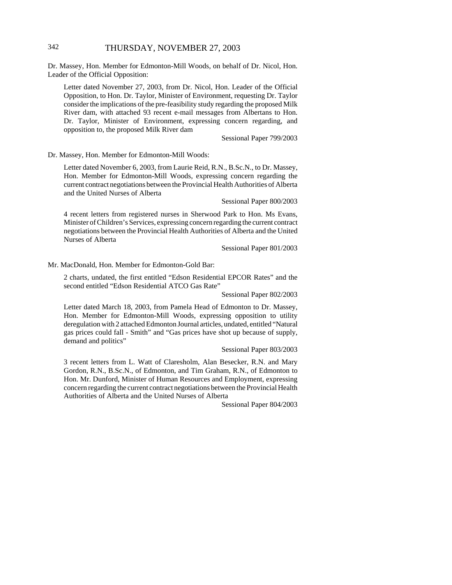# 342 THURSDAY, NOVEMBER 27, 2003

Dr. Massey, Hon. Member for Edmonton-Mill Woods, on behalf of Dr. Nicol, Hon. Leader of the Official Opposition:

Letter dated November 27, 2003, from Dr. Nicol, Hon. Leader of the Official Opposition, to Hon. Dr. Taylor, Minister of Environment, requesting Dr. Taylor consider the implications of the pre-feasibility study regarding the proposed Milk River dam, with attached 93 recent e-mail messages from Albertans to Hon. Dr. Taylor, Minister of Environment, expressing concern regarding, and opposition to, the proposed Milk River dam

Sessional Paper 799/2003

Dr. Massey, Hon. Member for Edmonton-Mill Woods:

Letter dated November 6, 2003, from Laurie Reid, R.N., B.Sc.N., to Dr. Massey, Hon. Member for Edmonton-Mill Woods, expressing concern regarding the current contract negotiations between the Provincial Health Authorities of Alberta and the United Nurses of Alberta

Sessional Paper 800/2003

4 recent letters from registered nurses in Sherwood Park to Hon. Ms Evans, Minister of Children's Services, expressing concern regarding the current contract negotiations between the Provincial Health Authorities of Alberta and the United Nurses of Alberta

Sessional Paper 801/2003

Mr. MacDonald, Hon. Member for Edmonton-Gold Bar:

2 charts, undated, the first entitled "Edson Residential EPCOR Rates" and the second entitled "Edson Residential ATCO Gas Rate"

Sessional Paper 802/2003

Letter dated March 18, 2003, from Pamela Head of Edmonton to Dr. Massey, Hon. Member for Edmonton-Mill Woods, expressing opposition to utility deregulation with 2 attached Edmonton Journal articles, undated, entitled "Natural gas prices could fall - Smith" and "Gas prices have shot up because of supply, demand and politics"

Sessional Paper 803/2003

3 recent letters from L. Watt of Claresholm, Alan Besecker, R.N. and Mary Gordon, R.N., B.Sc.N., of Edmonton, and Tim Graham, R.N., of Edmonton to Hon. Mr. Dunford, Minister of Human Resources and Employment, expressing concern regarding the current contract negotiations between the Provincial Health Authorities of Alberta and the United Nurses of Alberta

Sessional Paper 804/2003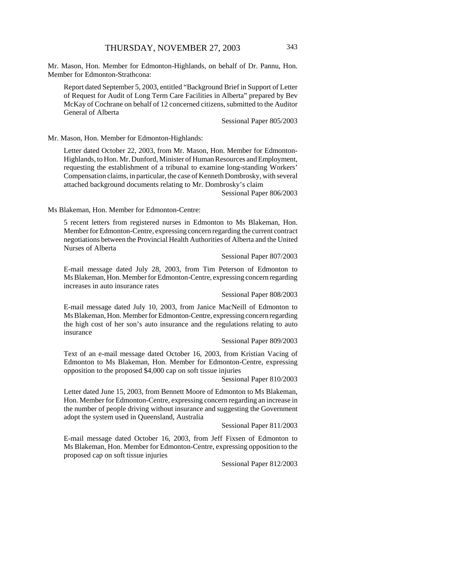Mr. Mason, Hon. Member for Edmonton-Highlands, on behalf of Dr. Pannu, Hon. Member for Edmonton-Strathcona:

Report dated September 5, 2003, entitled "Background Brief in Support of Letter of Request for Audit of Long Term Care Facilities in Alberta" prepared by Bev McKay of Cochrane on behalf of 12 concerned citizens, submitted to the Auditor General of Alberta

Sessional Paper 805/2003

Mr. Mason, Hon. Member for Edmonton-Highlands:

Letter dated October 22, 2003, from Mr. Mason, Hon. Member for Edmonton-Highlands, to Hon. Mr. Dunford, Minister of Human Resources and Employment, requesting the establishment of a tribunal to examine long-standing Workers' Compensation claims, in particular, the case of Kenneth Dombrosky, with several attached background documents relating to Mr. Dombrosky's claim

Sessional Paper 806/2003

Ms Blakeman, Hon. Member for Edmonton-Centre:

5 recent letters from registered nurses in Edmonton to Ms Blakeman, Hon. Member for Edmonton-Centre, expressing concern regarding the current contract negotiations between the Provincial Health Authorities of Alberta and the United Nurses of Alberta

Sessional Paper 807/2003

E-mail message dated July 28, 2003, from Tim Peterson of Edmonton to Ms Blakeman, Hon. Member for Edmonton-Centre, expressing concern regarding increases in auto insurance rates

Sessional Paper 808/2003

E-mail message dated July 10, 2003, from Janice MacNeill of Edmonton to Ms Blakeman, Hon. Member for Edmonton-Centre, expressing concern regarding the high cost of her son's auto insurance and the regulations relating to auto insurance

Sessional Paper 809/2003

Text of an e-mail message dated October 16, 2003, from Kristian Vacing of Edmonton to Ms Blakeman, Hon. Member for Edmonton-Centre, expressing opposition to the proposed \$4,000 cap on soft tissue injuries

Sessional Paper 810/2003

Letter dated June 15, 2003, from Bennett Moore of Edmonton to Ms Blakeman, Hon. Member for Edmonton-Centre, expressing concern regarding an increase in the number of people driving without insurance and suggesting the Government adopt the system used in Queensland, Australia

Sessional Paper 811/2003

E-mail message dated October 16, 2003, from Jeff Fixsen of Edmonton to Ms Blakeman, Hon. Member for Edmonton-Centre, expressing opposition to the proposed cap on soft tissue injuries

Sessional Paper 812/2003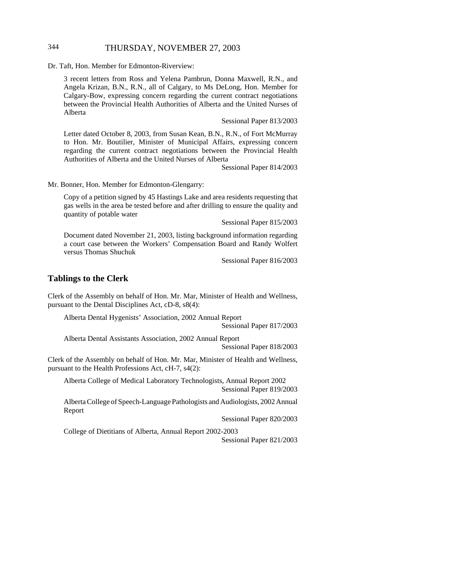# 344 THURSDAY, NOVEMBER 27, 2003

Dr. Taft, Hon. Member for Edmonton-Riverview:

3 recent letters from Ross and Yelena Pambrun, Donna Maxwell, R.N., and Angela Krizan, B.N., R.N., all of Calgary, to Ms DeLong, Hon. Member for Calgary-Bow, expressing concern regarding the current contract negotiations between the Provincial Health Authorities of Alberta and the United Nurses of Alberta

Sessional Paper 813/2003

Letter dated October 8, 2003, from Susan Kean, B.N., R.N., of Fort McMurray to Hon. Mr. Boutilier, Minister of Municipal Affairs, expressing concern regarding the current contract negotiations between the Provincial Health Authorities of Alberta and the United Nurses of Alberta

Sessional Paper 814/2003

Mr. Bonner, Hon. Member for Edmonton-Glengarry:

Copy of a petition signed by 45 Hastings Lake and area residents requesting that gas wells in the area be tested before and after drilling to ensure the quality and quantity of potable water

Sessional Paper 815/2003

Document dated November 21, 2003, listing background information regarding a court case between the Workers' Compensation Board and Randy Wolfert versus Thomas Shuchuk

Sessional Paper 816/2003

#### **Tablings to the Clerk**

Clerk of the Assembly on behalf of Hon. Mr. Mar, Minister of Health and Wellness, pursuant to the Dental Disciplines Act, cD-8, s8(4):

Alberta Dental Hygenists' Association, 2002 Annual Report

Sessional Paper 817/2003

Alberta Dental Assistants Association, 2002 Annual Report Sessional Paper 818/2003

Clerk of the Assembly on behalf of Hon. Mr. Mar, Minister of Health and Wellness, pursuant to the Health Professions Act, cH-7, s4(2):

Alberta College of Medical Laboratory Technologists, Annual Report 2002 Sessional Paper 819/2003

Alberta College of Speech-Language Pathologists and Audiologists, 2002 Annual Report

Sessional Paper 820/2003

College of Dietitians of Alberta, Annual Report 2002-2003

Sessional Paper 821/2003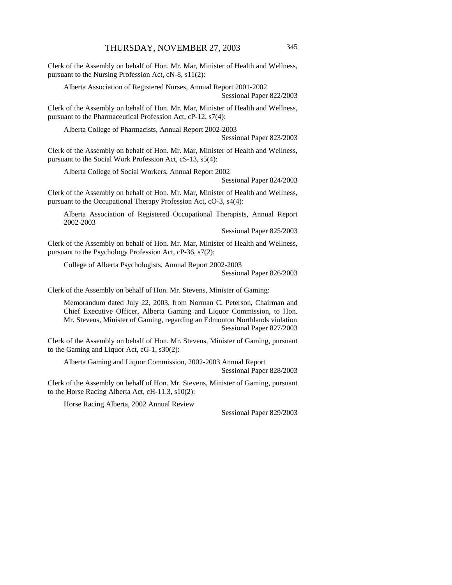Clerk of the Assembly on behalf of Hon. Mr. Mar, Minister of Health and Wellness, pursuant to the Nursing Profession Act, cN-8, s11(2):

Alberta Association of Registered Nurses, Annual Report 2001-2002 Sessional Paper 822/2003

Clerk of the Assembly on behalf of Hon. Mr. Mar, Minister of Health and Wellness, pursuant to the Pharmaceutical Profession Act, cP-12, s7(4):

Alberta College of Pharmacists, Annual Report 2002-2003

Sessional Paper 823/2003

Clerk of the Assembly on behalf of Hon. Mr. Mar, Minister of Health and Wellness, pursuant to the Social Work Profession Act, cS-13, s5(4):

Alberta College of Social Workers, Annual Report 2002

Sessional Paper 824/2003

Clerk of the Assembly on behalf of Hon. Mr. Mar, Minister of Health and Wellness, pursuant to the Occupational Therapy Profession Act, cO-3, s4(4):

Alberta Association of Registered Occupational Therapists, Annual Report 2002-2003

Sessional Paper 825/2003

Clerk of the Assembly on behalf of Hon. Mr. Mar, Minister of Health and Wellness, pursuant to the Psychology Profession Act, cP-36, s7(2):

College of Alberta Psychologists, Annual Report 2002-2003

Sessional Paper 826/2003

Clerk of the Assembly on behalf of Hon. Mr. Stevens, Minister of Gaming:

Memorandum dated July 22, 2003, from Norman C. Peterson, Chairman and Chief Executive Officer, Alberta Gaming and Liquor Commission, to Hon. Mr. Stevens, Minister of Gaming, regarding an Edmonton Northlands violation Sessional Paper 827/2003

Clerk of the Assembly on behalf of Hon. Mr. Stevens, Minister of Gaming, pursuant to the Gaming and Liquor Act, cG-1, s30(2):

Alberta Gaming and Liquor Commission, 2002-2003 Annual Report Sessional Paper 828/2003

Clerk of the Assembly on behalf of Hon. Mr. Stevens, Minister of Gaming, pursuant to the Horse Racing Alberta Act, cH-11.3, s10(2):

Horse Racing Alberta, 2002 Annual Review

Sessional Paper 829/2003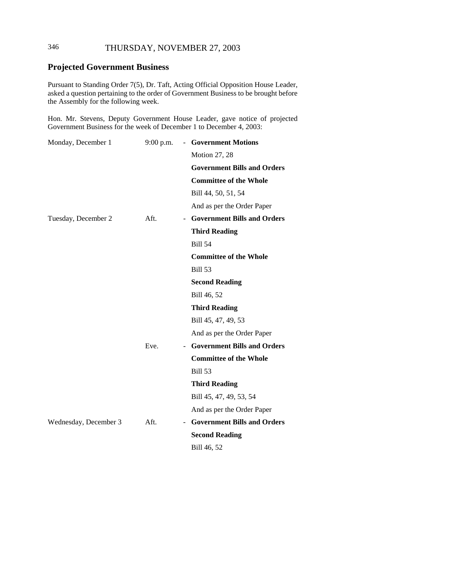# 346 THURSDAY, NOVEMBER 27, 2003

# **Projected Government Business**

Pursuant to Standing Order 7(5), Dr. Taft, Acting Official Opposition House Leader, asked a question pertaining to the order of Government Business to be brought before the Assembly for the following week.

Hon. Mr. Stevens, Deputy Government House Leader, gave notice of projected Government Business for the week of December 1 to December 4, 2003:

| Monday, December 1    | $9:00$ p.m.<br>$\sim$ | <b>Government Motions</b>          |
|-----------------------|-----------------------|------------------------------------|
|                       |                       | Motion 27, 28                      |
|                       |                       | <b>Government Bills and Orders</b> |
|                       |                       | <b>Committee of the Whole</b>      |
|                       |                       | Bill 44, 50, 51, 54                |
|                       |                       | And as per the Order Paper         |
| Tuesday, December 2   | Aft.                  | - Government Bills and Orders      |
|                       |                       | <b>Third Reading</b>               |
|                       |                       | <b>Bill 54</b>                     |
|                       |                       | <b>Committee of the Whole</b>      |
|                       |                       | <b>Bill 53</b>                     |
|                       |                       | <b>Second Reading</b>              |
|                       |                       | Bill 46, 52                        |
|                       |                       | <b>Third Reading</b>               |
|                       |                       | Bill 45, 47, 49, 53                |
|                       |                       | And as per the Order Paper         |
|                       | Eve.                  | - Government Bills and Orders      |
|                       |                       | <b>Committee of the Whole</b>      |
|                       |                       | <b>Bill 53</b>                     |
|                       |                       | <b>Third Reading</b>               |
|                       |                       | Bill 45, 47, 49, 53, 54            |
|                       |                       | And as per the Order Paper         |
| Wednesday, December 3 | Aft.                  | - Government Bills and Orders      |
|                       |                       | <b>Second Reading</b>              |
|                       |                       | Bill 46, 52                        |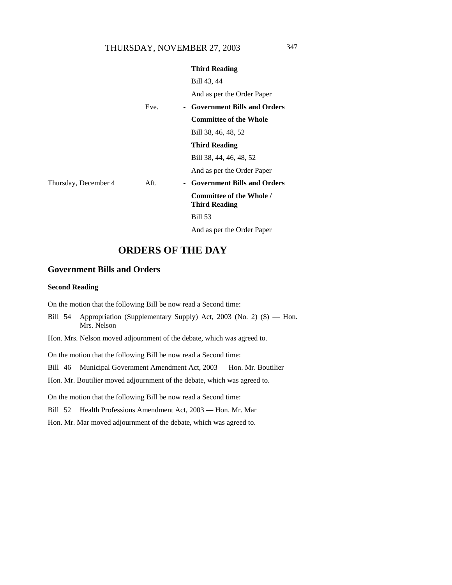|                      |      | <b>Third Reading</b>                             |
|----------------------|------|--------------------------------------------------|
|                      |      | Bill 43, 44                                      |
|                      |      | And as per the Order Paper                       |
|                      | Eve. | - Government Bills and Orders                    |
|                      |      | <b>Committee of the Whole</b>                    |
|                      |      | Bill 38, 46, 48, 52                              |
|                      |      | Third Reading                                    |
|                      |      | Bill 38, 44, 46, 48, 52                          |
|                      |      | And as per the Order Paper                       |
| Thursday, December 4 | Aft. | - Government Bills and Orders                    |
|                      |      | Committee of the Whole /<br><b>Third Reading</b> |
|                      |      | <b>Bill 53</b>                                   |
|                      |      |                                                  |

And as per the Order Paper

# **ORDERS OF THE DAY**

# **Government Bills and Orders**

#### **Second Reading**

On the motion that the following Bill be now read a Second time:

- Bill 54 Appropriation (Supplementary Supply) Act, 2003 (No. 2) (\$) Hon. Mrs. Nelson
- Hon. Mrs. Nelson moved adjournment of the debate, which was agreed to.

On the motion that the following Bill be now read a Second time:

Bill 46 Municipal Government Amendment Act, 2003 — Hon. Mr. Boutilier

Hon. Mr. Boutilier moved adjournment of the debate, which was agreed to.

On the motion that the following Bill be now read a Second time:

Bill 52 Health Professions Amendment Act, 2003 — Hon. Mr. Mar

Hon. Mr. Mar moved adjournment of the debate, which was agreed to.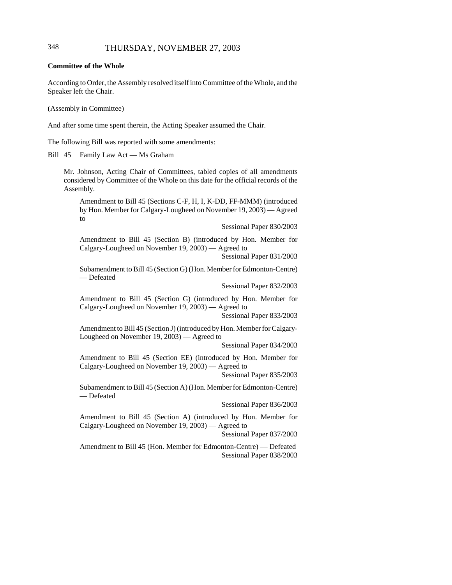# 348 THURSDAY, NOVEMBER 27, 2003

**Committee of the Whole**

According to Order, the Assembly resolved itself into Committee of the Whole, and the Speaker left the Chair.

(Assembly in Committee)

And after some time spent therein, the Acting Speaker assumed the Chair.

The following Bill was reported with some amendments:

Bill 45 Family Law Act — Ms Graham

Mr. Johnson, Acting Chair of Committees, tabled copies of all amendments considered by Committee of the Whole on this date for the official records of the Assembly.

Amendment to Bill 45 (Sections C-F, H, I, K-DD, FF-MMM) (introduced by Hon. Member for Calgary-Lougheed on November 19, 2003) — Agreed to

Sessional Paper 830/2003

Amendment to Bill 45 (Section B) (introduced by Hon. Member for Calgary-Lougheed on November 19, 2003) — Agreed to Sessional Paper 831/2003

Subamendment to Bill 45 (Section G) (Hon. Member for Edmonton-Centre) — Defeated

Sessional Paper 832/2003

Amendment to Bill 45 (Section G) (introduced by Hon. Member for Calgary-Lougheed on November 19, 2003) — Agreed to

Sessional Paper 833/2003

Amendment to Bill 45 (Section J) (introduced by Hon. Member for Calgary-Lougheed on November 19, 2003) — Agreed to

Sessional Paper 834/2003

Amendment to Bill 45 (Section EE) (introduced by Hon. Member for Calgary-Lougheed on November 19, 2003) — Agreed to

Sessional Paper 835/2003

Subamendment to Bill 45 (Section A) (Hon. Member for Edmonton-Centre) — Defeated

Sessional Paper 836/2003

Amendment to Bill 45 (Section A) (introduced by Hon. Member for Calgary-Lougheed on November 19, 2003) — Agreed to

Sessional Paper 837/2003

Amendment to Bill 45 (Hon. Member for Edmonton-Centre) — Defeated Sessional Paper 838/2003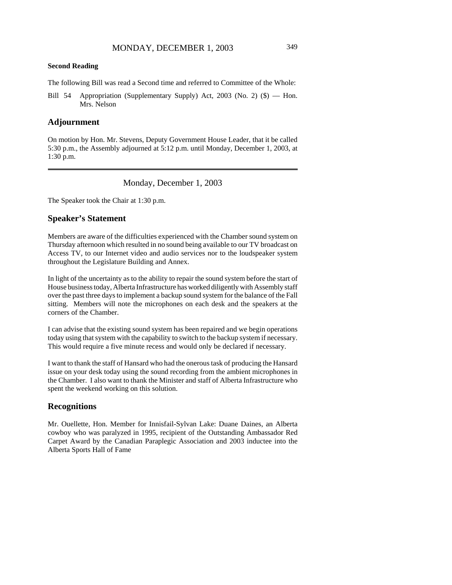#### **Second Reading**

The following Bill was read a Second time and referred to Committee of the Whole:

Bill 54 Appropriation (Supplementary Supply) Act, 2003 (No. 2) (\$) — Hon. Mrs. Nelson

## **Adjournment**

On motion by Hon. Mr. Stevens, Deputy Government House Leader, that it be called 5:30 p.m., the Assembly adjourned at 5:12 p.m. until Monday, December 1, 2003, at 1:30 p.m.

Monday, December 1, 2003

The Speaker took the Chair at 1:30 p.m.

## **Speaker's Statement**

Members are aware of the difficulties experienced with the Chamber sound system on Thursday afternoon which resulted in no sound being available to our TV broadcast on Access TV, to our Internet video and audio services nor to the loudspeaker system throughout the Legislature Building and Annex.

In light of the uncertainty as to the ability to repair the sound system before the start of House business today, Alberta Infrastructure has worked diligently with Assembly staff over the past three days to implement a backup sound system for the balance of the Fall sitting. Members will note the microphones on each desk and the speakers at the corners of the Chamber.

I can advise that the existing sound system has been repaired and we begin operations today using that system with the capability to switch to the backup system if necessary. This would require a five minute recess and would only be declared if necessary.

I want to thank the staff of Hansard who had the onerous task of producing the Hansard issue on your desk today using the sound recording from the ambient microphones in the Chamber. I also want to thank the Minister and staff of Alberta Infrastructure who spent the weekend working on this solution.

## **Recognitions**

Mr. Ouellette, Hon. Member for Innisfail-Sylvan Lake: Duane Daines, an Alberta cowboy who was paralyzed in 1995, recipient of the Outstanding Ambassador Red Carpet Award by the Canadian Paraplegic Association and 2003 inductee into the Alberta Sports Hall of Fame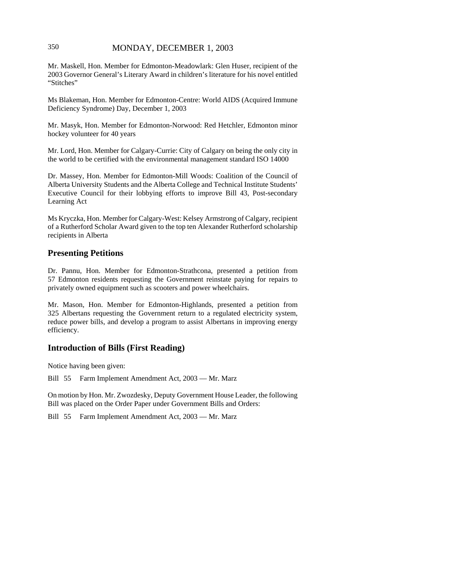# 350 MONDAY, DECEMBER 1, 2003

Mr. Maskell, Hon. Member for Edmonton-Meadowlark: Glen Huser, recipient of the 2003 Governor General's Literary Award in children's literature for his novel entitled "Stitches"

Ms Blakeman, Hon. Member for Edmonton-Centre: World AIDS (Acquired Immune Deficiency Syndrome) Day, December 1, 2003

Mr. Masyk, Hon. Member for Edmonton-Norwood: Red Hetchler, Edmonton minor hockey volunteer for 40 years

Mr. Lord, Hon. Member for Calgary-Currie: City of Calgary on being the only city in the world to be certified with the environmental management standard ISO 14000

Dr. Massey, Hon. Member for Edmonton-Mill Woods: Coalition of the Council of Alberta University Students and the Alberta College and Technical Institute Students' Executive Council for their lobbying efforts to improve Bill 43, Post-secondary Learning Act

Ms Kryczka, Hon. Member for Calgary-West: Kelsey Armstrong of Calgary, recipient of a Rutherford Scholar Award given to the top ten Alexander Rutherford scholarship recipients in Alberta

## **Presenting Petitions**

Dr. Pannu, Hon. Member for Edmonton-Strathcona, presented a petition from 57 Edmonton residents requesting the Government reinstate paying for repairs to privately owned equipment such as scooters and power wheelchairs.

Mr. Mason, Hon. Member for Edmonton-Highlands, presented a petition from 325 Albertans requesting the Government return to a regulated electricity system, reduce power bills, and develop a program to assist Albertans in improving energy efficiency.

# **Introduction of Bills (First Reading)**

Notice having been given:

Bill 55 Farm Implement Amendment Act, 2003 — Mr. Marz

On motion by Hon. Mr. Zwozdesky, Deputy Government House Leader, the following Bill was placed on the Order Paper under Government Bills and Orders:

Bill 55 Farm Implement Amendment Act, 2003 — Mr. Marz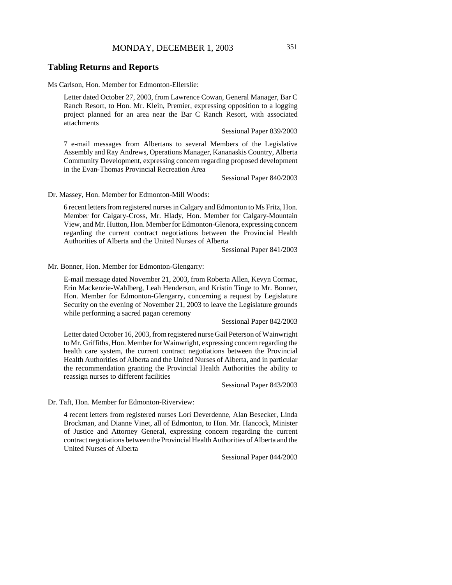# MONDAY, DECEMBER 1, 2003 351

## **Tabling Returns and Reports**

Ms Carlson, Hon. Member for Edmonton-Ellerslie:

Letter dated October 27, 2003, from Lawrence Cowan, General Manager, Bar C Ranch Resort, to Hon. Mr. Klein, Premier, expressing opposition to a logging project planned for an area near the Bar C Ranch Resort, with associated attachments

Sessional Paper 839/2003

7 e-mail messages from Albertans to several Members of the Legislative Assembly and Ray Andrews, Operations Manager, Kananaskis Country, Alberta Community Development, expressing concern regarding proposed development in the Evan-Thomas Provincial Recreation Area

Sessional Paper 840/2003

Dr. Massey, Hon. Member for Edmonton-Mill Woods:

6 recent letters from registered nurses in Calgary and Edmonton to Ms Fritz, Hon. Member for Calgary-Cross, Mr. Hlady, Hon. Member for Calgary-Mountain View, and Mr. Hutton, Hon. Member for Edmonton-Glenora, expressing concern regarding the current contract negotiations between the Provincial Health Authorities of Alberta and the United Nurses of Alberta

Sessional Paper 841/2003

Mr. Bonner, Hon. Member for Edmonton-Glengarry:

E-mail message dated November 21, 2003, from Roberta Allen, Kevyn Cormac, Erin Mackenzie-Wahlberg, Leah Henderson, and Kristin Tinge to Mr. Bonner, Hon. Member for Edmonton-Glengarry, concerning a request by Legislature Security on the evening of November 21, 2003 to leave the Legislature grounds while performing a sacred pagan ceremony

Sessional Paper 842/2003

Letter dated October 16, 2003, from registered nurse Gail Peterson of Wainwright to Mr. Griffiths, Hon. Member for Wainwright, expressing concern regarding the health care system, the current contract negotiations between the Provincial Health Authorities of Alberta and the United Nurses of Alberta, and in particular the recommendation granting the Provincial Health Authorities the ability to reassign nurses to different facilities

Sessional Paper 843/2003

Dr. Taft, Hon. Member for Edmonton-Riverview:

4 recent letters from registered nurses Lori Deverdenne, Alan Besecker, Linda Brockman, and Dianne Vinet, all of Edmonton, to Hon. Mr. Hancock, Minister of Justice and Attorney General, expressing concern regarding the current contract negotiations between the Provincial Health Authorities of Alberta and the United Nurses of Alberta

Sessional Paper 844/2003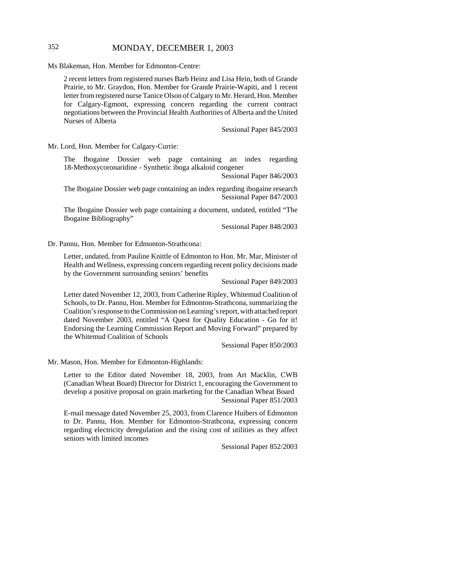# 352 MONDAY, DECEMBER 1, 2003

Ms Blakeman, Hon. Member for Edmonton-Centre:

2 recent letters from registered nurses Barb Heinz and Lisa Hein, both of Grande Prairie, to Mr. Graydon, Hon. Member for Grande Prairie-Wapiti, and 1 recent letter from registered nurse Tanice Olson of Calgary to Mr. Herard, Hon. Member for Calgary-Egmont, expressing concern regarding the current contract negotiations between the Provincial Health Authorities of Alberta and the United Nurses of Alberta

Sessional Paper 845/2003

Mr. Lord, Hon. Member for Calgary-Currie:

The Ibogaine Dossier web page containing an index regarding 18-Methoxycoronaridine - Synthetic iboga alkaloid congener

Sessional Paper 846/2003

The Ibogaine Dossier web page containing an index regarding ibogaine research Sessional Paper 847/2003

The Ibogaine Dossier web page containing a document, undated, entitled "The Ibogaine Bibliography"

Sessional Paper 848/2003

Dr. Pannu, Hon. Member for Edmonton-Strathcona:

Letter, undated, from Pauline Knittle of Edmonton to Hon. Mr. Mar, Minister of Health and Wellness, expressing concern regarding recent policy decisions made by the Government surrounding seniors' benefits

Sessional Paper 849/2003

Letter dated November 12, 2003, from Catherine Ripley, Whitemud Coalition of Schools, to Dr. Pannu, Hon. Member for Edmonton-Strathcona, summarizing the Coalition's response to the Commission on Learning's report, with attached report dated November 2003, entitled "A Quest for Quality Education - Go for it! Endorsing the Learning Commission Report and Moving Forward" prepared by the Whitemud Coalition of Schools

Sessional Paper 850/2003

Mr. Mason, Hon. Member for Edmonton-Highlands:

Letter to the Editor dated November 18, 2003, from Art Macklin, CWB (Canadian Wheat Board) Director for District 1, encouraging the Government to develop a positive proposal on grain marketing for the Canadian Wheat Board Sessional Paper 851/2003

E-mail message dated November 25, 2003, from Clarence Huibers of Edmonton to Dr. Pannu, Hon. Member for Edmonton-Strathcona, expressing concern regarding electricity deregulation and the rising cost of utilities as they affect seniors with limited incomes

Sessional Paper 852/2003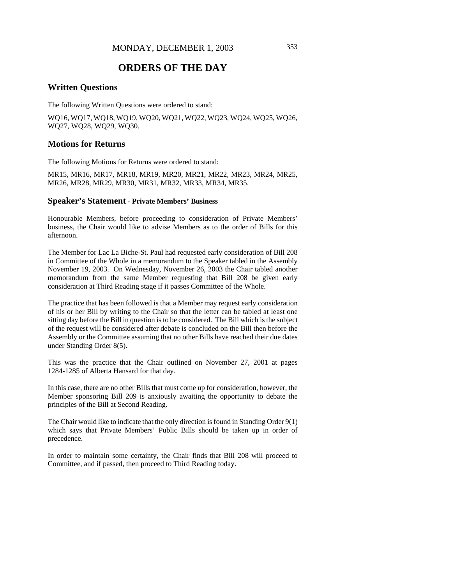# **ORDERS OF THE DAY**

#### **Written Questions**

The following Written Questions were ordered to stand:

WQ16, WQ17, WQ18, WQ19, WQ20, WQ21, WQ22, WQ23, WQ24, WQ25, WQ26, WQ27, WQ28, WQ29, WQ30.

# **Motions for Returns**

The following Motions for Returns were ordered to stand:

MR15, MR16, MR17, MR18, MR19, MR20, MR21, MR22, MR23, MR24, MR25, MR26, MR28, MR29, MR30, MR31, MR32, MR33, MR34, MR35.

#### **Speaker's Statement** - **Private Members' Business**

Honourable Members, before proceeding to consideration of Private Members' business, the Chair would like to advise Members as to the order of Bills for this afternoon.

The Member for Lac La Biche-St. Paul had requested early consideration of Bill 208 in Committee of the Whole in a memorandum to the Speaker tabled in the Assembly November 19, 2003. On Wednesday, November 26, 2003 the Chair tabled another memorandum from the same Member requesting that Bill 208 be given early consideration at Third Reading stage if it passes Committee of the Whole.

The practice that has been followed is that a Member may request early consideration of his or her Bill by writing to the Chair so that the letter can be tabled at least one sitting day before the Bill in question is to be considered. The Bill which is the subject of the request will be considered after debate is concluded on the Bill then before the Assembly or the Committee assuming that no other Bills have reached their due dates under Standing Order 8(5).

This was the practice that the Chair outlined on November 27, 2001 at pages 1284-1285 of Alberta Hansard for that day.

In this case, there are no other Bills that must come up for consideration, however, the Member sponsoring Bill 209 is anxiously awaiting the opportunity to debate the principles of the Bill at Second Reading.

The Chair would like to indicate that the only direction is found in Standing Order 9(1) which says that Private Members' Public Bills should be taken up in order of precedence.

In order to maintain some certainty, the Chair finds that Bill 208 will proceed to Committee, and if passed, then proceed to Third Reading today.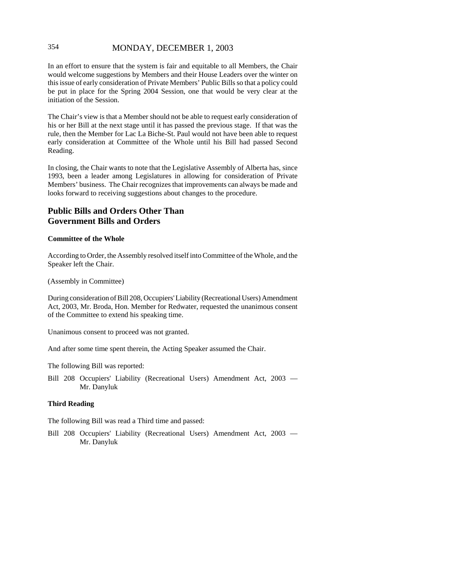# 354 MONDAY, DECEMBER 1, 2003

In an effort to ensure that the system is fair and equitable to all Members, the Chair would welcome suggestions by Members and their House Leaders over the winter on this issue of early consideration of Private Members' Public Bills so that a policy could be put in place for the Spring 2004 Session, one that would be very clear at the initiation of the Session.

The Chair's view is that a Member should not be able to request early consideration of his or her Bill at the next stage until it has passed the previous stage. If that was the rule, then the Member for Lac La Biche-St. Paul would not have been able to request early consideration at Committee of the Whole until his Bill had passed Second Reading.

In closing, the Chair wants to note that the Legislative Assembly of Alberta has, since 1993, been a leader among Legislatures in allowing for consideration of Private Members' business. The Chair recognizes that improvements can always be made and looks forward to receiving suggestions about changes to the procedure.

# **Public Bills and Orders Other Than Government Bills and Orders**

#### **Committee of the Whole**

According to Order, the Assembly resolved itself into Committee of the Whole, and the Speaker left the Chair.

(Assembly in Committee)

During consideration of Bill 208, Occupiers' Liability (Recreational Users) Amendment Act, 2003, Mr. Broda, Hon. Member for Redwater, requested the unanimous consent of the Committee to extend his speaking time.

Unanimous consent to proceed was not granted.

And after some time spent therein, the Acting Speaker assumed the Chair.

The following Bill was reported:

Bill 208 Occupiers' Liability (Recreational Users) Amendment Act, 2003 — Mr. Danyluk

#### **Third Reading**

The following Bill was read a Third time and passed:

Bill 208 Occupiers' Liability (Recreational Users) Amendment Act, 2003 — Mr. Danyluk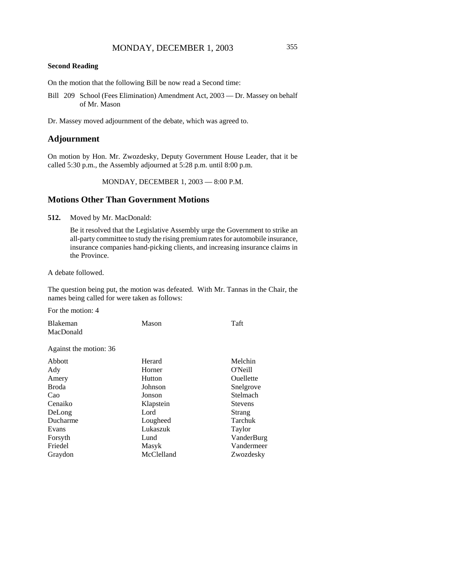## **Second Reading**

On the motion that the following Bill be now read a Second time:

Bill 209 School (Fees Elimination) Amendment Act, 2003 — Dr. Massey on behalf of Mr. Mason

Dr. Massey moved adjournment of the debate, which was agreed to.

## **Adjournment**

On motion by Hon. Mr. Zwozdesky, Deputy Government House Leader, that it be called 5:30 p.m., the Assembly adjourned at 5:28 p.m. until 8:00 p.m.

MONDAY, DECEMBER 1, 2003 — 8:00 P.M.

## **Motions Other Than Government Motions**

**512.** Moved by Mr. MacDonald:

Be it resolved that the Legislative Assembly urge the Government to strike an all-party committee to study the rising premium rates for automobile insurance, insurance companies hand-picking clients, and increasing insurance claims in the Province.

A debate followed.

The question being put, the motion was defeated. With Mr. Tannas in the Chair, the names being called for were taken as follows:

For the motion: 4

| <b>Blakeman</b>        | Mason      | Taft             |
|------------------------|------------|------------------|
| MacDonald              |            |                  |
| Against the motion: 36 |            |                  |
| Abbott                 | Herard     | Melchin          |
| Ady                    | Horner     | <b>O'Neill</b>   |
| Amery                  | Hutton     | <b>Ouellette</b> |
| <b>Broda</b>           | Johnson    | Snelgrove        |
| Cao                    | Jonson     | Stelmach         |
| Cenaiko                | Klapstein  | Stevens          |
| DeLong                 | Lord       | Strang           |
| Ducharme               | Lougheed   | Tarchuk          |
| Evans                  | Lukaszuk   | Taylor           |
| Forsyth                | Lund       | VanderBurg       |
| Friedel                | Masyk      | Vandermeer       |
| Graydon                | McClelland | Zwozdesky        |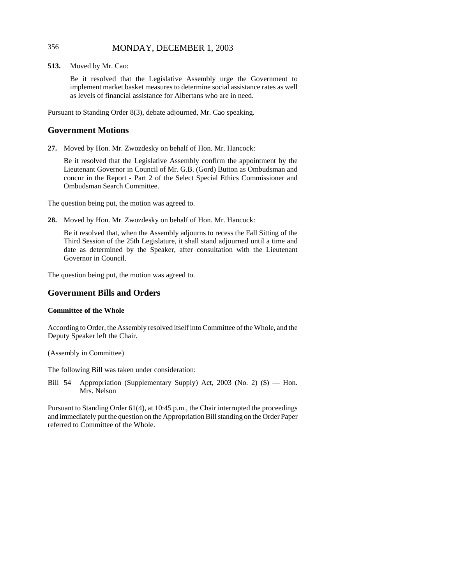# 356 MONDAY, DECEMBER 1, 2003

**513.** Moved by Mr. Cao:

Be it resolved that the Legislative Assembly urge the Government to implement market basket measures to determine social assistance rates as well as levels of financial assistance for Albertans who are in need.

Pursuant to Standing Order 8(3), debate adjourned, Mr. Cao speaking.

## **Government Motions**

**27.** Moved by Hon. Mr. Zwozdesky on behalf of Hon. Mr. Hancock:

Be it resolved that the Legislative Assembly confirm the appointment by the Lieutenant Governor in Council of Mr. G.B. (Gord) Button as Ombudsman and concur in the Report - Part 2 of the Select Special Ethics Commissioner and Ombudsman Search Committee.

The question being put, the motion was agreed to.

**28.** Moved by Hon. Mr. Zwozdesky on behalf of Hon. Mr. Hancock:

Be it resolved that, when the Assembly adjourns to recess the Fall Sitting of the Third Session of the 25th Legislature, it shall stand adjourned until a time and date as determined by the Speaker, after consultation with the Lieutenant Governor in Council.

The question being put, the motion was agreed to.

## **Government Bills and Orders**

#### **Committee of the Whole**

According to Order, the Assembly resolved itself into Committee of the Whole, and the Deputy Speaker left the Chair.

(Assembly in Committee)

The following Bill was taken under consideration:

Bill 54 Appropriation (Supplementary Supply) Act, 2003 (No. 2) (\$) — Hon. Mrs. Nelson

Pursuant to Standing Order 61(4), at 10:45 p.m., the Chair interrupted the proceedings and immediately put the question on the Appropriation Bill standing on the Order Paper referred to Committee of the Whole.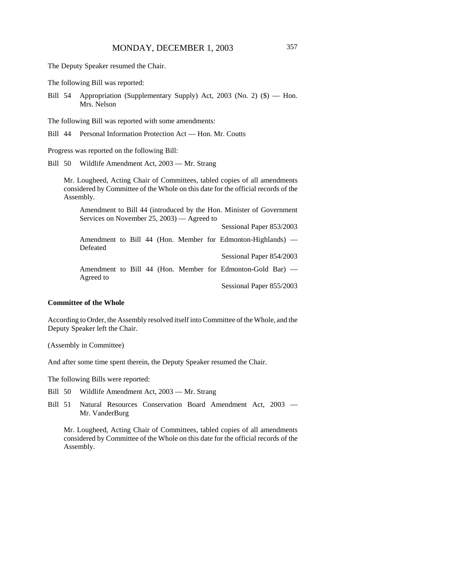The Deputy Speaker resumed the Chair.

The following Bill was reported:

Bill 54 Appropriation (Supplementary Supply) Act, 2003 (No. 2) (\$) — Hon. Mrs. Nelson

The following Bill was reported with some amendments:

Bill 44 Personal Information Protection Act — Hon. Mr. Coutts

Progress was reported on the following Bill:

Bill 50 Wildlife Amendment Act, 2003 — Mr. Strang

Mr. Lougheed, Acting Chair of Committees, tabled copies of all amendments considered by Committee of the Whole on this date for the official records of the Assembly.

| Amendment to Bill 44 (introduced by the Hon. Minister of Government     |                          |  |  |
|-------------------------------------------------------------------------|--------------------------|--|--|
| Services on November 25, 2003) — Agreed to                              |                          |  |  |
|                                                                         | Sessional Paper 853/2003 |  |  |
| Amendment to Bill 44 (Hon. Member for Edmonton-Highlands) —<br>Defeated |                          |  |  |
|                                                                         | Sessional Paper 854/2003 |  |  |
| Amendment to Bill 44 (Hon. Member for Edmonton-Gold Bar) —<br>Agreed to |                          |  |  |
|                                                                         | Sessional Paper 855/2003 |  |  |

#### **Committee of the Whole**

According to Order, the Assembly resolved itself into Committee of the Whole, and the Deputy Speaker left the Chair.

(Assembly in Committee)

And after some time spent therein, the Deputy Speaker resumed the Chair.

The following Bills were reported:

- Bill 50 Wildlife Amendment Act, 2003 Mr. Strang
- Bill 51 Natural Resources Conservation Board Amendment Act, 2003 Mr. VanderBurg

Mr. Lougheed, Acting Chair of Committees, tabled copies of all amendments considered by Committee of the Whole on this date for the official records of the Assembly.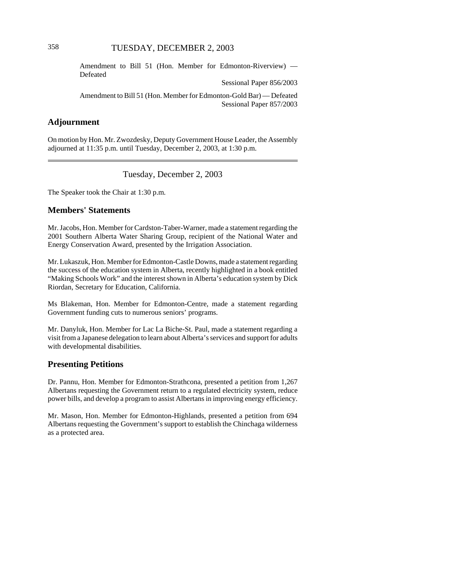Amendment to Bill 51 (Hon. Member for Edmonton-Riverview) — Defeated

Sessional Paper 856/2003

Amendment to Bill 51 (Hon. Member for Edmonton-Gold Bar) — Defeated Sessional Paper 857/2003

# **Adjournment**

On motion by Hon. Mr. Zwozdesky, Deputy Government House Leader, the Assembly adjourned at 11:35 p.m. until Tuesday, December 2, 2003, at 1:30 p.m.

## Tuesday, December 2, 2003

The Speaker took the Chair at 1:30 p.m.

## **Members' Statements**

Mr. Jacobs, Hon. Member for Cardston-Taber-Warner, made a statement regarding the 2001 Southern Alberta Water Sharing Group, recipient of the National Water and Energy Conservation Award, presented by the Irrigation Association.

Mr. Lukaszuk, Hon. Member for Edmonton-Castle Downs, made a statement regarding the success of the education system in Alberta, recently highlighted in a book entitled "Making Schools Work" and the interest shown in Alberta's education system by Dick Riordan, Secretary for Education, California.

Ms Blakeman, Hon. Member for Edmonton-Centre, made a statement regarding Government funding cuts to numerous seniors' programs.

Mr. Danyluk, Hon. Member for Lac La Biche-St. Paul, made a statement regarding a visit from a Japanese delegation to learn about Alberta's services and support for adults with developmental disabilities.

## **Presenting Petitions**

Dr. Pannu, Hon. Member for Edmonton-Strathcona, presented a petition from 1,267 Albertans requesting the Government return to a regulated electricity system, reduce power bills, and develop a program to assist Albertans in improving energy efficiency.

Mr. Mason, Hon. Member for Edmonton-Highlands, presented a petition from 694 Albertans requesting the Government's support to establish the Chinchaga wilderness as a protected area.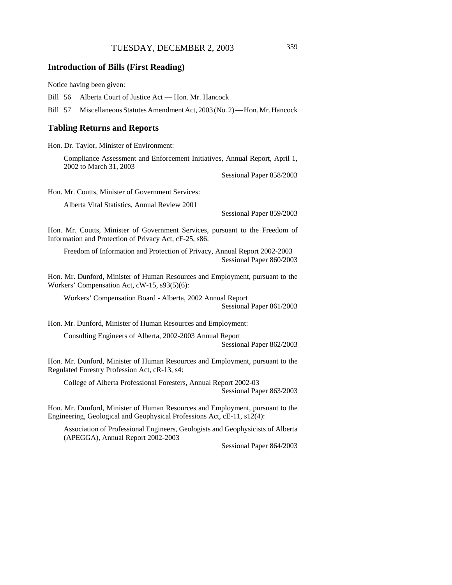## **Introduction of Bills (First Reading)**

Notice having been given:

Bill 56 Alberta Court of Justice Act — Hon. Mr. Hancock

Bill 57 Miscellaneous Statutes Amendment Act, 2003 (No. 2) — Hon. Mr. Hancock

#### **Tabling Returns and Reports**

Hon. Dr. Taylor, Minister of Environment:

Compliance Assessment and Enforcement Initiatives, Annual Report, April 1, 2002 to March 31, 2003

Sessional Paper 858/2003

Hon. Mr. Coutts, Minister of Government Services:

Alberta Vital Statistics, Annual Review 2001

Sessional Paper 859/2003

Hon. Mr. Coutts, Minister of Government Services, pursuant to the Freedom of Information and Protection of Privacy Act, cF-25, s86:

Freedom of Information and Protection of Privacy, Annual Report 2002-2003 Sessional Paper 860/2003

Hon. Mr. Dunford, Minister of Human Resources and Employment, pursuant to the Workers' Compensation Act, cW-15, s93(5)(6):

Workers' Compensation Board - Alberta, 2002 Annual Report Sessional Paper 861/2003

Hon. Mr. Dunford, Minister of Human Resources and Employment:

Consulting Engineers of Alberta, 2002-2003 Annual Report

Sessional Paper 862/2003

Hon. Mr. Dunford, Minister of Human Resources and Employment, pursuant to the Regulated Forestry Profession Act, cR-13, s4:

College of Alberta Professional Foresters, Annual Report 2002-03

Sessional Paper 863/2003

Hon. Mr. Dunford, Minister of Human Resources and Employment, pursuant to the Engineering, Geological and Geophysical Professions Act, cE-11, s12(4):

Association of Professional Engineers, Geologists and Geophysicists of Alberta (APEGGA), Annual Report 2002-2003

Sessional Paper 864/2003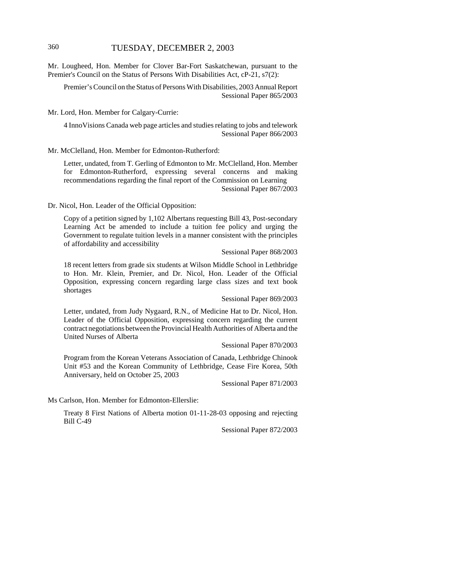Mr. Lougheed, Hon. Member for Clover Bar-Fort Saskatchewan, pursuant to the Premier's Council on the Status of Persons With Disabilities Act, cP-21, s7(2):

Premier's Council on the Status of Persons With Disabilities, 2003 Annual Report Sessional Paper 865/2003

Mr. Lord, Hon. Member for Calgary-Currie:

4 InnoVisions Canada web page articles and studies relating to jobs and telework Sessional Paper 866/2003

Mr. McClelland, Hon. Member for Edmonton-Rutherford:

Letter, undated, from T. Gerling of Edmonton to Mr. McClelland, Hon. Member for Edmonton-Rutherford, expressing several concerns and making recommendations regarding the final report of the Commission on Learning Sessional Paper 867/2003

Dr. Nicol, Hon. Leader of the Official Opposition:

Copy of a petition signed by 1,102 Albertans requesting Bill 43, Post-secondary Learning Act be amended to include a tuition fee policy and urging the Government to regulate tuition levels in a manner consistent with the principles of affordability and accessibility

Sessional Paper 868/2003

18 recent letters from grade six students at Wilson Middle School in Lethbridge to Hon. Mr. Klein, Premier, and Dr. Nicol, Hon. Leader of the Official Opposition, expressing concern regarding large class sizes and text book shortages

Sessional Paper 869/2003

Letter, undated, from Judy Nygaard, R.N., of Medicine Hat to Dr. Nicol, Hon. Leader of the Official Opposition, expressing concern regarding the current contract negotiations between the Provincial Health Authorities of Alberta and the United Nurses of Alberta

Sessional Paper 870/2003

Program from the Korean Veterans Association of Canada, Lethbridge Chinook Unit #53 and the Korean Community of Lethbridge, Cease Fire Korea, 50th Anniversary, held on October 25, 2003

Sessional Paper 871/2003

Ms Carlson, Hon. Member for Edmonton-Ellerslie:

Treaty 8 First Nations of Alberta motion 01-11-28-03 opposing and rejecting Bill C-49

Sessional Paper 872/2003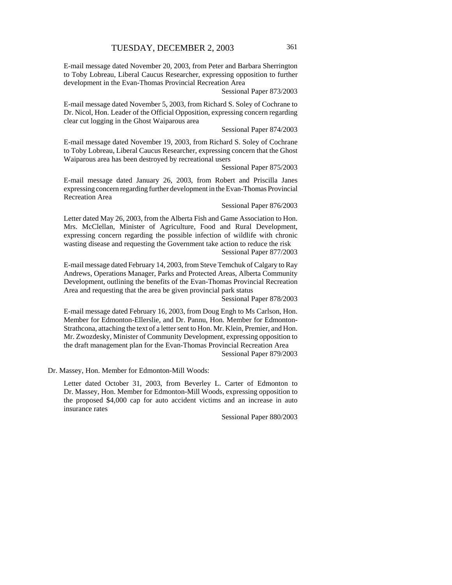E-mail message dated November 20, 2003, from Peter and Barbara Sherrington to Toby Lobreau, Liberal Caucus Researcher, expressing opposition to further development in the Evan-Thomas Provincial Recreation Area

Sessional Paper 873/2003

E-mail message dated November 5, 2003, from Richard S. Soley of Cochrane to Dr. Nicol, Hon. Leader of the Official Opposition, expressing concern regarding clear cut logging in the Ghost Waiparous area

#### Sessional Paper 874/2003

E-mail message dated November 19, 2003, from Richard S. Soley of Cochrane to Toby Lobreau, Liberal Caucus Researcher, expressing concern that the Ghost Waiparous area has been destroyed by recreational users

Sessional Paper 875/2003

E-mail message dated January 26, 2003, from Robert and Priscilla Janes expressing concern regarding further development in the Evan-Thomas Provincial Recreation Area

#### Sessional Paper 876/2003

Letter dated May 26, 2003, from the Alberta Fish and Game Association to Hon. Mrs. McClellan, Minister of Agriculture, Food and Rural Development, expressing concern regarding the possible infection of wildlife with chronic wasting disease and requesting the Government take action to reduce the risk

Sessional Paper 877/2003

E-mail message dated February 14, 2003, from Steve Temchuk of Calgary to Ray Andrews, Operations Manager, Parks and Protected Areas, Alberta Community Development, outlining the benefits of the Evan-Thomas Provincial Recreation Area and requesting that the area be given provincial park status

Sessional Paper 878/2003

E-mail message dated February 16, 2003, from Doug Engh to Ms Carlson, Hon. Member for Edmonton-Ellerslie, and Dr. Pannu, Hon. Member for Edmonton-Strathcona, attaching the text of a letter sent to Hon. Mr. Klein, Premier, and Hon. Mr. Zwozdesky, Minister of Community Development, expressing opposition to the draft management plan for the Evan-Thomas Provincial Recreation Area Sessional Paper 879/2003

Dr. Massey, Hon. Member for Edmonton-Mill Woods:

Letter dated October 31, 2003, from Beverley L. Carter of Edmonton to Dr. Massey, Hon. Member for Edmonton-Mill Woods, expressing opposition to the proposed \$4,000 cap for auto accident victims and an increase in auto insurance rates

Sessional Paper 880/2003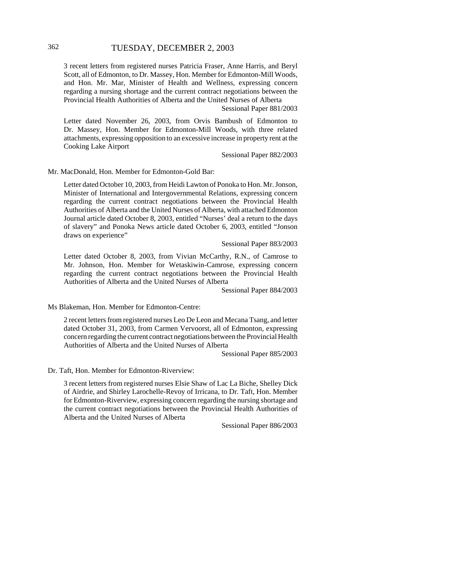3 recent letters from registered nurses Patricia Fraser, Anne Harris, and Beryl Scott, all of Edmonton, to Dr. Massey, Hon. Member for Edmonton-Mill Woods, and Hon. Mr. Mar, Minister of Health and Wellness, expressing concern regarding a nursing shortage and the current contract negotiations between the Provincial Health Authorities of Alberta and the United Nurses of Alberta

Sessional Paper 881/2003

Letter dated November 26, 2003, from Orvis Bambush of Edmonton to Dr. Massey, Hon. Member for Edmonton-Mill Woods, with three related attachments, expressing opposition to an excessive increase in property rent at the Cooking Lake Airport

Sessional Paper 882/2003

Mr. MacDonald, Hon. Member for Edmonton-Gold Bar:

Letter dated October 10, 2003, from Heidi Lawton of Ponoka to Hon. Mr. Jonson, Minister of International and Intergovernmental Relations, expressing concern regarding the current contract negotiations between the Provincial Health Authorities of Alberta and the United Nurses of Alberta, with attached Edmonton Journal article dated October 8, 2003, entitled "Nurses' deal a return to the days of slavery" and Ponoka News article dated October 6, 2003, entitled "Jonson draws on experience"

Sessional Paper 883/2003

Letter dated October 8, 2003, from Vivian McCarthy, R.N., of Camrose to Mr. Johnson, Hon. Member for Wetaskiwin-Camrose, expressing concern regarding the current contract negotiations between the Provincial Health Authorities of Alberta and the United Nurses of Alberta

Sessional Paper 884/2003

Ms Blakeman, Hon. Member for Edmonton-Centre:

2 recent letters from registered nurses Leo De Leon and Mecana Tsang, and letter dated October 31, 2003, from Carmen Vervoorst, all of Edmonton, expressing concern regarding the current contract negotiations between the Provincial Health Authorities of Alberta and the United Nurses of Alberta

Sessional Paper 885/2003

Dr. Taft, Hon. Member for Edmonton-Riverview:

3 recent letters from registered nurses Elsie Shaw of Lac La Biche, Shelley Dick of Airdrie, and Shirley Larochelle-Revoy of Irricana, to Dr. Taft, Hon. Member for Edmonton-Riverview, expressing concern regarding the nursing shortage and the current contract negotiations between the Provincial Health Authorities of Alberta and the United Nurses of Alberta

Sessional Paper 886/2003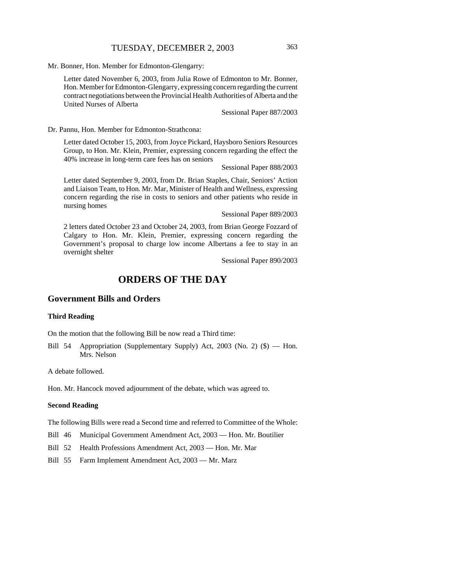Mr. Bonner, Hon. Member for Edmonton-Glengarry:

Letter dated November 6, 2003, from Julia Rowe of Edmonton to Mr. Bonner, Hon. Member for Edmonton-Glengarry, expressing concern regarding the current contract negotiations between the Provincial Health Authorities of Alberta and the United Nurses of Alberta

Sessional Paper 887/2003

Dr. Pannu, Hon. Member for Edmonton-Strathcona:

Letter dated October 15, 2003, from Joyce Pickard, Haysboro Seniors Resources Group, to Hon. Mr. Klein, Premier, expressing concern regarding the effect the 40% increase in long-term care fees has on seniors

Sessional Paper 888/2003

Letter dated September 9, 2003, from Dr. Brian Staples, Chair, Seniors' Action and Liaison Team, to Hon. Mr. Mar, Minister of Health and Wellness, expressing concern regarding the rise in costs to seniors and other patients who reside in nursing homes

Sessional Paper 889/2003

2 letters dated October 23 and October 24, 2003, from Brian George Fozzard of Calgary to Hon. Mr. Klein, Premier, expressing concern regarding the Government's proposal to charge low income Albertans a fee to stay in an overnight shelter

Sessional Paper 890/2003

# **ORDERS OF THE DAY**

## **Government Bills and Orders**

#### **Third Reading**

On the motion that the following Bill be now read a Third time:

Bill 54 Appropriation (Supplementary Supply) Act, 2003 (No. 2) (\$) — Hon. Mrs. Nelson

A debate followed.

Hon. Mr. Hancock moved adjournment of the debate, which was agreed to.

#### **Second Reading**

The following Bills were read a Second time and referred to Committee of the Whole:

Bill 46 Municipal Government Amendment Act, 2003 — Hon. Mr. Boutilier

Bill 52 Health Professions Amendment Act, 2003 — Hon. Mr. Mar

Bill 55 Farm Implement Amendment Act, 2003 — Mr. Marz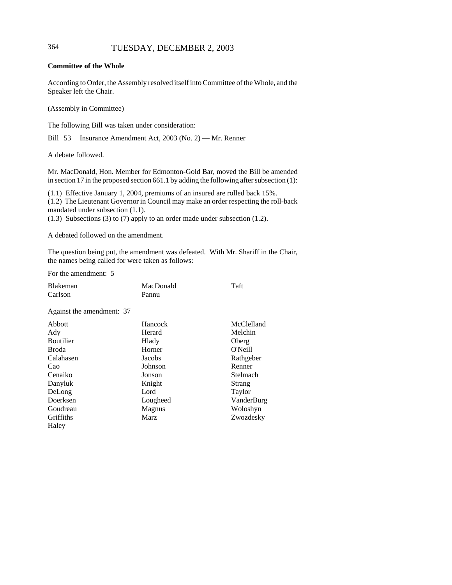### **Committee of the Whole**

According to Order, the Assembly resolved itself into Committee of the Whole, and the Speaker left the Chair.

(Assembly in Committee)

The following Bill was taken under consideration:

Bill 53 Insurance Amendment Act, 2003 (No. 2) — Mr. Renner

A debate followed.

Mr. MacDonald, Hon. Member for Edmonton-Gold Bar, moved the Bill be amended in section 17 in the proposed section 661.1 by adding the following after subsection (1):

(1.1) Effective January 1, 2004, premiums of an insured are rolled back 15%. (1.2) The Lieutenant Governor in Council may make an order respecting the roll-back mandated under subsection (1.1).

(1.3) Subsections (3) to (7) apply to an order made under subsection (1.2).

A debated followed on the amendment.

The question being put, the amendment was defeated. With Mr. Shariff in the Chair, the names being called for were taken as follows:

For the amendment: 5

| <b>Blakeman</b>           | MacDonald | Taft          |
|---------------------------|-----------|---------------|
| Carlson                   | Pannu     |               |
| Against the amendment: 37 |           |               |
| Abbott                    | Hancock   | McClelland    |
| Ady                       | Herard    | Melchin       |
| <b>Boutilier</b>          | Hlady     | Oberg         |
| Broda                     | Horner    | O'Neill       |
| Calahasen                 | Jacobs    | Rathgeber     |
| Cao                       | Johnson   | Renner        |
| Cenaiko                   | Jonson    | Stelmach      |
| Danyluk                   | Knight    | <b>Strang</b> |
| DeLong                    | Lord      | Taylor        |
| Doerksen                  | Lougheed  | VanderBurg    |
| Goudreau                  | Magnus    | Woloshyn      |
| Griffiths                 | Marz      | Zwozdesky     |
| Haley                     |           |               |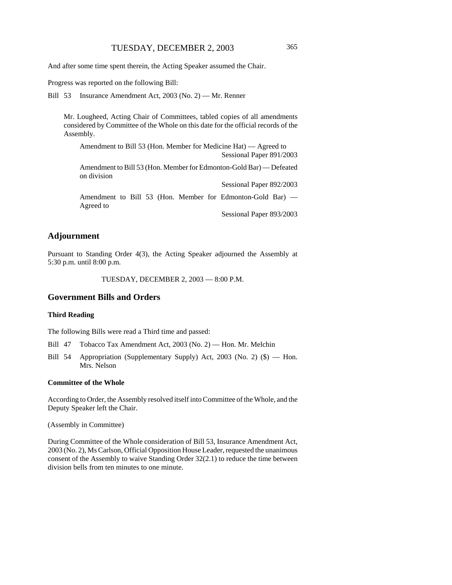And after some time spent therein, the Acting Speaker assumed the Chair.

Progress was reported on the following Bill:

Bill 53 Insurance Amendment Act, 2003 (No. 2) — Mr. Renner

Mr. Lougheed, Acting Chair of Committees, tabled copies of all amendments considered by Committee of the Whole on this date for the official records of the Assembly.

Amendment to Bill 53 (Hon. Member for Medicine Hat) — Agreed to Sessional Paper 891/2003

Amendment to Bill 53 (Hon. Member for Edmonton-Gold Bar) — Defeated on division

Amendment to Bill 53 (Hon. Member for Edmonton-Gold Bar) — Agreed to

Sessional Paper 893/2003

Sessional Paper 892/2003

## **Adjournment**

Pursuant to Standing Order 4(3), the Acting Speaker adjourned the Assembly at 5:30 p.m. until 8:00 p.m.

TUESDAY, DECEMBER 2, 2003 — 8:00 P.M.

## **Government Bills and Orders**

#### **Third Reading**

The following Bills were read a Third time and passed:

Bill 47 Tobacco Tax Amendment Act, 2003 (No. 2) — Hon. Mr. Melchin

Bill 54 Appropriation (Supplementary Supply) Act, 2003 (No. 2) (\$) — Hon. Mrs. Nelson

#### **Committee of the Whole**

According to Order, the Assembly resolved itself into Committee of the Whole, and the Deputy Speaker left the Chair.

(Assembly in Committee)

During Committee of the Whole consideration of Bill 53, Insurance Amendment Act, 2003 (No. 2), Ms Carlson, Official Opposition House Leader, requested the unanimous consent of the Assembly to waive Standing Order 32(2.1) to reduce the time between division bells from ten minutes to one minute.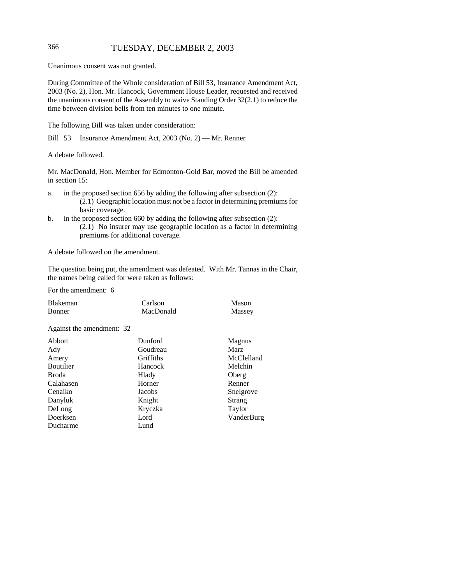Unanimous consent was not granted.

During Committee of the Whole consideration of Bill 53, Insurance Amendment Act, 2003 (No. 2), Hon. Mr. Hancock, Government House Leader, requested and received the unanimous consent of the Assembly to waive Standing Order 32(2.1) to reduce the time between division bells from ten minutes to one minute.

The following Bill was taken under consideration:

Bill 53 Insurance Amendment Act, 2003 (No. 2) — Mr. Renner

A debate followed.

Mr. MacDonald, Hon. Member for Edmonton-Gold Bar, moved the Bill be amended in section 15:

- a. in the proposed section 656 by adding the following after subsection (2): (2.1) Geographic location must not be a factor in determining premiums for basic coverage.
- b. in the proposed section 660 by adding the following after subsection (2): (2.1) No insurer may use geographic location as a factor in determining premiums for additional coverage.

A debate followed on the amendment.

The question being put, the amendment was defeated. With Mr. Tannas in the Chair, the names being called for were taken as follows:

For the amendment: 6

| <b>Blakeman</b>           | Carlson          | Mason      |
|---------------------------|------------------|------------|
| <b>Bonner</b>             | MacDonald        | Massey     |
| Against the amendment: 32 |                  |            |
| Abbott                    | Dunford          | Magnus     |
| Ady                       | Goudreau         | Marz       |
| Amery                     | <b>Griffiths</b> | McClelland |
| Boutilier                 | Hancock          | Melchin    |
| Broda                     | Hlady            | Oberg      |
| Calahasen                 | Horner           | Renner     |
| Cenaiko                   | Jacobs           | Snelgrove  |
| Danyluk                   | Knight           | Strang     |
| DeLong                    | Kryczka          | Taylor     |
| Doerksen                  | Lord             | VanderBurg |
| Ducharme                  | Lund             |            |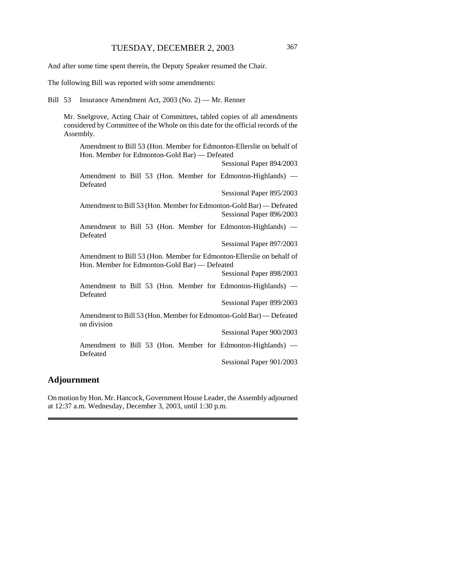And after some time spent therein, the Deputy Speaker resumed the Chair.

The following Bill was reported with some amendments:

Bill 53 Insurance Amendment Act, 2003 (No. 2) — Mr. Renner

Mr. Snelgrove, Acting Chair of Committees, tabled copies of all amendments considered by Committee of the Whole on this date for the official records of the Assembly.

Amendment to Bill 53 (Hon. Member for Edmonton-Ellerslie on behalf of Hon. Member for Edmonton-Gold Bar) — Defeated

Sessional Paper 894/2003

Amendment to Bill 53 (Hon. Member for Edmonton-Highlands) — Defeated

Sessional Paper 895/2003

Amendment to Bill 53 (Hon. Member for Edmonton-Gold Bar) — Defeated Sessional Paper 896/2003

Amendment to Bill 53 (Hon. Member for Edmonton-Highlands) — Defeated

Sessional Paper 897/2003

Amendment to Bill 53 (Hon. Member for Edmonton-Ellerslie on behalf of Hon. Member for Edmonton-Gold Bar) — Defeated

Sessional Paper 898/2003

Amendment to Bill 53 (Hon. Member for Edmonton-Highlands) — Defeated

Sessional Paper 899/2003

Amendment to Bill 53 (Hon. Member for Edmonton-Gold Bar) — Defeated on division

Sessional Paper 900/2003

Amendment to Bill 53 (Hon. Member for Edmonton-Highlands) — Defeated

Sessional Paper 901/2003

#### **Adjournment**

On motion by Hon. Mr. Hancock, Government House Leader, the Assembly adjourned at 12:37 a.m. Wednesday, December 3, 2003, until 1:30 p.m.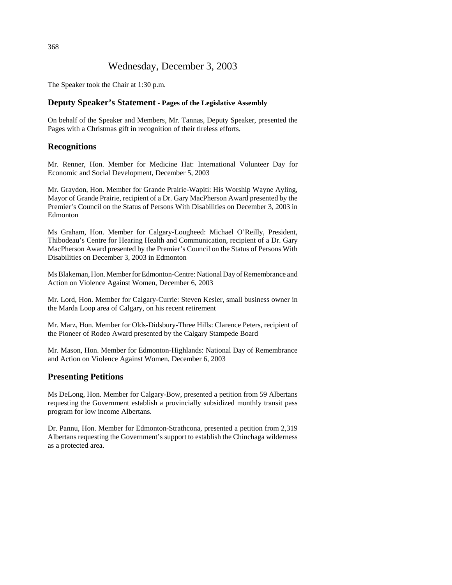# Wednesday, December 3, 2003

The Speaker took the Chair at 1:30 p.m.

## **Deputy Speaker's Statement - Pages of the Legislative Assembly**

On behalf of the Speaker and Members, Mr. Tannas, Deputy Speaker, presented the Pages with a Christmas gift in recognition of their tireless efforts.

# **Recognitions**

Mr. Renner, Hon. Member for Medicine Hat: International Volunteer Day for Economic and Social Development, December 5, 2003

Mr. Graydon, Hon. Member for Grande Prairie-Wapiti: His Worship Wayne Ayling, Mayor of Grande Prairie, recipient of a Dr. Gary MacPherson Award presented by the Premier's Council on the Status of Persons With Disabilities on December 3, 2003 in Edmonton

Ms Graham, Hon. Member for Calgary-Lougheed: Michael O'Reilly, President, Thibodeau's Centre for Hearing Health and Communication, recipient of a Dr. Gary MacPherson Award presented by the Premier's Council on the Status of Persons With Disabilities on December 3, 2003 in Edmonton

Ms Blakeman, Hon. Member for Edmonton-Centre: National Day of Remembrance and Action on Violence Against Women, December 6, 2003

Mr. Lord, Hon. Member for Calgary-Currie: Steven Kesler, small business owner in the Marda Loop area of Calgary, on his recent retirement

Mr. Marz, Hon. Member for Olds-Didsbury-Three Hills: Clarence Peters, recipient of the Pioneer of Rodeo Award presented by the Calgary Stampede Board

Mr. Mason, Hon. Member for Edmonton-Highlands: National Day of Remembrance and Action on Violence Against Women, December 6, 2003

# **Presenting Petitions**

Ms DeLong, Hon. Member for Calgary-Bow, presented a petition from 59 Albertans requesting the Government establish a provincially subsidized monthly transit pass program for low income Albertans.

Dr. Pannu, Hon. Member for Edmonton-Strathcona, presented a petition from 2,319 Albertans requesting the Government's support to establish the Chinchaga wilderness as a protected area.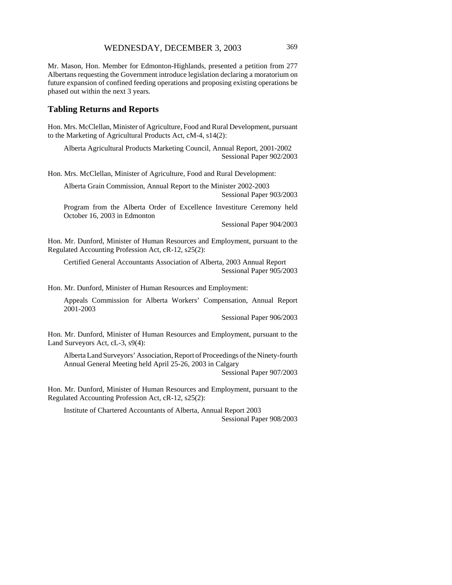Mr. Mason, Hon. Member for Edmonton-Highlands, presented a petition from 277 Albertans requesting the Government introduce legislation declaring a moratorium on future expansion of confined feeding operations and proposing existing operations be phased out within the next 3 years.

## **Tabling Returns and Reports**

Hon. Mrs. McClellan, Minister of Agriculture, Food and Rural Development, pursuant to the Marketing of Agricultural Products Act, cM-4, s14(2):

Alberta Agricultural Products Marketing Council, Annual Report, 2001-2002 Sessional Paper 902/2003

Hon. Mrs. McClellan, Minister of Agriculture, Food and Rural Development:

Alberta Grain Commission, Annual Report to the Minister 2002-2003 Sessional Paper 903/2003

Program from the Alberta Order of Excellence Investiture Ceremony held October 16, 2003 in Edmonton

Sessional Paper 904/2003

Hon. Mr. Dunford, Minister of Human Resources and Employment, pursuant to the Regulated Accounting Profession Act, cR-12, s25(2):

Certified General Accountants Association of Alberta, 2003 Annual Report Sessional Paper 905/2003

Hon. Mr. Dunford, Minister of Human Resources and Employment:

Appeals Commission for Alberta Workers' Compensation, Annual Report 2001-2003

Sessional Paper 906/2003

Hon. Mr. Dunford, Minister of Human Resources and Employment, pursuant to the Land Surveyors Act, cL-3, s9(4):

Alberta Land Surveyors' Association, Report of Proceedings of the Ninety-fourth Annual General Meeting held April 25-26, 2003 in Calgary

Sessional Paper 907/2003

Hon. Mr. Dunford, Minister of Human Resources and Employment, pursuant to the Regulated Accounting Profession Act, cR-12, s25(2):

Institute of Chartered Accountants of Alberta, Annual Report 2003 Sessional Paper 908/2003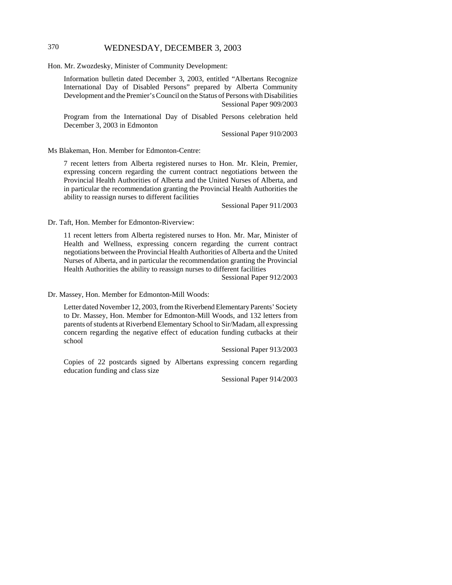# 370 WEDNESDAY, DECEMBER 3, 2003

Hon. Mr. Zwozdesky, Minister of Community Development:

Information bulletin dated December 3, 2003, entitled "Albertans Recognize International Day of Disabled Persons" prepared by Alberta Community Development and the Premier's Council on the Status of Persons with Disabilities Sessional Paper 909/2003

Program from the International Day of Disabled Persons celebration held December 3, 2003 in Edmonton

Sessional Paper 910/2003

Ms Blakeman, Hon. Member for Edmonton-Centre:

7 recent letters from Alberta registered nurses to Hon. Mr. Klein, Premier, expressing concern regarding the current contract negotiations between the Provincial Health Authorities of Alberta and the United Nurses of Alberta, and in particular the recommendation granting the Provincial Health Authorities the ability to reassign nurses to different facilities

Sessional Paper 911/2003

Dr. Taft, Hon. Member for Edmonton-Riverview:

11 recent letters from Alberta registered nurses to Hon. Mr. Mar, Minister of Health and Wellness, expressing concern regarding the current contract negotiations between the Provincial Health Authorities of Alberta and the United Nurses of Alberta, and in particular the recommendation granting the Provincial Health Authorities the ability to reassign nurses to different facilities

Sessional Paper 912/2003

Dr. Massey, Hon. Member for Edmonton-Mill Woods:

Letter dated November 12, 2003, from the Riverbend Elementary Parents' Society to Dr. Massey, Hon. Member for Edmonton-Mill Woods, and 132 letters from parents of students at Riverbend Elementary School to Sir/Madam, all expressing concern regarding the negative effect of education funding cutbacks at their school

Sessional Paper 913/2003

Copies of 22 postcards signed by Albertans expressing concern regarding education funding and class size

Sessional Paper 914/2003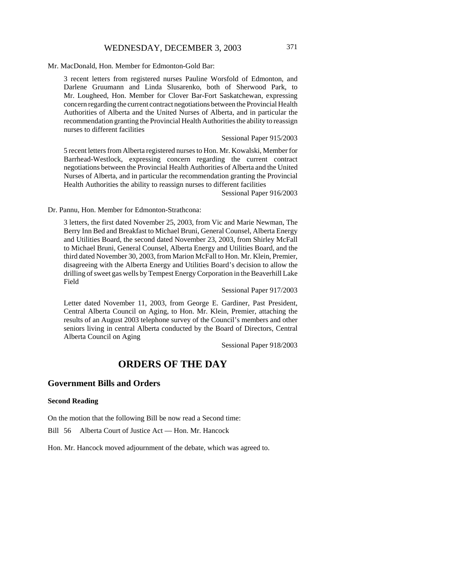# WEDNESDAY, DECEMBER 3, 2003 371

#### Mr. MacDonald, Hon. Member for Edmonton-Gold Bar:

3 recent letters from registered nurses Pauline Worsfold of Edmonton, and Darlene Gruumann and Linda Slusarenko, both of Sherwood Park, to Mr. Lougheed, Hon. Member for Clover Bar-Fort Saskatchewan, expressing concern regarding the current contract negotiations between the Provincial Health Authorities of Alberta and the United Nurses of Alberta, and in particular the recommendation granting the Provincial Health Authorities the ability to reassign nurses to different facilities

#### Sessional Paper 915/2003

5 recent letters from Alberta registered nurses to Hon. Mr. Kowalski, Member for Barrhead-Westlock, expressing concern regarding the current contract negotiations between the Provincial Health Authorities of Alberta and the United Nurses of Alberta, and in particular the recommendation granting the Provincial Health Authorities the ability to reassign nurses to different facilities

Sessional Paper 916/2003

Dr. Pannu, Hon. Member for Edmonton-Strathcona:

3 letters, the first dated November 25, 2003, from Vic and Marie Newman, The Berry Inn Bed and Breakfast to Michael Bruni, General Counsel, Alberta Energy and Utilities Board, the second dated November 23, 2003, from Shirley McFall to Michael Bruni, General Counsel, Alberta Energy and Utilities Board, and the third dated November 30, 2003, from Marion McFall to Hon. Mr. Klein, Premier, disagreeing with the Alberta Energy and Utilities Board's decision to allow the drilling of sweet gas wells by Tempest Energy Corporation in the Beaverhill Lake Field

Sessional Paper 917/2003

Letter dated November 11, 2003, from George E. Gardiner, Past President, Central Alberta Council on Aging, to Hon. Mr. Klein, Premier, attaching the results of an August 2003 telephone survey of the Council's members and other seniors living in central Alberta conducted by the Board of Directors, Central Alberta Council on Aging

Sessional Paper 918/2003

# **ORDERS OF THE DAY**

#### **Government Bills and Orders**

#### **Second Reading**

On the motion that the following Bill be now read a Second time:

Bill 56 Alberta Court of Justice Act — Hon. Mr. Hancock

Hon. Mr. Hancock moved adjournment of the debate, which was agreed to.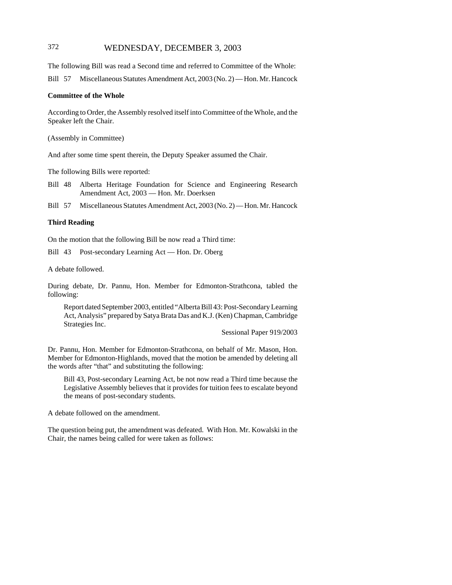# 372 WEDNESDAY, DECEMBER 3, 2003

The following Bill was read a Second time and referred to Committee of the Whole:

Bill 57 Miscellaneous Statutes Amendment Act, 2003 (No. 2) — Hon. Mr. Hancock

#### **Committee of the Whole**

According to Order, the Assembly resolved itself into Committee of the Whole, and the Speaker left the Chair.

(Assembly in Committee)

And after some time spent therein, the Deputy Speaker assumed the Chair.

The following Bills were reported:

- Bill 48 Alberta Heritage Foundation for Science and Engineering Research Amendment Act, 2003 — Hon. Mr. Doerksen
- Bill 57 Miscellaneous Statutes Amendment Act, 2003 (No. 2) Hon. Mr. Hancock

#### **Third Reading**

On the motion that the following Bill be now read a Third time:

Bill 43 Post-secondary Learning Act — Hon. Dr. Oberg

A debate followed.

During debate, Dr. Pannu, Hon. Member for Edmonton-Strathcona, tabled the following:

Report dated September 2003, entitled "Alberta Bill 43: Post-Secondary Learning Act, Analysis" prepared by Satya Brata Das and K.J. (Ken) Chapman, Cambridge Strategies Inc.

Sessional Paper 919/2003

Dr. Pannu, Hon. Member for Edmonton-Strathcona, on behalf of Mr. Mason, Hon. Member for Edmonton-Highlands, moved that the motion be amended by deleting all the words after "that" and substituting the following:

Bill 43, Post-secondary Learning Act, be not now read a Third time because the Legislative Assembly believes that it provides for tuition fees to escalate beyond the means of post-secondary students.

A debate followed on the amendment.

The question being put, the amendment was defeated. With Hon. Mr. Kowalski in the Chair, the names being called for were taken as follows: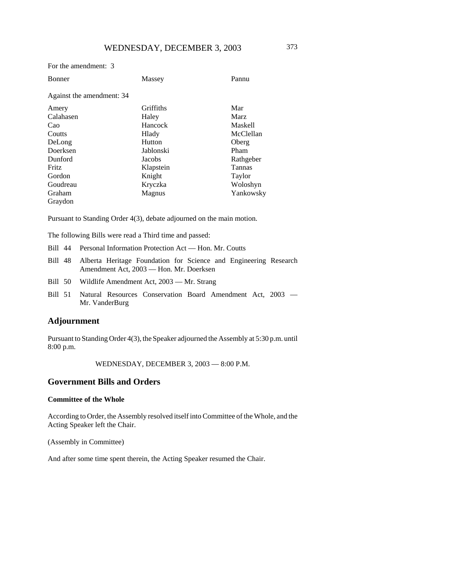#### For the amendment: 3

| <b>Bonner</b>             | Massey    | Pannu          |
|---------------------------|-----------|----------------|
| Against the amendment: 34 |           |                |
| Amery                     | Griffiths | Mar            |
| Calahasen                 | Haley     | <b>Marz</b>    |
| Cao                       | Hancock   | <b>Maskell</b> |
| Coutts                    | Hlady     | McClellan      |
| DeLong                    | Hutton    | Oberg          |
| Doerksen                  | Jablonski | Pham           |
| Dunford                   | Jacobs    | Rathgeber      |
| Fritz                     | Klapstein | <b>Tannas</b>  |
| Gordon                    | Knight    | Taylor         |
| Goudreau                  | Kryczka   | Woloshyn       |
| Graham                    | Magnus    | Yankowsky      |
| Graydon                   |           |                |

Pursuant to Standing Order 4(3), debate adjourned on the main motion.

The following Bills were read a Third time and passed:

- Bill 44 Personal Information Protection Act Hon. Mr. Coutts
- Bill 48 Alberta Heritage Foundation for Science and Engineering Research Amendment Act, 2003 — Hon. Mr. Doerksen
- Bill 50 Wildlife Amendment Act, 2003 Mr. Strang
- Bill 51 Natural Resources Conservation Board Amendment Act, 2003 Mr. VanderBurg

# **Adjournment**

Pursuant to Standing Order 4(3), the Speaker adjourned the Assembly at 5:30 p.m. until 8:00 p.m.

WEDNESDAY, DECEMBER 3, 2003 — 8:00 P.M.

## **Government Bills and Orders**

#### **Committee of the Whole**

According to Order, the Assembly resolved itself into Committee of the Whole, and the Acting Speaker left the Chair.

(Assembly in Committee)

And after some time spent therein, the Acting Speaker resumed the Chair.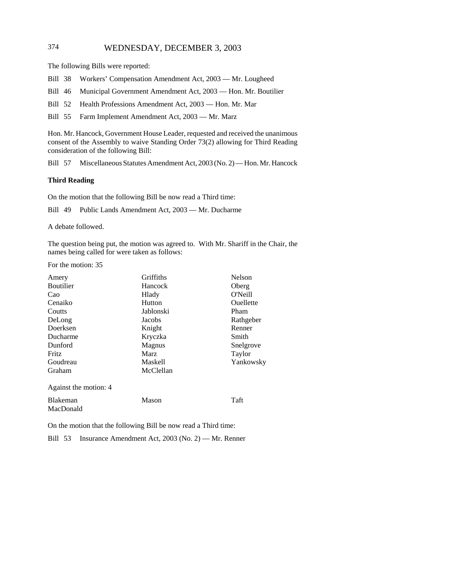# 374 WEDNESDAY, DECEMBER 3, 2003

The following Bills were reported:

- Bill 38 Workers' Compensation Amendment Act, 2003 Mr. Lougheed
- Bill 46 Municipal Government Amendment Act, 2003 Hon. Mr. Boutilier
- Bill 52 Health Professions Amendment Act, 2003 Hon. Mr. Mar

Bill 55 Farm Implement Amendment Act, 2003 — Mr. Marz

Hon. Mr. Hancock, Government House Leader, requested and received the unanimous consent of the Assembly to waive Standing Order 73(2) allowing for Third Reading consideration of the following Bill:

Bill 57 Miscellaneous Statutes Amendment Act, 2003 (No. 2) — Hon. Mr. Hancock

#### **Third Reading**

On the motion that the following Bill be now read a Third time:

Bill 49 Public Lands Amendment Act, 2003 — Mr. Ducharme

A debate followed.

The question being put, the motion was agreed to. With Mr. Shariff in the Chair, the names being called for were taken as follows:

For the motion: 35

| Amery                        | Griffiths   | <b>Nelson</b> |
|------------------------------|-------------|---------------|
| <b>Boutilier</b>             | Hancock     | Oberg         |
| Cao                          | Hlady       | O'Neill       |
| Cenaiko                      | Hutton      | Ouellette     |
| Coutts                       | Jablonski   | Pham          |
| DeLong                       | Jacobs      | Rathgeber     |
| Doerksen                     | Knight      | Renner        |
| Ducharme                     | Kryczka     | Smith         |
| Dunford                      | Magnus      | Snelgrove     |
| Fritz                        | <b>Marz</b> | Taylor        |
| Goudreau                     | Maskell     | Yankowsky     |
| Graham                       | McClellan   |               |
| Against the motion: 4        |             |               |
| <b>Blakeman</b><br>MacDonald | Mason       | Taft          |

On the motion that the following Bill be now read a Third time:

Bill 53 Insurance Amendment Act, 2003 (No. 2) — Mr. Renner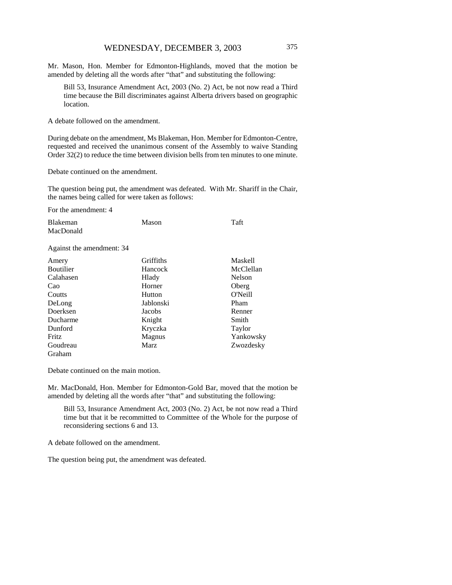Mr. Mason, Hon. Member for Edmonton-Highlands, moved that the motion be amended by deleting all the words after "that" and substituting the following:

Bill 53, Insurance Amendment Act, 2003 (No. 2) Act, be not now read a Third time because the Bill discriminates against Alberta drivers based on geographic location.

A debate followed on the amendment.

During debate on the amendment, Ms Blakeman, Hon. Member for Edmonton-Centre, requested and received the unanimous consent of the Assembly to waive Standing Order 32(2) to reduce the time between division bells from ten minutes to one minute.

Debate continued on the amendment.

The question being put, the amendment was defeated. With Mr. Shariff in the Chair, the names being called for were taken as follows:

For the amendment: 4

| <b>Blakeman</b>           | Mason     | Taft           |
|---------------------------|-----------|----------------|
| MacDonald                 |           |                |
| Against the amendment: 34 |           |                |
| Amery                     | Griffiths | <b>Maskell</b> |
| <b>Boutilier</b>          | Hancock   | McClellan      |
| Calahasen                 | Hlady     | <b>Nelson</b>  |
| Cao                       | Horner    | Oberg          |
| Coutts                    | Hutton    | O'Neill        |
| DeLong                    | Jablonski | Pham           |
| Doerksen                  | Jacobs    | Renner         |
| Ducharme                  | Knight    | Smith          |
| Dunford                   | Kryczka   | Taylor         |
| Fritz                     | Magnus    | Yankowsky      |
| Goudreau                  | Marz      | Zwozdesky      |
| Graham                    |           |                |

Debate continued on the main motion.

Mr. MacDonald, Hon. Member for Edmonton-Gold Bar, moved that the motion be amended by deleting all the words after "that" and substituting the following:

Bill 53, Insurance Amendment Act, 2003 (No. 2) Act, be not now read a Third time but that it be recommitted to Committee of the Whole for the purpose of reconsidering sections 6 and 13.

A debate followed on the amendment.

The question being put, the amendment was defeated.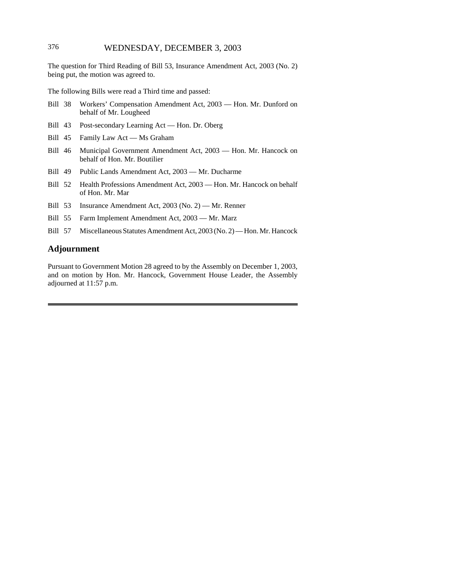## 376 WEDNESDAY, DECEMBER 3, 2003

The question for Third Reading of Bill 53, Insurance Amendment Act, 2003 (No. 2) being put, the motion was agreed to.

The following Bills were read a Third time and passed:

- Bill 38 Workers' Compensation Amendment Act, 2003 Hon. Mr. Dunford on behalf of Mr. Lougheed
- Bill 43 Post-secondary Learning Act Hon. Dr. Oberg
- Bill 45 Family Law Act Ms Graham
- Bill 46 Municipal Government Amendment Act, 2003 Hon. Mr. Hancock on behalf of Hon. Mr. Boutilier
- Bill 49 Public Lands Amendment Act, 2003 Mr. Ducharme
- Bill 52 Health Professions Amendment Act, 2003 Hon. Mr. Hancock on behalf of Hon. Mr. Mar
- Bill 53 Insurance Amendment Act, 2003 (No. 2) Mr. Renner
- Bill 55 Farm Implement Amendment Act, 2003 Mr. Marz
- Bill 57 Miscellaneous Statutes Amendment Act, 2003 (No. 2) Hon. Mr. Hancock

## **Adjournment**

Pursuant to Government Motion 28 agreed to by the Assembly on December 1, 2003, and on motion by Hon. Mr. Hancock, Government House Leader, the Assembly adjourned at 11:57 p.m.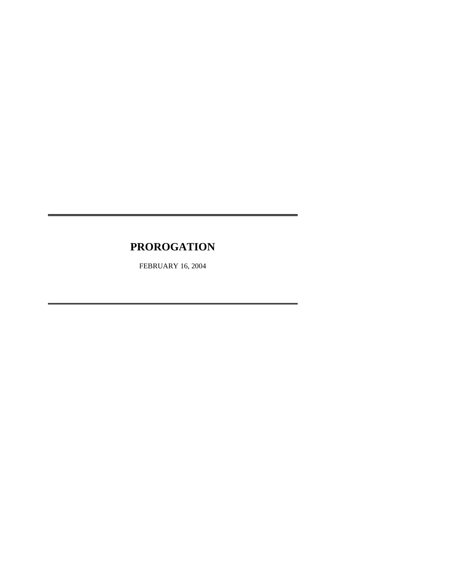# **PROROGATION**

FEBRUARY 16, 2004